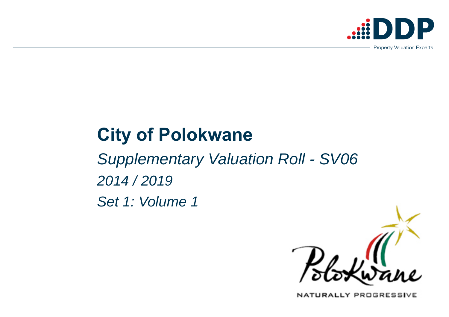# **City of Polokwane**

*Supplementary Valuation Roll - SV06 2014 / 2019 Set 1: Volume 1*



NATURALLY PROGRESSIVE

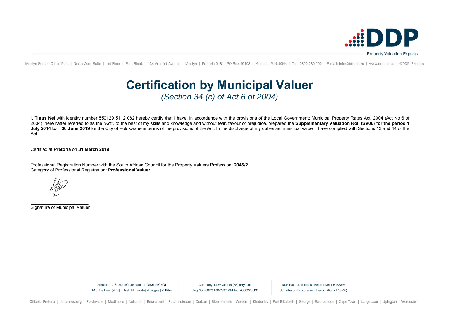I, **Tinus Nel** with identity number 550129 5112 082 hereby certify that I have, in accordance with the provisions of the Local Government: Municipal Property Rates Act, 2004 (Act No 6 of 2004), hereinafter referred to as the "Act", to the best of my skills and knowledge and without fear, favour or prejudice, prepared the **Supplementary Valuation Roll (SV06) for the period 1**  July 2014 to 30 June 2019 for the City of Polokwane in terms of the provisions of the Act. In the discharge of my duties as municipal valuer I have complied with Sections 43 and 44 of the Act.

Certified at **Pretoria** on **31 March 2019**.

Professional Registration Number with the South African Council for the Property Valuers Profession: **2046/2** Category of Professional Registration: **Professional Valuer**.

\_\_\_\_\_\_\_\_\_\_\_\_\_\_\_\_\_\_\_\_\_\_\_ Signature of Municipal Valuer

Company: DDP Valuers (RF) (Pty) Ltd Reg No 2007/018821/07 VAT No: 4650270582

DDP is a 100% black owned level 1 B-BBEE Contributor (Procurement Recognition of 135%)



Menlyn Square Office Park | North West Suite | 1st Floor | East Block | 134 Aramist Avenue | Menlyn | Pretoria 0181 | PO Box 40408 | Moreleta Park 0044 | Tel: 0800 060 200 | E-mail: info@ddp.co.za | www.ddp.co.za | @DDP Ex

## **Certification by Municipal Valuer**  *(Section 34 (c) of Act 6 of 2004)*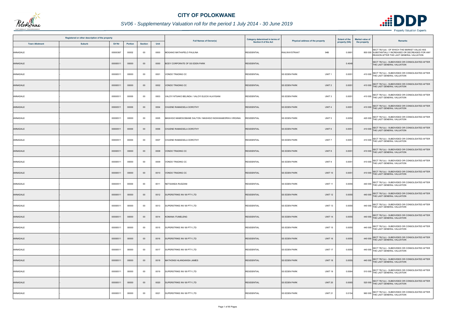| Registered or other description of the property |               |          |                |                |      | <b>Full Names of Owner(s)</b>                            | Category determined in terms of | Physical address of the property         | <b>Extent of the</b> | <b>Market value of</b> | <b>Remarks</b>                                                                                                                                   |
|-------------------------------------------------|---------------|----------|----------------|----------------|------|----------------------------------------------------------|---------------------------------|------------------------------------------|----------------------|------------------------|--------------------------------------------------------------------------------------------------------------------------------------------------|
| <b>Town Allotment</b>                           | <b>Suburb</b> | Erf Nr   | <b>Portion</b> | <b>Section</b> | Unit |                                                          | Section 8 of the Act            |                                          | property (HA)        | the property           |                                                                                                                                                  |
| ANNADALE                                        |               | 00000367 | 00002          | 00             | 0000 | MOGANO MATHAPELO PAULINA                                 | <b>RESIDENTIAL</b>              | <b>RAILWAYSTRAAT</b><br>94B              | 0.0691               |                        | SECT 78(1)(d) - OF WHICH THE MARKET VALUE HAS<br>800 000 SUBSTANTIALLY INCREASED OR DECREASED FOR ANY<br>REASON AFTER THE LAST GENERAL VALUATION |
| ANNADALE                                        |               | 00000511 | 00000          | $00\,$         | 0000 | BODY CORPORATE OF SS EDEN PARK                           | <b>RESIDENTIAL</b>              |                                          | 0.4048               |                        | SECT 78(1)(c) - SUBDIVIDED OR CONSOLIDATED AFTER<br>THE LAST GENERAL VALUATION                                                                   |
| ANNADALE                                        |               | 00000511 | 00000          | 00             | 0001 | /ONDO TRADING CC                                         | <b>RESIDENTIAL</b>              | UNIT <sub>1</sub><br><b>SS EDEN PARK</b> | 0.0051               |                        | 410 000 SECT 78(1)(c) - SUBDIVIDED OR CONSOLIDATED AFTER<br>THE LAST GENERAL VALUATION                                                           |
| ANNADALE                                        |               | 00000511 | 00000          | $00\,$         | 0002 | VONDO TRADING CC                                         | <b>RESIDENTIAL</b>              | <b>SS EDEN PARK</b><br>UNIT <sub>2</sub> | 0.0051               |                        | 410 000 SECT 78(1)(c) - SUBDIVIDED OR CONSOLIDATED AFTER<br>THE LAST GENERAL VALUATION                                                           |
| ANNADALE                                        |               | 00000511 | 00000          | $00\,$         | 0003 | VALOYI NTSAKO BELINDA / VALOYI ELECK HLAYISANI           | <b>RESIDENTIAL</b>              | <b>SS EDEN PARK</b><br>UNIT <sub>3</sub> | 0.0051               |                        | 410 000 SECT 78(1)(c) - SUBDIVIDED OR CONSOLIDATED AFTER<br>THE LAST GENERAL VALUATION                                                           |
| ANNADALE                                        |               | 00000511 | 00000          | $00\,$         | 0004 | CHUENE RAMAESELA DOROTHY                                 | <b>RESIDENTIAL</b>              | <b>SS EDEN PARK</b><br>UNIT <sub>4</sub> | 0.0051               |                        | 410 000 SECT 78(1)(c) - SUBDIVIDED OR CONSOLIDATED AFTER<br>THE LAST GENERAL VALUATION                                                           |
| ANNADALE                                        |               | 00000511 | 00000          | $00\,$         | 0005 | MASHIGO MAMOGOBANE DALTON / MASHIGO NGWANABORWA VIRGINIA | RESIDENTIAL                     | <b>SS EDEN PARK</b><br>UNIT <sub>5</sub> | 0.0052               |                        | 420 000 SECT 78(1)(c) - SUBDIVIDED OR CONSOLIDATED AFTER<br>THE LAST GENERAL VALUATION                                                           |
| ANNADALE                                        |               | 00000511 | 00000          | 00             | 0006 | CHUENE RAMAESELA DOROTHY                                 | <b>RESIDENTIAL</b>              | <b>SS EDEN PARK</b><br>UNIT <sub>6</sub> | 0.0051               |                        | 410 000 SECT 78(1)(c) - SUBDIVIDED OR CONSOLIDATED AFTER<br>THE LAST GENERAL VALUATION                                                           |
| ANNADALE                                        |               | 00000511 | 00000          | $00\,$         | 0007 | CHUENE RAMAESELA DOROTHY                                 | <b>RESIDENTIAL</b>              | UNIT <sub>7</sub><br><b>SS EDEN PARK</b> | 0.0051               |                        | 410 000 SECT 78(1)(c) - SUBDIVIDED OR CONSOLIDATED AFTER<br>THE LAST GENERAL VALUATION                                                           |
| ANNADALE                                        |               | 00000511 | 00000          | $00\,$         | 0008 | /ONDO TRADING CC                                         | <b>RESIDENTIAL</b>              | <b>SS EDEN PARK</b><br>UNIT 8            | 0.0051               |                        | 410 000 SECT 78(1)(c) - SUBDIVIDED OR CONSOLIDATED AFTER<br>THE LAST GENERAL VALUATION                                                           |
| ANNADALE                                        |               | 00000511 | 00000          | 00             | 0009 | VONDO TRADING CC                                         | <b>RESIDENTIAL</b>              | <b>SS EDEN PARK</b><br>UNIT <sub>9</sub> | 0.0051               |                        | 410 000 SECT 78(1)(c) - SUBDIVIDED OR CONSOLIDATED AFTER<br>THE LAST GENERAL VALUATION                                                           |
| ANNADALE                                        |               | 00000511 | 00000          | $00\,$         | 0010 | VONDO TRADING CC                                         | <b>RESIDENTIAL</b>              | <b>SS EDEN PARK</b><br><b>UNIT 10</b>    | 0.0051               |                        | 410 000 SECT 78(1)(c) - SUBDIVIDED OR CONSOLIDATED AFTER<br>THE LAST GENERAL VALUATION                                                           |
| ANNADALE                                        |               | 00000511 | 00000          | $00\,$         | 0011 | NETSIANDA RUDZANI                                        | <b>RESIDENTIAL</b>              | <b>SS EDEN PARK</b><br><b>UNIT 11</b>    | 0.0055               |                        | 440 000 SECT 78(1)(c) - SUBDIVIDED OR CONSOLIDATED AFTER<br>THE LAST GENERAL VALUATION                                                           |
| ANNADALE                                        |               | 00000511 | 00000          | $00\,$         | 0012 | SUPERSTRIKE INV 69 PTY LTD                               | <b>RESIDENTIAL</b>              | <b>SS EDEN PARK</b><br><b>UNIT 12</b>    | 0.0055               |                        | 440 000 SECT 78(1)(c) - SUBDIVIDED OR CONSOLIDATED AFTER<br>THE LAST GENERAL VALUATION                                                           |
| ANNADALE                                        |               | 00000511 | 00000          | $00\,$         | 0013 | SUPERSTRIKE INV 69 PTY LTD                               | <b>RESIDENTIAL</b>              | <b>SS EDEN PARK</b><br><b>UNIT 13</b>    | 0.0055               |                        | 440 000 SECT 78(1)(c) - SUBDIVIDED OR CONSOLIDATED AFTER<br>THE LAST GENERAL VALUATION                                                           |
| ANNADALE                                        |               | 00000511 | 00000          | $00\,$         | 0014 | KOMANA ITUMELENG                                         | <b>RESIDENTIAL</b>              | <b>UNIT 14</b><br><b>SS EDEN PARK</b>    | 0.0055               |                        | 440 000 SECT 78(1)(c) - SUBDIVIDED OR CONSOLIDATED AFTER<br>THE LAST GENERAL VALUATION                                                           |
| ANNADALE                                        |               | 00000511 | 00000          | $00\,$         | 0015 | SUPERSTRIKE INV 69 PTY LTD                               | <b>RESIDENTIAL</b>              | <b>SS EDEN PARK</b><br><b>UNIT 15</b>    | 0.0055               |                        | 440 000 SECT 78(1)(c) - SUBDIVIDED OR CONSOLIDATED AFTER<br>THE LAST GENERAL VALUATION                                                           |
| ANNADALE                                        |               | 00000511 | 00000          | $00\,$         | 0016 | SUPERSTRIKE INV 69 PTY LTD                               | <b>RESIDENTIAL</b>              | <b>UNIT 16</b><br><b>SS EDEN PARK</b>    | 0.0055               |                        | 440 000 SECT 78(1)(c) - SUBDIVIDED OR CONSOLIDATED AFTER<br>THE LAST GENERAL VALUATION                                                           |
| ANNADALE                                        |               | 00000511 | 00000          | $00\,$         | 0017 | SUPERSTRIKE INV 69 PTY LTD                               | <b>RESIDENTIAL</b>              | <b>SS EDEN PARK</b><br><b>UNIT 17</b>    | 0.0055               |                        | 440 000 SECT 78(1)(c) - SUBDIVIDED OR CONSOLIDATED AFTER<br>THE LAST GENERAL VALUATION                                                           |
| ANNADALE                                        |               | 00000511 | 00000          | $00\,$         | 0018 | MATHONSI HLANGANISA JAMES                                | <b>RESIDENTIAL</b>              | <b>UNIT 18</b><br><b>SS EDEN PARK</b>    | 0.0055               |                        | 440 000 SECT 78(1)(c) - SUBDIVIDED OR CONSOLIDATED AFTER<br>THE LAST GENERAL VALUATION                                                           |
| ANNADALE                                        |               | 00000511 | 00000          | $00\,$         | 0019 | SUPERSTRIKE INV 69 PTY LTD                               | <b>RESIDENTIAL</b>              | <b>SS EDEN PARK</b><br><b>UNIT 19</b>    | 0.0064               |                        | 510 000 SECT 78(1)(c) - SUBDIVIDED OR CONSOLIDATED AFTER<br>THE LAST GENERAL VALUATION                                                           |
| ANNADALE                                        |               | 00000511 | 00000          | $00\,$         | 0020 | SUPERSTRIKE INV 69 PTY LTD                               | <b>RESIDENTIAL</b>              | <b>SS EDEN PARK</b><br><b>UNIT 20</b>    | 0.0065               |                        | 520 000 SECT 78(1)(c) - SUBDIVIDED OR CONSOLIDATED AFTER<br>THE LAST GENERAL VALUATION                                                           |
| ANNADALE                                        |               | 00000511 | 00000          | $00\,$         | 0021 | SUPERSTRIKE INV 69 PTY LTD                               | <b>RESIDENTIAL</b>              | <b>UNIT 21</b><br><b>SS EDEN PARK</b>    | 0.0154               |                        | 960 000 SECT 78(1)(c) - SUBDIVIDED OR CONSOLIDATED AFTER<br>THE LAST GENERAL VALUATION                                                           |



## *SV06 - Supplementary Valuation roll for the period 1 July 2014 - 30 June 2019*

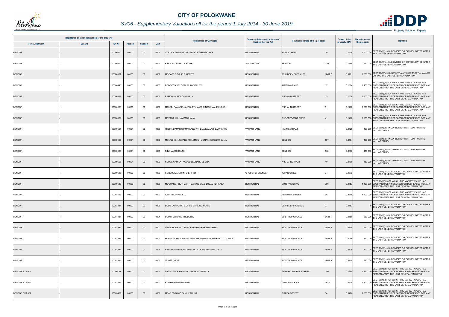

## *SV06 - Supplementary Valuation roll for the period 1 July 2014 - 30 June 2019*

|                       | Registered or other description of the property |          |                |                |      |                                                      | Category determined in terms of |                                                | <b>Extent of the</b> | <b>Market value of</b> |                                                                                                                                                    |
|-----------------------|-------------------------------------------------|----------|----------------|----------------|------|------------------------------------------------------|---------------------------------|------------------------------------------------|----------------------|------------------------|----------------------------------------------------------------------------------------------------------------------------------------------------|
| <b>Town Allotment</b> | <b>Suburb</b>                                   | Erf Nr   | <b>Portion</b> | <b>Section</b> | Unit | <b>Full Names of Owner(s)</b>                        | Section 8 of the Act            | Physical address of the property               | property (HA)        | the property           | Remarks                                                                                                                                            |
| <b>BENDOR</b>         |                                                 | 00000270 | 00000          | $00\,$         | 0000 | STEYN JOHANNES JACOBUS / STEYN ESTHER                | <b>RESIDENTIAL</b>              | <b>BUYS STREET</b><br>10                       | 0.1524               |                        | SECT 78(1)(c) - SUBDIVIDED OR CONSOLIDATED AFTER<br>1 500 000 THE LAST GENERAL VALUATION                                                           |
| <b>BENDOR</b>         |                                                 | 00000270 | 00002          | $00\,$         | 0000 | <b>BASSON DANIEL LE ROUX</b>                         | <b>VACANT LAND</b>              | <b>BENDOR</b><br>270                           | 0.0964               |                        | 460 000 SECT 78(1)(c) - SUBDIVIDED OR CONSOLIDATED AFTER<br>THE LAST GENERAL VALUATION                                                             |
| <b>BENDOR</b>         |                                                 | 00000351 | 00000          | $00\,$         | 0007 | <b>MOGASE DITSHELE MERCY</b>                         | <b>RESIDENTIAL</b>              | UNIT <sub>7</sub><br><b>SS HIDDEN ELEGANCE</b> | 0.0181               |                        | 1 600 000 SECT 78(1)(e) - SUBSTANTIALLY INCORRECTLY VALUED                                                                                         |
| BENDOR                |                                                 | 00000440 | 00000          | 00             | 0000 | POLOKWANE LOCAL MUNICIPALITY                         | <b>RESIDENTIAL</b>              | 17<br><b>JAMES AVENUE</b>                      | 0.1504               |                        | SECT 78(1)(d) - OF WHICH THE MARKET VALUE HAS<br>1 400 000 SUBSTANTIALLY INCREASED OR DECREASED FOR ANY<br>REASON AFTER THE LAST GENERAL VALUATION |
| <b>BENDOR</b>         |                                                 | 00000532 | 00000          | $00\,$         | 0000 | RAMONYAI MOLOCHI BILLY                               | <b>RESIDENTIAL</b>              | <b>WIEHAHN STREET</b><br>13                    | 0.1536               |                        | SECT 78(1)(d) - OF WHICH THE MARKET VALUE HAS<br>1 900 000 SUBSTANTIALLY INCREASED OR DECREASED FOR ANY<br>REASON AFTER THE LAST GENERAL VALUATION |
| <b>BENDOR</b>         |                                                 | 00000536 | 00000          | 00             | 0000 | MASEDI RAMASELLA VIOLET / MASEDI NTSHIMANE LUCAS     | <b>RESIDENTIAL</b>              | $\overline{3}$<br><b>WIEHAHN STREET</b>        | 0.1408               |                        | SECT 78(1)(d) - OF WHICH THE MARKET VALUE HAS<br>1 800 000 SUBSTANTIALLY INCREASED OR DECREASED FOR ANY<br>REASON AFTER THE LAST GENERAL VALUATION |
| <b>BENDOR</b>         |                                                 | 00000539 | 00000          | $00\,$         | 0000 | MOYABA WILLIAM MACHAKA                               | <b>RESIDENTIAL</b>              | THE CRESCENT DRIVE<br>$\overline{4}$           | 0.1408               |                        | SECT 78(1)(d) - OF WHICH THE MARKET VALUE HAS<br>1 900 000 SUBSTANTIALLY INCREASED OR DECREASED FOR ANY<br>REASON AFTER THE LAST GENERAL VALUATION |
| <b>BENDOR</b>         |                                                 | 00000551 | 00001          | $00\,$         | 0000 | THEMA DAMARIS MMAHLAKO / THEMA KGALADI LAWRENCE      | <b>VACANT LAND</b>              | <b>HANNIESTRAAT</b>                            | 0.0725               | 430 000                | SECT 78(1)(a) - INCORRECTLY OMITTED FROM THE<br><b>VALUATION ROLL</b>                                                                              |
| <b>BENDOR</b>         |                                                 | 00000557 | 00001          | $00\,$         | 0000 | MONAKHISI NGWAKO PHILEMON / MONAKHISI SELIMI JULIA   | <b>VACANT LAND</b>              | <b>BENDOR</b><br>557                           | 0.0704               |                        | 430 000 SECT 78(1)(a) - INCORRECTLY OMITTED FROM THE<br>VALUATION ROLL                                                                             |
| BENDOR                |                                                 | 00000560 | 00001          | $00\,$         | 0000 | RIBA MABU CONNY                                      | VACANT LAND                     | 560<br><b>BENDOR</b>                           | 0.0836               | 450 000                | SECT 78(1)(a) - INCORRECTLY OMITTED FROM THE<br><b>VALUATION ROLL</b>                                                                              |
| <b>BENDOR</b>         |                                                 | 00000565 | 00001          | $00\,$         | 0000 | KGOBE CAMILA / KGOBE LEONARD LESIBA                  | <b>VACANT LAND</b>              | 10<br><b>WIEHAHNSTRAAT</b>                     | 0.0706               |                        | 450 000 SECT 78(1)(a) - INCORRECTLY OMITTED FROM THE<br>VALUATION ROLL                                                                             |
| <b>BENDOR</b>         |                                                 | 00000585 | 00000          | $00\,$         | 0000 | CONSOLIDATED INTO ERF 7981                           | <b>CROSS REFERENCE</b>          | <b>JOHAN STREET</b><br>3                       | 0.1672               |                        | SECT 78(1)(c) - SUBDIVIDED OR CONSOLIDATED AFTER<br>THE LAST GENERAL VALUATION                                                                     |
| <b>BENDOR</b>         |                                                 | 00000687 | 00002          | $00\,$         | 0000 | MOGOANE PHUTI MARTHA / MOGOANE LUCAS MAHLABA         | <b>RESIDENTIAL</b>              | 200<br><b>OUTSPAN DRIVE</b>                    | 0.0757               |                        | SECT 78(1)(d) - OF WHICH THE MARKET VALUE HAS<br>1 400 000 SUBSTANTIALLY INCREASED OR DECREASED FOR ANY<br>REASON AFTER THE LAST GENERAL VALUATION |
| <b>BENDOR</b>         |                                                 | 00003796 | 00000          | 00             | 0000 | <b>IQRA PROP PTY LTD</b>                             | <b>RESIDENTIAL</b>              | 96<br><b>ARNOTHA STREET</b>                    | 0.3346               |                        | SECT 78(1)(d) - OF WHICH THE MARKET VALUE HAS<br>1 400 000 SUBSTANTIALLY INCREASED OR DECREASED FOR ANY<br>REASON AFTER THE LAST GENERAL VALUATION |
| <b>BENDOR</b>         |                                                 | 00007981 | 00000          | $00\,$         | 0000 | BODY CORPORATE OF SS STIRLING PLACE                  | <b>RESIDENTIAL</b>              | DE VILLIERS AVENUE<br>27                       | 0.1153               |                        | SECT 78(1)(c) - SUBDIVIDED OR CONSOLIDATED AFTER<br>THE LAST GENERAL VALUATION                                                                     |
| <b>BENDOR</b>         |                                                 | 00007981 | 00000          | 00             | 0001 | SCOTT WYNAND FREDERIK                                | <b>RESIDENTIAL</b>              | <b>SS STIRLING PLACE</b><br>UNIT <sub>1</sub>  | 0.0150               |                        | 880 000 SECT 78(1)(c) - SUBDIVIDED OR CONSOLIDATED AFTER<br>THE LAST GENERAL VALUATION                                                             |
| <b>BENDOR</b>         |                                                 | 00007981 | 00000          | $00\,$         | 0002 | DEWA HONEST / DEWA RUFARO DEBRA MAUMBE               | <b>RESIDENTIAL</b>              | <b>SS STIRLING PLACE</b><br>UNIT <sub>2</sub>  | 0.0170               |                        | SECT 78(1)(c) - SUBDIVIDED OR CONSOLIDATED AFTER<br>960 000 THE LAST GENERAL VALUATION                                                             |
| <b>BENDOR</b>         |                                                 | 00007981 | 00000          | $00\,$         | 0003 | MARINGA RHULANI KNOWLEDGE / MARINGA RIRHANDZU GLENDA | <b>RESIDENTIAL</b>              | UNIT <sub>3</sub><br><b>SS STIRLING PLACE</b>  | 0.0049               |                        | 350 000 SECT 78(1)(c) - SUBDIVIDED OR CONSOLIDATED AFTER<br>THE LAST GENERAL VALUATION                                                             |
| <b>BENDOR</b>         |                                                 | 00007981 | 00000          | $00\,$         | 0004 | BARKHUIZEN MARIA ELIZABETH / BARKHUIZEN KOBUS        | <b>RESIDENTIAL</b>              | UNIT <sub>4</sub><br><b>SS STIRLING PLACE</b>  | 0.0129               |                        | 720 000 SECT 78(1)(c) - SUBDIVIDED OR CONSOLIDATED AFTER<br>THE LAST GENERAL VALUATION                                                             |
| <b>BENDOR</b>         |                                                 | 00007981 | 00000          | 00             | 0005 | <b>SCOTT LOUIS</b>                                   | <b>RESIDENTIAL</b>              | UNIT <sub>5</sub><br><b>SS STIRLING PLACE</b>  | 0.0150               |                        | 880 000 SECT 78(1)(c) - SUBDIVIDED OR CONSOLIDATED AFTER<br>THE LAST GENERAL VALUATION                                                             |
| BENDOR EXT 007        |                                                 | 00000797 | 00000          | $00\,$         | 0000 | DIEMONT CHRISTIAAN / DIEMONT MONICA                  | <b>RESIDENTIAL</b>              | 150<br><b>GENERAL MARITZ STREET</b>            | 0.1280               |                        | SECT 78(1)(d) - OF WHICH THE MARKET VALUE HAS<br>1 330 000 SUBSTANTIALLY INCREASED OR DECREASED FOR ANY<br>REASON AFTER THE LAST GENERAL VALUATION |
| BENDOR EXT 062        |                                                 | 00003449 | 00000          | 00             | 0000 | RUDIGER GLENN DENZIL                                 | <b>RESIDENTIAL</b>              | <b>OUTSPAN DRIVE</b><br>192A                   | 0.0908               |                        | SECT 78(1)(d) - OF WHICH THE MARKET VALUE HAS<br>1 700 000 SUBSTANTIALLY INCREASED OR DECREASED FOR ANY<br>REASON AFTER THE LAST GENERAL VALUATION |
| BENDOR EXT 062        |                                                 | 00003459 | 00000          | $00\,$         | 0000 | MSAP FOROMO FAMILY TRUST                             | <b>RESIDENTIAL</b>              | <b>BIRREA STREET</b><br>64                     | 0.0420               |                        | SECT 78(1)(d) - OF WHICH THE MARKET VALUE HAS<br>2 300 000 SUBSTANTIALLY INCREASED OR DECREASED FOR ANY<br>REASON AFTER THE LAST GENERAL VALUATION |

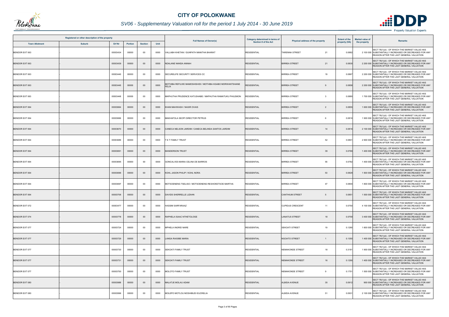

## *SV06 - Supplementary Valuation roll for the period 1 July 2014 - 30 June 2019*

| Registered or other description of the property |               |          |                |                |      | Category determined in terms of<br><b>Full Names of Owner(s)</b>   | <b>Extent of the</b><br>Physical address of the property |                                        | <b>Market value of</b><br><b>Remarks</b> |              |                                                                                                                                                    |
|-------------------------------------------------|---------------|----------|----------------|----------------|------|--------------------------------------------------------------------|----------------------------------------------------------|----------------------------------------|------------------------------------------|--------------|----------------------------------------------------------------------------------------------------------------------------------------------------|
| <b>Town Allotment</b>                           | <b>Suburb</b> | Erf Nr   | <b>Portion</b> | <b>Section</b> | Unit |                                                                    | <b>Section 8 of the Act</b>                              |                                        | property (HA)                            | the property |                                                                                                                                                    |
| BENDOR EXT 063                                  |               | 00003434 | 00000          | 00             | 0000 | VALLABH KHETAN / GUNPATH MANITHA BHARAT                            | <b>RESIDENTIAL</b>                                       | <b>TARENNA STREET</b><br>21            | 0.0882                                   |              | SECT 78(1)(d) - OF WHICH THE MARKET VALUE HAS<br>2 100 000 SUBSTANTIALLY INCREASED OR DECREASED FOR ANY<br>REASON AFTER THE LAST GENERAL VALUATION |
| <b>BENDOR EXT 063</b>                           |               | 00003439 | 00000          | $00\,$         | 0000 | NDALANE NANDA ANNAH                                                | <b>RESIDENTIAL</b>                                       | 21<br><b>BIRREA STREET</b>             | 0.0830                                   |              | SECT 78(1)(d) - OF WHICH THE MARKET VALUE HAS<br>2 200 000 SUBSTANTIALLY INCREASED OR DECREASED FOR ANY<br>REASON AFTER THE LAST GENERAL VALUATION |
| BENDOR EXT 063                                  |               | 00003440 | 00000          | 00             | 0000 | SECURELIFE SECURITY SERVICES CC                                    | <b>RESIDENTIAL</b>                                       | <b>BIRREA STREET</b><br>19             | 0.0867                                   |              | SECT 78(1)(d) - OF WHICH THE MARKET VALUE HAS<br>2 200 000 SUBSTANTIALLY INCREASED OR DECREASED FOR ANY<br>REASON AFTER THE LAST GENERAL VALUATION |
| <b>BENDOR EXT 063</b>                           |               | 00003445 | 00000          | $00\,$         | 0000 | MOTHIBA REFILWE MAMOSHISHIDI / MOTHIBA KGABO MORWANTSHANE<br>FELIX | RESIDENTIAL                                              | <b>BIRREA STREET</b>                   | 0.0858                                   |              | SECT 78(1)(d) - OF WHICH THE MARKET VALUE HAS<br>2 200 000 SUBSTANTIALLY INCREASED OR DECREASED FOR ANY<br>REASON AFTER THE LAST GENERAL VALUATION |
| BENDOR EXT 063                                  |               | 00003448 | 00000          | $00\,$         | 0000 | MAPHUTHA PRUDENCE KATUSHABE / MAPHUTHA RAMATUKU PHILEMON           | <b>RESIDENTIAL</b>                                       | <b>BIRREA STREET</b><br>$\overline{3}$ | 0.0880                                   |              | SECT 78(1)(d) - OF WHICH THE MARKET VALUE HAS<br>1 700 000 SUBSTANTIALLY INCREASED OR DECREASED FOR ANY<br>REASON AFTER THE LAST GENERAL VALUATION |
| <b>BENDOR EXT 064</b>                           |               | 00003664 | 00000          | $00\,$         | 0000 | KHAN MAHWASH / NASIR OVAIS                                         | <b>RESIDENTIAL</b>                                       | <b>BIRREA STREET</b><br>$\overline{2}$ | 0.0855                                   |              | SECT 78(1)(d) - OF WHICH THE MARKET VALUE HAS<br>1 600 000 SUBSTANTIALLY INCREASED OR DECREASED FOR ANY<br>REASON AFTER THE LAST GENERAL VALUATION |
| BENDOR EXT 064                                  |               | 00003666 | 00000          | 00             | 0000 | MAKHAFOLA SEOPI DIRECTOR PETRUS                                    | <b>RESIDENTIAL</b>                                       | <b>BIRREA STREET</b><br>6              | 0.0816                                   |              | SECT 78(1)(d) - OF WHICH THE MARKET VALUE HAS<br>1 900 000 SUBSTANTIALLY INCREASED OR DECREASED FOR ANY<br>REASON AFTER THE LAST GENERAL VALUATION |
| <b>BENDOR EXT 064</b>                           |               | 00003670 | 00000          | $00\,$         | 0000 | CANECA NELSON JARDIM / CANECA BELINDA SANTOS JARDIM                | <b>RESIDENTIAL</b>                                       | <b>BIRREA STREET</b><br>14             | 0.081                                    |              | SECT 78(1)(d) - OF WHICH THE MARKET VALUE HAS<br>2 100 000 SUBSTANTIALLY INCREASED OR DECREASED FOR ANY<br>REASON AFTER THE LAST GENERAL VALUATION |
| BENDOR EXT 064                                  |               | 00003689 | 00000          | $00\,$         | 0000 | T E T FAMILY TRUST                                                 | <b>RESIDENTIAL</b>                                       | <b>BIRREA STREET</b><br>52             | 0.080                                    |              | SECT 78(1)(d) - OF WHICH THE MARKET VALUE HAS<br>2 900 000 SUBSTANTIALLY INCREASED OR DECREASED FOR ANY<br>REASON AFTER THE LAST GENERAL VALUATION |
| <b>BENDOR EXT 064</b>                           |               | 00003691 | 00000          | $00\,$         | 0000 | <b>MANDERSON TRUST</b>                                             | <b>RESIDENTIAL</b>                                       | <b>BIRREA STREET</b><br>39             | 0.0769                                   |              | SECT 78(1)(d) - OF WHICH THE MARKET VALUE HAS<br>1 400 000 SUBSTANTIALLY INCREASED OR DECREASED FOR ANY<br>REASON AFTER THE LAST GENERAL VALUATION |
| BENDOR EXT 064                                  |               | 00003695 | 00000          | 00             | 0000 | GONCALVES MARIA CELINA DE BARROS                                   | <b>RESIDENTIAL</b>                                       | 55<br><b>BIRREA STREET</b>             | 0.0782                                   |              | SECT 78(1)(d) - OF WHICH THE MARKET VALUE HAS<br>1 400 000 SUBSTANTIALLY INCREASED OR DECREASED FOR ANY<br>REASON AFTER THE LAST GENERAL VALUATION |
| <b>BENDOR EXT 064</b>                           |               | 00003696 | 00000          | $00\,$         | 0000 | KOHL JASON PHILIP / KOHL NORA                                      | <b>RESIDENTIAL</b>                                       | 53<br><b>BIRREA STREET</b>             | 0.0829                                   |              | SECT 78(1)(d) - OF WHICH THE MARKET VALUE HAS<br>1 500 000 SUBSTANTIALLY INCREASED OR DECREASED FOR ANY<br>REASON AFTER THE LAST GENERAL VALUATION |
| BENDOR EXT 064                                  |               | 00003697 | 00000          | 00             | 0000 | MOTSOENENG TSELISO / MOTSOENENG RESHOKETSOE MARTHA                 | <b>RESIDENTIAL</b>                                       | <b>BIRREA STREET</b><br>47             | 0.0800                                   |              | SECT 78(1)(d) - OF WHICH THE MARKET VALUE HAS<br>1 800 000 SUBSTANTIALLY INCREASED OR DECREASED FOR ANY<br>REASON AFTER THE LAST GENERAL VALUATION |
| <b>BENDOR EXT 064</b>                           |               | 00003706 | 00000          | $00\,$         | 0000 | <b>DAVIDS SHERRELLE LIZAHN</b>                                     | <b>RESIDENTIAL</b>                                       | <b>CANTHIUM STREET</b><br>5            | 0.085                                    |              | SECT 78(1)(d) - OF WHICH THE MARKET VALUE HAS<br>1 500 000 SUBSTANTIALLY INCREASED OR DECREASED FOR ANY<br>REASON AFTER THE LAST GENERAL VALUATION |
| BENDOR EXT 072                                  |               | 00003477 | 00000          | 00             | 0000 | <b>HASSIM SARFARAAZ</b>                                            | <b>RESIDENTIAL</b>                                       | <b>CUPIDUS CRESCENT</b><br>11          | 0.0750                                   |              | SECT 78(1)(d) - OF WHICH THE MARKET VALUE HAS<br>4 100 000 SUBSTANTIALLY INCREASED OR DECREASED FOR ANY<br>REASON AFTER THE LAST GENERAL VALUATION |
| <b>BENDOR EXT 074</b>                           |               | 00003778 | 00000          | $00\,$         | 0000 | RAPHELA ISAAC NTHETOLOGE                                           | <b>RESIDENTIAL</b>                                       | <b>LANATUS STREET</b><br>18            | 0.0759                                   |              | SECT 78(1)(d) - OF WHICH THE MARKET VALUE HAS<br>3 400 000 SUBSTANTIALLY INCREASED OR DECREASED FOR ANY<br>REASON AFTER THE LAST GENERAL VALUATION |
| BENDOR EXT 077                                  |               | 00003724 | 00000          | 00             | 0000 | MPHELA INGRID NARE                                                 | <b>RESIDENTIAL</b>                                       | <b>SEKOATI STREET</b><br>19            | 0.1290                                   |              | SECT 78(1)(d) - OF WHICH THE MARKET VALUE HAS<br>1 600 000 SUBSTANTIALLY INCREASED OR DECREASED FOR ANY<br>REASON AFTER THE LAST GENERAL VALUATION |
| BENDOR EXT 077                                  |               | 00003729 | 00000          | $00\,$         | 0000 | <b>LANGA RAISIBE MARIA</b>                                         | <b>RESIDENTIAL</b>                                       | <b>NGOATO STREET</b><br>$\mathbf{1}$   | 0.1350                                   |              | SECT 78(1)(d) - OF WHICH THE MARKET VALUE HAS<br>1 400 000 SUBSTANTIALLY INCREASED OR DECREASED FOR ANY<br>REASON AFTER THE LAST GENERAL VALUATION |
| BENDOR EXT 077                                  |               | 00003730 | 00000          | 00             | 0000 | <b>SEKOATI FAMILY TRUST</b>                                        | <b>RESIDENTIAL</b>                                       | 18<br>NEMAKONDE STREET                 | 0.3181                                   |              | SECT 78(1)(d) - OF WHICH THE MARKET VALUE HAS<br>1 900 000 SUBSTANTIALLY INCREASED OR DECREASED FOR ANY<br>REASON AFTER THE LAST GENERAL VALUATION |
| BENDOR EXT 077                                  |               | 00003731 | 00000          | $00\,$         | 0000 | SEKOATI FAMILY TRUST                                               | <b>RESIDENTIAL</b>                                       | <b>NEMAKONDE STREET</b><br>16          | 0.1290                                   |              | SECT 78(1)(d) - OF WHICH THE MARKET VALUE HAS<br>1 400 000 SUBSTANTIALLY INCREASED OR DECREASED FOR ANY<br>REASON AFTER THE LAST GENERAL VALUATION |
| BENDOR EXT 077                                  |               | 00003750 | 00000          | 00             | 0000 | MOLOTO FAMILY TRUST                                                | <b>RESIDENTIAL</b>                                       | NEMAKONDE STREET<br>9                  | 0.1751                                   |              | SECT 78(1)(d) - OF WHICH THE MARKET VALUE HAS<br>1 500 000 SUBSTANTIALLY INCREASED OR DECREASED FOR ANY<br>REASON AFTER THE LAST GENERAL VALUATION |
| BENDOR EXT 080                                  |               | 00003988 | 00000          | $00\,$         | 0000 | MALATJE MOLAU ADAM                                                 | <b>RESIDENTIAL</b>                                       | 35<br><b>ALBIDA AVENUE</b>             | 0.0912                                   |              | SECT 78(1)(d) - OF WHICH THE MARKET VALUE HAS<br>900 000 SUBSTANTIALLY INCREASED OR DECREASED FOR ANY<br>REASON AFTER THE LAST GENERAL VALUATION   |
| BENDOR EXT 080                                  |               | 00003996 | 00000          | 00             | 0000 | MOLEPO MOTLOU MOSHIBUDI EUCRELIA                                   | <b>RESIDENTIAL</b>                                       | ALBIDA AVENUE<br>51                    | 0.0931                                   |              | SECT 78(1)(d) - OF WHICH THE MARKET VALUE HAS<br>2 100 000 SUBSTANTIALLY INCREASED OR DECREASED FOR ANY<br>REASON AFTER THE LAST GENERAL VALUATION |

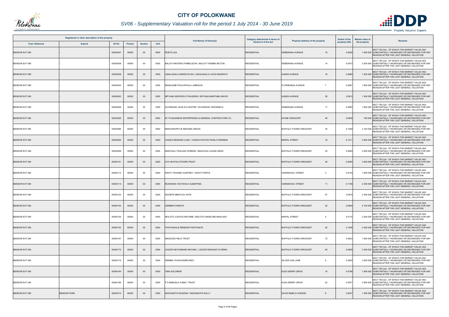

## *SV06 - Supplementary Valuation roll for the period 1 July 2014 - 30 June 2019*

| Registered or other description of the property |                    |          |                |                |      | <b>Full Names of Owner(s)</b>                       | Category determined in terms of |                                             | <b>Extent of the</b> | <b>Market value of</b><br>Remarks                                                                                                                  |
|-------------------------------------------------|--------------------|----------|----------------|----------------|------|-----------------------------------------------------|---------------------------------|---------------------------------------------|----------------------|----------------------------------------------------------------------------------------------------------------------------------------------------|
| <b>Town Allotment</b>                           | <b>Suburb</b>      | Erf Nr   | <b>Portion</b> | <b>Section</b> | Unit |                                                     | <b>Section 8 of the Act</b>     | Physical address of the property            | property (HA)        | the property                                                                                                                                       |
| <b>BENDOR EXT 080</b>                           |                    | 00004007 | 00000          | $00\,$         | 0000 | ROETS LEA                                           | <b>RESIDENTIAL</b>              | SIEBERANA AVENUE<br>16                      | 0.0928               | SECT 78(1)(d) - OF WHICH THE MARKET VALUE HAS<br>1 900 000 SUBSTANTIALLY INCREASED OR DECREASED FOR ANY<br>REASON AFTER THE LAST GENERAL VALUATION |
| BENDOR EXT 080                                  |                    | 00004008 | 00000          | 00             | 0000 | BALOYI NKATEKO PAMELSCHA / BALOYI THEMBA MILTON     | <b>RESIDENTIAL</b>              | SIEBERANA AVENUE<br>14                      | 0.0510               | SECT 78(1)(d) - OF WHICH THE MARKET VALUE HAS<br>2 200 000 SUBSTANTIALLY INCREASED OR DECREASED FOR ANY<br>REASON AFTER THE LAST GENERAL VALUATION |
| BENDOR EXT 080                                  |                    | 00004038 | 00000          | $00\,$         | 0000 | LEKALAKALA NAKEDI ELISA / LEKALAKALA LUCAS MASENYA  | <b>RESIDENTIAL</b>              | <b>ALBIDA AVENUE</b><br>18                  | 0.0660               | SECT 78(1)(d) - OF WHICH THE MARKET VALUE HAS<br>1 400 000 SUBSTANTIALLY INCREASED OR DECREASED FOR ANY<br>REASON AFTER THE LAST GENERAL VALUATION |
| BENDOR EXT 080                                  |                    | 00004045 | 00000          | 00             | 0000 | MASELEME PHULAPHULA JAMESON                         | <b>RESIDENTIAL</b>              | <b>FLORIBUNDA AVENUE</b><br>$\overline{7}$  | 0.0667               | SECT 78(1)(d) - OF WHICH THE MARKET VALUE HAS<br>1 900 000 SUBSTANTIALLY INCREASED OR DECREASED FOR ANY<br>REASON AFTER THE LAST GENERAL VALUATION |
| <b>BENDOR EXT 080</b>                           |                    | 00004062 | 00000          | $00\,$         | 0000 | MPYANA SEROKOLO PHILEMON / MPYANA MANTHIBU MAVID    | <b>RESIDENTIAL</b>              | 38<br><b>ALBIDA AVENUE</b>                  | 0.0812               | SECT 78(1)(d) - OF WHICH THE MARKET VALUE HAS<br>1 500 000 SUBSTANTIALLY INCREASED OR DECREASED FOR ANY<br>REASON AFTER THE LAST GENERAL VALUATION |
| BENDOR EXT 080                                  |                    | 00004069 | 00000          | 00             | 0000 | DUVENAGE JAUN SYLVESTRE / DUVENAGE VERONNICA        | <b>RESIDENTIAL</b>              | SIEBERANA AVENUE<br>17                      | 0.0855               | SECT 78(1)(d) - OF WHICH THE MARKET VALUE HAS<br>1 900 000 SUBSTANTIALLY INCREASED OR DECREASED FOR ANY<br>REASON AFTER THE LAST GENERAL VALUATION |
| <b>BENDOR EXT 082</b>                           |                    | 00004229 | 00000          | $00\,$         | 0000 | M T R BUSINESS ENTERPRISES & GENERAL CONTRACTORS CC | <b>RESIDENTIAL</b>              | <b>DIVINE CRESCENT</b><br>48                | 0.0636               | SECT 78(1)(d) - OF WHICH THE MARKET VALUE HAS<br>700 000 SUBSTANTIALLY INCREASED OR DECREASED FOR ANY<br>REASON AFTER THE LAST GENERAL VALUATION   |
| BENDOR EXT 084                                  |                    | 00004089 | 00000          | $00\,$         | 0000 | MAKHURUPETJE MAKOMA GRACE                           | <b>RESIDENTIAL</b>              | 35<br><b>BUFFALO THORN CRESCENT</b>         | 0.1094               | SECT 78(1)(d) - OF WHICH THE MARKET VALUE HAS<br>3 100 000 SUBSTANTIALLY INCREASED OR DECREASED FOR ANY<br>REASON AFTER THE LAST GENERAL VALUATION |
| <b>BENDOR EXT 084</b>                           |                    | 00004094 | 00000          | $00\,$         | 0000 | HADZHI RENDANI LUNIC / HADZHI KHATHUTSHELO NORMAN   | <b>RESIDENTIAL</b>              | <b>MISPAL STREET</b><br>18                  | 0.101                | SECT 78(1)(d) - OF WHICH THE MARKET VALUE HAS<br>2 800 000 SUBSTANTIALLY INCREASED OR DECREASED FOR ANY<br>REASON AFTER THE LAST GENERAL VALUATION |
| BENDOR EXT 084                                  |                    | 00004099 | 00000          | $00\,$         | 0000 | MANYAGA TSHILIDZI DOREEN / MANYAGA LUKANI AMOS      | <b>RESIDENTIAL</b>              | <b>BUFFALO THORN CRESCENT</b><br>45         | 0.0964               | SECT 78(1)(d) - OF WHICH THE MARKET VALUE HAS<br>2 600 000 SUBSTANTIALLY INCREASED OR DECREASED FOR ANY<br>REASON AFTER THE LAST GENERAL VALUATION |
| <b>BENDOR EXT 084</b>                           |                    | 00004101 | 00000          | $00\,$         | 0000 | 4101 BUFFALOTHORN TRUST                             | <b>RESIDENTIAL</b>              | <b>BUFFALO THORN CRESCENT</b><br>49         | 0.0924               | SECT 78(1)(d) - OF WHICH THE MARKET VALUE HAS<br>3 000 000 SUBSTANTIALLY INCREASED OR DECREASED FOR ANY<br>REASON AFTER THE LAST GENERAL VALUATION |
| BENDOR EXT 084                                  |                    | 00004110 | 00000          | 00             | 0000 | KWATI TSHIAMO GODFREY / KWATI PORTIA                | <b>RESIDENTIAL</b>              | HARDEKOOL STREET<br>$\overline{\mathbf{3}}$ | 0.0744               | SECT 78(1)(d) - OF WHICH THE MARKET VALUE HAS<br>1 800 000 SUBSTANTIALLY INCREASED OR DECREASED FOR ANY<br>REASON AFTER THE LAST GENERAL VALUATION |
| <b>BENDOR EXT 084</b>                           |                    | 00004114 | 00000          | $00\,$         | 0000 | MUSHIANA VHUTSHILO ALBERTINA                        | <b>RESIDENTIAL</b>              | <b>HARDEKOOL STREET</b><br>11               | 0.1199               | SECT 78(1)(d) - OF WHICH THE MARKET VALUE HAS<br>2 300 000 SUBSTANTIALLY INCREASED OR DECREASED FOR ANY<br>REASON AFTER THE LAST GENERAL VALUATION |
| BENDOR EXT 084                                  |                    | 00004120 | 00000          | $00\,$         | 0000 | NGOEPE MMATLOU KATE                                 | <b>RESIDENTIAL</b>              | <b>BUFFALO THORN CRESCENT</b><br>67         | 0.097                | SECT 78(1)(d) - OF WHICH THE MARKET VALUE HAS<br>2 400 000 SUBSTANTIALLY INCREASED OR DECREASED FOR ANY<br>REASON AFTER THE LAST GENERAL VALUATION |
| <b>BENDOR EXT 084</b>                           |                    | 00004142 | 00000          | $00\,$         | 0000 | <b>GERBER CHRISTA</b>                               | <b>RESIDENTIAL</b>              | <b>BUFFALO THORN CRESCENT</b><br>32         | 0.0800               | SECT 78(1)(d) - OF WHICH THE MARKET VALUE HAS<br>2 100 000 SUBSTANTIALLY INCREASED OR DECREASED FOR ANY<br>REASON AFTER THE LAST GENERAL VALUATION |
| BENDOR EXT 084                                  |                    | 00004144 | 00000          | 00             | 0000 | MOLOTO JUSTICE MATOME / MOLOTO ANGELINE MAHLAKO     | <b>RESIDENTIAL</b>              | <b>MISPAL STREET</b><br>5                   | 0.0715               | SECT 78(1)(d) - OF WHICH THE MARKET VALUE HAS<br>2 200 000 SUBSTANTIALLY INCREASED OR DECREASED FOR ANY<br>REASON AFTER THE LAST GENERAL VALUATION |
| <b>BENDOR EXT 084</b>                           |                    | 00004153 | 00000          | $00\,$         | 0000 | THOVHAKALE RENDANI FORTUNATE                        | <b>RESIDENTIAL</b>              | <b>BUFFALO THORN CRESCENT</b><br>42         | 0.1006               | SECT 78(1)(d) - OF WHICH THE MARKET VALUE HAS<br>2 400 000 SUBSTANTIALLY INCREASED OR DECREASED FOR ANY<br>REASON AFTER THE LAST GENERAL VALUATION |
| BENDOR EXT 084                                  |                    | 00004167 | 00000          | 00             | 0000 | MAGZOZO NELO TRUST                                  | <b>RESIDENTIAL</b>              | 72<br><b>BUFFALO THORN CRESCENT</b>         | 0.0823               | SECT 78(1)(d) - OF WHICH THE MARKET VALUE HAS<br>1 800 000 SUBSTANTIALLY INCREASED OR DECREASED FOR ANY<br>REASON AFTER THE LAST GENERAL VALUATION |
| <b>BENDOR EXT 084</b>                           |                    | 00004172 | 00000          | $00\,$         | 0000 | LEGODI MATSOBANE MICHAEL / LEGODI MOKGADI FLORINA   | <b>RESIDENTIAL</b>              | BUFFALO THORN CRESCENT<br>84                | 0.0800               | SECT 78(1)(d) - OF WHICH THE MARKET VALUE HAS<br>3 000 000 SUBSTANTIALLY INCREASED OR DECREASED FOR ANY<br>REASON AFTER THE LAST GENERAL VALUATION |
| BENDOR EXT 084                                  |                    | 00004174 | 00000          | 00             | 0000 | MZIMBA VIVIAN NOMFUNDO                              | <b>RESIDENTIAL</b>              | SILVER OAK LANE<br>-6                       | 0.0900               | SECT 78(1)(d) - OF WHICH THE MARKET VALUE HAS<br>3 600 000 SUBSTANTIALLY INCREASED OR DECREASED FOR ANY<br>REASON AFTER THE LAST GENERAL VALUATION |
| <b>BENDOR EXT 084</b>                           |                    | 00004184 | 00000          | $00\,$         | 0000 | <b>FIMA SOLOMON</b>                                 | <b>RESIDENTIAL</b>              | <b>KUDU BERRY DRIVE</b><br>16               | 0.0796               | SECT 78(1)(d) - OF WHICH THE MARKET VALUE HAS<br>1 800 000 SUBSTANTIALLY INCREASED OR DECREASED FOR ANY<br>REASON AFTER THE LAST GENERAL VALUATION |
| BENDOR EXT 084                                  |                    | 00004186 | 00000          | $00\,$         | 0000 | P S MABUELA FAMILY TRUST                            | <b>RESIDENTIAL</b>              | 22<br>KUDU BERRY DRIVE                      | 0.0977               | SECT 78(1)(d) - OF WHICH THE MARKET VALUE HAS<br>2 800 000 SUBSTANTIALLY INCREASED OR DECREASED FOR ANY<br>REASON AFTER THE LAST GENERAL VALUATION |
| <b>BENDOR EXT 085</b>                           | <b>BENDOR PARK</b> | 00004314 | 00000          | $00\,$         | 0000 | NGWANATHI RUDZANI / NGWANATHI SOLLY                 | <b>RESIDENTIAL</b>              | DAVID MABILO AVENUE                         | 0.0637               | SECT 78(1)(d) - OF WHICH THE MARKET VALUE HAS<br>1 900 000 SUBSTANTIALLY INCREASED OR DECREASED FOR ANY<br>REASON AFTER THE LAST GENERAL VALUATION |

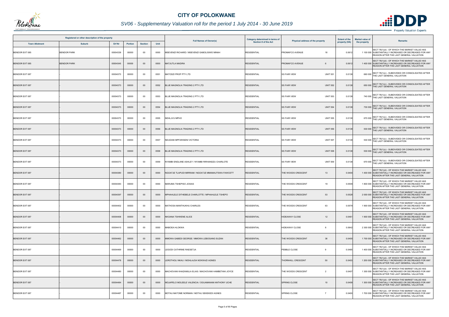

## *SV06 - Supplementary Valuation roll for the period 1 July 2014 - 30 June 2019*

| Registered or other description of the property |                    |          |                |                | <b>Full Names of Owner(s)</b> | <b>Category determined in terms of</b>                |                      | <b>Extent of the</b>                   | <b>Market value of</b> |              |                                                                                                                                                           |
|-------------------------------------------------|--------------------|----------|----------------|----------------|-------------------------------|-------------------------------------------------------|----------------------|----------------------------------------|------------------------|--------------|-----------------------------------------------------------------------------------------------------------------------------------------------------------|
| <b>Town Allotment</b>                           | <b>Suburb</b>      | Erf Nr   | <b>Portion</b> | <b>Section</b> | Unit                          |                                                       | Section 8 of the Act | Physical address of the property       | property (HA)          | the property | <b>Remarks</b>                                                                                                                                            |
| BENDOR EXT 085                                  | <b>BENDOR PARK</b> | 00004339 | 00000          | 00             | 0000                          | MSEVENZI RICHARD / MSEVENZI GABOLISIWE MINAH          | <b>RESIDENTIAL</b>   | PROMAFCO AVENUE<br>18                  | 0.061                  |              | SECT 78(1)(d) - OF WHICH THE MARKET VALUE HAS<br>1 100 000 SUBSTANTIALLY INCREASED OR DECREASED FOR ANY<br>REASON AFTER THE LAST GENERAL VALUATION        |
| <b>BENDOR EXT 085</b>                           | <b>BENDOR PARK</b> | 00004345 | 00000          | $00\,$         | 0000                          | <b>MATJUTLA MADIRA</b>                                | <b>RESIDENTIAL</b>   | PROMAFCO AVENUE<br>6                   | 0.0612                 |              | SECT 78(1)(d) - OF WHICH THE MARKET VALUE HAS<br>1 400 000 SUBSTANTIALLY INCREASED OR DECREASED FOR ANY<br>REASON AFTER THE LAST GENERAL VALUATION        |
| <b>BENDOR EXT 087</b>                           |                    | 00004373 | 00000          | 00             | 0551                          | MATODZI PROP PTY LTD                                  | <b>RESIDENTIAL</b>   | <b>SS FAIR VIEW</b><br><b>UNIT 551</b> | 0.0138                 |              | 660 000 SECT 78(1)(c) - SUBDIVIDED OR CONSOLIDATED AFTER<br>THE LAST GENERAL VALUATION                                                                    |
| <b>BENDOR EXT 087</b>                           |                    | 00004373 | 00000          | $00\,$         | 0552                          | BLUE MAGNOLIA TRADING 2 PTY LTD                       | <b>RESIDENTIAL</b>   | <b>UNIT 552</b><br><b>SS FAIR VIEW</b> | 0.0138                 |              | 650 000 SECT 78(1)(c) - SUBDIVIDED OR CONSOLIDATED AFTER<br>THE LAST GENERAL VALUATION                                                                    |
| BENDOR EXT 087                                  |                    | 00004373 | 00000          | 00             | 0553                          | BLUE MAGNOLIA TRADING 2 PTY LTD                       | <b>RESIDENTIAL</b>   | <b>UNIT 553</b><br><b>SS FAIR VIEW</b> | 0.0138                 |              | 740 000 SECT 78(1)(c) - SUBDIVIDED OR CONSOLIDATED AFTER<br>THE LAST GENERAL VALUATION                                                                    |
| <b>BENDOR EXT 087</b>                           |                    | 00004373 | 00000          | $00\,$         | 0554                          | BLUE MAGNOLIA TRADING 2 PTY LTD                       | <b>RESIDENTIAL</b>   | <b>SS FAIR VIEW</b><br><b>UNIT 554</b> | 0.0138                 |              | 730 000 SECT 78(1)(c) - SUBDIVIDED OR CONSOLIDATED AFTER<br>THE LAST GENERAL VALUATION                                                                    |
| <b>BENDOR EXT 087</b>                           |                    | 00004373 | 00000          | $00\,$         | 0555                          | NDHLJVU MPHO                                          | <b>RESIDENTIAL</b>   | <b>UNIT 555</b><br><b>SS FAIR VIEW</b> | 0.0138                 |              | SECT 78(1)(c) - SUBDIVIDED OR CONSOLIDATED AFTER<br>670 000 THE LAST GENERAL VALUATION                                                                    |
| <b>BENDOR EXT 087</b>                           |                    | 00004373 | 00000          | $00\,$         | 0556                          | BLUE MAGNOLIA TRADING 2 PTY LTD                       | <b>RESIDENTIAL</b>   | <b>SS FAIR VIEW</b><br><b>UNIT 556</b> | 0.0138                 |              | 530 000 SECT 78(1)(c) - SUBDIVIDED OR CONSOLIDATED AFTER<br>THE LAST GENERAL VALUATION                                                                    |
| BENDOR EXT 087                                  |                    | 00004373 | 00000          | $00\,$         | 0557                          | NEUDANI MPFARISENI VICTORIA                           | <b>RESIDENTIAL</b>   | <b>UNIT 557</b><br><b>SS FAIR VIEW</b> | 0.0138                 |              | 530 000 SECT 78(1)(c) - SUBDIVIDED OR CONSOLIDATED AFTER<br>THE LAST GENERAL VALUATION                                                                    |
| <b>BENDOR EXT 087</b>                           |                    | 00004373 | 00000          | $00\,$         | 0558                          | BLUE MAGNOLIA TRADING 2 PTY LTD                       | <b>RESIDENTIAL</b>   | <b>SS FAIR VIEW</b><br><b>UNIT 558</b> | 0.0138                 |              | 530 000 SECT 78(1)(c) - SUBDIVIDED OR CONSOLIDATED AFTER<br>THE LAST GENERAL VALUATION                                                                    |
| BENDOR EXT 087                                  |                    | 00004373 | 00000          | 00             | 0559                          | NYAMBI ENDLANE ASHLEY / NYAMBI RIRHANDZU CHARLOTE     | <b>RESIDENTIAL</b>   | <b>SS FAIR VIEW</b><br><b>UNIT 559</b> | 0.0138                 |              | 670 000 SECT 78(1)(c) - SUBDIVIDED OR CONSOLIDATED AFTER<br>THE LAST GENERAL VALUATION                                                                    |
| <b>BENDOR EXT 087</b>                           |                    | 00004380 | 00000          | $00\,$         | 0000                          | NGOATJE TLAPUDI MIRRIAM / NGOATJE MMAMAUTSWA FAWCETT  | <b>RESIDENTIAL</b>   | THE WOODS CRESCENT<br>13               | 0.0400                 |              | SECT 78(1)(d) - OF WHICH THE MARKET VALUE HAS<br>1 400 000 SUBSTANTIALLY INCREASED OR DECREASED FOR ANY<br>REASON AFTER THE LAST GENERAL VALUATION        |
| BENDOR EXT 087                                  |                    | 00004383 | 00000          | 00             | 0000                          | MARUMA TSHEPISO JOSIAS                                | <b>RESIDENTIAL</b>   | THE WOODS CRESCENT<br>19               | 0.0509                 |              | SECT 78(1)(d) - OF WHICH THE MARKET VALUE HAS<br>1 800 000 SUBSTANTIALLY INCREASED OR DECREASED FOR ANY<br>REASON AFTER THE LAST GENERAL VALUATION        |
| <b>BENDOR EXT 087</b>                           |                    | 00004397 | 00000          | $00\,$         | 0000                          | MPHAHLELE DITHEBELE CHARLOTTE / MPHAHLELE TSHEPO      | <b>RESIDENTIAL</b>   | 53<br>THE WOODS CRESCENT               | 0.0528                 |              | SECT 78(1)(d) - OF WHICH THE MARKET VALUE HAS<br>2 000 000 SUBSTANTIALLY INCREASED OR DECREASED FOR ANY<br><b>REASON AFTER THE LAST GENERAL VALUATION</b> |
| BENDOR EXT 087                                  |                    | 00004402 | 00000          | $00\,$         | 0000                          | MATHOSA MANTHUKHU CHARLES                             | <b>RESIDENTIAL</b>   | THE WOODS CRESCENT<br>63               | 0.0579                 |              | SECT 78(1)(d) - OF WHICH THE MARKET VALUE HAS<br>1 900 000 SUBSTANTIALLY INCREASED OR DECREASED FOR ANY<br>REASON AFTER THE LAST GENERAL VALUATION        |
| BENDOR EXT 087                                  |                    | 00004408 | 00000          | $00\,$         | 0000                          | NKOANA TSHWENE ALICE                                  | <b>RESIDENTIAL</b>   | <b>HIDEAWAY CLOSE</b><br>12            | 0.0461                 |              | SECT 78(1)(d) - OF WHICH THE MARKET VALUE HAS<br>1 900 000 SUBSTANTIALLY INCREASED OR DECREASED FOR ANY<br>REASON AFTER THE LAST GENERAL VALUATION        |
| BENDOR EXT 087                                  |                    | 00004410 | 00000          | 00             | 0000                          | MABOEA HLOKWA                                         | <b>RESIDENTIAL</b>   | <b>HIDEAWAY CLOSE</b><br>8             | 0.0642                 |              | SECT 78(1)(d) - OF WHICH THE MARKET VALUE HAS<br>2 300 000 SUBSTANTIALLY INCREASED OR DECREASED FOR ANY<br>REASON AFTER THE LAST GENERAL VALUATION        |
| BENDOR EXT 087                                  |                    | 00004462 | 00000          | $00\,$         | 0000                          | MMOWA GABEDI GEORGE / MMOWA LEBOGANG SUZAN            | <b>RESIDENTIAL</b>   | THE WOODS CRESCENT<br>38               | 0.0400                 |              | SECT 78(1)(d) - OF WHICH THE MARKET VALUE HAS<br>1 700 000 SUBSTANTIALLY INCREASED OR DECREASED FOR ANY<br>REASON AFTER THE LAST GENERAL VALUATION        |
| BENDOR EXT 087                                  |                    | 00004469 | 00000          | 00             | 0000                          | LEGODI CATHRINE RAESETJA                              | <b>RESIDENTIAL</b>   | PEBBLE CLOSE<br>9                      | 0.0465                 |              | SECT 78(1)(d) - OF WHICH THE MARKET VALUE HAS<br>1 400 000 SUBSTANTIALLY INCREASED OR DECREASED FOR ANY<br>REASON AFTER THE LAST GENERAL VALUATION        |
| BENDOR EXT 087                                  |                    | 00004478 | 00000          | $00\,$         | 0000                          | LEROTHOLI NKAU / MOHLAJOA NOKWAZI AGNES               | <b>RESIDENTIAL</b>   | <b>THORNHILL CRESCENT</b><br>50        | 0.0403                 |              | SECT 78(1)(d) - OF WHICH THE MARKET VALUE HAS<br>1 200 000 SUBSTANTIALLY INCREASED OR DECREASED FOR ANY<br>REASON AFTER THE LAST GENERAL VALUATION        |
| BENDOR EXT 087                                  |                    | 00004480 | 00000          | 00             | 0000                          | MACHOVANI KHAZAMULA ELIAS / MACHOVANI HAMBETANI JOYCE | <b>RESIDENTIAL</b>   | THE WOODS CRESCENT<br>$\overline{2}$   | 0.0407                 |              | SECT 78(1)(d) - OF WHICH THE MARKET VALUE HAS<br>1 300 000 SUBSTANTIALLY INCREASED OR DECREASED FOR ANY<br>REASON AFTER THE LAST GENERAL VALUATION        |
| <b>BENDOR EXT 087</b>                           |                    | 00004484 | 00000          | $00\,$         | 0000                          | MOJAPELO MOLEELE VALENCIA / OGUAMANAM ANTHONY UCHE    | <b>RESIDENTIAL</b>   | SPRING CLOSE<br>10 <sup>1</sup>        | 0.0409                 |              | SECT 78(1)(d) - OF WHICH THE MARKET VALUE HAS<br>1 300 000 SUBSTANTIALLY INCREASED OR DECREASED FOR ANY<br>REASON AFTER THE LAST GENERAL VALUATION        |
| BENDOR EXT 087                                  |                    | 00004487 | 00000          | 00             | 0000                          | MOTAU MATOME NORMAN / MOTAU SEKEKEDI AGNES            | <b>RESIDENTIAL</b>   | SPRING CLOSE<br>$\overline{7}$         | 0.0400                 |              | SECT 78(1)(d) - OF WHICH THE MARKET VALUE HAS<br>1 700 000 SUBSTANTIALLY INCREASED OR DECREASED FOR ANY<br>REASON AFTER THE LAST GENERAL VALUATION        |

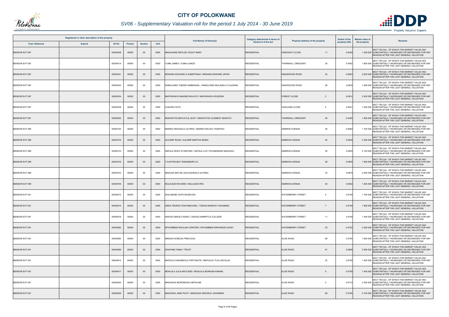

## *SV06 - Supplementary Valuation roll for the period 1 July 2014 - 30 June 2019*

| Registered or other description of the property |               |               |                |                |      | <b>Category determined in terms of</b>                  |                             | <b>Extent of the</b>                 | <b>Market value of</b> |                                                                                                                                                    |
|-------------------------------------------------|---------------|---------------|----------------|----------------|------|---------------------------------------------------------|-----------------------------|--------------------------------------|------------------------|----------------------------------------------------------------------------------------------------------------------------------------------------|
| <b>Town Allotment</b>                           | <b>Suburb</b> | <b>Erf Nr</b> | <b>Portion</b> | <b>Section</b> | Unit | <b>Full Names of Owner(s)</b>                           | <b>Section 8 of the Act</b> | Physical address of the property     | property (HA)          | Remarks<br>the property                                                                                                                            |
| <b>BENDOR EXT 087</b>                           |               | 00004508      | 00000          | $00\,$         | 0000 | MAGAGANE KEFILOE VIOLET MARY                            | <b>RESIDENTIAL</b>          | <b>HIDEAWAY CLOSE</b><br>11          | 0.0400                 | SECT 78(1)(d) - OF WHICH THE MARKET VALUE HAS<br>1 300 000 SUBSTANTIALLY INCREASED OR DECREASED FOR ANY<br>REASON AFTER THE LAST GENERAL VALUATION |
| BENDOR EXT 087                                  |               | 00004514      | 00000          | 00             | 0000 | /UMA JAMES / VUMA ILANCE                                | <b>RESIDENTIAL</b>          | 30<br><b>THORNHILL CRESCENT</b>      | 0.0402                 | SECT 78(1)(d) - OF WHICH THE MARKET VALUE HAS<br>1 800 000 SUBSTANTIALLY INCREASED OR DECREASED FOR ANY<br>REASON AFTER THE LAST GENERAL VALUATION |
| <b>BENDOR EXT 087</b>                           |               | 00004521      | 00000          | $00\,$         | 0000 | MOSANA KGAOGELO ALBERTINAH / MOSANA EDWARD JAPAN        | <b>RESIDENTIAL</b>          | 34<br><b>KINGSWOOD ROAD</b>          | 0.0843                 | SECT 78(1)(d) - OF WHICH THE MARKET VALUE HAS<br>2 000 000 SUBSTANTIALLY INCREASED OR DECREASED FOR ANY<br>REASON AFTER THE LAST GENERAL VALUATION |
| <b>BENDOR EXT 087</b>                           |               | 00004523      | 00000          | $00\,$         | 0000 | RAMULONDI THENDO EMMANUEL / RAMULONDI MULADELO CLAUDINA | <b>RESIDENTIAL</b>          | KINGSWOOD ROAD<br>28                 | 0.0835                 | SECT 78(1)(d) - OF WHICH THE MARKET VALUE HAS<br>1 900 000 SUBSTANTIALLY INCREASED OR DECREASED FOR ANY<br>REASON AFTER THE LAST GENERAL VALUATION |
| <b>BENDOR EXT 087</b>                           |               | 00004534      | 00000          | $00\,$         | 0000 | MAPHWANYA MASINDI MULAYO / MAPHWANYA RUDZANI            | <b>RESIDENTIAL</b>          | <b>FOREST CLOSE</b><br>$\cdot$ 3     | 0.0814                 | SECT 78(1)(d) - OF WHICH THE MARKET VALUE HAS<br>2 200 000 SUBSTANTIALLY INCREASED OR DECREASED FOR ANY<br>REASON AFTER THE LAST GENERAL VALUATION |
| BENDOR EXT 087                                  |               | 00004538      | 00000          | 00             | 0000 | <b>CHAUKE FAITH</b>                                     | <b>RESIDENTIAL</b>          | <b>HIGHLAND CLOSE</b>                | 0.0631                 | SECT 78(1)(d) - OF WHICH THE MARKET VALUE HAS<br>1 500 000 SUBSTANTIALLY INCREASED OR DECREASED FOR ANY<br>REASON AFTER THE LAST GENERAL VALUATION |
| <b>BENDOR EXT 087</b>                           |               | 00004552      | 00000          | $00\,$         | 0000 | MOKGOTHO MOTLATLE JICKY / MOKGOTHO CLEMENT NGWATO       | <b>RESIDENTIAL</b>          | <b>THORNHILL CRESCENT</b><br>26      | 0.0429                 | SECT 78(1)(d) - OF WHICH THE MARKET VALUE HAS<br>1 600 000 SUBSTANTIALLY INCREASED OR DECREASED FOR ANY<br>REASON AFTER THE LAST GENERAL VALUATION |
| <b>BENDOR EXT 088</b>                           |               | 00004730      | 00000          | $00\,$         | 0000 | MAREDI SEKGAOLA ALFRED / MAREDI NICOLE TSHEPISO         | <b>RESIDENTIAL</b>          | DEBRON AVENUE<br>49                  | 0.0984                 | SECT 78(1)(d) - OF WHICH THE MARKET VALUE HAS<br>1 700 000 SUBSTANTIALLY INCREASED OR DECREASED FOR ANY<br>REASON AFTER THE LAST GENERAL VALUATION |
| <b>BENDOR EXT 088</b>                           |               | 00004732      | 00000          | $00\,$         | 0000 | <b>NUCAMP RUAN / AUCAMP MARTHA MARIA</b>                | <b>RESIDENTIAL</b>          | <b>DEBRON AVENUE</b><br>53           | 0.0835                 | SECT 78(1)(d) - OF WHICH THE MARKET VALUE HAS<br>2 200 000 SUBSTANTIALLY INCREASED OR DECREASED FOR ANY<br>REASON AFTER THE LAST GENERAL VALUATION |
| BENDOR EXT 088                                  |               | 00004733      | 00000          | 00             | 0000 | SEPALE NOKO STANFORD / SEPALE LUCY NTHABISENG MASHIGO-  | <b>RESIDENTIAL</b>          | 55<br><b>DEBRON AVENUE</b>           | 0.0835                 | SECT 78(1)(d) - OF WHICH THE MARKET VALUE HAS<br>2 100 000 SUBSTANTIALLY INCREASED OR DECREASED FOR ANY<br>REASON AFTER THE LAST GENERAL VALUATION |
| BENDOR EXT 088                                  |               | 00004735      | 00000          | 00             | 0000 | <b>G M PROJECT ENGINEERS CC</b>                         | <b>RESIDENTIAL</b>          | 59<br><b>DEBRON AVENUE</b>           | 0.0835                 | SECT 78(1)(d) - OF WHICH THE MARKET VALUE HAS<br>1 900 000 SUBSTANTIALLY INCREASED OR DECREASED FOR ANY<br>REASON AFTER THE LAST GENERAL VALUATION |
| BENDOR EXT 088                                  |               | 00004753      | 00000          | 00             | 0000 | MASOGA MATJIE LEHLOGONOLO ALFRED                        | <b>RESIDENTIAL</b>          | 32<br><b>DEBRON AVENUE</b>           | 0.0879                 | SECT 78(1)(d) - OF WHICH THE MARKET VALUE HAS<br>2 600 000 SUBSTANTIALLY INCREASED OR DECREASED FOR ANY<br>REASON AFTER THE LAST GENERAL VALUATION |
| <b>BENDOR EXT 088</b>                           |               | 00004756      | 00000          | $00\,$         | 0000 | MULAUDZI RICHARD / MULAUDZI IRIS                        | <b>RESIDENTIAL</b>          | <b>DEBRON AVENUE</b><br>44           | 0.0902                 | SECT 78(1)(d) - OF WHICH THE MARKET VALUE HAS<br>1 400 000 SUBSTANTIALLY INCREASED OR DECREASED FOR ANY<br>REASON AFTER THE LAST GENERAL VALUATION |
| BENDOR EXT 091                                  |               | 00004573      | 00000          | 00             | 0000 | SHILUBANE OUPA MUGEVISA                                 | <b>RESIDENTIAL</b>          | <b>WATERBERRY STREET</b><br>-5       | 0.0749                 | SECT 78(1)(d) - OF WHICH THE MARKET VALUE HAS<br>1 700 000 SUBSTANTIALLY INCREASED OR DECREASED FOR ANY<br>REASON AFTER THE LAST GENERAL VALUATION |
| <b>BENDOR EXT 091</b>                           |               | 00004574      | 00000          | $00\,$         | 0000 | AMHA TEDROS TESFAMICHAEL / TSEGAI NARDOS YOHANNES       | <b>RESIDENTIAL</b>          | <b>WATERBERRY STREET</b>             | 0.0749                 | SECT 78(1)(d) - OF WHICH THE MARKET VALUE HAS<br>1 800 000 SUBSTANTIALLY INCREASED OR DECREASED FOR ANY<br>REASON AFTER THE LAST GENERAL VALUATION |
| BENDOR EXT 091                                  |               | 00004576      | 00000          | 00             | 0000 | RAPUDI SEKOLO NOKO / LEKGAU MAMPITLA COLLEEN            | <b>RESIDENTIAL</b>          | <b>WATERBERRY STREET</b><br>11       | 0.0749                 | SECT 78(1)(d) - OF WHICH THE MARKET VALUE HAS<br>1 400 000 SUBSTANTIALLY INCREASED OR DECREASED FOR ANY<br>REASON AFTER THE LAST GENERAL VALUATION |
| BENDOR EXT 091                                  |               | 00004582      | 00000          | $00\,$         | 0000 | MTHOMBENI RHULANI VORSTER / MTHOMBENI RIRHANDZU DAISY   | <b>RESIDENTIAL</b>          | <b>WATERBERRY STREET</b><br>23       | 0.0722                 | SECT 78(1)(d) - OF WHICH THE MARKET VALUE HAS<br>2 200 000 SUBSTANTIALLY INCREASED OR DECREASED FOR ANY<br>REASON AFTER THE LAST GENERAL VALUATION |
| BENDOR EXT 091                                  |               | 00004585      | 00000          | 00             | 0000 | MNGADI NOMUSA PRECIOUS                                  | <b>RESIDENTIAL</b>          | 89<br><b>ALOE ROAD</b>               | 0.0705                 | SECT 78(1)(d) - OF WHICH THE MARKET VALUE HAS<br>1 800 000 SUBSTANTIALLY INCREASED OR DECREASED FOR ANY<br>REASON AFTER THE LAST GENERAL VALUATION |
| BENDOR EXT 091                                  |               | 00004589      | 00000          | $00\,$         | 0000 | <b>KGAFANE FAMILY TRUST</b>                             | <b>RESIDENTIAL</b>          | <b>ALOE ROAD</b><br>81               | 0.0808                 | SECT 78(1)(d) - OF WHICH THE MARKET VALUE HAS<br>2 900 000 SUBSTANTIALLY INCREASED OR DECREASED FOR ANY<br>REASON AFTER THE LAST GENERAL VALUATION |
| BENDOR EXT 091                                  |               | 00004610      | 00000          | $00\,$         | 0000 | MAPOULO MASEBOLA FORTUNATE / MAPOULO TLOU NICOLAS       | <b>RESIDENTIAL</b>          | <b>ALOE ROAD</b><br>23               | 0.0709                 | SECT 78(1)(d) - OF WHICH THE MARKET VALUE HAS<br>1 400 000 SUBSTANTIALLY INCREASED OR DECREASED FOR ANY<br>REASON AFTER THE LAST GENERAL VALUATION |
| BENDOR EXT 091                                  |               | 00004617      | 00000          | $00\,$         | 0000 | MOHLALA JULIA MATLENG / MOHLALA MORGAN KIMANE           | <b>RESIDENTIAL</b>          | <b>ALOE ROAD</b>                     | 0.0709                 | SECT 78(1)(d) - OF WHICH THE MARKET VALUE HAS<br>1 400 000 SUBSTANTIALLY INCREASED OR DECREASED FOR ANY<br>REASON AFTER THE LAST GENERAL VALUATION |
| BENDOR EXT 091                                  |               | 00004620      | 00000          | 00             | 0000 | MAWASHA MORONGWA DEPHLINE                               | <b>RESIDENTIAL</b>          | ALOE ROAD<br>$\overline{\mathbf{3}}$ | 0.0710                 | SECT 78(1)(d) - OF WHICH THE MARKET VALUE HAS<br>2 200 000 SUBSTANTIALLY INCREASED OR DECREASED FOR ANY<br>REASON AFTER THE LAST GENERAL VALUATION |
| BENDOR EXT 091                                  |               | 00004629      | 00000          | $00\,$         | 0000 | MAKGOKA JANE PHUTI / MAKGOKA SEKOELE JOHANNES           | <b>RESIDENTIAL</b>          | <b>ALOE ROAD</b><br>68               | 0.0705                 | SECT 78(1)(d) - OF WHICH THE MARKET VALUE HAS<br>2 700 000 SUBSTANTIALLY INCREASED OR DECREASED FOR ANY<br>REASON AFTER THE LAST GENERAL VALUATION |

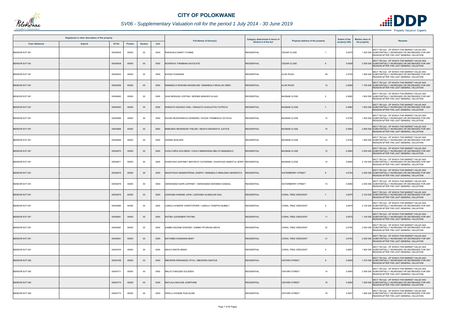

## *SV06 - Supplementary Valuation roll for the period 1 July 2014 - 30 June 2019*

| Registered or other description of the property |        |          |                |                |      |                                                                         | <b>Category determined in terms of</b> |                                              | <b>Extent of the</b> | <b>Market value of</b> |                                                                                                                                                    |
|-------------------------------------------------|--------|----------|----------------|----------------|------|-------------------------------------------------------------------------|----------------------------------------|----------------------------------------------|----------------------|------------------------|----------------------------------------------------------------------------------------------------------------------------------------------------|
| <b>Town Allotment</b>                           | Suburb | Erf Nr   | <b>Portion</b> | <b>Section</b> | Unit | <b>Full Names of Owner(s)</b>                                           | Section 8 of the Act                   | Physical address of the property             | property (HA)        | the property           | <b>Remarks</b>                                                                                                                                     |
| BENDOR EXT 091                                  |        | 00004635 | 00000          | $00\,$         | 0000 | RAKGOALE MANTI YVONNE                                                   | <b>RESIDENTIAL</b>                     | <b>CEDAR CLOSE</b>                           | 0.057                |                        | SECT 78(1)(d) - OF WHICH THE MARKET VALUE HAS<br>1 500 000 SUBSTANTIALLY INCREASED OR DECREASED FOR ANY<br>REASON AFTER THE LAST GENERAL VALUATION |
| <b>BENDOR EXT 091</b>                           |        | 00004638 | 00000          | $00\,$         | 0000 | NGWENYA THEMBANI ADVOCATE                                               | <b>RESIDENTIAL</b>                     | <b>CEDAR CLOSE</b>                           | 0.0939               |                        | SECT 78(1)(d) - OF WHICH THE MARKET VALUE HAS<br>2 000 000 SUBSTANTIALLY INCREASED OR DECREASED FOR ANY<br>REASON AFTER THE LAST GENERAL VALUATION |
| BENDOR EXT 091                                  |        | 00004643 | 00000          | $00\,$         | 0000 | <b>KHOSA FUNANANI</b>                                                   | <b>RESIDENTIAL</b>                     | <b>ALOE ROAD</b><br>48                       | 0.0705               |                        | SECT 78(1)(d) - OF WHICH THE MARKET VALUE HAS<br>1 600 000 SUBSTANTIALLY INCREASED OR DECREASED FOR ANY<br>REASON AFTER THE LAST GENERAL VALUATION |
| <b>BENDOR EXT 091</b>                           |        | 00004656 | 00000          | $00\,$         | 0000 | MAMABOLO MOKABA MAGDELINE / MAMABOLO MOALUSI OBED                       | <b>RESIDENTIAL</b>                     | <b>ALOE ROAD</b><br>12 <sup>2</sup>          | 0.0690               |                        | SECT 78(1)(d) - OF WHICH THE MARKET VALUE HAS<br>1 700 000 SUBSTANTIALLY INCREASED OR DECREASED FOR ANY<br>REASON AFTER THE LAST GENERAL VALUATION |
| BENDOR EXT 091                                  |        | 00004662 | 00000          | $00\,$         | 0000 | SHAI MOKGADI JOSTINA / MODIBA MANOKO KLAAS                              | <b>RESIDENTIAL</b>                     | <b>BAOBAB CLOSE</b><br>5                     | 0.0690               |                        | SECT 78(1)(d) - OF WHICH THE MARKET VALUE HAS<br>1 800 000 SUBSTANTIALLY INCREASED OR DECREASED FOR ANY<br>REASON AFTER THE LAST GENERAL VALUATION |
| BENDOR EXT 091                                  |        | 00004663 | 00000          | 00             | 0000 | RANGATA NGOAKO AXEL / RANGATA GUGULETHU PATRICIA                        | <b>RESIDENTIAL</b>                     | <b>BAOBAB CLOSE</b><br>$\overline{7}$        | 0.0690               |                        | SECT 78(1)(d) - OF WHICH THE MARKET VALUE HAS<br>1 600 000 SUBSTANTIALLY INCREASED OR DECREASED FOR ANY<br>REASON AFTER THE LAST GENERAL VALUATION |
| BENDOR EXT 091                                  |        | 00004666 | 00000          | 00             | 0000 | KHOZA MUZIWANDILE DESMOND / KHOZA THEMBISILE OCTAVIA                    | <b>RESIDENTIAL</b>                     | 13<br><b>BAOBAB CLOSE</b>                    | 0.0702               |                        | SECT 78(1)(d) - OF WHICH THE MARKET VALUE HAS<br>1 400 000 SUBSTANTIALLY INCREASED OR DECREASED FOR ANY<br>REASON AFTER THE LAST GENERAL VALUATION |
| <b>BENDOR EXT 091</b>                           |        | 00004668 | 00000          | $00\,$         | 0000 | MABUNDA NKHENSANI THELMA / MASIYA MASINGITA JUSTICE                     | <b>RESIDENTIAL</b>                     | <b>BAOBAB CLOSE</b><br>16                    | 0.086                |                        | SECT 78(1)(d) - OF WHICH THE MARKET VALUE HAS<br>2 800 000 SUBSTANTIALLY INCREASED OR DECREASED FOR ANY<br>REASON AFTER THE LAST GENERAL VALUATION |
| BENDOR EXT 091                                  |        | 00004669 | 00000          | $00\,$         | 0000 | <b>GWEBU BUNJIWE</b>                                                    | <b>RESIDENTIAL</b>                     | <b>BAOBAB CLOSE</b><br>14                    | 0.0702               |                        | SECT 78(1)(d) - OF WHICH THE MARKET VALUE HAS<br>1 800 000 SUBSTANTIALLY INCREASED OR DECREASED FOR ANY<br>REASON AFTER THE LAST GENERAL VALUATION |
| <b>BENDOR EXT 091</b>                           |        | 00004670 | 00000          | $00\,$         | 0000 | CHOLO MPAI SOLOMON / CHOLO MMAKWENA MELITA MAMABOLO                     | <b>RESIDENTIAL</b>                     | <b>BAOBAB CLOSE</b><br>12                    | 0.0660               |                        | SECT 78(1)(d) - OF WHICH THE MARKET VALUE HAS<br>2 500 000 SUBSTANTIALLY INCREASED OR DECREASED FOR ANY<br>REASON AFTER THE LAST GENERAL VALUATION |
| BENDOR EXT 091                                  |        | 00004671 | 00000          | 00             | 0000 | KHANYAGO DAPHNEY MAFONYO CATHERINE / KHANYAGO MABOTJA JERRY RESIDENTIAL |                                        | <b>BAOBAB CLOSE</b><br>10                    | 0.0660               |                        | SECT 78(1)(d) - OF WHICH THE MARKET VALUE HAS<br>2 100 000 SUBSTANTIALLY INCREASED OR DECREASED FOR ANY<br>REASON AFTER THE LAST GENERAL VALUATION |
| BENDOR EXT 091                                  |        | 00004675 | 00000          | $00\,$         | 0000 | MASHITISHO MAMAROPENG JOSEPH / MAMABOLO MMALEMA HENDRICCA               | <b>RESIDENTIAL</b>                     | <b>WATERBERRY STREET</b><br>-8               | 0.0704               |                        | SECT 78(1)(d) - OF WHICH THE MARKET VALUE HAS<br>2 000 000 SUBSTANTIALLY INCREASED OR DECREASED FOR ANY<br>REASON AFTER THE LAST GENERAL VALUATION |
| BENDOR EXT 091                                  |        | 00004676 | 00000          | 00             | 0000 | SENWAMADI NAPE DAPHNEY / SENWAMADI MODIBEDI SAMUEL                      | <b>RESIDENTIAL</b>                     | <b>WATERBERRY STREET</b><br>10 <sup>°</sup>  | 0.0660               |                        | SECT 78(1)(d) - OF WHICH THE MARKET VALUE HAS<br>2 000 000 SUBSTANTIALLY INCREASED OR DECREASED FOR ANY<br>REASON AFTER THE LAST GENERAL VALUATION |
| <b>BENDOR EXT 091</b>                           |        | 00004679 | 00000          | $00\,$         | 0000 | LEDWABA KAMANE JOHN / LEDWABA HLAMALANI GAIL                            | <b>RESIDENTIAL</b>                     | <b>CORAL TREE CRESCENT</b><br>$\overline{7}$ | 0.067                |                        | SECT 78(1)(d) - OF WHICH THE MARKET VALUE HAS<br>2 100 000 SUBSTANTIALLY INCREASED OR DECREASED FOR ANY<br>REASON AFTER THE LAST GENERAL VALUATION |
| BENDOR EXT 091                                  |        | 00004680 | 00000          | $00\,$         | 0000 | LAMOLA KOMAPE CHRISTOPHER / LAMOLA TSHEPHO BUBBLY                       | <b>RESIDENTIAL</b>                     | <b>CORAL TREE CRESCENT</b>                   | 0.0675               |                        | SECT 78(1)(d) - OF WHICH THE MARKET VALUE HAS<br>2 100 000 SUBSTANTIALLY INCREASED OR DECREASED FOR ANY<br>REASON AFTER THE LAST GENERAL VALUATION |
| BENDOR EXT 091                                  |        | 00004681 | 00000          | $00\,$         | 0000 | RATIBA JUDGEMENT RATIBA                                                 | <b>RESIDENTIAL</b>                     | <b>CORAL TREE CRESCENT</b><br>11             | 0.0675               |                        | SECT 78(1)(d) - OF WHICH THE MARKET VALUE HAS<br>1 100 000 SUBSTANTIALLY INCREASED OR DECREASED FOR ANY<br>REASON AFTER THE LAST GENERAL VALUATION |
| BENDOR EXT 091                                  |        | 00004687 | 00000          | $00\,$         | 0000 | SAMBO KEZANE EDWARD / SAMBO PFURHISA MAVIS                              | <b>RESIDENTIAL</b>                     | 23<br><b>CORAL TREE CRESCENT</b>             | 0.0705               |                        | SECT 78(1)(d) - OF WHICH THE MARKET VALUE HAS<br>2 000 000 SUBSTANTIALLY INCREASED OR DECREASED FOR ANY<br>REASON AFTER THE LAST GENERAL VALUATION |
| BENDOR EXT 091                                  |        | 00004691 | 00000          | $00\,$         | 0000 | MATUMBA KONANANI MARY                                                   | <b>RESIDENTIAL</b>                     | <b>CORAL TREE CRESCENT</b><br>31             | 0.0753               |                        | SECT 78(1)(d) - OF WHICH THE MARKET VALUE HAS<br>2 200 000 SUBSTANTIALLY INCREASED OR DECREASED FOR ANY<br>REASON AFTER THE LAST GENERAL VALUATION |
| BENDOR EXT 091                                  |        | 00004705 | 00000          | 00             | 0000 | MAHLO MAITE MARIA                                                       | <b>RESIDENTIAL</b>                     | CORAL TREE CRESCENT<br>$\overline{4}$        | 0.0807               |                        | SECT 78(1)(d) - OF WHICH THE MARKET VALUE HAS<br>1 800 000 SUBSTANTIALLY INCREASED OR DECREASED FOR ANY<br>REASON AFTER THE LAST GENERAL VALUATION |
| <b>BENDOR EXT 092</b>                           |        | 00004768 | 00000          | $00\,$         | 0000 | MBOWENI RIRHANDZU SYVIL / MBOWENI IGNITIUS                              | <b>RESIDENTIAL</b>                     | <b>OXFORD STREET</b><br>8                    | 0.0650               |                        | SECT 78(1)(d) - OF WHICH THE MARKET VALUE HAS<br>1 510 000 SUBSTANTIALLY INCREASED OR DECREASED FOR ANY<br>REASON AFTER THE LAST GENERAL VALUATION |
| BENDOR EXT 092                                  |        | 00004771 | 00000          | $00\,$         | 0000 | MALATJI MALEBO EULENDA                                                  | <b>RESIDENTIAL</b>                     | <b>OXFORD STREET</b><br>14                   | 0.0650               |                        | SECT 78(1)(d) - OF WHICH THE MARKET VALUE HAS<br>2 500 000 SUBSTANTIALLY INCREASED OR DECREASED FOR ANY<br>REASON AFTER THE LAST GENERAL VALUATION |
| <b>BENDOR EXT 092</b>                           |        | 00004772 | 00000          | $00\,$         | 0000 | MATLALA MALOSE JOSEPHINE                                                | <b>RESIDENTIAL</b>                     | <b>OXFORD STREET</b><br>16                   | 0.0650               |                        | SECT 78(1)(d) - OF WHICH THE MARKET VALUE HAS<br>1 600 000 SUBSTANTIALLY INCREASED OR DECREASED FOR ANY<br>REASON AFTER THE LAST GENERAL VALUATION |
| BENDOR EXT 092                                  |        | 00004773 | 00000          | 00             | 0000 | DIPELA CHUENE PASCALINE                                                 | <b>RESIDENTIAL</b>                     | <b>OXFORD STREET</b><br>18                   | 0.0637               |                        | SECT 78(1)(d) - OF WHICH THE MARKET VALUE HAS<br>1 800 000 SUBSTANTIALLY INCREASED OR DECREASED FOR ANY<br>REASON AFTER THE LAST GENERAL VALUATION |

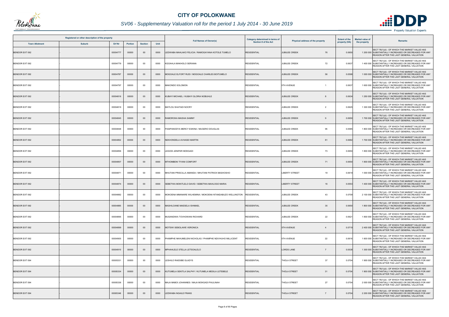

## *SV06 - Supplementary Valuation roll for the period 1 July 2014 - 30 June 2019*

| Registered or other description of the property |               |          |         |                |      | <b>Full Names of Owner(s)</b>                             | Category determined in terms of<br><b>Section 8 of the Act</b> |                                        | <b>Extent of the</b> | <b>Market value of</b> |                                                                                                                                                    |
|-------------------------------------------------|---------------|----------|---------|----------------|------|-----------------------------------------------------------|----------------------------------------------------------------|----------------------------------------|----------------------|------------------------|----------------------------------------------------------------------------------------------------------------------------------------------------|
| <b>Town Allotment</b>                           | <b>Suburb</b> | Erf Nr   | Portion | <b>Section</b> | Unit |                                                           |                                                                | Physical address of the property       | property (HA)        | the property           | Remarks                                                                                                                                            |
| BENDOR EXT 092                                  |               | 00004777 | 00000   | $00\,$         | 0000 | LEDWABA MAHLAKO FELICIA / RAMOGAYANA KOTOLE TUMELO        | <b>RESIDENTIAL</b>                                             | <b>JUBILEE CREEK</b><br>76             | 0.0650               |                        | SECT 78(1)(d) - OF WHICH THE MARKET VALUE HAS<br>1 200 000 SUBSTANTIALLY INCREASED OR DECREASED FOR ANY<br>REASON AFTER THE LAST GENERAL VALUATION |
| <b>BENDOR EXT 092</b>                           |               | 00004779 | 00000   | $00\,$         | 0000 | KGOAHLA MAKHOLO SERIANA                                   | <b>RESIDENTIAL</b>                                             | 72<br><b>JUBILEE CREEK</b>             | 0.0637               |                        | SECT 78(1)(d) - OF WHICH THE MARKET VALUE HAS<br>1 400 000 SUBSTANTIALLY INCREASED OR DECREASED FOR ANY<br>REASON AFTER THE LAST GENERAL VALUATION |
| BENDOR EXT 092                                  |               | 00004787 | 00000   | $00\,$         | 0000 | MOGOALE ELFORT RUDI / MOGOALE CHARLES BOITUMELO           | <b>RESIDENTIAL</b>                                             | <b>JUBILEE CREEK</b><br>56             | 0.0598               |                        | SECT 78(1)(d) - OF WHICH THE MARKET VALUE HAS<br>1 000 000 SUBSTANTIALLY INCREASED OR DECREASED FOR ANY<br>REASON AFTER THE LAST GENERAL VALUATION |
| BENDOR EXT 092                                  |               | 00004797 | 00000   | 00             | 0000 | MAKONDO SOLOMON                                           | <b>RESIDENTIAL</b>                                             | 5TH AVENUE<br>$\overline{1}$           | 0.0637               |                        | SECT 78(1)(d) - OF WHICH THE MARKET VALUE HAS<br>1 600 000 SUBSTANTIALLY INCREASED OR DECREASED FOR ANY<br>REASON AFTER THE LAST GENERAL VALUATION |
| BENDOR EXT 092                                  |               | 00004816 | 00000   | $00\,$         | 0000 | KUBAYI MICHAEL / KUBAYI GLORIA NOBUHLE                    | <b>RESIDENTIAL</b>                                             | <b>JUBILEE CREEK</b><br>8              | 0.0634               |                        | SECT 78(1)(d) - OF WHICH THE MARKET VALUE HAS<br>1 250 000 SUBSTANTIALLY INCREASED OR DECREASED FOR ANY<br>REASON AFTER THE LAST GENERAL VALUATION |
| BENDOR EXT 092                                  |               | 00004819 | 00000   | 00             | 0000 | <b>MATLOU SHATADI NOCRY</b>                               | <b>RESIDENTIAL</b>                                             | <b>JUBILEE CREEK</b><br>$\overline{2}$ | 0.0625               |                        | SECT 78(1)(d) - OF WHICH THE MARKET VALUE HAS<br>1 300 000 SUBSTANTIALLY INCREASED OR DECREASED FOR ANY<br>REASON AFTER THE LAST GENERAL VALUATION |
| BENDOR EXT 092                                  |               | 00004845 | 00000   | $00\,$         | 0000 | RAMOROKA MAISHA SAMMY                                     | <b>RESIDENTIAL</b>                                             | <b>JUBILEE CREEK</b>                   | 0.0650               |                        | SECT 78(1)(d) - OF WHICH THE MARKET VALUE HAS<br>1 700 000 SUBSTANTIALLY INCREASED OR DECREASED FOR ANY<br>REASON AFTER THE LAST GENERAL VALUATION |
| <b>BENDOR EXT 092</b>                           |               | 00004848 | 00000   | $00\,$         | 0000 | PASIPANODYA MERCY ESKINA / MUGERO DOUGLAS                 | <b>RESIDENTIAL</b>                                             | <b>JUBILEE CREEK</b><br>95             | 0.0585               |                        | SECT 78(1)(d) - OF WHICH THE MARKET VALUE HAS<br>1 800 000 SUBSTANTIALLY INCREASED OR DECREASED FOR ANY<br>REASON AFTER THE LAST GENERAL VALUATION |
| <b>BENDOR EXT 092</b>                           |               | 00004852 | 00000   | $00\,$         | 0000 | NEKHONDELA AVHASEI MARTIN                                 | <b>RESIDENTIAL</b>                                             | <b>JUBILEE CREEK</b><br>81             | 0.0682               |                        | SECT 78(1)(d) - OF WHICH THE MARKET VALUE HAS<br>1 700 000 SUBSTANTIALLY INCREASED OR DECREASED FOR ANY<br>REASON AFTER THE LAST GENERAL VALUATION |
| BENDOR EXT 092                                  |               | 00004856 | 00000   | 00             | 0000 | LEGODI JENIFER MOKGADI                                    | <b>RESIDENTIAL</b>                                             | <b>JUBILEE CREEK</b><br>73             | 0.0650               |                        | SECT 78(1)(d) - OF WHICH THE MARKET VALUE HAS<br>1 800 000 SUBSTANTIALLY INCREASED OR DECREASED FOR ANY<br>REASON AFTER THE LAST GENERAL VALUATION |
| BENDOR EXT 092                                  |               | 00004857 | 00000   | $00\,$         | 0000 | MTHOMBENI TIYANI COMFORT                                  | <b>RESIDENTIAL</b>                                             | <b>JUBILEE CREEK</b><br>71             | 0.0650               |                        | SECT 78(1)(d) - OF WHICH THE MARKET VALUE HAS<br>1 800 000 SUBSTANTIALLY INCREASED OR DECREASED FOR ANY<br>REASON AFTER THE LAST GENERAL VALUATION |
| BENDOR EXT 092                                  |               | 00004871 | 00000   | 00             | 0000 | MHUTANI PRISCILLA AMANDA / MHUTANI PATRICK MASHOSHO       | <b>RESIDENTIAL</b>                                             | <b>LIBERTY STREET</b><br>19            | 0.0619               |                        | SECT 78(1)(d) - OF WHICH THE MARKET VALUE HAS<br>1 000 000 SUBSTANTIALLY INCREASED OR DECREASED FOR ANY<br>REASON AFTER THE LAST GENERAL VALUATION |
| BENDOR EXT 092                                  |               | 00004874 | 00000   | $00\,$         | 0000 | SEBETWA MOKITLELO DAVID / SEBETWA MAHLOGO MARIA           | <b>RESIDENTIAL</b>                                             | <b>LIBERTY STREET</b><br>16            | 0.0553               |                        | SECT 78(1)(d) - OF WHICH THE MARKET VALUE HAS<br>1 400 000 SUBSTANTIALLY INCREASED OR DECREASED FOR ANY<br>REASON AFTER THE LAST GENERAL VALUATION |
| BENDOR EXT 092                                  |               | 00004882 | 00000   | 00             | 0000 | MOKOENA MMANARE WILHEMINA / MOKOENA NTANDABUZO WELLINGTON | <b>RESIDENTIAL</b>                                             | <b>JUBILEE CREEK</b><br>43             | 0.0709               |                        | SECT 78(1)(d) - OF WHICH THE MARKET VALUE HAS<br>2 100 000 SUBSTANTIALLY INCREASED OR DECREASED FOR ANY<br>REASON AFTER THE LAST GENERAL VALUATION |
| BENDOR EXT 092                                  |               | 00004885 | 00000   | $00\,$         | 0000 | MASHILOANE MAESELA ISHMAEL                                | <b>RESIDENTIAL</b>                                             | <b>JUBILEE CREEK</b><br>35             | 0.0650               |                        | SECT 78(1)(d) - OF WHICH THE MARKET VALUE HAS<br>1 800 000 SUBSTANTIALLY INCREASED OR DECREASED FOR ANY<br>REASON AFTER THE LAST GENERAL VALUATION |
| BENDOR EXT 092                                  |               | 00004895 | 00000   | 00             | 0000 | MUSANDIWA TOVHOWANI RICHARD                               | <b>RESIDENTIAL</b>                                             | <b>JUBILEE CREEK</b><br>22             | 0.0621               |                        | SECT 78(1)(d) - OF WHICH THE MARKET VALUE HAS<br>1 800 000 SUBSTANTIALLY INCREASED OR DECREASED FOR ANY<br>REASON AFTER THE LAST GENERAL VALUATION |
| <b>BENDOR EXT 092</b>                           |               | 00004899 | 00000   | $00\,$         | 0000 | MOTSWI SEBOLAWE VERONICA                                  | <b>RESIDENTIAL</b>                                             | <b>5TH AVENUE</b><br>$\overline{4}$    | 0.0719               |                        | SECT 78(1)(d) - OF WHICH THE MARKET VALUE HAS<br>2 400 000 SUBSTANTIALLY INCREASED OR DECREASED FOR ANY<br>REASON AFTER THE LAST GENERAL VALUATION |
| BENDOR EXT 092                                  |               | 00004905 | 00000   | 00             | 0000 | PHAMPHE NKHUMELENI NICHOLAS / PHAMPHE NDIVHUHO MILLICENT  | <b>RESIDENTIAL</b>                                             | 22<br><b>5TH AVENUE</b>                | 0.0616               |                        | SECT 78(1)(d) - OF WHICH THE MARKET VALUE HAS<br>1 600 000 SUBSTANTIALLY INCREASED OR DECREASED FOR ANY<br>REASON AFTER THE LAST GENERAL VALUATION |
| BENDOR EXT 092                                  |               | 00004910 | 00000   | $00\,$         | 0000 | MPHAHLELE STELLA LETSOALELO                               | <b>RESIDENTIAL</b>                                             | <b>LORDS LANE</b><br>$\overline{7}$    | 0.0538               |                        | SECT 78(1)(d) - OF WHICH THE MARKET VALUE HAS<br>1 300 000 SUBSTANTIALLY INCREASED OR DECREASED FOR ANY<br>REASON AFTER THE LAST GENERAL VALUATION |
| BENDOR EXT 094                                  |               | 00005331 | 00000   | 00             | 0000 | LESHILO RAESIBE GLADYS                                    | <b>RESIDENTIAL</b>                                             | 37<br><b>THOLA STREET</b>              | 0.0704               |                        | SECT 78(1)(d) - OF WHICH THE MARKET VALUE HAS<br>1 900 000 SUBSTANTIALLY INCREASED OR DECREASED FOR ANY<br>REASON AFTER THE LAST GENERAL VALUATION |
| BENDOR EXT 094                                  |               | 00005334 | 00000   | $00\,$         | 0000 | KUTUMELA SEKITLA SALPHY / KUTUMELA MESILA LETEBELE        | <b>RESIDENTIAL</b>                                             | <b>THOLA STREET</b><br>31              | 0.0704               |                        | SECT 78(1)(d) - OF WHICH THE MARKET VALUE HAS<br>1 900 000 SUBSTANTIALLY INCREASED OR DECREASED FOR ANY<br>REASON AFTER THE LAST GENERAL VALUATION |
| BENDOR EXT 094                                  |               | 00005336 | 00000   | 00             | 0000 | MAJA MABOI JOHANNES / MAJA MOKGADI PAULINAH               | <b>RESIDENTIAL</b>                                             | 27<br>THOLA STREET                     | 0.0704               |                        | SECT 78(1)(d) - OF WHICH THE MARKET VALUE HAS<br>2 000 000 SUBSTANTIALLY INCREASED OR DECREASED FOR ANY<br>REASON AFTER THE LAST GENERAL VALUATION |
| <b>BENDOR EXT 094</b>                           |               | 00005346 | 00000   | $00\,$         | 0000 | LEDWABA NGAILE FRANS                                      | <b>RESIDENTIAL</b>                                             | <b>THOLA STREET</b>                    | 0.0704               |                        | SECT 78(1)(d) - OF WHICH THE MARKET VALUE HAS<br>2 200 000 SUBSTANTIALLY INCREASED OR DECREASED FOR ANY<br>REASON AFTER THE LAST GENERAL VALUATION |

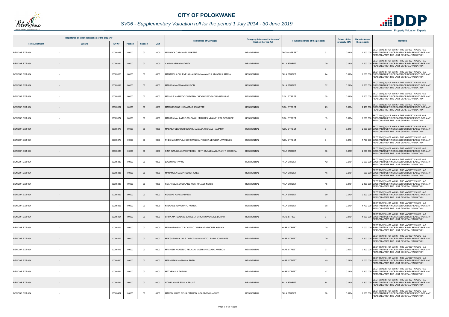

## *SV06 - Supplementary Valuation roll for the period 1 July 2014 - 30 June 2019*

| Registered or other description of the property |               |          |                |                |      | <b>Full Names of Owner(s)</b>                           | Category determined in terms of | <b>Extent of the</b><br>Physical address of the property |               | <b>Market value of</b> | <b>Remarks</b>                                                                                                                                     |
|-------------------------------------------------|---------------|----------|----------------|----------------|------|---------------------------------------------------------|---------------------------------|----------------------------------------------------------|---------------|------------------------|----------------------------------------------------------------------------------------------------------------------------------------------------|
| <b>Town Allotment</b>                           | <b>Suburb</b> | Erf Nr   | <b>Portion</b> | <b>Section</b> | Unit |                                                         | <b>Section 8 of the Act</b>     |                                                          | property (HA) | the property           |                                                                                                                                                    |
| BENDOR EXT 094                                  |               | 00005348 | 00000          | 00             | 0000 | MAMABOLO MICHAEL MAKEBE                                 | <b>RESIDENTIAL</b>              | <b>THOLA STREET</b><br>-3                                | 0.0704        |                        | SECT 78(1)(d) - OF WHICH THE MARKET VALUE HAS<br>1 700 000 SUBSTANTIALLY INCREASED OR DECREASED FOR ANY<br>REASON AFTER THE LAST GENERAL VALUATION |
| <b>BENDOR EXT 094</b>                           |               | 00005354 | 00000          | $00\,$         | 0000 | CHUMA APHIA MATHUDI                                     | <b>RESIDENTIAL</b>              | 20<br>PALA STREET                                        | 0.0704        |                        | SECT 78(1)(d) - OF WHICH THE MARKET VALUE HAS<br>1 600 000 SUBSTANTIALLY INCREASED OR DECREASED FOR ANY<br>REASON AFTER THE LAST GENERAL VALUATION |
| <b>BENDOR EXT 094</b>                           |               | 00005355 | 00000          | 00             | 0000 | MANAMELA CHUENE JOHANNES / MANAMELA MMAPULA MARIA       | <b>RESIDENTIAL</b>              | 24<br>PALA STREET                                        | 0.0704        |                        | SECT 78(1)(d) - OF WHICH THE MARKET VALUE HAS<br>1 600 000 SUBSTANTIALLY INCREASED OR DECREASED FOR ANY<br>REASON AFTER THE LAST GENERAL VALUATION |
| <b>BENDOR EXT 094</b>                           |               | 00005359 | 00000          | $00\,$         | 0000 | MABASA MAFEMANI WILSON                                  | <b>RESIDENTIAL</b>              | 32<br>PALA STREET                                        | 0.0704        |                        | SECT 78(1)(d) - OF WHICH THE MARKET VALUE HAS<br>1 700 000 SUBSTANTIALLY INCREASED OR DECREASED FOR ANY<br>REASON AFTER THE LAST GENERAL VALUATION |
| <b>BENDOR EXT 094</b>                           |               | 00005362 | 00000          | $00\,$         | 0000 | MASHILE KATLEGO DOROTHY / MOGADI MOGADI PHUTI SILAS     | <b>RESIDENTIAL</b>              | <b>TLOU STREET</b><br>39                                 | 0.0704        |                        | SECT 78(1)(d) - OF WHICH THE MARKET VALUE HAS<br>2 200 000 SUBSTANTIALLY INCREASED OR DECREASED FOR ANY<br>REASON AFTER THE LAST GENERAL VALUATION |
| <b>BENDOR EXT 094</b>                           |               | 00005367 | 00000          | $00\,$         | 0000 | MAMAREGANE KHOMOTJO JEANETTE                            | <b>RESIDENTIAL</b>              | <b>TLOU STREET</b><br>29                                 | 0.0704        |                        | SECT 78(1)(d) - OF WHICH THE MARKET VALUE HAS<br>2 400 000 SUBSTANTIALLY INCREASED OR DECREASED FOR ANY<br>REASON AFTER THE LAST GENERAL VALUATION |
| BENDOR EXT 094                                  |               | 00005374 | 00000          | 00             | 0000 | MABAPA MAHLATSE SOLOMON / MABAPA MMAMPHETA GEDRUDE      | <b>RESIDENTIAL</b>              | 13<br><b>TLOU STREET</b>                                 | 0.0704        |                        | SECT 78(1)(d) - OF WHICH THE MARKET VALUE HAS<br>1 600 000 SUBSTANTIALLY INCREASED OR DECREASED FOR ANY<br>REASON AFTER THE LAST GENERAL VALUATION |
| <b>BENDOR EXT 094</b>                           |               | 00005376 | 00000          | $00\,$         | 0000 | MABASA GLENDER OLGAR / MABASA THOMAS HAMPTON            | <b>RESIDENTIAL</b>              | <b>TLOU STREET</b>                                       | 0.070         |                        | SECT 78(1)(d) - OF WHICH THE MARKET VALUE HAS<br>2 300 000 SUBSTANTIALLY INCREASED OR DECREASED FOR ANY<br>REASON AFTER THE LAST GENERAL VALUATION |
| BENDOR EXT 094                                  |               | 00005379 | 00000          | $00\,$         | 0000 | PHEEHA MMAPULA CONSTANCE / PHEEHA LETJEKA LAWRENCE      | <b>RESIDENTIAL</b>              | <b>TLOU STREET</b><br>$\mathbf{3}$                       | 0.0704        |                        | SECT 78(1)(d) - OF WHICH THE MARKET VALUE HAS<br>1 700 000 SUBSTANTIALLY INCREASED OR DECREASED FOR ANY<br>REASON AFTER THE LAST GENERAL VALUATION |
| <b>BENDOR EXT 094</b>                           |               | 00005380 | 00000          | $00\,$         | 0000 | SINTHUMULE AILWEI FREDDY / SINTHUMULE AMBUWANI THEODORA | <b>RESIDENTIAL</b>              | 36<br><b>PALA STREET</b>                                 | 0.0797        |                        | SECT 78(1)(d) - OF WHICH THE MARKET VALUE HAS<br>2 600 000 SUBSTANTIALLY INCREASED OR DECREASED FOR ANY<br>REASON AFTER THE LAST GENERAL VALUATION |
| BENDOR EXT 094                                  |               | 00005383 | 00000          | $00\,$         | 0000 | <b>BALOYI OCTAVIUS</b>                                  | <b>RESIDENTIAL</b>              | PALA STREET<br>42                                        | 0.0704        |                        | SECT 78(1)(d) - OF WHICH THE MARKET VALUE HAS<br>2 200 000 SUBSTANTIALLY INCREASED OR DECREASED FOR ANY<br>REASON AFTER THE LAST GENERAL VALUATION |
| BENDOR EXT 094                                  |               | 00005385 | 00000          | $00\,$         | 0000 | MANAMELA MAMPHOLODI JUNIA                               | <b>RESIDENTIAL</b>              | PALA STREET<br>46                                        | 0.0704        |                        | SECT 78(1)(d) - OF WHICH THE MARKET VALUE HAS<br>900 000 SUBSTANTIALLY INCREASED OR DECREASED FOR ANY<br>REASON AFTER THE LAST GENERAL VALUATION   |
| BENDOR EXT 094                                  |               | 00005386 | 00000          | 00             | 0000 | KGAPHOLA LEKGOLANE MOSHOPJADI INGRID                    | <b>RESIDENTIAL</b>              | PALA STREET<br>48                                        | 0.0704        |                        | SECT 78(1)(d) - OF WHICH THE MARKET VALUE HAS<br>2 100 000 SUBSTANTIALLY INCREASED OR DECREASED FOR ANY<br>REASON AFTER THE LAST GENERAL VALUATION |
| <b>BENDOR EXT 094</b>                           |               | 00005392 | 00000          | $00\,$         | 0000 | NGOEPE NARE ANDRIES                                     | <b>RESIDENTIAL</b>              | 60<br>PALA STREET                                        | 0.0704        |                        | SECT 78(1)(d) - OF WHICH THE MARKET VALUE HAS<br>2 300 000 SUBSTANTIALLY INCREASED OR DECREASED FOR ANY<br>REASON AFTER THE LAST GENERAL VALUATION |
| BENDOR EXT 094                                  |               | 00005396 | 00000          | 00             | 0000 | NTSOANE RANGOATO NOMSA                                  | <b>RESIDENTIAL</b>              | PALA STREET<br>68                                        | 0.0704        |                        | SECT 78(1)(d) - OF WHICH THE MARKET VALUE HAS<br>1 700 000 SUBSTANTIALLY INCREASED OR DECREASED FOR ANY<br>REASON AFTER THE LAST GENERAL VALUATION |
| <b>BENDOR EXT 094</b>                           |               | 00005404 | 00000          | $00\,$         | 0000 | SHIKA MATSOBANE SAMUEL / SHIKA MOKGAETJE DORAH          | <b>RESIDENTIAL</b>              | <b>NARE STREET</b><br>9                                  | 0.0704        |                        | SECT 78(1)(d) - OF WHICH THE MARKET VALUE HAS<br>1 800 000 SUBSTANTIALLY INCREASED OR DECREASED FOR ANY<br>REASON AFTER THE LAST GENERAL VALUATION |
| BENDOR EXT 094                                  |               | 00005411 | 00000          | 00             | 0000 | MAPHOTO GLADYS DAKALO / MAPHOTO MIQUEL KGABO            | <b>RESIDENTIAL</b>              | 25<br><b>NARE STREET</b>                                 | 0.0704        |                        | SECT 78(1)(d) - OF WHICH THE MARKET VALUE HAS<br>2 000 000 SUBSTANTIALLY INCREASED OR DECREASED FOR ANY<br>REASON AFTER THE LAST GENERAL VALUATION |
| <b>BENDOR EXT 094</b>                           |               | 00005412 | 00000          | $00\,$         | 0000 | MAKGATO MOLLALE DORCAS / MAKGATO LESIBA JOHANNES        | <b>RESIDENTIAL</b>              | <b>NARE STREET</b><br>29                                 | 0.0704        |                        | SECT 78(1)(d) - OF WHICH THE MARKET VALUE HAS<br>1 300 000 SUBSTANTIALLY INCREASED OR DECREASED FOR ANY<br>REASON AFTER THE LAST GENERAL VALUATION |
| BENDOR EXT 094                                  |               | 00005416 | 00000          | 00             | 0000 | MASHISHI KOKETSO FELICIA / MASHISHI KGABO AMBROS        | <b>RESIDENTIAL</b>              | 37<br><b>NARE STREET</b>                                 | 0.0672        |                        | SECT 78(1)(d) - OF WHICH THE MARKET VALUE HAS<br>2 100 000 SUBSTANTIALLY INCREASED OR DECREASED FOR ANY<br>REASON AFTER THE LAST GENERAL VALUATION |
| BENDOR EXT 094                                  |               | 00005420 | 00000          | $00\,$         | 0000 | MAPHUTHA MASIKO ALFRED                                  | <b>RESIDENTIAL</b>              | <b>NARE STREET</b><br>45                                 | 0.0704        |                        | SECT 78(1)(d) - OF WHICH THE MARKET VALUE HAS<br>2 000 000 SUBSTANTIALLY INCREASED OR DECREASED FOR ANY<br>REASON AFTER THE LAST GENERAL VALUATION |
| BENDOR EXT 094                                  |               | 00005421 | 00000          | $00\,$         | 0000 | MATHEBULA THEMBI                                        | <b>RESIDENTIAL</b>              | NARE STREET<br>47                                        | 0.0704        |                        | SECT 78(1)(d) - OF WHICH THE MARKET VALUE HAS<br>2 100 000 SUBSTANTIALLY INCREASED OR DECREASED FOR ANY<br>REASON AFTER THE LAST GENERAL VALUATION |
| <b>BENDOR EXT 094</b>                           |               | 00005424 | 00000          | $00\,$         | 0000 | NTIME JOWIE FAMILY TRUST                                | <b>RESIDENTIAL</b>              | <b>PALA STREET</b><br>84                                 | 0.0704        |                        | SECT 78(1)(d) - OF WHICH THE MARKET VALUE HAS<br>1 800 000 SUBSTANTIALLY INCREASED OR DECREASED FOR ANY<br>REASON AFTER THE LAST GENERAL VALUATION |
| BENDOR EXT 094                                  |               | 00005427 | 00000          | 00             | 0000 | MAREDI MAITE EPHIA / MAREDI KGASAGO CHARLES             | <b>RESIDENTIAL</b>              | PALA STREET<br>90                                        | 0.0704        |                        | SECT 78(1)(d) - OF WHICH THE MARKET VALUE HAS<br>1 900 000 SUBSTANTIALLY INCREASED OR DECREASED FOR ANY<br>REASON AFTER THE LAST GENERAL VALUATION |

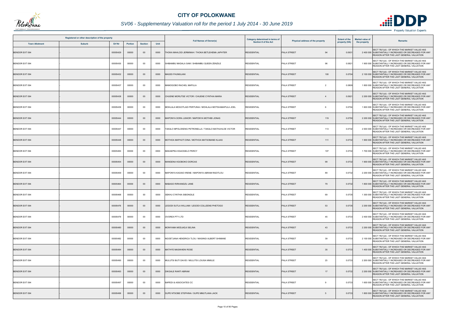

## *SV06 - Supplementary Valuation roll for the period 1 July 2014 - 30 June 2019*

| Registered or other description of the property |               |          |                |                |      | <b>Full Names of Owner(s)</b>                          | Category determined in terms of<br>Section 8 of the Act |                                  | <b>Extent of the</b> | <b>Market value of</b>                                                                                                                             |
|-------------------------------------------------|---------------|----------|----------------|----------------|------|--------------------------------------------------------|---------------------------------------------------------|----------------------------------|----------------------|----------------------------------------------------------------------------------------------------------------------------------------------------|
| <b>Town Allotment</b>                           | <b>Suburb</b> | Erf Nr   | <b>Portion</b> | <b>Section</b> | Unit |                                                        |                                                         | Physical address of the property | property (HA)        | <b>Remarks</b><br>the property                                                                                                                     |
| <b>BENDOR EXT 094</b>                           |               | 00005429 | 00000          | $00\,$         | 0000 | THOKA MAHLODI JERMINAH / THOKA BETLEHEMA JAPHTER       | <b>RESIDENTIAL</b>                                      | 94<br>PALA STREET                | 0.093                | SECT 78(1)(d) - OF WHICH THE MARKET VALUE HAS<br>2 400 000 SUBSTANTIALLY INCREASED OR DECREASED FOR ANY<br>REASON AFTER THE LAST GENERAL VALUATION |
| <b>BENDOR EXT 094</b>                           |               | 00005430 | 00000          | $00\,$         | 0000 | SHIBAMBU MADALA SAM / SHIBAMBU QUEEN ZENZILE           | <b>RESIDENTIAL</b>                                      | PALA STREET<br>96                | 0.0821               | SECT 78(1)(d) - OF WHICH THE MARKET VALUE HAS<br>1 900 000 SUBSTANTIALLY INCREASED OR DECREASED FOR ANY<br>REASON AFTER THE LAST GENERAL VALUATION |
| <b>BENDOR EXT 094</b>                           |               | 00005432 | 00000          | $00\,$         | 0000 | <b>MAGIDI FHUMULANI</b>                                | <b>RESIDENTIAL</b>                                      | PALA STREET<br>100               | 0.0704               | SECT 78(1)(d) - OF WHICH THE MARKET VALUE HAS<br>2 100 000 SUBSTANTIALLY INCREASED OR DECREASED FOR ANY<br>REASON AFTER THE LAST GENERAL VALUATION |
| <b>BENDOR EXT 094</b>                           |               | 00005437 | 00000          | 00             | 0000 | MAMOGOBO RACHEL MAPULA                                 | <b>RESIDENTIAL</b>                                      | PALA STREET<br>$\overline{2}$    | 0.0809               | SECT 78(1)(d) - OF WHICH THE MARKET VALUE HAS<br>1 800 000 SUBSTANTIALLY INCREASED OR DECREASED FOR ANY<br>REASON AFTER THE LAST GENERAL VALUATION |
| BENDOR EXT 094                                  |               | 00005438 | 00000          | $00\,$         | 0000 | CHUENE MORUTSE VICTOR / CHUENE CYNTHIA MARIA           | <b>RESIDENTIAL</b>                                      | PALA STREET<br>$\overline{4}$    | 0.0921               | SECT 78(1)(d) - OF WHICH THE MARKET VALUE HAS<br>2 200 000 SUBSTANTIALLY INCREASED OR DECREASED FOR ANY<br>REASON AFTER THE LAST GENERAL VALUATION |
| <b>BENDOR EXT 094</b>                           |               | 00005439 | 00000          | 00             | 0000 | MOHLALA MOGOTLADI PERTUNIA / MOHLALA MOTSHABAPULA JOEL | <b>RESIDENTIAL</b>                                      | PALA STREET<br>6                 | 0.0704               | SECT 78(1)(d) - OF WHICH THE MARKET VALUE HAS<br>1 600 000 SUBSTANTIALLY INCREASED OR DECREASED FOR ANY<br>REASON AFTER THE LAST GENERAL VALUATION |
| <b>BENDOR EXT 094</b>                           |               | 00005444 | 00000          | $00\,$         | 0000 | MAPONYA DORA JUNIOR / MAPONYA MOTHIBI JONAS            | <b>RESIDENTIAL</b>                                      | <b>PALA STREET</b><br>119        | 0.0750               | SECT 78(1)(d) - OF WHICH THE MARKET VALUE HAS<br>2 200 000 SUBSTANTIALLY INCREASED OR DECREASED FOR ANY<br>REASON AFTER THE LAST GENERAL VALUATION |
| <b>BENDOR EXT 094</b>                           |               | 00005447 | 00000          | 00             | 0000 | TAKALO MPOLOKENG PETRONELLA / TAKALO MATHUHLOE VICTOR  | <b>RESIDENTIAL</b>                                      | <b>PALA STREET</b><br>113        | 0.0732               | SECT 78(1)(d) - OF WHICH THE MARKET VALUE HAS<br>2 000 000 SUBSTANTIALLY INCREASED OR DECREASED FOR ANY<br>REASON AFTER THE LAST GENERAL VALUATION |
| <b>BENDOR EXT 094</b>                           |               | 00005448 | 00000          | $00\,$         | 0000 | MOTHOA MAPHUTI DINA / MOTHOA MATSOBANE KLAAS           | <b>RESIDENTIAL</b>                                      | PALA STREET<br>111               | 0.0732               | SECT 78(1)(d) - OF WHICH THE MARKET VALUE HAS<br>1 900 000 SUBSTANTIALLY INCREASED OR DECREASED FOR ANY<br>REASON AFTER THE LAST GENERAL VALUATION |
| <b>BENDOR EXT 094</b>                           |               | 00005450 | 00000          | $00\,$         | 0000 | MAKAEPEA KGAOGELO PERCY                                | <b>RESIDENTIAL</b>                                      | 107<br><b>PALA STREET</b>        | 0.0732               | SECT 78(1)(d) - OF WHICH THE MARKET VALUE HAS<br>1700 000 SUBSTANTIALLY INCREASED OR DECREASED FOR ANY<br>REASON AFTER THE LAST GENERAL VALUATION  |
| <b>BENDOR EXT 094</b>                           |               | 00005454 | 00000          | $00\,$         | 0000 | MANGENA KGOBOKO DORCAS                                 | <b>RESIDENTIAL</b>                                      | <b>PALA STREET</b><br>99         | 0.0732               | SECT 78(1)(d) - OF WHICH THE MARKET VALUE HAS<br>1 900 000 SUBSTANTIALLY INCREASED OR DECREASED FOR ANY<br>REASON AFTER THE LAST GENERAL VALUATION |
| <b>BENDOR EXT 094</b>                           |               | 00005459 | 00000          | 00             | 0000 | MAPONYA KAGISO IRENE / MAPONYA ABRAM RADITLOU          | <b>RESIDENTIAL</b>                                      | 89<br>PALA STREET                | 0.0732               | SECT 78(1)(d) - OF WHICH THE MARKET VALUE HAS<br>2 200 000 SUBSTANTIALLY INCREASED OR DECREASED FOR ANY<br>REASON AFTER THE LAST GENERAL VALUATION |
| <b>BENDOR EXT 094</b>                           |               | 00005464 | 00000          | $00\,$         | 0000 | MABASO RIRHANDZU JANE                                  | <b>RESIDENTIAL</b>                                      | <b>PALA STREET</b><br>79         | 0.0732               | SECT 78(1)(d) - OF WHICH THE MARKET VALUE HAS<br>1 800 000 SUBSTANTIALLY INCREASED OR DECREASED FOR ANY<br>REASON AFTER THE LAST GENERAL VALUATION |
| BENDOR EXT 094                                  |               | 00005468 | 00000          | 00             | 0000 | SEKHU CYNTHIA SIBONGILE                                | <b>RESIDENTIAL</b>                                      | 69<br>PALA STREET                | 0.0735               | SECT 78(1)(d) - OF WHICH THE MARKET VALUE HAS<br>1 300 000 SUBSTANTIALLY INCREASED OR DECREASED FOR ANY<br>REASON AFTER THE LAST GENERAL VALUATION |
| <b>BENDOR EXT 094</b>                           |               | 00005476 | 00000          | $00\,$         | 0000 | LEGODI SUTLA WILLIAM / LEGODI COLLEENS PHETOGO         | <b>RESIDENTIAL</b>                                      | PALA STREET<br>53                | 0.0735               | SECT 78(1)(d) - OF WHICH THE MARKET VALUE HAS<br>2 200 000 SUBSTANTIALLY INCREASED OR DECREASED FOR ANY<br>REASON AFTER THE LAST GENERAL VALUATION |
| BENDOR EXT 094                                  |               | 00005479 | 00000          | 00             | 0000 | OVOREX PTY LTD                                         | <b>RESIDENTIAL</b>                                      | PALA STREET<br>45                | 0.0733               | SECT 78(1)(d) - OF WHICH THE MARKET VALUE HAS<br>2 400 000 SUBSTANTIALLY INCREASED OR DECREASED FOR ANY<br>REASON AFTER THE LAST GENERAL VALUATION |
| <b>BENDOR EXT 094</b>                           |               | 00005480 | 00000          | $00\,$         | 0000 | MONYAMA MODJADJI SELINA                                | <b>RESIDENTIAL</b>                                      | <b>PALA STREET</b><br>43         | 0.0733               | SECT 78(1)(d) - OF WHICH THE MARKET VALUE HAS<br>2 200 000 SUBSTANTIALLY INCREASED OR DECREASED FOR ANY<br>REASON AFTER THE LAST GENERAL VALUATION |
| BENDOR EXT 094                                  |               | 00005482 | 00000          | 00             | 0000 | NGOETJANA HENDRICA TLOU / MASINGI ALBERT SHIMANE       | <b>RESIDENTIAL</b>                                      | PALA STREET<br>39                | 0.0733               | SECT 78(1)(d) - OF WHICH THE MARKET VALUE HAS<br>2 100 000 SUBSTANTIALLY INCREASED OR DECREASED FOR ANY<br>REASON AFTER THE LAST GENERAL VALUATION |
| <b>BENDOR EXT 094</b>                           |               | 00005484 | 00000          | $00\,$         | 0000 | <b>MATHYE MASIKHENI ROSE</b>                           | <b>RESIDENTIAL</b>                                      | PALA STREET<br>35                | 0.0733               | SECT 78(1)(d) - OF WHICH THE MARKET VALUE HAS<br>1 400 000 SUBSTANTIALLY INCREASED OR DECREASED FOR ANY<br>REASON AFTER THE LAST GENERAL VALUATION |
| BENDOR EXT 094                                  |               | 00005490 | 00000          | 00             | 0000 | MULUTSI BUTI DAVID / MULUTSI LOUISA MMULE              | <b>RESIDENTIAL</b>                                      | 23<br>PALA STREET                | 0.0733               | SECT 78(1)(d) - OF WHICH THE MARKET VALUE HAS<br>2 200 000 SUBSTANTIALLY INCREASED OR DECREASED FOR ANY<br>REASON AFTER THE LAST GENERAL VALUATION |
| BENDOR EXT 094                                  |               | 00005493 | 00000          | $00\,$         | 0000 | <b>DIKGALE RANTI ABRAM</b>                             | <b>RESIDENTIAL</b>                                      | PALA STREET<br>17                | 0.0732               | SECT 78(1)(d) - OF WHICH THE MARKET VALUE HAS<br>2 200 000 SUBSTANTIALLY INCREASED OR DECREASED FOR ANY<br>REASON AFTER THE LAST GENERAL VALUATION |
| BENDOR EXT 094                                  |               | 00005497 | 00000          | 00             | 0000 | <b>BAPEDI &amp; ASSOCIATES CC</b>                      | <b>RESIDENTIAL</b>                                      | <b>PALA STREET</b><br>9          | 0.0733               | SECT 78(1)(d) - OF WHICH THE MARKET VALUE HAS<br>1 600 000 SUBSTANTIALLY INCREASED OR DECREASED FOR ANY<br>REASON AFTER THE LAST GENERAL VALUATION |
| <b>BENDOR EXT 094</b>                           |               | 00005499 | 00000          | $00\,$         | 0000 | SUPE NTSOBE STEPHINA / SUPE MMUTLANA JACK              | <b>RESIDENTIAL</b>                                      | PALA STREET<br>5                 | 0.0733               | SECT 78(1)(d) - OF WHICH THE MARKET VALUE HAS<br>1 800 000 SUBSTANTIALLY INCREASED OR DECREASED FOR ANY<br>REASON AFTER THE LAST GENERAL VALUATION |

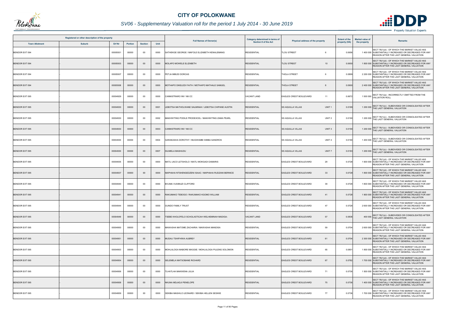

## *SV06 - Supplementary Valuation roll for the period 1 July 2014 - 30 June 2019*

| Registered or other description of the property |               |          |                |                |      | Category determined in terms of<br><b>Full Names of Owner(s)</b> | <b>Extent of the</b><br>Physical address of the property |                                               | <b>Market value of</b><br><b>Remarks</b> |              |                                                                                                                                                    |
|-------------------------------------------------|---------------|----------|----------------|----------------|------|------------------------------------------------------------------|----------------------------------------------------------|-----------------------------------------------|------------------------------------------|--------------|----------------------------------------------------------------------------------------------------------------------------------------------------|
| <b>Town Allotment</b>                           | <b>Suburb</b> | Erf Nr   | <b>Portion</b> | <b>Section</b> | Unit |                                                                  | Section 8 of the Act                                     |                                               | property (HA)                            | the property |                                                                                                                                                    |
| BENDOR EXT 094                                  |               | 00005501 | 00000          | 00             | 0000 | SATHEKGE GEORGE / MAFOLE ELIZABETH KENALEMANG                    | <b>RESIDENTIAL</b>                                       | <b>TLOU STREET</b>                            | 0.0656                                   |              | SECT 78(1)(d) - OF WHICH THE MARKET VALUE HAS<br>1 400 000 SUBSTANTIALLY INCREASED OR DECREASED FOR ANY<br>REASON AFTER THE LAST GENERAL VALUATION |
| <b>BENDOR EXT 094</b>                           |               | 00005503 | 00000          | $00\,$         | 0000 | MOLAPO MOWELE ELIZABETH                                          | <b>RESIDENTIAL</b>                                       | <b>TLOU STREET</b><br>10                      | 0.0650                                   |              | SECT 78(1)(d) - OF WHICH THE MARKET VALUE HAS<br>1 800 000 SUBSTANTIALLY INCREASED OR DECREASED FOR ANY<br>REASON AFTER THE LAST GENERAL VALUATION |
| <b>BENDOR EXT 094</b>                           |               | 00005507 | 00000          | 00             | 0000 | PETJA MMUDI DORCAS                                               | <b>RESIDENTIAL</b>                                       | <b>THOLA STREET</b><br>6                      | 0.0899                                   |              | SECT 78(1)(d) - OF WHICH THE MARKET VALUE HAS<br>2 200 000 SUBSTANTIALLY INCREASED OR DECREASED FOR ANY<br>REASON AFTER THE LAST GENERAL VALUATION |
| <b>BENDOR EXT 094</b>                           |               | 00005508 | 00000          | $00\,$         | 0000 | MOTHAPO DIKELEDI FAITH / MOTHAPO MATHALE SAMUEL                  | <b>RESIDENTIAL</b>                                       | <b>THOLA STREET</b>                           | 0.0900                                   |              | SECT 78(1)(d) - OF WHICH THE MARKET VALUE HAS<br>2 400 000 SUBSTANTIALLY INCREASED OR DECREASED FOR ANY<br>REASON AFTER THE LAST GENERAL VALUATION |
| BENDOR EXT 095                                  |               | 00004929 | 00000          | $00\,$         | 0000 | CANNISTRARO INV 166 CC                                           | <b>VACANT LAND</b>                                       | EAGLES CREST BOULEVARD<br>11                  | 0.6672                                   |              | 1 500 000 SECT 78(1)(a) - INCORRECTLY OMITTED FROM THE<br>VALUATION ROLL                                                                           |
| <b>BENDOR EXT 095</b>                           |               | 00004930 | 00000          | $00\,$         | 0001 | LEBOTSA MATHOLWANE SALMINAH / LEBOTSA CHIPANE AUSTIN             | <b>RESIDENTIAL</b>                                       | <b>SS AQUILLA VILLAS</b><br>UNIT <sub>1</sub> | 0.0189                                   |              | SECT 78(1)(c) - SUBDIVIDED OR CONSOLIDATED AFTER<br>1 200 000 THE LAST GENERAL VALUATION                                                           |
| BENDOR EXT 095                                  |               | 00004930 | 00000          | $00\,$         | 0002 | MAKHWITING PODILE PRODEXCEL / MAKHWITING ZAMA PEARL              | <b>RESIDENTIAL</b>                                       | UNIT <sub>2</sub><br><b>SS AQUILLA VILLAS</b> | 0.0190                                   |              | 1 200 000 SECT 78(1)(c) - SUBDIVIDED OR CONSOLIDATED AFTER<br>THE LAST GENERAL VALUATION                                                           |
| BENDOR EXT 095                                  |               | 00004930 | 00000          | $00\,$         | 0003 | ANNISTRARO INV 166 CC                                            | <b>RESIDENTIAL</b>                                       | <b>SS AQUILLA VILLAS</b><br>UNIT <sub>3</sub> | 0.0190                                   |              | SECT 78(1)(c) - SUBDIVIDED OR CONSOLIDATED AFTER<br>1 200 000 THE LAST GENERAL VALUATION                                                           |
| BENDOR EXT 095                                  |               | 00004930 | 00000          | $00\,$         | 0004 | GARAKASHA DOROTHY / MUGWAMBI SIMBA SANDROS                       | <b>RESIDENTIAL</b>                                       | UNIT <sub>4</sub><br><b>SS AQUILLA VILLAS</b> | 0.0190                                   |              | 1 200 000 SECT 78(1)(c) - SUBDIVIDED OR CONSOLIDATED AFTER<br>THE LAST GENERAL VALUATION                                                           |
| <b>BENDOR EXT 095</b>                           |               | 00004930 | 00000          | $00\,$         | 0007 | SILIMELA MASHUDU                                                 | <b>RESIDENTIAL</b>                                       | UNIT <sub>7</sub><br><b>SS AQUILLA VILLAS</b> | 0.0183                                   |              | 1 200 000 SECT 78(1)(c) - SUBDIVIDED OR CONSOLIDATED AFTER<br>THE LAST GENERAL VALUATION                                                           |
| BENDOR EXT 095                                  |               | 00004935 | 00000          | 00             | 0000 | MATLI JACO LETSHOLO / MATLI MOKGADI DAMARIS                      | <b>RESIDENTIAL</b>                                       | 29<br>EAGLES CREST BOULEVARD                  | 0.0728                                   |              | SECT 78(1)(d) - OF WHICH THE MARKET VALUE HAS<br>1 600 000 SUBSTANTIALLY INCREASED OR DECREASED FOR ANY<br>REASON AFTER THE LAST GENERAL VALUATION |
| BENDOR EXT 095                                  |               | 00004937 | 00000          | $00\,$         | 0000 | MAPHAHA NTSHENGEDZENI ISAAC / MAPHAHA RUDZANI BERNICE            | <b>RESIDENTIAL</b>                                       | 33<br>EAGLES CREST BOULEVARD                  | 0.0728                                   |              | SECT 78(1)(d) - OF WHICH THE MARKET VALUE HAS<br>1 800 000 SUBSTANTIALLY INCREASED OR DECREASED FOR ANY<br>REASON AFTER THE LAST GENERAL VALUATION |
| BENDOR EXT 095                                  |               | 00004940 | 00000          | 00             | 0000 | BVUMA VUSIMUZI CLIFFORD                                          | <b>RESIDENTIAL</b>                                       | EAGLES CREST BOULEVARD<br>39                  | 0.0728                                   |              | SECT 78(1)(d) - OF WHICH THE MARKET VALUE HAS<br>1 800 000 SUBSTANTIALLY INCREASED OR DECREASED FOR ANY<br>REASON AFTER THE LAST GENERAL VALUATION |
| <b>BENDOR EXT 095</b>                           |               | 00004941 | 00000          | $00\,$         | 0000 | RAKUMAKO TEBOGO / RAKUMAKO KGOMO WILLIAM                         | <b>RESIDENTIAL</b>                                       | EAGLES CREST BOULEVARD<br>41                  | 0.0728                                   |              | SECT 78(1)(d) - OF WHICH THE MARKET VALUE HAS<br>1 900 000 SUBSTANTIALLY INCREASED OR DECREASED FOR ANY<br>REASON AFTER THE LAST GENERAL VALUATION |
| BENDOR EXT 095                                  |               | 00004944 | 00000          | 00             | 0000 | <b>GUNDO FAMILY TRUST</b>                                        | <b>RESIDENTIAL</b>                                       | EAGLES CREST BOULEVARD<br>47                  | 0.0728                                   |              | SECT 78(1)(d) - OF WHICH THE MARKET VALUE HAS<br>2 600 000 SUBSTANTIALLY INCREASED OR DECREASED FOR ANY<br>REASON AFTER THE LAST GENERAL VALUATION |
| <b>BENDOR EXT 095</b>                           |               | 00004949 | 00000          | $00\,$         | 0000 | SEBE KHOLOFELO SCHOLASTICAH WELHEMINAH MADIGA-                   | VACANT LAND                                              | 57<br>EAGLES CREST BOULEVARD                  | 0.0836                                   |              | 400 000 SECT 78(1)(c) - SUBDIVIDED OR CONSOLIDATED AFTER<br>THE LAST GENERAL VALUATION                                                             |
| BENDOR EXT 095                                  |               | 00004950 | 00000          | 00             | 0000 | MAWASHA MATOME ZACHARIA / MAWASHA MANDISA                        | <b>RESIDENTIAL</b>                                       | 59<br><b>EAGLES CREST BOULEVARD</b>           | 0.0704                                   |              | SECT 78(1)(d) - OF WHICH THE MARKET VALUE HAS<br>2 600 000 SUBSTANTIALLY INCREASED OR DECREASED FOR ANY<br>REASON AFTER THE LAST GENERAL VALUATION |
| BENDOR EXT 095                                  |               | 00004951 | 00000          | $00\,$         | 0000 | MUDAU TSHIFHIWA AUBREY                                           | <b>RESIDENTIAL</b>                                       | EAGLES CREST BOULEVARD<br>61                  | 0.0704                                   |              | SECT 78(1)(d) - OF WHICH THE MARKET VALUE HAS<br>2 300 000 SUBSTANTIALLY INCREASED OR DECREASED FOR ANY<br>REASON AFTER THE LAST GENERAL VALUATION |
| BENDOR EXT 095                                  |               | 00004953 | 00000          | 00             | 0000 | MOHLALOGA MABORE MAGGIE / MOHLALOGA PULENG SOLOMON               | <b>RESIDENTIAL</b>                                       | 65<br>EAGLES CREST BOULEVARD                  | 0.0801                                   |              | SECT 78(1)(d) - OF WHICH THE MARKET VALUE HAS<br>1 800 000 SUBSTANTIALLY INCREASED OR DECREASED FOR ANY<br>REASON AFTER THE LAST GENERAL VALUATION |
| BENDOR EXT 095                                  |               | 00004954 | 00000          | $00\,$         | 0000 | SELEMELA MATSOBANE RICHARD                                       | <b>RESIDENTIAL</b>                                       | 67<br>EAGLES CREST BOULEVARD                  | 0.0782                                   |              | SECT 78(1)(d) - OF WHICH THE MARKET VALUE HAS<br>1 700 000 SUBSTANTIALLY INCREASED OR DECREASED FOR ANY<br>REASON AFTER THE LAST GENERAL VALUATION |
| BENDOR EXT 095                                  |               | 00004956 | 00000          | $00\,$         | 0000 | <b>TLHATLHA MAKWENA JULIA</b>                                    | <b>RESIDENTIAL</b>                                       | 71<br>EAGLES CREST BOULEVARD                  | 0.0736                                   |              | SECT 78(1)(d) - OF WHICH THE MARKET VALUE HAS<br>1 500 000 SUBSTANTIALLY INCREASED OR DECREASED FOR ANY<br>REASON AFTER THE LAST GENERAL VALUATION |
| BENDOR EXT 095                                  |               | 00004958 | 00000          | $00\,$         | 0000 | NKUNA MDJADJI PENELOPE                                           | <b>RESIDENTIAL</b>                                       | EAGLES CREST BOULEVARD<br>75                  | 0.0736                                   |              | SECT 78(1)(d) - OF WHICH THE MARKET VALUE HAS<br>1 400 000 SUBSTANTIALLY INCREASED OR DECREASED FOR ANY<br>REASON AFTER THE LAST GENERAL VALUATION |
| BENDOR EXT 095                                  |               | 00004959 | 00000          | 00             | 0000 | SEKIBA MASHILO LEONARD / SEKIBA HELLEN SESIKIE                   | <b>RESIDENTIAL</b>                                       | 77<br>EAGLES CREST BOULEVARD                  | 0.0736                                   |              | SECT 78(1)(d) - OF WHICH THE MARKET VALUE HAS<br>1 700 000 SUBSTANTIALLY INCREASED OR DECREASED FOR ANY<br>REASON AFTER THE LAST GENERAL VALUATION |

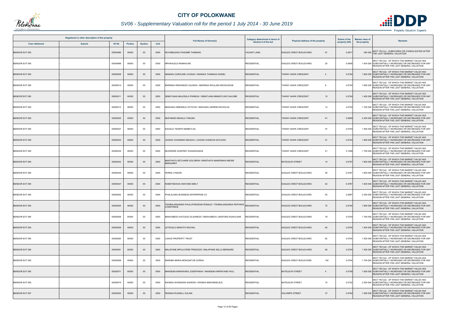

## *SV06 - Supplementary Valuation roll for the period 1 July 2014 - 30 June 2019*

| Registered or other description of the property |               |               |                |                |      | <b>Full Names of Owner(s)</b>                                                         | Category determined in terms of |                                              | <b>Extent of the</b> | <b>Market value of</b>                                                                                                                             |
|-------------------------------------------------|---------------|---------------|----------------|----------------|------|---------------------------------------------------------------------------------------|---------------------------------|----------------------------------------------|----------------------|----------------------------------------------------------------------------------------------------------------------------------------------------|
| <b>Town Allotment</b>                           | <b>Suburb</b> | <b>Erf Nr</b> | <b>Portion</b> | <b>Section</b> | Unit |                                                                                       | <b>Section 8 of the Act</b>     | <b>Physical address of the property</b>      | property (HA)        | <b>Remarks</b><br>the property                                                                                                                     |
| <b>BENDOR EXT 095</b>                           |               | 00004966      | 00000          | $00\,$         | 0000 | NCHABELENG PHADIME THABANG                                                            | <b>VACANT LAND</b>              | <b>EAGLES CREST BOULEVARD</b><br>91          | 0.0817               | SECT 78(1)(c) - SUBDIVIDED OR CONSOLIDATED AFTER<br>390 000 THE LAST GENERAL VALUATION                                                             |
| BENDOR EXT 095                                  |               | 00004988      | 00000          | 00             | 0000 | MPHAHLELE RAMAHLWE                                                                    | <b>RESIDENTIAL</b>              | EAGLES CREST BOULEVARD<br>20                 | 0.0608               | SECT 78(1)(d) - OF WHICH THE MARKET VALUE HAS<br>1 400 000 SUBSTANTIALLY INCREASED OR DECREASED FOR ANY<br>REASON AFTER THE LAST GENERAL VALUATION |
| <b>BENDOR EXT 095</b>                           |               | 00005008      | 00000          | $00\,$         | 0000 | MANAKA CAROLINE LOUISAH / MANAKA THAMAGA DANIEL                                       | <b>RESIDENTIAL</b>              | <b>TAWNY HAWK CRESCENT</b><br>$\overline{4}$ | 0.0704               | SECT 78(1)(d) - OF WHICH THE MARKET VALUE HAS<br>1 600 000 SUBSTANTIALLY INCREASED OR DECREASED FOR ANY<br>REASON AFTER THE LAST GENERAL VALUATION |
| <b>BENDOR EXT 095</b>                           |               | 00005010      | 00000          | 00             | 0000 | MARINGA RIRHANDZU GLENDA / MARINGA RHULANI KNOWLEDGE                                  | <b>RESIDENTIAL</b>              | <b>TAWNY HAWK CRESCENT</b><br>8              | 0.0704               | SECT 78(1)(d) - OF WHICH THE MARKET VALUE HAS<br>1 800 000 SUBSTANTIALLY INCREASED OR DECREASED FOR ANY<br>REASON AFTER THE LAST GENERAL VALUATION |
| <b>BENDOR EXT 095</b>                           |               | 00005011      | 00000          | $00\,$         | 0000 | SEBATJANA MALESELA PHINEAS / SEBATJANA MMANTLOKO SALOME                               | <b>RESIDENTIAL</b>              | <b>TAWNY HAWK CRESCENT</b><br>10             | 0.0704               | SECT 78(1)(d) - OF WHICH THE MARKET VALUE HAS<br>1 400 000 SUBSTANTIALLY INCREASED OR DECREASED FOR ANY<br>REASON AFTER THE LAST GENERAL VALUATION |
| BENDOR EXT 095                                  |               | 00005013      | 00000          | $00\,$         | 0000 | MASHAKU MMOKELE OCTOVIA / MASHAKU SEREMI NICHOLAS                                     | <b>RESIDENTIAL</b>              | 14<br><b>TAWNY HAWK CRESCENT</b>             | 0.0704               | SECT 78(1)(d) - OF WHICH THE MARKET VALUE HAS<br>1 700 000 SUBSTANTIALLY INCREASED OR DECREASED FOR ANY<br>REASON AFTER THE LAST GENERAL VALUATION |
| <b>BENDOR EXT 095</b>                           |               | 00005025      | 00000          | $00\,$         | 0000 | MUFAMADI MASALA THELMA                                                                | <b>RESIDENTIAL</b>              | <b>TAWNY HAWK CRESCENT</b><br>61             | 0.0699               | SECT 78(1)(d) - OF WHICH THE MARKET VALUE HAS<br>2 200 000 SUBSTANTIALLY INCREASED OR DECREASED FOR ANY<br>REASON AFTER THE LAST GENERAL VALUATION |
| BENDOR EXT 095                                  |               | 00005027      | 00000          | 00             | 0000 | KGOALE TSHEPO MAMETLOA                                                                | <b>RESIDENTIAL</b>              | 57<br><b>TAWNY HAWK CRESCENT</b>             | 0.0704               | SECT 78(1)(d) - OF WHICH THE MARKET VALUE HAS<br>1 900 000 SUBSTANTIALLY INCREASED OR DECREASED FOR ANY<br>REASON AFTER THE LAST GENERAL VALUATION |
| <b>BENDOR EXT 095</b>                           |               | 00005030      | 00000          | $00\,$         | 0000 | LEGODI JOHANNAH MALEHU / LEGODI CHARLES KATLEGO                                       | <b>RESIDENTIAL</b>              | <b>TAWNY HAWK CRESCENT</b><br>51             | 0.0704               | SECT 78(1)(d) - OF WHICH THE MARKET VALUE HAS<br>1 800 000 SUBSTANTIALLY INCREASED OR DECREASED FOR ANY<br>REASON AFTER THE LAST GENERAL VALUATION |
| <b>BENDOR EXT 095</b>                           |               | 00005035      | 00000          | 00             | 0000 | MUSWERE GODFREY KUDAKWASHE                                                            | <b>RESIDENTIAL</b>              | <b>TAWNY HAWK CRESCENT</b><br>41             | 0.1096               | SECT 78(1)(d) - OF WHICH THE MARKET VALUE HAS<br>1 700 000 SUBSTANTIALLY INCREASED OR DECREASED FOR ANY<br>REASON AFTER THE LAST GENERAL VALUATION |
| <b>BENDOR EXT 095</b>                           |               | 00005042      | 00000          | $00\,$         | 0000 | MANTHATA SETLHARE SOLOMON / MANTHATA MAMORAKA MEISIE<br><b>MARGARET</b>               | <b>RESIDENTIAL</b>              | <b>BATELEUR STREET</b><br>14                 | 0.0797               | SECT 78(1)(d) - OF WHICH THE MARKET VALUE HAS<br>1 800 000 SUBSTANTIALLY INCREASED OR DECREASED FOR ANY<br>REASON AFTER THE LAST GENERAL VALUATION |
| BENDOR EXT 095                                  |               | 00005045      | 00000          | $00\,$         | 0000 | <b>FERNS LYNDON</b>                                                                   | <b>RESIDENTIAL</b>              | 38<br>EAGLES CREST BOULEVARD                 | 0.0787               | SECT 78(1)(d) - OF WHICH THE MARKET VALUE HAS<br>1 800 000 SUBSTANTIALLY INCREASED OR DECREASED FOR ANY<br>REASON AFTER THE LAST GENERAL VALUATION |
| <b>BENDOR EXT 095</b>                           |               | 00005047      | 00000          | 00             | 0000 | RAMOTSEHOA HANYANE EMILY                                                              | <b>RESIDENTIAL</b>              | 42<br><b>EAGLES CREST BOULEVARD</b>          | 0.0787               | SECT 78(1)(d) - OF WHICH THE MARKET VALUE HAS<br>1 400 000 SUBSTANTIALLY INCREASED OR DECREASED FOR ANY<br>REASON AFTER THE LAST GENERAL VALUATION |
| BENDOR EXT 095                                  |               | 00005052      | 00000          | 00             | 0000 | PHALALANG BUSINESS ENTERPRISE CC                                                      | <b>RESIDENTIAL</b>              | EAGLES CREST BOULEVARD<br>64                 | 0.0987               | SECT 78(1)(d) - OF WHICH THE MARKET VALUE HAS<br>2 300 000 SUBSTANTIALLY INCREASED OR DECREASED FOR ANY<br>REASON AFTER THE LAST GENERAL VALUATION |
| <b>BENDOR EXT 095</b>                           |               | 00005055      | 00000          | $00\,$         | 0000 | TSHIBALANGANDA FHULUFHEDZANI RONALD / TSHIBALANGANDA ROFHIWA RESIDENTIAL<br>CONSTANCE |                                 | EAGLES CREST BOULEVARD<br>72                 | 0.0704               | SECT 78(1)(d) - OF WHICH THE MARKET VALUE HAS<br>1 900 000 SUBSTANTIALLY INCREASED OR DECREASED FOR ANY<br>REASON AFTER THE LAST GENERAL VALUATION |
| BENDOR EXT 095                                  |               | 00005058      | 00000          | $00\,$         | 0000 | MAKHUBEDU KATLEGO GLADNESS / MAKHUBEDU LINGFORD KGAHLISHE                             | <b>RESIDENTIAL</b>              | EAGLES CREST BOULEVARD<br>78                 | 0.0704               | SECT 78(1)(d) - OF WHICH THE MARKET VALUE HAS<br>1 700 000 SUBSTANTIALLY INCREASED OR DECREASED FOR ANY<br>REASON AFTER THE LAST GENERAL VALUATION |
| <b>BENDOR EXT 095</b>                           |               | 00005059      | 00000          | $00\,$         | 0000 | LETSOALO MAKOTO RACHEL                                                                | <b>RESIDENTIAL</b>              | EAGLES CREST BOULEVARD<br>80                 | 0.0704               | SECT 78(1)(d) - OF WHICH THE MARKET VALUE HAS<br>1 400 000 SUBSTANTIALLY INCREASED OR DECREASED FOR ANY<br>REASON AFTER THE LAST GENERAL VALUATION |
| BENDOR EXT 095                                  |               | 00005060      | 00000          | 00             | 0000 | LOKOS PROPERTY TRUST                                                                  | <b>RESIDENTIAL</b>              | 82<br>EAGLES CREST BOULEVARD                 | 0.0704               | SECT 78(1)(d) - OF WHICH THE MARKET VALUE HAS<br>1 500 000 SUBSTANTIALLY INCREASED OR DECREASED FOR ANY<br>REASON AFTER THE LAST GENERAL VALUATION |
| BENDOR EXT 095                                  |               | 00005061      | 00000          | $00\,$         | 0000 | MALAPANE MPULAYENE PRINCESS / MALAPANE SELLO BERNARD                                  | <b>RESIDENTIAL</b>              | EAGLES CREST BOULEVARD<br>84                 | 0.0704               | SECT 78(1)(d) - OF WHICH THE MARKET VALUE HAS<br>1 500 000 SUBSTANTIALLY INCREASED OR DECREASED FOR ANY<br>REASON AFTER THE LAST GENERAL VALUATION |
| BENDOR EXT 095                                  |               | 00005068      | 00000          | 00             | 0000 | MARABA MARIA MOKGAETJIE DORAH                                                         | <b>RESIDENTIAL</b>              | EAGLES CREST BOULEVARD<br>102                | 0.0704               | SECT 78(1)(d) - OF WHICH THE MARKET VALUE HAS<br>1 700 000 SUBSTANTIALLY INCREASED OR DECREASED FOR ANY<br>REASON AFTER THE LAST GENERAL VALUATION |
| BENDOR EXT 095                                  |               | 00005071      | 00000          | $00\,$         | 0000 | MANGENA BANKWANG JOSEPHINAH / MANGENA MPENYANE PAUL                                   | <b>RESIDENTIAL</b>              | <b>BATELEUR STREET</b><br>$\overline{4}$     | 0.0758               | SECT 78(1)(d) - OF WHICH THE MARKET VALUE HAS<br>1 600 000 SUBSTANTIALLY INCREASED OR DECREASED FOR ANY<br>REASON AFTER THE LAST GENERAL VALUATION |
| BENDOR EXT 095                                  |               | 00005074      | 00000          | $00\,$         | 0000 | KWINDA SHONISANI SHARON / KWINDA MAKONDELELE                                          | <b>RESIDENTIAL</b>              | 10<br><b>BATELEUR STREET</b>                 | 0.0722               | SECT 78(1)(d) - OF WHICH THE MARKET VALUE HAS<br>2 200 000 SUBSTANTIALLY INCREASED OR DECREASED FOR ANY<br>REASON AFTER THE LAST GENERAL VALUATION |
| BENDOR EXT 097                                  |               | 00005093      | 00000          | $00\,$         | 0000 | RISINGA RUSSELL KULANI                                                                | <b>RESIDENTIAL</b>              | <b>KOLOMPE STREET</b><br>37                  | 0.0762               | SECT 78(1)(d) - OF WHICH THE MARKET VALUE HAS<br>1 900 000 SUBSTANTIALLY INCREASED OR DECREASED FOR ANY<br>REASON AFTER THE LAST GENERAL VALUATION |

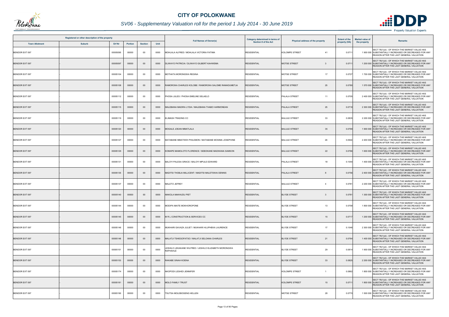

## *SV06 - Supplementary Valuation roll for the period 1 July 2014 - 30 June 2019*

|                       | Registered or other description of the property |          |                |                |      |                                                                   | Category determined in terms of |                                        | <b>Extent of the</b> | <b>Market value of</b> |                                                                                                                                                    |
|-----------------------|-------------------------------------------------|----------|----------------|----------------|------|-------------------------------------------------------------------|---------------------------------|----------------------------------------|----------------------|------------------------|----------------------------------------------------------------------------------------------------------------------------------------------------|
| <b>Town Allotment</b> | <b>Suburb</b>                                   | Erf Nr   | <b>Portion</b> | <b>Section</b> | Unit | <b>Full Names of Owner(s)</b>                                     | <b>Section 8 of the Act</b>     | Physical address of the property       | property (HA)        | the property           | <b>Remarks</b>                                                                                                                                     |
| BENDOR EXT 097        |                                                 | 00005095 | 00000          | 00             | 0000 | MOHLALA ALFRED / MOHLALA VICTORIA FATIMA                          | <b>RESIDENTIAL</b>              | <b>KOLOMPE STREET</b><br>41            | 0.071                |                        | SECT 78(1)(d) - OF WHICH THE MARKET VALUE HAS<br>1 900 000 SUBSTANTIALLY INCREASED OR DECREASED FOR ANY<br>REASON AFTER THE LAST GENERAL VALUATION |
| <b>BENDOR EXT 097</b> |                                                 | 00005097 | 00000          | $00\,$         | 0000 | DLIWAYO PATRICIA / DLIWAYO GILBERT KAHWEMA                        | <b>RESIDENTIAL</b>              | <b>MOTSE STREET</b><br>-3              | 0.071                |                        | SECT 78(1)(d) - OF WHICH THE MARKET VALUE HAS<br>1 200 000 SUBSTANTIALLY INCREASED OR DECREASED FOR ANY<br>REASON AFTER THE LAST GENERAL VALUATION |
| BENDOR EXT 097        |                                                 | 00005104 | 00000          | 00             | 0000 | MOTHATA MORONGWA REGINA                                           | <b>RESIDENTIAL</b>              | 17<br><b>MOTSE STREET</b>              | 0.0727               |                        | SECT 78(1)(d) - OF WHICH THE MARKET VALUE HAS<br>1700 000 SUBSTANTIALLY INCREASED OR DECREASED FOR ANY<br>REASON AFTER THE LAST GENERAL VALUATION  |
| <b>BENDOR EXT 097</b> |                                                 | 00005108 | 00000          | $00\,$         | 0000 | RAMOROKA CHARLES KOLOBE / RAMOROKA SALOME RAMADUMETJA             | RESIDENTIAL                     | 25<br><b>MOTSE STREET</b>              | 0.0780               |                        | SECT 78(1)(d) - OF WHICH THE MARKET VALUE HAS<br>1 570 000 SUBSTANTIALLY INCREASED OR DECREASED FOR ANY<br>REASON AFTER THE LAST GENERAL VALUATION |
| BENDOR EXT 097        |                                                 | 00005112 | 00000          | $00\,$         | 0000 | PHOSA JULES / PHOSA EMELINE SELAELO                               | <b>RESIDENTIAL</b>              | PALALA STREET<br>11                    | 0.0705               |                        | SECT 78(1)(d) - OF WHICH THE MARKET VALUE HAS<br>2 400 000 SUBSTANTIALLY INCREASED OR DECREASED FOR ANY<br>REASON AFTER THE LAST GENERAL VALUATION |
| <b>BENDOR EXT 097</b> |                                                 | 00005115 | 00000          | $00\,$         | 0000 | MALEBANA MADIRA LYDIA / MALEBANA THABO HARMONEAN                  | <b>RESIDENTIAL</b>              | PALALA STREET<br>25                    | 0.0718               |                        | SECT 78(1)(d) - OF WHICH THE MARKET VALUE HAS<br>2 300 000 SUBSTANTIALLY INCREASED OR DECREASED FOR ANY<br>REASON AFTER THE LAST GENERAL VALUATION |
| BENDOR EXT 097        |                                                 | 00005119 | 00000          | 00             | 0000 | ELIMASH TRADING CC                                                | <b>RESIDENTIAL</b>              | 33<br><b>BALULE STREET</b>             | 0.0835               |                        | SECT 78(1)(d) - OF WHICH THE MARKET VALUE HAS<br>2 200 000 SUBSTANTIALLY INCREASED OR DECREASED FOR ANY<br>REASON AFTER THE LAST GENERAL VALUATION |
| <b>BENDOR EXT 097</b> |                                                 | 00005120 | 00000          | $00\,$         | 0000 | MOGALE JOEAN MMATLALA                                             | <b>RESIDENTIAL</b>              | <b>BALULE STREET</b><br>35             | 0.076                |                        | SECT 78(1)(d) - OF WHICH THE MARKET VALUE HAS<br>1 900 000 SUBSTANTIALLY INCREASED OR DECREASED FOR ANY<br>REASON AFTER THE LAST GENERAL VALUATION |
| BENDOR EXT 097        |                                                 | 00005127 | 00000          | $00\,$         | 0000 | MATABANE MMATSWII PHILEMON / MATABANE MOSIMA JOSEPHINE            | <b>RESIDENTIAL</b>              | 26<br><b>BALULE STREET</b>             | 0.0944               |                        | SECT 78(1)(d) - OF WHICH THE MARKET VALUE HAS<br>2 200 000 SUBSTANTIALLY INCREASED OR DECREASED FOR ANY<br>REASON AFTER THE LAST GENERAL VALUATION |
| <b>BENDOR EXT 097</b> |                                                 | 00005129 | 00000          | $00\,$         | 0000 | (OMAPE MAMOLOTO FLORENCE / SEBOKANE MADIKANA SAMSON               | <b>RESIDENTIAL</b>              | 22<br><b>BALULE STREET</b>             | 0.0766               |                        | SECT 78(1)(d) - OF WHICH THE MARKET VALUE HAS<br>1 600 000 SUBSTANTIALLY INCREASED OR DECREASED FOR ANY<br>REASON AFTER THE LAST GENERAL VALUATION |
| BENDOR EXT 097        |                                                 | 00005131 | 00000          | 00             | 0000 | BALOYI PALESA GRACE / BALOYI MPULE EDWARD                         | <b>RESIDENTIAL</b>              | PALALA STREET<br>18                    | 0.1040               |                        | SECT 78(1)(d) - OF WHICH THE MARKET VALUE HAS<br>1 400 000 SUBSTANTIALLY INCREASED OR DECREASED FOR ANY<br>REASON AFTER THE LAST GENERAL VALUATION |
| BENDOR EXT 097        |                                                 | 00005135 | 00000          | $00\,$         | 0000 | MADITSI THOBJA MILLICENT / MADITSI MALETSWAI DENNIS               | <b>RESIDENTIAL</b>              | PALALA STREET<br>8                     | 0.0756               |                        | SECT 78(1)(d) - OF WHICH THE MARKET VALUE HAS<br>2 400 000 SUBSTANTIALLY INCREASED OR DECREASED FOR ANY<br>REASON AFTER THE LAST GENERAL VALUATION |
| BENDOR EXT 097        |                                                 | 00005137 | 00000          | 00             | 0000 | MALETO JEFREY                                                     | <b>RESIDENTIAL</b>              | <b>BALULE STREET</b><br>$\overline{4}$ | 0.0781               |                        | SECT 78(1)(d) - OF WHICH THE MARKET VALUE HAS<br>2 200 000 SUBSTANTIALLY INCREASED OR DECREASED FOR ANY<br>REASON AFTER THE LAST GENERAL VALUATION |
| BENDOR EXT 097        |                                                 | 00005140 | 00000          | $00\,$         | 0000 | MAKOLA MAKHUDU PIET                                               | <b>RESIDENTIAL</b>              | <b>BLYDE STREET</b><br>-3              | 0.078                |                        | SECT 78(1)(d) - OF WHICH THE MARKET VALUE HAS<br>1 300 000 SUBSTANTIALLY INCREASED OR DECREASED FOR ANY<br>REASON AFTER THE LAST GENERAL VALUATION |
| BENDOR EXT 097        |                                                 | 00005144 | 00000          | 00             | 0000 | MODIPA MAITE MOKHOROPONE                                          | <b>RESIDENTIAL</b>              | <b>BLYDE STREET</b><br>13              | 0.0758               |                        | SECT 78(1)(d) - OF WHICH THE MARKET VALUE HAS<br>1 800 000 SUBSTANTIALLY INCREASED OR DECREASED FOR ANY<br>REASON AFTER THE LAST GENERAL VALUATION |
| <b>BENDOR EXT 097</b> |                                                 | 00005145 | 00000          | $00\,$         | 0000 | M R L CONSTRUCTION & SERVICES CC                                  | <b>RESIDENTIAL</b>              | <b>BLYDE STREET</b><br>15              | 0.071                |                        | SECT 78(1)(d) - OF WHICH THE MARKET VALUE HAS<br>1 200 000 SUBSTANTIALLY INCREASED OR DECREASED FOR ANY<br>REASON AFTER THE LAST GENERAL VALUATION |
| BENDOR EXT 097        |                                                 | 00005146 | 00000          | 00             | 0000 | MUKHARI GAVAZA JULIET / MUKHARI HLUPHEKA LAURENCE                 | <b>RESIDENTIAL</b>              | <b>BLYDE STREET</b><br>17              | 0.1046               |                        | SECT 78(1)(d) - OF WHICH THE MARKET VALUE HAS<br>2 300 000 SUBSTANTIALLY INCREASED OR DECREASED FOR ANY<br>REASON AFTER THE LAST GENERAL VALUATION |
| BENDOR EXT 097        |                                                 | 00005148 | 00000          | $00\,$         | 0000 | MALATJI TSHEGOFATSO / MALATJI SELOANA CHARLES                     | <b>RESIDENTIAL</b>              | <b>BLYDE STREET</b><br>21              | 0.0764               |                        | SECT 78(1)(d) - OF WHICH THE MARKET VALUE HAS<br>1 400 000 SUBSTANTIALLY INCREASED OR DECREASED FOR ANY<br>REASON AFTER THE LAST GENERAL VALUATION |
| BENDOR EXT 097        |                                                 | 00005151 | 00000          | 00             | 0000 | LESHILO LEKAKANE WILFRED / LESHILO ELIZABETH MORONGWA<br>RAPHAHLE | <b>RESIDENTIAL</b>              | 29<br><b>BLYDE STREET</b>              | 0.0814               |                        | SECT 78(1)(d) - OF WHICH THE MARKET VALUE HAS<br>1 900 000 SUBSTANTIALLY INCREASED OR DECREASED FOR ANY<br>REASON AFTER THE LAST GENERAL VALUATION |
| BENDOR EXT 097        |                                                 | 00005153 | 00000          | $00\,$         | 0000 | RAKABE SINAH KOENA                                                | <b>RESIDENTIAL</b>              | <b>BLYDE STREET</b><br>33              | 0.0825               |                        | SECT 78(1)(d) - OF WHICH THE MARKET VALUE HAS<br>2 200 000 SUBSTANTIALLY INCREASED OR DECREASED FOR ANY<br>REASON AFTER THE LAST GENERAL VALUATION |
| BENDOR EXT 097        |                                                 | 00005174 | 00000          | 00             | 0000 | NKOPODI LESHIDI JENNIFER                                          | <b>RESIDENTIAL</b>              | KOLOMPE STREET<br>$\overline{1}$       | 0.0862               |                        | SECT 78(1)(d) - OF WHICH THE MARKET VALUE HAS<br>1 800 000 SUBSTANTIALLY INCREASED OR DECREASED FOR ANY<br>REASON AFTER THE LAST GENERAL VALUATION |
| BENDOR EXT 097        |                                                 | 00005181 | 00000          | $00\,$         | 0000 | <b>MOLO FAMILY TRUST</b>                                          | <b>RESIDENTIAL</b>              | <b>KOLOMPE STREET</b><br>15            | 0.071                |                        | SECT 78(1)(d) - OF WHICH THE MARKET VALUE HAS<br>1 800 000 SUBSTANTIALLY INCREASED OR DECREASED FOR ANY<br>REASON AFTER THE LAST GENERAL VALUATION |
| BENDOR EXT 097        |                                                 | 00005190 | 00000          | 00             | 0000 | TSUTSA MOLEBOGENG HELLEN                                          | <b>RESIDENTIAL</b>              | <b>MOTSE STREET</b><br>28              | 0.0770               |                        | SECT 78(1)(d) - OF WHICH THE MARKET VALUE HAS<br>1 500 000 SUBSTANTIALLY INCREASED OR DECREASED FOR ANY<br>REASON AFTER THE LAST GENERAL VALUATION |

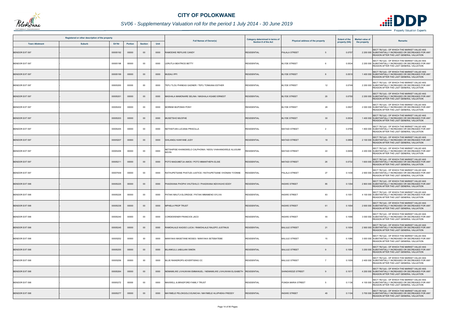

## *SV06 - Supplementary Valuation roll for the period 1 July 2014 - 30 June 2019*

|                       | Registered or other description of the property |          |                |                |      |                                                                    | Category determined in terms of | Physical address of the property       | <b>Extent of the</b> | <b>Market value of</b><br><b>Remarks</b>                                                                                                           |
|-----------------------|-------------------------------------------------|----------|----------------|----------------|------|--------------------------------------------------------------------|---------------------------------|----------------------------------------|----------------------|----------------------------------------------------------------------------------------------------------------------------------------------------|
| <b>Town Allotment</b> | <b>Suburb</b>                                   | Erf Nr   | <b>Portion</b> | <b>Section</b> | Unit | <b>Full Names of Owner(s)</b>                                      | <b>Section 8 of the Act</b>     |                                        | property (HA)        | the property                                                                                                                                       |
| <b>BENDOR EXT 097</b> |                                                 | 00005192 | 00000          | $00\,$         | 0000 | RAMODIKE REFILWE CANDY                                             | <b>RESIDENTIAL</b>              | PALALA STREET<br>5                     | 0.0757               | SECT 78(1)(d) - OF WHICH THE MARKET VALUE HAS<br>2 200 000 SUBSTANTIALLY INCREASED OR DECREASED FOR ANY<br>REASON AFTER THE LAST GENERAL VALUATION |
| BENDOR EXT 097        |                                                 | 00005198 | 00000          | 00             | 0000 | LERUTLA BEATRICE BETTY                                             | <b>RESIDENTIAL</b>              | <b>BLYDE STREET</b><br>6               | 0.0534               | SECT 78(1)(d) - OF WHICH THE MARKET VALUE HAS<br>2 200 000 SUBSTANTIALLY INCREASED OR DECREASED FOR ANY<br>REASON AFTER THE LAST GENERAL VALUATION |
| <b>BENDOR EXT 097</b> |                                                 | 00005199 | 00000          | $00\,$         | 0000 | MUDAU IPFI                                                         | <b>RESIDENTIAL</b>              | <b>BLYDE STREET</b>                    | 0.0510               | SECT 78(1)(d) - OF WHICH THE MARKET VALUE HAS<br>1 400 000 SUBSTANTIALLY INCREASED OR DECREASED FOR ANY<br>REASON AFTER THE LAST GENERAL VALUATION |
| BENDOR EXT 097        |                                                 | 00005200 | 00000          | 00             | 0000 | TEFU TLOU PHINEAS GADNER / TEFU TONKANA ESTHER                     | <b>RESIDENTIAL</b>              | <b>BLYDE STREET</b><br>12              | 0.0749               | SECT 78(1)(d) - OF WHICH THE MARKET VALUE HAS<br>2 200 000 SUBSTANTIALLY INCREASED OR DECREASED FOR ANY<br>REASON AFTER THE LAST GENERAL VALUATION |
| <b>BENDOR EXT 097</b> |                                                 | 00005201 | 00000          | $00\,$         | 0000 | MASHALA MAMONARE SELINA / MASHALA KGABO ERNEST                     | <b>RESIDENTIAL</b>              | 20<br><b>BLYDE STREET</b>              | 0.0750               | SECT 78(1)(d) - OF WHICH THE MARKET VALUE HAS<br>2 200 000 SUBSTANTIALLY INCREASED OR DECREASED FOR ANY<br>REASON AFTER THE LAST GENERAL VALUATION |
| BENDOR EXT 097        |                                                 | 00005202 | 00000          | 00             | 0000 | MOREMI MUPONISI PONY                                               | <b>RESIDENTIAL</b>              | <b>BLYDE STREET</b><br>28              | 0.0507               | SECT 78(1)(d) - OF WHICH THE MARKET VALUE HAS<br>2 000 000 SUBSTANTIALLY INCREASED OR DECREASED FOR ANY<br>REASON AFTER THE LAST GENERAL VALUATION |
| <b>BENDOR EXT 097</b> |                                                 | 00005203 | 00000          | $00\,$         | 0000 | MUSETSHO MUOFHE                                                    | <b>RESIDENTIAL</b>              | 30<br><b>BLYDE STREET</b>              | 0.0534               | SECT 78(1)(d) - OF WHICH THE MARKET VALUE HAS<br>1 400 000 SUBSTANTIALLY INCREASED OR DECREASED FOR ANY<br>REASON AFTER THE LAST GENERAL VALUATION |
| BENDOR EXT 097        |                                                 | 00005205 | 00000          | 00             | 0000 | NETHSITUNI LUCIANA PRISCILLA                                       | <b>RESIDENTIAL</b>              | <b>MATADI STREET</b><br>$\overline{2}$ | 0.0789               | SECT 78(1)(d) - OF WHICH THE MARKET VALUE HAS<br>1 800 000 SUBSTANTIALLY INCREASED OR DECREASED FOR ANY<br>REASON AFTER THE LAST GENERAL VALUATION |
| <b>BENDOR EXT 097</b> |                                                 | 00005207 | 00000          | $00\,$         | 0000 | SIHLANGU KANYANE JUDY                                              | <b>RESIDENTIAL</b>              | <b>MATADI STREET</b><br>18             | 0.0899               | SECT 78(1)(d) - OF WHICH THE MARKET VALUE HAS<br>2 100 000 SUBSTANTIALLY INCREASED OR DECREASED FOR ANY<br>REASON AFTER THE LAST GENERAL VALUATION |
| BENDOR EXT 097        |                                                 | 00005209 | 00000          | $00\,$         | 0000 | NETSHIPISE KHANGWELO CALPHONIA / NDOU VHAHANGWELE ALUGUMI<br>KEVIN | RESIDENTIAL                     | 22<br><b>MATADI STREET</b>             | 0.0658               | SECT 78(1)(d) - OF WHICH THE MARKET VALUE HAS<br>2 200 000 SUBSTANTIALLY INCREASED OR DECREASED FOR ANY<br>REASON AFTER THE LAST GENERAL VALUATION |
| <b>BENDOR EXT 097</b> |                                                 | 00005211 | 00000          | $00\,$         | 0000 | POTO MADUMETJA AMOS / POTO MMANTHEPA ELSIE                         | <b>RESIDENTIAL</b>              | <b>MATADI STREET</b><br>26             | 0.0732               | SECT 78(1)(d) - OF WHICH THE MARKET VALUE HAS<br>1 600 000 SUBSTANTIALLY INCREASED OR DECREASED FOR ANY<br>REASON AFTER THE LAST GENERAL VALUATION |
| BENDOR EXT 097        |                                                 | 00007939 | 00000          | 00             | 0000 | RATHUPETSANE PHATUDI JUSTICE / RATHUPETSANE VHONANI YVONNE         | <b>RESIDENTIAL</b>              | PALALA STREET<br>27                    | 0.1436               | SECT 78(1)(d) - OF WHICH THE MARKET VALUE HAS<br>2 900 000 SUBSTANTIALLY INCREASED OR DECREASED FOR ANY<br>REASON AFTER THE LAST GENERAL VALUATION |
| <b>BENDOR EXT 098</b> |                                                 | 00005225 | 00000          | $00\,$         | 0000 | PHASWANA PHOPHI VHUTSHILO / PHASWANA NDIVHUHO EDDY                 | <b>RESIDENTIAL</b>              | <b>INGWE STREET</b><br>85              | 0.1354               | SECT 78(1)(d) - OF WHICH THE MARKET VALUE HAS<br>2 800 000 SUBSTANTIALLY INCREASED OR DECREASED FOR ANY<br>REASON AFTER THE LAST GENERAL VALUATION |
| BENDOR EXT 098        |                                                 | 00005226 | 00000          | $00\,$         | 0000 | PATAKI MAUTJI ELORIDGE / PATAKI MMAMENO SYLVIA                     | <b>RESIDENTIAL</b>              | <b>INGWE STREET</b><br>83              | 0.105'               | SECT 78(1)(d) - OF WHICH THE MARKET VALUE HAS<br>4 100 000 SUBSTANTIALLY INCREASED OR DECREASED FOR ANY<br>REASON AFTER THE LAST GENERAL VALUATION |
| <b>BENDOR EXT 098</b> |                                                 | 00005238 | 00000          | $00\,$         | 0000 | MPHELA PROP TRUST                                                  | <b>RESIDENTIAL</b>              | <b>INGWE STREET</b><br>61              | 0.1054               | SECT 78(1)(d) - OF WHICH THE MARKET VALUE HAS<br>2 600 000 SUBSTANTIALLY INCREASED OR DECREASED FOR ANY<br>REASON AFTER THE LAST GENERAL VALUATION |
| BENDOR EXT 098        |                                                 | 00005240 | 00000          | 00             | 0000 | CORDEWENER FRANCIOS JACO                                           | <b>RESIDENTIAL</b>              | <b>INGWE STREET</b><br>55              | 0.1096               | SECT 78(1)(d) - OF WHICH THE MARKET VALUE HAS<br>3 000 000 SUBSTANTIALLY INCREASED OR DECREASED FOR ANY<br>REASON AFTER THE LAST GENERAL VALUATION |
| <b>BENDOR EXT 098</b> |                                                 | 00005245 | 00000          | $00\,$         | 0000 | RAMOHLALE KAGISO LUCIA / RAMOHLALE RALEPO JUSTINUS                 | <b>RESIDENTIAL</b>              | <b>BALULE STREET</b><br>21             | 0.1004               | SECT 78(1)(d) - OF WHICH THE MARKET VALUE HAS<br>2 900 000 SUBSTANTIALLY INCREASED OR DECREASED FOR ANY<br>REASON AFTER THE LAST GENERAL VALUATION |
| BENDOR EXT 098        |                                                 | 00005252 | 00000          | 00             | 0000 | MANYAKA MASETANE MOSES / MANYAKA SETEBATEBE                        | <b>RESIDENTIAL</b>              | <b>BALULE STREET</b><br>15             | 0.1086               | SECT 78(1)(d) - OF WHICH THE MARKET VALUE HAS<br>3 000 000 SUBSTANTIALLY INCREASED OR DECREASED FOR ANY<br>REASON AFTER THE LAST GENERAL VALUATION |
| BENDOR EXT 098        |                                                 | 00005255 | 00000          | $00\,$         | 0000 | BILANKULU JABULANI SIMON                                           | <b>RESIDENTIAL</b>              | <b>BALULE STREET</b><br>9              | 0.1094               | SECT 78(1)(d) - OF WHICH THE MARKET VALUE HAS<br>3 200 000 SUBSTANTIALLY INCREASED OR DECREASED FOR ANY<br>REASON AFTER THE LAST GENERAL VALUATION |
| BENDOR EXT 098        |                                                 | 00005256 | 00000          | 00             | 0000 | BLUE RAINDROPS ADVERTISING CC                                      | <b>RESIDENTIAL</b>              | <b>BALULE STREET</b><br>$\overline{7}$ | 0.1009               | SECT 78(1)(d) - OF WHICH THE MARKET VALUE HAS<br>2 400 000 SUBSTANTIALLY INCREASED OR DECREASED FOR ANY<br>REASON AFTER THE LAST GENERAL VALUATION |
| <b>BENDOR EXT 098</b> |                                                 | 00005264 | 00000          | $00\,$         | 0000 | NEMAMILWE LIVHUWANI EMMANUEL / NEMAMILWE LIVHUWANI ELISABETH       | <b>RESIDENTIAL</b>              | SHINGWEDZI STREET<br>9                 | 0.1017               | SECT 78(1)(d) - OF WHICH THE MARKET VALUE HAS<br>4 200 000 SUBSTANTIALLY INCREASED OR DECREASED FOR ANY<br>REASON AFTER THE LAST GENERAL VALUATION |
| BENDOR EXT 098        |                                                 | 00005272 | 00000          | $00\,$         | 0000 | MAXWELL & BRADFORD FAMILY TRUST                                    | <b>RESIDENTIAL</b>              | PUNDA MARIA STREET<br>-5               | 0.1136               | SECT 78(1)(d) - OF WHICH THE MARKET VALUE HAS<br>4 100 000 SUBSTANTIALLY INCREASED OR DECREASED FOR ANY<br>REASON AFTER THE LAST GENERAL VALUATION |
| BENDOR EXT 098        |                                                 | 00005277 | 00000          | $00\,$         | 0000 | MAYIMELE PELOKGOLO EUNICHA / MAYIMELE HLUPHEKA FREDDY              | <b>RESIDENTIAL</b>              | <b>INGWE STREET</b><br>49              | 0.1104               | SECT 78(1)(d) - OF WHICH THE MARKET VALUE HAS<br>3700 000 SUBSTANTIALLY INCREASED OR DECREASED FOR ANY<br>REASON AFTER THE LAST GENERAL VALUATION  |

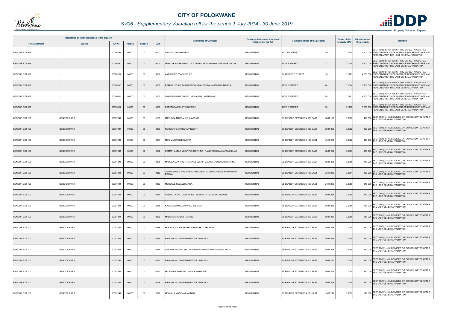

## *SV06 - Supplementary Valuation roll for the period 1 July 2014 - 30 June 2019*

|                       | Registered or other description of the property |               |                |                |      | <b>Full Names of Owner(s)</b>                                    | <b>Category determined in terms of</b> | Physical address of the property                       | <b>Extent of the</b> | <b>Market value of</b> | <b>Remarks</b>                                                                                                                                     |
|-----------------------|-------------------------------------------------|---------------|----------------|----------------|------|------------------------------------------------------------------|----------------------------------------|--------------------------------------------------------|----------------------|------------------------|----------------------------------------------------------------------------------------------------------------------------------------------------|
| <b>Town Allotment</b> | <b>Suburb</b>                                   | <b>Erf Nr</b> | <b>Portion</b> | <b>Section</b> | Unit |                                                                  | <b>Section 8 of the Act</b>            |                                                        | property (HA)        | the property           |                                                                                                                                                    |
| BENDOR EXT 098        |                                                 | 00005287      | 00000          | $00\,$         | 0000 | NXUMALO GIVEN MPISI                                              | <b>RESIDENTIAL</b>                     | <b>BALULE STREET</b><br>20                             | 0.112                |                        | SECT 78(1)(d) - OF WHICH THE MARKET VALUE HAS<br>3 400 000 SUBSTANTIALLY INCREASED OR DECREASED FOR ANY<br>REASON AFTER THE LAST GENERAL VALUATION |
| <b>BENDOR EXT 098</b> |                                                 | 00005290      | 00000          | $00\,$         | 0000 | LEKALAKALA MANTOA LUCY / LEKALAKALA MOKOLOANYANE JACOB           | <b>RESIDENTIAL</b>                     | <b>INGWE STREET</b><br>21                              | 0.1074               |                        | SECT 78(1)(d) - OF WHICH THE MARKET VALUE HAS<br>3 100 000 SUBSTANTIALLY INCREASED OR DECREASED FOR ANY<br>REASON AFTER THE LAST GENERAL VALUATION |
| <b>BENDOR EXT 098</b> |                                                 | 00005292      | 00000          | $00\,$         | 0000 | ANDISILWE TRADINGS CC                                            | <b>RESIDENTIAL</b>                     | 10<br>SHINGWEDZI STREET                                | 0.1123               |                        | SECT 78(1)(d) - OF WHICH THE MARKET VALUE HAS<br>4 300 000 SUBSTANTIALLY INCREASED OR DECREASED FOR ANY<br>REASON AFTER THE LAST GENERAL VALUATION |
| <b>BENDOR EXT 098</b> |                                                 | 00005310      | 00000          | $00\,$         | 0000 | REMBULUWANI THIHANEDZWI / MALETE MAMATSHENG MARCIA               | <b>RESIDENTIAL</b>                     | <b>INGWE STREET</b><br>24                              | 0.1074               |                        | SECT 78(1)(d) - OF WHICH THE MARKET VALUE HAS<br>3 100 000 SUBSTANTIALLY INCREASED OR DECREASED FOR ANY<br>REASON AFTER THE LAST GENERAL VALUATION |
| BENDOR EXT 098        |                                                 | 00005311      | 00000          | 00             | 0000 | NKHWASHU RAYMOND / NKHWASHU KHENSANI                             | <b>RESIDENTIAL</b>                     | 28<br><b>INGWE STREET</b>                              | 0.1161               |                        | SECT 78(1)(d) - OF WHICH THE MARKET VALUE HAS<br>4 900 000 SUBSTANTIALLY INCREASED OR DECREASED FOR ANY<br>REASON AFTER THE LAST GENERAL VALUATION |
| BENDOR EXT 098        |                                                 | 00005312      | 00000          | $00\,$         | 0000 | RAPETSOA MOLATELO FAITH                                          | <b>RESIDENTIAL</b>                     | <b>INGWE STREET</b><br>30                              | 0.1192               |                        | SECT 78(1)(d) - OF WHICH THE MARKET VALUE HAS<br>3 600 000 SUBSTANTIALLY INCREASED OR DECREASED FOR ANY<br>REASON AFTER THE LAST GENERAL VALUATION |
| BENDOR EXT 100        | <b>BENDOR PARK</b>                              | 00007341      | 00000          | $00\,$         | 0199 | MATHOSA MAKGAHLELA ABRAM                                         | <b>RESIDENTIAL</b>                     | <b>UNIT 199</b><br>SS BENDOR EXTENSION 100 EAST        | 0.0062               |                        | SECT 78(1)(c) - SUBDIVIDED OR CONSOLIDATED AFTER<br>420 000 THE LAST GENERAL VALUATION                                                             |
| <b>BENDOR EXT 100</b> | <b>BENDOR PARK</b>                              | 00007341      | 00000          | $00\,$         | 0200 | NGOBENI SHANISEKA VINCENT                                        | <b>RESIDENTIAL</b>                     | SS BENDOR EXTENSION 100 EAST<br><b>UNIT 200</b>        | 0.0062               |                        | 420 000 SECT 78(1)(c) - SUBDIVIDED OR CONSOLIDATED AFTER<br>THE LAST GENERAL VALUATION                                                             |
| BENDOR EXT 100        | <b>BENDOR PARK</b>                              | 00007341      | 00000          | 00             | 0201 | MOSIMA RAISIBE GLORIA                                            | RESIDENTIAL                            | <b>UNIT 201</b><br>SS BENDOR EXTENSION 100 EAST        | 0.0062               |                        | 420 000 SECT 78(1)(c) - SUBDIVIDED OR CONSOLIDATED AFTER<br>THE LAST GENERAL VALUATION                                                             |
| <b>BENDOR EXT 100</b> | <b>BENDOR PARK</b>                              | 00007341      | 00000          | $00\,$         | 0202 | RAMAPHAKELA MMAPITSI STEPHINA / RAMAPHAKELA MATOME ELIAS         | <b>RESIDENTIAL</b>                     | <b>UNIT 202</b><br>SS BENDOR EXTENSION 100 EAST        | 0.0063               |                        | 430 000 SECT 78(1)(c) - SUBDIVIDED OR CONSOLIDATED AFTER<br>THE LAST GENERAL VALUATION                                                             |
| BENDOR EXT 100        | <b>BENDOR PARK</b>                              | 00007341      | 00000          | 00             | 0205 | MADULA EDWARD NTSHENGEDZENI / MADULA TONDANI LORRAINE            | <b>RESIDENTIAL</b>                     | <b>UNIT 205</b><br>SS BENDOR EXTENSION 100 EAST        | 0.0065               |                        | 440 000 SECT 78(1)(c) - SUBDIVIDED OR CONSOLIDATED AFTER<br>THE LAST GENERAL VALUATION                                                             |
| BENDOR EXT 100        | <b>BENDOR PARK</b>                              | 00007341      | 00000          | $00\,$         | 0212 | SHIKOVHELE FHULUFHEDZANI WENDY / TSHIKOVHELE NNDWELENI<br>ERICAN | <b>RESIDENTIAL</b>                     | <b>UNIT 212</b><br>SS BENDOR EXTENSION 100 EAST        | 0.0064               |                        | 430 000 SECT 78(1)(c) - SUBDIVIDED OR CONSOLIDATED AFTER<br>THE LAST GENERAL VALUATION                                                             |
| BENDOR EXT 100        | <b>BENDOR PARK</b>                              | 00007341      | 00000          | 00             | 0233 | MOKOELE SELAELO ANNA                                             | <b>RESIDENTIAL</b>                     | SS BENDOR EXTENSION 100 EAST<br><b>UNIT 233</b>        | 0.0050               |                        | SECT 78(1)(c) - SUBDIVIDED OR CONSOLIDATED AFTER<br>340 000 THE LAST GENERAL VALUATION                                                             |
| <b>BENDOR EXT 100</b> | <b>BENDOR PARK</b>                              | 00007341      | 00000          | $00\,$         | 0234 | SEBITSO NOKO CATHERINE / SEBITSO NTSUNDENI SAMUEL                | <b>RESIDENTIAL</b>                     | SS BENDOR EXTENSION 100 EAST<br><b>UNIT 234</b>        | 0.0050               |                        | 340 000 SECT 78(1)(c) - SUBDIVIDED OR CONSOLIDATED AFTER<br>THE LAST GENERAL VALUATION                                                             |
| BENDOR EXT 100        | <b>BENDOR PARK</b>                              | 00007341      | 00000          | $00\,$         | 0235 | KALLA ASGAR ALI / PATEL ZULEIGA                                  | <b>RESIDENTIAL</b>                     | <b>UNIT 235</b><br>SS BENDOR EXTENSION 100 EAST        | 0.0050               | 340 000                | SECT 78(1)(c) - SUBDIVIDED OR CONSOLIDATED AFTER<br>THE LAST GENERAL VALUATION                                                                     |
| <b>BENDOR EXT 100</b> | <b>BENDOR PARK</b>                              | 00007341      | 00000          | $00\,$         | 0236 | <b>MALEKA SHARLOT RAISIBE</b>                                    | <b>RESIDENTIAL</b>                     | SS BENDOR EXTENSION 100 EAST<br><b>UNIT 236</b>        | 0.0050               |                        | 340 000 SECT 78(1)(c) - SUBDIVIDED OR CONSOLIDATED AFTER<br>THE LAST GENERAL VALUATION                                                             |
| BENDOR EXT 100        | <b>BENDOR PARK</b>                              | 00007341      | 00000          | $00\,$         | 0238 | MAKHAFOLA KGOROSHI MARGARET LEBOGANG                             | <b>RESIDENTIAL</b>                     | <b>UNIT 238</b><br>SS BENDOR EXTENSION 100 EAST        | 0.0050               |                        | 340 000 SECT 78(1)(c) - SUBDIVIDED OR CONSOLIDATED AFTER<br>THE LAST GENERAL VALUATION                                                             |
| <b>BENDOR EXT 100</b> | <b>BENDOR PARK</b>                              | 00007341      | 00000          | $00\,$         | 0239 | PROVINCIAL GOVERNMENT OF LIMPOPO                                 | <b>RESIDENTIAL</b>                     | <b>UNIT 239</b><br><b>SS BENDOR EXTENSION 100 EAST</b> | 0.0050               |                        | 340 000 SECT 78(1)(c) - SUBDIVIDED OR CONSOLIDATED AFTER<br>THE LAST GENERAL VALUATION                                                             |
| BENDOR EXT 100        | <b>BENDOR PARK</b>                              | 00007341      | 00000          | 00             | 0244 | SEHASWANA MALEBO ROSINAH / SEHASWANA MATOME AMOS                 | <b>RESIDENTIAL</b>                     | <b>UNIT 244</b><br>SS BENDOR EXTENSION 100 EAST        | 0.0050               |                        | 340 000 SECT 78(1)(c) - SUBDIVIDED OR CONSOLIDATED AFTER<br>THE LAST GENERAL VALUATION                                                             |
| BENDOR EXT 100        | <b>BENDOR PARK</b>                              | 00007341      | 00000          | $00\,$         | 0245 | PROVINCIAL GOVERNMENT OF LIMPOPO                                 | <b>RESIDENTIAL</b>                     | <b>UNIT 245</b><br>SS BENDOR EXTENSION 100 EAST        | 0.0050               |                        | 340 000 SECT 78(1)(c) - SUBDIVIDED OR CONSOLIDATED AFTER<br>THE LAST GENERAL VALUATION                                                             |
| BENDOR EXT 100        | <b>BENDOR PARK</b>                              | 00007341      | 00000          | $00\,$         | 0247 | MAJA MPHO MELIDA / MAJA KHIKHA PIET                              | <b>RESIDENTIAL</b>                     | <b>UNIT 247</b><br>SS BENDOR EXTENSION 100 EAST        | 0.0050               |                        | 340 000 SECT 78(1)(c) - SUBDIVIDED OR CONSOLIDATED AFTER<br>THE LAST GENERAL VALUATION                                                             |
| <b>BENDOR EXT 100</b> | <b>BENDOR PARK</b>                              | 00007341      | 00000          | $00\,$         | 0248 | PROVINCIAL GOVERNMENT OF LIMPOPO                                 | <b>RESIDENTIAL</b>                     | <b>UNIT 248</b><br>SS BENDOR EXTENSION 100 EAST        | 0.0050               |                        | 340 000 SECT 78(1)(c) - SUBDIVIDED OR CONSOLIDATED AFTER<br>THE LAST GENERAL VALUATION                                                             |
| BENDOR EXT 100        | <b>BENDOR PARK</b>                              | 00007341      | 00000          | $00\,$         | 0249 | MOHLALA MAGOANE ANNAH                                            | <b>RESIDENTIAL</b>                     | <b>UNIT 249</b><br>SS BENDOR EXTENSION 100 EAST        | 0.0050               |                        | SECT 78(1)(c) - SUBDIVIDED OR CONSOLIDATED AFTER<br>340 000 THE LAST GENERAL VALUATION                                                             |

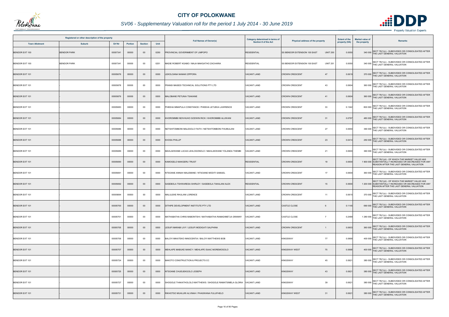

## *SV06 - Supplementary Valuation roll for the period 1 July 2014 - 30 June 2019*

|                       | Registered or other description of the property |          |                |                |      |                                                            | Category determined in terms of | Physical address of the property                       | <b>Extent of the</b> | <b>Market value of</b><br><b>Remarks</b>                                                                                                           |
|-----------------------|-------------------------------------------------|----------|----------------|----------------|------|------------------------------------------------------------|---------------------------------|--------------------------------------------------------|----------------------|----------------------------------------------------------------------------------------------------------------------------------------------------|
| <b>Town Allotment</b> | <b>Suburb</b>                                   | Erf Nr   | <b>Portion</b> | <b>Section</b> | Unit | <b>Full Names of Owner(s)</b>                              | <b>Section 8 of the Act</b>     |                                                        | property (HA)        | the property                                                                                                                                       |
| <b>BENDOR EXT 100</b> | <b>BENDOR PARK</b>                              | 00007341 | 00000          | $00\,$         | 0250 | ROVINCIAL GOVERNMENT OF LIMPOPO                            | <b>RESIDENTIAL</b>              | <b>SS BENDOR EXTENSION 100 EAST</b><br><b>UNIT 250</b> | 0.0050               | SECT 78(1)(c) - SUBDIVIDED OR CONSOLIDATED AFTER<br>340 000 THE LAST GENERAL VALUATION                                                             |
| BENDOR EXT 100        | <b>BENDOR PARK</b>                              | 00007341 | 00000          | $00\,$         | 0251 | MADIE ROBERT KGABO / MAJA MAKGATHO ZACHARIA                | <b>RESIDENTIAL</b>              | <b>UNIT 251</b><br>SS BENDOR EXTENSION 100 EAST        | 0.0050               | 340 000 SECT 78(1)(c) - SUBDIVIDED OR CONSOLIDATED AFTER<br>THE LAST GENERAL VALUATION                                                             |
| <b>BENDOR EXT 101</b> |                                                 | 00005676 | 00000          | $00\,$         | 0000 | LEKOLOANA NANAKI ZIPPORA                                   | <b>VACANT LAND</b>              | <b>CROWN CRESCENT</b><br>47                            | 0.0619               | SECT 78(1)(c) - SUBDIVIDED OR CONSOLIDATED AFTER<br>370 000 THE LAST GENERAL VALUATION                                                             |
| BENDOR EXT 101        |                                                 | 00005678 | 00000          | 00             | 0000 | FRANSI MASEDI TECHNICAL SOLUTIONS PTY LTD                  | <b>VACANT LAND</b>              | <b>CROWN CRESCENT</b><br>43                            | 0.0604               | SECT 78(1)(c) - SUBDIVIDED OR CONSOLIDATED AFTER<br>360 000 THE LAST GENERAL VALUATION                                                             |
| <b>BENDOR EXT 101</b> |                                                 | 00005679 | 00000          | $00\,$         | 0000 | MALOBANE PETUNIA TSAKANE                                   | <b>VACANT LAND</b>              | <b>CROWN CRESCENT</b><br>41                            | 0.0604               | 360 000 SECT 78(1)(c) - SUBDIVIDED OR CONSOLIDATED AFTER<br>THE LAST GENERAL VALUATION                                                             |
| BENDOR EXT 101        |                                                 | 00005683 | 00000          | 00             | 0000 | PHEEHA MMAPULA CONSTANCE / PHEEHA LETJEKA LAWRENCE         | <b>VACANT LAND</b>              | 33<br><b>CROWN CRESCENT</b>                            | 0.1342               | SECT 78(1)(c) - SUBDIVIDED OR CONSOLIDATED AFTER<br>800 000 THE LAST GENERAL VALUATION                                                             |
| BENDOR EXT 101        |                                                 | 00005684 | 00000          | $00\,$         | 0000 | KHOROMMBI NDIVHUHO GODWIN RICK / KHOROMMBI ALUWANI         | <b>VACANT LAND</b>              | 31<br><b>CROWN CRESCENT</b>                            | 0.0797               | SECT 78(1)(c) - SUBDIVIDED OR CONSOLIDATED AFTER<br>480 000 THE LAST GENERAL VALUATION                                                             |
| BENDOR EXT 101        |                                                 | 00005686 | 00000          | 00             | 0000 | NETSHITOMBONI MALESOLO FAITH / NETSHITOMBONI FHUMULANI     | <b>VACANT LAND</b>              | 27<br><b>CROWN CRESCENT</b>                            | 0.0650               | 390 000 SECT 78(1)(c) - SUBDIVIDED OR CONSOLIDATED AFTER<br>THE LAST GENERAL VALUATION                                                             |
| BENDOR EXT 101        |                                                 | 00005688 | 00000          | $00\,$         | 0000 | <b>KHOSA PHILLIP</b>                                       | <b>VACANT LAND</b>              | <b>CROWN CRESCENT</b><br>23                            | 0.0414               | SECT 78(1)(c) - SUBDIVIDED OR CONSOLIDATED AFTER<br>250 000 THE LAST GENERAL VALUATION                                                             |
| BENDOR EXT 101        |                                                 | 00005689 | 00000          | $00\,$         | 0000 | MAHLAKWANE LUCAS LEHLOGONOLO / MAHLAKWANE YOLANDA THEMBI   | <b>/ACANT LAND</b>              | 21<br><b>CROWN CRESCENT</b>                            | 0.0600               | SECT 78(1)(c) - SUBDIVIDED OR CONSOLIDATED AFTER<br>360 000 THE LAST GENERAL VALUATION                                                             |
| BENDOR EXT 101        |                                                 | 00005690 | 00000          | $00\,$         | 0000 | KAMOGELO MAKGERU TRUST                                     | <b>RESIDENTIAL</b>              | <b>CROWN CRESCENT</b><br>19                            | 0.0600               | SECT 78(1)(d) - OF WHICH THE MARKET VALUE HAS<br>1 900 000 SUBSTANTIALLY INCREASED OR DECREASED FOR ANY<br>REASON AFTER THE LAST GENERAL VALUATION |
| BENDOR EXT 101        |                                                 | 00005691 | 00000          | $00\,$         | 0000 | NTSOANE ANNAH MALEMANE / NTSOANE MODITI SAMUEL             | <b>VACANT LAND</b>              | <b>CROWN CRESCENT</b><br>17                            | 0.0600               | 360 000 SECT 78(1)(c) - SUBDIVIDED OR CONSOLIDATED AFTER<br>THE LAST GENERAL VALUATION                                                             |
| BENDOR EXT 101        |                                                 | 00005692 | 00000          | $00\,$         | 0000 | SASEBOLA TSHWARESA SHIRLEY / SASEBOLA TAKALANI ALEX        | <b>RESIDENTIAL</b>              | <b>CROWN CRESCENT</b><br>15                            | 0.0600               | SECT 78(1)(d) - OF WHICH THE MARKET VALUE HAS<br>1 200 000 SUBSTANTIALLY INCREASED OR DECREASED FOR ANY<br>REASON AFTER THE LAST GENERAL VALUATION |
| BENDOR EXT 101        |                                                 | 00005694 | 00000          | 00             | 0000 | MALULEKE RHULANI LORENCE                                   | <b>VACANT LAND</b>              | <b>CROWN CRESCENT</b><br>11                            | 0.061                | 370 000 SECT 78(1)(c) - SUBDIVIDED OR CONSOLIDATED AFTER<br>THE LAST GENERAL VALUATION                                                             |
| <b>BENDOR EXT 101</b> |                                                 | 00005700 | 00000          | $00\,$         | 0000 | DITHIPE DEVELOPMENT INSTITUTE PTY LTD                      | <b>VACANT LAND</b>              | CASTLE CLOSE<br>6                                      | 0.1145               | SECT 78(1)(c) - SUBDIVIDED OR CONSOLIDATED AFTER<br>690 000<br>THE LAST GENERAL VALUATION                                                          |
| BENDOR EXT 101        |                                                 | 00005701 | 00000          | 00             | 0000 | MATHABATHA CHRIS MABONTSHI / MATHABATHA RAMADIMETJA GRANNY | VACANT LAND                     | <b>CASTLE CLOSE</b><br>$\overline{7}$                  | 0.2489               | SECT 78(1)(c) - SUBDIVIDED OR CONSOLIDATED AFTER<br>1 280 000 THE LAST GENERAL VALUATION                                                           |
| BENDOR EXT 101        |                                                 | 00005705 | 00000          | $00\,$         | 0000 | LESUFI MARABI LIVY / LESUFI MODIGATI SALPHINA              | <b>VACANT LAND</b>              | <b>CROWN CRESCENT</b><br>-1                            | 0.0603               | 360 000 SECT 78(1)(c) - SUBDIVIDED OR CONSOLIDATED AFTER<br>THE LAST GENERAL VALUATION                                                             |
| BENDOR EXT 101        |                                                 | 00005706 | 00000          | 00             | 0000 | BALOYI MIKATEKO INNOCENTIA / BALOYI MATTHEWS BOB           | <b>VACANT LAND</b>              | 77<br><b>KINGSWAY</b>                                  | 0.0668               | 400 000 SECT 78(1)(c) - SUBDIVIDED OR CONSOLIDATED AFTER<br>THE LAST GENERAL VALUATION                                                             |
| <b>BENDOR EXT 101</b> |                                                 | 00005707 | 00000          | $00\,$         | 0000 | MEHLAPE MABUKE MANCY / MEHLAPE ISAAC MOREMOGOLO            | <b>VACANT LAND</b>              | <b>KINGSWAY WEST</b><br>75                             | 0.0668               | SECT 78(1)(c) - SUBDIVIDED OR CONSOLIDATED AFTER<br>400 000 THE LAST GENERAL VALUATION                                                             |
| BENDOR EXT 101        |                                                 | 00005724 | 00000          | $00\,$         | 0000 | BAKOTO CONSTRUCTION & PROJECTS CC                          | <b>VACANT LAND</b>              | <b>KINGSWAY</b><br>45                                  | 0.0621               | 380 000 SECT 78(1)(c) - SUBDIVIDED OR CONSOLIDATED AFTER<br>THE LAST GENERAL VALUATION                                                             |
| BENDOR EXT 101        |                                                 | 00005725 | 00000          | $00\,$         | 0000 | NTSOANE CHUEUEKGOLO JOSEPH                                 | <b>VACANT LAND</b>              | <b>KINGSWAY</b><br>43                                  | 0.0621               | 380 000 SECT 78(1)(c) - SUBDIVIDED OR CONSOLIDATED AFTER<br>THE LAST GENERAL VALUATION                                                             |
| BENDOR EXT 101        |                                                 | 00005727 | 00000          | $00\,$         | 0000 | SHOGOLE THAKATHOLOLO MATTHEWS / SHOGOLE RAMATSIMELA GLORIA | <b>VACANT LAND</b>              | <b>KINGSWAY</b><br>39                                  | 0.0621               | 380 000 SECT 78(1)(c) - SUBDIVIDED OR CONSOLIDATED AFTER<br>THE LAST GENERAL VALUATION                                                             |
| BENDOR EXT 101        |                                                 | 00005731 | 00000          | $00\,$         | 0000 | RIKHOTSO MUHLURI ALVINAH / PHASWANA FULUFHELO              | <b>VACANT LAND</b>              | <b>KINGSWAY WEST</b><br>31                             | 0.0621               | SECT 78(1)(c) - SUBDIVIDED OR CONSOLIDATED AFTER<br>380 000 THE LAST GENERAL VALUATION                                                             |

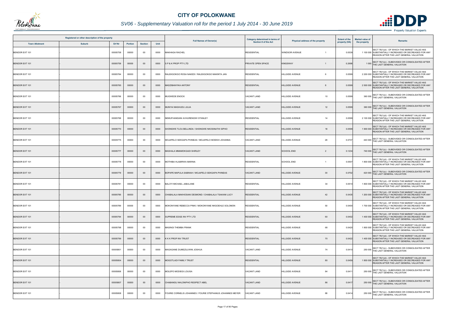

## *SV06 - Supplementary Valuation roll for the period 1 July 2014 - 30 June 2019*

|                       | Registered or other description of the property |                |                |      |                                                            | Category determined in terms of |                                         | <b>Extent of the</b> | <b>Market value of</b>                                                                                                                             |
|-----------------------|-------------------------------------------------|----------------|----------------|------|------------------------------------------------------------|---------------------------------|-----------------------------------------|----------------------|----------------------------------------------------------------------------------------------------------------------------------------------------|
| <b>Town Allotment</b> | Erf Nr<br><b>Suburb</b>                         | <b>Portion</b> | <b>Section</b> | Unit | <b>Full Names of Owner(s)</b>                              | <b>Section 8 of the Act</b>     | <b>Physical address of the property</b> | property (HA)        | <b>Remarks</b><br>the property                                                                                                                     |
| BENDOR EXT 101        | 00005758                                        | 00000          | $00\,$         | 0000 | MAKHAGA RACHEL                                             | <b>RESIDENTIAL</b>              | <b>WINDSOR AVENUE</b><br>$\overline{1}$ | 0.0539               | SECT 78(1)(d) - OF WHICH THE MARKET VALUE HAS<br>1 100 000 SUBSTANTIALLY INCREASED OR DECREASED FOR ANY<br>REASON AFTER THE LAST GENERAL VALUATION |
| <b>BENDOR EXT 101</b> | 00005759                                        | 00000          | $00\,$         | 0000 | SP&K PROP PTY LTD                                          | PRIVATE OPEN SPACE              | <b>KINGSWAY</b><br>-1                   | 0.2698               | SECT 78(1)(c) - SUBDIVIDED OR CONSOLIDATED AFTER<br>1 000 THE LAST GENERAL VALUATION                                                               |
| BENDOR EXT 101        | 00005764                                        | 00000          | 00             | 0000 | RALEKGOKGO ROSA NAKEDI / RALEKGOKGO MAKINTA JAN            | <b>RESIDENTIAL</b>              | <b>HILLSIDE AVENUE</b>                  | 0.0599               | SECT 78(1)(d) - OF WHICH THE MARKET VALUE HAS<br>2 200 000 SUBSTANTIALLY INCREASED OR DECREASED FOR ANY<br>REASON AFTER THE LAST GENERAL VALUATION |
| <b>BENDOR EXT 101</b> | 00005765                                        | 00000          | $00\,$         | 0000 | MADZIBANYIKA ANTONY                                        | <b>RESIDENTIAL</b>              | <b>HILLSIDE AVENUE</b><br>8             | 0.0599               | SECT 78(1)(d) - OF WHICH THE MARKET VALUE HAS<br>2 500 000 SUBSTANTIALLY INCREASED OR DECREASED FOR ANY<br>REASON AFTER THE LAST GENERAL VALUATION |
| BENDOR EXT 101        | 00005766                                        | 00000          | $00\,$         | 0000 | MUGWEDE ENOCK                                              | VACANT LAND                     | <b>HILLSIDE AVENUE</b><br>10            | 0.0599               | 360 000 SECT 78(1)(c) - SUBDIVIDED OR CONSOLIDATED AFTER<br>THE LAST GENERAL VALUATION                                                             |
| BENDOR EXT 101        | 00005767                                        | 00000          | $00\,$         | 0000 | MUNYAI MASHUDU JULIA                                       | <b>VACANT LAND</b>              | <b>HILLSIDE AVENUE</b><br>12            | 0.0599               | 360 000 SECT 78(1)(c) - SUBDIVIDED OR CONSOLIDATED AFTER<br>THE LAST GENERAL VALUATION                                                             |
| BENDOR EXT 101        | 00005768                                        | 00000          | $00\,$         | 0000 | NEMUFHANDANI AVHURENGWI STANLEY                            | <b>RESIDENTIAL</b>              | <b>HILLSIDE AVENUE</b><br>14            | 0.0599               | SECT 78(1)(d) - OF WHICH THE MARKET VALUE HAS<br>2 100 000 SUBSTANTIALLY INCREASED OR DECREASED FOR ANY<br>REASON AFTER THE LAST GENERAL VALUATION |
| BENDOR EXT 101        | 00005770                                        | 00000          | $00\,$         | 0000 | SHONGWE TLOU BELLINDA / SHONGWE NKOSINATHI SIPHO           | <b>RESIDENTIAL</b>              | <b>HILLSIDE AVENUE</b><br>18            | 0.0599               | SECT 78(1)(d) - OF WHICH THE MARKET VALUE HAS<br>1 900 000 SUBSTANTIALLY INCREASED OR DECREASED FOR ANY<br>REASON AFTER THE LAST GENERAL VALUATION |
| BENDOR EXT 101        | 00005775                                        | 00000          | 00             | 0000 | MOJAPELO SEKGAPA PHINEAS / MOJAPELO MOEKHI JOHANNA         | <b>VACANT LAND</b>              | 28<br><b>HILLSIDE AVENUE</b>            | 0.0737               | 440 000 SECT 78(1)(c) - SUBDIVIDED OR CONSOLIDATED AFTER<br>THE LAST GENERAL VALUATION                                                             |
| <b>BENDOR EXT 101</b> | 00005777                                        | 00000          | $00\,$         | 0000 | MASHALA MMAMOKGADI SHIRLEY                                 | <b>VACANT LAND</b>              | <b>SCHOOL END</b><br>$\overline{2}$     | 0.1234               | SECT 78(1)(c) - SUBDIVIDED OR CONSOLIDATED AFTER<br>740 000 THE LAST GENERAL VALUATION                                                             |
| BENDOR EXT 101        | 00005778                                        | 00000          | 00             | 0000 | MOTHIBA HLABIRWA MARINA                                    | <b>RESIDENTIAL</b>              | <b>SCHOOL END</b><br>$\overline{1}$     | 0.0507               | SECT 78(1)(d) - OF WHICH THE MARKET VALUE HAS<br>1 800 000 SUBSTANTIALLY INCREASED OR DECREASED FOR ANY<br>REASON AFTER THE LAST GENERAL VALUATION |
| BENDOR EXT 101        | 00005779                                        | 00000          | $00\,$         | 0000 | BOPAPE MAPULA SABINAH / MOJAPELO SEKGAPA PHINEAS           | <b>VACANT LAND</b>              | <b>HILLSIDE AVENUE</b><br>30            | 0.0702               | 420 000 SECT 78(1)(c) - SUBDIVIDED OR CONSOLIDATED AFTER<br>THE LAST GENERAL VALUATION                                                             |
| BENDOR EXT 101        | 00005781                                        | 00000          | $00\,$         | 0000 | BALOYI MICHAEL JABULANE                                    | <b>RESIDENTIAL</b>              | 34<br><b>HILLSIDE AVENUE</b>            | 0.0510               | SECT 78(1)(d) - OF WHICH THE MARKET VALUE HAS<br>1 800 000 SUBSTANTIALLY INCREASED OR DECREASED FOR ANY<br>REASON AFTER THE LAST GENERAL VALUATION |
| BENDOR EXT 101        | 00005785                                        | 00000          | 00             | 0000 | CHABALALA MAKHOSANI DESMOND / CHABALALA TSAKANI LUCY       | <b>RESIDENTIAL</b>              | <b>HILLSIDE AVENUE</b><br>42            | 0.0435               | SECT 78(1)(d) - OF WHICH THE MARKET VALUE HAS<br>1 200 000 SUBSTANTIALLY INCREASED OR DECREASED FOR ANY<br>REASON AFTER THE LAST GENERAL VALUATION |
| BENDOR EXT 101        | 00005789                                        | 00000          | 00             | 0000 | MOKONYANE REBECCA PINKI / MOKONYANE NKGOEHLE SOLOMON       | <b>RESIDENTIAL</b>              | 50<br>HILLSIDE AVENUE                   | 0.0400               | SECT 78(1)(d) - OF WHICH THE MARKET VALUE HAS<br>1 700 000 SUBSTANTIALLY INCREASED OR DECREASED FOR ANY<br>REASON AFTER THE LAST GENERAL VALUATION |
| <b>BENDOR EXT 101</b> | 00005794                                        | 00000          | $00\,$         | 0000 | SUPREME EDGE INV PTY LTD                                   | <b>RESIDENTIAL</b>              | 60<br><b>HILLSIDE AVENUE</b>            | 0.0402               | SECT 78(1)(d) - OF WHICH THE MARKET VALUE HAS<br>1 400 000 SUBSTANTIALLY INCREASED OR DECREASED FOR ANY<br>REASON AFTER THE LAST GENERAL VALUATION |
| BENDOR EXT 101        | 00005798                                        | 00000          | 00             | 0000 | <b>MASINGI THEMBA FRANK</b>                                | <b>RESIDENTIAL</b>              | <b>HILLSIDE AVENUE</b><br>68            | 0.0420               | SECT 78(1)(d) - OF WHICH THE MARKET VALUE HAS<br>1 800 000 SUBSTANTIALLY INCREASED OR DECREASED FOR ANY<br>REASON AFTER THE LAST GENERAL VALUATION |
| <b>BENDOR EXT 101</b> | 00005799                                        | 00000          | $00\,$         | 0000 | <b>KKK PROP INV TRUST</b>                                  | <b>RESIDENTIAL</b>              | <b>HILLSIDE AVENUE</b><br>70            | 0.0422               | SECT 78(1)(d) - OF WHICH THE MARKET VALUE HAS<br>1 400 000 SUBSTANTIALLY INCREASED OR DECREASED FOR ANY<br>REASON AFTER THE LAST GENERAL VALUATION |
| BENDOR EXT 101        | 00005801                                        | 00000          | 00             | 0000 | MAGAGANE DUMEZULWINI JOSHUA                                | <b>VACANT LAND</b>              | <b>HILLSIDE AVENUE</b><br>74            | 0.0410               | SECT 78(1)(c) - SUBDIVIDED OR CONSOLIDATED AFTER<br>250 000 THE LAST GENERAL VALUATION                                                             |
| BENDOR EXT 101        | 00005804                                        | 00000          | $00\,$         | 0000 | MOGOTLADI FAMILY TRUST                                     | <b>RESIDENTIAL</b>              | <b>HILLSIDE AVENUE</b><br>80            | 0.0459               | SECT 78(1)(d) - OF WHICH THE MARKET VALUE HAS<br>1 800 000 SUBSTANTIALLY INCREASED OR DECREASED FOR ANY<br>REASON AFTER THE LAST GENERAL VALUATION |
| BENDOR EXT 101        | 00005806                                        | 00000          | 00             | 0000 | MOLEPO MODIEGI LOUISA                                      | VACANT LAND                     | 84<br><b>HILLSIDE AVENUE</b>            | 0.0411               | SECT 78(1)(c) - SUBDIVIDED OR CONSOLIDATED AFTER<br>250 000 THE LAST GENERAL VALUATION                                                             |
| BENDOR EXT 101        | 00005807                                        | 00000          | $00\,$         | 0000 | CHABANGU NHLONIPHO RESPECT ABEL                            | <b>VACANT LAND</b>              | <b>HILLSIDE AVENUE</b><br>86            | 0.0417               | 250 000 SECT 78(1)(c) - SUBDIVIDED OR CONSOLIDATED AFTER<br>THE LAST GENERAL VALUATION                                                             |
| BENDOR EXT 101        | 00005808                                        | 00000          | 00             | 0000 | FOURIE CORNELIS JOHANNES / FOURIE STEPHANUS JOHANNES MEYER | <b>VACANT LAND</b>              | <b>HILLSIDE AVENUE</b><br>88            | 0.0414               | SECT 78(1)(c) - SUBDIVIDED OR CONSOLIDATED AFTER<br>250 000 THE LAST GENERAL VALUATION                                                             |

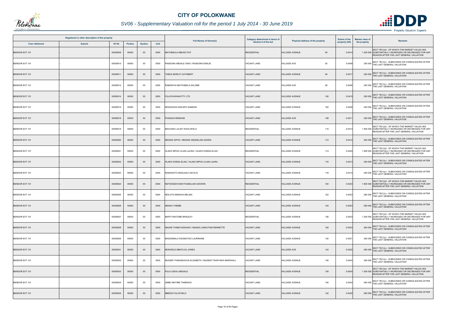

## *SV06 - Supplementary Valuation roll for the period 1 July 2014 - 30 June 2019*

|                       | Registered or other description of the property |          |                |                |      | <b>Full Names of Owner(s)</b>                            | Category determined in terms of |                                  | <b>Extent of the</b> | <b>Market value of</b><br>Remarks                                                                                                                  |
|-----------------------|-------------------------------------------------|----------|----------------|----------------|------|----------------------------------------------------------|---------------------------------|----------------------------------|----------------------|----------------------------------------------------------------------------------------------------------------------------------------------------|
| <b>Town Allotment</b> | <b>Suburb</b>                                   | Erf Nr   | <b>Portion</b> | <b>Section</b> | Unit |                                                          | Section 8 of the Act            | Physical address of the property | property (HA)        | the property                                                                                                                                       |
| <b>BENDOR EXT 101</b> |                                                 | 00005809 | 00000          | $00\,$         | 0000 | <b>MATHEBULA MBUSO PAT</b>                               | <b>RESIDENTIAL</b>              | <b>HILLSIDE AVENUE</b><br>90     | 0.041                | SECT 78(1)(d) - OF WHICH THE MARKET VALUE HAS<br>1 300 000 SUBSTANTIALLY INCREASED OR DECREASED FOR ANY<br>REASON AFTER THE LAST GENERAL VALUATION |
| BENDOR EXT 101        |                                                 | 00005810 | 00000          | $00\,$         | 0000 | RASEONA ABGALE ONOI / RASEONA ENSLIE                     | <b>VACANT LAND</b>              | <b>HILLSIDE AVE</b><br>92        | 0.0408               | SECT 78(1)(c) - SUBDIVIDED OR CONSOLIDATED AFTER<br>250 000 THE LAST GENERAL VALUATION                                                             |
| <b>BENDOR EXT 101</b> |                                                 | 00005811 | 00000          | $00\,$         | 0000 | <b>HEKA MORUTI CATHBERT</b>                              | <b>VACANT LAND</b>              | <b>HILLSIDE AVENUE</b><br>94     | 0.0417               | SECT 78(1)(c) - SUBDIVIDED OR CONSOLIDATED AFTER<br>250 000 THE LAST GENERAL VALUATION                                                             |
| BENDOR EXT 101        |                                                 | 00005812 | 00000          | 00             | 0000 | RAMONYAI MATHOBELA SALOME                                | <b>VACANT LAND</b>              | 96<br><b>HILLSIDE AVE</b>        | 0.0406               | 240 000 SECT 78(1)(c) - SUBDIVIDED OR CONSOLIDATED AFTER<br>THE LAST GENERAL VALUATION                                                             |
| <b>BENDOR EXT 101</b> |                                                 | 00005814 | 00000          | $00\,$         | 0000 | FULUFHUWANI PTY LTD                                      | <b>VACANT LAND</b>              | 100<br><b>HILLSIDE AVENUE</b>    | 0.0415               | 250 000 SECT 78(1)(c) - SUBDIVIDED OR CONSOLIDATED AFTER<br>THE LAST GENERAL VALUATION                                                             |
| BENDOR EXT 101        |                                                 | 00005815 | 00000          | 00             | 0000 | MOGASHOA MOLEPA SAMSON                                   | <b>VACANT LAND</b>              | 102<br><b>HILLSIDE AVENUE</b>    | 0.0406               | SECT 78(1)(c) - SUBDIVIDED OR CONSOLIDATED AFTER<br>240 000 THE LAST GENERAL VALUATION                                                             |
| <b>BENDOR EXT 101</b> |                                                 | 00005818 | 00000          | $00\,$         | 0000 | PHADAGI RENDANI                                          | <b>VACANT LAND</b>              | <b>HILLSIDE AVE</b><br>108       | 0.041                | 250 000 SECT 78(1)(c) - SUBDIVIDED OR CONSOLIDATED AFTER<br>THE LAST GENERAL VALUATION                                                             |
| BENDOR EXT 101        |                                                 | 00005819 | 00000          | 00             | 0000 | MACHAKA JULIET KHOLOFELO                                 | <b>RESIDENTIAL</b>              | <b>HILLSIDE AVENUE</b><br>110    | 0.0414               | SECT 78(1)(d) - OF WHICH THE MARKET VALUE HAS<br>1 900 000 SUBSTANTIALLY INCREASED OR DECREASED FOR ANY<br>REASON AFTER THE LAST GENERAL VALUATION |
| BENDOR EXT 101        |                                                 | 00005820 | 00000          | $00\,$         | 0000 | MKANSI ZIPHO / MKANSI AMUKELANI AZARIA                   | <b>VACANT LAND</b>              | <b>HILLSIDE AVENUE</b><br>112    | 0.0412               | 250 000 SECT 78(1)(c) - SUBDIVIDED OR CONSOLIDATED AFTER<br>THE LAST GENERAL VALUATION                                                             |
| BENDOR EXT 101        |                                                 | 00005821 | 00000          | $00\,$         | 0000 | HLAKO MPHO LILIAN LAURA / HLAKO KOENA ELIAS              | <b>RESIDENTIAL</b>              | <b>HILLSIDE AVENUE</b><br>114    | 0.0420               | SECT 78(1)(d) - OF WHICH THE MARKET VALUE HAS<br>1 900 000 SUBSTANTIALLY INCREASED OR DECREASED FOR ANY<br>REASON AFTER THE LAST GENERAL VALUATION |
| BENDOR EXT 101        |                                                 | 00005822 | 00000          | $00\,$         | 0000 | HLAKO KOENA ELIAS / HLAKO MPHO LILIAN LAURA              | <b>VACANT LAND</b>              | <b>HILLSIDE AVENUE</b><br>116    | 0.0413               | 250 000 SECT 78(1)(c) - SUBDIVIDED OR CONSOLIDATED AFTER<br>THE LAST GENERAL VALUATION                                                             |
| BENDOR EXT 101        |                                                 | 00005823 | 00000          | $00\,$         | 0000 | RANGWATO MODJADJI CECILIA                                | <b>VACANT LAND</b>              | <b>HILLSIDE AVENUE</b><br>118    | 0.0415               | 250 000 SECT 78(1)(c) - SUBDIVIDED OR CONSOLIDATED AFTER<br>THE LAST GENERAL VALUATION                                                             |
| BENDOR EXT 101        |                                                 | 00005824 | 00000          | $00\,$         | 0000 | NETSHIDZIVHANI FHUMULANI GODWIN                          | <b>RESIDENTIAL</b>              | <b>HILLSIDE AVENUE</b><br>120    | 0.0423               | SECT 78(1)(d) - OF WHICH THE MARKET VALUE HAS<br>1 800 000 SUBSTANTIALLY INCREASED OR DECREASED FOR ANY<br>REASON AFTER THE LAST GENERAL VALUATION |
| BENDOR EXT 101        |                                                 | 00005825 | 00000          | $00\,$         | 0000 | MOLOTO MANAHA MELINA                                     | <b>VACANT LAND</b>              | <b>HILLSIDE AVENUE</b><br>122    | 0.0423               | 260 000 SECT 78(1)(c) - SUBDIVIDED OR CONSOLIDATED AFTER<br>THE LAST GENERAL VALUATION                                                             |
| <b>BENDOR EXT 101</b> |                                                 | 00005826 | 00000          | $00\,$         | 0000 | <b>MDAKA THEMBI</b>                                      | <b>VACANT LAND</b>              | <b>HILLSIDE AVENUE</b><br>124    | 0.0423               | SECT 78(1)(c) - SUBDIVIDED OR CONSOLIDATED AFTER<br>260 000 THE LAST GENERAL VALUATION                                                             |
| BENDOR EXT 101        |                                                 | 00005827 | 00000          | 00             | 0000 | <b>MAPITI MATOME BRADLEY</b>                             | <b>RESIDENTIAL</b>              | 126<br><b>HILLSIDE AVENUE</b>    | 0.0423               | SECT 78(1)(d) - OF WHICH THE MARKET VALUE HAS<br>1 200 000 SUBSTANTIALLY INCREASED OR DECREASED FOR ANY<br>REASON AFTER THE LAST GENERAL VALUATION |
| <b>BENDOR EXT 101</b> |                                                 | 00005828 | 00000          | $00\,$         | 0000 | MAAKE THABO NGWAKO / MAAKE LANGUTANI RENNETTE            | <b>VACANT LAND</b>              | <b>HILLSIDE AVENUE</b><br>128    | 0.0423               | 260 000 SECT 78(1)(c) - SUBDIVIDED OR CONSOLIDATED AFTER<br>THE LAST GENERAL VALUATION                                                             |
| BENDOR EXT 101        |                                                 | 00005829 | 00000          | 00             | 0000 | MADIDIMALO KGOMOTSO LAURRAINE                            | <b>VACANT LAND</b>              | <b>HILLSIDE AVENUE</b><br>130    | 0.0421               | 260 000 SECT 78(1)(c) - SUBDIVIDED OR CONSOLIDATED AFTER<br>THE LAST GENERAL VALUATION                                                             |
| BENDOR EXT 101        |                                                 | 00005831 | 00000          | $00\,$         | 0000 | MOKWELE MMATLOU JONES                                    | <b>VACANT LAND</b>              | <b>HILLSIDE AVE</b><br>134       | 0.0422               | SECT 78(1)(c) - SUBDIVIDED OR CONSOLIDATED AFTER<br>260 000 THE LAST GENERAL VALUATION                                                             |
| BENDOR EXT 101        |                                                 | 00005832 | 00000          | 00             | 0000 | MUGERI THINANDAVHA ELIZABETH / MUGERI TSHIFHIWA MARSHALL | <b>VACANT LAND</b>              | 136<br><b>HILLSIDE AVENUE</b>    | 0.0424               | 260 000 SECT 78(1)(c) - SUBDIVIDED OR CONSOLIDATED AFTER<br>THE LAST GENERAL VALUATION                                                             |
| <b>BENDOR EXT 101</b> |                                                 | 00005833 | 00000          | $00\,$         | 0000 | PULA LEKAU ABIGALE                                       | <b>RESIDENTIAL</b>              | <b>HILLSIDE AVENUE</b><br>138    | 0.0424               | SECT 78(1)(d) - OF WHICH THE MARKET VALUE HAS<br>1 300 000 SUBSTANTIALLY INCREASED OR DECREASED FOR ANY<br>REASON AFTER THE LAST GENERAL VALUATION |
| BENDOR EXT 101        |                                                 | 00005834 | 00000          | $00\,$         | 0000 | SEBEI MATIME THABISHO                                    | VACANT LAND                     | <b>HILLSIDE AVENUE</b><br>140    | 0.0424               | 260 000 SECT 78(1)(c) - SUBDIVIDED OR CONSOLIDATED AFTER<br>THE LAST GENERAL VALUATION                                                             |
| <b>BENDOR EXT 101</b> |                                                 | 00005835 | 00000          | $00\,$         | 0000 | <b>MBEDZI FULUFHELO</b>                                  | <b>VACANT LAND</b>              | <b>HILLSIDE AVENUE</b><br>142    | 0.0420               | SECT 78(1)(c) - SUBDIVIDED OR CONSOLIDATED AFTER<br>260 000 THE LAST GENERAL VALUATION                                                             |

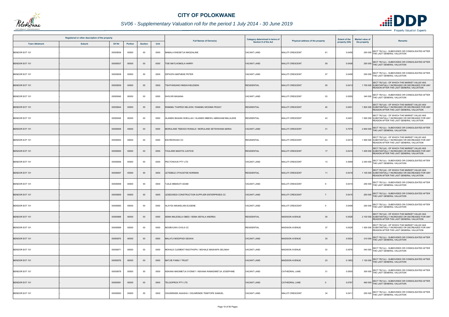

## *SV06 - Supplementary Valuation roll for the period 1 July 2014 - 30 June 2019*

|                       | Registered or other description of the property |          |                |                |      |                                                          | Category determined in terms of |                                          | <b>Extent of the</b> | <b>Market value of</b>                                                                                                                             |
|-----------------------|-------------------------------------------------|----------|----------------|----------------|------|----------------------------------------------------------|---------------------------------|------------------------------------------|----------------------|----------------------------------------------------------------------------------------------------------------------------------------------------|
| <b>Town Allotment</b> | <b>Suburb</b>                                   | Erf Nr   | <b>Portion</b> | <b>Section</b> | Unit | <b>Full Names of Owner(s)</b>                            | Section 8 of the Act            | Physical address of the property         | property (HA)        | <b>Remarks</b><br>the property                                                                                                                     |
| <b>BENDOR EXT 101</b> |                                                 | 00005836 | 00000          | $00\,$         | 0000 | MABALA RAESETJA MAGDALINE                                | <b>VACANT LAND</b>              | <b>MALUTI CRESCENT</b><br>61             | 0.0408               | SECT 78(1)(c) - SUBDIVIDED OR CONSOLIDATED AFTER<br>250 000 THE LAST GENERAL VALUATION                                                             |
| <b>BENDOR EXT 101</b> |                                                 | 00005837 | 00000          | $00\,$         | 0000 | TSIE MATLHOMOLA HARRY                                    | <b>VACANT LAND</b>              | 59<br><b>MALUTI CRESCENT</b>             | 0.0408               | SECT 78(1)(c) - SUBDIVIDED OR CONSOLIDATED AFTER<br>250 000 THE LAST GENERAL VALUATION                                                             |
| BENDOR EXT 101        |                                                 | 00005838 | 00000          | $00\,$         | 0000 | DIPHOFA MAPHEKE PETER                                    | <b>VACANT LAND</b>              | MALUTI CRESCENT<br>57                    | 0.0408               | SECT 78(1)(c) - SUBDIVIDED OR CONSOLIDATED AFTER<br>250 000 THE LAST GENERAL VALUATION                                                             |
| <b>BENDOR EXT 101</b> |                                                 | 00005839 | 00000          | $00\,$         | 0000 | TSHITANGANO NNDAVHELESENI                                | <b>RESIDENTIAL</b>              | 55<br><b>MALUTI CRESCENT</b>             | 0.0413               | SECT 78(1)(d) - OF WHICH THE MARKET VALUE HAS<br>1 700 000 SUBSTANTIALLY INCREASED OR DECREASED FOR ANY<br>REASON AFTER THE LAST GENERAL VALUATION |
| BENDOR EXT 101        |                                                 | 00005840 | 00000          | $00\,$         | 0000 | SHIVURI MASANA                                           | <b>VACANT LAND</b>              | MALUTI CRESCENT<br>53                    | 0.0555               | 340 000 SECT 78(1)(c) - SUBDIVIDED OR CONSOLIDATED AFTER<br>THE LAST GENERAL VALUATION                                                             |
| <b>BENDOR EXT 101</b> |                                                 | 00005844 | 00000          | $00\,$         | 0000 | RAMABU THAPEDI NELSON / RAMABU MOSIMA PEGGY              | <b>RESIDENTIAL</b>              | <b>MALUTI CRESCENT</b><br>45             | 0.0401               | SECT 78(1)(d) - OF WHICH THE MARKET VALUE HAS<br>1 800 000 SUBSTANTIALLY INCREASED OR DECREASED FOR ANY<br>REASON AFTER THE LAST GENERAL VALUATION |
| BENDOR EXT 101        |                                                 | 00005845 | 00000          | $00\,$         | 0000 | HLANEKI BASANI SHEILLAH / HLANEKI MBEWU ABRAHAM MALULEKE | <b>RESIDENTIAL</b>              | <b>MALUTI CRESCENT</b><br>43             | 0.0401               | SECT 78(1)(d) - OF WHICH THE MARKET VALUE HAS<br>1 900 000 SUBSTANTIALLY INCREASED OR DECREASED FOR ANY<br>REASON AFTER THE LAST GENERAL VALUATION |
| <b>BENDOR EXT 101</b> |                                                 | 00005848 | 00000          | $00\,$         | 0000 | MORULANE TEBOGO RONALD / MORULANE SETSHWANA MARIA        | <b>VACANT LAND</b>              | <b>MALUTI CRESCENT</b><br>31             | 0.707                | SECT 78(1)(c) - SUBDIVIDED OR CONSOLIDATED AFTER<br>2 800 000 THE LAST GENERAL VALUATION                                                           |
| BENDOR EXT 101        |                                                 | 00005852 | 00000          | 00             | 0000 | <b>ENVIROWASH CC</b>                                     | <b>RESIDENTIAL</b>              | 23<br><b>MALUTI CRESCENT</b>             | 0.0419               | SECT 78(1)(d) - OF WHICH THE MARKET VALUE HAS<br>1 900 000 SUBSTANTIALLY INCREASED OR DECREASED FOR ANY<br>REASON AFTER THE LAST GENERAL VALUATION |
| <b>BENDOR EXT 101</b> |                                                 | 00005855 | 00000          | $00\,$         | 0000 | HULARE MADITSI JUSTICE                                   | <b>RESIDENTIAL</b>              | <b>MALUTI CRESCENT</b><br>17             | 0.0419               | SECT 78(1)(d) - OF WHICH THE MARKET VALUE HAS<br>1 400 000 SUBSTANTIALLY INCREASED OR DECREASED FOR ANY<br>REASON AFTER THE LAST GENERAL VALUATION |
| BENDOR EXT 101        |                                                 | 00005856 | 00000          | $00\,$         | 0000 | PECTOWAVE PTY LTD                                        | <b>VACANT LAND</b>              | 13<br>MALUTI CRESCENT                    | 0.3699               | 2 240 000 SECT 78(1)(c) - SUBDIVIDED OR CONSOLIDATED AFTER<br>THE LAST GENERAL VALUATION                                                           |
| BENDOR EXT 101        |                                                 | 00005857 | 00000          | $00\,$         | 0000 | LETEBELE OTHUSITSE NORMAN                                | <b>RESIDENTIAL</b>              | <b>MALUTI CRESCENT</b><br>11             | 0.0418               | SECT 78(1)(d) - OF WHICH THE MARKET VALUE HAS<br>1 100 000 SUBSTANTIALLY INCREASED OR DECREASED FOR ANY<br>REASON AFTER THE LAST GENERAL VALUATION |
| BENDOR EXT 101        |                                                 | 00005858 | 00000          | 00             | 0000 | TJALE MMAKATI ADAM                                       | <b>VACANT LAND</b>              | <b>MALUTI CRESCENT</b><br>9              | 0.0415               | SECT 78(1)(c) - SUBDIVIDED OR CONSOLIDATED AFTER<br>250 000 THE LAST GENERAL VALUATION                                                             |
| BENDOR EXT 101        |                                                 | 00005859 | 00000          | $00\,$         | 0000 | LESEDISEDI CONSTRUCTION SUPPLIER ENTERPRISES CC          | <b>VACANT LAND</b>              | <b>MALUTI CRESCENT</b><br>$\overline{7}$ | 0.0415               | 250 000 SECT 78(1)(c) - SUBDIVIDED OR CONSOLIDATED AFTER<br>THE LAST GENERAL VALUATION                                                             |
| BENDOR EXT 101        |                                                 | 00005860 | 00000          | 00             | 0000 | HLAYISI AMUKELANI EUGENE                                 | VACANT LAND                     | MALUTI CRESCENT<br>5                     | 0.0408               | SECT 78(1)(c) - SUBDIVIDED OR CONSOLIDATED AFTER<br>250 000 THE LAST GENERAL VALUATION                                                             |
| BENDOR EXT 101        |                                                 | 00005868 | 00000          | $00\,$         | 0000 | SEMA MALESELA OBED / SEMA SEFALA ANDREA                  | <b>RESIDENTIAL</b>              | 39<br><b>MADISON AVENUE</b>              | 0.0528               | SECT 78(1)(d) - OF WHICH THE MARKET VALUE HAS<br>2 100 000 SUBSTANTIALLY INCREASED OR DECREASED FOR ANY<br>REASON AFTER THE LAST GENERAL VALUATION |
| BENDOR EXT 101        |                                                 | 00005869 | 00000          | 00             | 0000 | NDOBVUWA CIVILS CC                                       | <b>RESIDENTIAL</b>              | 37<br><b>MADISON AVENUE</b>              | 0.0528               | SECT 78(1)(d) - OF WHICH THE MARKET VALUE HAS<br>1 500 000 SUBSTANTIALLY INCREASED OR DECREASED FOR ANY<br>REASON AFTER THE LAST GENERAL VALUATION |
| BENDOR EXT 101        |                                                 | 00005870 | 00000          | $00\,$         | 0000 | MALATJI MODIPADI GEISHA                                  | <b>VACANT LAND</b>              | 35<br><b>MADISON AVENUE</b>              | 0.0524               | 310 000 SECT 78(1)(c) - SUBDIVIDED OR CONSOLIDATED AFTER<br>THE LAST GENERAL VALUATION                                                             |
| BENDOR EXT 101        |                                                 | 00005871 | 00000          | 00             | 0000 | MOHALE CLEMENT RADITHOPA / MOHALE MASHAPA SELINAH        | <b>VACANT LAND</b>              | <b>MADISON AVENUE</b><br>33              | 0.0576               | 340 000 SECT 78(1)(c) - SUBDIVIDED OR CONSOLIDATED AFTER<br>THE LAST GENERAL VALUATION                                                             |
| BENDOR EXT 101        |                                                 | 00005876 | 00000          | $00\,$         | 0000 | <b>MATJIE FAMILY TRUST</b>                               | <b>VACANT LAND</b>              | <b>MADISON AVENUE</b><br>23              | 0.1863               | 1 120 000 SECT 78(1)(c) - SUBDIVIDED OR CONSOLIDATED AFTER<br>THE LAST GENERAL VALUATION                                                           |
| BENDOR EXT 101        |                                                 | 00005878 | 00000          | $00\,$         | 0000 | KEKANA MADIMETJA SYDNEY / KEKANA RAMADIMETJA JOSEPHINE   | <b>VACANT LAND</b>              | 31<br>CATHEDRAL LANE                     | 0.0500               | 300 000 SECT 78(1)(c) - SUBDIVIDED OR CONSOLIDATED AFTER<br>THE LAST GENERAL VALUATION                                                             |
| BENDOR EXT 101        |                                                 | 00005891 | 00000          | $00\,$         | 0000 | TELGOPROX PTY LTD                                        | <b>VACANT LAND</b>              | CATHEDRAL LANE<br>5                      | 0.0767               | 460 000 SECT 78(1)(c) - SUBDIVIDED OR CONSOLIDATED AFTER<br>THE LAST GENERAL VALUATION                                                             |
| BENDOR EXT 101        |                                                 | 00005893 | 00000          | $00\,$         | 0000 | OGUNRINDE ASIASHU / OGUNRINDE TEMITOPE SAMUEL            | VACANT LAND                     | <b>MALUTI CRESCENT</b><br>34             | 0.0411               | SECT 78(1)(c) - SUBDIVIDED OR CONSOLIDATED AFTER<br>250 000 THE LAST GENERAL VALUATION                                                             |

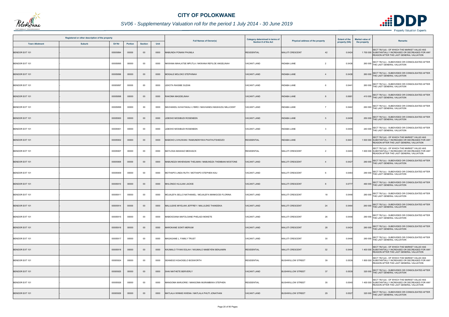

## *SV06 - Supplementary Valuation roll for the period 1 July 2014 - 30 June 2019*

|                       | Registered or other description of the property |          |                |                |      |                                                        | Category determined in terms of |                                          | <b>Extent of the</b> | <b>Market value of</b> | <b>Remarks</b>                                                                                                                                     |
|-----------------------|-------------------------------------------------|----------|----------------|----------------|------|--------------------------------------------------------|---------------------------------|------------------------------------------|----------------------|------------------------|----------------------------------------------------------------------------------------------------------------------------------------------------|
| <b>Town Allotment</b> | <b>Suburb</b>                                   | Erf Nr   | <b>Portion</b> | <b>Section</b> | Unit | <b>Full Names of Owner(s)</b>                          | Section 8 of the Act            | Physical address of the property         | property (HA)        | the property           |                                                                                                                                                    |
| BENDOR EXT 101        |                                                 | 00005894 | 00000          | $00\,$         | 0000 | MABUNDA PONANI PHUMLA                                  | <b>RESIDENTIAL</b>              | <b>MALUTI CRESCENT</b><br>42             | 0.0424               |                        | SECT 78(1)(d) - OF WHICH THE MARKET VALUE HAS<br>1 700 000 SUBSTANTIALLY INCREASED OR DECREASED FOR ANY<br>REASON AFTER THE LAST GENERAL VALUATION |
| BENDOR EXT 101        |                                                 | 00005895 | 00000          | $00\,$         | 0000 | NKWANA MAHLATSE MPUTLA / NKWANA REFILOE ANGELINAH      | <b>VACANT LAND</b>              | $\overline{2}$<br><b>INDABA LANE</b>     | 0.0438               |                        | 260 000 SECT 78(1)(c) - SUBDIVIDED OR CONSOLIDATED AFTER<br>THE LAST GENERAL VALUATION                                                             |
| <b>BENDOR EXT 101</b> |                                                 | 00005896 | 00000          | $00\,$         | 0000 | MOGALE MOLOKO STEPHINAH                                | <b>VACANT LAND</b>              | <b>INDABA LANE</b><br>$\overline{4}$     | 0.0438               |                        | 260 000 SECT 78(1)(c) - SUBDIVIDED OR CONSOLIDATED AFTER<br>THE LAST GENERAL VALUATION                                                             |
| BENDOR EXT 101        |                                                 | 00005897 | 00000          | $00\,$         | 0000 | LEKOTA RAISIBE SUZAN                                   | <b>VACANT LAND</b>              | <b>INDABA LANE</b><br>6                  | 0.0441               |                        | SECT 78(1)(c) - SUBDIVIDED OR CONSOLIDATED AFTER<br>260 000 THE LAST GENERAL VALUATION                                                             |
| <b>BENDOR EXT 101</b> |                                                 | 00005898 | 00000          | $00\,$         | 0000 | RAKOMA MAGDELINAH                                      | <b>VACANT LAND</b>              | <b>INDABA LANE</b><br>8                  | 0.0681               |                        | 410 000 SECT 78(1)(c) - SUBDIVIDED OR CONSOLIDATED AFTER<br>THE LAST GENERAL VALUATION                                                             |
| BENDOR EXT 101        |                                                 | 00005899 | 00000          | 00             | 0000 | MAVHANDU AVHATAKALI LYBRO / MAVHANDU MASHUDU MILLICENT | <b>VACANT LAND</b>              | <b>INDABA LANE</b><br>$\overline{7}$     | 0.0442               |                        | SECT 78(1)(c) - SUBDIVIDED OR CONSOLIDATED AFTER<br>260 000 THE LAST GENERAL VALUATION                                                             |
| BENDOR EXT 101        |                                                 | 00005900 | 00000          | $00\,$         | 0000 | <b>EBOHO MOSIBUDI ROSENEEN</b>                         | <b>VACANT LAND</b>              | <b>INDABA LANE</b><br>5                  | 0.0408               |                        | 250 000 SECT 78(1)(c) - SUBDIVIDED OR CONSOLIDATED AFTER<br>THE LAST GENERAL VALUATION                                                             |
| BENDOR EXT 101        |                                                 | 00005901 | 00000          | 00             | 0000 | LEBOHO MOSIBUDI ROSENEEN                               | <b>VACANT LAND</b>              | <b>INDABA LANE</b><br>3                  | 0.0405               |                        | SECT 78(1)(c) - SUBDIVIDED OR CONSOLIDATED AFTER<br>240 000 THE LAST GENERAL VALUATION                                                             |
| BENDOR EXT 101        |                                                 | 00005902 | 00000          | $00\,$         | 0000 | MABOHO LIVHUWANI / RAMUNENYIWA PHATHUTSHEDZO           | <b>RESIDENTIAL</b>              | <b>INDABA LANE</b>                       | 0.044                |                        | SECT 78(1)(d) - OF WHICH THE MARKET VALUE HAS<br>1 500 000 SUBSTANTIALLY INCREASED OR DECREASED FOR ANY<br>REASON AFTER THE LAST GENERAL VALUATION |
| BENDOR EXT 101        |                                                 | 00005907 | 00000          | 00             | 0000 | MATLOGA MASHAO MESHACK                                 | <b>RESIDENTIAL</b>              | <b>MALUTI CRESCENT</b><br>$\overline{2}$ | 0.0403               |                        | SECT 78(1)(d) - OF WHICH THE MARKET VALUE HAS<br>1 600 000 SUBSTANTIALLY INCREASED OR DECREASED FOR ANY<br>REASON AFTER THE LAST GENERAL VALUATION |
| BENDOR EXT 101        |                                                 | 00005908 | 00000          | $00\,$         | 0000 | MABUNDZA NKHENSANI THELMAN / MABUNDZA THEMBANI MOSTONE | <b>VACANT LAND</b>              | <b>MALUTI CRESCENT</b><br>$\overline{4}$ | 0.0427               |                        | 260 000 SECT 78(1)(c) - SUBDIVIDED OR CONSOLIDATED AFTER<br>THE LAST GENERAL VALUATION                                                             |
| BENDOR EXT 101        |                                                 | 00005909 | 00000          | $00\,$         | 0000 | MOTHAPO LINDA RUTH / MOTHAPO STEPHEN KAU               | <b>VACANT LAND</b>              | MALUTI CRESCENT<br>6                     | 0.0483               |                        | 290 000 SECT 78(1)(c) - SUBDIVIDED OR CONSOLIDATED AFTER<br>THE LAST GENERAL VALUATION                                                             |
| BENDOR EXT 101        |                                                 | 00005910 | 00000          | $00\,$         | 0000 | MHLONGO HLULANI JACKIE                                 | <b>VACANT LAND</b>              | <b>MALUTI CRESCENT</b><br>8              | 0.0777               |                        | SECT 78(1)(c) - SUBDIVIDED OR CONSOLIDATED AFTER<br>460 000 THE LAST GENERAL VALUATION                                                             |
| BENDOR EXT 101        |                                                 | 0000591  | 00000          | 00             | 0000 | MOJALEFA SELLO NATHANIEL / MOJALEFA MANKGODI FLORINA   | <b>VACANT LAND</b>              | 18<br>MALUTI CRESCENT                    | 0.0446               |                        | 260 000 SECT 78(1)(c) - SUBDIVIDED OR CONSOLIDATED AFTER<br>THE LAST GENERAL VALUATION                                                             |
| <b>BENDOR EXT 101</b> |                                                 | 00005914 | 00000          | $00\,$         | 0000 | MALULEKE MIYELANI JEFFREY / MALULEKE THANDEKA          | <b>VACANT LAND</b>              | <b>MALUTI CRESCENT</b><br>24             | 0.0444               |                        | SECT 78(1)(c) - SUBDIVIDED OR CONSOLIDATED AFTER<br>260 000 THE LAST GENERAL VALUATION                                                             |
| BENDOR EXT 101        |                                                 | 00005915 | 00000          | $00\,$         | 0000 | MABOGOANA MAFOLOANE PHELADI MOKETE                     | VACANT LAND                     | MALUTI CRESCENT<br>26                    | 0.0446               |                        | 260 000 SECT 78(1)(c) - SUBDIVIDED OR CONSOLIDATED AFTER<br>THE LAST GENERAL VALUATION                                                             |
| BENDOR EXT 101        |                                                 | 00005916 | 00000          | $00\,$         | 0000 | <b>MAROKANE SONTI MERIUM</b>                           | <b>VACANT LAND</b>              | 28<br>MALUTI CRESCENT                    | 0.0424               |                        | SECT 78(1)(c) - SUBDIVIDED OR CONSOLIDATED AFTER<br>260 000 THE LAST GENERAL VALUATION                                                             |
| BENDOR EXT 101        |                                                 | 00005917 | 00000          | $00\,$         | 0000 | MAGAGANE L. FAMILY TRUST                               | <b>VACANT LAND</b>              | 30<br>MALUTI CRESCENT                    | 0.0446               |                        | 260 000 SECT 78(1)(c) - SUBDIVIDED OR CONSOLIDATED AFTER<br>THE LAST GENERAL VALUATION                                                             |
| BENDOR EXT 101        |                                                 | 00005918 | 00000          | $00\,$         | 0000 | NXUMALO TIYANI EGLAH / NXUMALO MABEYENI BENJAMIN       | <b>RESIDENTIAL</b>              | 32<br><b>MALUTI CRESCENT</b>             | 0.0444               |                        | SECT 78(1)(d) - OF WHICH THE MARKET VALUE HAS<br>1 400 000 SUBSTANTIALLY INCREASED OR DECREASED FOR ANY<br>REASON AFTER THE LAST GENERAL VALUATION |
| BENDOR EXT 101        |                                                 | 00005924 | 00000          | $00\,$         | 0000 | SEANEGO KGAOGELO BOSWORTH                              | <b>RESIDENTIAL</b>              | 39<br><b>BUSHWILLOW STREET</b>           | 0.0539               |                        | SECT 78(1)(d) - OF WHICH THE MARKET VALUE HAS<br>1 800 000 SUBSTANTIALLY INCREASED OR DECREASED FOR ANY<br>REASON AFTER THE LAST GENERAL VALUATION |
| <b>BENDOR EXT 101</b> |                                                 | 00005925 | 00000          | $00\,$         | 0000 | SHAI MATHETE BERVERLY                                  | <b>VACANT LAND</b>              | 37<br><b>BUSHWILLOW STREET</b>           | 0.0539               |                        | SECT 78(1)(c) - SUBDIVIDED OR CONSOLIDATED AFTER<br>320 000 THE LAST GENERAL VALUATION                                                             |
| BENDOR EXT 101        |                                                 | 00005926 | 00000          | $00\,$         | 0000 | MANGOMA MARJORIE / MANGOMA MURAMBIWA STEPHEN           | <b>RESIDENTIAL</b>              | 35<br><b>BUSHWILLOW STREET</b>           | 0.0540               |                        | SECT 78(1)(d) - OF WHICH THE MARKET VALUE HAS<br>1 400 000 SUBSTANTIALLY INCREASED OR DECREASED FOR ANY<br>REASON AFTER THE LAST GENERAL VALUATION |
| BENDOR EXT 101        |                                                 | 00005929 | 00000          | $00\,$         | 0000 | MATLALA WINNIE KWENA / MATLALA PHUTI JONATHAN          | <b>VACANT LAND</b>              | <b>BUSHWILLOW STREET</b><br>29           | 0.0527               |                        | SECT 78(1)(c) - SUBDIVIDED OR CONSOLIDATED AFTER<br>320 000 THE LAST GENERAL VALUATION                                                             |

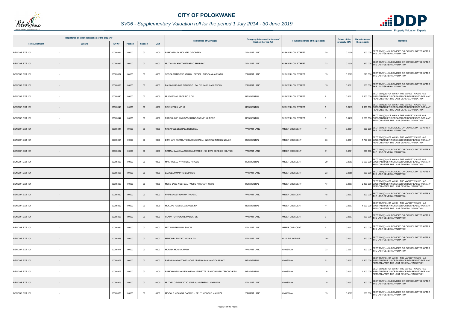

## *SV06 - Supplementary Valuation roll for the period 1 July 2014 - 30 June 2019*

|                       | Registered or other description of the property |          |                |                |      |                                                        | Category determined in terms of |                                                     | <b>Extent of the</b> | <b>Market value of</b>                                                                                                                             |
|-----------------------|-------------------------------------------------|----------|----------------|----------------|------|--------------------------------------------------------|---------------------------------|-----------------------------------------------------|----------------------|----------------------------------------------------------------------------------------------------------------------------------------------------|
| <b>Town Allotment</b> | <b>Suburb</b>                                   | Erf Nr   | <b>Portion</b> | <b>Section</b> | Unit | <b>Full Names of Owner(s)</b>                          | <b>Section 8 of the Act</b>     | Physical address of the property                    | property (HA)        | <b>Remarks</b><br>the property                                                                                                                     |
| BENDOR EXT 101        |                                                 | 00005931 | 00000          | 00             | 0000 | RAMOSEBUDI MOLATELO DOREEN                             | <b>VACANT LAND</b>              | <b>BUSHWILLOW STREET</b><br>25                      | 0.0509               | SECT 78(1)(c) - SUBDIVIDED OR CONSOLIDATED AFTER<br>300 000<br>THE LAST GENERAL VALUATION                                                          |
| <b>BENDOR EXT 101</b> |                                                 | 00005932 | 00000          | $00\,$         | 0000 | MUZHAMBI KHATHUTSHELO SHARPAD                          | <b>VACANT LAND</b>              | <b>BUSHWILLOW STREET</b><br>23                      | 0.0534               | 320 000 SECT 78(1)(c) - SUBDIVIDED OR CONSOLIDATED AFTER<br>THE LAST GENERAL VALUATION                                                             |
| BENDOR EXT 101        |                                                 | 00005934 | 00000          | $00\,$         | 0000 | SEOPA MAMPONE ABRAM / SEOPA LEKGOANA ASNATH            | <b>VACANT LAND</b>              | 19<br><b>BUSHWILLOW STREET</b>                      | 0.0863               | SECT 78(1)(c) - SUBDIVIDED OR CONSOLIDATED AFTER<br>520 000 THE LAST GENERAL VALUATION                                                             |
| <b>BENDOR EXT 101</b> |                                                 | 00005936 | 00000          | $00\,$         | 0000 | BALOYI SIPHIWE SIBUSISO / BALOYI LAWULANI ENOCK        | <b>VACANT LAND</b>              | <b>BUSHWILLOW STREET</b><br>15                      | 0.0501               | SECT 78(1)(c) - SUBDIVIDED OR CONSOLIDATED AFTER<br>300 000 THE LAST GENERAL VALUATION                                                             |
| BENDOR EXT 101        |                                                 | 00005940 | 00000          | $00\,$         | 0000 | MUKWEVHO PROP NO 3 CC                                  | <b>RESIDENTIAL</b>              | <b>BUSHWILLOW STREET</b>                            | 0.0501               | SECT 78(1)(d) - OF WHICH THE MARKET VALUE HAS<br>2 100 000 SUBSTANTIALLY INCREASED OR DECREASED FOR ANY<br>REASON AFTER THE LAST GENERAL VALUATION |
| BENDOR EXT 101        |                                                 | 00005941 | 00000          | $00\,$         | 0000 | NEVHUTALU MPHO                                         | <b>RESIDENTIAL</b>              | <b>BUSHWILLOW STREET</b><br>5                       | 0.0419               | SECT 78(1)(d) - OF WHICH THE MARKET VALUE HAS<br>2 100 000 SUBSTANTIALLY INCREASED OR DECREASED FOR ANY<br>REASON AFTER THE LAST GENERAL VALUATION |
| BENDOR EXT 101        |                                                 | 00005942 | 00000          | 00             | 0000 | RANGOLO PHUMUDZO / RANGOLO MPHO IRENE                  | <b>RESIDENTIAL</b>              | <b>BUSHWILLOW STREET</b><br>$\overline{\mathbf{3}}$ | 0.0412               | SECT 78(1)(d) - OF WHICH THE MARKET VALUE HAS<br>1 800 000 SUBSTANTIALLY INCREASED OR DECREASED FOR ANY<br>REASON AFTER THE LAST GENERAL VALUATION |
| <b>BENDOR EXT 101</b> |                                                 | 00005947 | 00000          | $00\,$         | 0000 | NKGAPELE LESHALA REBECCA                               | <b>VACANT LAND</b>              | AMBER CRESCENT<br>41                                | 0.0501               | SECT 78(1)(c) - SUBDIVIDED OR CONSOLIDATED AFTER<br>300 000 THE LAST GENERAL VALUATION                                                             |
| BENDOR EXT 101        |                                                 | 00005951 | 00000          | $00\,$         | 0000 | DZIVHANI KHATHUTSHELO MICHAEL / DZIVHANI NTSIENI ZELDA | <b>RESIDENTIAL</b>              | 33<br><b>AMBER CRESCENT</b>                         | 0.050 <sup>4</sup>   | SECT 78(1)(d) - OF WHICH THE MARKET VALUE HAS<br>1 700 000 SUBSTANTIALLY INCREASED OR DECREASED FOR ANY<br>REASON AFTER THE LAST GENERAL VALUATION |
| BENDOR EXT 101        |                                                 | 00005952 | 00000          | $00\,$         | 0000 | RAMAAHLAMA MATSEMELA PATRICK / CHEWE BERBICE KHUTSO    | <b>VACANT LAND</b>              | AMBER CRESCENT<br>31                                | 0.0501               | SECT 78(1)(c) - SUBDIVIDED OR CONSOLIDATED AFTER<br>300 000 THE LAST GENERAL VALUATION                                                             |
| BENDOR EXT 101        |                                                 | 00005953 | 00000          | 00             | 0000 | MAKHUBELE NYATHELE PHYLLIS                             | <b>RESIDENTIAL</b>              | 29<br><b>AMBER CRESCENT</b>                         | 0.0863               | SECT 78(1)(d) - OF WHICH THE MARKET VALUE HAS<br>3 000 000 SUBSTANTIALLY INCREASED OR DECREASED FOR ANY<br>REASON AFTER THE LAST GENERAL VALUATION |
| BENDOR EXT 101        |                                                 | 00005956 | 00000          | $00\,$         | 0000 | LAMOLA MMAPITSI LAZARUS                                | <b>VACANT LAND</b>              | AMBER CRESCENT<br>23                                | 0.0550               | 330 000 SECT 78(1)(c) - SUBDIVIDED OR CONSOLIDATED AFTER<br>THE LAST GENERAL VALUATION                                                             |
| BENDOR EXT 101        |                                                 | 00005959 | 00000          | 00             | 0000 | MESO JANE NOBHLAU / MESO KWENA THOMAS                  | <b>RESIDENTIAL</b>              | AMBER CRESCENT<br>17                                | 0.0507               | SECT 78(1)(d) - OF WHICH THE MARKET VALUE HAS<br>2 100 000 SUBSTANTIALLY INCREASED OR DECREASED FOR ANY<br>REASON AFTER THE LAST GENERAL VALUATION |
| BENDOR EXT 101        |                                                 | 00005960 | 00000          | $00\,$         | 0000 | PHIRI ANASTINAH MATHAPELO                              | <b>VACANT LAND</b>              | AMBER CRESCENT<br>15                                | 0.0507               | 300 000 SECT 78(1)(c) - SUBDIVIDED OR CONSOLIDATED AFTER<br>THE LAST GENERAL VALUATION                                                             |
| BENDOR EXT 101        |                                                 | 00005962 | 00000          | $00\,$         | 0000 | MOLOPE RAESETJA ENGELINA                               | <b>RESIDENTIAL</b>              | <b>AMBER CRESCENT</b><br>11                         | 0.0507               | SECT 78(1)(d) - OF WHICH THE MARKET VALUE HAS<br>1 200 000 SUBSTANTIALLY INCREASED OR DECREASED FOR ANY<br>REASON AFTER THE LAST GENERAL VALUATION |
| BENDOR EXT 101        |                                                 | 00005963 | 00000          | $00\,$         | 0000 | HLAPA FORTUNATE MAHLATSE                               | <b>VACANT LAND</b>              | <b>AMBER CRESCENT</b><br>9                          | 0.0507               | 300 000 SECT 78(1)(c) - SUBDIVIDED OR CONSOLIDATED AFTER<br>THE LAST GENERAL VALUATION                                                             |
| BENDOR EXT 101        |                                                 | 00005964 | 00000          | 00             | 0000 | MATJIU NTHWANA SIMON                                   | VACANT LAND                     | <b>AMBER CRESCENT</b><br>$\overline{7}$             | 0.0507               | 300 000 SECT 78(1)(c) - SUBDIVIDED OR CONSOLIDATED AFTER<br>THE LAST GENERAL VALUATION                                                             |
| BENDOR EXT 101        |                                                 | 00005968 | 00000          | $00\,$         | 0000 | MBHOMBI TINYIKO NICHOLAS                               | <b>VACANT LAND</b>              | <b>HILLSIDE AVENUE</b><br>101                       | 0.0533               | 320 000 SECT 78(1)(c) - SUBDIVIDED OR CONSOLIDATED AFTER<br>THE LAST GENERAL VALUATION                                                             |
| BENDOR EXT 101        |                                                 | 00005971 | 00000          | 00             | 0000 | MODIBA MOSIMA MARY                                     | <b>VACANT LAND</b>              | <b>KINGSWAY</b><br>23                               | 0.0507               | 300 000 SECT 78(1)(c) - SUBDIVIDED OR CONSOLIDATED AFTER<br>THE LAST GENERAL VALUATION                                                             |
| BENDOR EXT 101        |                                                 | 00005972 | 00000          | $00\,$         | 0000 | RAPHASHA MATOME JACOB / RAPHASHA MANTOA MINKY          | <b>RESIDENTIAL</b>              | <b>KINGSWAY</b><br>21                               | 0.0507               | SECT 78(1)(d) - OF WHICH THE MARKET VALUE HAS<br>1 400 000 SUBSTANTIALLY INCREASED OR DECREASED FOR ANY<br>REASON AFTER THE LAST GENERAL VALUATION |
| BENDOR EXT 101        |                                                 | 00005973 | 00000          | $00\,$         | 0000 | RAMORAPELI MOLEBOHENG JEANETTE / RAMORAPELI TEBOHO KEN | <b>RESIDENTIAL</b>              | 19<br><b>KINGSWAY</b>                               | 0.0507               | SECT 78(1)(d) - OF WHICH THE MARKET VALUE HAS<br>1 400 000 SUBSTANTIALLY INCREASED OR DECREASED FOR ANY<br>REASON AFTER THE LAST GENERAL VALUATION |
| <b>BENDOR EXT 101</b> |                                                 | 00005975 | 00000          | $00\,$         | 0000 | MUTHELO DIMAKATJO JAMES / MUTHELO LIVHUWANI            | <b>VACANT LAND</b>              | <b>KINGSWAY</b><br>15                               | 0.0507               | 300 000 SECT 78(1)(c) - SUBDIVIDED OR CONSOLIDATED AFTER<br>THE LAST GENERAL VALUATION                                                             |
| BENDOR EXT 101        |                                                 | 00005976 | 00000          | $00\,$         | 0000 | MOGALE MOANOA GABRIEL / SELITI MOLOKO MANDIZA          | <b>VACANT LAND</b>              | <b>KINGSWAY</b><br>13                               | 0.0507               | SECT 78(1)(c) - SUBDIVIDED OR CONSOLIDATED AFTER<br>300 000 THE LAST GENERAL VALUATION                                                             |

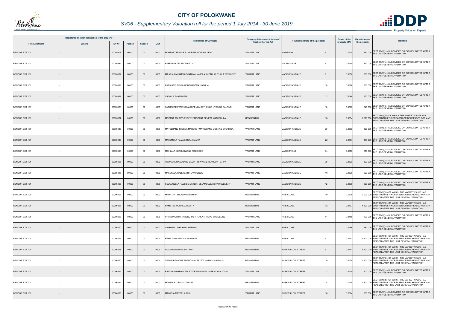

## *SV06 - Supplementary Valuation roll for the period 1 July 2014 - 30 June 2019*

|                       | Registered or other description of the property |          |                |                |      |                                                        | Category determined in terms of |                                  | <b>Extent of the</b> | <b>Market value of</b>                                                                                                                             |
|-----------------------|-------------------------------------------------|----------|----------------|----------------|------|--------------------------------------------------------|---------------------------------|----------------------------------|----------------------|----------------------------------------------------------------------------------------------------------------------------------------------------|
| <b>Town Allotment</b> | <b>Suburb</b>                                   | Erf Nr   | <b>Portion</b> | <b>Section</b> | Unit | <b>Full Names of Owner(s)</b>                          | <b>Section 8 of the Act</b>     | Physical address of the property | property (HA)        | Remarks<br>the property                                                                                                                            |
| <b>BENDOR EXT 101</b> |                                                 | 00005978 | 00000          | $00\,$         | 0000 | MOREMI TREASURE / MOREMI MOROKA LEVY                   | <b>VACANT LAND</b>              | <b>KINGSWAY</b><br>$\mathbf{Q}$  | 0.0625               | 380 000 SECT 78(1)(c) - SUBDIVIDED OR CONSOLIDATED AFTER<br>THE LAST GENERAL VALUATION                                                             |
| <b>BENDOR EXT 101</b> |                                                 | 00005981 | 00000          | 00             | 0000 | RAMADIMETJA SECURITY CC                                | <b>VACANT LAND</b>              | <b>MADISON AVE</b><br>-6         | 0.0550               | SECT 78(1)(c) - SUBDIVIDED OR CONSOLIDATED AFTER<br>330 000 THE LAST GENERAL VALUATION                                                             |
| <b>BENDOR EXT 101</b> |                                                 | 00005982 | 00000          | $00\,$         | 0000 | MAJOLA ZAMAMBO CYNTHIA / MAJOLA KHETHUKUTHULA EXELLENT | <b>VACANT LAND</b>              | <b>MADISON AVENUE</b><br>8       | 0.0550               | 330 000 SECT 78(1)(c) - SUBDIVIDED OR CONSOLIDATED AFTER<br>THE LAST GENERAL VALUATION                                                             |
| BENDOR EXT 101        |                                                 | 00005983 | 00000          | 00             | 0000 | RATSHIBVUMO SHUDUFHADZANI JOSHUA                       | <b>VACANT LAND</b>              | <b>MADISON AVENUE</b><br>10      | 0.0586               | SECT 78(1)(c) - SUBDIVIDED OR CONSOLIDATED AFTER<br>THE LAST GENERAL VALUATION<br>350 000                                                          |
| <b>BENDOR EXT 101</b> |                                                 | 00005984 | 00000          | $00\,$         | 0000 | SIKHALA FHATUWANI                                      | <b>VACANT LAND</b>              | <b>MADISON AVENUE</b><br>12      | 0.0546               | 330 000 SECT 78(1)(c) - SUBDIVIDED OR CONSOLIDATED AFTER<br>THE LAST GENERAL VALUATION                                                             |
| BENDOR EXT 101        |                                                 | 00005986 | 00000          | 00             | 0000 | SATHEKGE PETENS MAROPENG / SATHEKGE NTSIUOA SALOME     | <b>VACANT LAND</b>              | <b>MADISON AVENUE</b><br>16      | 0.0570               | SECT 78(1)(c) - SUBDIVIDED OR CONSOLIDATED AFTER<br>340 000 THE LAST GENERAL VALUATION                                                             |
| <b>BENDOR EXT 101</b> |                                                 | 00005987 | 00000          | $00\,$         | 0000 | MOTANA TSHEPO EVELYN / MOTANA BENETT MATHEBULA         | <b>RESIDENTIAL</b>              | <b>MADISON AVENUE</b><br>18      | 0.0534               | SECT 78(1)(d) - OF WHICH THE MARKET VALUE HAS<br>1 670 000 SUBSTANTIALLY INCREASED OR DECREASED FOR ANY<br>REASON AFTER THE LAST GENERAL VALUATION |
| <b>BENDOR EXT 101</b> |                                                 | 00005988 | 00000          | $00\,$         | 0000 | MATSEBANE THOBYA MARCUS / MATSEBANE MOSHAO STEPHINA    | <b>VACANT LAND</b>              | <b>MADISON AVENUE</b><br>20      | 0.0509               | 300 000 SECT 78(1)(c) - SUBDIVIDED OR CONSOLIDATED AFTER<br>THE LAST GENERAL VALUATION                                                             |
| <b>BENDOR EXT 101</b> |                                                 | 00005989 | 00000          | $00\,$         | 0000 | <b>MASEMOLA RAMADIMETJA MARIA</b>                      | <b>VACANT LAND</b>              | <b>MADISON AVENUE</b><br>22      | 0.0737               | SECT 78(1)(c) - SUBDIVIDED OR CONSOLIDATED AFTER<br>440 000 THE LAST GENERAL VALUATION                                                             |
| BENDOR EXT 101        |                                                 | 00005994 | 00000          | 00             | 0000 | MOHLALA MATHUHWANE PRECIOUS                            | <b>VACANT LAND</b>              | <b>MADISON AVE</b><br>34         | 0.0580               | 350 000 SECT 78(1)(c) - SUBDIVIDED OR CONSOLIDATED AFTER<br>THE LAST GENERAL VALUATION                                                             |
| <b>BENDOR EXT 101</b> |                                                 | 00005995 | 00000          | $00\,$         | 0000 | TSWAANE MASOBANE CELIA / TSWAANE HLAOLOA HAPPY         | <b>VACANT LAND</b>              | <b>MADISON AVENUE</b><br>38      | 0.0539               | SECT 78(1)(c) - SUBDIVIDED OR CONSOLIDATED AFTER<br>THE LAST GENERAL VALUATION<br>320 000                                                          |
| BENDOR EXT 101        |                                                 | 00005996 | 00000          | 00             | 0000 | MASEKELA RALETSATSI LAWRENCE                           | <b>VACANT LAND</b>              | <b>MADISON AVENUE</b><br>40      | 0.0539               | 320 000 SECT 78(1)(c) - SUBDIVIDED OR CONSOLIDATED AFTER<br>THE LAST GENERAL VALUATION                                                             |
| BENDOR EXT 101        |                                                 | 00005997 | 00000          | $00\,$         | 0000 | SELAMOLELA RAESIBE LISTER / SELAMOLELA DITAU CLEMENT   | <b>VACANT LAND</b>              | <b>MADISON AVENUE</b><br>42      | 0.0539               | SECT 78(1)(c) - SUBDIVIDED OR CONSOLIDATED AFTER<br>320 000 THE LAST GENERAL VALUATION                                                             |
| BENDOR EXT 101        |                                                 | 00006006 | 00000          | $00\,$         | 0000 | MPHATJA TEBOGO WILHEMINA                               | <b>RESIDENTIAL</b>              | PINE CLOSE<br>10                 | 0.053                | SECT 78(1)(d) - OF WHICH THE MARKET VALUE HAS<br>2 000 000 SUBSTANTIALLY INCREASED OR DECREASED FOR ANY<br>REASON AFTER THE LAST GENERAL VALUATION |
| <b>BENDOR EXT 101</b> |                                                 | 00006007 | 00000          | $00\,$         | 0000 | RAMETSE MONAKGA LETTY                                  | <b>RESIDENTIAL</b>              | PINE CLOSE<br>12                 | 0.0437               | SECT 78(1)(d) - OF WHICH THE MARKET VALUE HAS<br>1 800 000 SUBSTANTIALLY INCREASED OR DECREASED FOR ANY<br>REASON AFTER THE LAST GENERAL VALUATION |
| BENDOR EXT 101        |                                                 | 00006008 | 00000          | 00             | 0000 | PHAKWAGO MANABENG IKE / TLAKA NTHEPE MAGDELINE         | <b>VACANT LAND</b>              | PINE CLOSE<br>14                 | 0.0488               | 300 000 SECT 78(1)(c) - SUBDIVIDED OR CONSOLIDATED AFTER<br>THE LAST GENERAL VALUATION                                                             |
| BENDOR EXT 101        |                                                 | 00006010 | 00000          | $00\,$         | 0000 | SHIRINDA LIVHUHANI HERMAN                              | <b>VACANT LAND</b>              | PINE CLOSE<br>11                 | 0.0466               | SECT 78(1)(c) - SUBDIVIDED OR CONSOLIDATED AFTER<br>280 000 THE LAST GENERAL VALUATION                                                             |
| BENDOR EXT 101        |                                                 | 00006013 | 00000          | $00\,$         | 0000 | BEER ZAGHARIAS ADRIAAN DE                              | <b>RESIDENTIAL</b>              | PINE CLOSE<br>-5                 | 0.0441               | SECT 78(1)(d) - OF WHICH THE MARKET VALUE HAS<br>1 700 000 SUBSTANTIALLY INCREASED OR DECREASED FOR ANY<br>REASON AFTER THE LAST GENERAL VALUATION |
| BENDOR EXT 101        |                                                 | 00006018 | 00000          | $00\,$         | 0000 | LAGANE MOYAGABO TINNY                                  | <b>RESIDENTIAL</b>              | <b>BUSHWILLOW STREET</b><br>6    | 0.0441               | SECT 78(1)(d) - OF WHICH THE MARKET VALUE HAS<br>1 800 000 SUBSTANTIALLY INCREASED OR DECREASED FOR ANY<br>REASON AFTER THE LAST GENERAL VALUATION |
| BENDOR EXT 101        |                                                 | 00006020 | 00000          | $00\,$         | 0000 | SETATI KGANTHE FRANCINA / SETATI MATLOU CAIPHUS        | <b>RESIDENTIAL</b>              | 10<br><b>BUSHWILLOW STREET</b>   | 0.0500               | SECT 78(1)(d) - OF WHICH THE MARKET VALUE HAS<br>1 300 000 SUBSTANTIALLY INCREASED OR DECREASED FOR ANY<br>REASON AFTER THE LAST GENERAL VALUATION |
| BENDOR EXT 101        |                                                 | 00006021 | 00000          | $00\,$         | 0000 | RINGANA RIRHANDZU JOYCE / RINGANA MASENYANA JOSIA      | <b>VACANT LAND</b>              | 12<br><b>BUSHWILLOW STREET</b>   | 0.0500               | SECT 78(1)(c) - SUBDIVIDED OR CONSOLIDATED AFTER<br>300 000 THE LAST GENERAL VALUATION                                                             |
| BENDOR EXT 101        |                                                 | 00006022 | 00000          | 00             | 0000 | MAMABOLO FAMILY TRUST                                  | <b>RESIDENTIAL</b>              | <b>BUSHWILLOW STREET</b><br>14   | 0.0504               | SECT 78(1)(d) - OF WHICH THE MARKET VALUE HAS<br>1 300 000 SUBSTANTIALLY INCREASED OR DECREASED FOR ANY<br>REASON AFTER THE LAST GENERAL VALUATION |
| BENDOR EXT 101        |                                                 | 00006023 | 00000          | $00\,$         | 0000 | <b>MAIMELA MATSELA IRISH</b>                           | <b>VACANT LAND</b>              | <b>BUSHWILLOW STREET</b><br>16   | 0.0504               | SECT 78(1)(c) - SUBDIVIDED OR CONSOLIDATED AFTER<br>300 000 THE LAST GENERAL VALUATION                                                             |

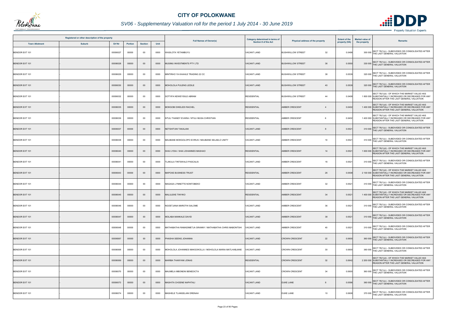

## *SV06 - Supplementary Valuation roll for the period 1 July 2014 - 30 June 2019*

|                       | Registered or other description of the property |         |                |      |                                                            | Category determined in terms of |                                  | <b>Extent of the</b> | <b>Market value of</b>                                                                                                                             |
|-----------------------|-------------------------------------------------|---------|----------------|------|------------------------------------------------------------|---------------------------------|----------------------------------|----------------------|----------------------------------------------------------------------------------------------------------------------------------------------------|
| <b>Town Allotment</b> | <b>Suburb</b><br>Erf Nr                         | Portion | <b>Section</b> | Unit | <b>Full Names of Owner(s)</b>                              | Section 8 of the Act            | Physical address of the property | property (HA)        | Remarks<br>the property                                                                                                                            |
| BENDOR EXT 101        | 00006027                                        | 00000   | 00             | 0000 | WASILOTA YETAMBUYU                                         | VACANT LAND                     | 32<br><b>BUSHWILLOW STREET</b>   | 0.0498               | SECT 78(1)(c) - SUBDIVIDED OR CONSOLIDATED AFTER<br>300 000 THE LAST GENERAL VALUATION                                                             |
| <b>BENDOR EXT 101</b> | 00006028                                        | 00000   | $00\,$         | 0000 | MUSIMU INVESTMENTS PTY LTD                                 | <b>VACANT LAND</b>              | <b>BUSHWILLOW STREET</b><br>36   | 0.0550               | 330 000 SECT 78(1)(c) - SUBDIVIDED OR CONSOLIDATED AFTER<br>THE LAST GENERAL VALUATION                                                             |
| BENDOR EXT 101        | 00006029                                        | 00000   | $00\,$         | 0000 | MINTIRHO YA KHAHLE TRADING 22 CC                           | VACANT LAND                     | 38<br><b>BUSHWILLOW STREET</b>   | 0.0539               | SECT 78(1)(c) - SUBDIVIDED OR CONSOLIDATED AFTER<br>320 000 THE LAST GENERAL VALUATION                                                             |
| <b>BENDOR EXT 101</b> | 00006030                                        | 00000   | $00\,$         | 0000 | MOHOLOLA PULENG LEDILE                                     | <b>VACANT LAND</b>              | <b>BUSHWILLOW STREET</b><br>40   | 0.0539               | SECT 78(1)(c) - SUBDIVIDED OR CONSOLIDATED AFTER<br>320 000 THE LAST GENERAL VALUATION                                                             |
| BENDOR EXT 101        | 00006032                                        | 00000   | $00\,$         | 0000 | SOTYIFA NDWEYISILE ABRAM                                   | <b>RESIDENTIAL</b>              | <b>BUSHWILLOW STREET</b><br>44   | 0.0408               | SECT 78(1)(d) - OF WHICH THE MARKET VALUE HAS<br>1 800 000 SUBSTANTIALLY INCREASED OR DECREASED FOR ANY<br>REASON AFTER THE LAST GENERAL VALUATION |
| BENDOR EXT 101        | 00006035                                        | 00000   | $00\,$         | 0000 | MOKGOBI DIKELEDI RACHEL                                    | <b>RESIDENTIAL</b>              | AMBER CRESCENT<br>$\overline{4}$ | 0.0402               | SECT 78(1)(d) - OF WHICH THE MARKET VALUE HAS<br>1 400 000 SUBSTANTIALLY INCREASED OR DECREASED FOR ANY<br>REASON AFTER THE LAST GENERAL VALUATION |
| BENDOR EXT 101        | 00006036                                        | 00000   | 00             | 0000 | NTULI THANDY EVARIA / NTULI MUSA CHRISTIAN                 | <b>RESIDENTIAL</b>              | <b>AMBER CRESCENT</b><br>6       | 0.0402               | SECT 78(1)(d) - OF WHICH THE MARKET VALUE HAS<br>1 400 000 SUBSTANTIALLY INCREASED OR DECREASED FOR ANY<br>REASON AFTER THE LAST GENERAL VALUATION |
| <b>BENDOR EXT 101</b> | 00006037                                        | 00000   | $00\,$         | 0000 | <b>VETSHITUNI TAKALANI</b>                                 | <b>VACANT LAND</b>              | AMBER CRESCENT                   | 0.0521               | SECT 78(1)(c) - SUBDIVIDED OR CONSOLIDATED AFTER<br>310 000 THE LAST GENERAL VALUATION                                                             |
| BENDOR EXT 101        | 00006038                                        | 00000   | $00\,$         | 0000 | MAUBANE MOKGOLOPO EVIRUS / MAUBANE SELAELO UNITY           | <b>VACANT LAND</b>              | <b>AMBER CRESCENT</b><br>10      | 0.0521               | 310 000 SECT 78(1)(c) - SUBDIVIDED OR CONSOLIDATED AFTER<br>THE LAST GENERAL VALUATION                                                             |
| <b>BENDOR EXT 101</b> | 00006040                                        | 00000   | $00\,$         | 0000 | SHAI LYDIA / SHAI JOHANNES MASHAO                          | <b>RESIDENTIAL</b>              | <b>AMBER CRESCENT</b><br>14      | 0.0521               | SECT 78(1)(d) - OF WHICH THE MARKET VALUE HAS<br>1 600 000 SUBSTANTIALLY INCREASED OR DECREASED FOR ANY<br>REASON AFTER THE LAST GENERAL VALUATION |
| BENDOR EXT 101        | 00006041                                        | 00000   | $00\,$         | 0000 | TLAKULA TINTSWALO PASCALIS                                 | <b>VACANT LAND</b>              | AMBER CRESCENT<br>16             | 0.0521               | 310 000 SECT 78(1)(c) - SUBDIVIDED OR CONSOLIDATED AFTER<br>THE LAST GENERAL VALUATION                                                             |
| BENDOR EXT 101        | 00006043                                        | 00000   | $00\,$         | 0000 | <b>MAPOXE BUSINESS TRUST</b>                               | <b>RESIDENTIAL</b>              | AMBER CRESCENT<br>26             | 0.0508               | SECT 78(1)(d) - OF WHICH THE MARKET VALUE HAS<br>2 100 000 SUBSTANTIALLY INCREASED OR DECREASED FOR ANY<br>REASON AFTER THE LAST GENERAL VALUATION |
| BENDOR EXT 101        | 00006044                                        | 00000   | 00             | 0000 | MAGASA LYNNETTE NONTOBEKO                                  | VACANT LAND                     | <b>AMBER CRESCENT</b><br>32      | 0.0521               | SECT 78(1)(c) - SUBDIVIDED OR CONSOLIDATED AFTER<br>310 000 THE LAST GENERAL VALUATION                                                             |
| <b>BENDOR EXT 101</b> | 00006045                                        | 00000   | $00\,$         | 0000 | <b>MALULEKE TINYIKO</b>                                    | <b>RESIDENTIAL</b>              | 34<br>AMBER CRESCENT             | 0.0521               | SECT 78(1)(d) - OF WHICH THE MARKET VALUE HAS<br>1 400 000 SUBSTANTIALLY INCREASED OR DECREASED FOR ANY<br>REASON AFTER THE LAST GENERAL VALUATION |
| BENDOR EXT 101        | 00006046                                        | 00000   | $00\,$         | 0000 | NGOETJANA MAROTHI SALOME                                   | <b>VACANT LAND</b>              | <b>AMBER CRESCENT</b><br>36      | 0.0521               | SECT 78(1)(c) - SUBDIVIDED OR CONSOLIDATED AFTER<br>310 000 THE LAST GENERAL VALUATION                                                             |
| BENDOR EXT 101        | 00006047                                        | 00000   | $00\,$         | 0000 | MOLABA MANKALE DAVID                                       | <b>VACANT LAND</b>              | <b>AMBER CRESCENT</b><br>38      | 0.0521               | 310 000 SECT 78(1)(c) - SUBDIVIDED OR CONSOLIDATED AFTER<br>THE LAST GENERAL VALUATION                                                             |
| BENDOR EXT 101        | 00006048                                        | 00000   | $00\,$         | 0000 | MATHABATHA RAMADIMETJA GRANNY / MATHABATHA CHRIS MABONTSHI | VACANT LAND                     | AMBER CRESCENT<br>40             | 0.0521               | 310 000 SECT 78(1)(c) - SUBDIVIDED OR CONSOLIDATED AFTER<br>THE LAST GENERAL VALUATION                                                             |
| BENDOR EXT 101        | 00006067                                        | 00000   | $00\,$         | 0000 | PHASHA SEENG JOHANNA                                       | <b>VACANT LAND</b>              | 22<br><b>CROWN CRESCENT</b>      | 0.0600               | 360 000 SECT 78(1)(c) - SUBDIVIDED OR CONSOLIDATED AFTER<br>THE LAST GENERAL VALUATION                                                             |
| BENDOR EXT 101        | 00006068                                        | 00000   | $00\,$         | 0000 | MOHOLOLA JOHANNES MAKGOKOLLA / MOHOLOLA MARIA MATLHABJANE  | VACANT LAND                     | 30<br><b>CROWN CRESCENT</b>      | 0.0600               | 360 000 SECT 78(1)(c) - SUBDIVIDED OR CONSOLIDATED AFTER<br>THE LAST GENERAL VALUATION                                                             |
| <b>BENDOR EXT 101</b> | 00006069                                        | 00000   | $00\,$         | 0000 | MARIBA THANYANI JONAS                                      | <b>RESIDENTIAL</b>              | 32<br><b>CROWN CRESCENT</b>      | 0.0642               | SECT 78(1)(d) - OF WHICH THE MARKET VALUE HAS<br>2 200 000 SUBSTANTIALLY INCREASED OR DECREASED FOR ANY<br>REASON AFTER THE LAST GENERAL VALUATION |
| BENDOR EXT 101        | 00006070                                        | 00000   | $00\,$         | 0000 | MAUMELA MBONENI BENEDICTA                                  | <b>VACANT LAND</b>              | <b>CROWN CRESCENT</b><br>34      | 0.0600               | 360 000 SECT 78(1)(c) - SUBDIVIDED OR CONSOLIDATED AFTER<br>THE LAST GENERAL VALUATION                                                             |
| <b>BENDOR EXT 101</b> | 00006073                                        | 00000   | $00\,$         | 0000 | MASHITA CHOENE NAPHTALI                                    | <b>VACANT LAND</b>              | <b>DUKE LANE</b>                 | 0.0596               | 360 000 SECT 78(1)(c) - SUBDIVIDED OR CONSOLIDATED AFTER<br>THE LAST GENERAL VALUATION                                                             |
| BENDOR EXT 101        | 00006074                                        | 00000   | 00             | 0000 | MASHELE TLANGELANI DRENAH                                  | VACANT LAND                     | <b>DUKE LANE</b><br>10           | 0.0608               | SECT 78(1)(c) - SUBDIVIDED OR CONSOLIDATED AFTER<br>370 000 THE LAST GENERAL VALUATION                                                             |

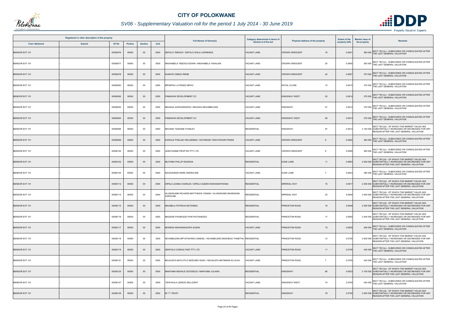

## *SV06 - Supplementary Valuation roll for the period 1 July 2014 - 30 June 2019*

|                       | Registered or other description of the property |          |                |                |      |                                                                        | Category determined in terms of |                                    | <b>Extent of the</b> | <b>Market value of</b><br>Remarks                                                                                                                  |
|-----------------------|-------------------------------------------------|----------|----------------|----------------|------|------------------------------------------------------------------------|---------------------------------|------------------------------------|----------------------|----------------------------------------------------------------------------------------------------------------------------------------------------|
| <b>Town Allotment</b> | <b>Suburb</b>                                   | Erf Nr   | <b>Portion</b> | <b>Section</b> | Unit | <b>Full Names of Owner(s)</b>                                          | <b>Section 8 of the Act</b>     | Physical address of the property   | property (HA)        | the property                                                                                                                                       |
| <b>BENDOR EXT 101</b> |                                                 | 00006076 | 00000          | $00\,$         | 0000 | SEFOLO TEBOGO / SEFOLO SHILA LAWRENCE                                  | <b>VACANT LAND</b>              | <b>CROWN CRESCENT</b><br>18        | 0.060 <sup>4</sup>   | SECT 78(1)(c) - SUBDIVIDED OR CONSOLIDATED AFTER<br>360 000 THE LAST GENERAL VALUATION                                                             |
| BENDOR EXT 101        |                                                 | 00006077 | 00000          | $00\,$         | 0000 | MASHABELA TEBOGO EDWIN / MASHABELA TAKALANI                            | <b>VACANT LAND</b>              | 20<br><b>CROWN CRESCENT</b>        | 0.0600               | 360 000 SECT 78(1)(c) - SUBDIVIDED OR CONSOLIDATED AFTER<br>THE LAST GENERAL VALUATION                                                             |
| <b>BENDOR EXT 101</b> |                                                 | 00006078 | 00000          | $00\,$         | 0000 | <b>KHANYE CEBILE IRENE</b>                                             | <b>VACANT LAND</b>              | <b>CROWN CRESCENT</b><br>42        | 0.0607               | SECT 78(1)(c) - SUBDIVIDED OR CONSOLIDATED AFTER<br>370 000 THE LAST GENERAL VALUATION                                                             |
| BENDOR EXT 101        |                                                 | 00006083 | 00000          | 00             | 0000 | MPHEPHU LUTENDO MPHO                                                   | <b>VACANT LAND</b>              | ROYAL CLOSE<br>10                  | 0.0615               | SECT 78(1)(c) - SUBDIVIDED OR CONSOLIDATED AFTER<br>370 000 THE LAST GENERAL VALUATION                                                             |
| <b>BENDOR EXT 101</b> |                                                 | 00006092 | 00000          | $00\,$         | 0000 | PAMASHIK DEVELOPMENT CC                                                | <b>VACANT LAND</b>              | 93<br><b>KINGSWAY WEST</b>         | 0.0614               | 370 000 SECT 78(1)(c) - SUBDIVIDED OR CONSOLIDATED AFTER<br>THE LAST GENERAL VALUATION                                                             |
| BENDOR EXT 101        |                                                 | 00006093 | 00000          | 00             | 0000 | MAHADA AZWIHANGWISI / MAHADA NKHUMBULENI                               | <b>VACANT LAND</b>              | 91<br><b>KINGSWAY</b>              | 0.0614               | SECT 78(1)(c) - SUBDIVIDED OR CONSOLIDATED AFTER<br>370 000 THE LAST GENERAL VALUATION                                                             |
| <b>BENDOR EXT 101</b> |                                                 | 00006094 | 00000          | $00\,$         | 0000 | PAMASHIK DEVELOPMENT CC                                                | <b>VACANT LAND</b>              | 89<br><b>KINGSWAY WEST</b>         | 0.0614               | 370 000 SECT 78(1)(c) - SUBDIVIDED OR CONSOLIDATED AFTER<br>THE LAST GENERAL VALUATION                                                             |
| BENDOR EXT 101        |                                                 | 00006095 | 00000          | $00\,$         | 0000 | NKOANA TSAKANE STANLEY                                                 | <b>RESIDENTIAL</b>              | 87<br><b>KINGSWAY</b>              | 0.0614               | SECT 78(1)(d) - OF WHICH THE MARKET VALUE HAS<br>2 100 000 SUBSTANTIALLY INCREASED OR DECREASED FOR ANY<br>REASON AFTER THE LAST GENERAL VALUATION |
| <b>BENDOR EXT 101</b> |                                                 | 00006099 | 00000          | $00\,$         | 0000 | KGWALE PHELADI WELHEMINA / SATHEKGE TSWATSWARI FRANS                   | <b>VACANT LAND</b>              | <b>CROWN CRESCENT</b><br>6         | 0.0602               | 360 000 SECT 78(1)(c) - SUBDIVIDED OR CONSOLIDATED AFTER<br>THE LAST GENERAL VALUATION                                                             |
| BENDOR EXT 101        |                                                 | 00006100 | 00000          | $00\,$         | 0000 | LERATADIMA PROP INV PTY LTD                                            | <b>VACANT LAND</b>              | <b>CROWN CRESCENT</b><br>-8        | 0.0595               | SECT 78(1)(c) - SUBDIVIDED OR CONSOLIDATED AFTER<br>360 000 THE LAST GENERAL VALUATION                                                             |
| BENDOR EXT 101        |                                                 | 00006102 | 00000          | $00\,$         | 0000 | MUYOMA PHILLIP EGADWA                                                  | <b>RESIDENTIAL</b>              | <b>DUKE LANE</b><br>11             | 0.0863               | SECT 78(1)(d) - OF WHICH THE MARKET VALUE HAS<br>2 000 000 SUBSTANTIALLY INCREASED OR DECREASED FOR ANY<br>REASON AFTER THE LAST GENERAL VALUATION |
| BENDOR EXT 101        |                                                 | 00006104 | 00000          | $00\,$         | 0000 | NGOASHENG NARE ANDROLINE                                               | <b>VACANT LAND</b>              | <b>DUKE LANE</b><br>$\overline{7}$ | 0.0623               | 380 000 SECT 78(1)(c) - SUBDIVIDED OR CONSOLIDATED AFTER<br>THE LAST GENERAL VALUATION                                                             |
| <b>BENDOR EXT 101</b> |                                                 | 00006112 | 00000          | $00\,$         | 0000 | DIPELA LESIBA CHARLES / DIPELA QUEEN NGWANANTWANA                      | <b>RESIDENTIAL</b>              | <b>IMPERIAL WAY</b><br>16          | 0.0917               | SECT 78(1)(d) - OF WHICH THE MARKET VALUE HAS<br>2 300 000 SUBSTANTIALLY INCREASED OR DECREASED FOR ANY<br>REASON AFTER THE LAST GENERAL VALUATION |
| BENDOR EXT 101        |                                                 | 00006114 | 00000          | 00             | 0000 | HLUNGWANE RICHARD-MATTHEWS VONANI / HLUNGWANE NKHENSANI<br>CAROLINE    | RESIDENTIAL                     | <b>IMPERIAL WAY</b><br>20          | 0.0649               | SECT 78(1)(d) - OF WHICH THE MARKET VALUE HAS<br>2 500 000 SUBSTANTIALLY INCREASED OR DECREASED FOR ANY<br>REASON AFTER THE LAST GENERAL VALUATION |
| <b>BENDOR EXT 101</b> |                                                 | 00006115 | 00000          | $00\,$         | 0000 | MAUMELA PATRICIA MUTSINDA                                              | <b>RESIDENTIAL</b>              | PRINCETON ROAD<br>19               | 0.0649               | SECT 78(1)(d) - OF WHICH THE MARKET VALUE HAS<br>2 200 000 SUBSTANTIALLY INCREASED OR DECREASED FOR ANY<br>REASON AFTER THE LAST GENERAL VALUATION |
| BENDOR EXT 101        |                                                 | 00006116 | 00000          | 00             | 0000 | MADZHIE PHUMUDZO PHATHUTSHEDZO                                         | <b>RESIDENTIAL</b>              | 17<br>PRINCETON ROAD               | 0.0650               | SECT 78(1)(d) - OF WHICH THE MARKET VALUE HAS<br>2 400 000 SUBSTANTIALLY INCREASED OR DECREASED FOR ANY<br>REASON AFTER THE LAST GENERAL VALUATION |
| BENDOR EXT 101        |                                                 | 00006117 | 00000          | $00\,$         | 0000 | MOSENA NGWANAKGOPA SUZAN                                               | <b>VACANT LAND</b>              | PRINCETON ROAD<br>15               | 0.0839               | SECT 78(1)(c) - SUBDIVIDED OR CONSOLIDATED AFTER<br>500 000 THE LAST GENERAL VALUATION                                                             |
| BENDOR EXT 101        |                                                 | 00006118 | 00000          | 00             | 0000 | NCHABELENG MPYATSHWEU SAMUEL / NCHABELENG MASHEGO THABITHA RESIDENTIAL |                                 | PRINCETON ROAD<br>13               | 0.0705               | SECT 78(1)(d) - OF WHICH THE MARKET VALUE HAS<br>2 600 000 SUBSTANTIALLY INCREASED OR DECREASED FOR ANY<br>REASON AFTER THE LAST GENERAL VALUATION |
| BENDOR EXT 101        |                                                 | 00006119 | 00000          | $00\,$         | 0000 | SENYOLO CONSULTANT PTY LTD                                             | <b>VACANT LAND</b>              | PRINCETON ROAD<br>11               | 0.0705               | SECT 78(1)(c) - SUBDIVIDED OR CONSOLIDATED AFTER<br>420 000 THE LAST GENERAL VALUATION                                                             |
| BENDOR EXT 101        |                                                 | 00006121 | 00000          | $00\,$         | 0000 | MOJALEFA MATLOTLO MODUMO ISAAC / MOJALEFA MATIMANA ELLICAH             | VACANT LAND                     | PRINCETON ROAD<br>$\overline{7}$   | 0.0705               | 420 000 SECT 78(1)(c) - SUBDIVIDED OR CONSOLIDATED AFTER<br>THE LAST GENERAL VALUATION                                                             |
| BENDOR EXT 101        |                                                 | 00006125 | 00000          | $00\,$         | 0000 | MANYAMA MOHALE ODYSSEUS / MANYAMA JULIANA                              | <b>RESIDENTIAL</b>              | <b>KINGSWAY</b><br>68              | 0.0923               | SECT 78(1)(d) - OF WHICH THE MARKET VALUE HAS<br>3 100 000 SUBSTANTIALLY INCREASED OR DECREASED FOR ANY<br>REASON AFTER THE LAST GENERAL VALUATION |
| BENDOR EXT 101        |                                                 | 00006127 | 00000          | $00\,$         | 0000 | TSHIVHULA LESEGO MILLICENT                                             | <b>VACANT LAND</b>              | 74<br><b>KINGSWAY WEST</b>         | 0.0705               | 420 000 SECT 78(1)(c) - SUBDIVIDED OR CONSOLIDATED AFTER<br>THE LAST GENERAL VALUATION                                                             |
| BENDOR EXT 101        |                                                 | 00006129 | 00000          | $00\,$         | 0000 | <b>MTTTRUST</b>                                                        | <b>RESIDENTIAL</b>              | <b>KINGSWAY</b><br>78              | 0.0705               | SECT 78(1)(d) - OF WHICH THE MARKET VALUE HAS<br>2 500 000 SUBSTANTIALLY INCREASED OR DECREASED FOR ANY<br>REASON AFTER THE LAST GENERAL VALUATION |

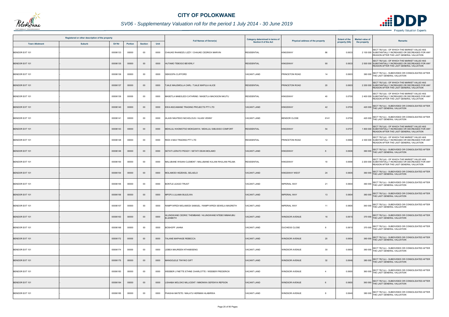

## *SV06 - Supplementary Valuation roll for the period 1 July 2014 - 30 June 2019*

|                       | Registered or other description of the property |          |                |                |      | <b>Full Names of Owner(s)</b>                                    | Category determined in terms of | Physical address of the property        | <b>Extent of the</b> | <b>Market value of</b> | <b>Remarks</b>                                                                                                                                     |
|-----------------------|-------------------------------------------------|----------|----------------|----------------|------|------------------------------------------------------------------|---------------------------------|-----------------------------------------|----------------------|------------------------|----------------------------------------------------------------------------------------------------------------------------------------------------|
| <b>Town Allotment</b> | <b>Suburb</b>                                   | Erf Nr   | <b>Portion</b> | <b>Section</b> | Unit |                                                                  | <b>Section 8 of the Act</b>     |                                         | property (HA)        | the property           |                                                                                                                                                    |
| <b>BENDOR EXT 101</b> |                                                 | 00006133 | 00000          | 00             | 0000 | CHAUKE RHANDZU LIZZY / CHAUKE CEDRICK MARVIN                     | <b>RESIDENTIAL</b>              | <b>KINGSWAY</b><br>86                   | 0.0633               |                        | SECT 78(1)(d) - OF WHICH THE MARKET VALUE HAS<br>2 100 000 SUBSTANTIALLY INCREASED OR DECREASED FOR ANY<br>REASON AFTER THE LAST GENERAL VALUATION |
| <b>BENDOR EXT 101</b> |                                                 | 00006135 | 00000          | $00\,$         | 0000 | HUTAMO TEBOGO BEVERLY                                            | <b>RESIDENTIAL</b>              | 90<br><b>KINGSWAY</b>                   | 0.0633               |                        | SECT 78(1)(d) - OF WHICH THE MARKET VALUE HAS<br>2 500 000 SUBSTANTIALLY INCREASED OR DECREASED FOR ANY<br>REASON AFTER THE LAST GENERAL VALUATION |
| <b>BENDOR EXT 101</b> |                                                 | 00006136 | 00000          | 00             | 0000 | SEKGOPA CLIFFORD                                                 | <b>VACANT LAND</b>              | PRINCETON ROAD<br>14                    | 0.0603               |                        | 360 000 SECT 78(1)(c) - SUBDIVIDED OR CONSOLIDATED AFTER<br>THE LAST GENERAL VALUATION                                                             |
| <b>BENDOR EXT 101</b> |                                                 | 00006137 | 00000          | $00\,$         | 0000 | TJALE MALEMOLLA CARL / TJALE MAPULA ALICE                        | <b>RESIDENTIAL</b>              | PRINCETON ROAD<br>20                    | 0.0603               |                        | SECT 78(1)(d) - OF WHICH THE MARKET VALUE HAS<br>2 200 000 SUBSTANTIALLY INCREASED OR DECREASED FOR ANY<br>REASON AFTER THE LAST GENERAL VALUATION |
| BENDOR EXT 101        |                                                 | 00006139 | 00000          | $00\,$         | 0000 | MASETLA MABOLEDI CATHRINE / MASETLA MACKSON NKUTU                | <b>RESIDENTIAL</b>              | 40<br><b>KINGSWAY</b>                   | 0.0700               |                        | SECT 78(1)(d) - OF WHICH THE MARKET VALUE HAS<br>2 400 000 SUBSTANTIALLY INCREASED OR DECREASED FOR ANY<br>REASON AFTER THE LAST GENERAL VALUATION |
| <b>BENDOR EXT 101</b> |                                                 | 00006140 | 00000          | $00\,$         | 0000 | KWA-NGCAMANE TRADING PROJECTS PTY LTD                            | VACANT LAND                     | <b>KINGSWAY</b><br>42                   | 0.0700               |                        | SECT 78(1)(c) - SUBDIVIDED OR CONSOLIDATED AFTER<br>420 000 THE LAST GENERAL VALUATION                                                             |
| BENDOR EXT 101        |                                                 | 00006141 | 00000          | $00\,$         | 0000 | HLAISI NKATEKO NICHOLOUS / HLAISI VENNY                          | VACANT LAND                     | <b>BENDOR CLOSE</b><br>6141             | 0.0700               |                        | 420 000 SECT 78(1)(c) - SUBDIVIDED OR CONSOLIDATED AFTER<br>THE LAST GENERAL VALUATION                                                             |
| <b>BENDOR EXT 101</b> |                                                 | 00006143 | 00000          | $00\,$         | 0000 | MDHLULI KHOMOTSO MOKGANYA / MDHLULI SIBUSISO COMFORT             | <b>RESIDENTIAL</b>              | <b>KINGSWAY</b><br>54                   | 0.0707               |                        | SECT 78(1)(d) - OF WHICH THE MARKET VALUE HAS<br>1 800 000 SUBSTANTIALLY INCREASED OR DECREASED FOR ANY<br>REASON AFTER THE LAST GENERAL VALUATION |
| BENDOR EXT 101        |                                                 | 00006148 | 00000          | $00\,$         | 0000 | REDI 4 MA3 TRADING PTY LTD                                       | <b>RESIDENTIAL</b>              | 12<br>PRINCETON ROAD                    | 0.0666               |                        | SECT 78(1)(d) - OF WHICH THE MARKET VALUE HAS<br>2 300 000 SUBSTANTIALLY INCREASED OR DECREASED FOR ANY<br>REASON AFTER THE LAST GENERAL VALUATION |
| <b>BENDOR EXT 101</b> |                                                 | 00006149 | 00000          | $00\,$         | 0000 | SETATI LERATO PEGGY / SETATI DEAN MOLAMO                         | <b>VACANT LAND</b>              | <b>KINGSWAY</b><br>8                    | 0.0606               |                        | 360 000 SECT 78(1)(c) - SUBDIVIDED OR CONSOLIDATED AFTER<br>THE LAST GENERAL VALUATION                                                             |
| BENDOR EXT 101        |                                                 | 00006150 | 00000          | 00             | 0000 | MALUBANE WISANI CLEMENT / MALUBANE KULANI RHULANI PELMA          | <b>RESIDENTIAL</b>              | <b>KINGSWAY</b><br>10                   | 0.0658               |                        | SECT 78(1)(d) - OF WHICH THE MARKET VALUE HAS<br>2 200 000 SUBSTANTIALLY INCREASED OR DECREASED FOR ANY<br>REASON AFTER THE LAST GENERAL VALUATION |
| <b>BENDOR EXT 101</b> |                                                 | 00006154 | 00000          | $00\,$         | 0000 | MOLAMODI HEZEKIEL SELAELO                                        | <b>VACANT LAND</b>              | <b>KINGSWAY WEST</b><br>24              | 0.0605               |                        | 360 000 SECT 78(1)(c) - SUBDIVIDED OR CONSOLIDATED AFTER<br>THE LAST GENERAL VALUATION                                                             |
| BENDOR EXT 101        |                                                 | 00006155 | 00000          | 00             | 0000 | <b>BONTLE LEAGO TRUST</b>                                        | <b>VACANT LAND</b>              | 21<br><b>IMPERIAL WAY</b>               | 0.0604               |                        | SECT 78(1)(c) - SUBDIVIDED OR CONSOLIDATED AFTER<br>360 000 THE LAST GENERAL VALUATION                                                             |
| <b>BENDOR EXT 101</b> |                                                 | 00006156 | 00000          | $00\,$         | 0000 | MPOFU LULAMA BULELWA                                             | VACANT LAND                     | <b>IMPERIAL WAY</b><br>13               | 0.0604               |                        | 360 000 SECT 78(1)(c) - SUBDIVIDED OR CONSOLIDATED AFTER<br>THE LAST GENERAL VALUATION                                                             |
| BENDOR EXT 101        |                                                 | 00006157 | 00000          | $00\,$         | 0000 | RAMPYAPEDI MOLAMODI SAMUEL / RAMPYAPEDI SEWELA MAGRETH           | <b>VACANT LAND</b>              | <b>IMPERIAL WAY</b><br>11               | 0.0605               |                        | SECT 78(1)(c) - SUBDIVIDED OR CONSOLIDATED AFTER<br>360 000 THE LAST GENERAL VALUATION                                                             |
| BENDOR EXT 101        |                                                 | 00006163 | 00000          | $00\,$         | 0000 | HLUNGWANE CEDRIC THEMBANE / HLUNGWANE NTEBO MMAKUBU<br>ELIZABETH | <b><i>JACANT LAND</i></b>       | <b>WINDSOR AVENUE</b><br>16             | 0.0615               |                        | 370 000 SECT 78(1)(c) - SUBDIVIDED OR CONSOLIDATED AFTER<br>THE LAST GENERAL VALUATION                                                             |
| BENDOR EXT 101        |                                                 | 00006166 | 00000          | $00\,$         | 0000 | <b>BOSHOFF JAHNA</b>                                             | VACANT LAND                     | DUCHESS CLOSE<br>8                      | 0.0610               |                        | 370 000 SECT 78(1)(c) - SUBDIVIDED OR CONSOLIDATED AFTER<br>THE LAST GENERAL VALUATION                                                             |
| BENDOR EXT 101        |                                                 | 00006172 | 00000          | $00\,$         | 0000 | TALANE MAPHAGE REBECCA                                           | <b>VACANT LAND</b>              | 20<br><b>WINDSOR AVENUE</b>             | 0.0604               |                        | 360 000 SECT 78(1)(c) - SUBDIVIDED OR CONSOLIDATED AFTER<br>THE LAST GENERAL VALUATION                                                             |
| BENDOR EXT 101        |                                                 | 00006174 | 00000          | 00             | 0000 | LEBEA MAUREEN NTHABISENG                                         | VACANT LAND                     | <b>WINDSOR AVENUE</b><br>30             | 0.0600               |                        | 360 000 SECT 78(1)(c) - SUBDIVIDED OR CONSOLIDATED AFTER<br>THE LAST GENERAL VALUATION                                                             |
| BENDOR EXT 101        |                                                 | 00006175 | 00000          | $00\,$         | 0000 | MANGOLELE TINYIKO GIFT                                           | <b>VACANT LAND</b>              | 32<br><b>WINDSOR AVENUE</b>             | 0.0646               |                        | 380 000 SECT 78(1)(c) - SUBDIVIDED OR CONSOLIDATED AFTER<br>THE LAST GENERAL VALUATION                                                             |
| BENDOR EXT 101        |                                                 | 00006183 | 00000          | $00\,$         | 0000 | WEEBER LYNETTE ETHNE CHARLOTTE / WEEBER FREDERICK                | <b>VACANT LAND</b>              | <b>WINDSOR AVENUE</b><br>$\overline{4}$ | 0.0600               |                        | 360 000 SECT 78(1)(c) - SUBDIVIDED OR CONSOLIDATED AFTER<br>THE LAST GENERAL VALUATION                                                             |
| BENDOR EXT 101        |                                                 | 00006184 | 00000          | $00\,$         | 0000 | LISHABA MOLOKO MILLICENT / MMONWA SEFENYA REPSON                 | <b>VACANT LAND</b>              | <b>WINDSOR AVENUE</b><br>6              | 0.0600               |                        | 360 000 SECT 78(1)(c) - SUBDIVIDED OR CONSOLIDATED AFTER<br>THE LAST GENERAL VALUATION                                                             |
| BENDOR EXT 101        |                                                 | 00006185 | 00000          | $00\,$         | 0000 | PHASHA MATETE / MALATJI HERMAN HLABIRWA                          | VACANT LAND                     | <b>WINDSOR AVENUE</b><br>8              | 0.0640               |                        | SECT 78(1)(c) - SUBDIVIDED OR CONSOLIDATED AFTER<br>380 000 THE LAST GENERAL VALUATION                                                             |

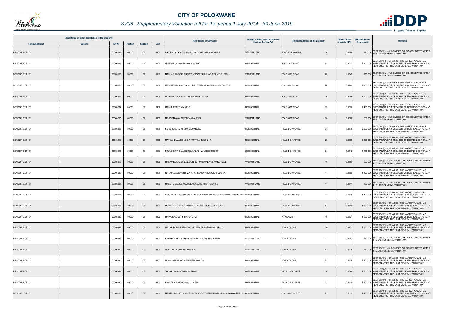

## *SV06 - Supplementary Valuation roll for the period 1 July 2014 - 30 June 2019*

|                       | Registered or other description of the property |          |                |                |      | <b>Full Names of Owner(s)</b>                                             | Category determined in terms of<br><b>Section 8 of the Act</b> |                                          | <b>Extent of the</b> | <b>Market value of</b> |                                                                                                                                                    |
|-----------------------|-------------------------------------------------|----------|----------------|----------------|------|---------------------------------------------------------------------------|----------------------------------------------------------------|------------------------------------------|----------------------|------------------------|----------------------------------------------------------------------------------------------------------------------------------------------------|
| <b>Town Allotment</b> | <b>Suburb</b>                                   | Erf Nr   | <b>Portion</b> | <b>Section</b> | Unit |                                                                           |                                                                | Physical address of the property         | property (HA)        | the property           | Remarks                                                                                                                                            |
| <b>BENDOR EXT 101</b> |                                                 | 00006186 | 00000          | $00\,$         | 0000 | DIKOLA MAOKA ANDRIES / DIKOLA DORIS MATOBOLE                              | <b>VACANT LAND</b>                                             | <b>WINDSOR AVENUE</b><br>10 <sup>1</sup> | 0.0600               | 360 000                | SECT 78(1)(c) - SUBDIVIDED OR CONSOLIDATED AFTER<br>THE LAST GENERAL VALUATION                                                                     |
| BENDOR EXT 101        |                                                 | 00006189 | 00000          | $00\,$         | 0000 | MANAMELA MOKUBENG PAULINA                                                 | <b>RESIDENTIAL</b>                                             | <b>SOLOMON ROAD</b>                      | 0.0437               |                        | SECT 78(1)(d) - OF WHICH THE MARKET VALUE HAS<br>1 300 000 SUBSTANTIALLY INCREASED OR DECREASED FOR ANY<br>REASON AFTER THE LAST GENERAL VALUATION |
| <b>BENDOR EXT 101</b> |                                                 | 00006196 | 00000          | $00\,$         | 0000 | MASHAO AMOGELANG PRIMROSE / MASHAO NDUMISO LEON                           | <b>VACANT LAND</b>                                             | 20<br><b>SOLOMON ROAD</b>                | 0.0545               |                        | 330 000 SECT 78(1)(c) - SUBDIVIDED OR CONSOLIDATED AFTER<br>THE LAST GENERAL VALUATION                                                             |
| <b>BENDOR EXT 101</b> |                                                 | 00006198 | 00000          | $00\,$         | 0000 | MABUNDA MOSATOA KHUTSO / MABUNDA MLUNGHISI GRIFFITH                       | <b>RESIDENTIAL</b>                                             | 24<br><b>SOLOMON ROAD</b>                | 0.0782               |                        | SECT 78(1)(d) - OF WHICH THE MARKET VALUE HAS<br>2 200 000 SUBSTANTIALLY INCREASED OR DECREASED FOR ANY<br>REASON AFTER THE LAST GENERAL VALUATION |
| BENDOR EXT 101        |                                                 | 00006201 | 00000          | $00\,$         | 0000 | MDUNGAZI NHLAMULO OLUDIPE COLLINS                                         | <b>RESIDENTIAL</b>                                             | 30<br><b>SOLOMON ROAD</b>                | 0.0509               |                        | SECT 78(1)(d) - OF WHICH THE MARKET VALUE HAS<br>1 400 000 SUBSTANTIALLY INCREASED OR DECREASED FOR ANY<br>REASON AFTER THE LAST GENERAL VALUATION |
| BENDOR EXT 101        |                                                 | 00006202 | 00000          | 00             | 0000 | <b>MAAKE PETER MAIMELE</b>                                                | <b>RESIDENTIAL</b>                                             | 32<br><b>SOLOMON ROAD</b>                | 0.0520               |                        | SECT 78(1)(d) - OF WHICH THE MARKET VALUE HAS<br>1 400 000 SUBSTANTIALLY INCREASED OR DECREASED FOR ANY<br>REASON AFTER THE LAST GENERAL VALUATION |
| <b>BENDOR EXT 101</b> |                                                 | 00006205 | 00000          | $00\,$         | 0000 | MOKGONYANA MOETLWA MARTIN                                                 | VACANT LAND                                                    | <b>SOLOMON ROAD</b><br>38                | 0.0508               |                        | SECT 78(1)(c) - SUBDIVIDED OR CONSOLIDATED AFTER<br>300 000 THE LAST GENERAL VALUATION                                                             |
| BENDOR EXT 101        |                                                 | 00006215 | 00000          | 00             | 0000 | NETSHIDAULU AHUIWI EMMANUEL                                               | <b>RESIDENTIAL</b>                                             | 31<br><b>HILLSIDE AVENUE</b>             | 0.0576               |                        | SECT 78(1)(d) - OF WHICH THE MARKET VALUE HAS<br>2 200 000 SUBSTANTIALLY INCREASED OR DECREASED FOR ANY<br>REASON AFTER THE LAST GENERAL VALUATION |
| BENDOR EXT 101        |                                                 | 00006217 | 00000          | $00\,$         | 0000 | MATOANE JAMES MASIA / MATOANE ROSINA                                      | <b>RESIDENTIAL</b>                                             | <b>HILLSIDE AVENUE</b><br>23             | 0.0609               |                        | SECT 78(1)(d) - OF WHICH THE MARKET VALUE HAS<br>2 300 000 SUBSTANTIALLY INCREASED OR DECREASED FOR ANY<br>REASON AFTER THE LAST GENERAL VALUATION |
| BENDOR EXT 101        |                                                 | 00006218 | 00000          | 00             | 0000 | NTLADI MATHEMA EDITH / NTLADI MAMOGODI UNIT                               | <b>RESIDENTIAL</b>                                             | 21<br><b>HILLSIDE AVENUE</b>             | 0.0542               |                        | SECT 78(1)(d) - OF WHICH THE MARKET VALUE HAS<br>1 400 000 SUBSTANTIALLY INCREASED OR DECREASED FOR ANY<br>REASON AFTER THE LAST GENERAL VALUATION |
| <b>BENDOR EXT 101</b> |                                                 | 00006219 | 00000          | $00\,$         | 0000 | MAKWALA MAROPENE DORRIS / MAKWALA NGWAKO PAUL                             | <b>VACANT LAND</b>                                             | <b>HILLSIDE AVENUE</b><br>19             | 0.0509               |                        | 300 000 SECT 78(1)(c) - SUBDIVIDED OR CONSOLIDATED AFTER<br>THE LAST GENERAL VALUATION                                                             |
| BENDOR EXT 101        |                                                 | 00006220 | 00000          | $00\,$         | 0000 | MHLANGA ABBY NTSIZWA / MHLANGA KHOMOTJO GLORIA                            | <b>RESIDENTIAL</b>                                             | <b>HILLSIDE AVENUE</b><br>17             | 0.0509               |                        | SECT 78(1)(d) - OF WHICH THE MARKET VALUE HAS<br>1 400 000 SUBSTANTIALLY INCREASED OR DECREASED FOR ANY<br>REASON AFTER THE LAST GENERAL VALUATION |
| BENDOR EXT 101        |                                                 | 00006223 | 00000          | $00\,$         | 0000 | MABOTE DANIEL KOLOBE / MABOTE PHUTI EUNICE                                | <b>VACANT LAND</b>                                             | <b>HILLSIDE AVENUE</b><br>11             | 0.0511               |                        | 300 000 SECT 78(1)(c) - SUBDIVIDED OR CONSOLIDATED AFTER<br>THE LAST GENERAL VALUATION                                                             |
| BENDOR EXT 101        |                                                 | 00006224 | 00000          | 00             | 0000 | NENGOVHELA AVHATAKALI RUFUS / RALUSWINGA LIVHUWANI CONSTANCE  RESIDENTIAL |                                                                | <b>HILLSIDE AVENUE</b><br>-9             | 0.0545               |                        | SECT 78(1)(d) - OF WHICH THE MARKET VALUE HAS<br>1 400 000 SUBSTANTIALLY INCREASED OR DECREASED FOR ANY<br>REASON AFTER THE LAST GENERAL VALUATION |
| BENDOR EXT 101        |                                                 | 00006226 | 00000          | $00\,$         | 0000 | MORIFI TSHIBEDI JOHANNES / MORIFI MOKGADI MAGGIE                          | <b>RESIDENTIAL</b>                                             | <b>HILLSIDE AVENUE</b><br>5              | 0.0519               |                        | SECT 78(1)(d) - OF WHICH THE MARKET VALUE HAS<br>1 800 000 SUBSTANTIALLY INCREASED OR DECREASED FOR ANY<br>REASON AFTER THE LAST GENERAL VALUATION |
| BENDOR EXT 101        |                                                 | 00006229 | 00000          | 00             | 0000 | MAMABOLO JOHN MAROPENG                                                    | <b>RESIDENTIAL</b>                                             | <b>KINGSWAY</b><br>18                    | 0.0634               |                        | SECT 78(1)(d) - OF WHICH THE MARKET VALUE HAS<br>1 300 000 SUBSTANTIALLY INCREASED OR DECREASED FOR ANY<br>REASON AFTER THE LAST GENERAL VALUATION |
| BENDOR EXT 101        |                                                 | 00006238 | 00000          | $00\,$         | 0000 | MAAKE BONTLE MPOGATSE / MAAKE EMMANUEL SELLO                              | <b>RESIDENTIAL</b>                                             | <b>TOWN CLOSE</b><br>10 <sup>°</sup>     | 0.072                |                        | SECT 78(1)(d) - OF WHICH THE MARKET VALUE HAS<br>1 800 000 SUBSTANTIALLY INCREASED OR DECREASED FOR ANY<br>REASON AFTER THE LAST GENERAL VALUATION |
| BENDOR EXT 101        |                                                 | 00006239 | 00000          | 00             | 0000 | RAPHELA BETTY IRENE / RAPHELA JOHN NTSHOKUE                               | <b>VACANT LAND</b>                                             | <b>TOWN CLOSE</b><br>11                  | 0.0542               |                        | 330 000 SECT 78(1)(c) - SUBDIVIDED OR CONSOLIDATED AFTER<br>THE LAST GENERAL VALUATION                                                             |
| BENDOR EXT 101        |                                                 | 00006240 | 00000          | $00\,$         | 0000 | MABITSELA MOSIMA ROSINA                                                   | <b>VACANT LAND</b>                                             | <b>TOWN CLOSE</b><br>$\mathbf{Q}$        | 0.0478               |                        | 290 000 SECT 78(1)(c) - SUBDIVIDED OR CONSOLIDATED AFTER<br>THE LAST GENERAL VALUATION                                                             |
| BENDOR EXT 101        |                                                 | 00006242 | 00000          | 00             | 0000 | MONYAMANE MOLANGWANE PORTIA                                               | <b>RESIDENTIAL</b>                                             | <b>TOWN CLOSE</b><br>5                   | 0.0428               |                        | SECT 78(1)(d) - OF WHICH THE MARKET VALUE HAS<br>1 100 000 SUBSTANTIALLY INCREASED OR DECREASED FOR ANY<br>REASON AFTER THE LAST GENERAL VALUATION |
| <b>BENDOR EXT 101</b> |                                                 | 00006249 | 00000          | $00\,$         | 0000 | HOBEJANE MATEME GLADYS                                                    | <b>RESIDENTIAL</b>                                             | 10<br><b>ARCADIA STREET</b>              | 0.0504               |                        | SECT 78(1)(d) - OF WHICH THE MARKET VALUE HAS<br>1 400 000 SUBSTANTIALLY INCREASED OR DECREASED FOR ANY<br>REASON AFTER THE LAST GENERAL VALUATION |
| BENDOR EXT 101        |                                                 | 00006250 | 00000          | $00\,$         | 0000 | PHALAFALA MOROGWA JARIAH                                                  | <b>RESIDENTIAL</b>                                             | <b>ARCADIA STREET</b><br>12              | 0.051                |                        | SECT 78(1)(d) - OF WHICH THE MARKET VALUE HAS<br>1 400 000 SUBSTANTIALLY INCREASED OR DECREASED FOR ANY<br>REASON AFTER THE LAST GENERAL VALUATION |
| BENDOR EXT 101        |                                                 | 00006253 | 00000          | $00\,$         | 0000 | MANTSHIMULI YOLANDA MATSHIDISO / MANTSHIMULI KANAKANA ANDRIES             | <b>RESIDENTIAL</b>                                             | <b>SOLOMON STREET</b><br>21              | 0.051                |                        | SECT 78(1)(d) - OF WHICH THE MARKET VALUE HAS<br>1 400 000 SUBSTANTIALLY INCREASED OR DECREASED FOR ANY<br>REASON AFTER THE LAST GENERAL VALUATION |

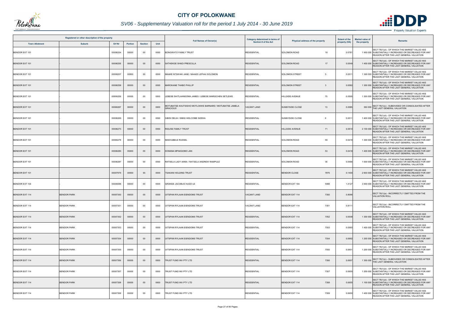

## *SV06 - Supplementary Valuation roll for the period 1 July 2014 - 30 June 2019*

|                       | Registered or other description of the property |          |                |                | <b>Full Names of Owner(s)</b> | Category determined in terms of<br>Section 8 of the Act                    | <b>Extent of the</b><br>Physical address of the property |                               | <b>Market value of</b> | <b>Remarks</b> |                                                                                                                                                    |
|-----------------------|-------------------------------------------------|----------|----------------|----------------|-------------------------------|----------------------------------------------------------------------------|----------------------------------------------------------|-------------------------------|------------------------|----------------|----------------------------------------------------------------------------------------------------------------------------------------------------|
| <b>Town Allotment</b> | <b>Suburb</b>                                   | Erf Nr   | <b>Portion</b> | <b>Section</b> | Unit                          |                                                                            |                                                          |                               | property (HA)          | the property   |                                                                                                                                                    |
| BENDOR EXT 101        |                                                 | 00006254 | 00000          | $00\,$         | 0000                          | BONGWATO FAMILY TRUST                                                      | <b>RESIDENTIAL</b>                                       | <b>SOLOMON ROAD</b><br>19     | 0.0781                 |                | SECT 78(1)(d) - OF WHICH THE MARKET VALUE HAS<br>1 900 000 SUBSTANTIALLY INCREASED OR DECREASED FOR ANY<br>REASON AFTER THE LAST GENERAL VALUATION |
| <b>BENDOR EXT 101</b> |                                                 | 00006255 | 00000          | $00\,$         | 0000                          | SATHEKGE SHADI PRESCILLA                                                   | <b>RESIDENTIAL</b>                                       | <b>SOLOMON ROAD</b><br>17     | 0.0549                 |                | SECT 78(1)(d) - OF WHICH THE MARKET VALUE HAS<br>1 400 000 SUBSTANTIALLY INCREASED OR DECREASED FOR ANY<br>REASON AFTER THE LAST GENERAL VALUATION |
| BENDOR EXT 101        |                                                 | 00006257 | 00000          | 00             | 0000                          | <b>MAAKE NTSWAKI JANE / MAAKE LEPHAI SOLOMON</b>                           | <b>RESIDENTIAL</b>                                       | <b>SOLOMON STREET</b><br>5    | 0.0511                 |                | SECT 78(1)(d) - OF WHICH THE MARKET VALUE HAS<br>1 300 000 SUBSTANTIALLY INCREASED OR DECREASED FOR ANY<br>REASON AFTER THE LAST GENERAL VALUATION |
| <b>BENDOR EXT 101</b> |                                                 | 00006258 | 00000          | $00\,$         | 0000                          | MAROKANE THABO PHILLIP                                                     | <b>RESIDENTIAL</b>                                       | <b>SOLOMON STREET</b><br>3    | 0.0582                 |                | SECT 78(1)(d) - OF WHICH THE MARKET VALUE HAS<br>1 300 000 SUBSTANTIALLY INCREASED OR DECREASED FOR ANY<br>REASON AFTER THE LAST GENERAL VALUATION |
| BENDOR EXT 101        |                                                 | 00006259 | 00000          | $00\,$         | 0000                          | LEBESE SHITLHANGOMA JAMES / LEBESE MARISCHEN SETLEWE                       | <b>RESIDENTIAL</b>                                       | <b>HILLSIDE AVENUE</b><br>75  | 0.0505                 |                | SECT 78(1)(d) - OF WHICH THE MARKET VALUE HAS<br>1 300 000 SUBSTANTIALLY INCREASED OR DECREASED FOR ANY<br>REASON AFTER THE LAST GENERAL VALUATION |
| BENDOR EXT 101        |                                                 | 00006267 | 00000          | $00\,$         | 0000                          | MOTUBATSE KHUTSISHO MOTLOKWE BARNARD / MOTUBATSE JAMELA<br><b>GRACIOUS</b> | <b>ACANT LAND</b>                                        | <b>SUNNYSIDE CLOSE</b><br>13  | 0.0585                 |                | SECT 78(1)(c) - SUBDIVIDED OR CONSOLIDATED AFTER<br>350 000 THE LAST GENERAL VALUATION                                                             |
| BENDOR EXT 101        |                                                 | 00006269 | 00000          | 00             | 0000                          | SIBISI DELIA / SIBISI WELCOME SIZEKA                                       | <b>RESIDENTIAL</b>                                       | <b>SUNNYSIDE CLOSE</b><br>9   | 0.051                  |                | SECT 78(1)(d) - OF WHICH THE MARKET VALUE HAS<br>1 400 000 SUBSTANTIALLY INCREASED OR DECREASED FOR ANY<br>REASON AFTER THE LAST GENERAL VALUATION |
| BENDOR EXT 101        |                                                 | 00006273 | 00000          | $00\,$         | 0000                          | RIGUSE FAMILY TRUST                                                        | <b>RESIDENTIAL</b>                                       | <b>HILLSIDE AVENUE</b><br>71  | 0.051                  |                | SECT 78(1)(d) - OF WHICH THE MARKET VALUE HAS<br>2 100 000 SUBSTANTIALLY INCREASED OR DECREASED FOR ANY<br>REASON AFTER THE LAST GENERAL VALUATION |
| BENDOR EXT 101        |                                                 | 00006279 | 00000          | 00             | 0000                          | MAKHUBELE RUSSEL                                                           | <b>RESIDENTIAL</b>                                       | 55<br><b>SOLOMON ROAD</b>     | 0.0418                 |                | SECT 78(1)(d) - OF WHICH THE MARKET VALUE HAS<br>1 300 000 SUBSTANTIALLY INCREASED OR DECREASED FOR ANY<br>REASON AFTER THE LAST GENERAL VALUATION |
| <b>BENDOR EXT 101</b> |                                                 | 00006280 | 00000          | $00\,$         | 0000                          | KOMANA MPAKGOMO JAN                                                        | <b>RESIDENTIAL</b>                                       | 53<br><b>SOLOMON ROAD</b>     | 0.0418                 |                | SECT 78(1)(d) - OF WHICH THE MARKET VALUE HAS<br>1 400 000 SUBSTANTIALLY INCREASED OR DECREASED FOR ANY<br>REASON AFTER THE LAST GENERAL VALUATION |
| BENDOR EXT 101        |                                                 | 00006287 | 00000          | 00             | 0000                          | RATSELA LADY ANNA / RATSELA ANDREW RAMPULE                                 | <b>RESIDENTIAL</b>                                       | <b>SOLOMON ROAD</b><br>35     | 0.0566                 |                | SECT 78(1)(d) - OF WHICH THE MARKET VALUE HAS<br>1 600 000 SUBSTANTIALLY INCREASED OR DECREASED FOR ANY<br>REASON AFTER THE LAST GENERAL VALUATION |
| BENDOR EXT 101        |                                                 | 00007975 | 00000          | $00\,$         | 0000                          | TSAKANI HOLDING TRUST                                                      | <b>RESIDENTIAL</b>                                       | <b>BENDOR CLOSE</b><br>7975   | 0.1400                 |                | SECT 78(1)(d) - OF WHICH THE MARKET VALUE HAS<br>2 600 000 SUBSTANTIALLY INCREASED OR DECREASED FOR ANY<br>REASON AFTER THE LAST GENERAL VALUATION |
| BENDOR EXT 104        |                                                 | 00005088 | 00000          | 00             | 0000                          | GRANGE JACOBUS HUGO LE                                                     | <b>RESIDENTIAL</b>                                       | BENDOR EXT 104<br>5088        | 1.4127                 |                | SECT 78(1)(d) - OF WHICH THE MARKET VALUE HAS<br>3 900 000 SUBSTANTIALLY INCREASED OR DECREASED FOR ANY<br>REASON AFTER THE LAST GENERAL VALUATION |
| <b>BENDOR EXT 114</b> | <b>BENDOR PARK</b>                              | 00007350 | 00000          | $00\,$         | 0000                          | JITSPAN RYLAAN EIENDOMS TRUST                                              | <b>VACANT LAND</b>                                       | <b>BENDOR EXT 114</b><br>7350 | 0.8096                 |                | SECT 78(1)(a) - INCORRECTLY OMITTED FROM THE<br><b>VALUATION ROLL</b>                                                                              |
| BENDOR EXT 114        | <b>BENDOR PARK</b>                              | 00007351 | 00000          | $00\,$         | 0000                          | JITSPAN RYLAAN EIENDOMS TRUST                                              | <b>/ACANT LAND</b>                                       | <b>BENDOR EXT 114</b><br>7351 | 0.8111                 |                | SECT 78(1)(a) - INCORRECTLY OMITTED FROM THE<br><b>VALUATION ROLL</b>                                                                              |
| <b>BENDOR EXT 114</b> | <b>BENDOR PARK</b>                              | 00007352 | 00000          | $00\,$         | 0000                          | JITSPAN RYLAAN EIENDOMS TRUST                                              | <b>RESIDENTIAL</b>                                       | <b>BENDOR EXT 114</b><br>7352 | 0.0548                 |                | SECT 78(1)(d) - OF WHICH THE MARKET VALUE HAS<br>1 300 000 SUBSTANTIALLY INCREASED OR DECREASED FOR ANY<br>REASON AFTER THE LAST GENERAL VALUATION |
| BENDOR EXT 114        | <b>BENDOR PARK</b>                              | 00007353 | 00000          | 00             | 0000                          | JITSPAN RYLAAN EIENDOMS TRUST                                              | <b>RESIDENTIAL</b>                                       | BENDOR EXT 114<br>7353        | 0.0560                 |                | SECT 78(1)(d) - OF WHICH THE MARKET VALUE HAS<br>1 400 000 SUBSTANTIALLY INCREASED OR DECREASED FOR ANY<br>REASON AFTER THE LAST GENERAL VALUATION |
| <b>BENDOR EXT 114</b> | <b>BENDOR PARK</b>                              | 00007354 | 00000          | $00\,$         | 0000                          | UITSPAN RYLAAN EIENDOMS TRUST                                              | <b>RESIDENTIAL</b>                                       | <b>BENDOR EXT 114</b><br>7354 | 0.0692                 |                | SECT 78(1)(d) - OF WHICH THE MARKET VALUE HAS<br>1 200 000 SUBSTANTIALLY INCREASED OR DECREASED FOR ANY<br>REASON AFTER THE LAST GENERAL VALUATION |
| BENDOR EXT 114        | <b>BENDOR PARK</b>                              | 00007355 | 00000          | 00             | 0000                          | UITSPAN RYLAAN EIENDOMS TRUST                                              | <b>RESIDENTIAL</b>                                       | BENDOR EXT 114<br>7355        | 0.0601                 |                | SECT 78(1)(d) - OF WHICH THE MARKET VALUE HAS<br>1 200 000 SUBSTANTIALLY INCREASED OR DECREASED FOR ANY<br>REASON AFTER THE LAST GENERAL VALUATION |
| <b>BENDOR EXT 114</b> | <b>BENDOR PARK</b>                              | 00007356 | 00000          | $00\,$         | 0000                          | FRUST FUND INV PTY LTD                                                     | <b>RESIDENTIAL</b>                                       | <b>BENDOR EXT 114</b><br>7356 | 0.0657                 |                | 1 300 000 SECT 78(1)(c) - SUBDIVIDED OR CONSOLIDATED AFTER<br>THE LAST GENERAL VALUATION                                                           |
| BENDOR EXT 114        | <b>BENDOR PARK</b>                              | 00007357 | 00000          | $00\,$         | 0000                          | FRUST FUND INV PTY LTD                                                     | <b>RESIDENTIAL</b>                                       | BENDOR EXT 114<br>7357        | 0.0655                 |                | SECT 78(1)(d) - OF WHICH THE MARKET VALUE HAS<br>1 200 000 SUBSTANTIALLY INCREASED OR DECREASED FOR ANY<br>REASON AFTER THE LAST GENERAL VALUATION |
| <b>BENDOR EXT 114</b> | <b>BENDOR PARK</b>                              | 00007358 | 00000          | $00\,$         | 0000                          | TRUST FUND INV PTY LTD                                                     | <b>RESIDENTIAL</b>                                       | <b>BENDOR EXT 114</b><br>7358 | 0.065                  |                | SECT 78(1)(d) - OF WHICH THE MARKET VALUE HAS<br>1 100 000 SUBSTANTIALLY INCREASED OR DECREASED FOR ANY<br>REASON AFTER THE LAST GENERAL VALUATION |
| BENDOR EXT 114        | <b>BENDOR PARK</b>                              | 00007359 | 00000          | $00\,$         | 0000                          | FRUST FUND INV PTY LTD                                                     | <b>RESIDENTIAL</b>                                       | BENDOR EXT 114<br>7359        | 0.0655                 |                | SECT 78(1)(d) - OF WHICH THE MARKET VALUE HAS<br>1 400 000 SUBSTANTIALLY INCREASED OR DECREASED FOR ANY<br>REASON AFTER THE LAST GENERAL VALUATION |

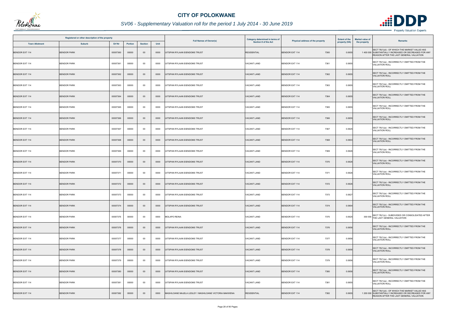

## *SV06 - Supplementary Valuation roll for the period 1 July 2014 - 30 June 2019*

|                       | Registered or other description of the property |          |         |                | <b>Full Names of Owner(s)</b> | Category determined in terms of                        | Physical address of the property | <b>Extent of the</b>          | <b>Market value of</b> | <b>Remarks</b> |                                                                                                                                                    |
|-----------------------|-------------------------------------------------|----------|---------|----------------|-------------------------------|--------------------------------------------------------|----------------------------------|-------------------------------|------------------------|----------------|----------------------------------------------------------------------------------------------------------------------------------------------------|
| <b>Town Allotment</b> | <b>Suburb</b>                                   | Erf Nr   | Portion | <b>Section</b> | Unit                          |                                                        | Section 8 of the Act             |                               | property (HA)          | the property   |                                                                                                                                                    |
| <b>BENDOR EXT 114</b> | <b>BENDOR PARK</b>                              | 00007360 | 00000   | $00\,$         | 0000                          | UITSPAN RYLAAN EIENDOMS TRUST                          | <b>RESIDENTIAL</b>               | <b>BENDOR EXT 114</b><br>7360 | 0.0655                 |                | SECT 78(1)(d) - OF WHICH THE MARKET VALUE HAS<br>1 400 000 SUBSTANTIALLY INCREASED OR DECREASED FOR ANY<br>REASON AFTER THE LAST GENERAL VALUATION |
| BENDOR EXT 114        | <b>BENDOR PARK</b>                              | 00007361 | 00000   | $00\,$         | 0000                          | UITSPAN RYLAAN EIENDOMS TRUST                          | VACANT LAND                      | BENDOR EXT 114<br>7361        | 0.0655                 |                | SECT 78(1)(a) - INCORRECTLY OMITTED FROM THE<br><b>VALUATION ROLL</b>                                                                              |
| <b>BENDOR EXT 114</b> | <b>BENDOR PARK</b>                              | 00007362 | 00000   | $00\,$         | 0000                          | UITSPAN RYLAAN EIENDOMS TRUST                          | <b>VACANT LAND</b>               | <b>BENDOR EXT 114</b><br>7362 | 0.0655                 |                | SECT 78(1)(a) - INCORRECTLY OMITTED FROM THE<br><b>VALUATION ROLL</b>                                                                              |
| BENDOR EXT 114        | <b>BENDOR PARK</b>                              | 00007363 | 00000   | $00\,$         | 0000                          | UITSPAN RYLAAN EIENDOMS TRUST                          | VACANT LAND                      | BENDOR EXT 114<br>7363        | 0.0655                 |                | SECT 78(1)(a) - INCORRECTLY OMITTED FROM THE<br><b>VALUATION ROLL</b>                                                                              |
| <b>BENDOR EXT 114</b> | <b>BENDOR PARK</b>                              | 00007364 | 00000   | $00\,$         | 0000                          | UITSPAN RYLAAN EIENDOMS TRUST                          | <b>VACANT LAND</b>               | <b>BENDOR EXT 114</b><br>7364 | 0.0655                 |                | SECT 78(1)(a) - INCORRECTLY OMITTED FROM THE<br><b>VALUATION ROLL</b>                                                                              |
| BENDOR EXT 114        | <b>BENDOR PARK</b>                              | 00007365 | 00000   | $00\,$         | 0000                          | UITSPAN RYLAAN EIENDOMS TRUST                          | VACANT LAND                      | BENDOR EXT 114<br>7365        | 0.0655                 |                | SECT 78(1)(a) - INCORRECTLY OMITTED FROM THE<br><b>VALUATION ROLL</b>                                                                              |
| <b>BENDOR EXT 114</b> | <b>BENDOR PARK</b>                              | 00007366 | 00000   | $00\,$         | 0000                          | UITSPAN RYLAAN EIENDOMS TRUST                          | <b>VACANT LAND</b>               | <b>BENDOR EXT 114</b><br>7366 | 0.0655                 |                | SECT 78(1)(a) - INCORRECTLY OMITTED FROM THE<br><b>VALUATION ROLL</b>                                                                              |
| <b>BENDOR EXT 114</b> | <b>BENDOR PARK</b>                              | 00007367 | 00000   | $00\,$         | 0000                          | UITSPAN RYLAAN EIENDOMS TRUST                          | <b>VACANT LAND</b>               | 7367<br><b>BENDOR EXT 114</b> | 0.0625                 |                | SECT 78(1)(a) - INCORRECTLY OMITTED FROM THE<br><b>VALUATION ROLL</b>                                                                              |
| <b>BENDOR EXT 114</b> | <b>BENDOR PARK</b>                              | 00007368 | 00000   | $00\,$         | 0000                          | UITSPAN RYLAAN EIENDOMS TRUST                          | <b>VACANT LAND</b>               | <b>BENDOR EXT 114</b><br>7368 | 0.0903                 |                | SECT 78(1)(a) - INCORRECTLY OMITTED FROM THE<br><b>VALUATION ROLL</b>                                                                              |
| BENDOR EXT 114        | <b>BENDOR PARK</b>                              | 00007369 | 00000   | $00\,$         | 0000                          | UITSPAN RYLAAN EIENDOMS TRUST                          | VACANT LAND                      | <b>BENDOR EXT 114</b><br>7369 | 0.0626                 |                | SECT 78(1)(a) - INCORRECTLY OMITTED FROM THE<br><b>VALUATION ROLL</b>                                                                              |
| <b>BENDOR EXT 114</b> | <b>BENDOR PARK</b>                              | 00007370 | 00000   | $00\,$         | 0000                          | UITSPAN RYLAAN EIENDOMS TRUST                          | <b>VACANT LAND</b>               | 7370<br><b>BENDOR EXT 114</b> | 0.0626                 |                | SECT 78(1)(a) - INCORRECTLY OMITTED FROM THE<br><b>VALUATION ROLL</b>                                                                              |
| BENDOR EXT 114        | <b>BENDOR PARK</b>                              | 00007371 | 00000   | $00\,$         | 0000                          | UITSPAN RYLAAN EIENDOMS TRUST                          | VACANT LAND                      | BENDOR EXT 114<br>7371        | 0.0626                 |                | SECT 78(1)(a) - INCORRECTLY OMITTED FROM THE<br><b>VALUATION ROLL</b>                                                                              |
| <b>BENDOR EXT 114</b> | <b>BENDOR PARK</b>                              | 00007372 | 00000   | $00\,$         | 0000                          | UITSPAN RYLAAN EIENDOMS TRUST                          | <b>VACANT LAND</b>               | <b>BENDOR EXT 114</b><br>7372 | 0.0626                 |                | SECT 78(1)(a) - INCORRECTLY OMITTED FROM THE<br><b>VALUATION ROLL</b>                                                                              |
| BENDOR EXT 114        | <b>BENDOR PARK</b>                              | 00007373 | 00000   | $00\,$         | 0000                          | UITSPAN RYLAAN EIENDOMS TRUST                          | VACANT LAND                      | <b>BENDOR EXT 114</b><br>7373 | 0.0627                 |                | SECT 78(1)(a) - INCORRECTLY OMITTED FROM THE<br><b>VALUATION ROLL</b>                                                                              |
| <b>BENDOR EXT 114</b> | <b>BENDOR PARK</b>                              | 00007374 | 00000   | $00\,$         | 0000                          | UITSPAN RYLAAN EIENDOMS TRUST                          | <b>VACANT LAND</b>               | <b>BENDOR EXT 114</b><br>7374 | 0.0904                 |                | SECT 78(1)(a) - INCORRECTLY OMITTED FROM THE<br><b>VALUATION ROLL</b>                                                                              |
| BENDOR EXT 114        | <b>BENDOR PARK</b>                              | 00007375 | 00000   | 00             | 0000                          | MOLAPO REINA                                           | VACANT LAND                      | <b>BENDOR EXT 114</b><br>7375 | 0.0625                 |                | 300 000 SECT 78(1)(c) - SUBDIVIDED OR CONSOLIDATED AFTER<br>THE LAST GENERAL VALUATION                                                             |
| <b>BENDOR EXT 114</b> | <b>BENDOR PARK</b>                              | 00007376 | 00000   | $00\,$         | 0000                          | UITSPAN RYLAAN EIENDOMS TRUST                          | <b>VACANT LAND</b>               | <b>BENDOR EXT 114</b><br>7376 | 0.0656                 |                | SECT 78(1)(a) - INCORRECTLY OMITTED FROM THE<br><b>VALUATION ROLL</b>                                                                              |
| BENDOR EXT 114        | <b>BENDOR PARK</b>                              | 00007377 | 00000   | $00\,$         | 0000                          | UITSPAN RYLAAN EIENDOMS TRUST                          | VACANT LAND                      | BENDOR EXT 114<br>7377        | 0.0656                 |                | SECT 78(1)(a) - INCORRECTLY OMITTED FROM THE<br><b>VALUATION ROLL</b>                                                                              |
| <b>BENDOR EXT 114</b> | <b>BENDOR PARK</b>                              | 00007378 | 00000   | $00\,$         | 0000                          | UITSPAN RYLAAN EIENDOMS TRUST                          | <b>VACANT LAND</b>               | <b>BENDOR EXT 114</b><br>7378 | 0.0656                 |                | SECT 78(1)(a) - INCORRECTLY OMITTED FROM THE<br><b>VALUATION ROLL</b>                                                                              |
| BENDOR EXT 114        | <b>BENDOR PARK</b>                              | 00007379 | 00000   | $00\,$         | 0000                          | UITSPAN RYLAAN EIENDOMS TRUST                          | VACANT LAND                      | 7379<br>BENDOR EXT 114        | 0.0656                 |                | SECT 78(1)(a) - INCORRECTLY OMITTED FROM THE<br><b>VALUATION ROLL</b>                                                                              |
| <b>BENDOR EXT 114</b> | <b>BENDOR PARK</b>                              | 00007380 | 00000   | $00\,$         | 0000                          | UITSPAN RYLAAN EIENDOMS TRUST                          | <b>VACANT LAND</b>               | <b>BENDOR EXT 114</b><br>7380 | 0.0656                 |                | SECT 78(1)(a) - INCORRECTLY OMITTED FROM THE<br><b>VALUATION ROLL</b>                                                                              |
| BENDOR EXT 114        | <b>BENDOR PARK</b>                              | 00007381 | 00000   | $00\,$         | 0000                          | UITSPAN RYLAAN EIENDOMS TRUST                          | VACANT LAND                      | 7381<br>BENDOR EXT 114        | 0.0655                 |                | SECT 78(1)(a) - INCORRECTLY OMITTED FROM THE<br><b>VALUATION ROLL</b>                                                                              |
| BENDOR EXT 114        | <b>BENDOR PARK</b>                              | 00007382 | 00000   | $00\,$         | 0000                          | MASHILOANE MAJELA LESLEY / MASHILOANE VICTORIA MAKWENA | <b>RESIDENTIAL</b>               | BENDOR EXT 114<br>7382        | 0.0655                 |                | SECT 78(1)(d) - OF WHICH THE MARKET VALUE HAS<br>1 200 000 SUBSTANTIALLY INCREASED OR DECREASED FOR ANY<br>REASON AFTER THE LAST GENERAL VALUATION |

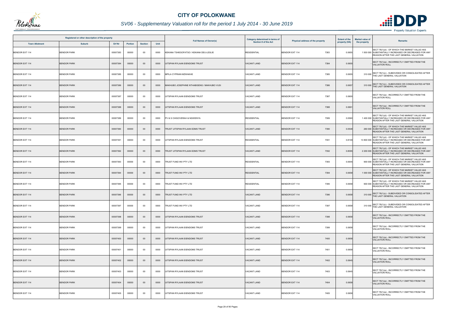

## *SV06 - Supplementary Valuation roll for the period 1 July 2014 - 30 June 2019*

|                       | Registered or other description of the property |          |                |                |      |                                             | Category determined in terms of |                                  | <b>Extent of the</b> | <b>Market value of</b>                                                                                                                              |
|-----------------------|-------------------------------------------------|----------|----------------|----------------|------|---------------------------------------------|---------------------------------|----------------------------------|----------------------|-----------------------------------------------------------------------------------------------------------------------------------------------------|
| <b>Town Allotment</b> | <b>Suburb</b>                                   | Erf Nr   | <b>Portion</b> | <b>Section</b> | Unit | <b>Full Names of Owner(s)</b>               | <b>Section 8 of the Act</b>     | Physical address of the property | property (HA)        | Remarks<br>the property                                                                                                                             |
| <b>BENDOR EXT 114</b> | <b>BENDOR PARK</b>                              | 00007383 | 00000          | 00             | 0000 | KEKANA TSHEGOFATSO / KEKANA DEU-LESLIE      | <b>RESIDENTIAL</b>              | <b>BENDOR EXT 114</b><br>7383    | 0.0655               | SECT 78(1)(d) - OF WHICH THE MARKET VALUE HAS<br>1 500 000 SUBSTANTIALLY INCREASED OR DECREASED FOR ANY<br>REASON AFTER THE LAST GENERAL VALUATION  |
| <b>BENDOR EXT 114</b> | <b>BENDOR PARK</b>                              | 00007384 | 00000          | $00\,$         | 0000 | UITSPAN RYLAAN EIENDOMS TRUST               | <b>VACANT LAND</b>              | 7384<br><b>BENDOR EXT 114</b>    | 0.0655               | SECT 78(1)(a) - INCORRECTLY OMITTED FROM THE<br><b>VALUATION ROLL</b>                                                                               |
| <b>BENDOR EXT 114</b> | <b>BENDOR PARK</b>                              | 00007385 | 00000          | 00             | 0000 | MPILA CYPRIAN MZWAKHE                       | <b>VACANT LAND</b>              | <b>BENDOR EXT 114</b><br>7385    | 0.0655               | SECT 78(1)(c) - SUBDIVIDED OR CONSOLIDATED AFTER<br>310 000 THE LAST GENERAL VALUATION                                                              |
| <b>BENDOR EXT 114</b> | <b>BENDOR PARK</b>                              | 00007386 | 00000          | $00\,$         | 0000 | MAKHUBO JOSEPHINE NTHABISENG / MAKHUBO VUSI | <b>VACANT LAND</b>              | <b>BENDOR EXT 114</b><br>7386    | 0.0657               | 310 000 SECT 78(1)(c) - SUBDIVIDED OR CONSOLIDATED AFTER<br>THE LAST GENERAL VALUATION                                                              |
| BENDOR EXT 114        | <b>BENDOR PARK</b>                              | 00007387 | 00000          | 00             | 0000 | UITSPAN RYLAAN EIENDOMS TRUST               | <b>VACANT LAND</b>              | <b>BENDOR EXT 114</b><br>7387    | 0.0600               | SECT 78(1)(a) - INCORRECTLY OMITTED FROM THE<br><b>VALUATION ROLL</b>                                                                               |
| <b>BENDOR EXT 114</b> | <b>BENDOR PARK</b>                              | 00007388 | 00000          | $00\,$         | 0000 | UITSPAN RYLAAN EIENDOMS TRUST               | <b>VACANT LAND</b>              | <b>BENDOR EXT 114</b><br>7388    | 0.0691               | SECT 78(1)(a) - INCORRECTLY OMITTED FROM THE<br><b>VALUATION ROLL</b>                                                                               |
| BENDOR EXT 114        | <b>BENDOR PARK</b>                              | 00007389 | 00000          | 00             | 0000 | PV & S CHIGOVERAH & NGWENYA                 | <b>RESIDENTIAL</b>              | <b>BENDOR EXT 114</b><br>7389    | 0.0560               | SECT 78(1)(d) - OF WHICH THE MARKET VALUE HAS<br>1 400 000 SUBSTANTIALLY INCREASED OR DECREASED FOR ANY<br>REASON AFTER THE LAST GENERAL VALUATION  |
| <b>BENDOR EXT 114</b> | <b>BENDOR PARK</b>                              | 00007390 | 00000          | $00\,$         | 0000 | TRUST UITSPAN RYLAAN EDMS TRUST             | <b>VACANT LAND</b>              | <b>BENDOR EXT 114</b><br>7390    | 0.0548               | SECT 78(1)(d) - OF WHICH THE MARKET VALUE HAS<br>260 000 SUBSTANTIALLY INCREASED OR DECREASED FOR ANY<br>REASON AFTER THE LAST GENERAL VALUATION    |
| BENDOR EXT 114        | <b>BENDOR PARK</b>                              | 00007391 | 00000          | $00\,$         | 0000 | UITSPAN RYLAAN EIENDOMS TRUST               | <b>RESIDENTIAL</b>              | <b>BENDOR EXT 114</b><br>7391    | 0.8109               | SECT 78(1)(d) - OF WHICH THE MARKET VALUE HAS<br>13 800 000 SUBSTANTIALLY INCREASED OR DECREASED FOR ANY<br>REASON AFTER THE LAST GENERAL VALUATION |
| <b>BENDOR EXT 114</b> | <b>BENDOR PARK</b>                              | 00007392 | 00000          | $00\,$         | 0000 | TRUST UITSPAN RYLAAN EDMS TRUST             | <b>VACANT LAND</b>              | <b>BENDOR EXT 114</b><br>7392    | 0.809                | SECT 78(1)(d) - OF WHICH THE MARKET VALUE HAS<br>2 200 000 SUBSTANTIALLY INCREASED OR DECREASED FOR ANY<br>REASON AFTER THE LAST GENERAL VALUATION  |
| BENDOR EXT 114        | <b>BENDOR PARK</b>                              | 00007393 | 00000          | 00             | 0000 | TRUST FUND INV PTY LTD                      | <b>RESIDENTIAL</b>              | <b>BENDOR EXT 114</b><br>7393    | 0.0645               | SECT 78(1)(d) - OF WHICH THE MARKET VALUE HAS<br>900 000 SUBSTANTIALLY INCREASED OR DECREASED FOR ANY<br>REASON AFTER THE LAST GENERAL VALUATION    |
| <b>BENDOR EXT 114</b> | <b>BENDOR PARK</b>                              | 00007394 | 00000          | $00\,$         | 0000 | TRUST FUND INV PTY LTD                      | <b>RESIDENTIAL</b>              | <b>BENDOR EXT 114</b><br>7394    | 0.0658               | SECT 78(1)(d) - OF WHICH THE MARKET VALUE HAS<br>1 000 000 SUBSTANTIALLY INCREASED OR DECREASED FOR ANY<br>REASON AFTER THE LAST GENERAL VALUATION  |
| BENDOR EXT 114        | <b>BENDOR PARK</b>                              | 00007395 | 00000          | $00\,$         | 0000 | TRUST FUND INV PTY LTD                      | <b>RESIDENTIAL</b>              | <b>BENDOR EXT 114</b><br>7395    | 0.0658               | SECT 78(1)(d) - OF WHICH THE MARKET VALUE HAS<br>900 000 SUBSTANTIALLY INCREASED OR DECREASED FOR ANY<br>REASON AFTER THE LAST GENERAL VALUATION    |
| <b>BENDOR EXT 114</b> | <b>BENDOR PARK</b>                              | 00007396 | 00000          | 00             | 0000 | TRUST FUND INV PTY LTD                      | <b>VACANT LAND</b>              | <b>BENDOR EXT 114</b><br>7396    | 0.0658               | 310 000 SECT 78(1)(c) - SUBDIVIDED OR CONSOLIDATED AFTER<br>THE LAST GENERAL VALUATION                                                              |
| BENDOR EXT 114        | <b>BENDOR PARK</b>                              | 00007397 | 00000          | 00             | 0000 | TRUST FUND INV PTY LTD                      | VACANT LAND                     | <b>BENDOR EXT 114</b><br>7397    | 0.0658               | SECT 78(1)(c) - SUBDIVIDED OR CONSOLIDATED AFTER<br>310 000 THE LAST GENERAL VALUATION                                                              |
| <b>BENDOR EXT 114</b> | <b>BENDOR PARK</b>                              | 00007398 | 00000          | $00\,$         | 0000 | UITSPAN RYLAAN EIENDOMS TRUST               | <b>VACANT LAND</b>              | 7398<br><b>BENDOR EXT 114</b>    | 0.0658               | SECT 78(1)(a) - INCORRECTLY OMITTED FROM THE<br><b>VALUATION ROLL</b>                                                                               |
| <b>BENDOR EXT 114</b> | <b>BENDOR PARK</b>                              | 00007399 | 00000          | 00             | 0000 | UITSPAN RYLAAN EIENDOMS TRUST               | <b>VACANT LAND</b>              | 7399<br><b>BENDOR EXT 114</b>    | 0.0658               | SECT 78(1)(a) - INCORRECTLY OMITTED FROM THE<br><b>VALUATION ROLL</b>                                                                               |
| <b>BENDOR EXT 114</b> | <b>BENDOR PARK</b>                              | 00007400 | 00000          | $00\,$         | 0000 | UITSPAN RYLAAN EIENDOMS TRUST               | <b>VACANT LAND</b>              | 7400<br><b>BENDOR EXT 114</b>    | 0.0658               | SECT 78(1)(a) - INCORRECTLY OMITTED FROM THE<br><b>VALUATION ROLL</b>                                                                               |
| BENDOR EXT 114        | <b>BENDOR PARK</b>                              | 00007401 | 00000          | $00\,$         | 0000 | UITSPAN RYLAAN EIENDOMS TRUST               | <b>VACANT LAND</b>              | 7401<br><b>BENDOR EXT 114</b>    | 0.0658               | SECT 78(1)(a) - INCORRECTLY OMITTED FROM THE<br><b>VALUATION ROLL</b>                                                                               |
| <b>BENDOR EXT 114</b> | <b>BENDOR PARK</b>                              | 00007402 | 00000          | $00\,$         | 0000 | UITSPAN RYLAAN EIENDOMS TRUST               | <b>VACANT LAND</b>              | <b>BENDOR EXT 114</b><br>7402    | 0.0645               | SECT 78(1)(a) - INCORRECTLY OMITTED FROM THE<br><b>VALUATION ROLL</b>                                                                               |
| BENDOR EXT 114        | <b>BENDOR PARK</b>                              | 00007403 | 00000          | 00             | 0000 | UITSPAN RYLAAN EIENDOMS TRUST               | VACANT LAND                     | <b>BENDOR EXT 114</b><br>7403    | 0.0645               | SECT 78(1)(a) - INCORRECTLY OMITTED FROM THE<br><b>VALUATION ROLL</b>                                                                               |
| <b>BENDOR EXT 114</b> | <b>BENDOR PARK</b>                              | 00007404 | 00000          | $00\,$         | 0000 | UITSPAN RYLAAN EIENDOMS TRUST               | <b>VACANT LAND</b>              | 7404<br><b>BENDOR EXT 114</b>    | 0.0658               | SECT 78(1)(a) - INCORRECTLY OMITTED FROM THE<br><b>VALUATION ROLL</b>                                                                               |
| BENDOR EXT 114        | <b>BENDOR PARK</b>                              | 00007405 | 00000          | $00\,$         | 0000 | UITSPAN RYLAAN EIENDOMS TRUST               | <b>VACANT LAND</b>              | <b>BENDOR EXT 114</b><br>7405    | 0.0658               | SECT 78(1)(a) - INCORRECTLY OMITTED FROM THE<br><b>VALUATION ROLL</b>                                                                               |

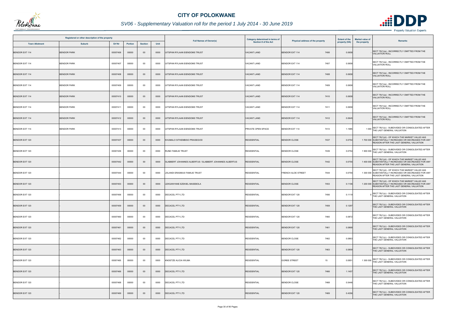

## *SV06 - Supplementary Valuation roll for the period 1 July 2014 - 30 June 2019*

|                       | Registered or other description of the property |          |         |                |      | <b>Full Names of Owner(s)</b>                           | Category determined in terms of<br>Section 8 of the Act | Physical address of the property |               | <b>Market value of</b> |                                                                                                                                                    |
|-----------------------|-------------------------------------------------|----------|---------|----------------|------|---------------------------------------------------------|---------------------------------------------------------|----------------------------------|---------------|------------------------|----------------------------------------------------------------------------------------------------------------------------------------------------|
| <b>Town Allotment</b> | <b>Suburb</b>                                   | Erf Nr   | Portion | <b>Section</b> | Unit |                                                         |                                                         |                                  | property (HA) | the property           | <b>Remarks</b>                                                                                                                                     |
| <b>BENDOR EXT 114</b> | <b>BENDOR PARK</b>                              | 00007406 | 00000   | $00\,$         | 0000 | JITSPAN RYLAAN EIENDOMS TRUST                           | <b>VACANT LAND</b>                                      | <b>BENDOR EXT 114</b><br>7406    | 0.0658        |                        | SECT 78(1)(a) - INCORRECTLY OMITTED FROM THE<br><b>VALUATION ROLL</b>                                                                              |
| BENDOR EXT 114        | <b>BENDOR PARK</b>                              | 00007407 | 00000   | $00\,$         | 0000 | JITSPAN RYLAAN EIENDOMS TRUST                           | <b>VACANT LAND</b>                                      | <b>BENDOR EXT 114</b><br>7407    | 0.0658        |                        | SECT 78(1)(a) - INCORRECTLY OMITTED FROM THE<br>VALUATION ROLL                                                                                     |
| <b>BENDOR EXT 114</b> | <b>BENDOR PARK</b>                              | 00007408 | 00000   | $00\,$         | 0000 | JITSPAN RYLAAN EIENDOMS TRUST                           | <b><i>JACANT LAND</i></b>                               | <b>BENDOR EXT 114</b><br>7408    | 0.0658        |                        | SECT 78(1)(a) - INCORRECTLY OMITTED FROM THE<br><b>VALUATION ROLL</b>                                                                              |
| BENDOR EXT 114        | <b>BENDOR PARK</b>                              | 00007409 | 00000   | 00             | 0000 | JITSPAN RYLAAN EIENDOMS TRUST                           | VACANT LAND                                             | 7409<br>BENDOR EXT 114           | 0.0658        |                        | SECT 78(1)(a) - INCORRECTLY OMITTED FROM THE<br><b>VALUATION ROLL</b>                                                                              |
| <b>BENDOR EXT 114</b> | <b>BENDOR PARK</b>                              | 00007410 | 00000   | $00\,$         | 0000 | UITSPAN RYLAAN EIENDOMS TRUST                           | <b>VACANT LAND</b>                                      | <b>BENDOR EXT 114</b><br>7410    | 0.0658        |                        | SECT 78(1)(a) - INCORRECTLY OMITTED FROM THE<br><b>VALUATION ROLL</b>                                                                              |
| BENDOR EXT 114        | <b>BENDOR PARK</b>                              | 00007411 | 00000   | 00             | 0000 | JITSPAN RYLAAN EIENDOMS TRUST                           | <b>VACANT LAND</b>                                      | <b>BENDOR EXT 114</b><br>7411    | 0.0658        |                        | SECT 78(1)(a) - INCORRECTLY OMITTED FROM THE<br><b>VALUATION ROLL</b>                                                                              |
| <b>BENDOR EXT 114</b> | <b>BENDOR PARK</b>                              | 00007412 | 00000   | $00\,$         | 0000 | JITSPAN RYLAAN EIENDOMS TRUST                           | VACANT LAND                                             | <b>BENDOR EXT 114</b><br>7412    | 0.0645        |                        | SECT 78(1)(a) - INCORRECTLY OMITTED FROM THE<br><b>VALUATION ROLL</b>                                                                              |
| BENDOR EXT 114        | <b>BENDOR PARK</b>                              | 00007413 | 00000   | 00             | 0000 | JITSPAN RYLAAN EIENDOMS TRUST                           | PRIVATE OPEN SPACE                                      | BENDOR EXT 114<br>7413           | 1.1985        |                        | SECT 78(1)(c) - SUBDIVIDED OR CONSOLIDATED AFTER<br>1 000 THE LAST GENERAL VALUATION                                                               |
| <b>BENDOR EXT 120</b> |                                                 | 00007437 | 00000   | $00\,$         | 0000 | KHUMALO SITHEMBISO PRAISEGOD                            | <b>RESIDENTIAL</b>                                      | <b>BENDOR CLOSE</b><br>7437      | 0.0754        |                        | SECT 78(1)(d) - OF WHICH THE MARKET VALUE HAS<br>1 700 000 SUBSTANTIALLY INCREASED OR DECREASED FOR ANY<br>REASON AFTER THE LAST GENERAL VALUATION |
| BENDOR EXT 120        |                                                 | 00007439 | 00000   | 00             | 0000 | RUNE FAMILIE TRUST                                      | <b>RESIDENTIAL</b>                                      | <b>BENDOR CLOSE</b><br>7439      | 0.0754        |                        | 1 900 000 SECT 78(1)(c) - SUBDIVIDED OR CONSOLIDATED AFTER<br>THE LAST GENERAL VALUATION                                                           |
| <b>BENDOR EXT 120</b> |                                                 | 00007442 | 00000   | $00\,$         | 0000 | SLABBERT JOHANNES ALBERTUS / SLABBERT JOHANNES ALBERTUS | <b>RESIDENTIAL</b>                                      | <b>BENDOR CLOSE</b><br>7442      | 0.0755        |                        | SECT 78(1)(d) - OF WHICH THE MARKET VALUE HAS<br>1 400 000 SUBSTANTIALLY INCREASED OR DECREASED FOR ANY<br>REASON AFTER THE LAST GENERAL VALUATION |
| BENDOR EXT 120        |                                                 | 00007444 | 00000   | $00\,$         | 0000 | JOLANDI ERASMUS FAMILIE TRUST                           | <b>RESIDENTIAL</b>                                      | FRENCH ALOE STREET<br>7444       | 0.0755        |                        | SECT 78(1)(d) - OF WHICH THE MARKET VALUE HAS<br>1 300 000 SUBSTANTIALLY INCREASED OR DECREASED FOR ANY<br>REASON AFTER THE LAST GENERAL VALUATION |
| <b>BENDOR EXT 120</b> |                                                 | 00007453 | 00000   | $00\,$         | 0000 | <b>EKGANYANE EZEKIEL MASEBOLA</b>                       | <b>RESIDENTIAL</b>                                      | <b>BENDOR CLOSE</b><br>7453      | 0.1106        |                        | SECT 78(1)(d) - OF WHICH THE MARKET VALUE HAS<br>1 200 000 SUBSTANTIALLY INCREASED OR DECREASED FOR ANY<br>REASON AFTER THE LAST GENERAL VALUATION |
| <b>BENDOR EXT 120</b> |                                                 | 00007456 | 00000   | 00             | 0000 | DECACEL PTY LTD                                         | <b>RESIDENTIAL</b>                                      | 7456<br>BENDOR EXT 120           | 0.1119        |                        | SECT 78(1)(c) - SUBDIVIDED OR CONSOLIDATED AFTER<br>THE LAST GENERAL VALUATION                                                                     |
| <b>BENDOR EXT 120</b> |                                                 | 00007459 | 00000   | $00\,$         | 0000 | DECACEL PTY LTD                                         | <b>RESIDENTIAL</b>                                      | <b>BENDOR EXT 120</b><br>7459    | 0.1297        |                        | SECT 78(1)(c) - SUBDIVIDED OR CONSOLIDATED AFTER<br>THE LAST GENERAL VALUATION                                                                     |
| BENDOR EXT 120        |                                                 | 00007460 | 00000   | $00\,$         | 0000 | DECACEL PTY LTD                                         | <b>RESIDENTIAL</b>                                      | <b>BENDOR EXT 120</b><br>7460    | 0.0872        |                        | SECT 78(1)(c) - SUBDIVIDED OR CONSOLIDATED AFTER<br>THE LAST GENERAL VALUATION                                                                     |
| <b>BENDOR EXT 120</b> |                                                 | 00007461 | 00000   | $00\,$         | 0000 | <b>DECACEL PTY LTD</b>                                  | <b>RESIDENTIAL</b>                                      | 7461<br><b>BENDOR EXT 120</b>    | 0.0868        |                        | SECT 78(1)(c) - SUBDIVIDED OR CONSOLIDATED AFTER<br>THE LAST GENERAL VALUATION                                                                     |
| BENDOR EXT 120        |                                                 | 00007462 | 00000   | 00             | 0000 | DECACEL PTY LTD                                         | <b>RESIDENTIAL</b>                                      | <b>BENDOR CLOSE</b><br>7462      | 0.0863        |                        | SECT 78(1)(c) - SUBDIVIDED OR CONSOLIDATED AFTER<br>THE LAST GENERAL VALUATION                                                                     |
| <b>BENDOR EXT 120</b> |                                                 | 00007463 | 00000   | $00\,$         | 0000 | DECACEL PTY LTD                                         | <b>RESIDENTIAL</b>                                      | <b>BENDOR EXT 120</b><br>7463    | 0.0859        |                        | SECT 78(1)(c) - SUBDIVIDED OR CONSOLIDATED AFTER<br>THE LAST GENERAL VALUATION                                                                     |
| BENDOR EXT 120        |                                                 | 00007465 | 00000   | $00\,$         | 0000 | KNOETZE ALICIA WILMA                                    | <b>RESIDENTIAL</b>                                      | <b>GOREE STREET</b><br>15        | 0.0851        |                        | 1 300 000 SECT 78(1)(c) - SUBDIVIDED OR CONSOLIDATED AFTER<br>THE LAST GENERAL VALUATION                                                           |
| <b>BENDOR EXT 120</b> |                                                 | 00007466 | 00000   | $00\,$         | 0000 | DECACEL PTY LTD                                         | <b>RESIDENTIAL</b>                                      | <b>BENDOR EXT 120</b><br>7466    | 1.1457        |                        | SECT 78(1)(c) - SUBDIVIDED OR CONSOLIDATED AFTER<br>THE LAST GENERAL VALUATION                                                                     |
| BENDOR EXT 120        |                                                 | 00007468 | 00000   | $00\,$         | 0000 | DECACEL PTY LTD                                         | <b>RESIDENTIAL</b>                                      | <b>BENDOR CLOSE</b><br>7468      | 0.5446        |                        | SECT 78(1)(c) - SUBDIVIDED OR CONSOLIDATED AFTER<br>THE LAST GENERAL VALUATION                                                                     |
| <b>BENDOR EXT 120</b> |                                                 | 00007469 | 00000   | $00\,$         | 0000 | DECACEL PTY LTD                                         | <b>RESIDENTIAL</b>                                      | <b>BENDOR EXT 120</b><br>7469    | 0.4356        |                        | SECT 78(1)(c) - SUBDIVIDED OR CONSOLIDATED AFTER<br>THE LAST GENERAL VALUATION                                                                     |

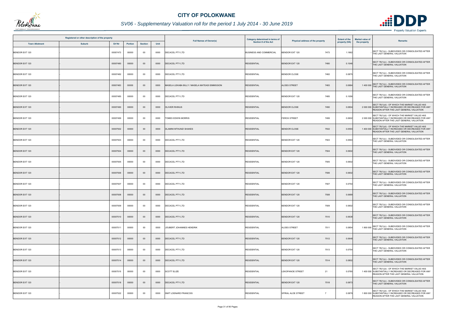

## *SV06 - Supplementary Valuation roll for the period 1 July 2014 - 30 June 2019*

|                       | Registered or other description of the property |          |                |                |      | <b>Full Names of Owner(s)</b>                  | Category determined in terms of | Physical address of the property     | <b>Extent of the</b> | <b>Market value of</b><br><b>Remarks</b>                                                                                                           |
|-----------------------|-------------------------------------------------|----------|----------------|----------------|------|------------------------------------------------|---------------------------------|--------------------------------------|----------------------|----------------------------------------------------------------------------------------------------------------------------------------------------|
| <b>Town Allotment</b> | <b>Suburb</b>                                   | Erf Nr   | <b>Portion</b> | <b>Section</b> | Unit |                                                | Section 8 of the Act            |                                      | property (HA)        | the property                                                                                                                                       |
| <b>BENDOR EXT 120</b> |                                                 | 00007473 | 00000          | $00\,$         | 0000 | <b>DECACEL PTY LTD</b>                         | <b>BUSINESS AND COMMERCIAL</b>  | <b>BENDOR EXT 120</b><br>7473        | 1.1862               | SECT 78(1)(c) - SUBDIVIDED OR CONSOLIDATED AFTER<br>THE LAST GENERAL VALUATION                                                                     |
| <b>BENDOR EXT 120</b> |                                                 | 00007480 | 00000          | $00\,$         | 0000 | <b>DECACEL PTY LTD</b>                         | <b>RESIDENTIAL</b>              | <b>BENDOR EXT 120</b><br>7480        | 0.1046               | SECT 78(1)(c) - SUBDIVIDED OR CONSOLIDATED AFTER<br>THE LAST GENERAL VALUATION                                                                     |
| BENDOR EXT 120        |                                                 | 00007482 | 00000          | $00\,$         | 0000 | <b>DECACEL PTY LTD</b>                         | <b>RESIDENTIAL</b>              | <b>BENDOR CLOSE</b><br>7482          | 0.0875               | SECT 78(1)(c) - SUBDIVIDED OR CONSOLIDATED AFTER<br>THE LAST GENERAL VALUATION                                                                     |
| <b>BENDOR EXT 120</b> |                                                 | 00007483 | 00000          | $00\,$         | 0000 | MASELA LEKABA BILLY / MASELA MATEADI EMMISSION | <b>RESIDENTIAL</b>              | <b>ALOES STREET</b><br>7483          | 0.0884               | SECT 78(1)(c) - SUBDIVIDED OR CONSOLIDATED AFTER<br>1400 000 THE LAST GENERAL VALUATION                                                            |
| BENDOR EXT 120        |                                                 | 00007485 | 00000          | $00\,$         | 0000 | <b>DECACEL PTY LTD</b>                         | <b>RESIDENTIAL</b>              | 7485<br><b>BENDOR EXT 120</b>        | 0.1056               | SECT 78(1)(c) - SUBDIVIDED OR CONSOLIDATED AFTER<br>THE LAST GENERAL VALUATION                                                                     |
| <b>BENDOR EXT 120</b> |                                                 | 00007490 | 00000          | $00\,$         | 0000 | <b>OLIVIER RHINUS</b>                          | <b>RESIDENTIAL</b>              | <b>BENDOR CLOSE</b><br>7490          | 0.0804               | SECT 78(1)(d) - OF WHICH THE MARKET VALUE HAS<br>2 000 000 SUBSTANTIALLY INCREASED OR DECREASED FOR ANY<br>REASON AFTER THE LAST GENERAL VALUATION |
| <b>BENDOR EXT 120</b> |                                                 | 00007499 | 00000          | $00\,$         | 0000 | TOMES EDWIN MORRIS                             | <b>RESIDENTIAL</b>              | <b>FEROX STREET</b><br>7499          | 0.0602               | SECT 78(1)(d) - OF WHICH THE MARKET VALUE HAS<br>2 000 000 SUBSTANTIALLY INCREASED OR DECREASED FOR ANY<br>REASON AFTER THE LAST GENERAL VALUATION |
| <b>BENDOR EXT 120</b> |                                                 | 00007502 | 00000          | $00\,$         | 0000 | <b>DLAMINI MTHUNZI SHAKES</b>                  | <b>RESIDENTIAL</b>              | <b>BENDOR CLOSE</b><br>7502          | 0.0593               | SECT 78(1)(d) - OF WHICH THE MARKET VALUE HAS<br>1 400 000 SUBSTANTIALLY INCREASED OR DECREASED FOR ANY<br>REASON AFTER THE LAST GENERAL VALUATION |
| BENDOR EXT 120        |                                                 | 00007503 | 00000          | 00             | 0000 | <b>DECACEL PTY LTD</b>                         | <b>RESIDENTIAL</b>              | <b>BENDOR EXT 120</b><br>7503        | 0.0593               | SECT 78(1)(c) - SUBDIVIDED OR CONSOLIDATED AFTER<br>THE LAST GENERAL VALUATION                                                                     |
| <b>BENDOR EXT 120</b> |                                                 | 00007504 | 00000          | $00\,$         | 0000 | DECACEL PTY LTD                                | <b>RESIDENTIAL</b>              | <b>BENDOR EXT 120</b><br>7504        | 0.0602               | SECT 78(1)(c) - SUBDIVIDED OR CONSOLIDATED AFTER<br>THE LAST GENERAL VALUATION                                                                     |
| BENDOR EXT 120        |                                                 | 00007505 | 00000          | 00             | 0000 | <b>DECACEL PTY LTD</b>                         | <b>RESIDENTIAL</b>              | <b>BENDOR EXT 120</b><br>7505        | 0.0602               | SECT 78(1)(c) - SUBDIVIDED OR CONSOLIDATED AFTER<br>THE LAST GENERAL VALUATION                                                                     |
| <b>BENDOR EXT 120</b> |                                                 | 00007506 | 00000          | $00\,$         | 0000 | <b>DECACEL PTY LTD</b>                         | <b>RESIDENTIAL</b>              | <b>BENDOR EXT 120</b><br>7506        | 0.0602               | SECT 78(1)(c) - SUBDIVIDED OR CONSOLIDATED AFTER<br>THE LAST GENERAL VALUATION                                                                     |
| BENDOR EXT 120        |                                                 | 00007507 | 00000          | 00             | 0000 | <b>DECACEL PTY LTD</b>                         | <b>RESIDENTIAL</b>              | <b>BENDOR EXT 120</b><br>7507        | 0.0754               | SECT 78(1)(c) - SUBDIVIDED OR CONSOLIDATED AFTER<br>THE LAST GENERAL VALUATION                                                                     |
| <b>BENDOR EXT 120</b> |                                                 | 00007508 | 00000          | $00\,$         | 0000 | <b>DECACEL PTY LTD</b>                         | <b>RESIDENTIAL</b>              | <b>BENDOR EXT 120</b><br>7508        | 0.0689               | SECT 78(1)(c) - SUBDIVIDED OR CONSOLIDATED AFTER<br>THE LAST GENERAL VALUATION                                                                     |
| <b>BENDOR EXT 120</b> |                                                 | 00007509 | 00000          | $00\,$         | 0000 | <b>DECACEL PTY LTD</b>                         | <b>RESIDENTIAL</b>              | <b>BENDOR EXT 120</b><br>7509        | 0.0602               | SECT 78(1)(c) - SUBDIVIDED OR CONSOLIDATED AFTER<br>THE LAST GENERAL VALUATION                                                                     |
| <b>BENDOR EXT 120</b> |                                                 | 00007510 | 00000          | $00\,$         | 0000 | <b>DECACEL PTY LTD</b>                         | <b>RESIDENTIAL</b>              | <b>BENDOR EXT 120</b><br>7510        | 0.0638               | SECT 78(1)(c) - SUBDIVIDED OR CONSOLIDATED AFTER<br>THE LAST GENERAL VALUATION                                                                     |
| <b>BENDOR EXT 120</b> |                                                 | 00007511 | 00000          | $00\,$         | 0000 | JOUBERT JOHANNES HENDRIK                       | <b>RESIDENTIAL</b>              | ALOES STREET<br>7511                 | 0.0854               | SECT 78(1)(c) - SUBDIVIDED OR CONSOLIDATED AFTER<br>1 800 000 THE LAST GENERAL VALUATION                                                           |
| <b>BENDOR EXT 120</b> |                                                 | 00007512 | 00000          | $00\,$         | 0000 | <b>DECACEL PTY LTD</b>                         | <b>RESIDENTIAL</b>              | <b>BENDOR EXT 120</b><br>7512        | 0.0648               | SECT 78(1)(c) - SUBDIVIDED OR CONSOLIDATED AFTER<br>THE LAST GENERAL VALUATION                                                                     |
| BENDOR EXT 120        |                                                 | 00007513 | 00000          | 00             | 0000 | DECACEL PTY LTD                                | <b>RESIDENTIAL</b>              | BENDOR EXT 120<br>7513               | 0.0754               | SECT 78(1)(c) - SUBDIVIDED OR CONSOLIDATED AFTER<br>THE LAST GENERAL VALUATION                                                                     |
| <b>BENDOR EXT 120</b> |                                                 | 00007514 | 00000          | $00\,$         | 0000 | <b>DECACEL PTY LTD</b>                         | <b>RESIDENTIAL</b>              | <b>BENDOR EXT 120</b><br>7514        | 0.0802               | SECT 78(1)(c) - SUBDIVIDED OR CONSOLIDATED AFTER<br>THE LAST GENERAL VALUATION                                                                     |
| BENDOR EXT 120        |                                                 | 00007515 | 00000          | 00             | 0000 | <b>SCOTT ELIZE</b>                             | <b>RESIDENTIAL</b>              | <b>LEKOPANOE STREET</b><br>21        | 0.0780               | SECT 78(1)(d) - OF WHICH THE MARKET VALUE HAS<br>1 400 000 SUBSTANTIALLY INCREASED OR DECREASED FOR ANY<br>REASON AFTER THE LAST GENERAL VALUATION |
| <b>BENDOR EXT 120</b> |                                                 | 00007518 | 00000          | $00\,$         | 0000 | <b>DECACEL PTY LTD</b>                         | <b>RESIDENTIAL</b>              | <b>BENDOR EXT 120</b><br>7518        | 0.0873               | SECT 78(1)(c) - SUBDIVIDED OR CONSOLIDATED AFTER<br>THE LAST GENERAL VALUATION                                                                     |
| BENDOR EXT 120        |                                                 | 00007522 | 00000          | $00\,$         | 0000 | SMIT LOENARD FRANCOIS                          | <b>RESIDENTIAL</b>              | SPIRAL ALOE STREET<br>$\overline{7}$ | 0.0879               | SECT 78(1)(d) - OF WHICH THE MARKET VALUE HAS<br>1 800 000 SUBSTANTIALLY INCREASED OR DECREASED FOR ANY<br>REASON AFTER THE LAST GENERAL VALUATION |

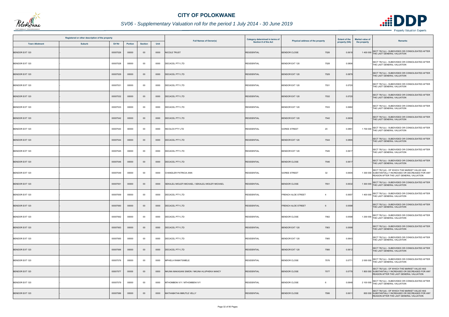

## *SV06 - Supplementary Valuation roll for the period 1 July 2014 - 30 June 2019*

| Registered or other description of the property |               |          |         |                |      | <b>Full Names of Owner(s)</b>                     | Category determined in terms of<br>Section 8 of the Act |                                             | <b>Extent of the</b> | Market value of |                                                                                                                                                    |
|-------------------------------------------------|---------------|----------|---------|----------------|------|---------------------------------------------------|---------------------------------------------------------|---------------------------------------------|----------------------|-----------------|----------------------------------------------------------------------------------------------------------------------------------------------------|
| <b>Town Allotment</b>                           | <b>Suburb</b> | Erf Nr   | Portion | <b>Section</b> | Unit |                                                   |                                                         | Physical address of the property            | property (HA)        | the property    | <b>Remarks</b>                                                                                                                                     |
| <b>BENDOR EXT 120</b>                           |               | 00007526 | 00000   | $00\,$         | 0000 | NICOLE TRUST                                      | <b>RESIDENTIAL</b>                                      | <b>BENDOR CLOSE</b><br>7526                 | 0.0618               |                 | SECT 78(1)(c) - SUBDIVIDED OR CONSOLIDATED AFTER<br>1400 000 THE LAST GENERAL VALUATION                                                            |
| BENDOR EXT 120                                  |               | 00007528 | 00000   | $00\,$         | 0000 | DECACEL PTY LTD                                   | <b>RESIDENTIAL</b>                                      | <b>BENDOR EXT 120</b><br>7528               | 0.0806               |                 | SECT 78(1)(c) - SUBDIVIDED OR CONSOLIDATED AFTER<br>THE LAST GENERAL VALUATION                                                                     |
| <b>BENDOR EXT 120</b>                           |               | 00007529 | 00000   | $00\,$         | 0000 | <b>DECACEL PTY LTD</b>                            | <b>RESIDENTIAL</b>                                      | <b>BENDOR EXT 120</b><br>7529               | 0.0879               |                 | SECT 78(1)(c) - SUBDIVIDED OR CONSOLIDATED AFTER<br>THE LAST GENERAL VALUATION                                                                     |
| BENDOR EXT 120                                  |               | 00007531 | 00000   | 00             | 0000 | <b>DECACEL PTY LTD</b>                            | <b>RESIDENTIAL</b>                                      | <b>BENDOR EXT 120</b><br>7531               | 0.0720               |                 | SECT 78(1)(c) - SUBDIVIDED OR CONSOLIDATED AFTER<br>THE LAST GENERAL VALUATION                                                                     |
| <b>BENDOR EXT 120</b>                           |               | 00007532 | 00000   | $00\,$         | 0000 | <b>DECACEL PTY LTD</b>                            | <b>RESIDENTIAL</b>                                      | <b>BENDOR EXT 120</b><br>7532               | 0.0720               |                 | SECT 78(1)(c) - SUBDIVIDED OR CONSOLIDATED AFTER<br>THE LAST GENERAL VALUATION                                                                     |
| BENDOR EXT 120                                  |               | 00007533 | 00000   | 00             | 0000 | DECACEL PTY LTD                                   | <b>RESIDENTIAL</b>                                      | BENDOR EXT 120<br>7533                      | 0.0682               |                 | SECT 78(1)(c) - SUBDIVIDED OR CONSOLIDATED AFTER<br>THE LAST GENERAL VALUATION                                                                     |
| <b>BENDOR EXT 120</b>                           |               | 00007542 | 00000   | $00\,$         | 0000 | <b>DECACEL PTY LTD</b>                            | <b>RESIDENTIAL</b>                                      | <b>BENDOR EXT 120</b><br>7542               | 0.0609               |                 | SECT 78(1)(c) - SUBDIVIDED OR CONSOLIDATED AFTER<br>THE LAST GENERAL VALUATION                                                                     |
| BENDOR EXT 120                                  |               | 00007543 | 00000   | 00             | 0000 | INCOLOX PTY LTD                                   | <b>RESIDENTIAL</b>                                      | 20<br><b>GOREE STREET</b>                   | 0.0891               |                 | SECT 78(1)(c) - SUBDIVIDED OR CONSOLIDATED AFTER<br>1700 000 THE LAST GENERAL VALUATION                                                            |
| <b>BENDOR EXT 120</b>                           |               | 00007544 | 00000   | $00\,$         | 0000 | DECACEL PTY LTD                                   | <b>RESIDENTIAL</b>                                      | <b>BENDOR EXT 120</b><br>7544               | 0.0895               |                 | SECT 78(1)(c) - SUBDIVIDED OR CONSOLIDATED AFTER<br>THE LAST GENERAL VALUATION                                                                     |
| BENDOR EXT 120                                  |               | 00007545 | 00000   | 00             | 0000 | <b>DECACEL PTY LTD</b>                            | <b>RESIDENTIAL</b>                                      | <b>BENDOR EXT 120</b><br>7545               | 0.0617               |                 | SECT 78(1)(c) - SUBDIVIDED OR CONSOLIDATED AFTER<br>THE LAST GENERAL VALUATION                                                                     |
| <b>BENDOR EXT 120</b>                           |               | 00007546 | 00000   | $00\,$         | 0000 | <b>DECACEL PTY LTD</b>                            | <b>RESIDENTIAL</b>                                      | <b>BENDOR CLOSE</b><br>7546                 | 0.0617               |                 | SECT 78(1)(c) - SUBDIVIDED OR CONSOLIDATED AFTER<br>THE LAST GENERAL VALUATION                                                                     |
| BENDOR EXT 120                                  |               | 00007549 | 00000   | 00             | 0000 | CHANDLER PATRICIA ANN                             | <b>RESIDENTIAL</b>                                      | <b>GOREE STREET</b><br>32                   | 0.0605               |                 | SECT 78(1)(d) - OF WHICH THE MARKET VALUE HAS<br>1 300 000 SUBSTANTIALLY INCREASED OR DECREASED FOR ANY<br>REASON AFTER THE LAST GENERAL VALUATION |
| <b>BENDOR EXT 120</b>                           |               | 00007551 | 00000   | $00\,$         | 0000 | SEKALELI MOLEFI MICHAEL / SEKALELI MOLEFI MICHAEL | <b>RESIDENTIAL</b>                                      | <b>BENDOR CLOSE</b><br>7551                 | 0.0632               |                 | SECT 78(1)(c) - SUBDIVIDED OR CONSOLIDATED AFTER<br>1 300 000 THE LAST GENERAL VALUATION                                                           |
| <b>BENDOR EXT 120</b>                           |               | 00007559 | 00000   | 00             | 0000 | <b>DECACEL PTY LTD</b>                            | <b>RESIDENTIAL</b>                                      | <b>FRENCH ALOE STREET</b><br>$\overline{4}$ | 0.0657               |                 | 1 400 000 SECT 78(1)(c) - SUBDIVIDED OR CONSOLIDATED AFTER<br>THE LAST GENERAL VALUATION                                                           |
| <b>BENDOR EXT 120</b>                           |               | 00007560 | 00000   | $00\,$         | 0000 | <b>DECACEL PTY LTD</b>                            | <b>RESIDENTIAL</b>                                      | <b>FRENCH ALOE STREET</b><br>6              | 0.0598               |                 | SECT 78(1)(c) - SUBDIVIDED OR CONSOLIDATED AFTER<br>THE LAST GENERAL VALUATION                                                                     |
| <b>BENDOR EXT 120</b>                           |               | 00007562 | 00000   | $00\,$         | 0000 | DECACEL PTY LTD                                   | <b>RESIDENTIAL</b>                                      | <b>BENDOR CLOSE</b><br>7562                 | 0.0598               |                 | 1 200 000 SECT 78(1)(c) - SUBDIVIDED OR CONSOLIDATED AFTER<br>THE LAST GENERAL VALUATION                                                           |
| <b>BENDOR EXT 120</b>                           |               | 00007563 | 00000   | $00\,$         | 0000 | <b>DECACEL PTY LTD</b>                            | <b>RESIDENTIAL</b>                                      | <b>BENDOR EXT 120</b><br>7563               | 0.0598               |                 | SECT 78(1)(c) - SUBDIVIDED OR CONSOLIDATED AFTER<br>THE LAST GENERAL VALUATION                                                                     |
| BENDOR EXT 120                                  |               | 00007565 | 00000   | $00\,$         | 0000 | <b>DECACEL PTY LTD</b>                            | <b>RESIDENTIAL</b>                                      | <b>BENDOR EXT 120</b><br>7565               | 0.0643               |                 | SECT 78(1)(c) - SUBDIVIDED OR CONSOLIDATED AFTER<br>THE LAST GENERAL VALUATION                                                                     |
| <b>BENDOR EXT 120</b>                           |               | 00007566 | 00000   | $00\,$         | 0000 | <b>DECACEL PTY LTD</b>                            | <b>RESIDENTIAL</b>                                      | <b>BENDOR EXT 120</b><br>7566               | 0.0612               |                 | SECT 78(1)(c) - SUBDIVIDED OR CONSOLIDATED AFTER<br>THE LAST GENERAL VALUATION                                                                     |
| BENDOR EXT 120                                  |               | 00007576 | 00000   | $00\,$         | 0000 | MPHELA RAMATSIMELE                                | <b>RESIDENTIAL</b>                                      | 7576<br><b>BENDOR CLOSE</b>                 | 0.0771               |                 | 2 000 000 SECT 78(1)(c) - SUBDIVIDED OR CONSOLIDATED AFTER<br>THE LAST GENERAL VALUATION                                                           |
| <b>BENDOR EXT 120</b>                           |               | 00007577 | 00000   | 00             | 0000 | NKUNA MAKASANI SIMON / NKUNA HLUPHEKA NANCY       | <b>RESIDENTIAL</b>                                      | <b>BENDOR CLOSE</b><br>7577                 | 0.0779               |                 | SECT 78(1)(d) - OF WHICH THE MARKET VALUE HAS<br>1 800 000 SUBSTANTIALLY INCREASED OR DECREASED FOR ANY<br>REASON AFTER THE LAST GENERAL VALUATION |
| BENDOR EXT 120                                  |               | 00007579 | 00000   | $00\,$         | 0000 | MTHOMBENI IVY / MTHOMBENI IVY                     | <b>RESIDENTIAL</b>                                      | <b>BENDOR CLOSE</b><br>6                    | 0.0848               |                 | 2 100 000 SECT 78(1)(c) - SUBDIVIDED OR CONSOLIDATED AFTER<br>THE LAST GENERAL VALUATION                                                           |
| <b>BENDOR EXT 120</b>                           |               | 00007586 | 00000   | $00\,$         | 0000 | MATHABATHA MMUTLE VELLY                           | <b>RESIDENTIAL</b>                                      | <b>BENDOR CLOSE</b><br>7586                 | 0.061                |                 | SECT 78(1)(d) - OF WHICH THE MARKET VALUE HAS<br>800 000 SUBSTANTIALLY INCREASED OR DECREASED FOR ANY<br>REASON AFTER THE LAST GENERAL VALUATION   |

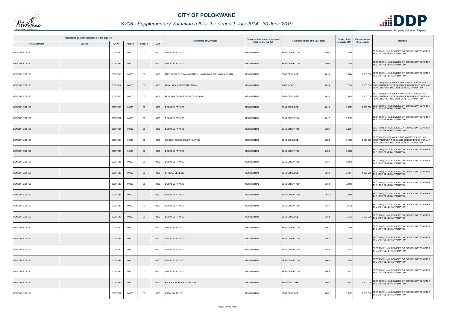

## *SV06 - Supplementary Valuation roll for the period 1 July 2014 - 30 June 2019*

|                       | Registered or other description of the property |          |                |                | <b>Full Names of Owner(s)</b> | Category determined in terms of                     |                      | <b>Extent of the</b>             | <b>Market value of</b> |                                                                                                                                                    |
|-----------------------|-------------------------------------------------|----------|----------------|----------------|-------------------------------|-----------------------------------------------------|----------------------|----------------------------------|------------------------|----------------------------------------------------------------------------------------------------------------------------------------------------|
| <b>Town Allotment</b> | <b>Suburb</b>                                   | Erf Nr   | <b>Portion</b> | <b>Section</b> | Unit                          |                                                     | Section 8 of the Act | Physical address of the property | property (HA)          | <b>Remarks</b><br>the property                                                                                                                     |
| <b>BENDOR EXT 120</b> |                                                 | 00007590 | 00000          | $00\,$         | 0000                          | DECACEL PTY LTD                                     | <b>RESIDENTIAL</b>   | <b>BENDOR EXT 120</b><br>7590    | 0.0888                 | SECT 78(1)(c) - SUBDIVIDED OR CONSOLIDATED AFTER<br>THE LAST GENERAL VALUATION                                                                     |
| <b>BENDOR EXT 120</b> |                                                 | 00007592 | 00000          | $00\,$         | 0000                          | DECACEL PTY LTD                                     | <b>RESIDENTIAL</b>   | 7592<br><b>BENDOR EXT 120</b>    | 0.0978                 | SECT 78(1)(c) - SUBDIVIDED OR CONSOLIDATED AFTER<br>THE LAST GENERAL VALUATION                                                                     |
| BENDOR EXT 120        |                                                 | 00007610 | 00000          | $00\,$         | 0000                          | MAVHUNGA ELELWANI ASNATH / MAVHUNGA ELELWANI ASNATH | <b>RESIDENTIAL</b>   | <b>BENDOR CLOSE</b><br>7610      | 0.0724                 | 1 300 000 SECT 78(1)(c) - SUBDIVIDED OR CONSOLIDATED AFTER<br>THE LAST GENERAL VALUATION                                                           |
| <b>BENDOR EXT 120</b> |                                                 | 00007614 | 00000          | $00\,$         | 0000                          | LEKALAKALA SEGWANE ANNAH                            | <b>RESIDENTIAL</b>   | <b>ALOE ROAD</b><br>7614         | 0.0654                 | SECT 78(1)(d) - OF WHICH THE MARKET VALUE HAS<br>1 500 000 SUBSTANTIALLY INCREASED OR DECREASED FOR ANY<br>REASON AFTER THE LAST GENERAL VALUATION |
| BENDOR EXT 120        |                                                 | 00007615 | 00000          | $00\,$         | 0000                          | MUROVHI CATHERINE KATE MOLOKO                       | <b>RESIDENTIAL</b>   | <b>BENDOR CLOSE</b><br>7615      | 0.0710                 | SECT 78(1)(d) - OF WHICH THE MARKET VALUE HAS<br>1 300 000 SUBSTANTIALLY INCREASED OR DECREASED FOR ANY<br>REASON AFTER THE LAST GENERAL VALUATION |
| <b>BENDOR EXT 120</b> |                                                 | 00007616 | 00000          | $00\,$         | 0000                          | <b>DECACEL PTY LTD</b>                              | <b>RESIDENTIAL</b>   | <b>BENDOR CLOSE</b><br>7616      | 0.0797                 | 2 000 000 SECT 78(1)(c) - SUBDIVIDED OR CONSOLIDATED AFTER<br>THE LAST GENERAL VALUATION                                                           |
| BENDOR EXT 120        |                                                 | 00007617 | 00000          | $00\,$         | 0000                          | DECACEL PTY LTD                                     | <b>RESIDENTIAL</b>   | <b>BENDOR EXT 120</b><br>7617    | 0.0885                 | SECT 78(1)(c) - SUBDIVIDED OR CONSOLIDATED AFTER<br>THE LAST GENERAL VALUATION                                                                     |
| <b>BENDOR EXT 120</b> |                                                 | 00007621 | 00000          | $00\,$         | 0000                          | DECACEL PTY LTD                                     | <b>RESIDENTIAL</b>   | <b>BENDOR EXT 120</b><br>7621    | 0.0984                 | SECT 78(1)(c) - SUBDIVIDED OR CONSOLIDATED AFTER<br>THE LAST GENERAL VALUATION                                                                     |
| <b>BENDOR EXT 120</b> |                                                 | 00007624 | 00000          | $00\,$         | 0000                          | GOOSEN THEODORUS PHILIPPUS                          | <b>RESIDENTIAL</b>   | 7624<br><b>BENDOR CLOSE</b>      | 0.1586                 | SECT 78(1)(d) - OF WHICH THE MARKET VALUE HAS<br>2 300 000 SUBSTANTIALLY INCREASED OR DECREASED FOR ANY<br>REASON AFTER THE LAST GENERAL VALUATION |
| <b>BENDOR EXT 120</b> |                                                 | 00007630 | 00000          | $00\,$         | 0000                          | <b>DECACEL PTY LTD</b>                              | <b>RESIDENTIAL</b>   | <b>BENDOR EXT 120</b><br>7630    | 0.1202                 | SECT 78(1)(c) - SUBDIVIDED OR CONSOLIDATED AFTER<br>THE LAST GENERAL VALUATION                                                                     |
| BENDOR EXT 120        |                                                 | 00007631 | 00000          | $00\,$         | 0000                          | <b>DECACEL PTY LTD</b>                              | <b>RESIDENTIAL</b>   | <b>BENDOR EXT 120</b><br>7631    | 0.1176                 | SECT 78(1)(c) - SUBDIVIDED OR CONSOLIDATED AFTER<br>THE LAST GENERAL VALUATION                                                                     |
| <b>BENDOR EXT 120</b> |                                                 | 00007632 | 00000          | $00\,$         | 0000                          | SITHOLE BENEDICT                                    | <b>RESIDENTIAL</b>   | <b>BENDOR CLOSE</b><br>7632      | 0.1174                 | 1 800 000 SECT 78(1)(c) - SUBDIVIDED OR CONSOLIDATED AFTER<br>THE LAST GENERAL VALUATION                                                           |
| <b>BENDOR EXT 120</b> |                                                 | 00007633 | 00000          | 00             | 0000                          | DECACEL PTY LTD                                     | <b>RESIDENTIAL</b>   | <b>BENDOR EXT 120</b><br>7633    | 0.1176                 | SECT 78(1)(c) - SUBDIVIDED OR CONSOLIDATED AFTER<br>THE LAST GENERAL VALUATION                                                                     |
| <b>BENDOR EXT 120</b> |                                                 | 00007635 | 00000          | $00\,$         | 0000                          | DECACEL PTY LTD                                     | <b>RESIDENTIAL</b>   | <b>BENDOR EXT 120</b><br>7635    | 0.1195                 | SECT 78(1)(c) - SUBDIVIDED OR CONSOLIDATED AFTER<br>THE LAST GENERAL VALUATION                                                                     |
| <b>BENDOR EXT 120</b> |                                                 | 00007637 | 00000          | 00             | 0000                          | DECACEL PTY LTD                                     | <b>RESIDENTIAL</b>   | 7637<br><b>BENDOR EXT 120</b>    | 0.1079                 | SECT 78(1)(c) - SUBDIVIDED OR CONSOLIDATED AFTER<br>THE LAST GENERAL VALUATION                                                                     |
| <b>BENDOR EXT 120</b> |                                                 | 00007638 | 00000          | $00\,$         | 0000                          | <b>DECACEL PTY LTD</b>                              | <b>RESIDENTIAL</b>   | <b>BENDOR CLOSE</b><br>7638      | 0.1003                 | 2 000 000 SECT 78(1)(c) - SUBDIVIDED OR CONSOLIDATED AFTER<br>THE LAST GENERAL VALUATION                                                           |
| BENDOR EXT 120        |                                                 | 00007640 | 00000          | $00\,$         | 0000                          | <b>DECACEL PTY LTD</b>                              | <b>RESIDENTIAL</b>   | <b>BENDOR EXT 120</b><br>7640    | 0.0989                 | SECT 78(1)(c) - SUBDIVIDED OR CONSOLIDATED AFTER<br>THE LAST GENERAL VALUATION                                                                     |
| <b>BENDOR EXT 120</b> |                                                 | 00007641 | 00000          | $00\,$         | 0000                          | <b>DECACEL PTY LTD</b>                              | <b>RESIDENTIAL</b>   | 7641<br><b>BENDOR EXT 120</b>    | 0.1248                 | SECT 78(1)(c) - SUBDIVIDED OR CONSOLIDATED AFTER<br>THE LAST GENERAL VALUATION                                                                     |
| BENDOR EXT 120        |                                                 | 00007642 | 00000          | 00             | 0000                          | <b>DECACEL PTY LTD</b>                              | <b>RESIDENTIAL</b>   | <b>BENDOR EXT 120</b><br>7642    | 0.1293                 | SECT 78(1)(c) - SUBDIVIDED OR CONSOLIDATED AFTER<br>THE LAST GENERAL VALUATION                                                                     |
| <b>BENDOR EXT 120</b> |                                                 | 00007643 | 00000          | $00\,$         | 0000                          | <b>DECACEL PTY LTD</b>                              | <b>RESIDENTIAL</b>   | BENDOR EXT 120<br>7643           | 0.1128                 | SECT 78(1)(c) - SUBDIVIDED OR CONSOLIDATED AFTER<br>THE LAST GENERAL VALUATION                                                                     |
| <b>BENDOR EXT 120</b> |                                                 | 00007644 | 00000          | $00\,$         | 0000                          | <b>DECACEL PTY LTD</b>                              | <b>RESIDENTIAL</b>   | 7644<br><b>BENDOR EXT 120</b>    | 0.1122                 | SECT 78(1)(c) - SUBDIVIDED OR CONSOLIDATED AFTER<br>THE LAST GENERAL VALUATION                                                                     |
| BENDOR EXT 120        |                                                 | 00007651 | 00000          | $00\,$         | 0000                          | BILJON CHARL ERASMUS VAN                            | <b>RESIDENTIAL</b>   | <b>BENDOR CLOSE</b><br>7651      | 0.0977                 | 2 200 000 SECT 78(1)(c) - SUBDIVIDED OR CONSOLIDATED AFTER<br>THE LAST GENERAL VALUATION                                                           |
| BENDOR EXT 120        |                                                 | 00007652 | 00000          | $00\,$         | 0000                          | A M N INV TRUST                                     | <b>RESIDENTIAL</b>   | <b>BENDOR CLOSE</b><br>7652      | 0.0977                 | SECT 78(1)(c) - SUBDIVIDED OR CONSOLIDATED AFTER<br>2700 000 THE LAST GENERAL VALUATION                                                            |

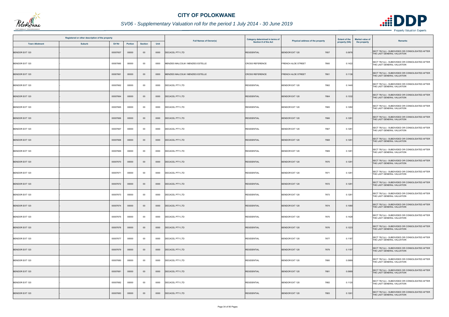

## *SV06 - Supplementary Valuation roll for the period 1 July 2014 - 30 June 2019*

|                       | Registered or other description of the property |          |         |                |      | <b>Full Names of Owner(s)</b>     | Category determined in terms of | <b>Extent of the</b><br>Physical address of the property |               | Market value of | <b>Remarks</b>                                                                 |
|-----------------------|-------------------------------------------------|----------|---------|----------------|------|-----------------------------------|---------------------------------|----------------------------------------------------------|---------------|-----------------|--------------------------------------------------------------------------------|
| <b>Town Allotment</b> | <b>Suburb</b>                                   | Erf Nr   | Portion | <b>Section</b> | Unit |                                   | Section 8 of the Act            |                                                          | property (HA) | the property    |                                                                                |
| <b>BENDOR EXT 120</b> |                                                 | 00007657 | 00000   | $00\,$         | 0000 | DECACEL PTY LTD                   | <b>RESIDENTIAL</b>              | <b>BENDOR EXT 120</b><br>7657                            | 0.0976        |                 | SECT 78(1)(c) - SUBDIVIDED OR CONSOLIDATED AFTER<br>THE LAST GENERAL VALUATION |
| <b>BENDOR EXT 120</b> |                                                 | 00007660 | 00000   | $00\,$         | 0000 | MENZIES MALCOLM / MENZIES ESTELLE | <b>CROSS REFERENCE</b>          | FRENCH ALOE STREET<br>7660                               | 0.1422        |                 | SECT 78(1)(c) - SUBDIVIDED OR CONSOLIDATED AFTER<br>THE LAST GENERAL VALUATION |
| <b>BENDOR EXT 120</b> |                                                 | 00007661 | 00000   | $00\,$         | 0000 | MENZIES MALCOLM / MENZIES ESTELLE | <b>CROSS REFERENCE</b>          | <b>FRENCH ALOE STREET</b><br>7661                        | 0.1136        |                 | SECT 78(1)(c) - SUBDIVIDED OR CONSOLIDATED AFTER<br>THE LAST GENERAL VALUATION |
| BENDOR EXT 120        |                                                 | 00007662 | 00000   | $00\,$         | 0000 | <b>DECACEL PTY LTD</b>            | <b>RESIDENTIAL</b>              | <b>BENDOR EXT 120</b><br>7662                            | 0.1440        |                 | SECT 78(1)(c) - SUBDIVIDED OR CONSOLIDATED AFTER<br>THE LAST GENERAL VALUATION |
| <b>BENDOR EXT 120</b> |                                                 | 00007664 | 00000   | $00\,$         | 0000 | <b>DECACEL PTY LTD</b>            | <b>RESIDENTIAL</b>              | 7664<br><b>BENDOR EXT 120</b>                            | 0.1332        |                 | SECT 78(1)(c) - SUBDIVIDED OR CONSOLIDATED AFTER<br>THE LAST GENERAL VALUATION |
| BENDOR EXT 120        |                                                 | 00007665 | 00000   | $00\,$         | 0000 | DECACEL PTY LTD                   | <b>RESIDENTIAL</b>              | BENDOR EXT 120<br>7665                                   | 0.1282        |                 | SECT 78(1)(c) - SUBDIVIDED OR CONSOLIDATED AFTER<br>THE LAST GENERAL VALUATION |
| <b>BENDOR EXT 120</b> |                                                 | 00007666 | 00000   | $00\,$         | 0000 | <b>DECACEL PTY LTD</b>            | <b>RESIDENTIAL</b>              | 7666<br><b>BENDOR EXT 120</b>                            | 0.1281        |                 | SECT 78(1)(c) - SUBDIVIDED OR CONSOLIDATED AFTER<br>THE LAST GENERAL VALUATION |
| <b>BENDOR EXT 120</b> |                                                 | 00007667 | 00000   | $00\,$         | 0000 | DECACEL PTY LTD                   | <b>RESIDENTIAL</b>              | <b>BENDOR EXT 120</b><br>7667                            | 0.1281        |                 | SECT 78(1)(c) - SUBDIVIDED OR CONSOLIDATED AFTER<br>THE LAST GENERAL VALUATION |
| <b>BENDOR EXT 120</b> |                                                 | 00007668 | 00000   | $00\,$         | 0000 | <b>DECACEL PTY LTD</b>            | <b>RESIDENTIAL</b>              | <b>BENDOR EXT 120</b><br>7668                            | 0.1281        |                 | SECT 78(1)(c) - SUBDIVIDED OR CONSOLIDATED AFTER<br>THE LAST GENERAL VALUATION |
| BENDOR EXT 120        |                                                 | 00007669 | 00000   | 00             | 0000 | DECACEL PTY LTD                   | <b>RESIDENTIAL</b>              | <b>BENDOR EXT 120</b><br>7669                            | 0.1281        |                 | SECT 78(1)(c) - SUBDIVIDED OR CONSOLIDATED AFTER<br>THE LAST GENERAL VALUATION |
| <b>BENDOR EXT 120</b> |                                                 | 00007670 | 00000   | $00\,$         | 0000 | <b>DECACEL PTY LTD</b>            | <b>RESIDENTIAL</b>              | <b>BENDOR EXT 120</b><br>7670                            | 0.1281        |                 | SECT 78(1)(c) - SUBDIVIDED OR CONSOLIDATED AFTER<br>THE LAST GENERAL VALUATION |
| BENDOR EXT 120        |                                                 | 00007671 | 00000   | 00             | 0000 | DECACEL PTY LTD                   | <b>RESIDENTIAL</b>              | <b>BENDOR EXT 120</b><br>7671                            | 0.1281        |                 | SECT 78(1)(c) - SUBDIVIDED OR CONSOLIDATED AFTER<br>THE LAST GENERAL VALUATION |
| <b>BENDOR EXT 120</b> |                                                 | 00007672 | 00000   | $00\,$         | 0000 | DECACEL PTY LTD                   | <b>RESIDENTIAL</b>              | <b>BENDOR EXT 120</b><br>7672                            | 0.1281        |                 | SECT 78(1)(c) - SUBDIVIDED OR CONSOLIDATED AFTER<br>THE LAST GENERAL VALUATION |
| <b>BENDOR EXT 120</b> |                                                 | 00007673 | 00000   | $00\,$         | 0000 | DECACEL PTY LTD                   | <b>RESIDENTIAL</b>              | <b>BENDOR EXT 120</b><br>7673                            | 0.1281        |                 | SECT 78(1)(c) - SUBDIVIDED OR CONSOLIDATED AFTER<br>THE LAST GENERAL VALUATION |
| <b>BENDOR EXT 120</b> |                                                 | 00007674 | 00000   | $00\,$         | 0000 | DECACEL PTY LTD                   | <b>RESIDENTIAL</b>              | <b>BENDOR EXT 120</b><br>7674                            | 0.1080        |                 | SECT 78(1)(c) - SUBDIVIDED OR CONSOLIDATED AFTER<br>THE LAST GENERAL VALUATION |
| <b>BENDOR EXT 120</b> |                                                 | 00007675 | 00000   | $00\,$         | 0000 | DECACEL PTY LTD                   | <b>RESIDENTIAL</b>              | BENDOR EXT 120<br>7675                                   | 0.1428        |                 | SECT 78(1)(c) - SUBDIVIDED OR CONSOLIDATED AFTER<br>THE LAST GENERAL VALUATION |
| <b>BENDOR EXT 120</b> |                                                 | 00007676 | 00000   | $00\,$         | 0000 | <b>DECACEL PTY LTD</b>            | <b>RESIDENTIAL</b>              | 7676<br>BENDOR EXT 120                                   | 0.1223        |                 | SECT 78(1)(c) - SUBDIVIDED OR CONSOLIDATED AFTER<br>THE LAST GENERAL VALUATION |
| <b>BENDOR EXT 120</b> |                                                 | 00007677 | 00000   | $00\,$         | 0000 | DECACEL PTY LTD                   | <b>RESIDENTIAL</b>              | 7677<br>BENDOR EXT 120                                   | 0.1187        |                 | SECT 78(1)(c) - SUBDIVIDED OR CONSOLIDATED AFTER<br>THE LAST GENERAL VALUATION |
| <b>BENDOR EXT 120</b> |                                                 | 00007679 | 00000   | $00\,$         | 0000 | <b>DECACEL PTY LTD</b>            | <b>RESIDENTIAL</b>              | <b>BENDOR EXT 120</b><br>7679                            | 0.1187        |                 | SECT 78(1)(c) - SUBDIVIDED OR CONSOLIDATED AFTER<br>THE LAST GENERAL VALUATION |
| BENDOR EXT 120        |                                                 | 00007680 | 00000   | $00\,$         | 0000 | DECACEL PTY LTD                   | <b>RESIDENTIAL</b>              | BENDOR EXT 120<br>7680                                   | 0.0989        |                 | SECT 78(1)(c) - SUBDIVIDED OR CONSOLIDATED AFTER<br>THE LAST GENERAL VALUATION |
| BENDOR EXT 120        |                                                 | 00007681 | 00000   | $00\,$         | 0000 | <b>DECACEL PTY LTD</b>            | <b>RESIDENTIAL</b>              | <b>BENDOR EXT 120</b><br>7681                            | 0.0989        |                 | SECT 78(1)(c) - SUBDIVIDED OR CONSOLIDATED AFTER<br>THE LAST GENERAL VALUATION |
| <b>BENDOR EXT 120</b> |                                                 | 00007682 | 00000   | $00\,$         | 0000 | <b>DECACEL PTY LTD</b>            | <b>RESIDENTIAL</b>              | <b>BENDOR EXT 120</b><br>7682                            | 0.1120        |                 | SECT 78(1)(c) - SUBDIVIDED OR CONSOLIDATED AFTER<br>THE LAST GENERAL VALUATION |
| <b>BENDOR EXT 120</b> |                                                 | 00007683 | 00000   | $00\,$         | 0000 | DECACEL PTY LTD                   | <b>RESIDENTIAL</b>              | <b>BENDOR EXT 120</b><br>7683                            | 0.1261        |                 | SECT 78(1)(c) - SUBDIVIDED OR CONSOLIDATED AFTER<br>THE LAST GENERAL VALUATION |

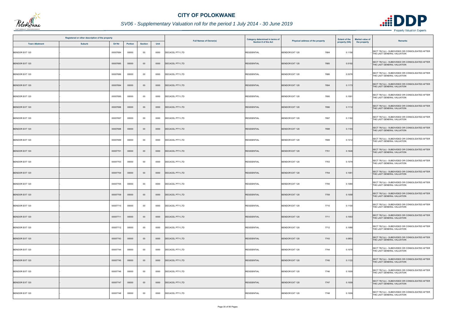

|                       | Registered or other description of the property |          |                |                |      | <b>Full Names of Owner(s)</b> | Category determined in terms of | Physical address of the property | <b>Extent of the</b> | <b>Market value of</b><br>Remarks                                              |
|-----------------------|-------------------------------------------------|----------|----------------|----------------|------|-------------------------------|---------------------------------|----------------------------------|----------------------|--------------------------------------------------------------------------------|
| <b>Town Allotment</b> | <b>Suburb</b>                                   | Erf Nr   | <b>Portion</b> | <b>Section</b> | Unit |                               | Section 8 of the Act            |                                  | property (HA)        | the property                                                                   |
| <b>BENDOR EXT 120</b> |                                                 | 00007684 | 00000          | 00             | 0000 | DECACEL PTY LTD               | <b>RESIDENTIAL</b>              | <b>BENDOR EXT 120</b><br>7684    | 0.1156               | SECT 78(1)(c) - SUBDIVIDED OR CONSOLIDATED AFTER<br>THE LAST GENERAL VALUATION |
| <b>BENDOR EXT 120</b> |                                                 | 00007685 | 00000          | $00\,$         | 0000 | DECACEL PTY LTD               | <b>RESIDENTIAL</b>              | <b>BENDOR EXT 120</b><br>7685    | 0.5192               | SECT 78(1)(c) - SUBDIVIDED OR CONSOLIDATED AFTER<br>THE LAST GENERAL VALUATION |
| BENDOR EXT 120        |                                                 | 00007686 | 00000          | $00\,$         | 0000 | <b>DECACEL PTY LTD</b>        | <b>RESIDENTIAL</b>              | <b>BENDOR EXT 120</b><br>7686    | 0.5376               | SECT 78(1)(c) - SUBDIVIDED OR CONSOLIDATED AFTER<br>THE LAST GENERAL VALUATION |
| <b>BENDOR EXT 120</b> |                                                 | 00007694 | 00000          | $00\,$         | 0000 | DECACEL PTY LTD               | <b>RESIDENTIAL</b>              | <b>BENDOR EXT 120</b><br>7694    | 0.1173               | SECT 78(1)(c) - SUBDIVIDED OR CONSOLIDATED AFTER<br>THE LAST GENERAL VALUATION |
| BENDOR EXT 120        |                                                 | 00007695 | 00000          | $00\,$         | 0000 | <b>DECACEL PTY LTD</b>        | <b>RESIDENTIAL</b>              | <b>BENDOR EXT 120</b><br>7695    | 0.1091               | SECT 78(1)(c) - SUBDIVIDED OR CONSOLIDATED AFTER<br>THE LAST GENERAL VALUATION |
| <b>BENDOR EXT 120</b> |                                                 | 00007696 | 00000          | $00\,$         | 0000 | <b>DECACEL PTY LTD</b>        | <b>RESIDENTIAL</b>              | <b>BENDOR EXT 120</b><br>7696    | 0.1112               | SECT 78(1)(c) - SUBDIVIDED OR CONSOLIDATED AFTER<br>THE LAST GENERAL VALUATION |
| <b>BENDOR EXT 120</b> |                                                 | 00007697 | 00000          | $00\,$         | 0000 | DECACEL PTY LTD               | <b>RESIDENTIAL</b>              | <b>BENDOR EXT 120</b><br>7697    | 0.1182               | SECT 78(1)(c) - SUBDIVIDED OR CONSOLIDATED AFTER<br>THE LAST GENERAL VALUATION |
| <b>BENDOR EXT 120</b> |                                                 | 00007698 | 00000          | $00\,$         | 0000 | DECACEL PTY LTD               | <b>RESIDENTIAL</b>              | <b>BENDOR EXT 120</b><br>7698    | 0.1193               | SECT 78(1)(c) - SUBDIVIDED OR CONSOLIDATED AFTER<br>THE LAST GENERAL VALUATION |
| BENDOR EXT 120        |                                                 | 00007699 | 00000          | $00\,$         | 0000 | DECACEL PTY LTD               | <b>RESIDENTIAL</b>              | <b>BENDOR EXT 120</b><br>7699    | 0.1312               | SECT 78(1)(c) - SUBDIVIDED OR CONSOLIDATED AFTER<br>THE LAST GENERAL VALUATION |
| <b>BENDOR EXT 120</b> |                                                 | 00007701 | 00000          | $00\,$         | 0000 | DECACEL PTY LTD               | <b>RESIDENTIAL</b>              | <b>BENDOR EXT 120</b><br>7701    | 0.1646               | SECT 78(1)(c) - SUBDIVIDED OR CONSOLIDATED AFTER<br>THE LAST GENERAL VALUATION |
| BENDOR EXT 120        |                                                 | 00007703 | 00000          | 00             | 0000 | DECACEL PTY LTD               | <b>RESIDENTIAL</b>              | <b>BENDOR EXT 120</b><br>7703    | 0.1079               | SECT 78(1)(c) - SUBDIVIDED OR CONSOLIDATED AFTER<br>THE LAST GENERAL VALUATION |
| <b>BENDOR EXT 120</b> |                                                 | 00007704 | 00000          | $00\,$         | 0000 | DECACEL PTY LTD               | <b>RESIDENTIAL</b>              | <b>BENDOR EXT 120</b><br>7704    | 0.1081               | SECT 78(1)(c) - SUBDIVIDED OR CONSOLIDATED AFTER<br>THE LAST GENERAL VALUATION |
| <b>BENDOR EXT 120</b> |                                                 | 00007705 | 00000          | 00             | 0000 | <b>DECACEL PTY LTD</b>        | <b>RESIDENTIAL</b>              | <b>BENDOR EXT 120</b><br>7705    | 0.1080               | SECT 78(1)(c) - SUBDIVIDED OR CONSOLIDATED AFTER<br>THE LAST GENERAL VALUATION |
| <b>BENDOR EXT 120</b> |                                                 | 00007709 | 00000          | $00\,$         | 0000 | <b>DECACEL PTY LTD</b>        | <b>RESIDENTIAL</b>              | <b>BENDOR EXT 120</b><br>7709    | 0.1058               | SECT 78(1)(c) - SUBDIVIDED OR CONSOLIDATED AFTER<br>THE LAST GENERAL VALUATION |
| <b>BENDOR EXT 120</b> |                                                 | 00007710 | 00000          | 00             | 0000 | DECACEL PTY LTD               | <b>RESIDENTIAL</b>              | 7710<br><b>BENDOR EXT 120</b>    | 0.1100               | SECT 78(1)(c) - SUBDIVIDED OR CONSOLIDATED AFTER<br>THE LAST GENERAL VALUATION |
| <b>BENDOR EXT 120</b> |                                                 | 00007711 | 00000          | $00\,$         | 0000 | <b>DECACEL PTY LTD</b>        | <b>RESIDENTIAL</b>              | <b>BENDOR EXT 120</b><br>7711    | 0.1093               | SECT 78(1)(c) - SUBDIVIDED OR CONSOLIDATED AFTER<br>THE LAST GENERAL VALUATION |
| <b>BENDOR EXT 120</b> |                                                 | 00007712 | 00000          | 00             | 0000 | <b>DECACEL PTY LTD</b>        | <b>RESIDENTIAL</b>              | <b>BENDOR EXT 120</b><br>7712    | 0.1086               | SECT 78(1)(c) - SUBDIVIDED OR CONSOLIDATED AFTER<br>THE LAST GENERAL VALUATION |
| <b>BENDOR EXT 120</b> |                                                 | 00007743 | 00000          | $00\,$         | 0000 | <b>DECACEL PTY LTD</b>        | <b>RESIDENTIAL</b>              | <b>BENDOR EXT 120</b><br>7743    | 0.0853               | SECT 78(1)(c) - SUBDIVIDED OR CONSOLIDATED AFTER<br>THE LAST GENERAL VALUATION |
| BENDOR EXT 120        |                                                 | 00007744 | 00000          | $00\,$         | 0000 | <b>DECACEL PTY LTD</b>        | <b>RESIDENTIAL</b>              | BENDOR EXT 120<br>7744           | 0.1076               | SECT 78(1)(c) - SUBDIVIDED OR CONSOLIDATED AFTER<br>THE LAST GENERAL VALUATION |
| <b>BENDOR EXT 120</b> |                                                 | 00007745 | 00000          | $00\,$         | 0000 | DECACEL PTY LTD               | <b>RESIDENTIAL</b>              | 7745<br><b>BENDOR EXT 120</b>    | 0.1122               | SECT 78(1)(c) - SUBDIVIDED OR CONSOLIDATED AFTER<br>THE LAST GENERAL VALUATION |
| <b>BENDOR EXT 120</b> |                                                 | 00007746 | 00000          | $00\,$         | 0000 | DECACEL PTY LTD               | <b>RESIDENTIAL</b>              | <b>BENDOR EXT 120</b><br>7746    | 0.1009               | SECT 78(1)(c) - SUBDIVIDED OR CONSOLIDATED AFTER<br>THE LAST GENERAL VALUATION |
| <b>BENDOR EXT 120</b> |                                                 | 00007747 | 00000          | $00\,$         | 0000 | <b>DECACEL PTY LTD</b>        | <b>RESIDENTIAL</b>              | <b>BENDOR EXT 120</b><br>7747    | 0.1009               | SECT 78(1)(c) - SUBDIVIDED OR CONSOLIDATED AFTER<br>THE LAST GENERAL VALUATION |
| BENDOR EXT 120        |                                                 | 00007748 | 00000          | $00\,$         | 0000 | DECACEL PTY LTD               | <b>RESIDENTIAL</b>              | <b>BENDOR EXT 120</b><br>7748    | 0.1009               | SECT 78(1)(c) - SUBDIVIDED OR CONSOLIDATED AFTER<br>THE LAST GENERAL VALUATION |

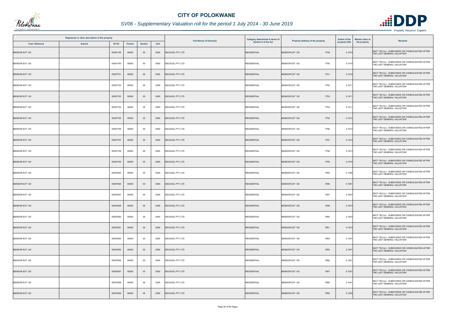

|                       | Registered or other description of the property |          |         |                |      |                               | Category determined in terms of | Physical address of the property | <b>Extent of the</b> | Market value of | <b>Remarks</b>                                                                 |
|-----------------------|-------------------------------------------------|----------|---------|----------------|------|-------------------------------|---------------------------------|----------------------------------|----------------------|-----------------|--------------------------------------------------------------------------------|
| <b>Town Allotment</b> | <b>Suburb</b>                                   | Erf Nr   | Portion | <b>Section</b> | Unit | <b>Full Names of Owner(s)</b> | Section 8 of the Act            |                                  | property (HA)        | the property    |                                                                                |
| <b>BENDOR EXT 120</b> |                                                 | 00007749 | 00000   | $00\,$         | 0000 | DECACEL PTY LTD               | <b>RESIDENTIAL</b>              | <b>BENDOR EXT 120</b><br>7749    | 0.1010               |                 | SECT 78(1)(c) - SUBDIVIDED OR CONSOLIDATED AFTER<br>THE LAST GENERAL VALUATION |
| BENDOR EXT 120        |                                                 | 00007750 | 00000   | $00\,$         | 0000 | DECACEL PTY LTD               | <b>RESIDENTIAL</b>              | <b>BENDOR EXT 120</b><br>7750    | 0.1010               |                 | SECT 78(1)(c) - SUBDIVIDED OR CONSOLIDATED AFTER<br>THE LAST GENERAL VALUATION |
| <b>BENDOR EXT 120</b> |                                                 | 00007751 | 00000   | $00\,$         | 0000 | DECACEL PTY LTD               | <b>RESIDENTIAL</b>              | 7751<br><b>BENDOR EXT 120</b>    | 0.1010               |                 | SECT 78(1)(c) - SUBDIVIDED OR CONSOLIDATED AFTER<br>THE LAST GENERAL VALUATION |
| BENDOR EXT 120        |                                                 | 00007752 | 00000   | 00             | 0000 | DECACEL PTY LTD               | <b>RESIDENTIAL</b>              | BENDOR EXT 120<br>7752           | 0.1011               |                 | SECT 78(1)(c) - SUBDIVIDED OR CONSOLIDATED AFTER<br>THE LAST GENERAL VALUATION |
| <b>BENDOR EXT 120</b> |                                                 | 00007753 | 00000   | $00\,$         | 0000 | <b>DECACEL PTY LTD</b>        | <b>RESIDENTIAL</b>              | <b>BENDOR EXT 120</b><br>7753    | 0.1011               |                 | SECT 78(1)(c) - SUBDIVIDED OR CONSOLIDATED AFTER<br>THE LAST GENERAL VALUATION |
| BENDOR EXT 120        |                                                 | 00007754 | 00000   | 00             | 0000 | DECACEL PTY LTD               | <b>RESIDENTIAL</b>              | BENDOR EXT 120<br>7754           | 0.1011               |                 | SECT 78(1)(c) - SUBDIVIDED OR CONSOLIDATED AFTER<br>THE LAST GENERAL VALUATION |
| <b>BENDOR EXT 120</b> |                                                 | 00007755 | 00000   | $00\,$         | 0000 | DECACEL PTY LTD               | <b>RESIDENTIAL</b>              | <b>BENDOR EXT 120</b><br>7755    | 0.1012               |                 | SECT 78(1)(c) - SUBDIVIDED OR CONSOLIDATED AFTER<br>THE LAST GENERAL VALUATION |
| BENDOR EXT 120        |                                                 | 00007756 | 00000   | 00             | 0000 | <b>DECACEL PTY LTD</b>        | <b>RESIDENTIAL</b>              | <b>BENDOR EXT 120</b><br>7756    | 0.1012               |                 | SECT 78(1)(c) - SUBDIVIDED OR CONSOLIDATED AFTER<br>THE LAST GENERAL VALUATION |
| <b>BENDOR EXT 120</b> |                                                 | 00007757 | 00000   | $00\,$         | 0000 | DECACEL PTY LTD               | <b>RESIDENTIAL</b>              | <b>BENDOR EXT 120</b><br>7757    | 0.1012               |                 | SECT 78(1)(c) - SUBDIVIDED OR CONSOLIDATED AFTER<br>THE LAST GENERAL VALUATION |
| BENDOR EXT 120        |                                                 | 00007758 | 00000   | 00             | 0000 | <b>DECACEL PTY LTD</b>        | <b>RESIDENTIAL</b>              | <b>BENDOR EXT 120</b><br>7758    | 0.1013               |                 | SECT 78(1)(c) - SUBDIVIDED OR CONSOLIDATED AFTER<br>THE LAST GENERAL VALUATION |
| <b>BENDOR EXT 120</b> |                                                 | 00007759 | 00000   | $00\,$         | 0000 | <b>DECACEL PTY LTD</b>        | <b>RESIDENTIAL</b>              | <b>BENDOR EXT 120</b><br>7759    | 0.1015               |                 | SECT 78(1)(c) - SUBDIVIDED OR CONSOLIDATED AFTER<br>THE LAST GENERAL VALUATION |
| BENDOR EXT 120        |                                                 | 00007845 | 00000   | 00             | 0000 | DECACEL PTY LTD               | <b>RESIDENTIAL</b>              | <b>BENDOR EXT 120</b><br>7845    | 0.1382               |                 | SECT 78(1)(c) - SUBDIVIDED OR CONSOLIDATED AFTER<br>THE LAST GENERAL VALUATION |
| <b>BENDOR EXT 120</b> |                                                 | 00007846 | 00000   | $00\,$         | 0000 | DECACEL PTY LTD               | <b>RESIDENTIAL</b>              | <b>BENDOR EXT 120</b><br>7846    | 0.1581               |                 | SECT 78(1)(c) - SUBDIVIDED OR CONSOLIDATED AFTER<br>THE LAST GENERAL VALUATION |
| <b>BENDOR EXT 120</b> |                                                 | 00007847 | 00000   | $00\,$         | 0000 | DECACEL PTY LTD               | <b>RESIDENTIAL</b>              | <b>BENDOR EXT 120</b><br>7847    | 0.1647               |                 | SECT 78(1)(c) - SUBDIVIDED OR CONSOLIDATED AFTER<br>THE LAST GENERAL VALUATION |
| <b>BENDOR EXT 120</b> |                                                 | 00007848 | 00000   | $00\,$         | 0000 | <b>DECACEL PTY LTD</b>        | <b>RESIDENTIAL</b>              | <b>BENDOR EXT 120</b><br>7848    | 0.1673               |                 | SECT 78(1)(c) - SUBDIVIDED OR CONSOLIDATED AFTER<br>THE LAST GENERAL VALUATION |
| <b>BENDOR EXT 120</b> |                                                 | 00007850 | 00000   | $00\,$         | 0000 | DECACEL PTY LTD               | <b>RESIDENTIAL</b>              | BENDOR EXT 120<br>7850           | 0.1623               |                 | SECT 78(1)(c) - SUBDIVIDED OR CONSOLIDATED AFTER<br>THE LAST GENERAL VALUATION |
| <b>BENDOR EXT 120</b> |                                                 | 00007851 | 00000   | $00\,$         | 0000 | <b>DECACEL PTY LTD</b>        | <b>RESIDENTIAL</b>              | 7851<br><b>BENDOR EXT 120</b>    | 0.1610               |                 | SECT 78(1)(c) - SUBDIVIDED OR CONSOLIDATED AFTER<br>THE LAST GENERAL VALUATION |
| BENDOR EXT 120        |                                                 | 00007854 | 00000   | 00             | 0000 | DECACEL PTY LTD               | <b>RESIDENTIAL</b>              | BENDOR EXT 120<br>7854           | 0.1247               |                 | SECT 78(1)(c) - SUBDIVIDED OR CONSOLIDATED AFTER<br>THE LAST GENERAL VALUATION |
| <b>BENDOR EXT 120</b> |                                                 | 00007855 | 00000   | $00\,$         | 0000 | <b>DECACEL PTY LTD</b>        | <b>RESIDENTIAL</b>              | BENDOR EXT 120<br>7855           | 0.1251               |                 | SECT 78(1)(c) - SUBDIVIDED OR CONSOLIDATED AFTER<br>THE LAST GENERAL VALUATION |
| BENDOR EXT 120        |                                                 | 00007856 | 00000   | $00\,$         | 0000 | <b>DECACEL PTY LTD</b>        | <b>RESIDENTIAL</b>              | BENDOR EXT 120<br>7856           | 0.1251               |                 | SECT 78(1)(c) - SUBDIVIDED OR CONSOLIDATED AFTER<br>THE LAST GENERAL VALUATION |
| <b>BENDOR EXT 120</b> |                                                 | 00007857 | 00000   | $00\,$         | 0000 | DECACEL PTY LTD               | <b>RESIDENTIAL</b>              | <b>BENDOR EXT 120</b><br>7857    | 0.1251               |                 | SECT 78(1)(c) - SUBDIVIDED OR CONSOLIDATED AFTER<br>THE LAST GENERAL VALUATION |
| BENDOR EXT 120        |                                                 | 00007858 | 00000   | $00\,$         | 0000 | DECACEL PTY LTD               | <b>RESIDENTIAL</b>              | 7858<br><b>BENDOR EXT 120</b>    | 0.1441               |                 | SECT 78(1)(c) - SUBDIVIDED OR CONSOLIDATED AFTER<br>THE LAST GENERAL VALUATION |
| BENDOR EXT 120        |                                                 | 00007859 | 00000   | $00\,$         | 0000 | DECACEL PTY LTD               | <b>RESIDENTIAL</b>              | <b>BENDOR EXT 120</b><br>7859    | 0.1200               |                 | SECT 78(1)(c) - SUBDIVIDED OR CONSOLIDATED AFTER<br>THE LAST GENERAL VALUATION |

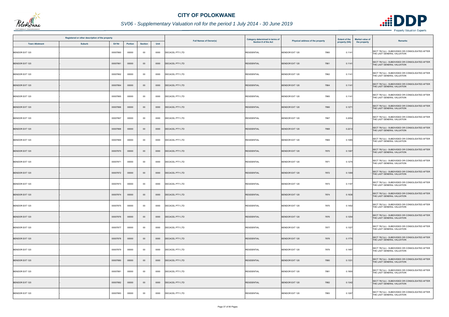

|                       | Registered or other description of the property |          |         |                |      |                               | Category determined in terms of |                                  | <b>Extent of the</b> | <b>Market value of</b>                                                         |
|-----------------------|-------------------------------------------------|----------|---------|----------------|------|-------------------------------|---------------------------------|----------------------------------|----------------------|--------------------------------------------------------------------------------|
| <b>Town Allotment</b> | <b>Suburb</b>                                   | Erf Nr   | Portion | <b>Section</b> | Unit | <b>Full Names of Owner(s)</b> | Section 8 of the Act            | Physical address of the property | property (HA)        | <b>Remarks</b><br>the property                                                 |
| BENDOR EXT 120        |                                                 | 00007860 | 00000   | 00             | 0000 | DECACEL PTY LTD               | <b>RESIDENTIAL</b>              | <b>BENDOR EXT 120</b><br>7860    | 0.1141               | SECT 78(1)(c) - SUBDIVIDED OR CONSOLIDATED AFTER<br>THE LAST GENERAL VALUATION |
| <b>BENDOR EXT 120</b> |                                                 | 00007861 | 00000   | $00\,$         | 0000 | <b>DECACEL PTY LTD</b>        | <b>RESIDENTIAL</b>              | 7861<br><b>BENDOR EXT 120</b>    | 0.1141               | SECT 78(1)(c) - SUBDIVIDED OR CONSOLIDATED AFTER<br>THE LAST GENERAL VALUATION |
| BENDOR EXT 120        |                                                 | 00007862 | 00000   | $00\,$         | 0000 | DECACEL PTY LTD               | <b>RESIDENTIAL</b>              | 7862<br><b>BENDOR EXT 120</b>    | 0.1141               | SECT 78(1)(c) - SUBDIVIDED OR CONSOLIDATED AFTER<br>THE LAST GENERAL VALUATION |
| <b>BENDOR EXT 120</b> |                                                 | 00007864 | 00000   | $00\,$         | 0000 | <b>DECACEL PTY LTD</b>        | <b>RESIDENTIAL</b>              | <b>BENDOR EXT 120</b><br>7864    | 0.1141               | SECT 78(1)(c) - SUBDIVIDED OR CONSOLIDATED AFTER<br>THE LAST GENERAL VALUATION |
| <b>BENDOR EXT 120</b> |                                                 | 00007865 | 00000   | 00             | 0000 | <b>DECACEL PTY LTD</b>        | <b>RESIDENTIAL</b>              | <b>BENDOR EXT 120</b><br>7865    | 0.1141               | SECT 78(1)(c) - SUBDIVIDED OR CONSOLIDATED AFTER<br>THE LAST GENERAL VALUATION |
| <b>BENDOR EXT 120</b> |                                                 | 00007866 | 00000   | $00\,$         | 0000 | <b>DECACEL PTY LTD</b>        | <b>RESIDENTIAL</b>              | <b>BENDOR EXT 120</b><br>7866    | 0.1271               | SECT 78(1)(c) - SUBDIVIDED OR CONSOLIDATED AFTER<br>THE LAST GENERAL VALUATION |
| BENDOR EXT 120        |                                                 | 00007867 | 00000   | $00\,$         | 0000 | DECACEL PTY LTD               | <b>RESIDENTIAL</b>              | 7867<br><b>BENDOR EXT 120</b>    | 0.2054               | SECT 78(1)(c) - SUBDIVIDED OR CONSOLIDATED AFTER<br>THE LAST GENERAL VALUATION |
| <b>BENDOR EXT 120</b> |                                                 | 00007868 | 00000   | $00\,$         | 0000 | <b>DECACEL PTY LTD</b>        | <b>RESIDENTIAL</b>              | <b>BENDOR EXT 120</b><br>7868    | 0.2212               | SECT 78(1)(c) - SUBDIVIDED OR CONSOLIDATED AFTER<br>THE LAST GENERAL VALUATION |
| <b>BENDOR EXT 120</b> |                                                 | 00007869 | 00000   | $00\,$         | 0000 | DECACEL PTY LTD               | <b>RESIDENTIAL</b>              | <b>BENDOR EXT 120</b><br>7869    | 0.1085               | SECT 78(1)(c) - SUBDIVIDED OR CONSOLIDATED AFTER<br>THE LAST GENERAL VALUATION |
| <b>BENDOR EXT 120</b> |                                                 | 00007870 | 00000   | $00\,$         | 0000 | <b>DECACEL PTY LTD</b>        | <b>RESIDENTIAL</b>              | <b>BENDOR EXT 120</b><br>7870    | 0.1367               | SECT 78(1)(c) - SUBDIVIDED OR CONSOLIDATED AFTER<br>THE LAST GENERAL VALUATION |
| BENDOR EXT 120        |                                                 | 00007871 | 00000   | $00\,$         | 0000 | DECACEL PTY LTD               | <b>RESIDENTIAL</b>              | <b>BENDOR EXT 120</b><br>7871    | 0.1275               | SECT 78(1)(c) - SUBDIVIDED OR CONSOLIDATED AFTER<br>THE LAST GENERAL VALUATION |
| <b>BENDOR EXT 120</b> |                                                 | 00007872 | 00000   | $00\,$         | 0000 | <b>DECACEL PTY LTD</b>        | <b>RESIDENTIAL</b>              | <b>BENDOR EXT 120</b><br>7872    | 0.1369               | SECT 78(1)(c) - SUBDIVIDED OR CONSOLIDATED AFTER<br>THE LAST GENERAL VALUATION |
| BENDOR EXT 120        |                                                 | 00007873 | 00000   | 00             | 0000 | DECACEL PTY LTD               | <b>RESIDENTIAL</b>              | BENDOR EXT 120<br>7873           | 0.1197               | SECT 78(1)(c) - SUBDIVIDED OR CONSOLIDATED AFTER<br>THE LAST GENERAL VALUATION |
| <b>BENDOR EXT 120</b> |                                                 | 00007874 | 00000   | $00\,$         | 0000 | <b>DECACEL PTY LTD</b>        | <b>RESIDENTIAL</b>              | 7874<br><b>BENDOR EXT 120</b>    | 0.1636               | SECT 78(1)(c) - SUBDIVIDED OR CONSOLIDATED AFTER<br>THE LAST GENERAL VALUATION |
| <b>BENDOR EXT 120</b> |                                                 | 00007875 | 00000   | $00\,$         | 0000 | DECACEL PTY LTD               | <b>RESIDENTIAL</b>              | 7875<br><b>BENDOR EXT 120</b>    | 0.1452               | SECT 78(1)(c) - SUBDIVIDED OR CONSOLIDATED AFTER<br>THE LAST GENERAL VALUATION |
| <b>BENDOR EXT 120</b> |                                                 | 00007876 | 00000   | $00\,$         | 0000 | <b>DECACEL PTY LTD</b>        | <b>RESIDENTIAL</b>              | <b>BENDOR EXT 120</b><br>7876    | 0.1254               | SECT 78(1)(c) - SUBDIVIDED OR CONSOLIDATED AFTER<br>THE LAST GENERAL VALUATION |
| BENDOR EXT 120        |                                                 | 00007877 | 00000   | $00\,$         | 0000 | <b>DECACEL PTY LTD</b>        | <b>RESIDENTIAL</b>              | 7877<br><b>BENDOR EXT 120</b>    | 0.1327               | SECT 78(1)(c) - SUBDIVIDED OR CONSOLIDATED AFTER<br>THE LAST GENERAL VALUATION |
| <b>BENDOR EXT 120</b> |                                                 | 00007878 | 00000   | $00\,$         | 0000 | <b>DECACEL PTY LTD</b>        | <b>RESIDENTIAL</b>              | <b>BENDOR EXT 120</b><br>7878    | 0.1770               | SECT 78(1)(c) - SUBDIVIDED OR CONSOLIDATED AFTER<br>THE LAST GENERAL VALUATION |
| BENDOR EXT 120        |                                                 | 00007879 | 00000   | $00\,$         | 0000 | DECACEL PTY LTD               | <b>RESIDENTIAL</b>              | BENDOR EXT 120<br>7879           | 0.1497               | SECT 78(1)(c) - SUBDIVIDED OR CONSOLIDATED AFTER<br>THE LAST GENERAL VALUATION |
| <b>BENDOR EXT 120</b> |                                                 | 00007880 | 00000   | $00\,$         | 0000 | <b>DECACEL PTY LTD</b>        | <b>RESIDENTIAL</b>              | 7880<br>BENDOR EXT 120           | 0.1331               | SECT 78(1)(c) - SUBDIVIDED OR CONSOLIDATED AFTER<br>THE LAST GENERAL VALUATION |
| BENDOR EXT 120        |                                                 | 00007881 | 00000   | $00\,$         | 0000 | DECACEL PTY LTD               | <b>RESIDENTIAL</b>              | <b>BENDOR EXT 120</b><br>7881    | 0.1900               | SECT 78(1)(c) - SUBDIVIDED OR CONSOLIDATED AFTER<br>THE LAST GENERAL VALUATION |
| <b>BENDOR EXT 120</b> |                                                 | 00007882 | 00000   | $00\,$         | 0000 | <b>DECACEL PTY LTD</b>        | <b>RESIDENTIAL</b>              | <b>BENDOR EXT 120</b><br>7882    | 0.1342               | SECT 78(1)(c) - SUBDIVIDED OR CONSOLIDATED AFTER<br>THE LAST GENERAL VALUATION |
| BENDOR EXT 120        |                                                 | 00007883 | 00000   | $00\,$         | 0000 | DECACEL PTY LTD               | <b>RESIDENTIAL</b>              | <b>BENDOR EXT 120</b><br>7883    | 0.1267               | SECT 78(1)(c) - SUBDIVIDED OR CONSOLIDATED AFTER<br>THE LAST GENERAL VALUATION |

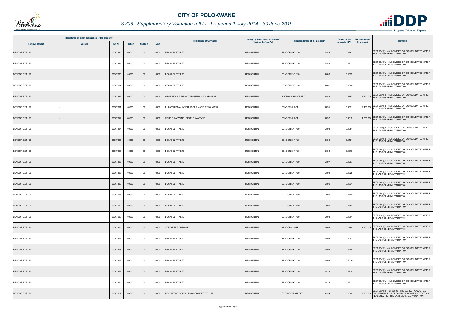

|                       | Registered or other description of the property |          |                |                |      | <b>Full Names of Owner(s)</b>              | Category determined in terms of | Physical address of the property | <b>Extent of the</b> | <b>Market value of</b><br>Remarks                                                                                                                  |
|-----------------------|-------------------------------------------------|----------|----------------|----------------|------|--------------------------------------------|---------------------------------|----------------------------------|----------------------|----------------------------------------------------------------------------------------------------------------------------------------------------|
| <b>Town Allotment</b> | <b>Suburb</b>                                   | Erf Nr   | <b>Portion</b> | <b>Section</b> | Unit |                                            | Section 8 of the Act            |                                  | property (HA)        | the property                                                                                                                                       |
| <b>BENDOR EXT 120</b> |                                                 | 00007884 | 00000          | $00\,$         | 0000 | DECACEL PTY LTD                            | <b>RESIDENTIAL</b>              | <b>BENDOR EXT 120</b><br>7884    | 0.1192               | SECT 78(1)(c) - SUBDIVIDED OR CONSOLIDATED AFTER<br>THE LAST GENERAL VALUATION                                                                     |
| BENDOR EXT 120        |                                                 | 00007885 | 00000          | $00\,$         | 0000 | <b>DECACEL PTY LTD</b>                     | <b>RESIDENTIAL</b>              | <b>BENDOR EXT 120</b><br>7885    | 0.1111               | SECT 78(1)(c) - SUBDIVIDED OR CONSOLIDATED AFTER<br>THE LAST GENERAL VALUATION                                                                     |
| <b>BENDOR EXT 120</b> |                                                 | 00007886 | 00000          | $00\,$         | 0000 | <b>DECACEL PTY LTD</b>                     | <b>RESIDENTIAL</b>              | <b>BENDOR EXT 120</b><br>7886    | 0.1099               | SECT 78(1)(c) - SUBDIVIDED OR CONSOLIDATED AFTER<br>THE LAST GENERAL VALUATION                                                                     |
| BENDOR EXT 120        |                                                 | 00007887 | 00000          | 00             | 0000 | <b>DECACEL PTY LTD</b>                     | <b>RESIDENTIAL</b>              | 7887<br><b>BENDOR EXT 120</b>    | 0.1004               | SECT 78(1)(c) - SUBDIVIDED OR CONSOLIDATED AFTER<br>THE LAST GENERAL VALUATION                                                                     |
| <b>BENDOR EXT 120</b> |                                                 | 00007889 | 00000          | $00\,$         | 0000 | GROENEWALD DEON / GROENEWALD CHRISTINE     | <b>RESIDENTIAL</b>              | <b>BOOMALWYN STREET</b><br>7889  | 0.0867               | 2 300 000 SECT 78(1)(c) - SUBDIVIDED OR CONSOLIDATED AFTER<br>THE LAST GENERAL VALUATION                                                           |
| BENDOR EXT 120        |                                                 | 00007891 | 00000          | $00\,$         | 0000 | RUDIGER DEAN IAN / RUDIGER MADELEIN GLADYS | <b>RESIDENTIAL</b>              | <b>BENDOR CLOSE</b><br>7891      | 0.0651               | 2 100 000 SECT 78(1)(c) - SUBDIVIDED OR CONSOLIDATED AFTER<br>THE LAST GENERAL VALUATION                                                           |
| <b>BENDOR EXT 120</b> |                                                 | 00007892 | 00000          | $00\,$         | 0000 | SEKELE KANYANE / SEKELE KANYANE            | <b>RESIDENTIAL</b>              | <b>BENDOR CLOSE</b><br>7892      | 0.0812               | 1 500 000 SECT 78(1)(c) - SUBDIVIDED OR CONSOLIDATED AFTER<br>THE LAST GENERAL VALUATION                                                           |
| BENDOR EXT 120        |                                                 | 00007894 | 00000          | $00\,$         | 0000 | <b>DECACEL PTY LTD</b>                     | <b>RESIDENTIAL</b>              | <b>BENDOR EXT 120</b><br>7894    | 0.1084               | SECT 78(1)(c) - SUBDIVIDED OR CONSOLIDATED AFTER<br>THE LAST GENERAL VALUATION                                                                     |
| <b>BENDOR EXT 120</b> |                                                 | 00007895 | 00000          | $00\,$         | 0000 | <b>DECACEL PTY LTD</b>                     | <b>RESIDENTIAL</b>              | 7895<br><b>BENDOR EXT 120</b>    | 0.1151               | SECT 78(1)(c) - SUBDIVIDED OR CONSOLIDATED AFTER<br>THE LAST GENERAL VALUATION                                                                     |
| BENDOR EXT 120        |                                                 | 00007896 | 00000          | 00             | 0000 | DECACEL PTY LTD                            | <b>RESIDENTIAL</b>              | <b>BENDOR EXT 120</b><br>7896    | 0.1076               | SECT 78(1)(c) - SUBDIVIDED OR CONSOLIDATED AFTER<br>THE LAST GENERAL VALUATION                                                                     |
| <b>BENDOR EXT 120</b> |                                                 | 00007897 | 00000          | $00\,$         | 0000 | <b>DECACEL PTY LTD</b>                     | <b>RESIDENTIAL</b>              | <b>BENDOR EXT 120</b><br>7897    | 0.1297               | SECT 78(1)(c) - SUBDIVIDED OR CONSOLIDATED AFTER<br>THE LAST GENERAL VALUATION                                                                     |
| <b>BENDOR EXT 120</b> |                                                 | 00007898 | 00000          | 00             | 0000 | <b>DECACEL PTY LTD</b>                     | <b>RESIDENTIAL</b>              | <b>BENDOR EXT 120</b><br>7898    | 0.1325               | SECT 78(1)(c) - SUBDIVIDED OR CONSOLIDATED AFTER<br>THE LAST GENERAL VALUATION                                                                     |
| <b>BENDOR EXT 120</b> |                                                 | 00007899 | 00000          | $00\,$         | 0000 | <b>DECACEL PTY LTD</b>                     | <b>RESIDENTIAL</b>              | <b>BENDOR EXT 120</b><br>7899    | 0.1331               | SECT 78(1)(c) - SUBDIVIDED OR CONSOLIDATED AFTER<br>THE LAST GENERAL VALUATION                                                                     |
| <b>BENDOR EXT 120</b> |                                                 | 00007901 | 00000          | 00             | 0000 | <b>DECACEL PTY LTD</b>                     | <b>RESIDENTIAL</b>              | <b>BENDOR EXT 120</b><br>7901    | 0.1599               | SECT 78(1)(c) - SUBDIVIDED OR CONSOLIDATED AFTER<br>THE LAST GENERAL VALUATION                                                                     |
| <b>BENDOR EXT 120</b> |                                                 | 00007902 | 00000          | $00\,$         | 0000 | <b>DECACEL PTY LTD</b>                     | <b>RESIDENTIAL</b>              | BENDOR EXT 120<br>7902           | 0.1682               | SECT 78(1)(c) - SUBDIVIDED OR CONSOLIDATED AFTER<br>THE LAST GENERAL VALUATION                                                                     |
| BENDOR EXT 120        |                                                 | 00007903 | 00000          | $00\,$         | 0000 | DECACEL PTY LTD                            | <b>RESIDENTIAL</b>              | 7903<br><b>BENDOR EXT 120</b>    | 0.1301               | SECT 78(1)(c) - SUBDIVIDED OR CONSOLIDATED AFTER<br>THE LAST GENERAL VALUATION                                                                     |
| <b>BENDOR EXT 120</b> |                                                 | 00007904 | 00000          | $00\,$         | 0000 | <b>STEYNBERG GREGORY</b>                   | <b>RESIDENTIAL</b>              | <b>BENDOR CLOSE</b><br>7904      | 0.1195               | 3 400 000 SECT 78(1)(c) - SUBDIVIDED OR CONSOLIDATED AFTER<br>THE LAST GENERAL VALUATION                                                           |
| BENDOR EXT 120        |                                                 | 00007906 | 00000          | $00\,$         | 0000 | DECACEL PTY LTD                            | <b>RESIDENTIAL</b>              | BENDOR EXT 120<br>7906           | 0.1057               | SECT 78(1)(c) - SUBDIVIDED OR CONSOLIDATED AFTER<br>THE LAST GENERAL VALUATION                                                                     |
| <b>BENDOR EXT 120</b> |                                                 | 00007908 | 00000          | $00\,$         | 0000 | <b>DECACEL PTY LTD</b>                     | <b>RESIDENTIAL</b>              | <b>BENDOR EXT 120</b><br>7908    | 0.1458               | SECT 78(1)(c) - SUBDIVIDED OR CONSOLIDATED AFTER<br>THE LAST GENERAL VALUATION                                                                     |
| BENDOR EXT 120        |                                                 | 00007909 | 00000          | $00\,$         | 0000 | DECACEL PTY LTD                            | <b>RESIDENTIAL</b>              | <b>BENDOR EXT 120</b><br>7909    | 0.1039               | SECT 78(1)(c) - SUBDIVIDED OR CONSOLIDATED AFTER<br>THE LAST GENERAL VALUATION                                                                     |
| <b>BENDOR EXT 120</b> |                                                 | 00007913 | 00000          | $00\,$         | 0000 | DECACEL PTY LTD                            | <b>RESIDENTIAL</b>              | <b>BENDOR EXT 120</b><br>7913    | 0.1325               | SECT 78(1)(c) - SUBDIVIDED OR CONSOLIDATED AFTER<br>THE LAST GENERAL VALUATION                                                                     |
| BENDOR EXT 120        |                                                 | 00007914 | 00000          | $00\,$         | 0000 | <b>DECACEL PTY LTD</b>                     | <b>RESIDENTIAL</b>              | <b>BENDOR EXT 120</b><br>7914    | 0.1271               | SECT 78(1)(c) - SUBDIVIDED OR CONSOLIDATED AFTER<br>THE LAST GENERAL VALUATION                                                                     |
| <b>BENDOR EXT 120</b> |                                                 | 00007924 | 00000          | $00\,$         | 0000 | PEOPLECOR CONSULTING SERVICES PTY LTD      | <b>RESIDENTIAL</b>              | 7924<br>SPEKBOOM STREET          | 0.1300               | SECT 78(1)(d) - OF WHICH THE MARKET VALUE HAS<br>2 200 000 SUBSTANTIALLY INCREASED OR DECREASED FOR ANY<br>REASON AFTER THE LAST GENERAL VALUATION |

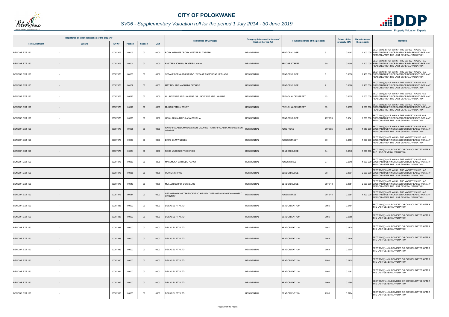

# *SV06 - Supplementary Valuation roll for the period 1 July 2014 - 30 June 2019*

|                       | Registered or other description of the property |          |                |                |      |                                                                               | Category determined in terms of |                                  | <b>Extent of the</b> | <b>Market value of</b> |                                                                                                                                                    |
|-----------------------|-------------------------------------------------|----------|----------------|----------------|------|-------------------------------------------------------------------------------|---------------------------------|----------------------------------|----------------------|------------------------|----------------------------------------------------------------------------------------------------------------------------------------------------|
| <b>Town Allotment</b> | <b>Suburb</b>                                   | Erf Nr   | <b>Portion</b> | <b>Section</b> | Unit | <b>Full Names of Owner(s)</b>                                                 | <b>Section 8 of the Act</b>     | Physical address of the property | property (HA)        | the property           | <b>Remarks</b>                                                                                                                                     |
| <b>BENDOR EXT 120</b> |                                                 | 00007976 | 00003          | $00\,$         | 0000 | ROUX WERNER / ROUX HESTER ELIZABETH                                           | <b>RESIDENTIAL</b>              | <b>BENDOR CLOSE</b><br>- 3       | 0.0547               |                        | SECT 78(1)(d) - OF WHICH THE MARKET VALUE HAS<br>1 300 000 SUBSTANTIALLY INCREASED OR DECREASED FOR ANY<br>REASON AFTER THE LAST GENERAL VALUATION |
| <b>BENDOR EXT 120</b> |                                                 | 00007976 | 00004          | $00\,$         | 0000 | EKSTEEN JOHAN / EKSTEEN JOHAN                                                 | <b>RESIDENTIAL</b>              | <b>SEKOPE STREET</b><br>6A       | 0.0549               |                        | SECT 78(1)(d) - OF WHICH THE MARKET VALUE HAS<br>1 600 000 SUBSTANTIALLY INCREASED OR DECREASED FOR ANY<br>REASON AFTER THE LAST GENERAL VALUATION |
| BENDOR EXT 120        |                                                 | 00007976 | 00006          | $00\,$         | 0000 | SEBAKE BERNARD KARABO / SEBAKE RAMOKONE LETHABO                               | <b>RESIDENTIAL</b>              | <b>BENDOR CLOSE</b><br>6         | 0.0656               |                        | SECT 78(1)(d) - OF WHICH THE MARKET VALUE HAS<br>1 400 000 SUBSTANTIALLY INCREASED OR DECREASED FOR ANY<br>REASON AFTER THE LAST GENERAL VALUATION |
| <b>BENDOR EXT 120</b> |                                                 | 00007976 | 00007          | $00\,$         | 0000 | MATIMOLANE MASHABA GEORGE                                                     | <b>RESIDENTIAL</b>              | <b>BENDOR CLOSE</b>              | 0.0666               |                        | SECT 78(1)(d) - OF WHICH THE MARKET VALUE HAS<br>1 400 000 SUBSTANTIALLY INCREASED OR DECREASED FOR ANY<br>REASON AFTER THE LAST GENERAL VALUATION |
| <b>BENDOR EXT 120</b> |                                                 | 00007976 | 00013          | $00\,$         | 0000 | HLUNGWANE ABEL KASANE / HLUNGWANE ABEL KASANE                                 | <b>RESIDENTIAL</b>              | 13<br><b>FRENCH ALOE STREET</b>  | 0.0539               |                        | SECT 78(1)(d) - OF WHICH THE MARKET VALUE HAS<br>1 600 000 SUBSTANTIALLY INCREASED OR DECREASED FOR ANY<br>REASON AFTER THE LAST GENERAL VALUATION |
| <b>BENDOR EXT 120</b> |                                                 | 00007976 | 00019          | $00\,$         | 0000 | <b>MUDAU FAMILY TRUST</b>                                                     | <b>RESIDENTIAL</b>              | <b>FRENCH ALOE STREET</b><br>19  | 0.0553               |                        | SECT 78(1)(d) - OF WHICH THE MARKET VALUE HAS<br>2 000 000 SUBSTANTIALLY INCREASED OR DECREASED FOR ANY<br>REASON AFTER THE LAST GENERAL VALUATION |
| <b>BENDOR EXT 120</b> |                                                 | 00007976 | 00020          | $00\,$         | 0000 | LEKALAKALA MAPULANA OPHELIA                                                   | <b>RESIDENTIAL</b>              | <b>BENDOR CLOSE</b><br>7976/20   | 0.0541               |                        | SECT 78(1)(d) - OF WHICH THE MARKET VALUE HAS<br>1 700 000 SUBSTANTIALLY INCREASED OR DECREASED FOR ANY<br>REASON AFTER THE LAST GENERAL VALUATION |
| BENDOR EXT 120        |                                                 | 00007976 | 00025          | $00\,$         | 0000 | RATSHIPALADZA MMBANGISENI GEORGE / RATSHIPALADZA MMBANGISENI<br><b>GEORGE</b> | <b>RESIDENTIAL</b>              | <b>ALOE ROAD</b><br>7976/25      | 0.0540               |                        | SECT 78(1)(d) - OF WHICH THE MARKET VALUE HAS<br>1 850 000 SUBSTANTIALLY INCREASED OR DECREASED FOR ANY<br>REASON AFTER THE LAST GENERAL VALUATION |
| BENDOR EXT 120        |                                                 | 00007976 | 00030          | 00             | 0000 | BRITS ELIM WILHELM                                                            | <b>RESIDENTIAL</b>              | <b>ALOES STREET</b><br>30        | 0.0587               |                        | SECT 78(1)(d) - OF WHICH THE MARKET VALUE HAS<br>1 800 000 SUBSTANTIALLY INCREASED OR DECREASED FOR ANY<br>REASON AFTER THE LAST GENERAL VALUATION |
| <b>BENDOR EXT 120</b> |                                                 | 00007976 | 00034          | $00\,$         | 0000 | ROOS JACOBUS FREDERICK                                                        | <b>RESIDENTIAL</b>              | 34<br><b>BENDOR CLOSE</b>        | 0.0548               |                        | 1 800 000 SECT 78(1)(c) - SUBDIVIDED OR CONSOLIDATED AFTER<br>THE LAST GENERAL VALUATION                                                           |
| BENDOR EXT 120        |                                                 | 00007976 | 00037          | 00             | 0000 | MASEMOLA MATHEBO NANCY                                                        | <b>RESIDENTIAL</b>              | 37<br><b>ALOES STREET</b>        | 0.0615               |                        | SECT 78(1)(d) - OF WHICH THE MARKET VALUE HAS<br>1 800 000 SUBSTANTIALLY INCREASED OR DECREASED FOR ANY<br>REASON AFTER THE LAST GENERAL VALUATION |
| <b>BENDOR EXT 120</b> |                                                 | 00007976 | 00038          | $00\,$         | 0000 | <b>OLIVIER RHINUS</b>                                                         | <b>RESIDENTIAL</b>              | <b>BENDOR CLOSE</b><br>38        | 0.0604               |                        | SECT 78(1)(d) - OF WHICH THE MARKET VALUE HAS<br>2 200 000 SUBSTANTIALLY INCREASED OR DECREASED FOR ANY<br>REASON AFTER THE LAST GENERAL VALUATION |
| <b>BENDOR EXT 120</b> |                                                 | 00007976 | 00043          | $00\,$         | 0000 | MULLER GERRIT CORNELIUS                                                       | <b>RESIDENTIAL</b>              | <b>BENDOR CLOSE</b><br>7976/43   | 0.0654               |                        | SECT 78(1)(d) - OF WHICH THE MARKET VALUE HAS<br>2 000 000 SUBSTANTIALLY INCREASED OR DECREASED FOR ANY<br>REASON AFTER THE LAST GENERAL VALUATION |
| <b>BENDOR EXT 120</b> |                                                 | 00007976 | 00044          | $00\,$         | 0000 | NETSHITOMBONI TSHEGOFATSO HELLEN / NETSHITOMBONI KHANGWELO<br><b>KENNEDY</b>  | <b>RESIDENTIAL</b>              | <b>ALOES STREET</b><br>7976/44   | 0.058                |                        | SECT 78(1)(d) - OF WHICH THE MARKET VALUE HAS<br>1 400 000 SUBSTANTIALLY INCREASED OR DECREASED FOR ANY<br>REASON AFTER THE LAST GENERAL VALUATION |
| <b>BENDOR EXT 120</b> |                                                 | 00007985 | 00000          | $00\,$         | 0000 | DECACEL PTY LTD                                                               | <b>RESIDENTIAL</b>              | BENDOR EXT 120<br>7985           | 0.6461               |                        | SECT 78(1)(c) - SUBDIVIDED OR CONSOLIDATED AFTER<br>THE LAST GENERAL VALUATION                                                                     |
| <b>BENDOR EXT 120</b> |                                                 | 00007986 | 00000          | $00\,$         | 0000 | <b>DECACEL PTY LTD</b>                                                        | <b>RESIDENTIAL</b>              | 7986<br><b>BENDOR EXT 120</b>    | 0.0658               |                        | SECT 78(1)(c) - SUBDIVIDED OR CONSOLIDATED AFTER<br>THE LAST GENERAL VALUATION                                                                     |
| BENDOR EXT 120        |                                                 | 00007987 | 00000          | 00             | 0000 | <b>DECACEL PTY LTD</b>                                                        | <b>RESIDENTIAL</b>              | BENDOR EXT 120<br>7987           | 0.0720               |                        | SECT 78(1)(c) - SUBDIVIDED OR CONSOLIDATED AFTER<br>THE LAST GENERAL VALUATION                                                                     |
| <b>BENDOR EXT 120</b> |                                                 | 00007988 | 00000          | $00\,$         | 0000 | <b>DECACEL PTY LTD</b>                                                        | <b>RESIDENTIAL</b>              | <b>BENDOR EXT 120</b><br>7988    | 0.0716               |                        | SECT 78(1)(c) - SUBDIVIDED OR CONSOLIDATED AFTER<br>THE LAST GENERAL VALUATION                                                                     |
| BENDOR EXT 120        |                                                 | 00007989 | 00000          | 00             | 0000 | DECACEL PTY LTD                                                               | <b>RESIDENTIAL</b>              | BENDOR EXT 120<br>7989           | 0.0604               |                        | SECT 78(1)(c) - SUBDIVIDED OR CONSOLIDATED AFTER<br>THE LAST GENERAL VALUATION                                                                     |
| <b>BENDOR EXT 120</b> |                                                 | 00007990 | 00000          | $00\,$         | 0000 | <b>DECACEL PTY LTD</b>                                                        | <b>RESIDENTIAL</b>              | 7990<br><b>BENDOR EXT 120</b>    | 0.0735               |                        | SECT 78(1)(c) - SUBDIVIDED OR CONSOLIDATED AFTER<br>THE LAST GENERAL VALUATION                                                                     |
| BENDOR EXT 120        |                                                 | 00007991 | 00000          | $00\,$         | 0000 | DECACEL PTY LTD                                                               | <b>RESIDENTIAL</b>              | 7991<br><b>BENDOR EXT 120</b>    | 0.0582               |                        | SECT 78(1)(c) - SUBDIVIDED OR CONSOLIDATED AFTER<br>THE LAST GENERAL VALUATION                                                                     |
| <b>BENDOR EXT 120</b> |                                                 | 00007992 | 00000          | $00\,$         | 0000 | DECACEL PTY LTD                                                               | <b>RESIDENTIAL</b>              | <b>BENDOR EXT 120</b><br>7992    | 0.0695               |                        | SECT 78(1)(c) - SUBDIVIDED OR CONSOLIDATED AFTER<br>THE LAST GENERAL VALUATION                                                                     |
| BENDOR EXT 120        |                                                 | 00007993 | 00000          | 00             | 0000 | DECACEL PTY LTD                                                               | <b>RESIDENTIAL</b>              | <b>BENDOR EXT 120</b><br>7993    | 0.8764               |                        | SECT 78(1)(c) - SUBDIVIDED OR CONSOLIDATED AFTER<br>THE LAST GENERAL VALUATION                                                                     |

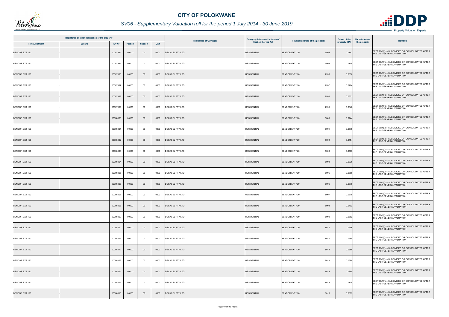

|                       | Registered or other description of the property |          |         |                |      | <b>Full Names of Owner(s)</b> | Category determined in terms of | Physical address of the property | <b>Extent of the</b> | <b>Market value of</b> | <b>Remarks</b>                                                                 |
|-----------------------|-------------------------------------------------|----------|---------|----------------|------|-------------------------------|---------------------------------|----------------------------------|----------------------|------------------------|--------------------------------------------------------------------------------|
| <b>Town Allotment</b> | <b>Suburb</b>                                   | Erf Nr   | Portion | <b>Section</b> | Unit |                               | Section 8 of the Act            |                                  | property (HA)        | the property           |                                                                                |
| <b>BENDOR EXT 120</b> |                                                 | 00007994 | 00000   | $00\,$         | 0000 | DECACEL PTY LTD               | <b>RESIDENTIAL</b>              | <b>BENDOR EXT 120</b><br>7994    | 0.0747               |                        | SECT 78(1)(c) - SUBDIVIDED OR CONSOLIDATED AFTER<br>THE LAST GENERAL VALUATION |
| BENDOR EXT 120        |                                                 | 00007995 | 00000   | $00\,$         | 0000 | DECACEL PTY LTD               | <b>RESIDENTIAL</b>              | BENDOR EXT 120<br>7995           | 0.0774               |                        | SECT 78(1)(c) - SUBDIVIDED OR CONSOLIDATED AFTER<br>THE LAST GENERAL VALUATION |
| <b>BENDOR EXT 120</b> |                                                 | 00007996 | 00000   | $00\,$         | 0000 | DECACEL PTY LTD               | <b>RESIDENTIAL</b>              | 7996<br><b>BENDOR EXT 120</b>    | 0.0650               |                        | SECT 78(1)(c) - SUBDIVIDED OR CONSOLIDATED AFTER<br>THE LAST GENERAL VALUATION |
| BENDOR EXT 120        |                                                 | 00007997 | 00000   | 00             | 0000 | <b>DECACEL PTY LTD</b>        | <b>RESIDENTIAL</b>              | <b>BENDOR EXT 120</b><br>7997    | 0.0764               |                        | SECT 78(1)(c) - SUBDIVIDED OR CONSOLIDATED AFTER<br>THE LAST GENERAL VALUATION |
| <b>BENDOR EXT 120</b> |                                                 | 00007998 | 00000   | $00\,$         | 0000 | <b>DECACEL PTY LTD</b>        | <b>RESIDENTIAL</b>              | <b>BENDOR EXT 120</b><br>7998    | 0.0631               |                        | SECT 78(1)(c) - SUBDIVIDED OR CONSOLIDATED AFTER<br>THE LAST GENERAL VALUATION |
| BENDOR EXT 120        |                                                 | 00007999 | 00000   | 00             | 0000 | <b>DECACEL PTY LTD</b>        | <b>RESIDENTIAL</b>              | BENDOR EXT 120<br>7999           | 0.0648               |                        | SECT 78(1)(c) - SUBDIVIDED OR CONSOLIDATED AFTER<br>THE LAST GENERAL VALUATION |
| <b>BENDOR EXT 120</b> |                                                 | 00008000 | 00000   | $00\,$         | 0000 | <b>DECACEL PTY LTD</b>        | <b>RESIDENTIAL</b>              | <b>BENDOR EXT 120</b><br>8000    | 0.0744               |                        | SECT 78(1)(c) - SUBDIVIDED OR CONSOLIDATED AFTER<br>THE LAST GENERAL VALUATION |
| <b>BENDOR EXT 120</b> |                                                 | 00008001 | 00000   | $00\,$         | 0000 | DECACEL PTY LTD               | <b>RESIDENTIAL</b>              | <b>BENDOR EXT 120</b><br>8001    | 0.0578               |                        | SECT 78(1)(c) - SUBDIVIDED OR CONSOLIDATED AFTER<br>THE LAST GENERAL VALUATION |
| <b>BENDOR EXT 120</b> |                                                 | 00008002 | 00000   | $00\,$         | 0000 | <b>DECACEL PTY LTD</b>        | <b>RESIDENTIAL</b>              | <b>BENDOR EXT 120</b><br>8002    | 0.0754               |                        | SECT 78(1)(c) - SUBDIVIDED OR CONSOLIDATED AFTER<br>THE LAST GENERAL VALUATION |
| BENDOR EXT 120        |                                                 | 00008003 | 00000   | $00\,$         | 0000 | DECACEL PTY LTD               | <b>RESIDENTIAL</b>              | <b>BENDOR EXT 120</b><br>8003    | 0.0763               |                        | SECT 78(1)(c) - SUBDIVIDED OR CONSOLIDATED AFTER<br>THE LAST GENERAL VALUATION |
| <b>BENDOR EXT 120</b> |                                                 | 00008004 | 00000   | $00\,$         | 0000 | <b>DECACEL PTY LTD</b>        | <b>RESIDENTIAL</b>              | <b>BENDOR EXT 120</b><br>8004    | 0.0838               |                        | SECT 78(1)(c) - SUBDIVIDED OR CONSOLIDATED AFTER<br>THE LAST GENERAL VALUATION |
| BENDOR EXT 120        |                                                 | 00008005 | 00000   | 00             | 0000 | DECACEL PTY LTD               | <b>RESIDENTIAL</b>              | <b>BENDOR EXT 120</b><br>8005    | 0.0665               |                        | SECT 78(1)(c) - SUBDIVIDED OR CONSOLIDATED AFTER<br>THE LAST GENERAL VALUATION |
| <b>BENDOR EXT 120</b> |                                                 | 00008006 | 00000   | $00\,$         | 0000 | <b>DECACEL PTY LTD</b>        | <b>RESIDENTIAL</b>              | <b>BENDOR EXT 120</b><br>8006    | 0.0675               |                        | SECT 78(1)(c) - SUBDIVIDED OR CONSOLIDATED AFTER<br>THE LAST GENERAL VALUATION |
| <b>BENDOR EXT 120</b> |                                                 | 00008007 | 00000   | 00             | 0000 | DECACEL PTY LTD               | <b>RESIDENTIAL</b>              | BENDOR EXT 120<br>8007           | 0.0675               |                        | SECT 78(1)(c) - SUBDIVIDED OR CONSOLIDATED AFTER<br>THE LAST GENERAL VALUATION |
| <b>BENDOR EXT 120</b> |                                                 | 00008008 | 00000   | $00\,$         | 0000 | <b>DECACEL PTY LTD</b>        | <b>RESIDENTIAL</b>              | <b>BENDOR EXT 120</b><br>8008    | 0.0702               |                        | SECT 78(1)(c) - SUBDIVIDED OR CONSOLIDATED AFTER<br>THE LAST GENERAL VALUATION |
| BENDOR EXT 120        |                                                 | 00008009 | 00000   | $00\,$         | 0000 | DECACEL PTY LTD               | <b>RESIDENTIAL</b>              | BENDOR EXT 120<br>8009           | 0.0662               |                        | SECT 78(1)(c) - SUBDIVIDED OR CONSOLIDATED AFTER<br>THE LAST GENERAL VALUATION |
| <b>BENDOR EXT 120</b> |                                                 | 00008010 | 00000   | $00\,$         | 0000 | <b>DECACEL PTY LTD</b>        | <b>RESIDENTIAL</b>              | <b>BENDOR EXT 120</b><br>8010    | 0.0656               |                        | SECT 78(1)(c) - SUBDIVIDED OR CONSOLIDATED AFTER<br>THE LAST GENERAL VALUATION |
| <b>BENDOR EXT 120</b> |                                                 | 00008011 | 00000   | 00             | 0000 | <b>DECACEL PTY LTD</b>        | <b>RESIDENTIAL</b>              | 8011<br>BENDOR EXT 120           | 0.0694               |                        | SECT 78(1)(c) - SUBDIVIDED OR CONSOLIDATED AFTER<br>THE LAST GENERAL VALUATION |
| <b>BENDOR EXT 120</b> |                                                 | 00008012 | 00000   | $00\,$         | 0000 | DECACEL PTY LTD               | <b>RESIDENTIAL</b>              | BENDOR EXT 120<br>8012           | 0.0668               |                        | SECT 78(1)(c) - SUBDIVIDED OR CONSOLIDATED AFTER<br>THE LAST GENERAL VALUATION |
| BENDOR EXT 120        |                                                 | 00008013 | 00000   | $00\,$         | 0000 | DECACEL PTY LTD               | <b>RESIDENTIAL</b>              | 8013<br>BENDOR EXT 120           | 0.0668               |                        | SECT 78(1)(c) - SUBDIVIDED OR CONSOLIDATED AFTER<br>THE LAST GENERAL VALUATION |
| <b>BENDOR EXT 120</b> |                                                 | 00008014 | 00000   | $00\,$         | 0000 | <b>DECACEL PTY LTD</b>        | <b>RESIDENTIAL</b>              | <b>BENDOR EXT 120</b><br>8014    | 0.0895               |                        | SECT 78(1)(c) - SUBDIVIDED OR CONSOLIDATED AFTER<br>THE LAST GENERAL VALUATION |
| BENDOR EXT 120        |                                                 | 00008015 | 00000   | $00\,$         | 0000 | <b>DECACEL PTY LTD</b>        | <b>RESIDENTIAL</b>              | BENDOR EXT 120<br>8015           | 0.0718               |                        | SECT 78(1)(c) - SUBDIVIDED OR CONSOLIDATED AFTER<br>THE LAST GENERAL VALUATION |
| <b>BENDOR EXT 120</b> |                                                 | 00008016 | 00000   | $00\,$         | 0000 | DECACEL PTY LTD               | <b>RESIDENTIAL</b>              | <b>BENDOR EXT 120</b><br>8016    | 0.0699               |                        | SECT 78(1)(c) - SUBDIVIDED OR CONSOLIDATED AFTER<br>THE LAST GENERAL VALUATION |

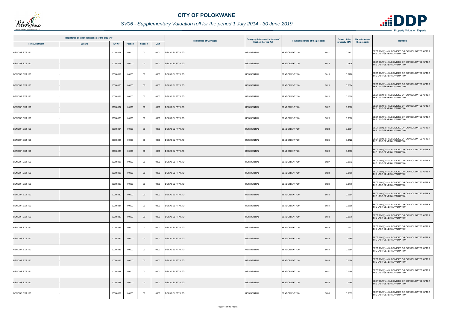

|                       | Registered or other description of the property |          |         |                |      | <b>Full Names of Owner(s)</b> | Category determined in terms of | Physical address of the property | <b>Extent of the</b> | <b>Market value of</b><br><b>Remarks</b>                                       |
|-----------------------|-------------------------------------------------|----------|---------|----------------|------|-------------------------------|---------------------------------|----------------------------------|----------------------|--------------------------------------------------------------------------------|
| <b>Town Allotment</b> | <b>Suburb</b>                                   | Erf Nr   | Portion | <b>Section</b> | Unit |                               | Section 8 of the Act            |                                  | property (HA)        | the property                                                                   |
| <b>BENDOR EXT 120</b> |                                                 | 00008017 | 00000   | $00\,$         | 0000 | DECACEL PTY LTD               | <b>RESIDENTIAL</b>              | <b>BENDOR EXT 120</b><br>8017    | 0.0707               | SECT 78(1)(c) - SUBDIVIDED OR CONSOLIDATED AFTER<br>THE LAST GENERAL VALUATION |
| <b>BENDOR EXT 120</b> |                                                 | 00008018 | 00000   | $00\,$         | 0000 | DECACEL PTY LTD               | <b>RESIDENTIAL</b>              | <b>BENDOR EXT 120</b><br>8018    | 0.0726               | SECT 78(1)(c) - SUBDIVIDED OR CONSOLIDATED AFTER<br>THE LAST GENERAL VALUATION |
| BENDOR EXT 120        |                                                 | 00008019 | 00000   | $00\,$         | 0000 | <b>DECACEL PTY LTD</b>        | <b>RESIDENTIAL</b>              | 8019<br><b>BENDOR EXT 120</b>    | 0.0726               | SECT 78(1)(c) - SUBDIVIDED OR CONSOLIDATED AFTER<br>THE LAST GENERAL VALUATION |
| <b>BENDOR EXT 120</b> |                                                 | 00008020 | 00000   | $00\,$         | 0000 | <b>DECACEL PTY LTD</b>        | <b>RESIDENTIAL</b>              | <b>BENDOR EXT 120</b><br>8020    | 0.0594               | SECT 78(1)(c) - SUBDIVIDED OR CONSOLIDATED AFTER<br>THE LAST GENERAL VALUATION |
| BENDOR EXT 120        |                                                 | 00008021 | 00000   | $00\,$         | 0000 | DECACEL PTY LTD               | <b>RESIDENTIAL</b>              | <b>BENDOR EXT 120</b><br>8021    | 0.0600               | SECT 78(1)(c) - SUBDIVIDED OR CONSOLIDATED AFTER<br>THE LAST GENERAL VALUATION |
| <b>BENDOR EXT 120</b> |                                                 | 00008022 | 00000   | $00\,$         | 0000 | <b>DECACEL PTY LTD</b>        | <b>RESIDENTIAL</b>              | <b>BENDOR EXT 120</b><br>8022    | 0.0600               | SECT 78(1)(c) - SUBDIVIDED OR CONSOLIDATED AFTER<br>THE LAST GENERAL VALUATION |
| <b>BENDOR EXT 120</b> |                                                 | 00008023 | 00000   | $00\,$         | 0000 | DECACEL PTY LTD               | <b>RESIDENTIAL</b>              | 8023<br><b>BENDOR EXT 120</b>    | 0.0600               | SECT 78(1)(c) - SUBDIVIDED OR CONSOLIDATED AFTER<br>THE LAST GENERAL VALUATION |
| <b>BENDOR EXT 120</b> |                                                 | 00008024 | 00000   | $00\,$         | 0000 | DECACEL PTY LTD               | <b>RESIDENTIAL</b>              | <b>BENDOR EXT 120</b><br>8024    | 0.0601               | SECT 78(1)(c) - SUBDIVIDED OR CONSOLIDATED AFTER<br>THE LAST GENERAL VALUATION |
| BENDOR EXT 120        |                                                 | 00008025 | 00000   | 00             | 0000 | <b>DECACEL PTY LTD</b>        | <b>RESIDENTIAL</b>              | 8025<br><b>BENDOR EXT 120</b>    | 0.0722               | SECT 78(1)(c) - SUBDIVIDED OR CONSOLIDATED AFTER<br>THE LAST GENERAL VALUATION |
| <b>BENDOR EXT 120</b> |                                                 | 00008026 | 00000   | $00\,$         | 0000 | DECACEL PTY LTD               | <b>RESIDENTIAL</b>              | 8026<br><b>BENDOR EXT 120</b>    | 0.0696               | SECT 78(1)(c) - SUBDIVIDED OR CONSOLIDATED AFTER<br>THE LAST GENERAL VALUATION |
| BENDOR EXT 120        |                                                 | 00008027 | 00000   | 00             | 0000 | <b>DECACEL PTY LTD</b>        | <b>RESIDENTIAL</b>              | 8027<br><b>BENDOR EXT 120</b>    | 0.0672               | SECT 78(1)(c) - SUBDIVIDED OR CONSOLIDATED AFTER<br>THE LAST GENERAL VALUATION |
| <b>BENDOR EXT 120</b> |                                                 | 00008028 | 00000   | $00\,$         | 0000 | <b>DECACEL PTY LTD</b>        | <b>RESIDENTIAL</b>              | <b>BENDOR EXT 120</b><br>8028    | 0.0706               | SECT 78(1)(c) - SUBDIVIDED OR CONSOLIDATED AFTER<br>THE LAST GENERAL VALUATION |
| <b>BENDOR EXT 120</b> |                                                 | 00008029 | 00000   | 00             | 0000 | <b>DECACEL PTY LTD</b>        | <b>RESIDENTIAL</b>              | <b>BENDOR EXT 120</b><br>8029    | 0.0770               | SECT 78(1)(c) - SUBDIVIDED OR CONSOLIDATED AFTER<br>THE LAST GENERAL VALUATION |
| <b>BENDOR EXT 120</b> |                                                 | 00008030 | 00000   | $00\,$         | 0000 | <b>DECACEL PTY LTD</b>        | <b>RESIDENTIAL</b>              | <b>BENDOR EXT 120</b><br>8030    | 0.0594               | SECT 78(1)(c) - SUBDIVIDED OR CONSOLIDATED AFTER<br>THE LAST GENERAL VALUATION |
| <b>BENDOR EXT 120</b> |                                                 | 00008031 | 00000   | $00\,$         | 0000 | <b>DECACEL PTY LTD</b>        | <b>RESIDENTIAL</b>              | 8031<br><b>BENDOR EXT 120</b>    | 0.0596               | SECT 78(1)(c) - SUBDIVIDED OR CONSOLIDATED AFTER<br>THE LAST GENERAL VALUATION |
| <b>BENDOR EXT 120</b> |                                                 | 00008032 | 00000   | $00\,$         | 0000 | <b>DECACEL PTY LTD</b>        | <b>RESIDENTIAL</b>              | 8032<br><b>BENDOR EXT 120</b>    | 0.0670               | SECT 78(1)(c) - SUBDIVIDED OR CONSOLIDATED AFTER<br>THE LAST GENERAL VALUATION |
| BENDOR EXT 120        |                                                 | 00008033 | 00000   | $00\,$         | 0000 | DECACEL PTY LTD               | <b>RESIDENTIAL</b>              | <b>BENDOR EXT 120</b><br>8033    | 0.0912               | SECT 78(1)(c) - SUBDIVIDED OR CONSOLIDATED AFTER<br>THE LAST GENERAL VALUATION |
| <b>BENDOR EXT 120</b> |                                                 | 00008034 | 00000   | $00\,$         | 0000 | <b>DECACEL PTY LTD</b>        | <b>RESIDENTIAL</b>              | <b>BENDOR EXT 120</b><br>8034    | 0.0680               | SECT 78(1)(c) - SUBDIVIDED OR CONSOLIDATED AFTER<br>THE LAST GENERAL VALUATION |
| <b>BENDOR EXT 120</b> |                                                 | 00008035 | 00000   | 00             | 0000 | DECACEL PTY LTD               | <b>RESIDENTIAL</b>              | BENDOR EXT 120<br>8035           | 0.0594               | SECT 78(1)(c) - SUBDIVIDED OR CONSOLIDATED AFTER<br>THE LAST GENERAL VALUATION |
| <b>BENDOR EXT 120</b> |                                                 | 00008036 | 00000   | $00\,$         | 0000 | DECACEL PTY LTD               | <b>RESIDENTIAL</b>              | 8036<br><b>BENDOR EXT 120</b>    | 0.0594               | SECT 78(1)(c) - SUBDIVIDED OR CONSOLIDATED AFTER<br>THE LAST GENERAL VALUATION |
| BENDOR EXT 120        |                                                 | 00008037 | 00000   | $00\,$         | 0000 | <b>DECACEL PTY LTD</b>        | <b>RESIDENTIAL</b>              | 8037<br><b>BENDOR EXT 120</b>    | 0.0594               | SECT 78(1)(c) - SUBDIVIDED OR CONSOLIDATED AFTER<br>THE LAST GENERAL VALUATION |
| <b>BENDOR EXT 120</b> |                                                 | 00008038 | 00000   | $00\,$         | 0000 | <b>DECACEL PTY LTD</b>        | <b>RESIDENTIAL</b>              | <b>BENDOR EXT 120</b><br>8038    | 0.0588               | SECT 78(1)(c) - SUBDIVIDED OR CONSOLIDATED AFTER<br>THE LAST GENERAL VALUATION |
| BENDOR EXT 120        |                                                 | 00008039 | 00000   | 00             | 0000 | DECACEL PTY LTD               | <b>RESIDENTIAL</b>              | BENDOR EXT 120<br>8039           | 0.0633               | SECT 78(1)(c) - SUBDIVIDED OR CONSOLIDATED AFTER<br>THE LAST GENERAL VALUATION |

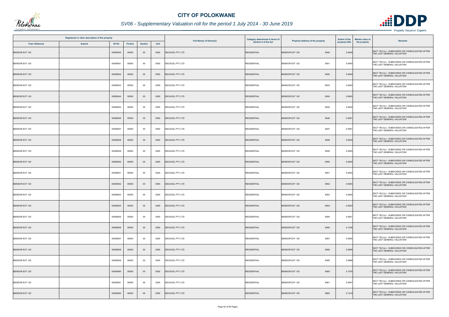

|                       | Registered or other description of the property |          |         |                |      | <b>Full Names of Owner(s)</b> | Category determined in terms of | Physical address of the property | <b>Extent of the</b> | <b>Market value of</b> | <b>Remarks</b>                                                                 |
|-----------------------|-------------------------------------------------|----------|---------|----------------|------|-------------------------------|---------------------------------|----------------------------------|----------------------|------------------------|--------------------------------------------------------------------------------|
| <b>Town Allotment</b> | <b>Suburb</b>                                   | Erf Nr   | Portion | <b>Section</b> | Unit |                               | Section 8 of the Act            |                                  | property (HA)        | the property           |                                                                                |
| <b>BENDOR EXT 120</b> |                                                 | 00008040 | 00000   | $00\,$         | 0000 | DECACEL PTY LTD               | <b>RESIDENTIAL</b>              | <b>BENDOR EXT 120</b><br>8040    | 0.0645               |                        | SECT 78(1)(c) - SUBDIVIDED OR CONSOLIDATED AFTER<br>THE LAST GENERAL VALUATION |
| BENDOR EXT 120        |                                                 | 00008041 | 00000   | $00\,$         | 0000 | DECACEL PTY LTD               | <b>RESIDENTIAL</b>              | BENDOR EXT 120<br>8041           | 0.0645               |                        | SECT 78(1)(c) - SUBDIVIDED OR CONSOLIDATED AFTER<br>THE LAST GENERAL VALUATION |
| <b>BENDOR EXT 120</b> |                                                 | 00008042 | 00000   | $00\,$         | 0000 | DECACEL PTY LTD               | <b>RESIDENTIAL</b>              | 8042<br><b>BENDOR EXT 120</b>    | 0.0645               |                        | SECT 78(1)(c) - SUBDIVIDED OR CONSOLIDATED AFTER<br>THE LAST GENERAL VALUATION |
| BENDOR EXT 120        |                                                 | 00008043 | 00000   | 00             | 0000 | <b>DECACEL PTY LTD</b>        | <b>RESIDENTIAL</b>              | 8043<br>BENDOR EXT 120           | 0.0645               |                        | SECT 78(1)(c) - SUBDIVIDED OR CONSOLIDATED AFTER<br>THE LAST GENERAL VALUATION |
| <b>BENDOR EXT 120</b> |                                                 | 00008044 | 00000   | $00\,$         | 0000 | <b>DECACEL PTY LTD</b>        | <b>RESIDENTIAL</b>              | <b>BENDOR EXT 120</b><br>8044    | 0.0645               |                        | SECT 78(1)(c) - SUBDIVIDED OR CONSOLIDATED AFTER<br>THE LAST GENERAL VALUATION |
| BENDOR EXT 120        |                                                 | 00008045 | 00000   | 00             | 0000 | <b>DECACEL PTY LTD</b>        | <b>RESIDENTIAL</b>              | 8045<br>BENDOR EXT 120           | 0.0645               |                        | SECT 78(1)(c) - SUBDIVIDED OR CONSOLIDATED AFTER<br>THE LAST GENERAL VALUATION |
| <b>BENDOR EXT 120</b> |                                                 | 00008046 | 00000   | $00\,$         | 0000 | <b>DECACEL PTY LTD</b>        | <b>RESIDENTIAL</b>              | <b>BENDOR EXT 120</b><br>8046    | 0.0591               |                        | SECT 78(1)(c) - SUBDIVIDED OR CONSOLIDATED AFTER<br>THE LAST GENERAL VALUATION |
| <b>BENDOR EXT 120</b> |                                                 | 00008047 | 00000   | $00\,$         | 0000 | DECACEL PTY LTD               | <b>RESIDENTIAL</b>              | <b>BENDOR EXT 120</b><br>8047    | 0.0591               |                        | SECT 78(1)(c) - SUBDIVIDED OR CONSOLIDATED AFTER<br>THE LAST GENERAL VALUATION |
| <b>BENDOR EXT 120</b> |                                                 | 00008048 | 00000   | $00\,$         | 0000 | <b>DECACEL PTY LTD</b>        | <b>RESIDENTIAL</b>              | <b>BENDOR EXT 120</b><br>8048    | 0.0645               |                        | SECT 78(1)(c) - SUBDIVIDED OR CONSOLIDATED AFTER<br>THE LAST GENERAL VALUATION |
| BENDOR EXT 120        |                                                 | 00008049 | 00000   | $00\,$         | 0000 | DECACEL PTY LTD               | <b>RESIDENTIAL</b>              | <b>BENDOR EXT 120</b><br>8049    | 0.0645               |                        | SECT 78(1)(c) - SUBDIVIDED OR CONSOLIDATED AFTER<br>THE LAST GENERAL VALUATION |
| <b>BENDOR EXT 120</b> |                                                 | 00008050 | 00000   | $00\,$         | 0000 | <b>DECACEL PTY LTD</b>        | <b>RESIDENTIAL</b>              | <b>BENDOR EXT 120</b><br>8050    | 0.0645               |                        | SECT 78(1)(c) - SUBDIVIDED OR CONSOLIDATED AFTER<br>THE LAST GENERAL VALUATION |
| BENDOR EXT 120        |                                                 | 00008051 | 00000   | 00             | 0000 | DECACEL PTY LTD               | <b>RESIDENTIAL</b>              | <b>BENDOR EXT 120</b><br>8051    | 0.0645               |                        | SECT 78(1)(c) - SUBDIVIDED OR CONSOLIDATED AFTER<br>THE LAST GENERAL VALUATION |
| <b>BENDOR EXT 120</b> |                                                 | 00008052 | 00000   | $00\,$         | 0000 | <b>DECACEL PTY LTD</b>        | <b>RESIDENTIAL</b>              | 8052<br><b>BENDOR EXT 120</b>    | 0.0645               |                        | SECT 78(1)(c) - SUBDIVIDED OR CONSOLIDATED AFTER<br>THE LAST GENERAL VALUATION |
| <b>BENDOR EXT 120</b> |                                                 | 00008053 | 00000   | 00             | 0000 | DECACEL PTY LTD               | <b>RESIDENTIAL</b>              | BENDOR EXT 120<br>8053           | 0.0645               |                        | SECT 78(1)(c) - SUBDIVIDED OR CONSOLIDATED AFTER<br>THE LAST GENERAL VALUATION |
| <b>BENDOR EXT 120</b> |                                                 | 00008054 | 00000   | $00\,$         | 0000 | <b>DECACEL PTY LTD</b>        | <b>RESIDENTIAL</b>              | <b>BENDOR EXT 120</b><br>8054    | 0.0633               |                        | SECT 78(1)(c) - SUBDIVIDED OR CONSOLIDATED AFTER<br>THE LAST GENERAL VALUATION |
| BENDOR EXT 120        |                                                 | 00008055 | 00000   | $00\,$         | 0000 | DECACEL PTY LTD               | <b>RESIDENTIAL</b>              | BENDOR EXT 120<br>8055           | 0.0601               |                        | SECT 78(1)(c) - SUBDIVIDED OR CONSOLIDATED AFTER<br>THE LAST GENERAL VALUATION |
| <b>BENDOR EXT 120</b> |                                                 | 00008056 | 00000   | $00\,$         | 0000 | <b>DECACEL PTY LTD</b>        | <b>RESIDENTIAL</b>              | <b>BENDOR EXT 120</b><br>8056    | 0.1336               |                        | SECT 78(1)(c) - SUBDIVIDED OR CONSOLIDATED AFTER<br>THE LAST GENERAL VALUATION |
| <b>BENDOR EXT 120</b> |                                                 | 00008057 | 00000   | 00             | 0000 | <b>DECACEL PTY LTD</b>        | <b>RESIDENTIAL</b>              | 8057<br>BENDOR EXT 120           | 0.0565               |                        | SECT 78(1)(c) - SUBDIVIDED OR CONSOLIDATED AFTER<br>THE LAST GENERAL VALUATION |
| <b>BENDOR EXT 120</b> |                                                 | 00008058 | 00000   | $00\,$         | 0000 | DECACEL PTY LTD               | <b>RESIDENTIAL</b>              | BENDOR EXT 120<br>8058           | 0.0995               |                        | SECT 78(1)(c) - SUBDIVIDED OR CONSOLIDATED AFTER<br>THE LAST GENERAL VALUATION |
| BENDOR EXT 120        |                                                 | 00008059 | 00000   | $00\,$         | 0000 | DECACEL PTY LTD               | <b>RESIDENTIAL</b>              | 8059<br>BENDOR EXT 120           | 0.0888               |                        | SECT 78(1)(c) - SUBDIVIDED OR CONSOLIDATED AFTER<br>THE LAST GENERAL VALUATION |
| <b>BENDOR EXT 120</b> |                                                 | 00008060 | 00000   | $00\,$         | 0000 | <b>DECACEL PTY LTD</b>        | <b>RESIDENTIAL</b>              | <b>BENDOR EXT 120</b><br>8060    | 0.1076               |                        | SECT 78(1)(c) - SUBDIVIDED OR CONSOLIDATED AFTER<br>THE LAST GENERAL VALUATION |
| BENDOR EXT 120        |                                                 | 00008061 | 00000   | $00\,$         | 0000 | <b>DECACEL PTY LTD</b>        | <b>RESIDENTIAL</b>              | BENDOR EXT 120<br>8061           | 0.0947               |                        | SECT 78(1)(c) - SUBDIVIDED OR CONSOLIDATED AFTER<br>THE LAST GENERAL VALUATION |
| <b>BENDOR EXT 120</b> |                                                 | 00008062 | 00000   | $00\,$         | 0000 | DECACEL PTY LTD               | <b>RESIDENTIAL</b>              | <b>BENDOR EXT 120</b><br>8062    | 0.1019               |                        | SECT 78(1)(c) - SUBDIVIDED OR CONSOLIDATED AFTER<br>THE LAST GENERAL VALUATION |

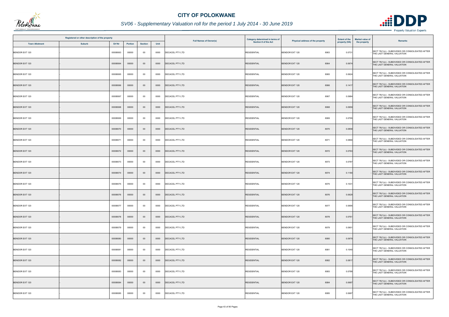

|                       | Registered or other description of the property |          |                |                |      |                               | Category determined in terms of | Physical address of the property | <b>Extent of the</b> | <b>Market value of</b><br><b>Remarks</b>                                       |
|-----------------------|-------------------------------------------------|----------|----------------|----------------|------|-------------------------------|---------------------------------|----------------------------------|----------------------|--------------------------------------------------------------------------------|
| <b>Town Allotment</b> | <b>Suburb</b>                                   | Erf Nr   | <b>Portion</b> | <b>Section</b> | Unit | <b>Full Names of Owner(s)</b> | Section 8 of the Act            |                                  | property (HA)        | the property                                                                   |
| BENDOR EXT 120        |                                                 | 00008063 | 00000          | $00\,$         | 0000 | DECACEL PTY LTD               | <b>RESIDENTIAL</b>              | <b>BENDOR EXT 120</b><br>8063    | 0.0731               | SECT 78(1)(c) - SUBDIVIDED OR CONSOLIDATED AFTER<br>THE LAST GENERAL VALUATION |
| BENDOR EXT 120        |                                                 | 00008064 | 00000          | $00\,$         | 0000 | <b>DECACEL PTY LTD</b>        | <b>RESIDENTIAL</b>              | <b>BENDOR EXT 120</b><br>8064    | 0.0674               | SECT 78(1)(c) - SUBDIVIDED OR CONSOLIDATED AFTER<br>THE LAST GENERAL VALUATION |
| <b>BENDOR EXT 120</b> |                                                 | 00008065 | 00000          | $00\,$         | 0000 | <b>DECACEL PTY LTD</b>        | <b>RESIDENTIAL</b>              | <b>BENDOR EXT 120</b><br>8065    | 0.0624               | SECT 78(1)(c) - SUBDIVIDED OR CONSOLIDATED AFTER<br>THE LAST GENERAL VALUATION |
| <b>BENDOR EXT 120</b> |                                                 | 00008066 | 00000          | $00\,$         | 0000 | <b>DECACEL PTY LTD</b>        | <b>RESIDENTIAL</b>              | <b>BENDOR EXT 120</b><br>8066    | 0.1417               | SECT 78(1)(c) - SUBDIVIDED OR CONSOLIDATED AFTER<br>THE LAST GENERAL VALUATION |
| BENDOR EXT 120        |                                                 | 00008067 | 00000          | $00\,$         | 0000 | DECACEL PTY LTD               | <b>RESIDENTIAL</b>              | BENDOR EXT 120<br>8067           | 0.0984               | SECT 78(1)(c) - SUBDIVIDED OR CONSOLIDATED AFTER<br>THE LAST GENERAL VALUATION |
| <b>BENDOR EXT 120</b> |                                                 | 00008068 | 00000          | $00\,$         | 0000 | <b>DECACEL PTY LTD</b>        | <b>RESIDENTIAL</b>              | <b>BENDOR EXT 120</b><br>8068    | 0.0959               | SECT 78(1)(c) - SUBDIVIDED OR CONSOLIDATED AFTER<br>THE LAST GENERAL VALUATION |
| <b>BENDOR EXT 120</b> |                                                 | 00008069 | 00000          | $00\,$         | 0000 | DECACEL PTY LTD               | <b>RESIDENTIAL</b>              | <b>BENDOR EXT 120</b><br>8069    | 0.0795               | SECT 78(1)(c) - SUBDIVIDED OR CONSOLIDATED AFTER<br>THE LAST GENERAL VALUATION |
| <b>BENDOR EXT 120</b> |                                                 | 00008070 | 00000          | $00\,$         | 0000 | <b>DECACEL PTY LTD</b>        | <b>RESIDENTIAL</b>              | <b>BENDOR EXT 120</b><br>8070    | 0.0858               | SECT 78(1)(c) - SUBDIVIDED OR CONSOLIDATED AFTER<br>THE LAST GENERAL VALUATION |
| BENDOR EXT 120        |                                                 | 00008071 | 00000          | $00\,$         | 0000 | <b>DECACEL PTY LTD</b>        | <b>RESIDENTIAL</b>              | 8071<br><b>BENDOR EXT 120</b>    | 0.0866               | SECT 78(1)(c) - SUBDIVIDED OR CONSOLIDATED AFTER<br>THE LAST GENERAL VALUATION |
| <b>BENDOR EXT 120</b> |                                                 | 00008072 | 00000          | $00\,$         | 0000 | DECACEL PTY LTD               | <b>RESIDENTIAL</b>              | <b>BENDOR EXT 120</b><br>8072    | 0.0763               | SECT 78(1)(c) - SUBDIVIDED OR CONSOLIDATED AFTER<br>THE LAST GENERAL VALUATION |
| BENDOR EXT 120        |                                                 | 00008073 | 00000          | 00             | 0000 | <b>DECACEL PTY LTD</b>        | <b>RESIDENTIAL</b>              | <b>BENDOR EXT 120</b><br>8073    | 0.0787               | SECT 78(1)(c) - SUBDIVIDED OR CONSOLIDATED AFTER<br>THE LAST GENERAL VALUATION |
| BENDOR EXT 120        |                                                 | 00008074 | 00000          | $00\,$         | 0000 | DECACEL PTY LTD               | <b>RESIDENTIAL</b>              | 8074<br><b>BENDOR EXT 120</b>    | 0.1180               | SECT 78(1)(c) - SUBDIVIDED OR CONSOLIDATED AFTER<br>THE LAST GENERAL VALUATION |
| <b>BENDOR EXT 120</b> |                                                 | 00008075 | 00000          | $00\,$         | 0000 | DECACEL PTY LTD               | <b>RESIDENTIAL</b>              | <b>BENDOR EXT 120</b><br>8075    | 0.1031               | SECT 78(1)(c) - SUBDIVIDED OR CONSOLIDATED AFTER<br>THE LAST GENERAL VALUATION |
| <b>BENDOR EXT 120</b> |                                                 | 00008076 | 00000          | $00\,$         | 0000 | <b>DECACEL PTY LTD</b>        | <b>RESIDENTIAL</b>              | <b>BENDOR EXT 120</b><br>8076    | 0.0629               | SECT 78(1)(c) - SUBDIVIDED OR CONSOLIDATED AFTER<br>THE LAST GENERAL VALUATION |
| <b>BENDOR EXT 120</b> |                                                 | 00008077 | 00000          | $00\,$         | 0000 | <b>DECACEL PTY LTD</b>        | <b>RESIDENTIAL</b>              | BENDOR EXT 120<br>8077           | 0.0695               | SECT 78(1)(c) - SUBDIVIDED OR CONSOLIDATED AFTER<br>THE LAST GENERAL VALUATION |
| <b>BENDOR EXT 120</b> |                                                 | 00008078 | 00000          | $00\,$         | 0000 | <b>DECACEL PTY LTD</b>        | <b>RESIDENTIAL</b>              | 8078<br><b>BENDOR EXT 120</b>    | 0.0761               | SECT 78(1)(c) - SUBDIVIDED OR CONSOLIDATED AFTER<br>THE LAST GENERAL VALUATION |
| BENDOR EXT 120        |                                                 | 00008079 | 00000          | 00             | 0000 | DECACEL PTY LTD               | <b>RESIDENTIAL</b>              | <b>BENDOR EXT 120</b><br>8079    | 0.0901               | SECT 78(1)(c) - SUBDIVIDED OR CONSOLIDATED AFTER<br>THE LAST GENERAL VALUATION |
| <b>BENDOR EXT 120</b> |                                                 | 00008080 | 00000          | $00\,$         | 0000 | <b>DECACEL PTY LTD</b>        | <b>RESIDENTIAL</b>              | <b>BENDOR EXT 120</b><br>8080    | 0.0979               | SECT 78(1)(c) - SUBDIVIDED OR CONSOLIDATED AFTER<br>THE LAST GENERAL VALUATION |
| BENDOR EXT 120        |                                                 | 00008081 | 00000          | $00\,$         | 0000 | <b>DECACEL PTY LTD</b>        | <b>RESIDENTIAL</b>              | 8081<br>BENDOR EXT 120           | 0.1040               | SECT 78(1)(c) - SUBDIVIDED OR CONSOLIDATED AFTER<br>THE LAST GENERAL VALUATION |
| <b>BENDOR EXT 120</b> |                                                 | 00008082 | 00000          | $00\,$         | 0000 | <b>DECACEL PTY LTD</b>        | <b>RESIDENTIAL</b>              | <b>BENDOR EXT 120</b><br>8082    | 0.0817               | SECT 78(1)(c) - SUBDIVIDED OR CONSOLIDATED AFTER<br>THE LAST GENERAL VALUATION |
| <b>BENDOR EXT 120</b> |                                                 | 00008083 | 00000          | $00\,$         | 0000 | <b>DECACEL PTY LTD</b>        | <b>RESIDENTIAL</b>              | <b>BENDOR EXT 120</b><br>8083    | 0.0788               | SECT 78(1)(c) - SUBDIVIDED OR CONSOLIDATED AFTER<br>THE LAST GENERAL VALUATION |
| BENDOR EXT 120        |                                                 | 00008084 | 00000          | $00\,$         | 0000 | <b>DECACEL PTY LTD</b>        | <b>RESIDENTIAL</b>              | BENDOR EXT 120<br>8084           | 0.0687               | SECT 78(1)(c) - SUBDIVIDED OR CONSOLIDATED AFTER<br>THE LAST GENERAL VALUATION |
| BENDOR EXT 120        |                                                 | 00008085 | 00000          | $00\,$         | 0000 | <b>DECACEL PTY LTD</b>        | <b>RESIDENTIAL</b>              | 8085<br><b>BENDOR EXT 120</b>    | 0.0687               | SECT 78(1)(c) - SUBDIVIDED OR CONSOLIDATED AFTER<br>THE LAST GENERAL VALUATION |

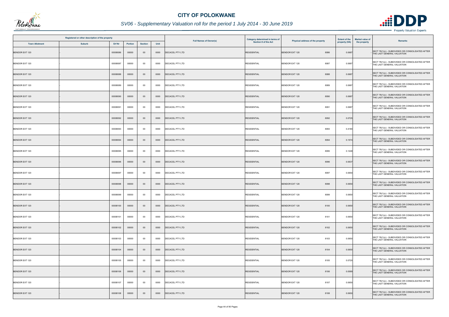

|                       | Registered or other description of the property |          |         |                |      | <b>Full Names of Owner(s)</b> | Category determined in terms of | Physical address of the property | <b>Extent of the</b> | <b>Market value of</b><br><b>Remarks</b>                                       |
|-----------------------|-------------------------------------------------|----------|---------|----------------|------|-------------------------------|---------------------------------|----------------------------------|----------------------|--------------------------------------------------------------------------------|
| <b>Town Allotment</b> | <b>Suburb</b>                                   | Erf Nr   | Portion | <b>Section</b> | Unit |                               | Section 8 of the Act            |                                  | property (HA)        | the property                                                                   |
| <b>BENDOR EXT 120</b> |                                                 | 00008086 | 00000   | $00\,$         | 0000 | DECACEL PTY LTD               | <b>RESIDENTIAL</b>              | <b>BENDOR EXT 120</b><br>8086    | 0.0687               | SECT 78(1)(c) - SUBDIVIDED OR CONSOLIDATED AFTER<br>THE LAST GENERAL VALUATION |
| BENDOR EXT 120        |                                                 | 00008087 | 00000   | $00\,$         | 0000 | <b>DECACEL PTY LTD</b>        | <b>RESIDENTIAL</b>              | <b>BENDOR EXT 120</b><br>8087    | 0.0687               | SECT 78(1)(c) - SUBDIVIDED OR CONSOLIDATED AFTER<br>THE LAST GENERAL VALUATION |
| <b>BENDOR EXT 120</b> |                                                 | 00008088 | 00000   | $00\,$         | 0000 | <b>DECACEL PTY LTD</b>        | <b>RESIDENTIAL</b>              | <b>BENDOR EXT 120</b><br>8088    | 0.0687               | SECT 78(1)(c) - SUBDIVIDED OR CONSOLIDATED AFTER<br>THE LAST GENERAL VALUATION |
| BENDOR EXT 120        |                                                 | 00008089 | 00000   | 00             | 0000 | <b>DECACEL PTY LTD</b>        | <b>RESIDENTIAL</b>              | BENDOR EXT 120<br>8089           | 0.0687               | SECT 78(1)(c) - SUBDIVIDED OR CONSOLIDATED AFTER<br>THE LAST GENERAL VALUATION |
| <b>BENDOR EXT 120</b> |                                                 | 00008090 | 00000   | $00\,$         | 0000 | <b>DECACEL PTY LTD</b>        | <b>RESIDENTIAL</b>              | <b>BENDOR EXT 120</b><br>8090    | 0.0687               | SECT 78(1)(c) - SUBDIVIDED OR CONSOLIDATED AFTER<br>THE LAST GENERAL VALUATION |
| <b>BENDOR EXT 120</b> |                                                 | 00008091 | 00000   | $00\,$         | 0000 | DECACEL PTY LTD               | <b>RESIDENTIAL</b>              | <b>BENDOR EXT 120</b><br>8091    | 0.0687               | SECT 78(1)(c) - SUBDIVIDED OR CONSOLIDATED AFTER<br>THE LAST GENERAL VALUATION |
| <b>BENDOR EXT 120</b> |                                                 | 00008092 | 00000   | $00\,$         | 0000 | <b>DECACEL PTY LTD</b>        | <b>RESIDENTIAL</b>              | <b>BENDOR EXT 120</b><br>8092    | 0.0725               | SECT 78(1)(c) - SUBDIVIDED OR CONSOLIDATED AFTER<br>THE LAST GENERAL VALUATION |
| BENDOR EXT 120        |                                                 | 00008093 | 00000   | $00\,$         | 0000 | <b>DECACEL PTY LTD</b>        | <b>RESIDENTIAL</b>              | <b>BENDOR EXT 120</b><br>8093    | 0.4180               | SECT 78(1)(c) - SUBDIVIDED OR CONSOLIDATED AFTER<br>THE LAST GENERAL VALUATION |
| <b>BENDOR EXT 120</b> |                                                 | 00008094 | 00000   | $00\,$         | 0000 | <b>DECACEL PTY LTD</b>        | <b>RESIDENTIAL</b>              | 8094<br><b>BENDOR EXT 120</b>    | 0.1574               | SECT 78(1)(c) - SUBDIVIDED OR CONSOLIDATED AFTER<br>THE LAST GENERAL VALUATION |
| BENDOR EXT 120        |                                                 | 00008095 | 00000   | 00             | 0000 | DECACEL PTY LTD               | <b>RESIDENTIAL</b>              | <b>BENDOR EXT 120</b><br>8095    | 0.1248               | SECT 78(1)(c) - SUBDIVIDED OR CONSOLIDATED AFTER<br>THE LAST GENERAL VALUATION |
| <b>BENDOR EXT 120</b> |                                                 | 00008096 | 00000   | $00\,$         | 0000 | DECACEL PTY LTD               | <b>RESIDENTIAL</b>              | <b>BENDOR EXT 120</b><br>8096    | 0.0637               | SECT 78(1)(c) - SUBDIVIDED OR CONSOLIDATED AFTER<br>THE LAST GENERAL VALUATION |
| <b>BENDOR EXT 120</b> |                                                 | 00008097 | 00000   | $00\,$         | 0000 | <b>DECACEL PTY LTD</b>        | <b>RESIDENTIAL</b>              | <b>BENDOR EXT 120</b><br>8097    | 0.0650               | SECT 78(1)(c) - SUBDIVIDED OR CONSOLIDATED AFTER<br>THE LAST GENERAL VALUATION |
| <b>BENDOR EXT 120</b> |                                                 | 00008098 | 00000   | $00\,$         | 0000 | <b>DECACEL PTY LTD</b>        | <b>RESIDENTIAL</b>              | <b>BENDOR EXT 120</b><br>8098    | 0.0650               | SECT 78(1)(c) - SUBDIVIDED OR CONSOLIDATED AFTER<br>THE LAST GENERAL VALUATION |
| <b>BENDOR EXT 120</b> |                                                 | 00008099 | 00000   | 00             | 0000 | <b>DECACEL PTY LTD</b>        | <b>RESIDENTIAL</b>              | <b>BENDOR EXT 120</b><br>8099    | 0.0650               | SECT 78(1)(c) - SUBDIVIDED OR CONSOLIDATED AFTER<br>THE LAST GENERAL VALUATION |
| <b>BENDOR EXT 120</b> |                                                 | 00008100 | 00000   | $00\,$         | 0000 | <b>DECACEL PTY LTD</b>        | <b>RESIDENTIAL</b>              | 8100<br>BENDOR EXT 120           | 0.0650               | SECT 78(1)(c) - SUBDIVIDED OR CONSOLIDATED AFTER<br>THE LAST GENERAL VALUATION |
| <b>BENDOR EXT 120</b> |                                                 | 00008101 | 00000   | $00\,$         | 0000 | DECACEL PTY LTD               | <b>RESIDENTIAL</b>              | BENDOR EXT 120<br>8101           | 0.0650               | SECT 78(1)(c) - SUBDIVIDED OR CONSOLIDATED AFTER<br>THE LAST GENERAL VALUATION |
| <b>BENDOR EXT 120</b> |                                                 | 00008102 | 00000   | $00\,$         | 0000 | <b>DECACEL PTY LTD</b>        | <b>RESIDENTIAL</b>              | <b>BENDOR EXT 120</b><br>8102    | 0.0650               | SECT 78(1)(c) - SUBDIVIDED OR CONSOLIDATED AFTER<br>THE LAST GENERAL VALUATION |
| BENDOR EXT 120        |                                                 | 00008103 | 00000   | $00\,$         | 0000 | DECACEL PTY LTD               | <b>RESIDENTIAL</b>              | 8103<br>BENDOR EXT 120           | 0.0650               | SECT 78(1)(c) - SUBDIVIDED OR CONSOLIDATED AFTER<br>THE LAST GENERAL VALUATION |
| <b>BENDOR EXT 120</b> |                                                 | 00008104 | 00000   | $00\,$         | 0000 | <b>DECACEL PTY LTD</b>        | <b>RESIDENTIAL</b>              | <b>BENDOR EXT 120</b><br>8104    | 0.0650               | SECT 78(1)(c) - SUBDIVIDED OR CONSOLIDATED AFTER<br>THE LAST GENERAL VALUATION |
| <b>BENDOR EXT 120</b> |                                                 | 00008105 | 00000   | $00\,$         | 0000 | DECACEL PTY LTD               | <b>RESIDENTIAL</b>              | 8105<br><b>BENDOR EXT 120</b>    | 0.0720               | SECT 78(1)(c) - SUBDIVIDED OR CONSOLIDATED AFTER<br>THE LAST GENERAL VALUATION |
| <b>BENDOR EXT 120</b> |                                                 | 00008106 | 00000   | $00\,$         | 0000 | <b>DECACEL PTY LTD</b>        | <b>RESIDENTIAL</b>              | <b>BENDOR EXT 120</b><br>8106    | 0.0589               | SECT 78(1)(c) - SUBDIVIDED OR CONSOLIDATED AFTER<br>THE LAST GENERAL VALUATION |
| BENDOR EXT 120        |                                                 | 00008107 | 00000   | $00\,$         | 0000 | <b>DECACEL PTY LTD</b>        | <b>RESIDENTIAL</b>              | 8107<br><b>BENDOR EXT 120</b>    | 0.0650               | SECT 78(1)(c) - SUBDIVIDED OR CONSOLIDATED AFTER<br>THE LAST GENERAL VALUATION |
| <b>BENDOR EXT 120</b> |                                                 | 00008108 | 00000   | $00\,$         | 0000 | DECACEL PTY LTD               | <b>RESIDENTIAL</b>              | <b>BENDOR EXT 120</b><br>8108    | 0.0650               | SECT 78(1)(c) - SUBDIVIDED OR CONSOLIDATED AFTER<br>THE LAST GENERAL VALUATION |

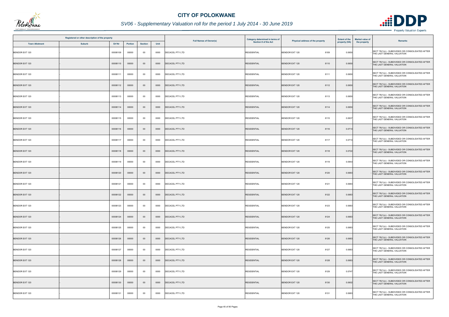

|                       | Registered or other description of the property |          |                |                |      |                               | Category determined in terms of | Physical address of the property | <b>Extent of the</b> | <b>Market value of</b><br><b>Remarks</b>                                       |
|-----------------------|-------------------------------------------------|----------|----------------|----------------|------|-------------------------------|---------------------------------|----------------------------------|----------------------|--------------------------------------------------------------------------------|
| <b>Town Allotment</b> | <b>Suburb</b>                                   | Erf Nr   | <b>Portion</b> | <b>Section</b> | Unit | <b>Full Names of Owner(s)</b> | Section 8 of the Act            |                                  | property (HA)        | the property                                                                   |
| BENDOR EXT 120        |                                                 | 00008109 | 00000          | $00\,$         | 0000 | DECACEL PTY LTD               | <b>RESIDENTIAL</b>              | <b>BENDOR EXT 120</b><br>8109    | 0.0650               | SECT 78(1)(c) - SUBDIVIDED OR CONSOLIDATED AFTER<br>THE LAST GENERAL VALUATION |
| BENDOR EXT 120        |                                                 | 00008110 | 00000          | $00\,$         | 0000 | <b>DECACEL PTY LTD</b>        | <b>RESIDENTIAL</b>              | <b>BENDOR EXT 120</b><br>8110    | 0.0650               | SECT 78(1)(c) - SUBDIVIDED OR CONSOLIDATED AFTER<br>THE LAST GENERAL VALUATION |
| <b>BENDOR EXT 120</b> |                                                 | 00008111 | 00000          | $00\,$         | 0000 | <b>DECACEL PTY LTD</b>        | <b>RESIDENTIAL</b>              | <b>BENDOR EXT 120</b><br>8111    | 0.0650               | SECT 78(1)(c) - SUBDIVIDED OR CONSOLIDATED AFTER<br>THE LAST GENERAL VALUATION |
| <b>BENDOR EXT 120</b> |                                                 | 00008112 | 00000          | $00\,$         | 0000 | <b>DECACEL PTY LTD</b>        | <b>RESIDENTIAL</b>              | <b>BENDOR EXT 120</b><br>8112    | 0.0650               | SECT 78(1)(c) - SUBDIVIDED OR CONSOLIDATED AFTER<br>THE LAST GENERAL VALUATION |
| BENDOR EXT 120        |                                                 | 00008113 | 00000          | $00\,$         | 0000 | DECACEL PTY LTD               | <b>RESIDENTIAL</b>              | BENDOR EXT 120<br>8113           | 0.0650               | SECT 78(1)(c) - SUBDIVIDED OR CONSOLIDATED AFTER<br>THE LAST GENERAL VALUATION |
| <b>BENDOR EXT 120</b> |                                                 | 00008114 | 00000          | $00\,$         | 0000 | <b>DECACEL PTY LTD</b>        | <b>RESIDENTIAL</b>              | <b>BENDOR EXT 120</b><br>8114    | 0.0650               | SECT 78(1)(c) - SUBDIVIDED OR CONSOLIDATED AFTER<br>THE LAST GENERAL VALUATION |
| <b>BENDOR EXT 120</b> |                                                 | 00008115 | 00000          | $00\,$         | 0000 | DECACEL PTY LTD               | <b>RESIDENTIAL</b>              | <b>BENDOR EXT 120</b><br>8115    | 0.0637               | SECT 78(1)(c) - SUBDIVIDED OR CONSOLIDATED AFTER<br>THE LAST GENERAL VALUATION |
| <b>BENDOR EXT 120</b> |                                                 | 00008116 | 00000          | $00\,$         | 0000 | <b>DECACEL PTY LTD</b>        | <b>RESIDENTIAL</b>              | <b>BENDOR EXT 120</b><br>8116    | 0.0710               | SECT 78(1)(c) - SUBDIVIDED OR CONSOLIDATED AFTER<br>THE LAST GENERAL VALUATION |
| BENDOR EXT 120        |                                                 | 00008117 | 00000          | $00\,$         | 0000 | <b>DECACEL PTY LTD</b>        | <b>RESIDENTIAL</b>              | <b>BENDOR EXT 120</b><br>8117    | 0.0710               | SECT 78(1)(c) - SUBDIVIDED OR CONSOLIDATED AFTER<br>THE LAST GENERAL VALUATION |
| <b>BENDOR EXT 120</b> |                                                 | 00008118 | 00000          | $00\,$         | 0000 | DECACEL PTY LTD               | <b>RESIDENTIAL</b>              | <b>BENDOR EXT 120</b><br>8118    | 0.0722               | SECT 78(1)(c) - SUBDIVIDED OR CONSOLIDATED AFTER<br>THE LAST GENERAL VALUATION |
| BENDOR EXT 120        |                                                 | 00008119 | 00000          | 00             | 0000 | <b>DECACEL PTY LTD</b>        | <b>RESIDENTIAL</b>              | <b>BENDOR EXT 120</b><br>8119    | 0.0943               | SECT 78(1)(c) - SUBDIVIDED OR CONSOLIDATED AFTER<br>THE LAST GENERAL VALUATION |
| BENDOR EXT 120        |                                                 | 00008120 | 00000          | $00\,$         | 0000 | DECACEL PTY LTD               | <b>RESIDENTIAL</b>              | <b>BENDOR EXT 120</b><br>8120    | 0.0683               | SECT 78(1)(c) - SUBDIVIDED OR CONSOLIDATED AFTER<br>THE LAST GENERAL VALUATION |
| <b>BENDOR EXT 120</b> |                                                 | 00008121 | 00000          | $00\,$         | 0000 | DECACEL PTY LTD               | <b>RESIDENTIAL</b>              | <b>BENDOR EXT 120</b><br>8121    | 0.0683               | SECT 78(1)(c) - SUBDIVIDED OR CONSOLIDATED AFTER<br>THE LAST GENERAL VALUATION |
| <b>BENDOR EXT 120</b> |                                                 | 00008122 | 00000          | $00\,$         | 0000 | DECACEL PTY LTD               | <b>RESIDENTIAL</b>              | <b>BENDOR EXT 120</b><br>8122    | 0.0683               | SECT 78(1)(c) - SUBDIVIDED OR CONSOLIDATED AFTER<br>THE LAST GENERAL VALUATION |
| <b>BENDOR EXT 120</b> |                                                 | 00008123 | 00000          | $00\,$         | 0000 | <b>DECACEL PTY LTD</b>        | <b>RESIDENTIAL</b>              | BENDOR EXT 120<br>8123           | 0.0683               | SECT 78(1)(c) - SUBDIVIDED OR CONSOLIDATED AFTER<br>THE LAST GENERAL VALUATION |
| <b>BENDOR EXT 120</b> |                                                 | 00008124 | 00000          | $00\,$         | 0000 | <b>DECACEL PTY LTD</b>        | <b>RESIDENTIAL</b>              | <b>BENDOR EXT 120</b><br>8124    | 0.0683               | SECT 78(1)(c) - SUBDIVIDED OR CONSOLIDATED AFTER<br>THE LAST GENERAL VALUATION |
| BENDOR EXT 120        |                                                 | 00008125 | 00000          | 00             | 0000 | DECACEL PTY LTD               | <b>RESIDENTIAL</b>              | BENDOR EXT 120<br>8125           | 0.0683               | SECT 78(1)(c) - SUBDIVIDED OR CONSOLIDATED AFTER<br>THE LAST GENERAL VALUATION |
| <b>BENDOR EXT 120</b> |                                                 | 00008126 | 00000          | $00\,$         | 0000 | <b>DECACEL PTY LTD</b>        | <b>RESIDENTIAL</b>              | <b>BENDOR EXT 120</b><br>8126    | 0.0683               | SECT 78(1)(c) - SUBDIVIDED OR CONSOLIDATED AFTER<br>THE LAST GENERAL VALUATION |
| <b>BENDOR EXT 120</b> |                                                 | 00008127 | 00000          | $00\,$         | 0000 | <b>DECACEL PTY LTD</b>        | <b>RESIDENTIAL</b>              | 8127<br>BENDOR EXT 120           | 0.0683               | SECT 78(1)(c) - SUBDIVIDED OR CONSOLIDATED AFTER<br>THE LAST GENERAL VALUATION |
| <b>BENDOR EXT 120</b> |                                                 | 00008128 | 00000          | $00\,$         | 0000 | <b>DECACEL PTY LTD</b>        | <b>RESIDENTIAL</b>              | <b>BENDOR EXT 120</b><br>8128    | 0.0683               | SECT 78(1)(c) - SUBDIVIDED OR CONSOLIDATED AFTER<br>THE LAST GENERAL VALUATION |
| <b>BENDOR EXT 120</b> |                                                 | 00008129 | 00000          | $00\,$         | 0000 | <b>DECACEL PTY LTD</b>        | <b>RESIDENTIAL</b>              | <b>BENDOR EXT 120</b><br>8129    | 0.0747               | SECT 78(1)(c) - SUBDIVIDED OR CONSOLIDATED AFTER<br>THE LAST GENERAL VALUATION |
| BENDOR EXT 120        |                                                 | 00008130 | 00000          | $00\,$         | 0000 | <b>DECACEL PTY LTD</b>        | <b>RESIDENTIAL</b>              | BENDOR EXT 120<br>8130           | 0.0602               | SECT 78(1)(c) - SUBDIVIDED OR CONSOLIDATED AFTER<br>THE LAST GENERAL VALUATION |
| BENDOR EXT 120        |                                                 | 00008131 | 00000          | 00             | 0000 | <b>DECACEL PTY LTD</b>        | <b>RESIDENTIAL</b>              | 8131<br><b>BENDOR EXT 120</b>    | 0.0683               | SECT 78(1)(c) - SUBDIVIDED OR CONSOLIDATED AFTER<br>THE LAST GENERAL VALUATION |

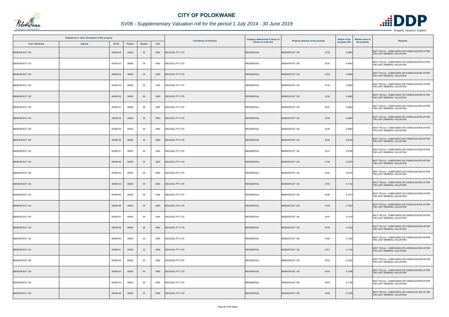

|                       | Registered or other description of the property |          |         |                |      | <b>Full Names of Owner(s)</b> | Category determined in terms of | Physical address of the property | <b>Extent of the</b> | <b>Market value of</b> | <b>Remarks</b>                                                                 |
|-----------------------|-------------------------------------------------|----------|---------|----------------|------|-------------------------------|---------------------------------|----------------------------------|----------------------|------------------------|--------------------------------------------------------------------------------|
| <b>Town Allotment</b> | <b>Suburb</b>                                   | Erf Nr   | Portion | <b>Section</b> | Unit |                               | Section 8 of the Act            |                                  | property (HA)        | the property           |                                                                                |
| <b>BENDOR EXT 120</b> |                                                 | 00008132 | 00000   | $00\,$         | 0000 | DECACEL PTY LTD               | <b>RESIDENTIAL</b>              | <b>BENDOR EXT 120</b><br>8132    | 0.0683               |                        | SECT 78(1)(c) - SUBDIVIDED OR CONSOLIDATED AFTER<br>THE LAST GENERAL VALUATION |
| BENDOR EXT 120        |                                                 | 00008133 | 00000   | $00\,$         | 0000 | DECACEL PTY LTD               | <b>RESIDENTIAL</b>              | BENDOR EXT 120<br>8133           | 0.0683               |                        | SECT 78(1)(c) - SUBDIVIDED OR CONSOLIDATED AFTER<br>THE LAST GENERAL VALUATION |
| <b>BENDOR EXT 120</b> |                                                 | 00008134 | 00000   | $00\,$         | 0000 | DECACEL PTY LTD               | <b>RESIDENTIAL</b>              | 8134<br><b>BENDOR EXT 120</b>    | 0.0683               |                        | SECT 78(1)(c) - SUBDIVIDED OR CONSOLIDATED AFTER<br>THE LAST GENERAL VALUATION |
| BENDOR EXT 120        |                                                 | 00008135 | 00000   | 00             | 0000 | <b>DECACEL PTY LTD</b>        | <b>RESIDENTIAL</b>              | <b>BENDOR EXT 120</b><br>8135    | 0.0683               |                        | SECT 78(1)(c) - SUBDIVIDED OR CONSOLIDATED AFTER<br>THE LAST GENERAL VALUATION |
| <b>BENDOR EXT 120</b> |                                                 | 00008136 | 00000   | $00\,$         | 0000 | <b>DECACEL PTY LTD</b>        | <b>RESIDENTIAL</b>              | <b>BENDOR EXT 120</b><br>8136    | 0.0683               |                        | SECT 78(1)(c) - SUBDIVIDED OR CONSOLIDATED AFTER<br>THE LAST GENERAL VALUATION |
| BENDOR EXT 120        |                                                 | 00008137 | 00000   | 00             | 0000 | <b>DECACEL PTY LTD</b>        | <b>RESIDENTIAL</b>              | 8137<br>BENDOR EXT 120           | 0.0683               |                        | SECT 78(1)(c) - SUBDIVIDED OR CONSOLIDATED AFTER<br>THE LAST GENERAL VALUATION |
| <b>BENDOR EXT 120</b> |                                                 | 00008138 | 00000   | $00\,$         | 0000 | <b>DECACEL PTY LTD</b>        | <b>RESIDENTIAL</b>              | <b>BENDOR EXT 120</b><br>8138    | 0.0683               |                        | SECT 78(1)(c) - SUBDIVIDED OR CONSOLIDATED AFTER<br>THE LAST GENERAL VALUATION |
| <b>BENDOR EXT 120</b> |                                                 | 00008139 | 00000   | $00\,$         | 0000 | DECACEL PTY LTD               | <b>RESIDENTIAL</b>              | <b>BENDOR EXT 120</b><br>8139    | 0.0683               |                        | SECT 78(1)(c) - SUBDIVIDED OR CONSOLIDATED AFTER<br>THE LAST GENERAL VALUATION |
| <b>BENDOR EXT 120</b> |                                                 | 00008140 | 00000   | $00\,$         | 0000 | <b>DECACEL PTY LTD</b>        | <b>RESIDENTIAL</b>              | <b>BENDOR EXT 120</b><br>8140    | 0.0702               |                        | SECT 78(1)(c) - SUBDIVIDED OR CONSOLIDATED AFTER<br>THE LAST GENERAL VALUATION |
| BENDOR EXT 120        |                                                 | 00008141 | 00000   | $00\,$         | 0000 | DECACEL PTY LTD               | <b>RESIDENTIAL</b>              | <b>BENDOR EXT 120</b><br>8141    | 0.0786               |                        | SECT 78(1)(c) - SUBDIVIDED OR CONSOLIDATED AFTER<br>THE LAST GENERAL VALUATION |
| <b>BENDOR EXT 120</b> |                                                 | 00008142 | 00000   | $00\,$         | 0000 | <b>DECACEL PTY LTD</b>        | <b>RESIDENTIAL</b>              | <b>BENDOR EXT 120</b><br>8142    | 0.0722               |                        | SECT 78(1)(c) - SUBDIVIDED OR CONSOLIDATED AFTER<br>THE LAST GENERAL VALUATION |
| BENDOR EXT 120        |                                                 | 00008143 | 00000   | 00             | 0000 | DECACEL PTY LTD               | <b>RESIDENTIAL</b>              | BENDOR EXT 120<br>8143           | 0.0722               |                        | SECT 78(1)(c) - SUBDIVIDED OR CONSOLIDATED AFTER<br>THE LAST GENERAL VALUATION |
| <b>BENDOR EXT 120</b> |                                                 | 00008144 | 00000   | $00\,$         | 0000 | <b>DECACEL PTY LTD</b>        | <b>RESIDENTIAL</b>              | <b>BENDOR EXT 120</b><br>8144    | 0.1153               |                        | SECT 78(1)(c) - SUBDIVIDED OR CONSOLIDATED AFTER<br>THE LAST GENERAL VALUATION |
| <b>BENDOR EXT 120</b> |                                                 | 00008145 | 00000   | 00             | 0000 | DECACEL PTY LTD               | <b>RESIDENTIAL</b>              | BENDOR EXT 120<br>8145           | 0.1074               |                        | SECT 78(1)(c) - SUBDIVIDED OR CONSOLIDATED AFTER<br>THE LAST GENERAL VALUATION |
| <b>BENDOR EXT 120</b> |                                                 | 00008146 | 00000   | $00\,$         | 0000 | <b>DECACEL PTY LTD</b>        | <b>RESIDENTIAL</b>              | <b>BENDOR EXT 120</b><br>8146    | 0.1224               |                        | SECT 78(1)(c) - SUBDIVIDED OR CONSOLIDATED AFTER<br>THE LAST GENERAL VALUATION |
| BENDOR EXT 120        |                                                 | 00008147 | 00000   | $00\,$         | 0000 | DECACEL PTY LTD               | <b>RESIDENTIAL</b>              | 8147<br>BENDOR EXT 120           | 0.1218               |                        | SECT 78(1)(c) - SUBDIVIDED OR CONSOLIDATED AFTER<br>THE LAST GENERAL VALUATION |
| <b>BENDOR EXT 120</b> |                                                 | 00008149 | 00000   | $00\,$         | 0000 | <b>DECACEL PTY LTD</b>        | <b>RESIDENTIAL</b>              | BENDOR EXT 120<br>8149           | 0.1223               |                        | SECT 78(1)(c) - SUBDIVIDED OR CONSOLIDATED AFTER<br>THE LAST GENERAL VALUATION |
| <b>BENDOR EXT 120</b> |                                                 | 00008150 | 00000   | 00             | 0000 | <b>DECACEL PTY LTD</b>        | <b>RESIDENTIAL</b>              | BENDOR EXT 120<br>8150           | 0.1229               |                        | SECT 78(1)(c) - SUBDIVIDED OR CONSOLIDATED AFTER<br>THE LAST GENERAL VALUATION |
| <b>BENDOR EXT 120</b> |                                                 | 00008151 | 00000   | $00\,$         | 0000 | DECACEL PTY LTD               | <b>RESIDENTIAL</b>              | BENDOR EXT 120<br>8151           | 0.1152               |                        | SECT 78(1)(c) - SUBDIVIDED OR CONSOLIDATED AFTER<br>THE LAST GENERAL VALUATION |
| BENDOR EXT 120        |                                                 | 00008152 | 00000   | $00\,$         | 0000 | DECACEL PTY LTD               | <b>RESIDENTIAL</b>              | 8152<br>BENDOR EXT 120           | 0.1292               |                        | SECT 78(1)(c) - SUBDIVIDED OR CONSOLIDATED AFTER<br>THE LAST GENERAL VALUATION |
| <b>BENDOR EXT 120</b> |                                                 | 00008153 | 00000   | $00\,$         | 0000 | <b>DECACEL PTY LTD</b>        | <b>RESIDENTIAL</b>              | <b>BENDOR EXT 120</b><br>8153    | 0.1296               |                        | SECT 78(1)(c) - SUBDIVIDED OR CONSOLIDATED AFTER<br>THE LAST GENERAL VALUATION |
| BENDOR EXT 120        |                                                 | 00008154 | 00000   | $00\,$         | 0000 | <b>DECACEL PTY LTD</b>        | <b>RESIDENTIAL</b>              | BENDOR EXT 120<br>8154           | 0.1192               |                        | SECT 78(1)(c) - SUBDIVIDED OR CONSOLIDATED AFTER<br>THE LAST GENERAL VALUATION |
| <b>BENDOR EXT 120</b> |                                                 | 00008155 | 00000   | $00\,$         | 0000 | DECACEL PTY LTD               | <b>RESIDENTIAL</b>              | <b>BENDOR EXT 120</b><br>8155    | 0.1230               |                        | SECT 78(1)(c) - SUBDIVIDED OR CONSOLIDATED AFTER<br>THE LAST GENERAL VALUATION |

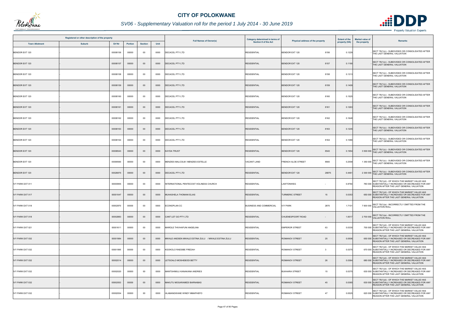

| Registered or other description of the property<br>Erf Nr<br><b>Town Allotment</b><br><b>Suburb</b> |  |          |                |                |      | <b>Full Names of Owner(s)</b>                      | Category determined in terms of | Physical address of the property              | <b>Extent of the</b> | <b>Market value of</b><br><b>Remarks</b>                                                                                                         |
|-----------------------------------------------------------------------------------------------------|--|----------|----------------|----------------|------|----------------------------------------------------|---------------------------------|-----------------------------------------------|----------------------|--------------------------------------------------------------------------------------------------------------------------------------------------|
|                                                                                                     |  |          | <b>Portion</b> | <b>Section</b> | Unit |                                                    | Section 8 of the Act            |                                               | property (HA)        | the property                                                                                                                                     |
| <b>BENDOR EXT 120</b>                                                                               |  | 00008156 | 00000          | $00\,$         | 0000 | <b>DECACEL PTY LTD</b>                             | <b>RESIDENTIAL</b>              | <b>BENDOR EXT 120</b><br>8156                 | 0.1229               | SECT 78(1)(c) - SUBDIVIDED OR CONSOLIDATED AFTER<br>THE LAST GENERAL VALUATION                                                                   |
| <b>BENDOR EXT 120</b>                                                                               |  | 00008157 | 00000          | $00\,$         | 0000 | <b>DECACEL PTY LTD</b>                             | <b>RESIDENTIAL</b>              | <b>BENDOR EXT 120</b><br>8157                 | 0.1190               | SECT 78(1)(c) - SUBDIVIDED OR CONSOLIDATED AFTER<br>THE LAST GENERAL VALUATION                                                                   |
| BENDOR EXT 120                                                                                      |  | 00008158 | 00000          | $00\,$         | 0000 | <b>DECACEL PTY LTD</b>                             | <b>RESIDENTIAL</b>              | <b>BENDOR EXT 120</b><br>8158                 | 0.1313               | SECT 78(1)(c) - SUBDIVIDED OR CONSOLIDATED AFTER<br>THE LAST GENERAL VALUATION                                                                   |
| <b>BENDOR EXT 120</b>                                                                               |  | 00008159 | 00000          | $00\,$         | 0000 | <b>DECACEL PTY LTD</b>                             | <b>RESIDENTIAL</b>              | <b>BENDOR EXT 120</b><br>8159                 | 0.1409               | SECT 78(1)(c) - SUBDIVIDED OR CONSOLIDATED AFTER<br>THE LAST GENERAL VALUATION                                                                   |
| BENDOR EXT 120                                                                                      |  | 00008160 | 00000          | $00\,$         | 0000 | DECACEL PTY LTD                                    | <b>RESIDENTIAL</b>              | 8160<br><b>BENDOR EXT 120</b>                 | 0.1525               | SECT 78(1)(c) - SUBDIVIDED OR CONSOLIDATED AFTER<br>THE LAST GENERAL VALUATION                                                                   |
| <b>BENDOR EXT 120</b>                                                                               |  | 00008161 | 00000          | $00\,$         | 0000 | <b>DECACEL PTY LTD</b>                             | <b>RESIDENTIAL</b>              | <b>BENDOR EXT 120</b><br>8161                 | 0.1263               | SECT 78(1)(c) - SUBDIVIDED OR CONSOLIDATED AFTER<br>THE LAST GENERAL VALUATION                                                                   |
| <b>BENDOR EXT 120</b>                                                                               |  | 00008162 | 00000          | $00\,$         | 0000 | DECACEL PTY LTD                                    | <b>RESIDENTIAL</b>              | 8162<br><b>BENDOR EXT 120</b>                 | 0.1648               | SECT 78(1)(c) - SUBDIVIDED OR CONSOLIDATED AFTER<br>THE LAST GENERAL VALUATION                                                                   |
| <b>BENDOR EXT 120</b>                                                                               |  | 00008163 | 00000          | $00\,$         | 0000 | DECACEL PTY LTD                                    | <b>RESIDENTIAL</b>              | <b>BENDOR EXT 120</b><br>8163                 | 0.1245               | SECT 78(1)(c) - SUBDIVIDED OR CONSOLIDATED AFTER<br>THE LAST GENERAL VALUATION                                                                   |
| BENDOR EXT 120                                                                                      |  | 00008164 | 00000          | 00             | 0000 | <b>DECACEL PTY LTD</b>                             | <b>RESIDENTIAL</b>              | <b>BENDOR EXT 120</b><br>8164                 | 0.1086               | SECT 78(1)(c) - SUBDIVIDED OR CONSOLIDATED AFTER<br>THE LAST GENERAL VALUATION                                                                   |
| <b>BENDOR EXT 120</b>                                                                               |  | 00008543 | 00000          | $00\,$         | 0000 | <b>KAYDA TRUST</b>                                 | <b>RESIDENTIAL</b>              | <b>BENDOR EXT 120</b><br>8543                 | 0.1954               | 3 500 000 SECT 78(1)(c) - SUBDIVIDED OR CONSOLIDATED AFTER<br>THE LAST GENERAL VALUATION                                                         |
| BENDOR EXT 120                                                                                      |  | 00008560 | 00000          | 00             | 0000 | MENZIES MALCOLM / MENZIES ESTELLE                  | <b>VACANT LAND</b>              | <b>FRENCH ALOE STREET</b><br>8560             | 0.2558               | 1 350 000 SECT 78(1)(c) - SUBDIVIDED OR CONSOLIDATED AFTER<br>THE LAST GENERAL VALUATION                                                         |
| <b>BENDOR EXT 120</b>                                                                               |  | 00026875 | 00000          | $00\,$         | 0000 | <b>DECACEL PTY LTD</b>                             | <b>RESIDENTIAL</b>              | <b>BENDOR EXT 120</b><br>26875                | 0.4461               | 2 300 000 SECT 78(1)(c) - SUBDIVIDED OR CONSOLIDATED AFTER<br>THE LAST GENERAL VALUATION                                                         |
| <b>IVY PARK EXT 011</b>                                                                             |  | 00000955 | 00000          | 00             | 0000 | INTERNATIONAL PENTECOST HOLINESS CHURCH            | <b>RESIDENTIAL</b>              | LAWTONWEG                                     | 0.8764               | SECT 78(1)(d) - OF WHICH THE MARKET VALUE HAS<br>780 000 SUBSTANTIALLY INCREASED OR DECREASED FOR ANY<br>REASON AFTER THE LAST GENERAL VALUATION |
| <b>IVY PARK EXT 017</b>                                                                             |  | 00001047 | 00000          | $00\,$         | 0000 | MUHASHELA THOMANI ELIAS                            | <b>RESIDENTIAL</b>              | <b>TURMERIC STREET</b><br>15                  | 0.0353               | SECT 78(1)(d) - OF WHICH THE MARKET VALUE HAS<br>650 000 SUBSTANTIALLY INCREASED OR DECREASED FOR ANY<br>REASON AFTER THE LAST GENERAL VALUATION |
| IVY PARK EXT 018                                                                                    |  | 00002870 | 00000          | 00             | 0000 | ECONOPLAN CC                                       | <b>BUSINESS AND COMMERCIAL</b>  | <b>IVY PARK</b><br>2870                       | 1.7101               | SECT 78(1)(a) - INCORRECTLY OMITTED FROM THE<br>7 600 000 VALUATION ROLL                                                                         |
| <b>IVY PARK EXT 018</b>                                                                             |  | 00002883 | 00000          | $00\,$         | 0000 | CANT LET GO PTY LTD                                | <b>RESIDENTIAL</b>              | CHUENESPOORT ROAD<br>$\overline{\phantom{a}}$ | 1.6017               | SECT 78(1)(a) - INCORRECTLY OMITTED FROM THE<br>2 700 000 VALUATION ROLL                                                                         |
| <b>IVY PARK EXT 021</b>                                                                             |  | 00001611 | 00000          | $00\,$         | 0000 | MAROLE THIVHAFUNI ANGELINA                         | <b>RESIDENTIAL</b>              | <b>EMPEROR STREET</b><br>63                   | 0.0330               | SECT 78(1)(d) - OF WHICH THE MARKET VALUE HAS<br>700 000 SUBSTANTIALLY INCREASED OR DECREASED FOR ANY<br>REASON AFTER THE LAST GENERAL VALUATION |
| <b>IVY PARK EXT 032</b>                                                                             |  | 00001984 | 00000          | $00\,$         | 0000 | MWALE ANDSEN MWALE ESTINA ZULU / MWALE ESTINA ZULU | <b>RESIDENTIAL</b>              | 25<br><b>ROMANOV STREET</b>                   | 0.0506               | SECT 78(1)(d) - OF WHICH THE MARKET VALUE HAS<br>650 000 SUBSTANTIALLY INCREASED OR DECREASED FOR ANY<br>REASON AFTER THE LAST GENERAL VALUATION |
| IVY PARK EXT 032                                                                                    |  | 00001995 | 00000          | 00             | 0000 | KGOKOLO RAESIBE FREDAH                             | <b>RESIDENTIAL</b>              | ROMANOV STREET<br>$\overline{\mathbf{3}}$     | 0.0375               | SECT 78(1)(d) - OF WHICH THE MARKET VALUE HAS<br>670 000 SUBSTANTIALLY INCREASED OR DECREASED FOR ANY<br>REASON AFTER THE LAST GENERAL VALUATION |
| <b>IVY PARK EXT 032</b>                                                                             |  | 00002014 | 00000          | $00\,$         | 0000 | LETSOALO MOSHEBODI BETTY                           | <b>RESIDENTIAL</b>              | <b>ROMANOV STREET</b><br>26                   | 0.0364               | SECT 78(1)(d) - OF WHICH THE MARKET VALUE HAS<br>680 000 SUBSTANTIALLY INCREASED OR DECREASED FOR ANY<br>REASON AFTER THE LAST GENERAL VALUATION |
| IVY PARK EXT 032                                                                                    |  | 00002020 | 00000          | 00             | 0000 | MANTSHIMULI KANAKANA ANDRIES                       | <b>RESIDENTIAL</b>              | <b>BUKHARA STREET</b><br>15                   | 0.0375               | SECT 78(1)(d) - OF WHICH THE MARKET VALUE HAS<br>630 000 SUBSTANTIALLY INCREASED OR DECREASED FOR ANY<br>REASON AFTER THE LAST GENERAL VALUATION |
| <b>IVY PARK EXT 032</b>                                                                             |  | 00002053 | 00000          | $00\,$         | 0000 | MAKUTU MOGARAMEDI BARNABAS                         | <b>RESIDENTIAL</b>              | ROMANOV STREET<br>45                          | 0.0365               | SECT 78(1)(d) - OF WHICH THE MARKET VALUE HAS<br>630 000 SUBSTANTIALLY INCREASED OR DECREASED FOR ANY<br>REASON AFTER THE LAST GENERAL VALUATION |
| IVY PARK EXT 032                                                                                    |  | 00002054 | 00000          | 00             | 0000 | HLABANGWANE WINDY MMAPHEFO                         | <b>RESIDENTIAL</b>              | ROMANOV STREET<br>47                          | 0.0525               | SECT 78(1)(d) - OF WHICH THE MARKET VALUE HAS<br>620 000 SUBSTANTIALLY INCREASED OR DECREASED FOR ANY<br>REASON AFTER THE LAST GENERAL VALUATION |

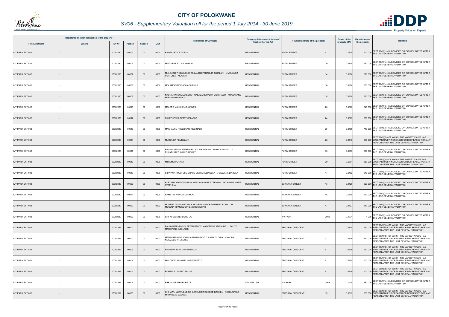

|                         | Registered or other description of the property |          |                |                |      |                                                                                      | Category determined in terms of |                                             | <b>Extent of the</b> | <b>Market value of</b>                                                                                                                           |
|-------------------------|-------------------------------------------------|----------|----------------|----------------|------|--------------------------------------------------------------------------------------|---------------------------------|---------------------------------------------|----------------------|--------------------------------------------------------------------------------------------------------------------------------------------------|
| <b>Town Allotment</b>   | <b>Suburb</b>                                   | Erf Nr   | <b>Portion</b> | <b>Section</b> | Unit | <b>Full Names of Owner(s)</b>                                                        | Section 8 of the Act            | Physical address of the property            | property (HA)        | <b>Remarks</b><br>the property                                                                                                                   |
| <b>IVY PARK EXT 032</b> |                                                 | 00002080 | 00003          | $00\,$         | 0000 | KHOZA LEDILE DORIS                                                                   | <b>RESIDENTIAL</b>              | <b>PUTIN STREET</b>                         | 0.0300               | SECT 78(1)(c) - SUBDIVIDED OR CONSOLIDATED AFTER<br>600 000 THE LAST GENERAL VALUATION                                                           |
| <b>IVY PARK EXT 032</b> |                                                 | 00002080 | 00005          | $00\,$         | 0000 | MALULEKE SYLVIA WISANI                                                               | <b>RESIDENTIAL</b>              | 10<br>PUTIN STREET                          | 0.0305               | 590 000 SECT 78(1)(c) - SUBDIVIDED OR CONSOLIDATED AFTER<br>THE LAST GENERAL VALUATION                                                           |
| <b>IVY PARK EXT 032</b> |                                                 | 00002080 | 00007          | $00\,$         | 0000 | MULAUDZI THIZWILONDI MULAUDZI PERTUNIA TAKALANI / MULAUDZI<br>PERTUNIA TAKALANI      | <b>RESIDENTIAL</b>              | <b>PUTIN STREET</b><br>14                   | 0.0300               | SECT 78(1)(c) - SUBDIVIDED OR CONSOLIDATED AFTER<br>670 000 THE LAST GENERAL VALUATION                                                           |
| <b>IVY PARK EXT 032</b> |                                                 | 00002080 | 00008          | 00             | 0000 | MOLAMODI MOTHOKA CAIPHUS                                                             | <b>RESIDENTIAL</b>              | PUTIN STREET<br>16                          | 0.0300               | SECT 78(1)(c) - SUBDIVIDED OR CONSOLIDATED AFTER<br>630 000 THE LAST GENERAL VALUATION                                                           |
| <b>IVY PARK EXT 032</b> |                                                 | 00002080 | 00009          | $00\,$         | 0000 | NKUNA TINTSWALO ESTER MASASANE MARIA MOTSHABO / MASASANE<br><b>MARIA MOTSHABO</b>    | <b>RESIDENTIAL</b>              | <b>PUTIN STREET</b><br>18                   | 0.0300               | 620 000 SECT 78(1)(c) - SUBDIVIDED OR CONSOLIDATED AFTER<br>THE LAST GENERAL VALUATION                                                           |
| IVY PARK EXT 032        |                                                 | 00002080 | 00010          | 00             | 0000 | MOLEPO MAKUKE JOHANNES                                                               | <b>RESIDENTIAL</b>              | PUTIN STREET<br>20                          | 0.0300               | SECT 78(1)(c) - SUBDIVIDED OR CONSOLIDATED AFTER<br>540 000 THE LAST GENERAL VALUATION                                                           |
| <b>IVY PARK EXT 032</b> |                                                 | 00002080 | 00012          | $00\,$         | 0000 | RALEPHENYA BETTY SELAELO                                                             | <b>RESIDENTIAL</b>              | <b>PUTIN STREET</b><br>24                   | 0.0363               | SECT 78(1)(c) - SUBDIVIDED OR CONSOLIDATED AFTER<br>580 000 THE LAST GENERAL VALUATION                                                           |
| IVY PARK EXT 032        |                                                 | 00002080 | 00013          | 00             | 0000 | MAKHAVHU FHEDZISANI REGINALD                                                         | <b>RESIDENTIAL</b>              | PUTIN STREET<br>26                          | 0.0405               | SECT 78(1)(c) - SUBDIVIDED OR CONSOLIDATED AFTER<br>710 000 THE LAST GENERAL VALUATION                                                           |
| <b>IVY PARK EXT 032</b> |                                                 | 00002080 | 00014          | $00\,$         | 0000 | MURONGA PEMBELANI                                                                    | <b>RESIDENTIAL</b>              | PUTIN STREET<br>28                          | 0.0440               | SECT 78(1)(d) - OF WHICH THE MARKET VALUE HAS<br>540 000 SUBSTANTIALLY INCREASED OR DECREASED FOR ANY<br>REASON AFTER THE LAST GENERAL VALUATION |
| IVY PARK EXT 032        |                                                 | 00002080 | 00015          | $00\,$         | 0000 | PHUNDULU NNDITSHENI ELLIOT PHUNDULU THIVHILELI EMILY /<br>PHUNDULU THIVHILELI EMILY  | <b>RESIDENTIAL</b>              | 30<br><b>PUTIN STREET</b>                   | 0.0333               | SECT 78(1)(c) - SUBDIVIDED OR CONSOLIDATED AFTER<br>500 000 THE LAST GENERAL VALUATION                                                           |
| <b>IVY PARK EXT 032</b> |                                                 | 00002080 | 00016          | $00\,$         | 0000 | <b>MTHEMBI PONANI</b>                                                                | <b>RESIDENTIAL</b>              | <b>PUTIN STREET</b><br>29                   | 0.0304               | SECT 78(1)(d) - OF WHICH THE MARKET VALUE HAS<br>550 000 SUBSTANTIALLY INCREASED OR DECREASED FOR ANY<br>REASON AFTER THE LAST GENERAL VALUATION |
| <b>IVY PARK EXT 032</b> |                                                 | 00002080 | 00017          | 00             | 0000 | SISWANA NOLUFEFE GRACE SISWANA LINDELA / SISWANA LINDELA                             | <b>RESIDENTIAL</b>              | 17<br>PUTIN STREET                          | 0.0402               | 540 000 SECT 78(1)(c) - SUBDIVIDED OR CONSOLIDATED AFTER<br>THE LAST GENERAL VALUATION                                                           |
| <b>IVY PARK EXT 032</b> |                                                 | 00002080 | 00020          | $00\,$         | 0000 | KUBYANA MATLOU SIMON KUBYANA NARE STEPHINA / KUBYANA NARE<br><b>STEPHINA</b>         | <b>RESIDENTIAL</b>              | <b>BUKHARA STREET</b><br>43                 | 0.0420               | SECT 78(1)(c) - SUBDIVIDED OR CONSOLIDATED AFTER<br>620 000 THE LAST GENERAL VALUATION                                                           |
| IVY PARK EXT 032        |                                                 | 00002080 | 00021          | 00             | 0000 | RAMETSE KGADI SOLOMON                                                                | <b>RESIDENTIAL</b>              | <b>BUKHARA STREET</b><br>45                 | 0.0400               | 570 000 SECT 78(1)(c) - SUBDIVIDED OR CONSOLIDATED AFTER<br>THE LAST GENERAL VALUATION                                                           |
| <b>IVY PARK EXT 032</b> |                                                 | 00002080 | 00022          | $00\,$         | 0000 | MOSENA DONALD LODICK MOSENA MAMOKGOPHENG RONICCAH /<br>MOSENA MAMOKGOPHENG RONICCAH  | <b>RESIDENTIAL</b>              | <b>BUKHARA STREET</b><br>47                 | 0.0427               | SECT 78(1)(c) - SUBDIVIDED OR CONSOLIDATED AFTER<br>540 000 THE LAST GENERAL VALUATION                                                           |
| <b>IVY PARK EXT 032</b> |                                                 | 00002080 | 00023          | $00\,$         | 0000 | ERF 40 WESTENBURG CC                                                                 | <b>RESIDENTIAL</b>              | <b>IVY PARK</b><br>2080                     | 0.1971               | 1 000 SECT 78(1)(c) - SUBDIVIDED OR CONSOLIDATED AFTER<br>THE LAST GENERAL VALUATION                                                             |
| <b>IVY PARK EXT 032</b> |                                                 | 00002869 | 00001          | $00\,$         | 0000 | BALOYI REPHUMUNI PETER BALOYI MAROPENG ADELAIDE / BALOYI<br><b>MAROPENG ADELAIDE</b> | <b>RESIDENTIAL</b>              | <b>FEDOROV CRESCENT</b><br>$\overline{1}$   | 0.0314               | SECT 78(1)(d) - OF WHICH THE MARKET VALUE HAS<br>530 000 SUBSTANTIALLY INCREASED OR DECREASED FOR ANY<br>REASON AFTER THE LAST GENERAL VALUATION |
| IVY PARK EXT 032        |                                                 | 00002869 | 00002          | 00             | 0000 | MAUBA MAANDA JOSHUA MAUBA NDIDZULAFHI GLORIA / MAUBA<br>NDIDZULAFHI GLORIA           | <b>RESIDENTIAL</b>              | FEDOROV CRESCENT<br>$\overline{\mathbf{3}}$ | 0.0309               | SECT 78(1)(d) - OF WHICH THE MARKET VALUE HAS<br>460 000 SUBSTANTIALLY INCREASED OR DECREASED FOR ANY<br>REASON AFTER THE LAST GENERAL VALUATION |
| <b>IVY PARK EXT 032</b> |                                                 | 00002869 | 00003          | $00\,$         | 0000 | PHOSIWA TSHILIDZI REBECCA                                                            | <b>RESIDENTIAL</b>              | <b>FEDOROV CRESCENT</b><br>5                | 0.0309               | SECT 78(1)(d) - OF WHICH THE MARKET VALUE HAS<br>570 000 SUBSTANTIALLY INCREASED OR DECREASED FOR ANY<br>REASON AFTER THE LAST GENERAL VALUATION |
| <b>IVY PARK EXT 032</b> |                                                 | 00002869 | 00004          | $00\,$         | 0000 | MHLONGO SAMUKELISIWE PRETTY                                                          | <b>RESIDENTIAL</b>              | <b>FEDOROV CRESCENT</b><br>$\overline{7}$   | 0.0309               | SECT 78(1)(d) - OF WHICH THE MARKET VALUE HAS<br>500 000 SUBSTANTIALLY INCREASED OR DECREASED FOR ANY<br>REASON AFTER THE LAST GENERAL VALUATION |
| <b>IVY PARK EXT 032</b> |                                                 | 00002869 | 00005          | $00\,$         | 0000 | <b>BOMBELA LIMITED TRUST</b>                                                         | <b>RESIDENTIAL</b>              | <b>FEDOROV CRESCENT</b><br>9                | 0.0309               | SECT 78(1)(d) - OF WHICH THE MARKET VALUE HAS<br>500 000 SUBSTANTIALLY INCREASED OR DECREASED FOR ANY<br>REASON AFTER THE LAST GENERAL VALUATION |
| <b>IVY PARK EXT 032</b> |                                                 | 00002869 | 00006          | $00\,$         | 0000 | ERF 40 WESTENBURG CC                                                                 | <b>VACANT LAND</b>              | 2869<br><b>IVY PARK</b>                     | 0.0418               | 280 000 SECT 78(1)(c) - SUBDIVIDED OR CONSOLIDATED AFTER<br>THE LAST GENERAL VALUATION                                                           |
| <b>IVY PARK EXT 032</b> |                                                 | 00002869 | 00008          | $00\,$         | 0000 | SHIHAWU MARYLENE SEHLAPELO MPOKOBAE EZEKIEL / SEHLAPELO<br>MPOKOBAE EZEKIEL          | <b>RESIDENTIAL</b>              | <b>FEDOROV CRESCENT</b><br>15               | 0.0319               | SECT 78(1)(d) - OF WHICH THE MARKET VALUE HAS<br>530 000 SUBSTANTIALLY INCREASED OR DECREASED FOR ANY<br>REASON AFTER THE LAST GENERAL VALUATION |

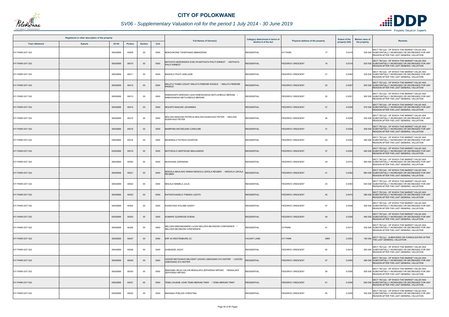

# *SV06 - Supplementary Valuation roll for the period 1 July 2014 - 30 June 2019*

|                         | Registered or other description of the property |               |                |                |      | <b>Full Names of Owner(s)</b>                                                            | Category determined in terms of | Physical address of the property | <b>Extent of the</b> | <b>Market value of</b> | <b>Remarks</b>                                                                                                                                   |
|-------------------------|-------------------------------------------------|---------------|----------------|----------------|------|------------------------------------------------------------------------------------------|---------------------------------|----------------------------------|----------------------|------------------------|--------------------------------------------------------------------------------------------------------------------------------------------------|
| <b>Town Allotment</b>   | <b>Suburb</b>                                   | <b>Erf Nr</b> | <b>Portion</b> | <b>Section</b> | Unit |                                                                                          | <b>Section 8 of the Act</b>     |                                  | property (HA)        | the property           |                                                                                                                                                  |
| IVY PARK EXT 032        |                                                 | 00002869      | 00009          | $00\,$         | 0000 | MOKGOKONG TSHEPHANG MMAKWENA                                                             | <b>RESIDENTIAL</b>              | <b>IVY PARK</b><br>17            | 0.0319               |                        | SECT 78(1)(d) - OF WHICH THE MARKET VALUE HAS<br>530 000 SUBSTANTIALLY INCREASED OR DECREASED FOR ANY<br>REASON AFTER THE LAST GENERAL VALUATION |
| <b>IVY PARK EXT 032</b> |                                                 | 00002869      | 00010          | $00\,$         | 0000 | MOTHATA MORONGWA EVELYN MOTHATA PHUTI ERNEST / MOTHATA<br><b>HUTI ERNEST</b>             | <b>RESIDENTIAL</b>              | <b>FEDOROV CRESCENT</b><br>19    | 0.0319               |                        | SECT 78(1)(d) - OF WHICH THE MARKET VALUE HAS<br>530 000 SUBSTANTIALLY INCREASED OR DECREASED FOR ANY<br>REASON AFTER THE LAST GENERAL VALUATION |
| IVY PARK EXT 032        |                                                 | 00002869      | 00011          | 00             | 0000 | MASHILO PHUTI ADELAIDE                                                                   | <b>RESIDENTIAL</b>              | 21<br><b>FEDOROV CRESCENT</b>    | 0.0383               |                        | SECT 78(1)(d) - OF WHICH THE MARKET VALUE HAS<br>530 000 SUBSTANTIALLY INCREASED OR DECREASED FOR ANY<br>REASON AFTER THE LAST GENERAL VALUATION |
| <b>IVY PARK EXT 032</b> |                                                 | 00002869      | 00012          | $00\,$         | 0000 | AALATJI THABO LESLEY MALATJI REBONE RAGELE / MALATJI REBONE<br>RAGELE                    | RESIDENTIAL                     | <b>FEDOROV CRESCENT</b><br>23    | 0.0357               |                        | SECT 78(1)(d) - OF WHICH THE MARKET VALUE HAS<br>500 000 SUBSTANTIALLY INCREASED OR DECREASED FOR ANY<br>REASON AFTER THE LAST GENERAL VALUATION |
| <b>IVY PARK EXT 032</b> |                                                 | 00002869      | 00013          | 00             | 0000 | / RAMASHAPA MOKGADI LEAH RABOSHAKGA MATLHOBOLE MERIAM<br>RABOSHAKGA MATLHOBOLE MERIAM    | <b>RESIDENTIAL</b>              | 25<br><b>FEDOROV CRESCENT</b>    | 0.0351               |                        | SECT 78(1)(d) - OF WHICH THE MARKET VALUE HAS<br>500 000 SUBSTANTIALLY INCREASED OR DECREASED FOR ANY<br>REASON AFTER THE LAST GENERAL VALUATION |
| <b>IVY PARK EXT 032</b> |                                                 | 00002869      | 00014          | $00\,$         | 0000 | MOLEPO MAKUKE JOHANNES                                                                   | <b>RESIDENTIAL</b>              | <b>FEDOROV CRESCENT</b><br>27    | 0.0309               |                        | SECT 78(1)(d) - OF WHICH THE MARKET VALUE HAS<br>570 000 SUBSTANTIALLY INCREASED OR DECREASED FOR ANY<br>REASON AFTER THE LAST GENERAL VALUATION |
| IVY PARK EXT 032        |                                                 | 00002869      | 00015          | $00\,$         | 0000 | MOLOISI RANCHIE PATRICIA MOLOISI KGANYAGO PETER / MOLOISI<br><b>KGANYAGO PETER</b>       | <b>RESIDENTIAL</b>              | 29<br><b>FEDOROV CRESCENT</b>    | 0.0309               |                        | SECT 78(1)(d) - OF WHICH THE MARKET VALUE HAS<br>530 000 SUBSTANTIALLY INCREASED OR DECREASED FOR ANY<br>REASON AFTER THE LAST GENERAL VALUATION |
| <b>IVY PARK EXT 032</b> |                                                 | 00002869      | 00016          | $00\,$         | 0000 | MAMPANA MATSELENG CAROLINE                                                               | <b>RESIDENTIAL</b>              | <b>FEDOROV CRESCENT</b><br>31    | 0.0309               |                        | SECT 78(1)(d) - OF WHICH THE MARKET VALUE HAS<br>500 000 SUBSTANTIALLY INCREASED OR DECREASED FOR ANY<br>REASON AFTER THE LAST GENERAL VALUATION |
| IVY PARK EXT 032        |                                                 | 00002869      | 00018          | 00             | 0000 | MASEMOLA PATRICK KGANTHE                                                                 | <b>RESIDENTIAL</b>              | <b>FEDOROV CRESCENT</b><br>35    | 0.0352               |                        | SECT 78(1)(d) - OF WHICH THE MARKET VALUE HAS<br>590 000 SUBSTANTIALLY INCREASED OR DECREASED FOR ANY<br>REASON AFTER THE LAST GENERAL VALUATION |
| <b>IVY PARK EXT 032</b> |                                                 | 00002869      | 00019          | $00\,$         | 0000 | MOTOKOLO GERTRUDE MAHLAKENG                                                              | <b>RESIDENTIAL</b>              | 37<br><b>FEDOROV CRESCENT</b>    | 0.0352               |                        | SECT 78(1)(d) - OF WHICH THE MARKET VALUE HAS<br>460 000 SUBSTANTIALLY INCREASED OR DECREASED FOR ANY<br>REASON AFTER THE LAST GENERAL VALUATION |
| IVY PARK EXT 032        |                                                 | 00002869      | 00020          | 00             | 0000 | MUSHIANA AZWINDINI                                                                       | <b>RESIDENTIAL</b>              | <b>FEDOROV CRESCENT</b><br>39    | 0.0375               |                        | SECT 78(1)(d) - OF WHICH THE MARKET VALUE HAS<br>460 000 SUBSTANTIALLY INCREASED OR DECREASED FOR ANY<br>REASON AFTER THE LAST GENERAL VALUATION |
| <b>IVY PARK EXT 032</b> |                                                 | 00002869      | 00021          | $00\,$         | 0000 | MOGOLA MAHLAKO ANNAH MOGOLA LEKOLA REUBEN / MOGOLA LEKOLA<br>REUBEN                      | <b>RESIDENTIAL</b>              | <b>FEDOROV CRESCENT</b><br>41    | 0.0352               |                        | SECT 78(1)(d) - OF WHICH THE MARKET VALUE HAS<br>680 000 SUBSTANTIALLY INCREASED OR DECREASED FOR ANY<br>REASON AFTER THE LAST GENERAL VALUATION |
| <b>IVY PARK EXT 032</b> |                                                 | 00002869      | 00022          | 00             | 0000 | MOLELE MAMELA JULIA                                                                      | <b>RESIDENTIAL</b>              | <b>FEDOROV CRESCENT</b><br>43    | 0.0393               |                        | SECT 78(1)(d) - OF WHICH THE MARKET VALUE HAS<br>630 000 SUBSTANTIALLY INCREASED OR DECREASED FOR ANY<br>REASON AFTER THE LAST GENERAL VALUATION |
| <b>IVY PARK EXT 032</b> |                                                 | 00002869      | 00023          | $00\,$         | 0000 | RATSHIVHADELO THENDO JUDITH                                                              | <b>RESIDENTIAL</b>              | <b>FEDOROV CRESCENT</b><br>45    | 0.047                |                        | SECT 78(1)(d) - OF WHICH THE MARKET VALUE HAS<br>580 000 SUBSTANTIALLY INCREASED OR DECREASED FOR ANY<br>REASON AFTER THE LAST GENERAL VALUATION |
| <b>IVY PARK EXT 032</b> |                                                 | 00002869      | 00024          | $00\,$         | 0000 | KGANYAGO KOLOBE DADDY                                                                    | <b>RESIDENTIAL</b>              | 47<br><b>FEDOROV CRESCENT</b>    | 0.0428               |                        | SECT 78(1)(d) - OF WHICH THE MARKET VALUE HAS<br>500 000 SUBSTANTIALLY INCREASED OR DECREASED FOR ANY<br>REASON AFTER THE LAST GENERAL VALUATION |
| <b>IVY PARK EXT 032</b> |                                                 | 00002869      | 00025          | $00\,$         | 0000 | <b>(OMAPE GLENROSE KOENA</b>                                                             | <b>RESIDENTIAL</b>              | <b>FEDOROV CRESCENT</b><br>49    | 0.0306               |                        | SECT 78(1)(d) - OF WHICH THE MARKET VALUE HAS<br>460 000 SUBSTANTIALLY INCREASED OR DECREASED FOR ANY<br>REASON AFTER THE LAST GENERAL VALUATION |
| <b>IVY PARK EXT 032</b> |                                                 | 00002869      | 00026          | $00\,$         | 0000 | NELUSHI NNDANGANENI LUCAS NELUSHI MILINGONI CONFIDENCE /<br>NELUSHI MILINGONI CONFIDENCE | <b>RESIDENTIAL</b>              | <b>IVYPARK</b><br>51             | 0.0313               |                        | SECT 78(1)(d) - OF WHICH THE MARKET VALUE HAS<br>530 000 SUBSTANTIALLY INCREASED OR DECREASED FOR ANY<br>REASON AFTER THE LAST GENERAL VALUATION |
| <b>IVY PARK EXT 032</b> |                                                 | 00002869      | 00027          | $00\,$         | 0000 | <b>ERF 40 WESTENBURG CC</b>                                                              | <b>VACANT LAND</b>              | <b>IVY PARK</b><br>2869          | 0.0303               |                        | 180 000 SECT 78(1)(c) - SUBDIVIDED OR CONSOLIDATED AFTER<br>THE LAST GENERAL VALUATION                                                           |
| IVY PARK EXT 032        |                                                 | 00002869      | 00028          | 00             | 0000 | SHIBODZE JACKY                                                                           | <b>RESIDENTIAL</b>              | 55<br><b>FEDOROV CRESCENT</b>    | 0.0419               |                        | SECT 78(1)(d) - OF WHICH THE MARKET VALUE HAS<br>550 000 SUBSTANTIALLY INCREASED OR DECREASED FOR ANY<br>REASON AFTER THE LAST GENERAL VALUATION |
| <b>IVY PARK EXT 032</b> |                                                 | 00002869      | 00029          | $00\,$         | 0000 | EGODI MOYAHAHO MILICENT LEGODI LEBOGANG SYLVESTER / LEGODI<br>LEBOGANG SYLVESTER         | <b>RESIDENTIAL</b>              | 57<br><b>FEDOROV CRESCENT</b>    | 0.0400               |                        | SECT 78(1)(d) - OF WHICH THE MARKET VALUE HAS<br>590 000 SUBSTANTIALLY INCREASED OR DECREASED FOR ANY<br>REASON AFTER THE LAST GENERAL VALUATION |
| IVY PARK EXT 032        |                                                 | 00002869      | 00030          | $00\,$         | 0000 | MAKGABA SELEI CALVIN MOKALAPA ZEPHORAH MPONO / MOKALAPA<br>ZEPHORAH MPONO                | RESIDENTIAL                     | <b>FEDOROV CRESCENT</b><br>59    | 0.0306               |                        | SECT 78(1)(d) - OF WHICH THE MARKET VALUE HAS<br>500 000 SUBSTANTIALLY INCREASED OR DECREASED FOR ANY<br>REASON AFTER THE LAST GENERAL VALUATION |
| <b>IVY PARK EXT 032</b> |                                                 | 00002869      | 00031          | $00\,$         | 0000 | TEMA CHUENE JOHN TEMA MERIAM TINNY / TEMA MERIAM TINNY                                   | <b>RESIDENTIAL</b>              | <b>FEDOROV CRESCENT</b><br>61    | 0.0309               |                        | SECT 78(1)(d) - OF WHICH THE MARKET VALUE HAS<br>650 000 SUBSTANTIALLY INCREASED OR DECREASED FOR ANY<br>REASON AFTER THE LAST GENERAL VALUATION |
| <b>IVY PARK EXT 032</b> |                                                 | 00002869      | 00032          | 00             | 0000 | MASINGA PHELADI CHRISTINA                                                                | <b>RESIDENTIAL</b>              | <b>FEDOROV CRESCENT</b><br>63    | 0.0309               |                        | SECT 78(1)(d) - OF WHICH THE MARKET VALUE HAS<br>530 000 SUBSTANTIALLY INCREASED OR DECREASED FOR ANY<br>REASON AFTER THE LAST GENERAL VALUATION |

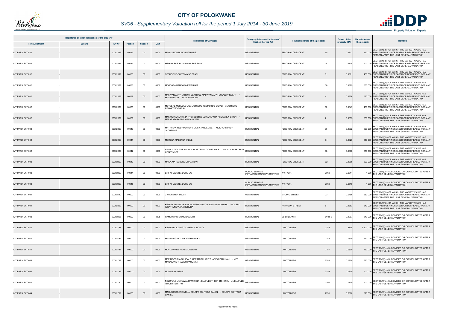

# *SV06 - Supplementary Valuation roll for the period 1 July 2014 - 30 June 2019*

|                         | Registered or other description of the property |               |                |                |      | <b>Full Names of Owner(s)</b>                                                                                | Category determined in terms of                           | Physical address of the property          | <b>Extent of the</b> | <b>Market value of</b> | <b>Remarks</b>                                                                                                                                   |
|-------------------------|-------------------------------------------------|---------------|----------------|----------------|------|--------------------------------------------------------------------------------------------------------------|-----------------------------------------------------------|-------------------------------------------|----------------------|------------------------|--------------------------------------------------------------------------------------------------------------------------------------------------|
| <b>Town Allotment</b>   | <b>Suburb</b>                                   | <b>Erf Nr</b> | <b>Portion</b> | <b>Section</b> | Unit |                                                                                                              | <b>Section 8 of the Act</b>                               |                                           | property (HA)        | the property           |                                                                                                                                                  |
| <b>IVY PARK EXT 032</b> |                                                 | 00002869      | 00033          | $00\,$         | 0000 | MAGIDI NDIVHUHO NATHANIEL                                                                                    | <b>RESIDENTIAL</b>                                        | <b>FEDOROV CRESCENT</b><br>65             | 0.031                |                        | SECT 78(1)(d) - OF WHICH THE MARKET VALUE HAS<br>460 000 SUBSTANTIALLY INCREASED OR DECREASED FOR ANY<br>REASON AFTER THE LAST GENERAL VALUATION |
| IVY PARK EXT 032        |                                                 | 00002869      | 00034          | $00\,$         | 0000 | MPHAHLELE RAMAKGAHLELE ENDY                                                                                  | <b>RESIDENTIAL</b>                                        | 28<br><b>FEDOROV CRESCENT</b>             | 0.0318               |                        | SECT 78(1)(d) - OF WHICH THE MARKET VALUE HAS<br>500 000 SUBSTANTIALLY INCREASED OR DECREASED FOR ANY<br>REASON AFTER THE LAST GENERAL VALUATION |
| <b>IVY PARK EXT 032</b> |                                                 | 00002869      | 00035          | $00\,$         | 0000 | SESHOENE GOITSIMANG PEARL                                                                                    | <b>RESIDENTIAL</b>                                        | <b>FEDOROV CRESCENT</b><br>6              | 0.0301               |                        | SECT 78(1)(d) - OF WHICH THE MARKET VALUE HAS<br>460 000 SUBSTANTIALLY INCREASED OR DECREASED FOR ANY<br>REASON AFTER THE LAST GENERAL VALUATION |
| IVY PARK EXT 032        |                                                 | 00002869      | 00036          | 00             | 0000 | MOKGATA RAMOKONE MERIAM                                                                                      | <b>RESIDENTIAL</b>                                        | <b>FEDOROV CRESCENT</b><br>30             | 0.0325               |                        | SECT 78(1)(d) - OF WHICH THE MARKET VALUE HAS<br>530 000 SUBSTANTIALLY INCREASED OR DECREASED FOR ANY<br>REASON AFTER THE LAST GENERAL VALUATION |
| <b>IVY PARK EXT 032</b> |                                                 | 00002869      | 00037          | $00\,$         | 0000 | VIASWANGANYI VUTOMI BEATRICE MASWANGANYI SOLANI VINCENT<br>MASWANGANYI SOLANI VINCENT                        | <b>RESIDENTIAL</b>                                        | <b>FEDOROV CRESCENT</b><br>$\overline{4}$ | 0.0326               |                        | SECT 78(1)(d) - OF WHICH THE MARKET VALUE HAS<br>570 000 SUBSTANTIALLY INCREASED OR DECREASED FOR ANY<br>REASON AFTER THE LAST GENERAL VALUATION |
| <b>IVY PARK EXT 032</b> |                                                 | 00002869      | 00038          | 00             | 0000 | MOTSEPE MEHLOLO JAN MOTSEPE KGOMOTSO SARAH / MOTSEPE<br><b>KGOMOTSO SARAH</b>                                | <b>RESIDENTIAL</b>                                        | 32<br><b>FEDOROV CRESCENT</b>             | 0.0347               |                        | SECT 78(1)(d) - OF WHICH THE MARKET VALUE HAS<br>460 000 SUBSTANTIALLY INCREASED OR DECREASED FOR ANY<br>REASON AFTER THE LAST GENERAL VALUATION |
| IVY PARK EXT 032        |                                                 | 00002869      | 00039          | $00\,$         | 0000 | / AAFARAFARA TRINIA NTSHEBOTSE MAFARAFARA NHLANHLA GIVEN<br>MAFARAFARA NHLANHLA GIVEN                        | RESIDENTIAL                                               | <b>FEDOROV CRESCENT</b><br>$\overline{2}$ | 0.0335               |                        | SECT 78(1)(d) - OF WHICH THE MARKET VALUE HAS<br>550 000 SUBSTANTIALLY INCREASED OR DECREASED FOR ANY<br>REASON AFTER THE LAST GENERAL VALUATION |
| IVY PARK EXT 032        |                                                 | 00002869      | 00040          | 00             | 0000 | MATHYE WINSLY MUKHARI DAISY JAQUELINE / MUKHARI DAISY<br><b>JAQUELINE</b>                                    | <b>RESIDENTIAL</b>                                        | 36<br><b>FEDOROV CRESCENT</b>             | 0.0332               |                        | SECT 78(1)(d) - OF WHICH THE MARKET VALUE HAS<br>600 000 SUBSTANTIALLY INCREASED OR DECREASED FOR ANY<br>REASON AFTER THE LAST GENERAL VALUATION |
| <b>IVY PARK EXT 032</b> |                                                 | 00002869      | 00041          | $00\,$         | 0000 | MORENA MAEBANA IRENE                                                                                         | <b>RESIDENTIAL</b>                                        | <b>FEDOROV CRESCENT</b><br>64             | 0.0320               |                        | SECT 78(1)(d) - OF WHICH THE MARKET VALUE HAS<br>550 000 SUBSTANTIALLY INCREASED OR DECREASED FOR ANY<br>REASON AFTER THE LAST GENERAL VALUATION |
| IVY PARK EXT 032        |                                                 | 00002869      | 00042          | $00\,$         | 0000 | JWAILA DOCTOR NWAILA BASETSANA CONSTANCE     / NWAILA BASETSANA│RESIDENTIAL<br>CONSTANCE                     |                                                           | 38<br><b>FEDOROV CRESCENT</b>             | 0.0308               |                        | SECT 78(1)(d) - OF WHICH THE MARKET VALUE HAS<br>580 000 SUBSTANTIALLY INCREASED OR DECREASED FOR ANY<br>REASON AFTER THE LAST GENERAL VALUATION |
| <b>IVY PARK EXT 032</b> |                                                 | 00002869      | 00043          | $00\,$         | 0000 | MAILA MATSUBENG JONATHAN                                                                                     | <b>RESIDENTIAL</b>                                        | <b>FEDOROV CRESCENT</b><br>62             | 0.0308               |                        | SECT 78(1)(d) - OF WHICH THE MARKET VALUE HAS<br>500 000 SUBSTANTIALLY INCREASED OR DECREASED FOR ANY<br>REASON AFTER THE LAST GENERAL VALUATION |
| IVY PARK EXT 032        |                                                 | 00002869      | 00044          | $00\,$         | 0000 | ERF 40 WESTENBURG CC                                                                                         | PUBLIC SERVICE<br><b>INFRASTRUCTURE PROPERTIES</b>        | 2869<br><b>IVY PARK</b>                   | 0.0314               |                        | 1 000 SECT 78(1)(c) - SUBDIVIDED OR CONSOLIDATED AFTER<br>THE LAST GENERAL VALUATION                                                             |
| <b>IVY PARK EXT 032</b> |                                                 | 00002869      | 00045          | $00\,$         | 0000 | ERF 40 WESTENBURG CC                                                                                         | <b>PUBLIC SERVICE</b><br><b>INFRASTRUCTURE PROPERTIES</b> | <b>IVY PARK</b><br>2869                   | 0.0519               |                        | SECT 78(1)(c) - SUBDIVIDED OR CONSOLIDATED AFTER<br>1 000 THE LAST GENERAL VALUATION                                                             |
| IVY PARK EXT 034        |                                                 | 00002140      | 00000          | 00             | 0000 | J W DREYER TRUST                                                                                             | <b>RESIDENTIAL</b>                                        | <b>MYOPIC STREET</b><br>23                | 0.0496               |                        | SECT 78(1)(d) - OF WHICH THE MARKET VALUE HAS<br>550 000 SUBSTANTIALLY INCREASED OR DECREASED FOR ANY<br>REASON AFTER THE LAST GENERAL VALUATION |
| <b>IVY PARK EXT 034</b> |                                                 | 00002299      | 00000          | $00\,$         | 0000 | KGOADI TLOU CAPSON MOLEPO IGNATIA NGWANAMOHUBA / MOLEPO<br><b>IGNATIA NGWANAMOHUBA</b>                       | <b>RESIDENTIAL</b>                                        | <b>PARAGON STREET</b><br>8                | 0.0363               |                        | SECT 78(1)(d) - OF WHICH THE MARKET VALUE HAS<br>540 000 SUBSTANTIALLY INCREASED OR DECREASED FOR ANY<br>REASON AFTER THE LAST GENERAL VALUATION |
| <b>IVY PARK EXT 042</b> |                                                 | 00002495      | 00000          | 00             | 0005 | RAMBUWANI ZONDI LUCETH                                                                                       | <b>RESIDENTIAL</b>                                        | UNIT <sub>5</sub><br><b>SS SHELANTI</b>   | 0.0097               |                        | 540 000 SECT 78(1)(c) - SUBDIVIDED OR CONSOLIDATED AFTER<br>THE LAST GENERAL VALUATION                                                           |
| <b>IVY PARK EXT 044</b> |                                                 | 00002783      | 00000          | $00\,$         | 0000 | KENRO BUILDING CONSTRUCTION CC                                                                               | <b>RESIDENTIAL</b>                                        | LAWTONWEG<br>2783                         | 0.2875               |                        | 1 200 000 SECT 78(1)(c) - SUBDIVIDED OR CONSOLIDATED AFTER<br>THE LAST GENERAL VALUATION                                                         |
| <b>IVY PARK EXT 044</b> |                                                 | 00002786      | 00000          | 00             | 0000 | MASWANGANYI MIKATEKO PINKY                                                                                   | <b>RESIDENTIAL</b>                                        | 2786<br>LAWTONWEG                         | 0.0300               |                        | 490 000 SECT 78(1)(c) - SUBDIVIDED OR CONSOLIDATED AFTER<br>THE LAST GENERAL VALUATION                                                           |
| <b>IVY PARK EXT 044</b> |                                                 | 00002787      | 00000          | $00\,$         | 0000 | MOTLOWANE NAKEDI JOSEPH                                                                                      | <b>RESIDENTIAL</b>                                        | LAWTONWEG<br>2787                         | 0.0300               |                        | 460 000 SECT 78(1)(c) - SUBDIVIDED OR CONSOLIDATED AFTER<br>THE LAST GENERAL VALUATION                                                           |
| <b>IVY PARK EXT 044</b> |                                                 | 00002788      | 00000          | $00\,$         | 0000 | MPE MOPEDI ARCHIBALD MPE MAGALANE THABISO PAULINAH / MPE<br>MAGALANE THABISO PAULINAH                        | <b>RESIDENTIAL</b>                                        | 2788<br>LAWTONWEG                         | 0.0300               |                        | 690 000 SECT 78(1)(c) - SUBDIVIDED OR CONSOLIDATED AFTER<br>THE LAST GENERAL VALUATION                                                           |
| <b>IVY PARK EXT 044</b> |                                                 | 00002789      | 00000          | $00\,$         | 0000 | MUDAU SHUMANI                                                                                                | <b>RESIDENTIAL</b>                                        | LAWTONWEG<br>2789                         | 0.0300               |                        | 500 000 SECT 78(1)(c) - SUBDIVIDED OR CONSOLIDATED AFTER<br>THE LAST GENERAL VALUATION                                                           |
| IVY PARK EXT 044        |                                                 | 00002790      | 00000          | 00             | 0000 | NELUFULE LIVHUWANI PATRICIA NELUFULE THIOFHITSHITHU /NELUFULE $ _{\sf RESIDENTIAL}$<br><b>THIOFHITSHITHU</b> |                                                           | LAWTONWEG<br>2790                         | 0.0300               |                        | 500 000 SECT 78(1)(c) - SUBDIVIDED OR CONSOLIDATED AFTER<br>THE LAST GENERAL VALUATION                                                           |
| <b>IVY PARK EXT 044</b> |                                                 | 00002791      | 00000          | $00\,$         | 0000 | MAHLABEGOANE NELLY SELEPE SONTAGA DANIEL / SELEPE SONTAGA<br><b>DANIEL</b>                                   | RESIDENTIAL                                               | LAWTONWEG<br>2791                         | 0.0300               |                        | 520 000 SECT 78(1)(c) - SUBDIVIDED OR CONSOLIDATED AFTER<br>THE LAST GENERAL VALUATION                                                           |

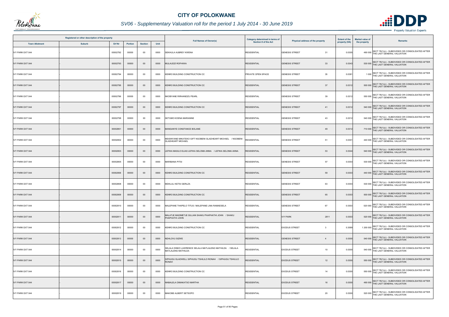

|                         | Registered or other description of the property |          |                |                |      |                                                                                          | Category determined in terms of |                                                 | <b>Extent of the</b> | <b>Market value of</b>                                                                   |
|-------------------------|-------------------------------------------------|----------|----------------|----------------|------|------------------------------------------------------------------------------------------|---------------------------------|-------------------------------------------------|----------------------|------------------------------------------------------------------------------------------|
| <b>Town Allotment</b>   | <b>Suburb</b>                                   | Erf Nr   | <b>Portion</b> | <b>Section</b> | Unit | <b>Full Names of Owner(s)</b>                                                            | Section 8 of the Act            | Physical address of the property                | property (HA)        | Remarks<br>the property                                                                  |
| <b>IVY PARK EXT 044</b> |                                                 | 00002792 | 00000          | 00             | 0000 | SEKHULA AUBREY KWENA                                                                     | <b>RESIDENTIAL</b>              | 31<br><b>GENESIS STREET</b>                     | 0.0305               | 490 000 SECT 78(1)(c) - SUBDIVIDED OR CONSOLIDATED AFTER<br>THE LAST GENERAL VALUATION   |
| <b>IVY PARK EXT 044</b> |                                                 | 00002793 | 00000          | $00\,$         | 0000 | MULAUDZI ROFHIWA                                                                         | <b>RESIDENTIAL</b>              | 33<br><b>GENESIS STREET</b>                     | 0.0343               | 530 000 SECT 78(1)(c) - SUBDIVIDED OR CONSOLIDATED AFTER<br>THE LAST GENERAL VALUATION   |
| <b>IVY PARK EXT 044</b> |                                                 | 00002794 | 00000          | $00\,$         | 0000 | KENRO BUILDING CONSTRUCTION CC                                                           | PRIVATE OPEN SPACE              | 35<br><b>GENESIS STREET</b>                     | 0.0381               | 1 000 SECT 78(1)(c) - SUBDIVIDED OR CONSOLIDATED AFTER<br>THE LAST GENERAL VALUATION     |
| <b>IVY PARK EXT 044</b> |                                                 | 00002795 | 00000          | $00\,$         | 0000 | KENRO BUILDING CONSTRUCTION CC                                                           | <b>RESIDENTIAL</b>              | <b>GENESIS STREET</b><br>37                     | 0.0312               | 500 000 SECT 78(1)(c) - SUBDIVIDED OR CONSOLIDATED AFTER<br>THE LAST GENERAL VALUATION   |
| <b>IVY PARK EXT 044</b> |                                                 | 00002796 | 00000          | 00             | 0000 | NKOBYANE RIRHANDZU PEARL                                                                 | <b>RESIDENTIAL</b>              | <b>GENESIS STREET</b><br>39                     | 0.0312               | 550 000 SECT 78(1)(c) - SUBDIVIDED OR CONSOLIDATED AFTER<br>THE LAST GENERAL VALUATION   |
| <b>IVY PARK EXT 044</b> |                                                 | 00002797 | 00000          | $00\,$         | 0000 | KENRO BUILDING CONSTRUCTION CC                                                           | <b>RESIDENTIAL</b>              | <b>GENESIS STREET</b><br>41                     | 0.0312               | SECT 78(1)(c) - SUBDIVIDED OR CONSOLIDATED AFTER<br>540 000 THE LAST GENERAL VALUATION   |
| <b>IVY PARK EXT 044</b> |                                                 | 00002798 | 00000          | $00\,$         | 0000 | SETUMO KOENA MARIANNE                                                                    | <b>RESIDENTIAL</b>              | <b>GENESIS STREET</b><br>43                     | 0.0312               | 540 000 SECT 78(1)(c) - SUBDIVIDED OR CONSOLIDATED AFTER<br>THE LAST GENERAL VALUATION   |
| <b>IVY PARK EXT 044</b> |                                                 | 00002801 | 00000          | $00\,$         | 0000 | MANGANYE CONSTANCE BOLANE                                                                | <b>RESIDENTIAL</b>              | <b>GENESIS STREET</b><br>49                     | 0.0312               | 710 000 SECT 78(1)(c) - SUBDIVIDED OR CONSOLIDATED AFTER<br>THE LAST GENERAL VALUATION   |
| <b>IVY PARK EXT 044</b> |                                                 | 00002802 | 00000          | $00\,$         | 0000 | MSISINYANE MIKATEKO GIFT NGOBENI GLADHEART MICHAEL / NGOBENI<br><b>GLADHEART MICHAEL</b> | <b>RESIDENTIAL</b>              | <b>GENESIS STREET</b><br>51                     | 0.0301               | 440 000 SECT 78(1)(c) - SUBDIVIDED OR CONSOLIDATED AFTER<br>THE LAST GENERAL VALUATION   |
| <b>IVY PARK EXT 044</b> |                                                 | 00002803 | 00000          | $00\,$         | 0000 | LEFIKA MASILO ELIAS LEFIKA SELOMA ANNA / LEFIKA SELOMA ANNA                              | <b>RESIDENTIAL</b>              | 53<br><b>GENESIS STREET</b>                     | 0.0344               | 540 000 SECT 78(1)(c) - SUBDIVIDED OR CONSOLIDATED AFTER<br>THE LAST GENERAL VALUATION   |
| <b>IVY PARK EXT 044</b> |                                                 | 00002805 | 00000          | 00             | 0000 | <b>MARIBANA PITSI</b>                                                                    | <b>RESIDENTIAL</b>              | <b>GENESIS STREET</b><br>57                     | 0.0303               | 530 000 SECT 78(1)(c) - SUBDIVIDED OR CONSOLIDATED AFTER<br>THE LAST GENERAL VALUATION   |
| <b>IVY PARK EXT 044</b> |                                                 | 00002806 | 00000          | $00\,$         | 0000 | KENRO BUILDING CONSTRUCTION CC                                                           | <b>RESIDENTIAL</b>              | <b>GENESIS STREET</b><br>59                     | 0.0303               | 440 000 SECT 78(1)(c) - SUBDIVIDED OR CONSOLIDATED AFTER<br>THE LAST GENERAL VALUATION   |
| <b>IVY PARK EXT 044</b> |                                                 | 00002808 | 00000          | 00             | 0000 | MDHLULI KETSI GERLZA                                                                     | <b>RESIDENTIAL</b>              | <b>GENESIS STREET</b><br>63                     | 0.0303               | 530 000 SECT 78(1)(c) - SUBDIVIDED OR CONSOLIDATED AFTER<br>THE LAST GENERAL VALUATION   |
| <b>IVY PARK EXT 044</b> |                                                 | 00002809 | 00000          | $00\,$         | 0000 | KENRO BUILDING CONSTRUCTION CC                                                           | <b>RESIDENTIAL</b>              | 65<br><b>GENESIS STREET</b>                     | 0.0303               | 500 000 SECT 78(1)(c) - SUBDIVIDED OR CONSOLIDATED AFTER<br>THE LAST GENERAL VALUATION   |
| <b>IVY PARK EXT 044</b> |                                                 | 00002810 | 00000          | $00\,$         | 0000 | MALEPANE THAPELO TITUS / MALEPANE LINA RAMAESELA                                         | <b>RESIDENTIAL</b>              | 67<br><b>GENESIS STREET</b>                     | 0.0303               | SECT 78(1)(c) - SUBDIVIDED OR CONSOLIDATED AFTER<br>520 000 THE LAST GENERAL VALUATION   |
| <b>IVY PARK EXT 044</b> |                                                 | 00002811 | 00000          | $00\,$         | 0000 | MALATJE MADIMETJE GILLIAN SHAKU PHAPHATHI JOHN / SHAKU<br>PHAPHATHI JOHN                 | <b>RESIDENTIAL</b>              | <b>IVY PARK</b><br>2811                         | 0.0303               | 520 000 SECT 78(1)(c) - SUBDIVIDED OR CONSOLIDATED AFTER<br>THE LAST GENERAL VALUATION   |
| <b>IVY PARK EXT 044</b> |                                                 | 00002812 | 00000          | $00\,$         | 0000 | KENRO BUILDING CONSTRUCTION CC                                                           | <b>RESIDENTIAL</b>              | <b>EXODUS STREET</b><br>$\overline{\mathbf{3}}$ | 0.3589               | 1 200 000 SECT 78(1)(c) - SUBDIVIDED OR CONSOLIDATED AFTER<br>THE LAST GENERAL VALUATION |
| <b>IVY PARK EXT 044</b> |                                                 | 00002813 | 00000          | $00\,$         | 0000 | NDHLOVU SIZWE                                                                            | <b>RESIDENTIAL</b>              | <b>GENESIS STREET</b><br>$\overline{4}$         | 0.0300               | 540 000 SECT 78(1)(c) - SUBDIVIDED OR CONSOLIDATED AFTER<br>THE LAST GENERAL VALUATION   |
| <b>IVY PARK EXT 044</b> |                                                 | 00002814 | 00000          | $00\,$         | 0000 | SELALA DINKO LAWRENCE SELALA MATLALENG MATHILDA / SELALA<br><b>MATLALENG MATHILDA</b>    | <b>RESIDENTIAL</b>              | 10<br><b>EXODUS STREET</b>                      | 0.0300               | 540 000 SECT 78(1)(c) - SUBDIVIDED OR CONSOLIDATED AFTER<br>THE LAST GENERAL VALUATION   |
| <b>IVY PARK EXT 044</b> |                                                 | 00002815 | 00000          | $00\,$         | 0000 | SIPHUGU GLADWELL SIPHUGU TSHILILO RONAH / SIPHUGU TSHILILO<br><b>RONAH</b>               | <b>RESIDENTIAL</b>              | <b>EXODUS STREET</b><br>12                      | 0.0300               | 550 000 SECT 78(1)(c) - SUBDIVIDED OR CONSOLIDATED AFTER<br>THE LAST GENERAL VALUATION   |
| <b>IVY PARK EXT 044</b> |                                                 | 00002816 | 00000          | $00\,$         | 0000 | KENRO BUILDING CONSTRUCTION CC                                                           | <b>RESIDENTIAL</b>              | <b>EXODUS STREET</b><br>14                      | 0.0300               | 550 000 SECT 78(1)(c) - SUBDIVIDED OR CONSOLIDATED AFTER<br>THE LAST GENERAL VALUATION   |
| <b>IVY PARK EXT 044</b> |                                                 | 00002817 | 00000          | $00\,$         | 0000 | MABALELA DIMAKATSO MARTHA                                                                | <b>RESIDENTIAL</b>              | <b>EXODUS STREET</b><br>16                      | 0.0300               | 490 000 SECT 78(1)(c) - SUBDIVIDED OR CONSOLIDATED AFTER<br>THE LAST GENERAL VALUATION   |
| <b>IVY PARK EXT 044</b> |                                                 | 00002819 | 00000          | $00\,$         | 0000 | MAKOBE ALBERT SETSOPO                                                                    | <b>RESIDENTIAL</b>              | 20<br><b>EXODUS STREET</b>                      | 0.0300               | SECT 78(1)(c) - SUBDIVIDED OR CONSOLIDATED AFTER<br>520 000 THE LAST GENERAL VALUATION   |

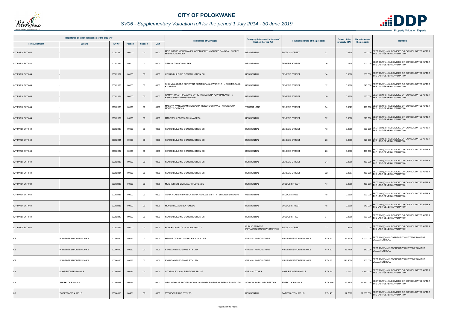

| Registered or other description of the property<br>Erf Nr<br><b>Town Allotment</b><br><b>Suburb</b><br><b>Portion</b><br><b>Section</b> |                                |          |       |        |      |                                                                                   | Category determined in terms of                           | Physical address of the property                | <b>Extent of the</b> | <b>Market value of</b><br>Remarks                                                         |
|-----------------------------------------------------------------------------------------------------------------------------------------|--------------------------------|----------|-------|--------|------|-----------------------------------------------------------------------------------|-----------------------------------------------------------|-------------------------------------------------|----------------------|-------------------------------------------------------------------------------------------|
|                                                                                                                                         |                                |          |       |        | Unit | <b>Full Names of Owner(s)</b>                                                     | Section 8 of the Act                                      |                                                 | property (HA)        | the property                                                                              |
| <b>IVY PARK EXT 044</b>                                                                                                                 |                                | 00002820 | 00000 | $00\,$ | 0000 | MOTUBATSE MOREWANE LAYTON SERITI MAPHEFO SANDRA / SERITI<br><b>MAPHEFO SANDRA</b> | <b>RESIDENTIAL</b>                                        | <b>EXODUS STREET</b><br>22                      | 0.0308               | SECT 78(1)(c) - SUBDIVIDED OR CONSOLIDATED AFTER<br>530 000 THE LAST GENERAL VALUATION    |
| <b>IVY PARK EXT 044</b>                                                                                                                 |                                | 00002821 | 00000 | $00\,$ | 0000 | SEBOLA THABO WALTER                                                               | <b>RESIDENTIAL</b>                                        | <b>GENESIS STREET</b><br>16                     | 0.0308               | 500 000 SECT 78(1)(c) - SUBDIVIDED OR CONSOLIDATED AFTER<br>THE LAST GENERAL VALUATION    |
| <b>IVY PARK EXT 044</b>                                                                                                                 |                                | 00002822 | 00000 | $00\,$ | 0000 | KENRO BUILDING CONSTRUCTION CC                                                    | <b>RESIDENTIAL</b>                                        | <b>GENESIS STREET</b><br>14                     | 0.0300               | SECT 78(1)(c) - SUBDIVIDED OR CONSOLIDATED AFTER<br>550 000 THE LAST GENERAL VALUATION    |
| <b>IVY PARK EXT 044</b>                                                                                                                 |                                | 00002823 | 00000 | 00     | 0000 | SHAI MMAKGABO CHRISTINA SHAI MORAKA KWAPENG / SHAI MORAKA<br>KWAPENG              | <b>RESIDENTIAL</b>                                        | 12<br><b>GENESIS STREET</b>                     | 0.0300               | 540 000 SECT 78(1)(c) - SUBDIVIDED OR CONSOLIDATED AFTER<br>THE LAST GENERAL VALUATION    |
| <b>IVY PARK EXT 044</b>                                                                                                                 |                                | 00002824 | 00000 | $00\,$ | 0000 | RAMAVHONA THINAMANO CYRIL RAMAVHONA AZWIHANGWISI /<br>RAMAVHONA AZWIHANGWISI      | <b>RESIDENTIAL</b>                                        | <b>GENESIS STREET</b><br>10 <sup>1</sup>        | 0.0300               | 530 000 SECT 78(1)(c) - SUBDIVIDED OR CONSOLIDATED AFTER<br>THE LAST GENERAL VALUATION    |
| <b>IVY PARK EXT 044</b>                                                                                                                 |                                | 00002828 | 00000 | $00\,$ | 0000 | MABOYA IVAN ABRAM MAKGALOA MOKETE OCTAVIA / MAKGALOA<br><b>MOKETE OCTAVIA</b>     | VACANT LAND                                               | 34<br><b>GENESIS STREET</b>                     | 0.0327               | SECT 78(1)(c) - SUBDIVIDED OR CONSOLIDATED AFTER<br>170 000 THE LAST GENERAL VALUATION    |
| <b>IVY PARK EXT 044</b>                                                                                                                 |                                | 00002829 | 00000 | $00\,$ | 0000 | MABITSELA PORTIA THLAMARESA                                                       | <b>RESIDENTIAL</b>                                        | 32<br><b>GENESIS STREET</b>                     | 0.0300               | 520 000 SECT 78(1)(c) - SUBDIVIDED OR CONSOLIDATED AFTER<br>THE LAST GENERAL VALUATION    |
| <b>IVY PARK EXT 044</b>                                                                                                                 |                                | 00002830 | 00000 | 00     | 0000 | KENRO BUILDING CONSTRUCTION CC                                                    | <b>RESIDENTIAL</b>                                        | <b>GENESIS STREET</b><br>13                     | 0.0300               | 500 000 SECT 78(1)(c) - SUBDIVIDED OR CONSOLIDATED AFTER<br>THE LAST GENERAL VALUATION    |
| <b>IVY PARK EXT 044</b>                                                                                                                 |                                | 00002831 | 00000 | $00\,$ | 0000 | KENRO BUILDING CONSTRUCTION CC                                                    | <b>RESIDENTIAL</b>                                        | <b>GENESIS STREET</b><br>28                     | 0.0300               | 520 000 SECT 78(1)(c) - SUBDIVIDED OR CONSOLIDATED AFTER<br>THE LAST GENERAL VALUATION    |
| <b>IVY PARK EXT 044</b>                                                                                                                 |                                | 00002832 | 00000 | $00\,$ | 0000 | KENRO BUILDING CONSTRUCTION CC                                                    | <b>RESIDENTIAL</b>                                        | 26<br><b>GENESIS STREET</b>                     | 0.0300               | 490 000 SECT 78(1)(c) - SUBDIVIDED OR CONSOLIDATED AFTER<br>THE LAST GENERAL VALUATION    |
| <b>IVY PARK EXT 044</b>                                                                                                                 |                                | 00002833 | 00000 | $00\,$ | 0000 | KENRO BUILDING CONSTRUCTION CC                                                    | <b>RESIDENTIAL</b>                                        | <b>GENESIS STREET</b><br>24                     | 0.0300               | 460 000 SECT 78(1)(c) - SUBDIVIDED OR CONSOLIDATED AFTER<br>THE LAST GENERAL VALUATION    |
| IVY PARK EXT 044                                                                                                                        |                                | 00002834 | 00000 | $00\,$ | 0000 | KENRO BUILDING CONSTRUCTION CC                                                    | <b>RESIDENTIAL</b>                                        | <b>GENESIS STREET</b><br>22                     | 0.0307               | 460 000 SECT 78(1)(c) - SUBDIVIDED OR CONSOLIDATED AFTER<br>THE LAST GENERAL VALUATION    |
| <b>IVY PARK EXT 044</b>                                                                                                                 |                                | 00002836 | 00000 | $00\,$ | 0000 | MUKHETHONI LIVHUWANI FLORENCE                                                     | <b>RESIDENTIAL</b>                                        | <b>EXODUS STREET</b><br>17                      | 0.0300               | 460 000 SECT 78(1)(c) - SUBDIVIDED OR CONSOLIDATED AFTER<br>THE LAST GENERAL VALUATION    |
| <b>IVY PARK EXT 044</b>                                                                                                                 |                                | 00002837 | 00000 | 00     | 0000 | TSHIA HLABISHI PATRICK TSHIA REFILWE GIFT / TSHIA REFILWE GIFT                    | <b>RESIDENTIAL</b>                                        | <b>EXODUS STREET</b><br>15                      | 0.0300               | 520 000 SECT 78(1)(c) - SUBDIVIDED OR CONSOLIDATED AFTER<br>THE LAST GENERAL VALUATION    |
| <b>IVY PARK EXT 044</b>                                                                                                                 |                                | 00002838 | 00000 | $00\,$ | 0000 | MOREMI KGABO BOITUMELO                                                            | <b>RESIDENTIAL</b>                                        | <b>EXODUS STREET</b><br>15                      | 0.0300               | SECT 78(1)(c) - SUBDIVIDED OR CONSOLIDATED AFTER<br>540 000<br>THE LAST GENERAL VALUATION |
| <b>IVY PARK EXT 044</b>                                                                                                                 |                                | 00002840 | 00000 | 00     | 0000 | KENRO BUILDING CONSTRUCTION CC                                                    | <b>RESIDENTIAL</b>                                        | <b>EXODUS STREET</b><br>9                       | 0.0300               | SECT 78(1)(c) - SUBDIVIDED OR CONSOLIDATED AFTER<br>530 000 THE LAST GENERAL VALUATION    |
| <b>IVY PARK EXT 044</b>                                                                                                                 |                                | 00002841 | 00000 | $00\,$ | 0000 | POLOKWANE LOCAL MUNICIPALITY                                                      | <b>PUBLIC SERVICE</b><br><b>INFRASTRUCTURE PROPERTIES</b> | <b>EXODUS STREET</b><br>11                      | 0.8618               | 1 000 SECT 78(1)(c) - SUBDIVIDED OR CONSOLIDATED AFTER<br>THE LAST GENERAL VALUATION      |
| KS                                                                                                                                      | <b>WILDEBEESTFONTEIN 20 KS</b> | 00000020 | 00061 | 00     | 0000 | MERWE CORNELIA FREDRIKA VAN DER                                                   | <b>FARMS - AGRICULTURE</b>                                | <b>PTN 61</b><br><b>WILDEBEESTFONTEIN 20 KS</b> | 91.9226              | 1 000 000 SECT 78(1)(a) - INCORRECTLY OMITTED FROM THE<br>VALUATION ROLL                  |
| <b>KS</b>                                                                                                                               | <b>WILDEBEESTFONTEIN 20 KS</b> | 00000020 | 00062 | $00\,$ | 0000 | EVANDA BELEGGINGS PTY LTD                                                         | <b>FARMS - AGRICULTURE</b>                                | <b>PTN 62</b><br><b>WILDEBEESTFONTEIN 20 KS</b> | 26.7108              | SECT 78(1)(a) - INCORRECTLY OMITTED FROM THE<br>340 000 VALUATION ROLL                    |
| KS                                                                                                                                      | WILDEBEESTFONTEIN 20 KS        | 00000020 | 00063 | $00\,$ | 0000 | EVANDA BELEGGINGS PTY LTD                                                         | <b>FARMS - AGRICULTURE</b>                                | <b>PTN 63</b><br>WILDEBEESTFONTEIN 20 KS        | 145.4020             | 700 000 SECT 78(1)(a) - INCORRECTLY OMITTED FROM THE<br>VALUATION ROLL                    |
| LS                                                                                                                                      | KOPPIEFONTEIN 686 LS           | 00000686 | 00025 | $00\,$ | 0000 | UITSPAN RYLAAN EIENDOMS TRUST                                                     | <b>FARMS - OTHER</b>                                      | KOPPIEFONTEIN 686 LS<br><b>PTN 25</b>           | 4.1412               | 5 360 000 SECT 78(1)(c) - SUBDIVIDED OR CONSOLIDATED AFTER<br>THE LAST GENERAL VALUATION  |
| LS                                                                                                                                      | STERKLOOP 688 LS               | 00000688 | 00466 | $00\,$ | 0000 | GROUNDBASE PROFESSIONAL LAND DEVELOPMENT SERVICES PTY LTD                         | <b>AGRICULTURAL PROPERTIES</b>                            | STERKLOOP 688 LS<br><b>PTN 466</b>              | 12.4825              | 15 760 000 SECT 78(1)(c) - SUBDIVIDED OR CONSOLIDATED AFTER<br>THE LAST GENERAL VALUATION |
|                                                                                                                                         | <b>TWEEFONTEIN 915 LS</b>      | 00000915 | 00431 | $00\,$ | 0000 | YSOCON PROP PTY LTD                                                               | <b>RESIDENTIAL</b>                                        | <b>PTN 431</b><br><b>TWEEFONTEIN 915 LS</b>     | 17.7802              | SECT 78(1)(c) - SUBDIVIDED OR CONSOLIDATED AFTER<br>22 500 000 THE LAST GENERAL VALUATION |

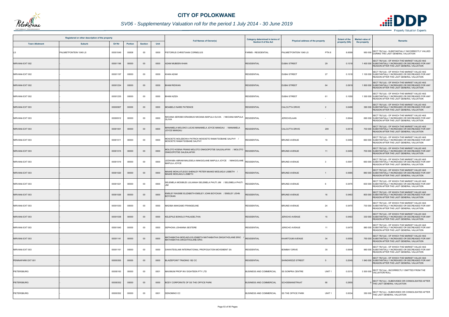

# *SV06 - Supplementary Valuation roll for the period 1 July 2014 - 30 June 2019*

|                       | Registered or other description of the property |          |                |                |      |                                                                                            | Category determined in terms of |                                                | <b>Extent of the</b> | <b>Market value of</b>                                                                                                                             |
|-----------------------|-------------------------------------------------|----------|----------------|----------------|------|--------------------------------------------------------------------------------------------|---------------------------------|------------------------------------------------|----------------------|----------------------------------------------------------------------------------------------------------------------------------------------------|
| <b>Town Allotment</b> | <b>Suburb</b>                                   | Erf Nr   | <b>Portion</b> | <b>Section</b> | Unit | <b>Full Names of Owner(s)</b>                                                              | <b>Section 8 of the Act</b>     | Physical address of the property               | property (HA)        | <b>Remarks</b><br>the property                                                                                                                     |
| LS                    | PALMIETFONTEIN 1049 LS                          | 00001049 | 00008          | $00\,$         | 0000 | PISTORIUS CHRISTIAAN CORNELIUS                                                             | <b>FARMS - RESIDENTIAL</b>      | PALMIETFONTEIN 1049 LS<br>PTN 8                | 8.6599               | SECT 78(1)(e) - SUBSTANTIALLY INCORRECTLY VALUED<br>950 000 DURING THE LAST GENERAL VALUATION                                                      |
| NIRVANA EXT 002       |                                                 | 00001196 | 00000          | $00\,$         | 0000 | ADAM MUBEEN KHAN                                                                           | <b>RESIDENTIAL</b>              | <b>DUBAI STREET</b><br>29                      | 0.1018               | SECT 78(1)(d) - OF WHICH THE MARKET VALUE HAS<br>1 400 000 SUBSTANTIALLY INCREASED OR DECREASED FOR ANY<br>REASON AFTER THE LAST GENERAL VALUATION |
| NIRVANA EXT 002       |                                                 | 00001197 | 00000          | $00\,$         | 0000 | <b>KHAN AZAM</b>                                                                           | <b>RESIDENTIAL</b>              | 27<br><b>DUBAI STREET</b>                      | 0.1018               | SECT 78(1)(d) - OF WHICH THE MARKET VALUE HAS<br>1 100 000 SUBSTANTIALLY INCREASED OR DECREASED FOR ANY<br>REASON AFTER THE LAST GENERAL VALUATION |
| NIRVANA EXT 002       |                                                 | 00001234 | 00000          | $00\,$         | 0000 | <b>HAM RIDWAN</b>                                                                          | <b>RESIDENTIAL</b>              | <b>DUBAI STREET</b><br>64                      | 0.0919               | SECT 78(1)(d) - OF WHICH THE MARKET VALUE HAS<br>1 800 000 SUBSTANTIALLY INCREASED OR DECREASED FOR ANY<br>REASON AFTER THE LAST GENERAL VALUATION |
| NIRVANA EXT 002       |                                                 | 00001235 | 00000          | 00             | 0000 | BHAM AZIZA                                                                                 | <b>RESIDENTIAL</b>              | <b>DUBAI STREET</b><br>61                      | 0.1050               | SECT 78(1)(d) - OF WHICH THE MARKET VALUE HAS<br>1 300 000 SUBSTANTIALLY INCREASED OR DECREASED FOR ANY<br>REASON AFTER THE LAST GENERAL VALUATION |
| NIRVANA EXT 003       |                                                 | 00000907 | 00000          | 00             | 0000 | MOABELO NARE PATIENCE                                                                      | <b>RESIDENTIAL</b>              | <b>CALCUTTA DRIVE</b><br>$\overline{2}$        | 0.0488               | SECT 78(1)(d) - OF WHICH THE MARKET VALUE HAS<br>390 000 SUBSTANTIALLY INCREASED OR DECREASED FOR ANY<br>REASON AFTER THE LAST GENERAL VALUATION   |
| NIRVANA EXT 003       |                                                 | 00000912 | 00000          | $00\,$         | 0000 | VKOANA SEROBO ERASMUS NKOANA MAPULA OLIVIA / NKOANA MAPULA<br>OLIVIA                       | <b>RESIDENTIAL</b>              | <b>JERICHOLAAN</b>                             | 0.0644               | SECT 78(1)(d) - OF WHICH THE MARKET VALUE HAS<br>690 000 SUBSTANTIALLY INCREASED OR DECREASED FOR ANY<br>REASON AFTER THE LAST GENERAL VALUATION   |
| NIRVANA EXT 003       |                                                 | 00001001 | 00000          | $00\,$         | 0000 | MANAMELA MOLOKO LUCAS MANAMELA JOYCE MANGAU / MANAMELA<br>JOYCE MANGAU                     | RESIDENTIAL                     | <b>CALCUTTA DRIVE</b><br>209                   | 0.0518               | SECT 78(1)(d) - OF WHICH THE MARKET VALUE HAS<br>730 000 SUBSTANTIALLY INCREASED OR DECREASED FOR ANY<br>REASON AFTER THE LAST GENERAL VALUATION   |
| NIRVANA EXT 003       |                                                 | 00001011 | 00000          | $00\,$         | 0000 | MOSOETE MOLEBOWA PATRICK MOSOETE RAMATSOBANE SALPHY /<br>MOSOETE RAMATSOBANE SALPHY        | RESIDENTIAL                     | <b>BRUNEI AVENUE</b><br>19                     | 0.0450               | SECT 78(1)(d) - OF WHICH THE MARKET VALUE HAS<br>660 000 SUBSTANTIALLY INCREASED OR DECREASED FOR ANY<br>REASON AFTER THE LAST GENERAL VALUATION   |
| NIRVANA EXT 003       |                                                 | 00001015 | 00000          | $00\,$         | 0000 | MOLOTO KOENA FRANS MOLOTO ONKGOPOTSE GALEALAFIWI / MOLOTO<br>ONKGOPOTSE GALEALAFIWI        | <b>RESIDENTIAL</b>              | <b>BRUNEI AVENUE</b><br>11                     | 0.0450               | SECT 78(1)(d) - OF WHICH THE MARKET VALUE HAS<br>700 000 SUBSTANTIALLY INCREASED OR DECREASED FOR ANY<br>REASON AFTER THE LAST GENERAL VALUATION   |
| NIRVANA EXT 003       |                                                 | 00001019 | 00000          | 00             | 0000 | EDWABA ABRAM MALESELA MAKGOLANE MAPULA JOYCE / MAKGOLANE<br>MAPULA JOYCE                   | <b>RESIDENTIAL</b>              | <b>BRUNEI AVENUE</b><br>-3                     | 0.0547               | SECT 78(1)(d) - OF WHICH THE MARKET VALUE HAS<br>660 000 SUBSTANTIALLY INCREASED OR DECREASED FOR ANY<br>REASON AFTER THE LAST GENERAL VALUATION   |
| NIRVANA EXT 003       |                                                 | 00001020 | 00000          | $00\,$         | 0000 | MAAKE MOHLATLEGO SHENLEY PETER MAAKE MODJADJI LISBETH /<br>MAAKE MODJADJI LISBETH          | RESIDENTIAL                     | <b>BRUNEI AVENUE</b>                           | 0.0585               | SECT 78(1)(d) - OF WHICH THE MARKET VALUE HAS<br>880 000 SUBSTANTIALLY INCREASED OR DECREASED FOR ANY<br>REASON AFTER THE LAST GENERAL VALUATION   |
| NIRVANA EXT 003       |                                                 | 00001021 | 00000          | 00             | 0000 | SELEMELA MOSIBUDI JULIANAH SELEMELA PHUTI JIM / SELEMELA PHUTI                             | <b>RESIDENTIAL</b>              | <b>BRUNEI AVENUE</b><br>6                      | 0.0475               | SECT 78(1)(d) - OF WHICH THE MARKET VALUE HAS<br>600 000 SUBSTANTIALLY INCREASED OR DECREASED FOR ANY<br>REASON AFTER THE LAST GENERAL VALUATION   |
| NIRVANA EXT 003       |                                                 | 00001026 | 00000          | $00\,$         | 0000 | EMSLEY RAISIBE ELIZABETH EMSLEY JOHN BOYCKAN / EMSLEY JOHN<br>BOYCKAN                      | <b>RESIDENTIAL</b>              | <b>BRUNEI AVENUE</b><br>16                     | 0.0463               | SECT 78(1)(d) - OF WHICH THE MARKET VALUE HAS<br>800 000 SUBSTANTIALLY INCREASED OR DECREASED FOR ANY<br>REASON AFTER THE LAST GENERAL VALUATION   |
| NIRVANA EXT 003       |                                                 | 00001030 | 00000          | $00\,$         | 0000 | MADIBA MAKGABO FRANGELINE                                                                  | <b>RESIDENTIAL</b>              | 24<br><b>BRUNEI AVENUE</b>                     | 0.0470               | SECT 78(1)(d) - OF WHICH THE MARKET VALUE HAS<br>730 000 SUBSTANTIALLY INCREASED OR DECREASED FOR ANY<br>REASON AFTER THE LAST GENERAL VALUATION   |
| NIRVANA EXT 003       |                                                 | 00001038 | 00000          | $00\,$         | 0000 | KELEPILE BONOLO PHILADELTHIA                                                               | <b>RESIDENTIAL</b>              | JERICHO AVENUE<br>15                           | 0.0463               | SECT 78(1)(d) - OF WHICH THE MARKET VALUE HAS<br>330 000 SUBSTANTIALLY INCREASED OR DECREASED FOR ANY<br>REASON AFTER THE LAST GENERAL VALUATION   |
| NIRVANA EXT 003       |                                                 | 00001040 | 00000          | $00\,$         | 0000 | SEPHOKA JOHANNA SESTERE                                                                    | <b>RESIDENTIAL</b>              | JERICHO AVENUE<br>11                           | 0.0470               | SECT 78(1)(d) - OF WHICH THE MARKET VALUE HAS<br>880 000 SUBSTANTIALLY INCREASED OR DECREASED FOR ANY<br>REASON AFTER THE LAST GENERAL VALUATION   |
| NIRVANA EXT 003       |                                                 | 00001141 | 00000          | $00\,$         | 0000 | MATHABATHA MODJADJI ELIZABETH MATHABATHA DIKGATHOLANE ERIC<br>MATHABATHA DIKGATHOLANE ERIC | RESIDENTIAL                     | 34<br><b>KHARTOUM AVENUE</b>                   | 0.0550               | SECT 78(1)(d) - OF WHICH THE MARKET VALUE HAS<br>750 000 SUBSTANTIALLY INCREASED OR DECREASED FOR ANY<br>REASON AFTER THE LAST GENERAL VALUATION   |
| NIRVANA EXT 003       |                                                 | 00001161 | 00000          | 00             | 0000 | DAWATEISLAMI INTERNATIONAL PROPOGATION MOVEMENT SA                                         | <b>RESIDENTIAL</b>              | 35<br><b>BOMBAY DRIVE</b>                      | 0.0648               | SECT 78(1)(d) - OF WHICH THE MARKET VALUE HAS<br>960 000 SUBSTANTIALLY INCREASED OR DECREASED FOR ANY<br>REASON AFTER THE LAST GENERAL VALUATION   |
| PENINAPARK EXT 001    |                                                 | 00000355 | 00000          | $00\,$         | 0000 | BLAIZEPOINT TRADING 182 CC                                                                 | <b>RESIDENTIAL</b>              | SHINGWEDZI STREET<br>5                         | 0.2045               | SECT 78(1)(d) - OF WHICH THE MARKET VALUE HAS<br>1 840 000 SUBSTANTIALLY INCREASED OR DECREASED FOR ANY<br>REASON AFTER THE LAST GENERAL VALUATION |
| PIETERSBURG           |                                                 | 00000163 | 00000          | 00             | 0001 | MAXIMUM PROP INV EIGHTEEN PTY LTD                                                          | <b>BUSINESS AND COMMERCIAL</b>  | <b>SS SONPRA CENTRE</b><br>UNIT <sub>1</sub>   | 0.0310               | SECT 78(1)(a) - INCORRECTLY OMITTED FROM THE<br>3 300 000 VALUATION ROLL                                                                           |
| <b>PIETERSBURG</b>    |                                                 | 00000352 | 00000          | $00\,$         | 0000 | BODY CORPORATE OF SS THE OFFICE PARK                                                       | <b>BUSINESS AND COMMERCIAL</b>  | 90<br><b>SCHOEMANSTRAAT</b>                    | 0.2855               | SECT 78(1)(c) - SUBDIVIDED OR CONSOLIDATED AFTER<br>0 THE LAST GENERAL VALUATION                                                                   |
| PIETERSBURG           |                                                 | 00000352 | 00000          | $00\,$         | 0001 | DENOMINO CC                                                                                | <b>BUSINESS AND COMMERCIAL</b>  | <b>SS THE OFFICE PARK</b><br>UNIT <sub>1</sub> | 0.0034               | SECT 78(1)(c) - SUBDIVIDED OR CONSOLIDATED AFTER<br>350 000 THE LAST GENERAL VALUATION                                                             |

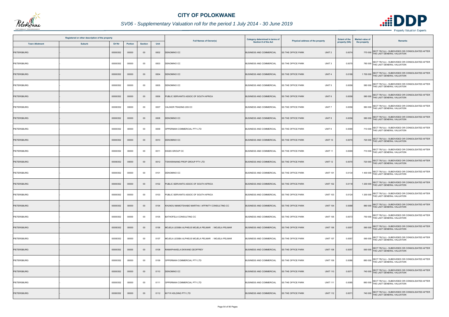

|                       | Registered or other description of the property |          |         |                |      |                                                     | <b>Category determined in terms of</b> | Physical address of the property               | <b>Extent of the</b> | <b>Market value of</b>                                                                    |
|-----------------------|-------------------------------------------------|----------|---------|----------------|------|-----------------------------------------------------|----------------------------------------|------------------------------------------------|----------------------|-------------------------------------------------------------------------------------------|
| <b>Town Allotment</b> | <b>Suburb</b>                                   | Erf Nr   | Portion | <b>Section</b> | Unit | <b>Full Names of Owner(s)</b>                       | <b>Section 8 of the Act</b>            |                                                | property (HA)        | Remarks<br>the property                                                                   |
| <b>PIETERSBURG</b>    |                                                 | 00000352 | 00000   | $00\,$         | 0002 | DENOMINO CC                                         | <b>BUSINESS AND COMMERCIAL</b>         | <b>SS THE OFFICE PARK</b><br>UNIT <sub>2</sub> | 0.0074               | 770 000 SECT 78(1)(c) - SUBDIVIDED OR CONSOLIDATED AFTER<br>THE LAST GENERAL VALUATION    |
| PIETERSBURG           |                                                 | 00000352 | 00000   | $00\,$         | 0003 | DENOMINO CC                                         | <b>BUSINESS AND COMMERCIAL</b>         | <b>SS THE OFFICE PARK</b><br>UNIT <sub>3</sub> | 0.0075               | 780 000 SECT 78(1)(c) - SUBDIVIDED OR CONSOLIDATED AFTER<br>THE LAST GENERAL VALUATION    |
| <b>PIETERSBURG</b>    |                                                 | 00000352 | 00000   | $00\,$         | 0004 | DENOMINO CC                                         | <b>BUSINESS AND COMMERCIAL</b>         | UNIT <sub>4</sub><br><b>SS THE OFFICE PARK</b> | 0.0186               | 1 700 000 SECT 78(1)(c) - SUBDIVIDED OR CONSOLIDATED AFTER<br>THE LAST GENERAL VALUATION  |
| PIETERSBURG           |                                                 | 00000352 | 00000   | $00\,$         | 0005 | DENOMINO CC                                         | <b>BUSINESS AND COMMERCIAL</b>         | SS THE OFFICE PARK<br>UNIT <sub>5</sub>        | 0.0056               | 580 000 SECT 78(1)(c) - SUBDIVIDED OR CONSOLIDATED AFTER<br>THE LAST GENERAL VALUATION    |
| <b>PIETERSBURG</b>    |                                                 | 00000352 | 00000   | $00\,$         | 0006 | PUBLIC SERVANTS ASSOC OF SOUTH AFRICA               | <b>BUSINESS AND COMMERCIAL</b>         | UNIT <sub>6</sub><br><b>SS THE OFFICE PARK</b> | 0.0056               | 580 000 SECT 78(1)(c) - SUBDIVIDED OR CONSOLIDATED AFTER<br>THE LAST GENERAL VALUATION    |
| PIETERSBURG           |                                                 | 00000352 | 00000   | $00\,$         | 0007 | VALINOR TRADING 209 CC                              | <b>BUSINESS AND COMMERCIAL</b>         | <b>SS THE OFFICE PARK</b><br>UNIT <sub>7</sub> | 0.0056               | SECT 78(1)(c) - SUBDIVIDED OR CONSOLIDATED AFTER<br>580 000 THE LAST GENERAL VALUATION    |
| PIETERSBURG           |                                                 | 00000352 | 00000   | $00\,$         | 0008 | DENOMINO CC                                         | <b>BUSINESS AND COMMERCIAL</b>         | SS THE OFFICE PARK<br>UNIT 8                   | 0.0056               | 580 000 SECT 78(1)(c) - SUBDIVIDED OR CONSOLIDATED AFTER<br>THE LAST GENERAL VALUATION    |
| PIETERSBURG           |                                                 | 00000352 | 00000   | $00\,$         | 0009 | OPPERMAN COMMERCIAL PTY LTD                         | <b>BUSINESS AND COMMERCIAL</b>         | <b>SS THE OFFICE PARK</b><br>UNIT <sub>9</sub> | 0.0069               | 710 000 SECT 78(1)(c) - SUBDIVIDED OR CONSOLIDATED AFTER<br>THE LAST GENERAL VALUATION    |
| PIETERSBURG           |                                                 | 00000352 | 00000   | $00\,$         | 0010 | DENOMINO CC                                         | <b>BUSINESS AND COMMERCIAL</b>         | <b>UNIT 10</b><br><b>SS THE OFFICE PARK</b>    | 0.0070               | 720 000 SECT 78(1)(c) - SUBDIVIDED OR CONSOLIDATED AFTER<br>THE LAST GENERAL VALUATION    |
| PIETERSBURG           |                                                 | 00000352 | 00000   | $00\,$         | 0011 | DIGES GROUP CC                                      | <b>BUSINESS AND COMMERCIAL</b>         | <b>UNIT 11</b><br><b>SS THE OFFICE PARK</b>    | 0.0069               | 710 000 SECT 78(1)(c) - SUBDIVIDED OR CONSOLIDATED AFTER<br>THE LAST GENERAL VALUATION    |
| <b>PIETERSBURG</b>    |                                                 | 00000352 | 00000   | $00\,$         | 0012 | <b>TSWARANANG PROP GROUP PTY LTD</b>                | <b>BUSINESS AND COMMERCIAL</b>         | <b>SS THE OFFICE PARK</b><br><b>UNIT 12</b>    | 0.0070               | 720 000 SECT 78(1)(c) - SUBDIVIDED OR CONSOLIDATED AFTER<br>THE LAST GENERAL VALUATION    |
| PIETERSBURG           |                                                 | 00000352 | 00000   | $00\,$         | 0101 | DENOMINO CC                                         | <b>BUSINESS AND COMMERCIAL</b>         | <b>SS THE OFFICE PARK</b><br><b>UNIT 101</b>   | 0.0134               | 1 400 000 SECT 78(1)(c) - SUBDIVIDED OR CONSOLIDATED AFTER<br>THE LAST GENERAL VALUATION  |
| <b>PIETERSBURG</b>    |                                                 | 00000352 | 00000   | $00\,$         | 0102 | PUBLIC SERVANTS ASSOC OF SOUTH AFRICA               | <b>BUSINESS AND COMMERCIAL</b>         | <b>UNIT 102</b><br><b>SS THE OFFICE PARK</b>   | 0.0118               | 1 200 000 SECT 78(1)(c) - SUBDIVIDED OR CONSOLIDATED AFTER<br>THE LAST GENERAL VALUATION  |
| PIETERSBURG           |                                                 | 00000352 | 00000   | $00\,$         | 0103 | PUBLIC SERVANTS ASSOC OF SOUTH AFRICA               | <b>BUSINESS AND COMMERCIAL</b>         | <b>SS THE OFFICE PARK</b><br><b>UNIT 103</b>   | 0.0124               | 1 200 000 SECT 78(1)(c) - SUBDIVIDED OR CONSOLIDATED AFTER<br>THE LAST GENERAL VALUATION  |
| <b>PIETERSBURG</b>    |                                                 | 00000352 | 00000   | $00\,$         | 0104 | KHUNOU MAMOTSHABO MARTHA / AFFINITY CONSULTING CC   | <b>BUSINESS AND COMMERCIAL</b>         | <b>SS THE OFFICE PARK</b><br><b>UNIT 104</b>   | 0.0088               | SECT 78(1)(c) - SUBDIVIDED OR CONSOLIDATED AFTER<br>880 000<br>THE LAST GENERAL VALUATION |
| PIETERSBURG           |                                                 | 00000352 | 00000   | $00\,$         | 0105 | BATHOFELA CONSULTING CC                             | <b>BUSINESS AND COMMERCIAL</b>         | <b>SS THE OFFICE PARK</b><br><b>UNIT 105</b>   | 0.0073               | 750 000 SECT 78(1)(c) - SUBDIVIDED OR CONSOLIDATED AFTER<br>THE LAST GENERAL VALUATION    |
| <b>PIETERSBURG</b>    |                                                 | 00000352 | 00000   | $00\,$         | 0106 | MOJELA LESIBA ALPHEUS MOJELA PELMAR / MOJELA PELMAR | <b>BUSINESS AND COMMERCIAL</b>         | <b>SS THE OFFICE PARK</b><br><b>UNIT 106</b>   | 0.0057               | 590 000 SECT 78(1)(c) - SUBDIVIDED OR CONSOLIDATED AFTER<br>THE LAST GENERAL VALUATION    |
| PIETERSBURG           |                                                 | 00000352 | 00000   | $00\,$         | 0107 | MOJELA LESIBA ALPHEUS MOJELA PELMAR / MOJELA PELMAR | <b>BUSINESS AND COMMERCIAL</b>         | <b>UNIT 107</b><br><b>SS THE OFFICE PARK</b>   | 0.0057               | 590 000 SECT 78(1)(c) - SUBDIVIDED OR CONSOLIDATED AFTER<br>THE LAST GENERAL VALUATION    |
| <b>PIETERSBURG</b>    |                                                 | 00000352 | 00000   | $00\,$         | 0108 | RAMAPHAKELA EKWANE GEOFFREY                         | <b>BUSINESS AND COMMERCIAL</b>         | <b>UNIT 108</b><br><b>SS THE OFFICE PARK</b>   | 0.0057               | SECT 78(1)(c) - SUBDIVIDED OR CONSOLIDATED AFTER<br>590 000 THE LAST GENERAL VALUATION    |
| PIETERSBURG           |                                                 | 00000352 | 00000   | $00\,$         | 0109 | OPPERMAN COMMERCIAL PTY LTD                         | <b>BUSINESS AND COMMERCIAL</b>         | <b>UNIT 109</b><br><b>SS THE OFFICE PARK</b>   | 0.0086               | 880 000 SECT 78(1)(c) - SUBDIVIDED OR CONSOLIDATED AFTER<br>THE LAST GENERAL VALUATION    |
| PIETERSBURG           |                                                 | 00000352 | 00000   | $00\,$         | 0110 | DENOMINO CC                                         | <b>BUSINESS AND COMMERCIAL</b>         | <b>SS THE OFFICE PARK</b><br><b>UNIT 110</b>   | 0.007                | 740 000 SECT 78(1)(c) - SUBDIVIDED OR CONSOLIDATED AFTER<br>THE LAST GENERAL VALUATION    |
| PIETERSBURG           |                                                 | 00000352 | 00000   | $00\,$         | 0111 | OPPERMAN COMMERCIAL PTY LTD                         | <b>BUSINESS AND COMMERCIAL</b>         | SS THE OFFICE PARK<br><b>UNIT 111</b>          | 0.0085               | 880 000 SECT 78(1)(c) - SUBDIVIDED OR CONSOLIDATED AFTER<br>THE LAST GENERAL VALUATION    |
| <b>PIETERSBURG</b>    |                                                 | 00000352 | 00000   | $00\,$         | 0112 | M P R HOLDING PTY LTD                               | <b>BUSINESS AND COMMERCIAL</b>         | <b>SS THE OFFICE PARK</b><br><b>UNIT 112</b>   | 0.0071               | SECT 78(1)(c) - SUBDIVIDED OR CONSOLIDATED AFTER<br>740 000 THE LAST GENERAL VALUATION    |

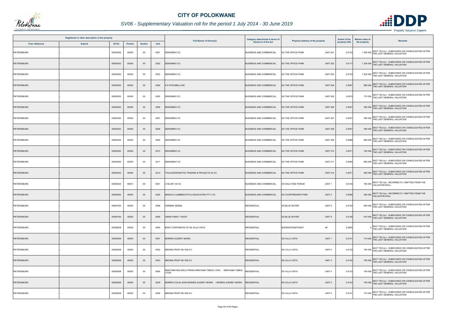

|                       | Registered or other description of the property |         |                |      |                                                                        | Category determined in terms of |                                              | <b>Extent of the</b> | <b>Market value of</b>                                                                   |
|-----------------------|-------------------------------------------------|---------|----------------|------|------------------------------------------------------------------------|---------------------------------|----------------------------------------------|----------------------|------------------------------------------------------------------------------------------|
| <b>Town Allotment</b> | <b>Suburb</b><br>Erf Nr                         | Portion | <b>Section</b> | Unit | <b>Full Names of Owner(s)</b>                                          | Section 8 of the Act            | Physical address of the property             | property (HA)        | Remarks<br>the property                                                                  |
| PIETERSBURG           | 00000352                                        | 00000   | 00             | 0201 | DENOMINO CC                                                            | <b>BUSINESS AND COMMERCIAL</b>  | <b>UNIT 201</b><br><b>SS THE OFFICE PARK</b> | 0.0133               | 1 360 000 SECT 78(1)(c) - SUBDIVIDED OR CONSOLIDATED AFTER<br>THE LAST GENERAL VALUATION |
| <b>PIETERSBURG</b>    | 00000352                                        | 00000   | $00\,$         | 0202 | DENOMINO CC                                                            | <b>BUSINESS AND COMMERCIAL</b>  | SS THE OFFICE PARK<br><b>UNIT 202</b>        | 0.0117               | 1 200 000 SECT 78(1)(c) - SUBDIVIDED OR CONSOLIDATED AFTER<br>THE LAST GENERAL VALUATION |
| <b>PIETERSBURG</b>    | 00000352                                        | 00000   | $00\,$         | 0203 | DENOMINO CC                                                            | <b>BUSINESS AND COMMERCIAL</b>  | <b>SS THE OFFICE PARK</b><br><b>UNIT 203</b> | 0.0123               | 1 200 000 SECT 78(1)(c) - SUBDIVIDED OR CONSOLIDATED AFTER<br>THE LAST GENERAL VALUATION |
| <b>PIETERSBURG</b>    | 00000352                                        | 00000   | $00\,$         | 0204 | S K NTSUMELA INC                                                       | <b>BUSINESS AND COMMERCIAL</b>  | SS THE OFFICE PARK<br><b>UNIT 204</b>        | 0.0087               | 880 000 SECT 78(1)(c) - SUBDIVIDED OR CONSOLIDATED AFTER<br>THE LAST GENERAL VALUATION   |
| PIETERSBURG           | 00000352                                        | 00000   | $00\,$         | 0205 | DENOMINO CC                                                            | <b>BUSINESS AND COMMERCIAL</b>  | <b>SS THE OFFICE PARK</b><br><b>UNIT 205</b> | 0.0074               | 770 000 SECT 78(1)(c) - SUBDIVIDED OR CONSOLIDATED AFTER<br>THE LAST GENERAL VALUATION   |
| PIETERSBURG           | 00000352                                        | 00000   | $00\,$         | 0206 | DENOMINO CC                                                            | <b>BUSINESS AND COMMERCIAL</b>  | <b>SS THE OFFICE PARK</b><br><b>UNIT 206</b> | 0.0057               | SECT 78(1)(c) - SUBDIVIDED OR CONSOLIDATED AFTER<br>590 000 THE LAST GENERAL VALUATION   |
| PIETERSBURG           | 00000352                                        | 00000   | 00             | 0207 | DENOMINO CC                                                            | <b>BUSINESS AND COMMERCIAL</b>  | <b>UNIT 207</b><br><b>SS THE OFFICE PARK</b> | 0.0057               | 590 000 SECT 78(1)(c) - SUBDIVIDED OR CONSOLIDATED AFTER<br>THE LAST GENERAL VALUATION   |
| <b>PIETERSBURG</b>    | 00000352                                        | 00000   | $00\,$         | 0208 | DENOMINO CC                                                            | <b>BUSINESS AND COMMERCIAL</b>  | <b>SS THE OFFICE PARK</b><br><b>UNIT 208</b> | 0.0057               | SECT 78(1)(c) - SUBDIVIDED OR CONSOLIDATED AFTER<br>590 000 THE LAST GENERAL VALUATION   |
| PIETERSBURG           | 00000352                                        | 00000   | $00\,$         | 0209 | DENOMINO CC                                                            | <b>BUSINESS AND COMMERCIAL</b>  | SS THE OFFICE PARK<br><b>UNIT 209</b>        | 0.0086               | 880 000 SECT 78(1)(c) - SUBDIVIDED OR CONSOLIDATED AFTER<br>THE LAST GENERAL VALUATION   |
| <b>PIETERSBURG</b>    | 00000352                                        | 00000   | $00\,$         | 0210 | DENOMINO CC                                                            | <b>BUSINESS AND COMMERCIAL</b>  | <b>UNIT 210</b><br><b>SS THE OFFICE PARK</b> | 0.0071               | 740 000 SECT 78(1)(c) - SUBDIVIDED OR CONSOLIDATED AFTER<br>THE LAST GENERAL VALUATION   |
| <b>PIETERSBURG</b>    | 00000352                                        | 00000   | $00\,$         | 0211 | DENOMINO CC                                                            | <b>BUSINESS AND COMMERCIAL</b>  | <b>SS THE OFFICE PARK</b><br><b>UNIT 211</b> | 0.0085               | 880 000 SECT 78(1)(c) - SUBDIVIDED OR CONSOLIDATED AFTER<br>THE LAST GENERAL VALUATION   |
| <b>PIETERSBURG</b>    | 00000352                                        | 00000   | $00\,$         | 0212 | THULASIZWESETHU TRADING & PROJECTS 22 CC                               | <b>BUSINESS AND COMMERCIAL</b>  | <b>UNIT 212</b><br><b>SS THE OFFICE PARK</b> | 0.0071               | 650 000 SECT 78(1)(c) - SUBDIVIDED OR CONSOLIDATED AFTER<br>THE LAST GENERAL VALUATION   |
| PIETERSBURG           | 00000523                                        | 00001   | 00             | 0001 | YALOR 130 CC.                                                          | <b>BUSINESS AND COMMERCIAL</b>  | SS SOLA FIDE FORUM<br>UNIT <sub>1</sub>      | 0.0120               | SECT 78(1)(a) - INCORRECTLY OMITTED FROM THE<br>760 000 VALUATION ROLL                   |
| <b>PIETERSBURG</b>    | 00000624                                        | 00004   | $00\,$         | 0002 | MASHILO LAMBRECHTS & ASSOCIATES PTY LTD                                | <b>BUSINESS AND COMMERCIAL</b>  | SS VOORTREKKER PARK<br>UNIT <sub>2</sub>     | 0.0066               | 360 000 SECT 78(1)(a) - INCORRECTLY OMITTED FROM THE<br>VALUATION ROLL                   |
| <b>PIETERSBURG</b>    | 00000764                                        | 00000   | 00             | 0008 | HARMSE SEEMA                                                           | <b>RESIDENTIAL</b>              | <b>SS BLUE WATER</b><br>UNIT <sub>8</sub>    | 0.0124               | SECT 78(1)(c) - SUBDIVIDED OR CONSOLIDATED AFTER<br>650 000 THE LAST GENERAL VALUATION   |
| <b>PIETERSBURG</b>    | 00000764                                        | 00000   | $00\,$         | 0009 | OMAR FAMILY TRUST                                                      | <b>RESIDENTIAL</b>              | <b>SS BLUE WATER</b><br>UNIT 9               | 0.0109               | 610 000 SECT 78(1)(c) - SUBDIVIDED OR CONSOLIDATED AFTER<br>THE LAST GENERAL VALUATION   |
| PIETERSBURG           | 00000838                                        | 00000   | 00             | 0000 | BODY CORPORATE OF SS VILLA VISTA                                       | <b>RESIDENTIAL</b>              | <b>BODENSTEINSTRAAT</b><br>48                | 0.2855               | SECT 78(1)(c) - SUBDIVIDED OR CONSOLIDATED AFTER<br>THE LAST GENERAL VALUATION           |
| <b>PIETERSBURG</b>    | 00000838                                        | 00000   | $00\,$         | 0001 | MORRIS AUDREY MOIRA                                                    | <b>RESIDENTIAL</b>              | UNIT <sub>1</sub><br>SS VILLA VISTA          | 0.0141               | 710 000 SECT 78(1)(c) - SUBDIVIDED OR CONSOLIDATED AFTER<br>THE LAST GENERAL VALUATION   |
| PIETERSBURG           | 00000838                                        | 00000   | 00             | 0002 | MEDINA PROP INV 838 CC                                                 | <b>RESIDENTIAL</b>              | UNIT <sub>2</sub><br><b>SS VILLA VISTA</b>   | 0.0132               | 700 000 SECT 78(1)(c) - SUBDIVIDED OR CONSOLIDATED AFTER<br>THE LAST GENERAL VALUATION   |
| PIETERSBURG           | 00000838                                        | 00000   | $00\,$         | 0003 | MEDINA PROP INV 838 CC                                                 | <b>RESIDENTIAL</b>              | <b>SS VILLA VISTA</b><br>UNIT <sub>3</sub>   | 0.0132               | 700 000 SECT 78(1)(c) - SUBDIVIDED OR CONSOLIDATED AFTER<br>THE LAST GENERAL VALUATION   |
| <b>PIETERSBURG</b>    | 00000838                                        | 00000   | $00\,$         | 0004 | MANYAMA MALWELA FRANS MANYAMA TABILE LYDIA _ / MANYAMA TABILE<br>YDIA. | RESIDENTIAL                     | UNIT <sub>4</sub><br>SS VILLA VISTA          | 0.0133               | 700 000 SECT 78(1)(c) - SUBDIVIDED OR CONSOLIDATED AFTER<br>THE LAST GENERAL VALUATION   |
| PIETERSBURG           | 00000838                                        | 00000   | $00\,$         | 0005 | MORRIS COLIN JOHN MORRIS AUDREY MOIRA / MORRIS AUDREY MOIRA            | <b>RESIDENTIAL</b>              | UNIT <sub>5</sub><br><b>SS VILLA VISTA</b>   | 0.0134               | 700 000 SECT 78(1)(c) - SUBDIVIDED OR CONSOLIDATED AFTER<br>THE LAST GENERAL VALUATION   |
| PIETERSBURG           | 00000838                                        | 00000   | $00\,$         | 0006 | MEDINA PROP INV 838 CC                                                 | <b>RESIDENTIAL</b>              | SS VILLA VISTA<br>UNIT <sub>6</sub>          | 0.0141               | SECT 78(1)(c) - SUBDIVIDED OR CONSOLIDATED AFTER<br>710 000 THE LAST GENERAL VALUATION   |

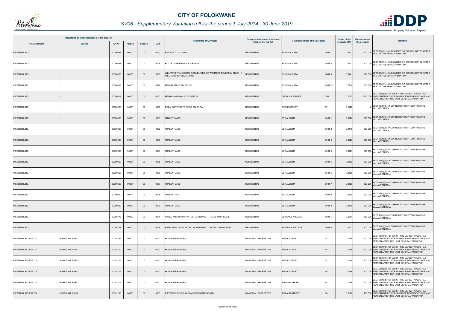

# *SV06 - Supplementary Valuation roll for the period 1 July 2014 - 30 June 2019*

|                       | Registered or other description of the property |          |                |                |      | <b>Full Names of Owner(s)</b>                                                              | Category determined in terms of | Physical address of the property            | <b>Extent of the</b> | <b>Market value of</b> | <b>Remarks</b>                                                                                                                                     |
|-----------------------|-------------------------------------------------|----------|----------------|----------------|------|--------------------------------------------------------------------------------------------|---------------------------------|---------------------------------------------|----------------------|------------------------|----------------------------------------------------------------------------------------------------------------------------------------------------|
| <b>Town Allotment</b> | <b>Suburb</b>                                   | Erf Nr   | <b>Portion</b> | <b>Section</b> | Unit |                                                                                            | Section 8 of the Act            |                                             | property (HA)        | the property           |                                                                                                                                                    |
| PIETERSBURG           |                                                 | 00000838 | 00000          | $00\,$         | 0007 | RACHIDI TLOU MARIA                                                                         | <b>RESIDENTIAL</b>              | UNIT <sub>7</sub><br><b>SS VILLA VISTA</b>  | 0.0133               |                        | 700 000 SECT 78(1)(c) - SUBDIVIDED OR CONSOLIDATED AFTER<br>THE LAST GENERAL VALUATION                                                             |
| PIETERSBURG           |                                                 | 00000838 | 00000          | $00\,$         | 0008 | KOTZE CATHRIENA MAGDELENA                                                                  | <b>RESIDENTIAL</b>              | UNIT <sub>8</sub><br><b>SS VILLA VISTA</b>  | 0.0133               |                        | 700 000 SECT 78(1)(c) - SUBDIVIDED OR CONSOLIDATED AFTER<br>THE LAST GENERAL VALUATION                                                             |
| <b>PIETERSBURG</b>    |                                                 | 00000838 | 00000          | $00\,$         | 0009 | WEIJTERS FRANSISCUS CORNELIS MARIA WEIJTERS BEVERLEY ANNE<br><b>WEIJTERS BEVERLEY ANNE</b> | RESIDENTIAL                     | UNIT <sub>9</sub><br><b>SS VILLA VISTA</b>  | 0.0141               |                        | 710 000 SECT 78(1)(c) - SUBDIVIDED OR CONSOLIDATED AFTER<br>THE LAST GENERAL VALUATION                                                             |
| <b>PIETERSBURG</b>    |                                                 | 00000838 | 00000          | $00\,$         | 0010 | MEDINA PROP INV 838 CC                                                                     | <b>RESIDENTIAL</b>              | <b>UNIT 10</b><br><b>SS VILLA VISTA</b>     | 0.0134               |                        | 700 000 SECT 78(1)(c) - SUBDIVIDED OR CONSOLIDATED AFTER<br>THE LAST GENERAL VALUATION                                                             |
| <b>PIETERSBURG</b>    |                                                 | 00000911 | 00000          | $00\,$         | 0000 | MANYAMA MOHALE ODYSSEUS                                                                    | <b>RESIDENTIAL</b>              | 53B<br><b>GROBLER STREET</b>                | 0.2087               |                        | SECT 78(1)(d) - OF WHICH THE MARKET VALUE HAS<br>5 760 000 SUBSTANTIALLY INCREASED OR DECREASED FOR ANY<br>REASON AFTER THE LAST GENERAL VALUATION |
| PIETERSBURG           |                                                 | 00000950 | 00001          | 00             | 0000 | BODY CORPORATE OF SS TALENTIA                                                              | <b>RESIDENTIAL</b>              | <b>RISSIK STREET</b><br>57                  | 0.1428               |                        | SECT 78(1)(a) - INCORRECTLY OMITTED FROM THE<br><b>VALUATION ROLL</b>                                                                              |
| <b>PIETERSBURG</b>    |                                                 | 00000950 | 00001          | $00\,$         | 0001 | TRALENTIA CC                                                                               | <b>RESIDENTIAL</b>              | <b>SS TALENTIA</b><br>UNIT <sub>1</sub>     | 0.0120               |                        | 510 000 SECT 78(1)(a) - INCORRECTLY OMITTED FROM THE<br>VALUATION ROLL                                                                             |
| PIETERSBURG           |                                                 | 00000950 | 00001          | $00\,$         | 0002 | <b>FRALENTIA CC</b>                                                                        | <b>RESIDENTIAL</b>              | <b>SS TALENTIA</b><br>UNIT <sub>2</sub>     | 0.0119               |                        | SECT 78(1)(a) - INCORRECTLY OMITTED FROM THE<br>500 000 VALUATION ROLL                                                                             |
| <b>PIETERSBURG</b>    |                                                 | 00000950 | 00001          | $00\,$         | 0003 | <b>FRALENTIA CC</b>                                                                        | <b>RESIDENTIAL</b>              | <b>SS TALENTIA</b><br>UNIT <sub>3</sub>     | 0.0120               |                        | 530 000 SECT 78(1)(a) - INCORRECTLY OMITTED FROM THE<br>VALUATION ROLL                                                                             |
| PIETERSBURG           |                                                 | 00000950 | 00001          | 00             | 0004 | <b>RALENTIA CC</b>                                                                         | <b>RESIDENTIAL</b>              | <b>SS TALENTIA</b><br>UNIT <sub>4</sub>     | 0.0127               |                        | 530 000 SECT 78(1)(a) - INCORRECTLY OMITTED FROM THE<br>VALUATION ROLL                                                                             |
| <b>PIETERSBURG</b>    |                                                 | 00000950 | 00001          | $00\,$         | 0005 | <b>TRALENTIA CC</b>                                                                        | <b>RESIDENTIAL</b>              | <b>SS TALENTIA</b><br>UNIT <sub>5</sub>     | 0.0126               |                        | 530 000 SECT 78(1)(a) - INCORRECTLY OMITTED FROM THE<br>VALUATION ROLL                                                                             |
| PIETERSBURG           |                                                 | 00000950 | 00001          | 00             | 0006 | <b>TRALENTIA CC</b>                                                                        | <b>RESIDENTIAL</b>              | <b>SS TALENTIA</b><br>UNIT <sub>6</sub>     | 0.0126               |                        | 530 000 SECT 78(1)(a) - INCORRECTLY OMITTED FROM THE<br>VALUATION ROLL                                                                             |
| <b>PIETERSBURG</b>    |                                                 | 00000950 | 00001          | $00\,$         | 0007 | TRALENTIA CC                                                                               | <b>RESIDENTIAL</b>              | <b>SS TALENTIA</b><br>UNIT <sub>7</sub>     | 0.0126               |                        | 530 000 SECT 78(1)(a) - INCORRECTLY OMITTED FROM THE<br>VALUATION ROLL                                                                             |
| PIETERSBURG           |                                                 | 00000950 | 00001          | $00\,$         | 0008 | <b>FRALENTIA CC</b>                                                                        | <b>RESIDENTIAL</b>              | <b>SS TALENTIA</b><br>UNIT 8                | 0.0126               |                        | 530 000 SECT 78(1)(a) - INCORRECTLY OMITTED FROM THE<br>VALUATION ROLL                                                                             |
| <b>PIETERSBURG</b>    |                                                 | 00000950 | 00001          | $00\,$         | 0009 | TRALENTIA CC                                                                               | <b>RESIDENTIAL</b>              | <b>SS TALENTIA</b><br>UNIT <sub>9</sub>     | 0.0129               |                        | SECT 78(1)(a) - INCORRECTLY OMITTED FROM THE<br>530 000 VALUATION ROLL                                                                             |
| PIETERSBURG           |                                                 | 00005718 | 00000          | $00\,$         | 0001 | PATEL YASMIN RAFI PATEL RAFI ISMAIL / PATEL RAFI ISMAIL                                    | <b>RESIDENTIAL</b>              | <b>SS VENUS ARCADE</b><br>UNIT <sub>1</sub> | 0.0251               |                        | 880 000 SECT 78(1)(a) - INCORRECTLY OMITTED FROM THE<br>VALUATION ROLL                                                                             |
| <b>PIETERSBURG</b>    |                                                 | 00005718 | 00000          | $00\,$         | 0008 | PATEL RAFI ISMAIL PATEL YASMIN RAFI / PATEL YASMIN RAFI                                    | <b>RESIDENTIAL</b>              | <b>SS VENUS ARCADE</b><br>UNIT <sub>8</sub> | 0.0212               |                        | 800 000 SECT 78(1)(a) - INCORRECTLY OMITTED FROM THE<br>VALUATION ROLL                                                                             |
| PIETERSBURG EXT 004   | <b>HOSPITAAL PARK</b>                           | 00001099 | 00000          | $00\,$         | 0000 | <b>MUN PIETERSBURG</b>                                                                     | MUNICIPAL PROPERTIES            | <b>RISSIK STREET</b><br>63                  | 0.1586               |                        | SECT 78(1)(d) - OF WHICH THE MARKET VALUE HAS<br>400 000 SUBSTANTIALLY INCREASED OR DECREASED FOR ANY<br>REASON AFTER THE LAST GENERAL VALUATION   |
| PIETERSBURG EXT 004   | <b>HOSPITAAL PARK</b>                           | 00001100 | 00000          | $00\,$         | 0000 | <b>MUN PIETERSBURG</b>                                                                     | MUNICIPAL PROPERTIES            | <b>RISSIK STREET</b><br>65                  | 0.1586               |                        | SECT 78(1)(d) - OF WHICH THE MARKET VALUE HAS<br>400 000 SUBSTANTIALLY INCREASED OR DECREASED FOR ANY<br>REASON AFTER THE LAST GENERAL VALUATION   |
| PIETERSBURG EXT 004   | <b>HOSPITAAL PARK</b>                           | 00001101 | 00000          | $00\,$         | 0000 | MUN PIETERSBURG                                                                            | MUNICIPAL PROPERTIES            | <b>RISSIK STREET</b><br>67                  | 0.1586               |                        | SECT 78(1)(d) - OF WHICH THE MARKET VALUE HAS<br>400 000 SUBSTANTIALLY INCREASED OR DECREASED FOR ANY<br>REASON AFTER THE LAST GENERAL VALUATION   |
| PIETERSBURG EXT 004   | <b>HOSPITAAL PARK</b>                           | 00001102 | 00000          | $00\,$         | 0000 | <b>MUN PIETERSBURG</b>                                                                     | MUNICIPAL PROPERTIES            | <b>RISSIK STREET</b><br>69                  | 0.1366               |                        | SECT 78(1)(d) - OF WHICH THE MARKET VALUE HAS<br>400 000 SUBSTANTIALLY INCREASED OR DECREASED FOR ANY<br>REASON AFTER THE LAST GENERAL VALUATION   |
| PIETERSBURG EXT 004   | <b>HOSPITAAL PARK</b>                           | 00001105 | 00000          | $00\,$         | 0000 | <b>MUN PIETERSBURG</b>                                                                     | MUNICIPAL PROPERTIES            | <b>IRELAND STREET</b><br>64                 | 0.1586               |                        | SECT 78(1)(d) - OF WHICH THE MARKET VALUE HAS<br>400 000 SUBSTANTIALLY INCREASED OR DECREASED FOR ANY<br>REASON AFTER THE LAST GENERAL VALUATION   |
| PIETERSBURG EXT 004   | <b>HOSPITAAL PARK</b>                           | 00001106 | 00000          | $00\,$         | 0000 | PIETERSBURG/POLOKWANE OORGANGSRAAD                                                         | MUNICIPAL PROPERTIES            | <b>IRELAND STREET</b><br>66                 | 0.1586               |                        | SECT 78(1)(d) - OF WHICH THE MARKET VALUE HAS<br>400 000 SUBSTANTIALLY INCREASED OR DECREASED FOR ANY<br>REASON AFTER THE LAST GENERAL VALUATION   |

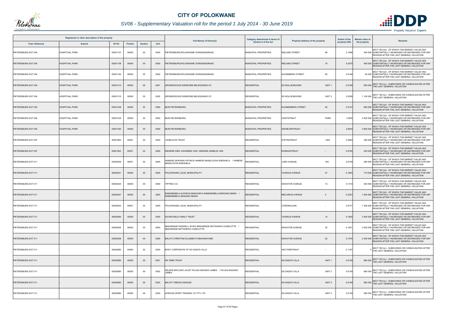

# *SV06 - Supplementary Valuation roll for the period 1 July 2014 - 30 June 2019*

|                       | Registered or other description of the property |          |                |                |      |                                                                                               | Category determined in terms of |                                             | <b>Extent of the</b> | <b>Market value of</b> |                                                                                                                                                    |
|-----------------------|-------------------------------------------------|----------|----------------|----------------|------|-----------------------------------------------------------------------------------------------|---------------------------------|---------------------------------------------|----------------------|------------------------|----------------------------------------------------------------------------------------------------------------------------------------------------|
| <b>Town Allotment</b> | <b>Suburb</b>                                   | Erf Nr   | <b>Portion</b> | <b>Section</b> | Unit | <b>Full Names of Owner(s)</b>                                                                 | Section 8 of the Act            | Physical address of the property            | property (HA)        | the property           | <b>Remarks</b>                                                                                                                                     |
| PIETERSBURG EXT 004   | <b>HOSPITAAL PARK</b>                           | 00001107 | 00000          | $00\,$         | 0000 | PIETERSBURG/POLOKWANE OORGANGSRAAD                                                            | MUNICIPAL PROPERTIES            | <b>IRELAND STREET</b><br>68                 | 0.1586               |                        | SECT 78(1)(d) - OF WHICH THE MARKET VALUE HAS<br>400 000 SUBSTANTIALLY INCREASED OR DECREASED FOR ANY<br>REASON AFTER THE LAST GENERAL VALUATION   |
| PIETERSBURG EXT 004   | <b>HOSPITAAL PARK</b>                           | 00001108 | 00000          | $00\,$         | 0000 | PIETERSBURG/POLOKWANE OORGANGSRAAD                                                            | MUNICIPAL PROPERTIES            | <b>IRELAND STREET</b><br>70                 | 0.2575               |                        | SECT 78(1)(d) - OF WHICH THE MARKET VALUE HAS<br>400 000 SUBSTANTIALLY INCREASED OR DECREASED FOR ANY<br>REASON AFTER THE LAST GENERAL VALUATION   |
| PIETERSBURG EXT 004   | <b>HOSPITAAL PARK</b>                           | 00001165 | 00000          | 00             | 0000 | PIETERSBURG/POLOKWANE OORGANGSRAAD                                                            | MUNICIPAL PROPERTIES            | 82<br><b>KLEINEBERG STREET</b>              | 0.0146               |                        | SECT 78(1)(d) - OF WHICH THE MARKET VALUE HAS<br>40 000 SUBSTANTIALLY INCREASED OR DECREASED FOR ANY<br>REASON AFTER THE LAST GENERAL VALUATION    |
| PIETERSBURG EXT 004   | <b>HOSPITAAL PARK</b>                           | 00001310 | 00000          | $00\,$         | 0001 | GRONDISGOUD EIENDOMS BELEGGINGS CC                                                            | <b>RESIDENTIAL</b>              | UNIT <sub>1</sub><br><b>SS NOLLIESEHOEK</b> | 0.0159               |                        | SECT 78(1)(c) - SUBDIVIDED OR CONSOLIDATED AFTER<br>800 000 THE LAST GENERAL VALUATION                                                             |
| PIETERSBURG EXT 004   | <b>HOSPITAAL PARK</b>                           | 00001310 | 00000          | $00\,$         | 0002 | GRONDISGOUD EIENDOMS BELEGGINGS CC                                                            | <b>RESIDENTIAL</b>              | UNIT <sub>2</sub><br><b>SS NOLLIESEHOEK</b> | 0.0258               |                        | 1 100 000 SECT 78(1)(c) - SUBDIVIDED OR CONSOLIDATED AFTER<br>THE LAST GENERAL VALUATION                                                           |
| PIETERSBURG EXT 004   | <b>HOSPITAAL PARK</b>                           | 00001338 | 00000          | $00\,$         | 0000 | MUN PIETERSBURG                                                                               | MUNICIPAL PROPERTIES            | <b>KLEINENBERG STREET</b><br>84             | 0.3147               |                        | SECT 78(1)(d) - OF WHICH THE MARKET VALUE HAS<br>800 000 SUBSTANTIALLY INCREASED OR DECREASED FOR ANY<br>REASON AFTER THE LAST GENERAL VALUATION   |
| PIETERSBURG EXT 004   | <b>HOSPITAAL PARK</b>                           | 00001339 | 00000          | 00             | 0000 | <b>MUN PIETERSBURG</b>                                                                        | <b>MUNICIPAL PROPERTIES</b>     | <b>OOSTSTRAAT</b><br><b>PARK</b>            | 1.5839               |                        | SECT 78(1)(d) - OF WHICH THE MARKET VALUE HAS<br>2 400 000 SUBSTANTIALLY INCREASED OR DECREASED FOR ANY<br>REASON AFTER THE LAST GENERAL VALUATION |
| PIETERSBURG EXT 004   | <b>HOSPITAAL PARK</b>                           | 00001340 | 00000          | $00\,$         | 0000 | <b>MUN PIETERSBURG</b>                                                                        | MUNICIPAL PROPERTIES            | <b>GROBLERSTRAAT</b>                        | 2.993                |                        | SECT 78(1)(d) - OF WHICH THE MARKET VALUE HAS<br>3 800 000 SUBSTANTIALLY INCREASED OR DECREASED FOR ANY<br>REASON AFTER THE LAST GENERAL VALUATION |
| PIETERSBURG EXT 007   |                                                 | 00001863 | 00001          | 00             | 0000 | JOHNLOUIS TRUST                                                                               | <b>RESIDENTIAL</b>              | <b>STEYNSTRAAT</b><br>120A                  | 0.0983               |                        | SECT 78(1)(d) - OF WHICH THE MARKET VALUE HAS<br>380 000 SUBSTANTIALLY INCREASED OR DECREASED FOR ANY<br>REASON AFTER THE LAST GENERAL VALUATION   |
| PIETERSBURG EXT 007   |                                                 | 00001902 | 00001          | $00\,$         | 0000 | <b>IEKERK DIRK JOHANNES VAN / NIEKERK ANNELIE VAN</b>                                         | <b>RESIDENTIAL</b>              | <b>KOENIGSTRAAT</b>                         | 0.0790               |                        | SECT 78(1)(d) - OF WHICH THE MARKET VALUE HAS<br>530 000 SUBSTANTIALLY INCREASED OR DECREASED FOR ANY<br>REASON AFTER THE LAST GENERAL VALUATION   |
| PIETERSBURG EXT 011   |                                                 | 00002509 | 00001          | 00             | 0000 | IAMESE SEAPARA PATRICK HAMESE MASELOCHA ERESHELA / HAMESE<br>MASELOCHA ERESHELA               | <b>RESIDENTIAL</b>              | <b>JUNO AVENUE</b><br>16A                   | 0.0739               |                        | SECT 78(1)(d) - OF WHICH THE MARKET VALUE HAS<br>280 000 SUBSTANTIALLY INCREASED OR DECREASED FOR ANY<br>REASON AFTER THE LAST GENERAL VALUATION   |
| PIETERSBURG EXT 011   |                                                 | 00002521 | 00000          | $00\,$         | 0000 | POLOKWANE LOCAL MUNICIPALITY                                                                  | <b>RESIDENTIAL</b>              | 27<br><b>TAURIUS AVENUE</b>                 | 0.1863               |                        | SECT 78(1)(d) - OF WHICH THE MARKET VALUE HAS<br>710 000 SUBSTANTIALLY INCREASED OR DECREASED FOR ANY<br>REASON AFTER THE LAST GENERAL VALUATION   |
| PIETERSBURG EXT 011   |                                                 | 00002525 | 00000          | $00\,$         | 0000 | TIPTRAC CC                                                                                    | <b>RESIDENTIAL</b>              | <b>EKWATOR AVENUE</b><br>14                 | 0.1419               |                        | SECT 78(1)(d) - OF WHICH THE MARKET VALUE HAS<br>540 000 SUBSTANTIALLY INCREASED OR DECREASED FOR ANY<br>REASON AFTER THE LAST GENERAL VALUATION   |
| PIETERSBURG EXT 011   |                                                 | 00002547 | 00000          | $00\,$         | 0000 | RAMAREMELA ALPHEUS MAKGONYA RAMAREMELA MOKGADI MARIA<br>RAMAREMELA MOKGADI MARIA              | <b>RESIDENTIAL</b>              | MECURIUS AVENUE<br>-4                       | 0.2223               |                        | SECT 78(1)(d) - OF WHICH THE MARKET VALUE HAS<br>1 400 000 SUBSTANTIALLY INCREASED OR DECREASED FOR ANY<br>REASON AFTER THE LAST GENERAL VALUATION |
| PIETERSBURG EXT 011   |                                                 | 00002553 | 00001          | $00\,$         | 0000 | POLOKWANE LOCAL MUNICIPALITY                                                                  | <b>RESIDENTIAL</b>              | CORONALAAN                                  | 0.0777               |                        | SECT 78(1)(d) - OF WHICH THE MARKET VALUE HAS<br>1 400 000 SUBSTANTIALLY INCREASED OR DECREASED FOR ANY<br>REASON AFTER THE LAST GENERAL VALUATION |
| PIETERSBURG EXT 011   |                                                 | 00002584 | 00000          | $00\,$         | 0000 | DICHECHELE FAMILY TRUST                                                                       | <b>RESIDENTIAL</b>              | <b>TAURIUS AVENUE</b><br>13                 | 0.1600               |                        | SECT 78(1)(d) - OF WHICH THE MARKET VALUE HAS<br>3 400 000 SUBSTANTIALLY INCREASED OR DECREASED FOR ANY<br>REASON AFTER THE LAST GENERAL VALUATION |
| PIETERSBURG EXT 011   |                                                 | 00002594 | 00000          | $00\,$         | 0000 | MAKARINGE RODWELL NYIKO MAKARINGE MOTSHEWA CHARLOTTE /<br><b>MAKARINGE MOTSHEWA CHARLOTTE</b> | RESIDENTIAL                     | 32<br><b>EKWATOR AVENUE</b>                 | 0.1551               |                        | SECT 78(1)(d) - OF WHICH THE MARKET VALUE HAS<br>2 600 000 SUBSTANTIALLY INCREASED OR DECREASED FOR ANY<br>REASON AFTER THE LAST GENERAL VALUATION |
| PIETERSBURG EXT 011   |                                                 | 00002598 | 00000          | $00\,$         | 0000 | BALOYI CHRISTINA ELIZABETH MASHIANYANE                                                        | <b>RESIDENTIAL</b>              | <b>EKWATOR AVENUE</b><br>22                 | 0.1575               |                        | SECT 78(1)(d) - OF WHICH THE MARKET VALUE HAS<br>2 300 000 SUBSTANTIALLY INCREASED OR DECREASED FOR ANY<br>REASON AFTER THE LAST GENERAL VALUATION |
| PIETERSBURG EXT 011   |                                                 | 00002680 | 00000          | 00             | 0000 | BODY CORPORATE OF SS DADA'S VILLA                                                             | <b>RESIDENTIAL</b>              | <b>HECTORSTRAAT</b><br>$\sim$               | 0.1167               |                        | SECT 78(1)(c) - SUBDIVIDED OR CONSOLIDATED AFTER<br>THE LAST GENERAL VALUATION                                                                     |
| PIETERSBURG EXT 011   |                                                 | 00002680 | 00000          | $00\,$         | 0001 | <b>KR TEMA TRUST</b>                                                                          | <b>RESIDENTIAL</b>              | <b>SS DADA'S VILLA</b><br>UNIT <sub>1</sub> | 0.0159               |                        | 960 000 SECT 78(1)(c) - SUBDIVIDED OR CONSOLIDATED AFTER<br>THE LAST GENERAL VALUATION                                                             |
| PIETERSBURG EXT 011   |                                                 | 00002680 | 00000          | $00\,$         | 0002 | SELEPE MATLISHI JULIET PILUSA NGOAKO JAMES / PILUSA NGOAKO<br><b>JAMES</b>                    | <b>RESIDENTIAL</b>              | <b>SS DADA'S VILLA</b><br>UNIT <sub>2</sub> | 0.0159               |                        | 960 000 SECT 78(1)(c) - SUBDIVIDED OR CONSOLIDATED AFTER<br>THE LAST GENERAL VALUATION                                                             |
| PIETERSBURG EXT 011   |                                                 | 00002680 | 00000          | $00\,$         | 0003 | <b>BALOYI TEBOGO MAGGIE</b>                                                                   | <b>RESIDENTIAL</b>              | UNIT <sub>3</sub><br><b>SS DADA'S VILLA</b> | 0.0159               |                        | 960 000 SECT 78(1)(c) - SUBDIVIDED OR CONSOLIDATED AFTER<br>THE LAST GENERAL VALUATION                                                             |
| PIETERSBURG EXT 011   |                                                 | 00002680 | 00000          | $00\,$         | 0004 | AFRICAN SPIRIT TRADING 121 PTY LTD                                                            | <b>RESIDENTIAL</b>              | <b>SS DADA'S VILLA</b><br>UNIT <sub>4</sub> | 0.0159               |                        | SECT 78(1)(c) - SUBDIVIDED OR CONSOLIDATED AFTER<br>960 000 THE LAST GENERAL VALUATION                                                             |

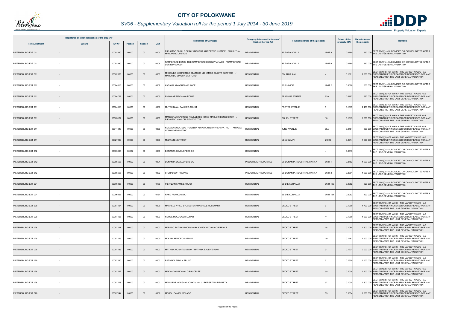

# *SV06 - Supplementary Valuation roll for the period 1 July 2014 - 30 June 2019*

|                       | Registered or other description of the property |          |                |                |      |                                                                                       | Category determined in terms of |                                                          | <b>Extent of the</b> | <b>Market value of</b>                                                                                                                             |
|-----------------------|-------------------------------------------------|----------|----------------|----------------|------|---------------------------------------------------------------------------------------|---------------------------------|----------------------------------------------------------|----------------------|----------------------------------------------------------------------------------------------------------------------------------------------------|
| <b>Town Allotment</b> | <b>Suburb</b>                                   | Erf Nr   | <b>Portion</b> | <b>Section</b> | Unit | <b>Full Names of Owner(s)</b>                                                         | Section 8 of the Act            | Physical address of the property                         | property (HA)        | <b>Remarks</b><br>the property                                                                                                                     |
| PIETERSBURG EXT 011   |                                                 | 00002680 | 00000          | $00\,$         | 0005 | RIKHOTSO SINDILE GINNY MASUTHA MAROPENG JUSTICE / MASUTHA<br><b>MAROPENG JUSTICE</b>  | <b>RESIDENTIAL</b>              | <b>SS DADA'S VILLA</b><br>UNIT <sub>5</sub>              | 0.0160               | 960 000 SECT 78(1)(c) - SUBDIVIDED OR CONSOLIDATED AFTER<br>THE LAST GENERAL VALUATION                                                             |
| PIETERSBURG EXT 011   |                                                 | 00002680 | 00000          | $00\,$         | 0006 | RAMPERSAD DENISHREE RAMPERSAD DERIN PRAKASH / RAMPERSAD<br><b>DERIN PRAKASH</b>       | <b>RESIDENTIAL</b>              | UNIT <sub>6</sub><br><b>SS DADA'S VILLA</b>              | 0.0160               | 960 000 SECT 78(1)(c) - SUBDIVIDED OR CONSOLIDATED AFTER<br>THE LAST GENERAL VALUATION                                                             |
| PIETERSBURG EXT 011   |                                                 | 00002683 | 00000          | $00\,$         | 0000 | MKHOMBO MAMRETELE BEATRICE MKHOMBO SINGITA CLIFFORD /<br>MKHOMBO SINGITA CLIFFORD     | <b>RESIDENTIAL</b>              | POLARISLAAN                                              | 0.160'               | SECT 78(1)(d) - OF WHICH THE MARKET VALUE HAS<br>2 800 000 SUBSTANTIALLY INCREASED OR DECREASED FOR ANY<br>REASON AFTER THE LAST GENERAL VALUATION |
| PIETERSBURG EXT 011   |                                                 | 00004015 | 00000          | $00\,$         | 0002 | KADIAKA MMASHELA EUNICE                                                               | <b>RESIDENTIAL</b>              | UNIT <sub>2</sub><br><b>SS CHINICK</b>                   | 0.0090               | SECT 78(1)(c) - SUBDIVIDED OR CONSOLIDATED AFTER<br>500 000 THE LAST GENERAL VALUATION                                                             |
| PIETERSBURG EXT 011   |                                                 | 00004762 | 00001          | $00\,$         | 0000 | PHOKANE MACHAKA ROBIE                                                                 | <b>RESIDENTIAL</b>              | <b>ERASMUS STREET</b><br>92A                             | 0.0487               | SECT 78(1)(d) - OF WHICH THE MARKET VALUE HAS<br>880 000 SUBSTANTIALLY INCREASED OR DECREASED FOR ANY<br>REASON AFTER THE LAST GENERAL VALUATION   |
| PIETERSBURG EXT 011   |                                                 | 00004916 | 00000          | 00             | 0000 | MUTSHINYALI SAKKIE'S TRUST                                                            | <b>RESIDENTIAL</b>              | PROTEA AVENUE<br>5                                       | 0.1315               | SECT 78(1)(d) - OF WHICH THE MARKET VALUE HAS<br>2 400 000 SUBSTANTIALLY INCREASED OR DECREASED FOR ANY<br>REASON AFTER THE LAST GENERAL VALUATION |
| PIETERSBURG EXT 011   |                                                 | 00005122 | 00000          | $00\,$         | 0000 | MANGENA MAPOTENE NEVILLE RIKHOTSO MAHLORI BENEDICTOR /<br>RIKHOTSO MAHLORI BENEDICTOR | <b>RESIDENTIAL</b>              | <b>COHEN STREET</b><br>10                                | 0.1013               | SECT 78(1)(d) - OF WHICH THE MARKET VALUE HAS<br>1 800 000 SUBSTANTIALLY INCREASED OR DECREASED FOR ANY<br>REASON AFTER THE LAST GENERAL VALUATION |
| PIETERSBURG EXT 011   |                                                 | 00011940 | 00000          | $00\,$         | 0000 | KUTAMA MOLATELO THABITHA KUTAMA NTSHAVHENI PATRIC / KUTAMA<br>NTSHAVHENI PATRIC       | RESIDENTIAL                     | 38A<br><b>JUNO AVENUE</b>                                | 0.0784               | SECT 78(1)(d) - OF WHICH THE MARKET VALUE HAS<br>800 000 SUBSTANTIALLY INCREASED OR DECREASED FOR ANY<br>REASON AFTER THE LAST GENERAL VALUATION   |
| PIETERSBURG EXT 011   |                                                 | 00027229 | 00000          | $00\,$         | 0000 | <b>MMAPATENG TRUST</b>                                                                | <b>RESIDENTIAL</b>              | 27229<br><b>VENUSLAAN</b>                                | 0.2914               | SECT 78(1)(d) - OF WHICH THE MARKET VALUE HAS<br>7 000 000 SUBSTANTIALLY INCREASED OR DECREASED FOR ANY<br>REASON AFTER THE LAST GENERAL VALUATION |
| PIETERSBURG EXT 012   |                                                 | 00005666 | 00002          | $00\,$         | 0000 | BONANZA DEVELOPERS CC                                                                 | <b>RESIDENTIAL</b>              |                                                          | 0.981                | SECT 78(1)(c) - SUBDIVIDED OR CONSOLIDATED AFTER<br>THE LAST GENERAL VALUATION                                                                     |
| PIETERSBURG EXT 012   |                                                 | 00005666 | 00002          | $00\,$         | 0001 | <b>BONANZA DEVELOPERS CC</b>                                                          | <b>INDUSTRIAL PROPERTIES</b>    | UNIT <sub>1</sub><br>SS BONANZA INDUSTRIAL PARK A        | 0.2782               | 1 000 000 SECT 78(1)(c) - SUBDIVIDED OR CONSOLIDATED AFTER<br>THE LAST GENERAL VALUATION                                                           |
| PIETERSBURG EXT 012   |                                                 | 00005666 | 00002          | 00             | 0002 | STERKLOOP PROP CC                                                                     | <b>INDUSTRIAL PROPERTIES</b>    | UNIT <sub>2</sub><br><b>SS BONANZA INDUSTRIAL PARK A</b> | 0.2301               | 1 000 000 SECT 78(1)(c) - SUBDIVIDED OR CONSOLIDATED AFTER<br>THE LAST GENERAL VALUATION                                                           |
| PIETERSBURG EXT 024   |                                                 | 00006427 | 00000          | $00\,$         | 0180 | PIET QUIN FAMILIE TRUST                                                               | <b>RESIDENTIAL</b>              | <b>UNIT 180</b><br>SS DIE KORAAL 2                       | 0.0082               | SECT 78(1)(c) - SUBDIVIDED OR CONSOLIDATED AFTER<br>620 000 THE LAST GENERAL VALUATION                                                             |
| PIETERSBURG EXT 024   |                                                 | 00006427 | 00000          | 00             | 0181 | <b>RAND FRANCOIS DU</b>                                                               | <b>RESIDENTIAL</b>              | <b>SS DIE KORAAL 2</b><br><b>UNIT 181</b>                | 0.0052               | 420 000 SECT 78(1)(c) - SUBDIVIDED OR CONSOLIDATED AFTER<br>THE LAST GENERAL VALUATION                                                             |
| PIETERSBURG EXT 028   |                                                 | 00007124 | 00000          | $00\,$         | 0000 | MASHELE NYIKO SYLVESTER / MASHELE ROSEMARY                                            | <b>RESIDENTIAL</b>              | <b>GECKO STREET</b><br>9                                 | 0.1000               | SECT 78(1)(d) - OF WHICH THE MARKET VALUE HAS<br>1 700 000 SUBSTANTIALLY INCREASED OR DECREASED FOR ANY<br>REASON AFTER THE LAST GENERAL VALUATION |
| PIETERSBURG EXT 028   |                                                 | 00007125 | 00000          | 00             | 0000 | KGOBE MOLOGADI FLORAH                                                                 | <b>RESIDENTIAL</b>              | 11<br><b>GECKO STREET</b>                                | 0.1000               | SECT 78(1)(d) - OF WHICH THE MARKET VALUE HAS<br>1 200 000 SUBSTANTIALLY INCREASED OR DECREASED FOR ANY<br>REASON AFTER THE LAST GENERAL VALUATION |
| PIETERSBURG EXT 028   |                                                 | 00007127 | 00000          | $00\,$         | 0000 | MABASO PAT PHILIMON / MABASO NGOAKOANA CLERENCE                                       | <b>RESIDENTIAL</b>              | <b>GECKO STREET</b><br>15                                | 0.1094               | SECT 78(1)(d) - OF WHICH THE MARKET VALUE HAS<br>1 800 000 SUBSTANTIALLY INCREASED OR DECREASED FOR ANY<br>REASON AFTER THE LAST GENERAL VALUATION |
| PIETERSBURG EXT 028   |                                                 | 00007129 | 00000          | 00             | 0000 | MODIBA MANOKO SABRINA                                                                 | <b>RESIDENTIAL</b>              | 19<br><b>GECKO STREET</b>                                | 0.1482               | SECT 78(1)(d) - OF WHICH THE MARKET VALUE HAS<br>1 500 000 SUBSTANTIALLY INCREASED OR DECREASED FOR ANY<br>REASON AFTER THE LAST GENERAL VALUATION |
| PIETERSBURG EXT 028   |                                                 | 00007135 | 00000          | $00\,$         | 0000 | MATHIBA MOSHITA SIMON / MATHIBA BALEIYE RIAH                                          | <b>RESIDENTIAL</b>              | <b>GECKO STREET</b><br>31                                | 0.1221               | SECT 78(1)(d) - OF WHICH THE MARKET VALUE HAS<br>2 000 000 SUBSTANTIALLY INCREASED OR DECREASED FOR ANY<br>REASON AFTER THE LAST GENERAL VALUATION |
| PIETERSBURG EXT 028   |                                                 | 00007140 | 00000          | 00             | 0000 | RATSAKA FAMILY TRUST                                                                  | <b>RESIDENTIAL</b>              | 51<br><b>GECKO STREET</b>                                | 0.0600               | SECT 78(1)(d) - OF WHICH THE MARKET VALUE HAS<br>1 500 000 SUBSTANTIALLY INCREASED OR DECREASED FOR ANY<br>REASON AFTER THE LAST GENERAL VALUATION |
| PIETERSBURG EXT 028   |                                                 | 00007142 | 00000          | $00\,$         | 0000 | MAKHADO MUDANALO BRUCELEE                                                             | <b>RESIDENTIAL</b>              | 55<br><b>GECKO STREET</b>                                | 0.1034               | SECT 78(1)(d) - OF WHICH THE MARKET VALUE HAS<br>1 700 000 SUBSTANTIALLY INCREASED OR DECREASED FOR ANY<br>REASON AFTER THE LAST GENERAL VALUATION |
| PIETERSBURG EXT 028   |                                                 | 00007143 | 00000          | 00             | 0000 | MALULEKE VONGANI SOPHY / MALULEKE GEZANI BENNETH                                      | <b>RESIDENTIAL</b>              | 57<br><b>GECKO STREET</b>                                | 0.1034               | SECT 78(1)(d) - OF WHICH THE MARKET VALUE HAS<br>1 800 000 SUBSTANTIALLY INCREASED OR DECREASED FOR ANY<br>REASON AFTER THE LAST GENERAL VALUATION |
| PIETERSBURG EXT 028   |                                                 | 00007144 | 00000          | $00\,$         | 0000 | MOKOU DANIEL MOLAPO                                                                   | <b>RESIDENTIAL</b>              | <b>GECKO STREET</b><br>59                                | 0.1034               | SECT 78(1)(d) - OF WHICH THE MARKET VALUE HAS<br>1 300 000 SUBSTANTIALLY INCREASED OR DECREASED FOR ANY<br>REASON AFTER THE LAST GENERAL VALUATION |

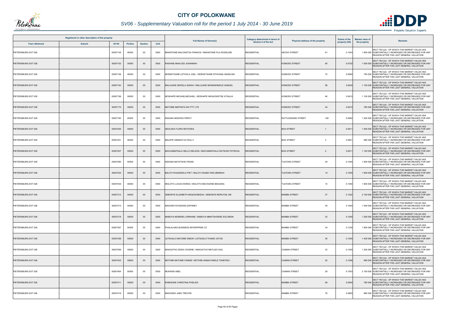

# *SV06 - Supplementary Valuation roll for the period 1 July 2014 - 30 June 2019*

|                       | Registered or other description of the property |          |                |                |      |                                                            | Category determined in terms of |                                     | <b>Extent of the</b> | <b>Market value of</b> |                                                                                                                                                    |
|-----------------------|-------------------------------------------------|----------|----------------|----------------|------|------------------------------------------------------------|---------------------------------|-------------------------------------|----------------------|------------------------|----------------------------------------------------------------------------------------------------------------------------------------------------|
| <b>Town Allotment</b> | <b>Suburb</b>                                   | Erf Nr   | <b>Portion</b> | <b>Section</b> | Unit | <b>Full Names of Owner(s)</b>                              | <b>Section 8 of the Act</b>     | Physical address of the property    | property (HA)        | the property           | <b>Remarks</b>                                                                                                                                     |
| PIETERSBURG EXT 028   |                                                 | 00007145 | 00000          | $00\,$         | 0000 | MAKINTANE MALOANTOA FRANCIS / MAKINTANE FILA ROSELINE      | <b>RESIDENTIAL</b>              | <b>GECKO STREET</b><br>61           | 0.1034               |                        | SECT 78(1)(d) - OF WHICH THE MARKET VALUE HAS<br>1 800 000 SUBSTANTIALLY INCREASED OR DECREASED FOR ANY<br>REASON AFTER THE LAST GENERAL VALUATION |
| PIETERSBURG EXT 028   |                                                 | 00007152 | 00000          | $00\,$         | 0000 | RAWANE MAHLODI JOHANNAH                                    | <b>RESIDENTIAL</b>              | <b>KOMODO STREET</b><br>80          | 0.0720               |                        | SECT 78(1)(d) - OF WHICH THE MARKET VALUE HAS<br>1 500 000 SUBSTANTIALLY INCREASED OR DECREASED FOR ANY<br>REASON AFTER THE LAST GENERAL VALUATION |
| PIETERSBURG EXT 028   |                                                 | 00007156 | 00000          | $00\,$         | 0000 | MOEKETSANE LETHOLA JOEL / MOEKETSANE NTHOANA ANGELINA      | <b>RESIDENTIAL</b>              | 72<br><b>KOMODO STREET</b>          | 0.0690               |                        | SECT 78(1)(d) - OF WHICH THE MARKET VALUE HAS<br>750 000 SUBSTANTIALLY INCREASED OR DECREASED FOR ANY<br>REASON AFTER THE LAST GENERAL VALUATION   |
| PIETERSBURG EXT 028   |                                                 | 00007163 | 00000          | $00\,$         | 0000 | MALULEKE SEWELA SARAH / MALULEKE MONANDIMOLE SAMUEL        | <b>RESIDENTIAL</b>              | <b>KOMODO STREET</b><br>58          | 0.0630               |                        | SECT 78(1)(d) - OF WHICH THE MARKET VALUE HAS<br>1 100 000 SUBSTANTIALLY INCREASED OR DECREASED FOR ANY<br>REASON AFTER THE LAST GENERAL VALUATION |
| PIETERSBURG EXT 028   |                                                 | 00007169 | 00000          | 00             | 0000 | MOSHAPE MICHAELMICHAEL / MOSHAPE NKGAOWETSE ATHALIA        | <b>RESIDENTIAL</b>              | <b>KOMODO STREET</b><br>46          | 0.0615               |                        | SECT 78(1)(d) - OF WHICH THE MARKET VALUE HAS<br>1 100 000 SUBSTANTIALLY INCREASED OR DECREASED FOR ANY<br>REASON AFTER THE LAST GENERAL VALUATION |
| PIETERSBURG EXT 028   |                                                 | 00007170 | 00000          | $00\,$         | 0000 | MATOME MAPONYA INV PTY LTD                                 | <b>RESIDENTIAL</b>              | <b>KOMODO STREET</b><br>44          | 0.0615               |                        | SECT 78(1)(d) - OF WHICH THE MARKET VALUE HAS<br>780 000 SUBSTANTIALLY INCREASED OR DECREASED FOR ANY<br>REASON AFTER THE LAST GENERAL VALUATION   |
| PIETERSBURG EXT 028   |                                                 | 00007190 | 00000          | 00             | 0000 | KEKANA MOKOKO PERCY                                        | <b>RESIDENTIAL</b>              | RATTLESNAKE STREET<br>106           | 0.0600               |                        | SECT 78(1)(d) - OF WHICH THE MARKET VALUE HAS<br>1 200 000 SUBSTANTIALLY INCREASED OR DECREASED FOR ANY<br>REASON AFTER THE LAST GENERAL VALUATION |
| PIETERSBURG EXT 028   |                                                 | 00007200 | 00000          | $00\,$         | 0000 | SEHLOKA FLORA MOTHOKA                                      | <b>RESIDENTIAL</b>              | <b>BOA STREET</b>                   | 0.061                |                        | SECT 78(1)(d) - OF WHICH THE MARKET VALUE HAS<br>1 500 000 SUBSTANTIALLY INCREASED OR DECREASED FOR ANY<br>REASON AFTER THE LAST GENERAL VALUATION |
| PIETERSBURG EXT 028   |                                                 | 00007201 | 00000          | $00\,$         | 0000 | MALEPE DIMAKATJO DOLLY                                     | <b>RESIDENTIAL</b>              | <b>BOA STREET</b><br>- 3            | 0.060 <sup>4</sup>   |                        | SECT 78(1)(d) - OF WHICH THE MARKET VALUE HAS<br>880 000 SUBSTANTIALLY INCREASED OR DECREASED FOR ANY<br>REASON AFTER THE LAST GENERAL VALUATION   |
| PIETERSBURG EXT 028   |                                                 | 00007207 | 00000          | $00\,$         | 0000 | MACHABAPHALA SELLO NELSON / MACHABAPHALA RATSHIDI PATRICIA | <b>RESIDENTIAL</b>              | <b>BOA STREET</b><br>$\overline{2}$ | 0.061                |                        | SECT 78(1)(d) - OF WHICH THE MARKET VALUE HAS<br>1 100 000 SUBSTANTIALLY INCREASED OR DECREASED FOR ANY<br>REASON AFTER THE LAST GENERAL VALUATION |
| PIETERSBURG EXT 028   |                                                 | 00007285 | 00000          | $00\,$         | 0000 | <b>KEKANA MATATSHE FRANS</b>                               | <b>RESIDENTIAL</b>              | 25<br><b>TUATARA STREET</b>         | 0.1000               |                        | SECT 78(1)(d) - OF WHICH THE MARKET VALUE HAS<br>1 800 000 SUBSTANTIALLY INCREASED OR DECREASED FOR ANY<br>REASON AFTER THE LAST GENERAL VALUATION |
| PIETERSBURG EXT 028   |                                                 | 00007302 | 00000          | $00\,$         | 0000 | BALOYI KHAZAMOLA PIET / BALOYI KGABO WELHEMINAH            | <b>RESIDENTIAL</b>              | <b>TUATARA STREET</b><br>10         | 0.1000               |                        | SECT 78(1)(d) - OF WHICH THE MARKET VALUE HAS<br>1 800 000 SUBSTANTIALLY INCREASED OR DECREASED FOR ANY<br>REASON AFTER THE LAST GENERAL VALUATION |
| PIETERSBURG EXT 028   |                                                 | 00007304 | 00000          | 00             | 0000 | MOLOTO LUCAS KWENA / MOLOTO MACHUENE BEGGINA               | <b>RESIDENTIAL</b>              | <b>TUATARA STREET</b><br>14         | 0.1000               |                        | SECT 78(1)(d) - OF WHICH THE MARKET VALUE HAS<br>1 900 000 SUBSTANTIALLY INCREASED OR DECREASED FOR ANY<br>REASON AFTER THE LAST GENERAL VALUATION |
| PIETERSBURG EXT 028   |                                                 | 00007312 | 00000          | $00\,$         | 0000 | SEBONYE ELIZABETH NKQOGOBISHA / SEBONYE MORUTSE JIM        | <b>RESIDENTIAL</b>              | 37<br><b>MAMBA STREET</b>           | 0.1022               |                        | SECT 78(1)(d) - OF WHICH THE MARKET VALUE HAS<br>2 100 000 SUBSTANTIALLY INCREASED OR DECREASED FOR ANY<br>REASON AFTER THE LAST GENERAL VALUATION |
| PIETERSBURG EXT 028   |                                                 | 00007313 | 00000          | 00             | 0000 | MAGORO NYADZANI DAPHNEY                                    | <b>RESIDENTIAL</b>              | 35<br><b>MAMBA STREET</b>           | 0.1000               |                        | SECT 78(1)(d) - OF WHICH THE MARKET VALUE HAS<br>1 400 000 SUBSTANTIALLY INCREASED OR DECREASED FOR ANY<br>REASON AFTER THE LAST GENERAL VALUATION |
| PIETERSBURG EXT 028   |                                                 | 00007319 | 00000          | $00\,$         | 0000 | MABOYA MONENE LORRAINE / MABOYA MMATSHOENE SOLOMON         | <b>RESIDENTIAL</b>              | 23<br><b>MAMBA STREET</b>           | 0.1000               |                        | SECT 78(1)(d) - OF WHICH THE MARKET VALUE HAS<br>1 200 000 SUBSTANTIALLY INCREASED OR DECREASED FOR ANY<br>REASON AFTER THE LAST GENERAL VALUATION |
| PIETERSBURG EXT 028   |                                                 | 00007357 | 00000          | 00             | 0000 | PHALALANG BUSINESS ENTERPRISE CC                           | <b>RESIDENTIAL</b>              | <b>MAMBA STREET</b><br>34           | 0.1330               |                        | SECT 78(1)(d) - OF WHICH THE MARKET VALUE HAS<br>1 800 000 SUBSTANTIALLY INCREASED OR DECREASED FOR ANY<br>REASON AFTER THE LAST GENERAL VALUATION |
| PIETERSBURG EXT 028   |                                                 | 00007358 | 00000          | $00\,$         | 0000 | LETSOALO MATOME SIMON / LETSOALO THANDI JOYCE              | <b>RESIDENTIAL</b>              | <b>MAMBA STREET</b><br>36           | 0.1000               |                        | SECT 78(1)(d) - OF WHICH THE MARKET VALUE HAS<br>1 400 000 SUBSTANTIALLY INCREASED OR DECREASED FOR ANY<br>REASON AFTER THE LAST GENERAL VALUATION |
| PIETERSBURG EXT 028   |                                                 | 00007369 | 00000          | 00             | 0000 | MAKGATHO DESIA CHOENE / MAKGATHO MATLADI GAIL              | <b>RESIDENTIAL</b>              | 33<br><b>CAIMAN STREET</b>          | 0.1000               |                        | SECT 78(1)(d) - OF WHICH THE MARKET VALUE HAS<br>1 200 000 SUBSTANTIALLY INCREASED OR DECREASED FOR ANY<br>REASON AFTER THE LAST GENERAL VALUATION |
| PIETERSBURG EXT 028   |                                                 | 00007403 | 00000          | $00\,$         | 0000 | MOTHIBI MATOME FANNIE / MOTHIBI ANNAH NKELE TSHEPISO       | <b>RESIDENTIAL</b>              | 22<br><b>CAIMAN STREET</b>          | 0.1006               |                        | SECT 78(1)(d) - OF WHICH THE MARKET VALUE HAS<br>960 000 SUBSTANTIALLY INCREASED OR DECREASED FOR ANY<br>REASON AFTER THE LAST GENERAL VALUATION   |
| PIETERSBURG EXT 028   |                                                 | 00007404 | 00000          | $00\,$         | 0000 | <b>MUKANSI ABEL</b>                                        | <b>RESIDENTIAL</b>              | 26<br><b>CAIMAN STREET</b>          | 0.1053               |                        | SECT 78(1)(d) - OF WHICH THE MARKET VALUE HAS<br>2 100 000 SUBSTANTIALLY INCREASED OR DECREASED FOR ANY<br>REASON AFTER THE LAST GENERAL VALUATION |
| PIETERSBURG EXT 028   |                                                 | 00007411 | 00000          | $00\,$         | 0000 | RAMODIKE CHRISTINA PHELADI                                 | <b>RESIDENTIAL</b>              | <b>MAMBA STREET</b><br>66           | 0.0945               |                        | SECT 78(1)(d) - OF WHICH THE MARKET VALUE HAS<br>780 000 SUBSTANTIALLY INCREASED OR DECREASED FOR ANY<br>REASON AFTER THE LAST GENERAL VALUATION   |
| PIETERSBURG EXT 028   |                                                 | 00007416 | 00000          | 00             | 0000 | MASONDO JABU TREVOR                                        | <b>RESIDENTIAL</b>              | <b>MAMBA STREET</b><br>76           | 0.0805               |                        | SECT 78(1)(d) - OF WHICH THE MARKET VALUE HAS<br>880 000 SUBSTANTIALLY INCREASED OR DECREASED FOR ANY<br>REASON AFTER THE LAST GENERAL VALUATION   |

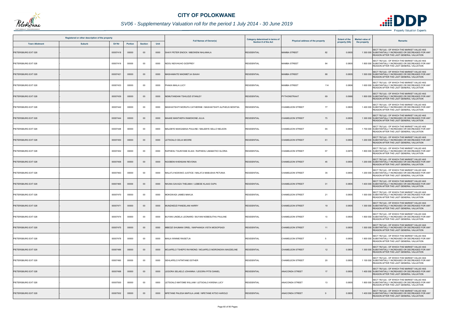

# *SV06 - Supplementary Valuation roll for the period 1 July 2014 - 30 June 2019*

| Registered or other description of the property |               |          |                |                |      |                                                             | Category determined in terms of | Physical address of the property | <b>Extent of the</b> | <b>Market value of</b><br>Remarks                                                                                                                  |
|-------------------------------------------------|---------------|----------|----------------|----------------|------|-------------------------------------------------------------|---------------------------------|----------------------------------|----------------------|----------------------------------------------------------------------------------------------------------------------------------------------------|
| <b>Town Allotment</b>                           | <b>Suburb</b> | Erf Nr   | <b>Portion</b> | <b>Section</b> | Unit | <b>Full Names of Owner(s)</b>                               | <b>Section 8 of the Act</b>     |                                  | property (HA)        | the property                                                                                                                                       |
| PIETERSBURG EXT 028                             |               | 00007418 | 00000          | $00\,$         | 0000 | SHAYI PETER ENOCK / MBOWENI NHLANHLA                        | <b>RESIDENTIAL</b>              | <b>MAMBA STREET</b><br>82        | 0.080                | SECT 78(1)(d) - OF WHICH THE MARKET VALUE HAS<br>1 300 000 SUBSTANTIALLY INCREASED OR DECREASED FOR ANY<br>REASON AFTER THE LAST GENERAL VALUATION |
| PIETERSBURG EXT 028                             |               | 00007419 | 00000          | 00             | 0000 | NDOU NDIVHUHO GODFREY                                       | <b>RESIDENTIAL</b>              | <b>MAMBA STREET</b><br>84        | 0.0805               | SECT 78(1)(d) - OF WHICH THE MARKET VALUE HAS<br>1 800 000 SUBSTANTIALLY INCREASED OR DECREASED FOR ANY<br>REASON AFTER THE LAST GENERAL VALUATION |
| PIETERSBURG EXT 028                             |               | 00007421 | 00000          | $00\,$         | 0000 | MASHAMAITE MADIMETJA ISAIAH                                 | <b>RESIDENTIAL</b>              | <b>MAMBA STREET</b><br>88        | 0.0805               | SECT 78(1)(d) - OF WHICH THE MARKET VALUE HAS<br>1 500 000 SUBSTANTIALLY INCREASED OR DECREASED FOR ANY<br>REASON AFTER THE LAST GENERAL VALUATION |
| PIETERSBURG EXT 028                             |               | 00007433 | 00000          | 00             | 0000 | PHAKA MAILA LUCY                                            | <b>RESIDENTIAL</b>              | <b>MAMBA STREET</b><br>114       | 0.0806               | SECT 78(1)(d) - OF WHICH THE MARKET VALUE HAS<br>1 600 000 SUBSTANTIALLY INCREASED OR DECREASED FOR ANY<br>REASON AFTER THE LAST GENERAL VALUATION |
| PIETERSBURG EXT 028                             |               | 00007439 | 00000          | $00\,$         | 0000 | NEMUTANDANI TSHILIDZI STANLEY                               | <b>RESIDENTIAL</b>              | PYTHONSTRAAT<br>69               | 0.0966               | SECT 78(1)(d) - OF WHICH THE MARKET VALUE HAS<br>1 800 000 SUBSTANTIALLY INCREASED OR DECREASED FOR ANY<br>REASON AFTER THE LAST GENERAL VALUATION |
| PIETERSBURG EXT 028                             |               | 00007442 | 00000          | 00             | 0000 | MASHIATSHITI MORUFA CATHERINE / MASHIATSHITI ALPHEUS MONTSA | <b>RESIDENTIAL</b>              | <b>CHAMELEON STREET</b><br>77    | 0.0805               | SECT 78(1)(d) - OF WHICH THE MARKET VALUE HAS<br>1 400 000 SUBSTANTIALLY INCREASED OR DECREASED FOR ANY<br>REASON AFTER THE LAST GENERAL VALUATION |
| PIETERSBURG EXT 028                             |               | 00007444 | 00000          | $00\,$         | 0000 | MAAKE MANTHEPA RAMOKONE JULIA                               | <b>RESIDENTIAL</b>              | <b>CHAMELEON STREET</b><br>73    | 0.0805               | SECT 78(1)(d) - OF WHICH THE MARKET VALUE HAS<br>1 300 000 SUBSTANTIALLY INCREASED OR DECREASED FOR ANY<br>REASON AFTER THE LAST GENERAL VALUATION |
| PIETERSBURG EXT 028                             |               | 00007448 | 00000          | 00             | 0000 | MALEBYE MAKGABISA PAULINE / MALEBYE SELLO NELSON            | <b>RESIDENTIAL</b>              | 65<br><b>CHAMELEON STREET</b>    | 0.080                | SECT 78(1)(d) - OF WHICH THE MARKET VALUE HAS<br>1 700 000 SUBSTANTIALLY INCREASED OR DECREASED FOR ANY<br>REASON AFTER THE LAST GENERAL VALUATION |
| PIETERSBURG EXT 028                             |               | 00007450 | 00000          | $00\,$         | 0000 | LETSOALO CELIA MOORE                                        | <b>RESIDENTIAL</b>              | <b>CHAMELEON STREET</b><br>61    | 0.0805               | SECT 78(1)(d) - OF WHICH THE MARKET VALUE HAS<br>1 200 000 SUBSTANTIALLY INCREASED OR DECREASED FOR ANY<br>REASON AFTER THE LAST GENERAL VALUATION |
| PIETERSBURG EXT 028                             |               | 00007452 | 00000          | 00             | 0000 | RAPHESU TAUNYANE ELIAS / RAPHESU LIBABATKO GLORIA           | <b>RESIDENTIAL</b>              | 57<br><b>CHAMELEON STREET</b>    | 0.0875               | SECT 78(1)(d) - OF WHICH THE MARKET VALUE HAS<br>1 800 000 SUBSTANTIALLY INCREASED OR DECREASED FOR ANY<br>REASON AFTER THE LAST GENERAL VALUATION |
| PIETERSBURG EXT 028                             |               | 00007458 | 00000          | $00\,$         | 0000 | NGOBENI KHENSANI REVONIA                                    | <b>RESIDENTIAL</b>              | <b>CHAMELEON STREET</b><br>45    | 0.0805               | SECT 78(1)(d) - OF WHICH THE MARKET VALUE HAS<br>1 200 000 SUBSTANTIALLY INCREASED OR DECREASED FOR ANY<br>REASON AFTER THE LAST GENERAL VALUATION |
| PIETERSBURG EXT 028                             |               | 00007463 | 00000          | 00             | 0000 | MALATJI NGWAKO JUSTICE / MALATJI MABUSHA PETUNIA            | <b>RESIDENTIAL</b>              | <b>CHAMELEON STREET</b><br>35    | 0.0805               | SECT 78(1)(d) - OF WHICH THE MARKET VALUE HAS<br>1 200 000 SUBSTANTIALLY INCREASED OR DECREASED FOR ANY<br>REASON AFTER THE LAST GENERAL VALUATION |
| PIETERSBURG EXT 028                             |               | 00007465 | 00000          | $00\,$         | 0000 | NKUNA GAVAZA THELMAH / LEBESE KLAAS OUPA                    | <b>RESIDENTIAL</b>              | <b>CHAMELEON STREET</b><br>31    | 0.0805               | SECT 78(1)(d) - OF WHICH THE MARKET VALUE HAS<br>1 400 000 SUBSTANTIALLY INCREASED OR DECREASED FOR ANY<br>REASON AFTER THE LAST GENERAL VALUATION |
| PIETERSBURG EXT 028                             |               | 00007470 | 00000          | 00             | 0000 | MOKGWADI JAMES MAKUA                                        | <b>RESIDENTIAL</b>              | <b>CHAMELEON STREET</b><br>21    | 0.080                | SECT 78(1)(d) - OF WHICH THE MARKET VALUE HAS<br>1 500 000 SUBSTANTIALLY INCREASED OR DECREASED FOR ANY<br>REASON AFTER THE LAST GENERAL VALUATION |
| PIETERSBURG EXT 028                             |               | 00007471 | 00000          | $00\,$         | 0000 | MUNZHEDZI PANDELANI HARRY                                   | <b>RESIDENTIAL</b>              | <b>CHAMELEON STREET</b><br>19    | 0.0805               | SECT 78(1)(d) - OF WHICH THE MARKET VALUE HAS<br>1 300 000 SUBSTANTIALLY INCREASED OR DECREASED FOR ANY<br>REASON AFTER THE LAST GENERAL VALUATION |
| PIETERSBURG EXT 028                             |               | 00007474 | 00000          | 00             | 0000 | BUYANI LINDELA LEONARD / BUYANI NOBESUTHU PAULINE           | <b>RESIDENTIAL</b>              | <b>CHAMELEON STREET</b><br>13    | 0.0805               | SECT 78(1)(d) - OF WHICH THE MARKET VALUE HAS<br>1 800 000 SUBSTANTIALLY INCREASED OR DECREASED FOR ANY<br>REASON AFTER THE LAST GENERAL VALUATION |
| PIETERSBURG EXT 028                             |               | 00007475 | 00000          | $00\,$         | 0000 | MBEDZI SHUMANI ORIEL / MAPHANGA VISTA MOSOPSADI             | <b>RESIDENTIAL</b>              | <b>CHAMELEON STREET</b><br>11    | 0.0805               | SECT 78(1)(d) - OF WHICH THE MARKET VALUE HAS<br>1 500 000 SUBSTANTIALLY INCREASED OR DECREASED FOR ANY<br>REASON AFTER THE LAST GENERAL VALUATION |
| PIETERSBURG EXT 028                             |               | 00007478 | 00000          | 00             | 0000 | MAILA WINNIE RAISETJA                                       | <b>RESIDENTIAL</b>              | <b>CHAMELEON STREET</b><br>-5    | 0.0805               | SECT 78(1)(d) - OF WHICH THE MARKET VALUE HAS<br>1 800 000 SUBSTANTIALLY INCREASED OR DECREASED FOR ANY<br>REASON AFTER THE LAST GENERAL VALUATION |
| PIETERSBURG EXT 028                             |               | 00007486 | 00000          | $00\,$         | 0000 | MOJAPELO TSHEPO RAYMOND / MOJAPELO MORONGWA MAGDELINE       | <b>RESIDENTIAL</b>              | <b>CHAMELEON STREET</b><br>12    | 0.0805               | SECT 78(1)(d) - OF WHICH THE MARKET VALUE HAS<br>1 300 000 SUBSTANTIALLY INCREASED OR DECREASED FOR ANY<br>REASON AFTER THE LAST GENERAL VALUATION |
| PIETERSBURG EXT 028                             |               | 00007490 | 00000          | 00             | 0000 | SEHLAPELO NTINTANE ESTHER                                   | <b>RESIDENTIAL</b>              | <b>CHAMELEON STREET</b><br>20    | 0.0805               | SECT 78(1)(d) - OF WHICH THE MARKET VALUE HAS<br>1 100 000 SUBSTANTIALLY INCREASED OR DECREASED FOR ANY<br>REASON AFTER THE LAST GENERAL VALUATION |
| PIETERSBURG EXT 028                             |               | 00007498 | 00000          | $00\,$         | 0000 | LEGORA SELAELO JOHANNA / LEGORA PITSI DANIEL                | <b>RESIDENTIAL</b>              | <b>ANACONDA STREET</b><br>17     | 0.080                | SECT 78(1)(d) - OF WHICH THE MARKET VALUE HAS<br>1 400 000 SUBSTANTIALLY INCREASED OR DECREASED FOR ANY<br>REASON AFTER THE LAST GENERAL VALUATION |
| PIETERSBURG EXT 028                             |               | 00007500 | 00000          | $00\,$         | 0000 | LETSOALO MATOME WILLIAM / LETSOALO KWENA LUCY               | <b>RESIDENTIAL</b>              | 13<br>ANACONDA STREET            | 0.0805               | SECT 78(1)(d) - OF WHICH THE MARKET VALUE HAS<br>1 800 000 SUBSTANTIALLY INCREASED OR DECREASED FOR ANY<br>REASON AFTER THE LAST GENERAL VALUATION |
| PIETERSBURG EXT 028                             |               | 00007502 | 00000          | $00\,$         | 0000 | MFETANE PALESA MAPULA JANE / MFETANE KITSO HAROLD           | <b>RESIDENTIAL</b>              | <b>ANACONDA STREET</b>           | 0.0805               | SECT 78(1)(d) - OF WHICH THE MARKET VALUE HAS<br>1 400 000 SUBSTANTIALLY INCREASED OR DECREASED FOR ANY<br>REASON AFTER THE LAST GENERAL VALUATION |

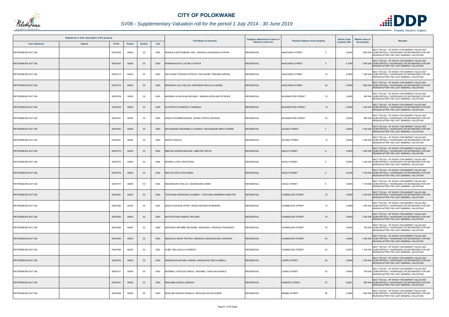

# *SV06 - Supplementary Valuation roll for the period 1 July 2014 - 30 June 2019*

|                       | Registered or other description of the property |          |                |                |      | <b>Full Names of Owner(s)</b>                         | Category determined in terms of | Physical address of the property  | <b>Extent of the</b> | <b>Market value of</b> | <b>Remarks</b>                                                                                                                                     |
|-----------------------|-------------------------------------------------|----------|----------------|----------------|------|-------------------------------------------------------|---------------------------------|-----------------------------------|----------------------|------------------------|----------------------------------------------------------------------------------------------------------------------------------------------------|
| <b>Town Allotment</b> | <b>Suburb</b>                                   | Erf Nr   | <b>Portion</b> | <b>Section</b> | Unit |                                                       | <b>Section 8 of the Act</b>     |                                   | property (HA)        | the property           |                                                                                                                                                    |
| PIETERSBURG EXT 028   |                                                 | 00007505 | 00000          | $00\,$         | 0000 | MOSEHLA MOTSOBANE JOEL / MOSEHLA NGWNASHA SOPHIA      | <b>RESIDENTIAL</b>              | <b>ANACONDA STREET</b><br>3       | 0.0805               |                        | SECT 78(1)(d) - OF WHICH THE MARKET VALUE HAS<br>1 800 000 SUBSTANTIALLY INCREASED OR DECREASED FOR ANY<br>REASON AFTER THE LAST GENERAL VALUATION |
| PIETERSBURG EXT 028   |                                                 | 00007507 | 00000          | $00\,$         | 0000 | RAMAKOKOVHU LUFUNO CYNTHIA                            | <b>RESIDENTIAL</b>              | ANACONDA STREET<br>$\overline{2}$ | 0.1095               |                        | SECT 78(1)(d) - OF WHICH THE MARKET VALUE HAS<br>1 800 000 SUBSTANTIALLY INCREASED OR DECREASED FOR ANY<br>REASON AFTER THE LAST GENERAL VALUATION |
| PIETERSBURG EXT 028   |                                                 | 00007513 | 00000          | 00             | 0000 | MATUKANE TSAKANI PATRICIA / MATUKANE TSEKANE EZEKIEL  | <b>RESIDENTIAL</b>              | <b>ANACONDA STREET</b><br>16      | 0.0805               |                        | SECT 78(1)(d) - OF WHICH THE MARKET VALUE HAS<br>1 300 000 SUBSTANTIALLY INCREASED OR DECREASED FOR ANY<br>REASON AFTER THE LAST GENERAL VALUATION |
| PIETERSBURG EXT 028   |                                                 | 00007515 | 00000          | $00\,$         | 0000 | MOKOENA LALA HELLEN / MOKOENA SEHLOLA SAMUEL          | <b>RESIDENTIAL</b>              | <b>ANACONDA STREET</b><br>20      | 0.0805               |                        | SECT 78(1)(d) - OF WHICH THE MARKET VALUE HAS<br>1 800 000 SUBSTANTIALLY INCREASED OR DECREASED FOR ANY<br>REASON AFTER THE LAST GENERAL VALUATION |
| PIETERSBURG EXT 028   |                                                 | 00007539 | 00000          | $00\,$         | 0000 | MARINGA HLAWULANI MICHAEL / MABASA MIYELANI PATIENCE  | <b>RESIDENTIAL</b>              | <b>BUSHMASTER STREET</b><br>16    | 0.0805               |                        | SECT 78(1)(d) - OF WHICH THE MARKET VALUE HAS<br>560 000 SUBSTANTIALLY INCREASED OR DECREASED FOR ANY<br>REASON AFTER THE LAST GENERAL VALUATION   |
| PIETERSBURG EXT 028   |                                                 | 00007540 | 00000          | $00\,$         | 0000 | HLATSWAYO SAMKELE THANDEKA                            | <b>RESIDENTIAL</b>              | <b>BUSHMASTER STREET</b><br>18    | 0.0805               |                        | SECT 78(1)(d) - OF WHICH THE MARKET VALUE HAS<br>1 400 000 SUBSTANTIALLY INCREASED OR DECREASED FOR ANY<br>REASON AFTER THE LAST GENERAL VALUATION |
| PIETERSBURG EXT 028   |                                                 | 00007541 | 00000          | $00\,$         | 0000 | SINGO NTHOMENI MOSES / BUDELI PORTIA ZWANGA           | <b>RESIDENTIAL</b>              | 20<br><b>BUSHMASTER STREET</b>    | 0.0805               |                        | SECT 78(1)(d) - OF WHICH THE MARKET VALUE HAS<br>880 000 SUBSTANTIALLY INCREASED OR DECREASED FOR ANY<br>REASON AFTER THE LAST GENERAL VALUATION   |
| PIETERSBURG EXT 028   |                                                 | 00007552 | 00000          | $00\,$         | 0000 | RACHAMOSE MADIDIMALO CHARLIE / RACHAMOSE MANTI DORMA  | <b>RESIDENTIAL</b>              | <b>IGUANA STREET</b>              | 0.080                |                        | SECT 78(1)(d) - OF WHICH THE MARKET VALUE HAS<br>1 400 000 SUBSTANTIALLY INCREASED OR DECREASED FOR ANY<br>REASON AFTER THE LAST GENERAL VALUATION |
| PIETERSBURG EXT 028   |                                                 | 00007561 | 00000          | 00             | 0000 | SERITE DAKALO                                         | <b>RESIDENTIAL</b>              | <b>IGUANA STREET</b><br>12        | 0.0805               |                        | SECT 78(1)(d) - OF WHICH THE MARKET VALUE HAS<br>1 400 000 SUBSTANTIALLY INCREASED OR DECREASED FOR ANY<br>REASON AFTER THE LAST GENERAL VALUATION |
| PIETERSBURG EXT 028   |                                                 | 00007570 | 00000          | $00\,$         | 0000 | MBETSE GODWIN BAFANA / MBETSE PORTIA                  | <b>RESIDENTIAL</b>              | <b>ANOLE STREET</b>               | 0.0805               |                        | SECT 78(1)(d) - OF WHICH THE MARKET VALUE HAS<br>1 600 000 SUBSTANTIALLY INCREASED OR DECREASED FOR ANY<br>REASON AFTER THE LAST GENERAL VALUATION |
| PIETERSBURG EXT 028   |                                                 | 00007573 | 00000          | 00             | 0000 | MODIBA LOVEY ADOLPHINA                                | <b>RESIDENTIAL</b>              | <b>ANOLE STREET</b><br>3          | 0.0805               |                        | SECT 78(1)(d) - OF WHICH THE MARKET VALUE HAS<br>1 500 000 SUBSTANTIALLY INCREASED OR DECREASED FOR ANY<br>REASON AFTER THE LAST GENERAL VALUATION |
| PIETERSBURG EXT 028   |                                                 | 00007576 | 00000          | $00\,$         | 0000 | MATLOU MOTLATSO RIENA                                 | <b>RESIDENTIAL</b>              | <b>ANOLE STREET</b>               | 0.0785               |                        | SECT 78(1)(d) - OF WHICH THE MARKET VALUE HAS<br>1 700 000 SUBSTANTIALLY INCREASED OR DECREASED FOR ANY<br>REASON AFTER THE LAST GENERAL VALUATION |
| PIETERSBURG EXT 028   |                                                 | 00007577 | 00000          | 00             | 0000 | MAZENGURA FIDELLIS / MAZENGURA ANNIE                  | <b>RESIDENTIAL</b>              | ANOLE STREET                      | 0.0805               |                        | SECT 78(1)(d) - OF WHICH THE MARKET VALUE HAS<br>1 100 000 SUBSTANTIALLY INCREASED OR DECREASED FOR ANY<br>REASON AFTER THE LAST GENERAL VALUATION |
| PIETERSBURG EXT 028   |                                                 | 00007581 | 00000          | $00\,$         | 0000 | THATHANA MORAKANA CLEMENT / THATHANA GERMINAH SEBUTSE | <b>RESIDENTIAL</b>              | <b>CHAMELEON STREET</b><br>72     | 0.0805               |                        | SECT 78(1)(d) - OF WHICH THE MARKET VALUE HAS<br>1 200 000 SUBSTANTIALLY INCREASED OR DECREASED FOR ANY<br>REASON AFTER THE LAST GENERAL VALUATION |
| PIETERSBURG EXT 028   |                                                 | 00007582 | 00000          | $00\,$         | 0000 | MOAGI KGALEKE RYKIE / MOAGI MATENA ROSEMARY           | <b>RESIDENTIAL</b>              | 74<br><b>CHAMELEON STREET</b>     | 0.0805               |                        | SECT 78(1)(d) - OF WHICH THE MARKET VALUE HAS<br>1 400 000 SUBSTANTIALLY INCREASED OR DECREASED FOR ANY<br>REASON AFTER THE LAST GENERAL VALUATION |
| PIETERSBURG EXT 028   |                                                 | 00007583 | 00000          | $00\,$         | 0000 | MOTHOTOANA SAMUEL MOLAMO                              | <b>RESIDENTIAL</b>              | <b>CHAMELEON STREET</b><br>76     | 0.0805               |                        | SECT 78(1)(d) - OF WHICH THE MARKET VALUE HAS<br>1 300 000 SUBSTANTIALLY INCREASED OR DECREASED FOR ANY<br>REASON AFTER THE LAST GENERAL VALUATION |
| PIETERSBURG EXT 028   |                                                 | 00007584 | 00000          | 00             | 0000 | MAKONDO MATIMBA REYNARD / MAKONDO LUNGISILE PRUDANCE  | <b>RESIDENTIAL</b>              | 78<br><b>CHAMELEON STREET</b>     | 0.0805               |                        | SECT 78(1)(d) - OF WHICH THE MARKET VALUE HAS<br>720 000 SUBSTANTIALLY INCREASED OR DECREASED FOR ANY<br>REASON AFTER THE LAST GENERAL VALUATION   |
| PIETERSBURG EXT 028   |                                                 | 00007585 | 00000          | $00\,$         | 0000 | BENDLELA MAITE TROYDA / BENDLELA NDAKAQUANA JOHNSON   | <b>RESIDENTIAL</b>              | 80<br><b>CHAMELEON STREET</b>     | 0.0805               |                        | SECT 78(1)(d) - OF WHICH THE MARKET VALUE HAS<br>1 400 000 SUBSTANTIALLY INCREASED OR DECREASED FOR ANY<br>REASON AFTER THE LAST GENERAL VALUATION |
| PIETERSBURG EXT 028   |                                                 | 00007586 | 00000          | 00             | 0000 | DUBE TSELAGALE ELIZABETH                              | <b>RESIDENTIAL</b>              | 82<br><b>CHAMELEON STREET</b>     | 0.0873               |                        | SECT 78(1)(d) - OF WHICH THE MARKET VALUE HAS<br>1 300 000 SUBSTANTIALLY INCREASED OR DECREASED FOR ANY<br>REASON AFTER THE LAST GENERAL VALUATION |
| PIETERSBURG EXT 028   |                                                 | 00007603 | 00000          | $00\,$         | 0000 | MANGANYE MICHAEL KWENA / MANGANYE ONICA KOBELA        | <b>RESIDENTIAL</b>              | 26<br><b>LIZARD STREET</b>        | 0.0600               |                        | SECT 78(1)(d) - OF WHICH THE MARKET VALUE HAS<br>1 200 000 SUBSTANTIALLY INCREASED OR DECREASED FOR ANY<br>REASON AFTER THE LAST GENERAL VALUATION |
| PIETERSBURG EXT 028   |                                                 | 00007611 | 00000          | $00\,$         | 0000 | MUDIMELI TSHILIDZI GRACE / MUDIMELI TAKALANI RONALD   | <b>RESIDENTIAL</b>              | <b>LIZARD STREET</b><br>42        | 0.0605               |                        | SECT 78(1)(d) - OF WHICH THE MARKET VALUE HAS<br>700 000 SUBSTANTIALLY INCREASED OR DECREASED FOR ANY<br>REASON AFTER THE LAST GENERAL VALUATION   |
| PIETERSBURG EXT 028   |                                                 | 00007631 | 00000          | $00\,$         | 0000 | MAKGABA DISEGO JERIDAH                                | <b>RESIDENTIAL</b>              | 37<br><b>KOMODO STREET</b>        | 0.062                |                        | SECT 78(1)(d) - OF WHICH THE MARKET VALUE HAS<br>800 000 SUBSTANTIALLY INCREASED OR DECREASED FOR ANY<br>REASON AFTER THE LAST GENERAL VALUATION   |
| PIETERSBURG EXT 028   |                                                 | 00007646 | 00000          | 00             | 0000 | MOHLABI DIKWADI RONALD / MOHLABI SOLANI QUEEN         | <b>RESIDENTIAL</b>              | <b>MAMBA STREET</b><br>85         | 0.0880               |                        | SECT 78(1)(d) - OF WHICH THE MARKET VALUE HAS<br>1 600 000 SUBSTANTIALLY INCREASED OR DECREASED FOR ANY<br>REASON AFTER THE LAST GENERAL VALUATION |

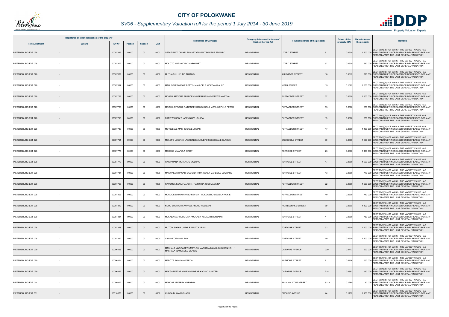

# *SV06 - Supplementary Valuation roll for the period 1 July 2014 - 30 June 2019*

| Registered or other description of the property |               |          |                |                |      |                                                                                      | Category determined in terms of | Physical address of the property         | <b>Extent of the</b> | <b>Market value of</b><br>Remarks                                                                                                                  |
|-------------------------------------------------|---------------|----------|----------------|----------------|------|--------------------------------------------------------------------------------------|---------------------------------|------------------------------------------|----------------------|----------------------------------------------------------------------------------------------------------------------------------------------------|
| <b>Town Allotment</b>                           | <b>Suburb</b> | Erf Nr   | <b>Portion</b> | <b>Section</b> | Unit | <b>Full Names of Owner(s)</b>                                                        | <b>Section 8 of the Act</b>     |                                          | property (HA)        | the property                                                                                                                                       |
| PIETERSBURG EXT 028                             |               | 00007666 | 00000          | $00\,$         | 0000 | SETATI MATLOU HELEN / SETATI MMATSHWENE EDWARD                                       | <b>RESIDENTIAL</b>              | <b>LIZARD STREET</b>                     | 0.0600               | SECT 78(1)(d) - OF WHICH THE MARKET VALUE HAS<br>1 200 000 SUBSTANTIALLY INCREASED OR DECREASED FOR ANY<br>REASON AFTER THE LAST GENERAL VALUATION |
| PIETERSBURG EXT 028                             |               | 00007672 | 00000          | 00             | 0000 | MOLOTO MATSHIDISO MARGARET                                                           | <b>RESIDENTIAL</b>              | 57<br><b>LIZARD STREET</b>               | 0.0600               | SECT 78(1)(d) - OF WHICH THE MARKET VALUE HAS<br>660 000 SUBSTANTIALLY INCREASED OR DECREASED FOR ANY<br>REASON AFTER THE LAST GENERAL VALUATION   |
| PIETERSBURG EXT 028                             |               | 00007689 | 00000          | $00\,$         | 0000 | MUTHATHI LUFUNO THANKS                                                               | <b>RESIDENTIAL</b>              | <b>ALLIGATOR STREET</b><br>18            | 0.0612               | SECT 78(1)(d) - OF WHICH THE MARKET VALUE HAS<br>770 000 SUBSTANTIALLY INCREASED OR DECREASED FOR ANY<br>REASON AFTER THE LAST GENERAL VALUATION   |
| PIETERSBURG EXT 028                             |               | 00007697 | 00000          | 00             | 0000 | MAHLOELE DIGOKE BETTY / MAHLOELE MOKGANO ALCO                                        | <b>RESIDENTIAL</b>              | <b>VIPER STREET</b><br>15                | 0.1082               | SECT 78(1)(d) - OF WHICH THE MARKET VALUE HAS<br>1 500 000 SUBSTANTIALLY INCREASED OR DECREASED FOR ANY<br>REASON AFTER THE LAST GENERAL VALUATION |
| PIETERSBURG EXT 028                             |               | 00007729 | 00000          | $00\,$         | 0000 | MOSERI MATOME FRANCE / MOSERI RESHOKETSWE MARTHA                                     | <b>RESIDENTIAL</b>              | 37<br>PUFFADDER STREET                   | 0.0600               | SECT 78(1)(d) - OF WHICH THE MARKET VALUE HAS<br>1 300 000 SUBSTANTIALLY INCREASED OR DECREASED FOR ANY<br>REASON AFTER THE LAST GENERAL VALUATION |
| PIETERSBURG EXT 028                             |               | 00007731 | 00000          | 00             | 0000 | MODIKA NTSOAKI PATIENCE / RAMOKGOLA MOTLALEPULE PETER                                | <b>RESIDENTIAL</b>              | <b>PUFFADDER STREET</b><br>33            | 0.0600               | SECT 78(1)(d) - OF WHICH THE MARKET VALUE HAS<br>630 000 SUBSTANTIALLY INCREASED OR DECREASED FOR ANY<br>REASON AFTER THE LAST GENERAL VALUATION   |
| PIETERSBURG EXT 028                             |               | 00007738 | 00000          | $00\,$         | 0000 | NAPE WILSON THABE / NAPE LOUISAH                                                     | <b>RESIDENTIAL</b>              | PUFFADDER STREET<br>19                   | 0.0600               | SECT 78(1)(d) - OF WHICH THE MARKET VALUE HAS<br>880 000 SUBSTANTIALLY INCREASED OR DECREASED FOR ANY<br>REASON AFTER THE LAST GENERAL VALUATION   |
| PIETERSBURG EXT 028                             |               | 00007739 | 00000          | $00\,$         | 0000 | MOTJELELE MASHIGOANE JOSIAS                                                          | <b>RESIDENTIAL</b>              | 17<br><b>PUFFADDER STREET</b>            | 0.0600               | SECT 78(1)(d) - OF WHICH THE MARKET VALUE HAS<br>1 400 000 SUBSTANTIALLY INCREASED OR DECREASED FOR ANY<br>REASON AFTER THE LAST GENERAL VALUATION |
| PIETERSBURG EXT 028                             |               | 00007761 | 00000          | $00\,$         | 0000 | MOLEPO LESETJA LAWRENCE / MOLEPO SEGOBEANE GLADYS                                    | <b>RESIDENTIAL</b>              | <b>CROCODILE STREET</b><br>30            | 0.0600               | SECT 78(1)(d) - OF WHICH THE MARKET VALUE HAS<br>1 000 000 SUBSTANTIALLY INCREASED OR DECREASED FOR ANY<br>REASON AFTER THE LAST GENERAL VALUATION |
| PIETERSBURG EXT 028                             |               | 00007775 | 00000          | $00\,$         | 0000 | MOKEBE MMAPULA CINDY                                                                 | <b>RESIDENTIAL</b>              | 25<br><b>TORTOISE STREET</b>             | 0.0600               | SECT 78(1)(d) - OF WHICH THE MARKET VALUE HAS<br>1 400 000 SUBSTANTIALLY INCREASED OR DECREASED FOR ANY<br>REASON AFTER THE LAST GENERAL VALUATION |
| PIETERSBURG EXT 028                             |               | 00007779 | 00000          | $00\,$         | 0000 | RAPAKUANA MOTLATJO MOLOKO                                                            | <b>RESIDENTIAL</b>              | <b>TORTOISE STREET</b><br>17             | 0.0600               | SECT 78(1)(d) - OF WHICH THE MARKET VALUE HAS<br>1 000 000 SUBSTANTIALLY INCREASED OR DECREASED FOR ANY<br>REASON AFTER THE LAST GENERAL VALUATION |
| PIETERSBURG EXT 028                             |               | 00007781 | 00000          | 00             | 0000 | MAKWALA MOKGADI DEBORAH / MAKWALA MAFEDILE LOMBARD                                   | <b>RESIDENTIAL</b>              | <b>TORTOISE STREET</b><br>13             | 0.0600               | SECT 78(1)(d) - OF WHICH THE MARKET VALUE HAS<br>770 000 SUBSTANTIALLY INCREASED OR DECREASED FOR ANY<br>REASON AFTER THE LAST GENERAL VALUATION   |
| PIETERSBURG EXT 028                             |               | 00007797 | 00000          | $00\,$         | 0000 | RATOMBA KGWARA JOHN / RATOMBA TLOU JACKINA                                           | <b>RESIDENTIAL</b>              | <b>PUFFADDER STREET</b><br>22            | 0.0600               | SECT 78(1)(d) - OF WHICH THE MARKET VALUE HAS<br>1 200 000 SUBSTANTIALLY INCREASED OR DECREASED FOR ANY<br>REASON AFTER THE LAST GENERAL VALUATION |
| PIETERSBURG EXT 028                             |               | 00007806 | 00000          | $00\,$         | 0000 | MOKGOEBO MOYAHABO REVICK / MOKGOEBO SEWELA RAIKIE                                    | <b>RESIDENTIAL</b>              | PUFFADDER STREET<br>40                   | 0.0600               | SECT 78(1)(d) - OF WHICH THE MARKET VALUE HAS<br>710 000 SUBSTANTIALLY INCREASED OR DECREASED FOR ANY<br>REASON AFTER THE LAST GENERAL VALUATION   |
| PIETERSBURG EXT 028                             |               | 00007812 | 00000          | $00\,$         | 0000 | NDOU SHUMANI FANWELL / NDOU HULISANI                                                 | <b>RESIDENTIAL</b>              | <b>RATTLESNAKE STREET</b><br>79          | 0.0600               | SECT 78(1)(d) - OF WHICH THE MARKET VALUE HAS<br>1 100 000 SUBSTANTIALLY INCREASED OR DECREASED FOR ANY<br>REASON AFTER THE LAST GENERAL VALUATION |
| PIETERSBURG EXT 028                             |               | 00007834 | 00000          | 00             | 0000 | MOLABA MAPHOLO LINA / MOLABA KGOEDITI BENJAMIN                                       | <b>RESIDENTIAL</b>              | <b>TORTOISE STREET</b><br>$\overline{4}$ | 0.0600               | SECT 78(1)(d) - OF WHICH THE MARKET VALUE HAS<br>780 000 SUBSTANTIALLY INCREASED OR DECREASED FOR ANY<br>REASON AFTER THE LAST GENERAL VALUATION   |
| PIETERSBURG EXT 028                             |               | 00007848 | 00000          | $00\,$         | 0000 | MUTODI SIKHULULEKILE / MUTODI PAUL                                                   | <b>RESIDENTIAL</b>              | 32<br><b>TORTOISE STREET</b>             | 0.0600               | SECT 78(1)(d) - OF WHICH THE MARKET VALUE HAS<br>1 400 000 SUBSTANTIALLY INCREASED OR DECREASED FOR ANY<br>REASON AFTER THE LAST GENERAL VALUATION |
| PIETERSBURG EXT 028                             |               | 00007852 | 00000          | 00             | 0000 | VAINO KOENA GILROY                                                                   | <b>RESIDENTIAL</b>              | <b>TORTOISE STREET</b><br>40             | 0.0600               | SECT 78(1)(d) - OF WHICH THE MARKET VALUE HAS<br>1 100 000 SUBSTANTIALLY INCREASED OR DECREASED FOR ANY<br>REASON AFTER THE LAST GENERAL VALUATION |
| PIETERSBURG EXT 029                             |               | 00006653 | 00000          | $00\,$         | 0000 | MASHALA MARGARET MMATLOU MASHALA MAMOLOKO DENNIS /<br><b>MASHALA MAMOLOKO DENNIS</b> | <b>RESIDENTIAL</b>              | <b>OCTOPUS AVENUE</b><br>229             | 0.0473               | SECT 78(1)(d) - OF WHICH THE MARKET VALUE HAS<br>620 000 SUBSTANTIALLY INCREASED OR DECREASED FOR ANY<br>REASON AFTER THE LAST GENERAL VALUATION   |
| PIETERSBURG EXT 029                             |               | 00006814 | 00000          | 00             | 0000 | MABOTE BANYANA FREDA                                                                 | <b>RESIDENTIAL</b>              | <b>ANEMONE STREET</b><br>8               | 0.0456               | SECT 78(1)(d) - OF WHICH THE MARKET VALUE HAS<br>550 000 SUBSTANTIALLY INCREASED OR DECREASED FOR ANY<br>REASON AFTER THE LAST GENERAL VALUATION   |
| PIETERSBURG EXT 029                             |               | 00006826 | 00000          | $00\,$         | 0000 | MAKGAREETSE MALEKGANYENE KAGISO JUNITER                                              | <b>RESIDENTIAL</b>              | <b>OCTOPUS AVENUE</b><br>218             | 0.0393               | SECT 78(1)(d) - OF WHICH THE MARKET VALUE HAS<br>590 000 SUBSTANTIALLY INCREASED OR DECREASED FOR ANY<br>REASON AFTER THE LAST GENERAL VALUATION   |
| PIETERSBURG EXT 044                             |               | 00009312 | 00000          | $00\,$         | 0000 | MAHOSE JEFFREY MAPHEGA                                                               | <b>RESIDENTIAL</b>              | 9312<br>JACK MALATJIE STREET             | 0.0260               | SECT 78(1)(d) - OF WHICH THE MARKET VALUE HAS<br>60 000 SUBSTANTIALLY INCREASED OR DECREASED FOR ANY<br>REASON AFTER THE LAST GENERAL VALUATION    |
| PIETERSBURG EXT 061                             |               | 00010678 | 00000          | $00\,$         | 0000 | KHOSA BUWA RICHARD                                                                   | <b>RESIDENTIAL</b>              | <b>GROUND AVENUE</b><br>44               | 0.1107               | SECT 78(1)(d) - OF WHICH THE MARKET VALUE HAS<br>1 100 000 SUBSTANTIALLY INCREASED OR DECREASED FOR ANY<br>REASON AFTER THE LAST GENERAL VALUATION |

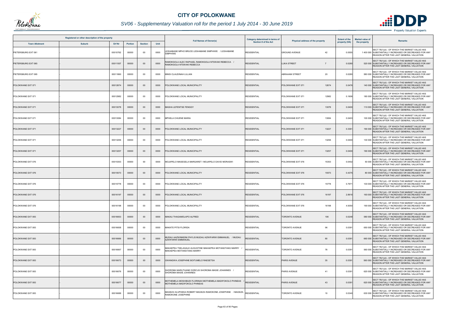

# *SV06 - Supplementary Valuation roll for the period 1 July 2014 - 30 June 2019*

| Registered or other description of the property<br><b>Suburb</b><br>Erf Nr<br><b>Town Allotment</b><br><b>Portion</b> |  |          |       |                |      |                                                                                           | Category determined in terms of |                                      | <b>Extent of the</b> | <b>Market value of</b> |                                                                                                                                                         |
|-----------------------------------------------------------------------------------------------------------------------|--|----------|-------|----------------|------|-------------------------------------------------------------------------------------------|---------------------------------|--------------------------------------|----------------------|------------------------|---------------------------------------------------------------------------------------------------------------------------------------------------------|
|                                                                                                                       |  |          |       | <b>Section</b> | Unit | <b>Full Names of Owner(s)</b>                                                             | Section 8 of the Act            | Physical address of the property     | property (HA)        | the property           | <b>Remarks</b>                                                                                                                                          |
| PIETERSBURG EXT 061                                                                                                   |  | 00010762 | 00000 | $00\,$         | 0000 | ESHABANE MPHO BRUCE LESHABANE SIMPHIWE / LESHABANE<br><b>SIMPHIWE</b>                     | <b>RESIDENTIAL</b>              | 42<br><b>GROUND AVENUE</b>           | 0.0555               |                        | SECT 78(1)(d) - OF WHICH THE MARKET VALUE HAS<br>1 400 000 SUBSTANTIALLY INCREASED OR DECREASED FOR ANY<br>REASON AFTER THE LAST GENERAL VALUATION      |
| PIETERSBURG EXT 065                                                                                                   |  | 00011557 | 00000 | $00\,$         | 0000 | AMOKGOLA ALEC RAPHAEL RAMOKGOLA NTSWAKI REBECCA /<br>RAMOKGOLA NTSWAKI REBECCA            | <b>RESIDENTIAL</b>              | <b>LUKA STREET</b><br>$\overline{7}$ | 0.0280               |                        | SECT 78(1)(d) - OF WHICH THE MARKET VALUE HAS<br>520 000 SUBSTANTIALLY INCREASED OR DECREASED FOR ANY<br>REASON AFTER THE LAST GENERAL VALUATION        |
| PIETERSBURG EXT 065                                                                                                   |  | 00011860 | 00000 | $00\,$         | 0000 | MNISI CLAUDINAH LILLIAN                                                                   | <b>RESIDENTIAL</b>              | 20<br><b>ABRAHAM STREET</b>          | 0.0280               |                        | SECT 78(1)(d) - OF WHICH THE MARKET VALUE HAS<br>580 000 SUBSTANTIALLY INCREASED OR DECREASED FOR ANY<br>REASON AFTER THE LAST GENERAL VALUATION        |
| POLOKWANE EXT 071                                                                                                     |  | 00012674 | 00000 | $00\,$         | 0000 | POLOKWANE LOCAL MUNICIPALITY                                                              | <b>RESIDENTIAL</b>              | POLOKWANE EXT 071<br>12674           | 0.0476               |                        | SECT 78(1)(d) - OF WHICH THE MARKET VALUE HAS<br>140 000 SUBSTANTIALLY INCREASED OR DECREASED FOR ANY<br>REASON AFTER THE LAST GENERAL VALUATION        |
| POLOKWANE EXT 071                                                                                                     |  | 00012982 | 00000 | $00\,$         | 0000 | POLOKWANE LOCAL MUNICIPALITY                                                              | <b>RESIDENTIAL</b>              | POLOKWANE EXT 071<br>12982           | 0.1606               |                        | SECT 78(1)(d) - OF WHICH THE MARKET VALUE HAS<br>180 000 SUBSTANTIALLY INCREASED OR DECREASED FOR ANY<br>REASON AFTER THE LAST GENERAL VALUATION        |
| POLOKWANE EXT 071                                                                                                     |  | 00013078 | 00000 | $00\,$         | 0000 | MASHA LEFENTSE FENGGY                                                                     | <b>RESIDENTIAL</b>              | POLOKWANE EXT 071<br>13078           | 0.0400               |                        | SECT 78(1)(d) - OF WHICH THE MARKET VALUE HAS<br>110 000 SUBSTANTIALLY INCREASED OR DECREASED FOR ANY<br><b>REASON AFTER THE LAST GENERAL VALUATION</b> |
| POLOKWANE EXT 071                                                                                                     |  | 00013084 | 00000 | 00             | 0000 | MPHELA CHUENE MARIA                                                                       | <b>RESIDENTIAL</b>              | 13084<br>POLOKWANE EXT 071           | 0.0403               |                        | SECT 78(1)(d) - OF WHICH THE MARKET VALUE HAS<br>100 000 SUBSTANTIALLY INCREASED OR DECREASED FOR ANY<br>REASON AFTER THE LAST GENERAL VALUATION        |
| POLOKWANE EXT 071                                                                                                     |  | 00013227 | 00000 | $00\,$         | 0000 | POLOKWANE LOCAL MUNICIPALITY                                                              | <b>RESIDENTIAL</b>              | POLOKWANE EXT 071<br>13227           | 0.336                |                        | SECT 78(1)(d) - OF WHICH THE MARKET VALUE HAS<br>190 000 SUBSTANTIALLY INCREASED OR DECREASED FOR ANY<br>REASON AFTER THE LAST GENERAL VALUATION        |
| POLOKWANE EXT 071                                                                                                     |  | 00013256 | 00000 | $00\,$         | 0000 | POLOKWANE LOCAL MUNICIPALITY                                                              | <b>RESIDENTIAL</b>              | 13256<br>POLOKWANE EXT 071           | 0.0400               |                        | SECT 78(1)(d) - OF WHICH THE MARKET VALUE HAS<br>130 000 SUBSTANTIALLY INCREASED OR DECREASED FOR ANY<br>REASON AFTER THE LAST GENERAL VALUATION        |
| POLOKWANE EXT 071                                                                                                     |  | 00013257 | 00000 | $00\,$         | 0000 | POLOKWANE LOCAL MUNICIPALITY                                                              | <b>RESIDENTIAL</b>              | 13257<br>POLOKWANE EXT 071           | 0.0400               |                        | SECT 78(1)(d) - OF WHICH THE MARKET VALUE HAS<br>190 000 SUBSTANTIALLY INCREASED OR DECREASED FOR ANY<br>REASON AFTER THE LAST GENERAL VALUATION        |
| POLOKWANE EXT 076                                                                                                     |  | 00015353 | 00000 | 00             | 0000 | MOJAPELO MASEGELA MARGARET / MOJAPELO DAVID MORASWI                                       | <b>RESIDENTIAL</b>              | POLOKWANE EXT 076<br>15353           | 0.0402               |                        | SECT 78(1)(d) - OF WHICH THE MARKET VALUE HAS<br>50 000 SUBSTANTIALLY INCREASED OR DECREASED FOR ANY<br>REASON AFTER THE LAST GENERAL VALUATION         |
| POLOKWANE EXT 076                                                                                                     |  | 00015573 | 00000 | $00\,$         | 0000 | POLOKWANE LOCAL MUNICIPALITY                                                              | <b>RESIDENTIAL</b>              | POLOKWANE EXT 076<br>15573           | 0.4375               |                        | SECT 78(1)(d) - OF WHICH THE MARKET VALUE HAS<br>80 000 SUBSTANTIALLY INCREASED OR DECREASED FOR ANY<br>REASON AFTER THE LAST GENERAL VALUATION         |
| POLOKWANE EXT 076                                                                                                     |  | 00015778 | 00000 | 00             | 0000 | POLOKWANE LOCAL MUNICIPALITY                                                              | <b>RESIDENTIAL</b>              | POLOKWANE EXT 076<br>15778           | 0.7971               |                        | SECT 78(1)(d) - OF WHICH THE MARKET VALUE HAS<br>100 000 SUBSTANTIALLY INCREASED OR DECREASED FOR ANY<br>REASON AFTER THE LAST GENERAL VALUATION        |
| POLOKWANE EXT 076                                                                                                     |  | 00016197 | 00000 | $00\,$         | 0000 | POLOKWANE LOCAL MUNICIPALITY                                                              | <b>RESIDENTIAL</b>              | POLOKWANE EXT 076<br>16197           | 2.8916               |                        | SECT 78(1)(d) - OF WHICH THE MARKET VALUE HAS<br>160 000 SUBSTANTIALLY INCREASED OR DECREASED FOR ANY<br>REASON AFTER THE LAST GENERAL VALUATION        |
| POLOKWANE EXT 076                                                                                                     |  | 00016198 | 00000 | 00             | 0000 | POLOKWANE LOCAL MUNICIPALITY                                                              | <b>RESIDENTIAL</b>              | POLOKWANE EXT 076<br>16198           | 4.9350               |                        | SECT 78(1)(d) - OF WHICH THE MARKET VALUE HAS<br>190 000 SUBSTANTIALLY INCREASED OR DECREASED FOR ANY<br>REASON AFTER THE LAST GENERAL VALUATION        |
| POLOKWANE EXT 083                                                                                                     |  | 00016653 | 00000 | $00\,$         | 0000 | MAKAU THAGAMOLAPO ALFRED                                                                  | <b>RESIDENTIAL</b>              | <b>TORONTO AVENUE</b><br>106         | 0.0248               |                        | SECT 78(1)(d) - OF WHICH THE MARKET VALUE HAS<br>580 000 SUBSTANTIALLY INCREASED OR DECREASED FOR ANY<br>REASON AFTER THE LAST GENERAL VALUATION        |
| POLOKWANE EXT 083                                                                                                     |  | 00016658 | 00000 | 00             | 0000 | <b>MAKATE PITSI FLORIDA</b>                                                               | <b>RESIDENTIAL</b>              | 96<br><b>TORONTO AVENUE</b>          | 0.0391               |                        | SECT 78(1)(d) - OF WHICH THE MARKET VALUE HAS<br>650 000 SUBSTANTIALLY INCREASED OR DECREASED FOR ANY<br>REASON AFTER THE LAST GENERAL VALUATION        |
| POLOKWANE EXT 083                                                                                                     |  | 00016666 | 00000 | $00\,$         | 0000 | MUDAU AAZWINNDINI PHYLIS MUDAU AZWIFARWI EMMANUEL / MUDAU<br><b>AZWIFARWI EMMANUEL</b>    | RESIDENTIAL                     | <b>TORONTO AVENUE</b><br>80          | 0.0391               |                        | SECT 78(1)(d) - OF WHICH THE MARKET VALUE HAS<br>660 000 SUBSTANTIALLY INCREASED OR DECREASED FOR ANY<br>REASON AFTER THE LAST GENERAL VALUATION        |
| POLOKWANE EXT 083                                                                                                     |  | 00016667 | 00000 | 00             | 0000 | MAKAEPEA TSELAGALE AUGUSTINE MAKAEPEA MOTANGTANG MARRY<br>MAKAEPEA MOTANGTANG MARRY       | <b>RESIDENTIAL</b>              | 78<br><b>TORONTO AVENUE</b>          | 0.0391               |                        | SECT 78(1)(d) - OF WHICH THE MARKET VALUE HAS<br>560 000 SUBSTANTIALLY INCREASED OR DECREASED FOR ANY<br>REASON AFTER THE LAST GENERAL VALUATION        |
| POLOKWANE EXT 083                                                                                                     |  | 00016673 | 00000 | $00\,$         | 0000 | GWANGWA JOSEPHINE BOITUMELO RAESETSA                                                      | <b>RESIDENTIAL</b>              | <b>PARIS AVENUE</b><br>35            | 0.0391               |                        | SECT 78(1)(d) - OF WHICH THE MARKET VALUE HAS<br>560 000 SUBSTANTIALLY INCREASED OR DECREASED FOR ANY<br>REASON AFTER THE LAST GENERAL VALUATION        |
| POLOKWANE EXT 083                                                                                                     |  | 00016676 | 00000 | $00\,$         | 0000 | SHOROMA MARUTHANE DORCUS SHOROMA MASIE JOHANNES /<br>SHOROMA MASIE JOHANNES               | <b>RESIDENTIAL</b>              | PARIS AVENUE<br>41                   | 0.0391               |                        | SECT 78(1)(d) - OF WHICH THE MARKET VALUE HAS<br>620 000 SUBSTANTIALLY INCREASED OR DECREASED FOR ANY<br>REASON AFTER THE LAST GENERAL VALUATION        |
| POLOKWANE EXT 083                                                                                                     |  | 00016677 | 00000 | $00\,$         | 0000 | MOTHEMELA MOSHIBUDI FLORINAH MOTHEMELA MADIFOKOLO PHINEAS<br>MOTHEMELA MADIFOKOLO PHINEAS | <b>RESIDENTIAL</b>              | <b>PARIS AVENUE</b><br>43            | 0.039                |                        | SECT 78(1)(d) - OF WHICH THE MARKET VALUE HAS<br>620 000 SUBSTANTIALLY INCREASED OR DECREASED FOR ANY<br>REASON AFTER THE LAST GENERAL VALUATION        |
| POLOKWANE EXT 083                                                                                                     |  | 00016688 | 00000 | $00\,$         | 0000 | MAGEZA HLUPHEKA ROBERT MAGEZA RAMOKONE JOSEPHINE / MAGEZA<br>RAMOKONE JOSEPHINE           | RESIDENTIAL                     | <b>TORONTO AVENUE</b><br>10          | 0.0340               |                        | SECT 78(1)(d) - OF WHICH THE MARKET VALUE HAS<br>630 000 SUBSTANTIALLY INCREASED OR DECREASED FOR ANY<br>REASON AFTER THE LAST GENERAL VALUATION        |

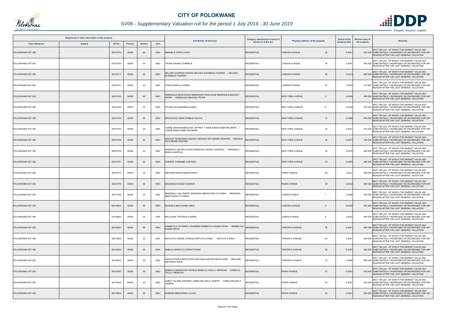

# *SV06 - Supplementary Valuation roll for the period 1 July 2014 - 30 June 2019*

| Registered or other description of the property |               |          |                |                |      | <b>Full Names of Owner(s)</b>                                                              | Category determined in terms of | Physical address of the property | <b>Extent of the</b> | <b>Market value of</b><br>Remarks                                                                                                                |
|-------------------------------------------------|---------------|----------|----------------|----------------|------|--------------------------------------------------------------------------------------------|---------------------------------|----------------------------------|----------------------|--------------------------------------------------------------------------------------------------------------------------------------------------|
| <b>Town Allotment</b>                           | <b>Suburb</b> | Erf Nr   | <b>Portion</b> | <b>Section</b> | Unit |                                                                                            | <b>Section 8 of the Act</b>     |                                  | property (HA)        | the property                                                                                                                                     |
| POLOKWANE EXT 083                               |               | 00016704 | 00000          | $00\,$         | 0000 | <b>MASHELE CRAIG LUCKY</b>                                                                 | <b>RESIDENTIAL</b>              | <b>LONDON AVENUE</b><br>20       | 0.039                | SECT 78(1)(d) - OF WHICH THE MARKET VALUE HAS<br>630 000 SUBSTANTIALLY INCREASED OR DECREASED FOR ANY<br>REASON AFTER THE LAST GENERAL VALUATION |
| POLOKWANE EXT 083                               |               | 00016709 | 00000          | 00             | 0000 | THOKA RAHAB LITHEBELE                                                                      | <b>RESIDENTIAL</b>              | 30<br><b>LONDON AVENUE</b>       | 0.0391               | SECT 78(1)(d) - OF WHICH THE MARKET VALUE HAS<br>590 000 SUBSTANTIALLY INCREASED OR DECREASED FOR ANY<br>REASON AFTER THE LAST GENERAL VALUATION |
| POLOKWANE EXT 083                               |               | 00016717 | 00000          | $00\,$         | 0000 | SELOWA KGOROSI SOPHIA SELOWA KLEINBOOI THAPEDI / SELOWA<br><b>KLEINBOOI THAPEDI</b>        | <b>RESIDENTIAL</b>              | <b>LONDON AVENUE</b><br>46       | 0.0313               | SECT 78(1)(d) - OF WHICH THE MARKET VALUE HAS<br>680 000 SUBSTANTIALLY INCREASED OR DECREASED FOR ANY<br>REASON AFTER THE LAST GENERAL VALUATION |
| POLOKWANE EXT 083                               |               | 00016737 | 00000          | 00             | 0000 | CHEPE MAPULA AGNES                                                                         | <b>RESIDENTIAL</b>              | <b>LONDON AVENUE</b><br>47       | 0.0383               | SECT 78(1)(d) - OF WHICH THE MARKET VALUE HAS<br>510 000 SUBSTANTIALLY INCREASED OR DECREASED FOR ANY<br>REASON AFTER THE LAST GENERAL VALUATION |
| POLOKWANE EXT 083                               |               | 00016745 | 00000          | $00\,$         | 0000 | RAMOGALE MOGOSHADI MMANGWETJANA ELSIE RAMOGALE MAKUDU<br>PETER / RAMOGALE MAKUDU PETER     | <b>RESIDENTIAL</b>              | <b>NEW YORK AVENUE</b><br>2      | 0.0495               | SECT 78(1)(d) - OF WHICH THE MARKET VALUE HAS<br>960 000 SUBSTANTIALLY INCREASED OR DECREASED FOR ANY<br>REASON AFTER THE LAST GENERAL VALUATION |
| POLOKWANE EXT 083                               |               | 00016748 | 00000          | 00             | 0000 | PITJENG NTHABISENG KOENA                                                                   | <b>RESIDENTIAL</b>              | <b>NEW YORK AVENUE</b><br>-8     | 0.0349               | SECT 78(1)(d) - OF WHICH THE MARKET VALUE HAS<br>570 000 SUBSTANTIALLY INCREASED OR DECREASED FOR ANY<br>REASON AFTER THE LAST GENERAL VALUATION |
| POLOKWANE EXT 083                               |               | 00016749 | 00000          | $00\,$         | 0000 | MPHAHLELE RAMATSIMELE FELICIA                                                              | <b>RESIDENTIAL</b>              | <b>NEW YORK AVENUE</b><br>10     | 0.0399               | SECT 78(1)(d) - OF WHICH THE MARKET VALUE HAS<br>630 000 SUBSTANTIALLY INCREASED OR DECREASED FOR ANY<br>REASON AFTER THE LAST GENERAL VALUATION |
| POLOKWANE EXT 083                               |               | 00016754 | 00000          | 00             | 0000 | <b>TJIANE NGWANAMAKGOKA JEFFREY TJIANE RAMATHABATHE MARIA</b><br>TJIANE RAMATHABATHE MARIA | <b>RESIDENTIAL</b>              | 20<br><b>NEW YORK AVENUE</b>     | 0.039                | SECT 78(1)(d) - OF WHICH THE MARKET VALUE HAS<br>610 000 SUBSTANTIALLY INCREASED OR DECREASED FOR ANY<br>REASON AFTER THE LAST GENERAL VALUATION |
| POLOKWANE EXT 083                               |               | 00016756 | 00000          | $00\,$         | 0000 | DIKGALE FRANCINAH SESHILE DIKGALE SETLABANE EDWARD / DIKGALE<br>SETLABANE EDWARD           | <b>RESIDENTIAL</b>              | <b>NEW YORK AVENUE</b><br>24     | 0.047                | SECT 78(1)(d) - OF WHICH THE MARKET VALUE HAS<br>700 000 SUBSTANTIALLY INCREASED OR DECREASED FOR ANY<br>REASON AFTER THE LAST GENERAL VALUATION |
| POLOKWANE EXT 083                               |               | 00016759 | 00000          | 00             | 0000 | MASEHELA SEAKALA NOKO MASEHELA MOSAI GADIFELE / MASEHELA<br>MOSAI GADIFELE                 | <b>RESIDENTIAL</b>              | 30<br><b>NEW YORK AVENUE</b>     | 0.0378               | SECT 78(1)(d) - OF WHICH THE MARKET VALUE HAS<br>600 000 SUBSTANTIALLY INCREASED OR DECREASED FOR ANY<br>REASON AFTER THE LAST GENERAL VALUATION |
| POLOKWANE EXT 083                               |               | 00016761 | 00000          | $00\,$         | 0000 | KOMAPE THEMANE JUSTINAH                                                                    | <b>RESIDENTIAL</b>              | <b>NEW YORK AVENUE</b><br>43     | 0.0485               | SECT 78(1)(d) - OF WHICH THE MARKET VALUE HAS<br>580 000 SUBSTANTIALLY INCREASED OR DECREASED FOR ANY<br>REASON AFTER THE LAST GENERAL VALUATION |
| POLOKWANE EXT 083                               |               | 00016773 | 00000          | 00             | 0000 | MBOWENI MONYAMANA MARIA                                                                    | <b>RESIDENTIAL</b>              | PARIS AVENUE<br>26               | 0.0321               | SECT 78(1)(d) - OF WHICH THE MARKET VALUE HAS<br>580 000 SUBSTANTIALLY INCREASED OR DECREASED FOR ANY<br>REASON AFTER THE LAST GENERAL VALUATION |
| POLOKWANE EXT 083                               |               | 00016778 | 00000          | $00\,$         | 0000 | MAGONGOA KGADI SHARON                                                                      | <b>RESIDENTIAL</b>              | <b>PARIS AVENUE</b><br>36        | 0.0334               | SECT 78(1)(d) - OF WHICH THE MARKET VALUE HAS<br>580 000 SUBSTANTIALLY INCREASED OR DECREASED FOR ANY<br>REASON AFTER THE LAST GENERAL VALUATION |
| POLOKWANE EXT 083                               |               | 00016792 | 00000          | 00             | 0000 | MANGENA LUKA EWERT MANGENA MMATHAPELO FLORAH / MANGENA<br>MMATHAPELO FLORAH                | <b>RESIDENTIAL</b>              | <b>LISBON AVENUE</b>             | 0.038                | SECT 78(1)(d) - OF WHICH THE MARKET VALUE HAS<br>670 000 SUBSTANTIALLY INCREASED OR DECREASED FOR ANY<br>REASON AFTER THE LAST GENERAL VALUATION |
| POLOKWANE EXT 083                               |               | 00016802 | 00000          | $00\,$         | 0000 | MASHALA MACHUENE ANNA                                                                      | <b>RESIDENTIAL</b>              | <b>LONDON AVENUE</b><br>-3       | 0.0348               | SECT 78(1)(d) - OF WHICH THE MARKET VALUE HAS<br>640 000 SUBSTANTIALLY INCREASED OR DECREASED FOR ANY<br>REASON AFTER THE LAST GENERAL VALUATION |
| POLOKWANE EXT 083                               |               | 00016805 | 00000          | 00             | 0000 | MALULEKE TINTSWALO ENNIE                                                                   | <b>RESIDENTIAL</b>              | <b>LISBON AVENUE</b><br>6        | 0.0325               | SECT 78(1)(d) - OF WHICH THE MARKET VALUE HAS<br>620 000 SUBSTANTIALLY INCREASED OR DECREASED FOR ANY<br>REASON AFTER THE LAST GENERAL VALUATION |
| POLOKWANE EXT 083                               |               | 00016823 | 00000          | $00\,$         | 0000 | RAMMUTLA PATAMEDI JOHANNES RAMMUTLA KGABO EPHIA / RAMMUTLA<br>KGABO EPHIA                  | <b>RESIDENTIAL</b>              | 56<br><b>TORONTO AVENUE</b>      | 0.0381               | SECT 78(1)(d) - OF WHICH THE MARKET VALUE HAS<br>680 000 SUBSTANTIALLY INCREASED OR DECREASED FOR ANY<br>REASON AFTER THE LAST GENERAL VALUATION |
| POLOKWANE EXT 083                               |               | 00016828 | 00000          | 00             | 0000 | MOTLATLA KOENA CHARLES MOTLATLA EMILY / MOTLATLA EMILY                                     | <b>RESIDENTIAL</b>              | 66<br><b>TORONTO AVENUE</b>      | 0.0381               | SECT 78(1)(d) - OF WHICH THE MARKET VALUE HAS<br>560 000 SUBSTANTIALLY INCREASED OR DECREASED FOR ANY<br>REASON AFTER THE LAST GENERAL VALUATION |
| POLOKWANE EXT 083                               |               | 00016829 | 00000          | $00\,$         | 0000 | MABULA MARUTLA CHRISTOPHER                                                                 | <b>RESIDENTIAL</b>              | <b>TORONTO AVENUE</b><br>68      | 0.0381               | SECT 78(1)(d) - OF WHICH THE MARKET VALUE HAS<br>450 000 SUBSTANTIALLY INCREASED OR DECREASED FOR ANY<br>REASON AFTER THE LAST GENERAL VALUATION |
| POLOKWANE EXT 083                               |               | 00016830 | 00000          | $00\,$         | 0000 | KGOSHIYADIRA MAITE PERTUNIA MOHLABI MATHEWS NARE / MOHLABI<br><b>MATHEWS NARE</b>          | <b>RESIDENTIAL</b>              | 70<br><b>TORONTO AVENUE</b>      | 0.0368               | SECT 78(1)(d) - OF WHICH THE MARKET VALUE HAS<br>660 000 SUBSTANTIALLY INCREASED OR DECREASED FOR ANY<br>REASON AFTER THE LAST GENERAL VALUATION |
| POLOKWANE EXT 083                               |               | 00016832 | 00000          | $00\,$         | 0000 | SEMATLA MOEKETSO PHYNUS SEMATLA THULLY MONICAH / SEMATLA<br>THULLY MONICAH                 | <b>RESIDENTIAL</b>              | <b>PARIS AVENUE</b><br>27        | 0.038                | SECT 78(1)(d) - OF WHICH THE MARKET VALUE HAS<br>670 000 SUBSTANTIALLY INCREASED OR DECREASED FOR ANY<br>REASON AFTER THE LAST GENERAL VALUATION |
| POLOKWANE EXT 083                               |               | 00016833 | 00000          | 00             | 0000 | LEBEA TALAMO DAPHNEY LEBEA MALWELA JOSEPH / LEBEA MALWELA<br><b>JOSEPH</b>                 | <b>RESIDENTIAL</b>              | 25<br>PARIS AVENUE               | 0.0381               | SECT 78(1)(d) - OF WHICH THE MARKET VALUE HAS<br>620 000 SUBSTANTIALLY INCREASED OR DECREASED FOR ANY<br>REASON AFTER THE LAST GENERAL VALUATION |
| POLOKWANE EXT 083                               |               | 00016834 | 00000          | $00\,$         | 0000 | RAMARA MMAKWENA LILLIAN                                                                    | <b>RESIDENTIAL</b>              | PARIS AVENUE<br>23               | 0.0381               | SECT 78(1)(d) - OF WHICH THE MARKET VALUE HAS<br>680 000 SUBSTANTIALLY INCREASED OR DECREASED FOR ANY<br>REASON AFTER THE LAST GENERAL VALUATION |

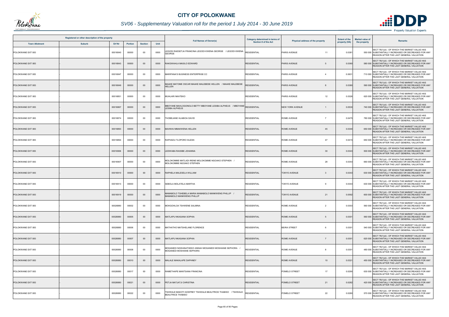

# *SV06 - Supplementary Valuation roll for the period 1 July 2014 - 30 June 2019*

|                       | Registered or other description of the property |               |                |                |      |                                                                                                   | Category determined in terms of |                                       | <b>Extent of the</b> | <b>Market value of</b> |                                                                                                                                                  |
|-----------------------|-------------------------------------------------|---------------|----------------|----------------|------|---------------------------------------------------------------------------------------------------|---------------------------------|---------------------------------------|----------------------|------------------------|--------------------------------------------------------------------------------------------------------------------------------------------------|
| <b>Town Allotment</b> | <b>Suburb</b>                                   | <b>Erf Nr</b> | <b>Portion</b> | <b>Section</b> | Unit | <b>Full Names of Owner(s)</b>                                                                     | Section 8 of the Act            | Physical address of the property      | property (HA)        | the property           | <b>Remarks</b>                                                                                                                                   |
| POLOKWANE EXT 083     |                                                 | 00016840      | 00000          | $00\,$         | 0000 | EGODI RAESETJA FRANCINA LEGODI KWENA GEORGE / LEGODI KWENA<br><b>GEORGE</b>                       | <b>RESIDENTIAL</b>              | <b>PARIS AVENUE</b><br>11             | 0.0381               |                        | SECT 78(1)(d) - OF WHICH THE MARKET VALUE HAS<br>550 000 SUBSTANTIALLY INCREASED OR DECREASED FOR ANY<br>REASON AFTER THE LAST GENERAL VALUATION |
| POLOKWANE EXT 083     |                                                 | 00016843      | 00000          | $00\,$         | 0000 | RAKGWAHLA MASILO EDWARD                                                                           | <b>RESIDENTIAL</b>              | <b>PARIS AVENUE</b><br>-5             | 0.036                |                        | SECT 78(1)(d) - OF WHICH THE MARKET VALUE HAS<br>580 000 SUBSTANTIALLY INCREASED OR DECREASED FOR ANY<br>REASON AFTER THE LAST GENERAL VALUATION |
| POLOKWANE EXT 083     |                                                 | 00016847      | 00000          | $00\,$         | 0000 | MARIPANA'S BUSINESS ENTERPRISE CC                                                                 | <b>RESIDENTIAL</b>              | PARIS AVENUE<br>$\overline{4}$        | 0.0631               |                        | SECT 78(1)(d) - OF WHICH THE MARKET VALUE HAS<br>710 000 SUBSTANTIALLY INCREASED OR DECREASED FOR ANY<br>REASON AFTER THE LAST GENERAL VALUATION |
| POLOKWANE EXT 083     |                                                 | 00016849      | 00000          | $00\,$         | 0000 | MAAKE MATOME OSCAR MAAKE MALEBESE HELLEN / MAAKE MALEBESE<br><b>IELLEN</b>                        | <b>ESIDENTIAL</b>               | <b>PARIS AVENUE</b>                   | 0.0380               |                        | SECT 78(1)(d) - OF WHICH THE MARKET VALUE HAS<br>590 000 SUBSTANTIALLY INCREASED OR DECREASED FOR ANY<br>REASON AFTER THE LAST GENERAL VALUATION |
| POLOKWANE EXT 083     |                                                 | 00016851      | 00000          | 00             | 0000 | MUHLARI NKATEKO                                                                                   | <b>RESIDENTIAL</b>              | PARIS AVENUE<br>12                    | 0.0326               |                        | SECT 78(1)(d) - OF WHICH THE MARKET VALUE HAS<br>620 000 SUBSTANTIALLY INCREASED OR DECREASED FOR ANY<br>REASON AFTER THE LAST GENERAL VALUATION |
| POLOKWANE EXT 083     |                                                 | 00016867      | 00000          | $00\,$         | 0000 | MBOYANE MAHLOGONOLO BETTY MBOYANE LESIBA ALPHEUS    / MBOYANE RESIDENTIAL<br><b>ESIBA ALPHEUS</b> |                                 | <b>NEW YORK AVENUE</b>                | 0.0530               |                        | SECT 78(1)(d) - OF WHICH THE MARKET VALUE HAS<br>740 000 SUBSTANTIALLY INCREASED OR DECREASED FOR ANY<br>REASON AFTER THE LAST GENERAL VALUATION |
| POLOKWANE EXT 083     |                                                 | 00016874      | 00000          | 00             | 0000 | FHOBEJANE HLABIOA DAVID                                                                           | <b>RESIDENTIAL</b>              | <b>ROME AVENUE</b><br>$\overline{7}$  | 0.0475               |                        | SECT 78(1)(d) - OF WHICH THE MARKET VALUE HAS<br>780 000 SUBSTANTIALLY INCREASED OR DECREASED FOR ANY<br>REASON AFTER THE LAST GENERAL VALUATION |
| POLOKWANE EXT 083     |                                                 | 00016893      | 00000          | $00\,$         | 0000 | <b>AHWAI MMAKWENA HELLEN</b>                                                                      | <b>RESIDENTIAL</b>              | <b>ROME AVENUE</b><br>45              | 0.0340               |                        | SECT 78(1)(d) - OF WHICH THE MARKET VALUE HAS<br>650 000 SUBSTANTIALLY INCREASED OR DECREASED FOR ANY<br>REASON AFTER THE LAST GENERAL VALUATION |
| POLOKWANE EXT 083     |                                                 | 00016894      | 00000          | $00\,$         | 0000 | RAPHADU TLOPORO SUZAN                                                                             | <b>RESIDENTIAL</b>              | 47<br><b>ROME AVENUE</b>              | 0.0415               |                        | SECT 78(1)(d) - OF WHICH THE MARKET VALUE HAS<br>650 000 SUBSTANTIALLY INCREASED OR DECREASED FOR ANY<br>REASON AFTER THE LAST GENERAL VALUATION |
| POLOKWANE EXT 083     |                                                 | 00016906      | 00000          | $00\,$         | 0000 | EDWABA RAISIBE JOHANNA                                                                            | <b>RESIDENTIAL</b>              | <b>ROME AVENUE</b><br>30              | 0.0343               |                        | SECT 78(1)(d) - OF WHICH THE MARKET VALUE HAS<br>500 000 SUBSTANTIALLY INCREASED OR DECREASED FOR ANY<br>REASON AFTER THE LAST GENERAL VALUATION |
| POLOKWANE EXT 083     |                                                 | 00016907      | 00000          | 00             | 0000 | MOLOKOMME MATLADI IRENE MOLOKOMME NGOAKO STEPHEN /<br>MOLOKOMME NGOAKO STEPHEN                    | <b>RESIDENTIAL</b>              | 28<br><b>ROME AVENUE</b>              | 0.0343               |                        | SECT 78(1)(d) - OF WHICH THE MARKET VALUE HAS<br>660 000 SUBSTANTIALLY INCREASED OR DECREASED FOR ANY<br>REASON AFTER THE LAST GENERAL VALUATION |
| POLOKWANE EXT 083     |                                                 | 00016910      | 00000          | $00\,$         | 0000 | RAPHELA MALESELA WILLIAM                                                                          | <b>RESIDENTIAL</b>              | <b>TOKYO AVENUE</b><br>3              | 0.0343               |                        | SECT 78(1)(d) - OF WHICH THE MARKET VALUE HAS<br>630 000 SUBSTANTIALLY INCREASED OR DECREASED FOR ANY<br>REASON AFTER THE LAST GENERAL VALUATION |
| POLOKWANE EXT 083     |                                                 | 00016913      | 00000          | 00             | 0000 | SEBOLA MOLATELA MARTHA                                                                            | <b>RESIDENTIAL</b>              | <b>TOKYO AVENUE</b><br>9              | 0.0343               |                        | SECT 78(1)(d) - OF WHICH THE MARKET VALUE HAS<br>630 000 SUBSTANTIALLY INCREASED OR DECREASED FOR ANY<br>REASON AFTER THE LAST GENERAL VALUATION |
| POLOKWANE EXT 083     |                                                 | 00016919      | 00000          | $00\,$         | 0000 | / AMABOLO TSHEBELA MARIA MAMABOLO MANKWENG PHILLIP<br><b>JAMABOLO MANKWENG PHILLIP</b>            | <b>RESIDENTIAL</b>              | <b>TOKYO AVENUE</b><br>21             | 0.0592               |                        | SECT 78(1)(d) - OF WHICH THE MARKET VALUE HAS<br>600 000 SUBSTANTIALLY INCREASED OR DECREASED FOR ANY<br>REASON AFTER THE LAST GENERAL VALUATION |
| POLOKWANE EXT 083     |                                                 | 00026880      | 00002          | 00             | 0000 | MOKGOHLOA TSHWENE SALMINA                                                                         | <b>RESIDENTIAL</b>              | <b>ROME AVENUE</b><br>$\overline{2}$  | 0.0303               |                        | SECT 78(1)(d) - OF WHICH THE MARKET VALUE HAS<br>560 000 SUBSTANTIALLY INCREASED OR DECREASED FOR ANY<br>REASON AFTER THE LAST GENERAL VALUATION |
| POLOKWANE EXT 083     |                                                 | 00026880      | 00005          | $00\,$         | 0000 | MATLAPU NKASANA SOPHIA                                                                            | <b>RESIDENTIAL</b>              | <b>ROME AVENUE</b><br>5               | 0.0301               |                        | SECT 78(1)(d) - OF WHICH THE MARKET VALUE HAS<br>560 000 SUBSTANTIALLY INCREASED OR DECREASED FOR ANY<br>REASON AFTER THE LAST GENERAL VALUATION |
| POLOKWANE EXT 083     |                                                 | 00026880      | 00006          | 00             | 0000 | MATHATHO MATSHELANE FLORENCE                                                                      | <b>RESIDENTIAL</b>              | <b>BEIRA STREET</b><br>6              | 0.0301               |                        | SECT 78(1)(d) - OF WHICH THE MARKET VALUE HAS<br>540 000 SUBSTANTIALLY INCREASED OR DECREASED FOR ANY<br>REASON AFTER THE LAST GENERAL VALUATION |
| POLOKWANE EXT 083     |                                                 | 00026880      | 00007          | $00\,$         | 0000 | MATLAPU NKASANA SOPHIA                                                                            | <b>RESIDENTIAL</b>              | <b>ROME AVENUE</b><br>$\overline{7}$  | 0.0301               |                        | SECT 78(1)(d) - OF WHICH THE MARKET VALUE HAS<br>620 000 SUBSTANTIALLY INCREASED OR DECREASED FOR ANY<br>REASON AFTER THE LAST GENERAL VALUATION |
| POLOKWANE EXT 083     |                                                 | 00026880      | 00008          | $00\,$         | 0000 | MOGANEDI NGWANATHEKO ANNAH MOGANEDI MOSHIANE SEPHORA /<br>MOGANEDI MOSHIANE SEPHORA               | <b>RESIDENTIAL</b>              | <b>ROME AVENUE</b><br>8               | 0.0301               |                        | SECT 78(1)(d) - OF WHICH THE MARKET VALUE HAS<br>480 000 SUBSTANTIALLY INCREASED OR DECREASED FOR ANY<br>REASON AFTER THE LAST GENERAL VALUATION |
| POLOKWANE EXT 083     |                                                 | 00026880      | 00010          | $00\,$         | 0000 | MALALE MAKALAPE DAPHNEY                                                                           | <b>RESIDENTIAL</b>              | <b>ROME AVENUE</b><br>10 <sup>1</sup> | 0.0321               |                        | SECT 78(1)(d) - OF WHICH THE MARKET VALUE HAS<br>450 000 SUBSTANTIALLY INCREASED OR DECREASED FOR ANY<br>REASON AFTER THE LAST GENERAL VALUATION |
| POLOKWANE EXT 083     |                                                 | 00026880      | 00017          | $00\,$         | 0000 | RAMETHAPE MANTSANA FRANCINA                                                                       | <b>RESIDENTIAL</b>              | 17<br>POMELO STREET                   | 0.0290               |                        | SECT 78(1)(d) - OF WHICH THE MARKET VALUE HAS<br>630 000 SUBSTANTIALLY INCREASED OR DECREASED FOR ANY<br>REASON AFTER THE LAST GENERAL VALUATION |
| POLOKWANE EXT 083     |                                                 | 00026880      | 00021          | $00\,$         | 0000 | PETJA MATJATJI CHRISTINA                                                                          | <b>RESIDENTIAL</b>              | POMELO STREET<br>21                   | 0.0282               |                        | SECT 78(1)(d) - OF WHICH THE MARKET VALUE HAS<br>420 000 SUBSTANTIALLY INCREASED OR DECREASED FOR ANY<br>REASON AFTER THE LAST GENERAL VALUATION |
| POLOKWANE EXT 083     |                                                 | 00026880      | 00022          | $00\,$         | 0000 | TSHWALE MAKOTI GODFREY TSHWALE BEAUTRICE THABISO / TSHWALE<br><b>BEAUTRICE THABISO</b>            | <b>RESIDENTIAL</b>              | POMELO STREET<br>22                   | 0.0280               |                        | SECT 78(1)(d) - OF WHICH THE MARKET VALUE HAS<br>570 000 SUBSTANTIALLY INCREASED OR DECREASED FOR ANY<br>REASON AFTER THE LAST GENERAL VALUATION |

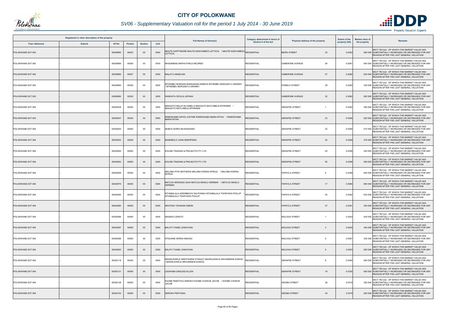

# *SV06 - Supplementary Valuation roll for the period 1 July 2014 - 30 June 2019*

|                       | Registered or other description of the property |               |                |                |      | <b>Full Names of Owner(s)</b>                                                                | Category determined in terms of | Physical address of the property       | <b>Extent of the</b> | <b>Market value of</b><br><b>Remarks</b>                                                                                                         |
|-----------------------|-------------------------------------------------|---------------|----------------|----------------|------|----------------------------------------------------------------------------------------------|---------------------------------|----------------------------------------|----------------------|--------------------------------------------------------------------------------------------------------------------------------------------------|
| <b>Town Allotment</b> | <b>Suburb</b>                                   | <b>Erf Nr</b> | <b>Portion</b> | <b>Section</b> | Unit |                                                                                              | <b>Section 8 of the Act</b>     |                                        | property (HA)        | the property                                                                                                                                     |
| POLOKWANE EXT 083     |                                                 | 00026880      | 00023          | $00\,$         | 0000 | MHUTE HAPPYMORE MHUTE NONYAMEKO LETTICIA / MHUTE NONYAMEKO RESIDENTIAL<br><b>ETTICIA</b>     |                                 | 23<br><b>BEIRA STREET</b>              | 0.0352               | SECT 78(1)(d) - OF WHICH THE MARKET VALUE HAS<br>660 000 SUBSTANTIALLY INCREASED OR DECREASED FOR ANY<br>REASON AFTER THE LAST GENERAL VALUATION |
| POLOKWANE EXT 083     |                                                 | 00026880      | 00026          | 00             | 0000 | NKADIMENG MAPHUTHELE MILDRED                                                                 | <b>RESIDENTIAL</b>              | 26<br><b>GABERONE AVENUE</b>           | 0.0281               | SECT 78(1)(d) - OF WHICH THE MARKET VALUE HAS<br>650 000 SUBSTANTIALLY INCREASED OR DECREASED FOR ANY<br>REASON AFTER THE LAST GENERAL VALUATION |
| POLOKWANE EXT 083     |                                                 | 00026880      | 00027          | $00\,$         | 0000 | <b>MALATJI ANGELINA</b>                                                                      | <b>RESIDENTIAL</b>              | 27<br><b>GABERONE AVENUE</b>           | 0.0282               | SECT 78(1)(d) - OF WHICH THE MARKET VALUE HAS<br>630 000 SUBSTANTIALLY INCREASED OR DECREASED FOR ANY<br>REASON AFTER THE LAST GENERAL VALUATION |
| POLOKWANE EXT 083     |                                                 | 00026880      | 00028          | 00             | 0000 | (ATHEMBU BONGANI BHEKANANI RIEBICK MTHEMBU MOKGAETJI GRANNY<br>MTHEMBU MOKGAETJI GRANNY      | <b>RESIDENTIAL</b>              | POMELO STREET<br>28                    | 0.0282               | SECT 78(1)(d) - OF WHICH THE MARKET VALUE HAS<br>530 000 SUBSTANTIALLY INCREASED OR DECREASED FOR ANY<br>REASON AFTER THE LAST GENERAL VALUATION |
| POLOKWANE EXT 083     |                                                 | 00026880      | 00032          | $00\,$         | 0000 | RANGATA CECILIA LEPAKA                                                                       | <b>RESIDENTIAL</b>              | 32<br><b>GABERONE AVENUE</b>           | 0.0282               | SECT 78(1)(d) - OF WHICH THE MARKET VALUE HAS<br>620 000 SUBSTANTIALLY INCREASED OR DECREASED FOR ANY<br>REASON AFTER THE LAST GENERAL VALUATION |
| POLOKWANE EXT 094     |                                                 | 00020036      | 00000          | 00             | 0000 | MAKGATO MALATJE KABELO MAKGATO MATLOBELE EPHRAEM /<br>MAKGATO MATLOBELE EPHRAEM              | <b>RESIDENTIAL</b>              | <b>SERAPSE STREET</b><br>$\mathbf{1}$  | 0.0304               | SECT 78(1)(d) - OF WHICH THE MARKET VALUE HAS<br>380 000 SUBSTANTIALLY INCREASED OR DECREASED FOR ANY<br>REASON AFTER THE LAST GENERAL VALUATION |
| POLOKWANE EXT 094     |                                                 | 00020047      | 00000          | $00\,$         | 0000 | RAMOSHABA SIPHO JUSTINE RAMOSHABA MARIA RITAH / RAMOSHABA<br>MARIA RITAH                     | <b>RESIDENTIAL</b>              | 23<br><b>SERAPSE STREET</b>            | 0.0308               | SECT 78(1)(d) - OF WHICH THE MARKET VALUE HAS<br>620 000 SUBSTANTIALLY INCREASED OR DECREASED FOR ANY<br>REASON AFTER THE LAST GENERAL VALUATION |
| POLOKWANE EXT 094     |                                                 | 00020052      | 00000          | $00\,$         | 0000 | MUBVA NORIA MUSHAISANO                                                                       | <b>RESIDENTIAL</b>              | 33<br><b>SERAPSE STREET</b>            | 0.0308               | SECT 78(1)(d) - OF WHICH THE MARKET VALUE HAS<br>610 000 SUBSTANTIALLY INCREASED OR DECREASED FOR ANY<br>REASON AFTER THE LAST GENERAL VALUATION |
| POLOKWANE EXT 094     |                                                 | 00020053      | 00000          | $00\,$         | 0000 | MAMABOLO JOHN MAROPENG                                                                       | <b>RESIDENTIAL</b>              | <b>SERAPSE STREET</b><br>35            | 0.0308               | SECT 78(1)(d) - OF WHICH THE MARKET VALUE HAS<br>470 000 SUBSTANTIALLY INCREASED OR DECREASED FOR ANY<br>REASON AFTER THE LAST GENERAL VALUATION |
| POLOKWANE EXT 094     |                                                 | 00020062      | 00000          | 00             | 0000 | KOLINE TRADING & PROJECTS PTY LTD                                                            | <b>RESIDENTIAL</b>              | <b>SERAPSE STREET</b><br>53            | 0.0308               | SECT 78(1)(d) - OF WHICH THE MARKET VALUE HAS<br>550 000 SUBSTANTIALLY INCREASED OR DECREASED FOR ANY<br>REASON AFTER THE LAST GENERAL VALUATION |
| POLOKWANE EXT 094     |                                                 | 00020063      | 00000          | $00\,$         | 0000 | KOLINE TRADING & PROJECTS PTY LTD                                                            | <b>RESIDENTIAL</b>              | <b>SERAPSE STREET</b><br>55            | 0.0308               | SECT 78(1)(d) - OF WHICH THE MARKET VALUE HAS<br>590 000 SUBSTANTIALLY INCREASED OR DECREASED FOR ANY<br>REASON AFTER THE LAST GENERAL VALUATION |
| POLOKWANE EXT 094     |                                                 | 00020069      | 00000          | 00             | 0000 | MALOBA PITSI MATHEWS MALOBA KWENA MYRILE / MALOBA KWENA<br><b>MYRILE</b>                     | <b>RESIDENTIAL</b>              | PAPATLA STREET<br>5                    | 0.0308               | SECT 78(1)(d) - OF WHICH THE MARKET VALUE HAS<br>650 000 SUBSTANTIALLY INCREASED OR DECREASED FOR ANY<br>REASON AFTER THE LAST GENERAL VALUATION |
| POLOKWANE EXT 094     |                                                 | 00020075      | 00000          | $00\,$         | 0000 | MATLOU MOKGADI LEAH MATLOU MASILU HERMAN / MATLOU MASILU<br><b>HERMAN</b>                    | <b>RESIDENTIAL</b>              | <b>PAPATLA STREET</b><br>17            | 0.0584               | SECT 78(1)(d) - OF WHICH THE MARKET VALUE HAS<br>680 000 SUBSTANTIALLY INCREASED OR DECREASED FOR ANY<br>REASON AFTER THE LAST GENERAL VALUATION |
| POLOKWANE EXT 094     |                                                 | 00020084      | 00000          | 00             | 0000 | NTHABALALA AZWIMBAVHI SALPHINAH NTHABALALA TSHIFHIWA PHILLIP<br>NTHABALALA TSHIFHIWA PHILLIP | <b>RESIDENTIAL</b>              | PAPATLA STREET<br>35                   | 0.0362               | SECT 78(1)(d) - OF WHICH THE MARKET VALUE HAS<br>630 000 SUBSTANTIALLY INCREASED OR DECREASED FOR ANY<br>REASON AFTER THE LAST GENERAL VALUATION |
| POLOKWANE EXT 094     |                                                 | 00020085      | 00000          | $00\,$         | 0000 | NKOTSWI TSHIKANI SIMON                                                                       | <b>RESIDENTIAL</b>              | 37<br><b>PAPATLA STREET</b>            | 0.0351               | SECT 78(1)(d) - OF WHICH THE MARKET VALUE HAS<br>340 000 SUBSTANTIALLY INCREASED OR DECREASED FOR ANY<br>REASON AFTER THE LAST GENERAL VALUATION |
| POLOKWANE EXT 094     |                                                 | 00020086      | 00000          | $00\,$         | 0000 | MASEKO LERATO                                                                                | <b>RESIDENTIAL</b>              | <b>MOLOGA STREET</b><br>$\overline{1}$ | 0.0303               | SECT 78(1)(d) - OF WHICH THE MARKET VALUE HAS<br>630 000 SUBSTANTIALLY INCREASED OR DECREASED FOR ANY<br>REASON AFTER THE LAST GENERAL VALUATION |
| POLOKWANE EXT 094     |                                                 | 00020087      | 00000          | $00\,$         | 0000 | <b>BALOYI THABO JONATHAN</b>                                                                 | <b>RESIDENTIAL</b>              | <b>MOLOGA STREET</b><br>$\mathbf{3}$   | 0.0405               | SECT 78(1)(d) - OF WHICH THE MARKET VALUE HAS<br>540 000 SUBSTANTIALLY INCREASED OR DECREASED FOR ANY<br>REASON AFTER THE LAST GENERAL VALUATION |
| POLOKWANE EXT 094     |                                                 | 00020088      | 00000          | 00             | 0000 | NTSOANE NORAH MAKADI                                                                         | <b>RESIDENTIAL</b>              | <b>MOLOGA STREET</b><br>-5             | 0.0367               | SECT 78(1)(d) - OF WHICH THE MARKET VALUE HAS<br>530 000 SUBSTANTIALLY INCREASED OR DECREASED FOR ANY<br>REASON AFTER THE LAST GENERAL VALUATION |
| POLOKWANE EXT 094     |                                                 | 00020093      | 00000          | $00\,$         | 0000 | BALOYI THABO JONATHAN                                                                        | <b>RESIDENTIAL</b>              | <b>MOLOGA STREET</b><br>6              | 0.0303               | SECT 78(1)(d) - OF WHICH THE MARKET VALUE HAS<br>650 000 SUBSTANTIALLY INCREASED OR DECREASED FOR ANY<br>REASON AFTER THE LAST GENERAL VALUATION |
| POLOKWANE EXT 094     |                                                 | 00020118      | 00000          | 00             | 0000 | MAWELEWELE NNDITSHENI STANLEY MAWELEWELE NKHUMISENI EUNICE<br>/ MAWELEWELE NKHUMISENI EUNICE | <b>RESIDENTIAL</b>              | SERAPSE STREET<br>8                    | 0.0348               | SECT 78(1)(d) - OF WHICH THE MARKET VALUE HAS<br>560 000 SUBSTANTIALLY INCREASED OR DECREASED FOR ANY<br>REASON AFTER THE LAST GENERAL VALUATION |
| POLOKWANE EXT 094     |                                                 | 00020131      | 00000          | $00\,$         | 0000 | LEDWABA DIKELEDI ELLEN                                                                       | <b>RESIDENTIAL</b>              | <b>SERAPSE STREET</b><br>18            | 0.0335               | SECT 78(1)(d) - OF WHICH THE MARKET VALUE HAS<br>560 000 SUBSTANTIALLY INCREASED OR DECREASED FOR ANY<br>REASON AFTER THE LAST GENERAL VALUATION |
| POLOKWANE EXT 094     |                                                 | 00020148      | 00000          | 00             | 0000 | KGOBE REBOTILE SEBOKO KGOBE CHOKOE JACOB / KGOBE CHOKOE<br><b>JACOB</b>                      | <b>RESIDENTIAL</b>              | 36<br><b>SEDIBA STREET</b>             | 0.0316               | SECT 78(1)(d) - OF WHICH THE MARKET VALUE HAS<br>520 000 SUBSTANTIALLY INCREASED OR DECREASED FOR ANY<br>REASON AFTER THE LAST GENERAL VALUATION |
| POLOKWANE EXT 094     |                                                 | 00020152      | 00000          | $00\,$         | 0000 | SEROKA PERTUNIA                                                                              | <b>RESIDENTIAL</b>              | <b>SEDIBA STREET</b><br>44             | 0.0316               | SECT 78(1)(d) - OF WHICH THE MARKET VALUE HAS<br>620 000 SUBSTANTIALLY INCREASED OR DECREASED FOR ANY<br>REASON AFTER THE LAST GENERAL VALUATION |

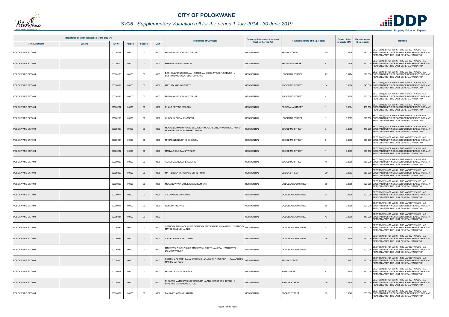

# *SV06 - Supplementary Valuation roll for the period 1 July 2014 - 30 June 2019*

| Registered or other description of the property |               |          |                |                |      |                                                                                                                                | Category determined in terms of |                                          | <b>Extent of the</b> | <b>Market value of</b> | <b>Remarks</b>                                                                                                                                   |
|-------------------------------------------------|---------------|----------|----------------|----------------|------|--------------------------------------------------------------------------------------------------------------------------------|---------------------------------|------------------------------------------|----------------------|------------------------|--------------------------------------------------------------------------------------------------------------------------------------------------|
| <b>Town Allotment</b>                           | <b>Suburb</b> | Erf Nr   | <b>Portion</b> | <b>Section</b> | Unit | <b>Full Names of Owner(s)</b>                                                                                                  | Section 8 of the Act            | Physical address of the property         | property (HA)        | the property           |                                                                                                                                                  |
| POLOKWANE EXT 094                               |               | 00020157 | 00000          | 00             | 0000 | M K MANAMELA FAMILY TRUST                                                                                                      | <b>RESIDENTIAL</b>              | <b>SEDIBA STREET</b><br>49               | 0.0316               |                        | SECT 78(1)(d) - OF WHICH THE MARKET VALUE HAS<br>580 000 SUBSTANTIALLY INCREASED OR DECREASED FOR ANY<br>REASON AFTER THE LAST GENERAL VALUATION |
| POLOKWANE EXT 094                               |               | 00020170 | 00000          | $00\,$         | 0000 | <b>MTHETHO VENNY MARCIA</b>                                                                                                    | <b>RESIDENTIAL</b>              | PEOLWANA STREET                          | 0.0316               |                        | SECT 78(1)(d) - OF WHICH THE MARKET VALUE HAS<br>470 000 SUBSTANTIALLY INCREASED OR DECREASED FOR ANY<br>REASON AFTER THE LAST GENERAL VALUATION |
| POLOKWANE EXT 094                               |               | 00020186 | 00000          | $00\,$         | 0000 | BOSHOMANE NOKO ISAIAH BOSHOMANE MOLATELO FLORENCE /<br>BOSHOMANE MOLATELO FLORENCE                                             | <b>RESIDENTIAL</b>              | 27<br><b>LESOKANA STREET</b>             | 0.0424               |                        | SECT 78(1)(d) - OF WHICH THE MARKET VALUE HAS<br>570 000 SUBSTANTIALLY INCREASED OR DECREASED FOR ANY<br>REASON AFTER THE LAST GENERAL VALUATION |
| POLOKWANE EXT 094                               |               | 00020191 | 00000          | $00\,$         | 0000 | <b>MATLADI MASILO PERCY</b>                                                                                                    | <b>RESIDENTIAL</b>              | <b>BOGODIMO STREET</b><br>14             | 0.0306               |                        | SECT 78(1)(d) - OF WHICH THE MARKET VALUE HAS<br>540 000 SUBSTANTIALLY INCREASED OR DECREASED FOR ANY<br>REASON AFTER THE LAST GENERAL VALUATION |
| POLOKWANE EXT 094                               |               | 00020196 | 00000          | $00\,$         | 0000 | M K MANAMELA FAMILY TRUST                                                                                                      | <b>RESIDENTIAL</b>              | <b>BOGODIMO STREET</b><br>$\overline{4}$ | 0.0308               |                        | SECT 78(1)(d) - OF WHICH THE MARKET VALUE HAS<br>590 000 SUBSTANTIALLY INCREASED OR DECREASED FOR ANY<br>REASON AFTER THE LAST GENERAL VALUATION |
| POLOKWANE EXT 094                               |               | 00020207 | 00000          | $00\,$         | 0000 | PHALA PETRUS MOLOKA                                                                                                            | <b>RESIDENTIAL</b>              | PEOLWANA STREET<br>1                     | 0.0304               |                        | SECT 78(1)(d) - OF WHICH THE MARKET VALUE HAS<br>430 000 SUBSTANTIALLY INCREASED OR DECREASED FOR ANY<br>REASON AFTER THE LAST GENERAL VALUATION |
| POLOKWANE EXT 094                               |               | 00020210 | 00000          | 00             | 0000 | KHOZA HLENGANE JOSEPH                                                                                                          | <b>RESIDENTIAL</b>              | <b>LESOKANA STREET</b><br>11             | 0.0365               |                        | SECT 78(1)(d) - OF WHICH THE MARKET VALUE HAS<br>610 000 SUBSTANTIALLY INCREASED OR DECREASED FOR ANY<br>REASON AFTER THE LAST GENERAL VALUATION |
| POLOKWANE EXT 094                               |               | 00020223 | 00000          | $00\,$         | 0000 | MOGANEDI MAMOROANE ELIZABETH MOGANEDI NGWANATHEKO ANNAH<br>MOGANEDI NGWANATHEKO ANNAH                                          | RESIDENTIAL                     | <b>BOGODIMO STREET</b><br>3              | 0.0309               |                        | SECT 78(1)(d) - OF WHICH THE MARKET VALUE HAS<br>440 000 SUBSTANTIALLY INCREASED OR DECREASED FOR ANY<br>REASON AFTER THE LAST GENERAL VALUATION |
| POLOKWANE EXT 094                               |               | 00020224 | 00000          | $00\,$         | 0000 | MKHABELE NOZIPHO CHEYEZA                                                                                                       | <b>RESIDENTIAL</b>              | <b>BOGODIMO STREET</b><br>5              | 0.0309               |                        | SECT 78(1)(d) - OF WHICH THE MARKET VALUE HAS<br>580 000 SUBSTANTIALLY INCREASED OR DECREASED FOR ANY<br>REASON AFTER THE LAST GENERAL VALUATION |
| POLOKWANE EXT 094                               |               | 00020227 | 00000          | $00\,$         | 0000 | MANYATHELA FAMILY TRUST                                                                                                        | <b>RESIDENTIAL</b>              | <b>BOGODIMO STREET</b><br>11             | 0.0309               |                        | SECT 78(1)(d) - OF WHICH THE MARKET VALUE HAS<br>610 000 SUBSTANTIALLY INCREASED OR DECREASED FOR ANY<br>REASON AFTER THE LAST GENERAL VALUATION |
| POLOKWANE EXT 094                               |               | 00020229 | 00000          | 00             | 0000 | ADAMS JACQUELINE AGATHE                                                                                                        | <b>RESIDENTIAL</b>              | <b>BOGODIMO STREET</b><br>15             | 0.0309               |                        | SECT 78(1)(d) - OF WHICH THE MARKET VALUE HAS<br>580 000 SUBSTANTIALLY INCREASED OR DECREASED FOR ANY<br>REASON AFTER THE LAST GENERAL VALUATION |
| POLOKWANE EXT 094                               |               | 00020263 | 00000          | $00\,$         | 0000 | MATHEBULA TINTSWALO CHRISTINAH                                                                                                 | <b>RESIDENTIAL</b>              | <b>SEDIBA STREET</b><br>29               | 0.0303               |                        | SECT 78(1)(d) - OF WHICH THE MARKET VALUE HAS<br>650 000 SUBSTANTIALLY INCREASED OR DECREASED FOR ANY<br>REASON AFTER THE LAST GENERAL VALUATION |
| POLOKWANE EXT 094                               |               | 00020268 | 00000          | 00             | 0000 | MOLONGWANA MUTJETJI WILHELMINAH                                                                                                | <b>RESIDENTIAL</b>              | 69<br>MODULAKGOGO STREET                 | 0.0308               |                        | SECT 78(1)(d) - OF WHICH THE MARKET VALUE HAS<br>620 000 SUBSTANTIALLY INCREASED OR DECREASED FOR ANY<br>REASON AFTER THE LAST GENERAL VALUATION |
| POLOKWANE EXT 094                               |               | 00020271 | 00000          | $00\,$         | 0000 | TAU MALETE JOHANNES                                                                                                            | <b>RESIDENTIAL</b>              | 63<br>MODULAKGOGO STREET                 | 0.0308               |                        | SECT 78(1)(d) - OF WHICH THE MARKET VALUE HAS<br>620 000 SUBSTANTIALLY INCREASED OR DECREASED FOR ANY<br>REASON AFTER THE LAST GENERAL VALUATION |
| POLOKWANE EXT 094                               |               | 00020275 | 00000          | 00             | 0000 | REBCON PROP CC                                                                                                                 | <b>RESIDENTIAL</b>              | 55<br>MODULAKGOGO STREET                 | 0.0309               |                        | SECT 78(1)(d) - OF WHICH THE MARKET VALUE HAS<br>520 000 SUBSTANTIALLY INCREASED OR DECREASED FOR ANY<br>REASON AFTER THE LAST GENERAL VALUATION |
| POLOKWANE EXT 094                               |               | 00020281 | 00000          | $00\,$         | 0000 |                                                                                                                                | <b>RESIDENTIAL</b>              | MODULAKGOGO STREET<br>43                 | 0.0309               |                        | SECT 78(1)(d) - OF WHICH THE MARKET VALUE HAS<br>410 000 SUBSTANTIALLY INCREASED OR DECREASED FOR ANY<br>REASON AFTER THE LAST GENERAL VALUATION |
| POLOKWANE EXT 094                               |               | 00020282 | 00000          | 00             | 0000 | SETHOGA MASHADI JULIET SETHOGA MATSOBANE JOHANNES    / SETHOGA $\rm{\left _{\text{RESIDENTIAL}}\right }$<br>MATSOBANE JOHANNES |                                 | 41<br>MODULAKGOGO STREET                 | 0.0309               |                        | SECT 78(1)(d) - OF WHICH THE MARKET VALUE HAS<br>520 000 SUBSTANTIALLY INCREASED OR DECREASED FOR ANY<br>REASON AFTER THE LAST GENERAL VALUATION |
| POLOKWANE EXT 094                               |               | 00020283 | 00000          | $00\,$         | 0000 | SADIKI HUMBULANI LLOYD                                                                                                         | <b>RESIDENTIAL</b>              | MODULAKGOGO STREET<br>39                 | 0.0309               |                        | SECT 78(1)(d) - OF WHICH THE MARKET VALUE HAS<br>540 000 SUBSTANTIALLY INCREASED OR DECREASED FOR ANY<br>REASON AFTER THE LAST GENERAL VALUATION |
| POLOKWANE EXT 094                               |               | 00020289 | 00000          | 00             | 0000 | MAKWEYA PHUTI PHILLIP MAKWEYA LORATO VANESA / MAKWEYA<br>LORATO VANESA                                                         | <b>RESIDENTIAL</b>              | 27<br>MODULAKGOGO STREET                 | 0.0309               |                        | SECT 78(1)(d) - OF WHICH THE MARKET VALUE HAS<br>500 000 SUBSTANTIALLY INCREASED OR DECREASED FOR ANY<br>REASON AFTER THE LAST GENERAL VALUATION |
| POLOKWANE EXT 094                               |               | 00020310 | 00000          | $00\,$         | 0000 | RAMASHAPA MAPULA JANE RAMASHAPA MASILO MARCUS    / RAMASHAPA<br><b>MASILO MARCUS</b>                                           | <b>RESIDENTIAL</b>              | <b>SEDIBA STREET</b><br>5                | 0.0392               |                        | SECT 78(1)(d) - OF WHICH THE MARKET VALUE HAS<br>620 000 SUBSTANTIALLY INCREASED OR DECREASED FOR ANY<br>REASON AFTER THE LAST GENERAL VALUATION |
| POLOKWANE EXT 094                               |               | 00020317 | 00000          | $00\,$         | 0000 | MASHELE NSOVO ABIGAIL                                                                                                          | <b>RESIDENTIAL</b>              | <b>NOKA STREET</b><br>8                  | 0.0330               |                        | SECT 78(1)(d) - OF WHICH THE MARKET VALUE HAS<br>490 000 SUBSTANTIALLY INCREASED OR DECREASED FOR ANY<br>REASON AFTER THE LAST GENERAL VALUATION |
| POLOKWANE EXT 094                               |               | 00020364 | 00000          | $00\,$         | 0000 | PHALANE MATTHEWS MOKGAETJI PHALANE MAROPENG JOYCE /<br>PHALANE MAROPENG JOYCE                                                  | <b>RESIDENTIAL</b>              | <b>BOFASE STREET</b><br>29               | 0.0338               |                        | SECT 78(1)(d) - OF WHICH THE MARKET VALUE HAS<br>530 000 SUBSTANTIALLY INCREASED OR DECREASED FOR ANY<br>REASON AFTER THE LAST GENERAL VALUATION |
| POLOKWANE EXT 094                               |               | 00020369 | 00000          | 00             | 0000 | BALOYI THABO JONATHAN                                                                                                          | <b>RESIDENTIAL</b>              | <b>BOFASE STREET</b><br>19               | 0.0346               |                        | SECT 78(1)(d) - OF WHICH THE MARKET VALUE HAS<br>580 000 SUBSTANTIALLY INCREASED OR DECREASED FOR ANY<br>REASON AFTER THE LAST GENERAL VALUATION |

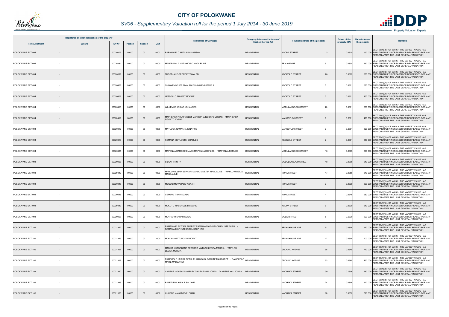

# *SV06 - Supplementary Valuation roll for the period 1 July 2014 - 30 June 2019*

| Registered or other description of the property |               |          |                |                |      |                                                                                                 | Category determined in terms of |                                         | <b>Extent of the</b> | <b>Market value of</b><br>Remarks                                                                                                                |
|-------------------------------------------------|---------------|----------|----------------|----------------|------|-------------------------------------------------------------------------------------------------|---------------------------------|-----------------------------------------|----------------------|--------------------------------------------------------------------------------------------------------------------------------------------------|
| <b>Town Allotment</b>                           | <b>Suburb</b> | Erf Nr   | <b>Portion</b> | <b>Section</b> | Unit | <b>Full Names of Owner(s)</b>                                                                   | <b>Section 8 of the Act</b>     | Physical address of the property        | property (HA)        | the property                                                                                                                                     |
| POLOKWANE EXT 094                               |               | 00020376 | 00000          | $00\,$         | 0000 | RAPHAHLELO MATLANKI SAMSON                                                                      | <b>RESIDENTIAL</b>              | <b>KGOPA STREET</b><br>13               | 0.031                | SECT 78(1)(d) - OF WHICH THE MARKET VALUE HAS<br>530 000 SUBSTANTIALLY INCREASED OR DECREASED FOR ANY<br>REASON AFTER THE LAST GENERAL VALUATION |
| POLOKWANE EXT 094                               |               | 00020384 | 00000          | 00             | 0000 | MANABALALA MATSHIDISO MAGDELINE                                                                 | <b>RESIDENTIAL</b>              | <b>EPA AVENUE</b><br>6                  | 0.0334               | SECT 78(1)(d) - OF WHICH THE MARKET VALUE HAS<br>630 000 SUBSTANTIALLY INCREASED OR DECREASED FOR ANY<br>REASON AFTER THE LAST GENERAL VALUATION |
| POLOKWANE EXT 094                               |               | 00020391 | 00000          | $00\,$         | 0000 | THOBEJANE GEORGE TSWALEDI                                                                       | <b>RESIDENTIAL</b>              | <b>KGOKOLO STREET</b><br>20             | 0.0302               | SECT 78(1)(d) - OF WHICH THE MARKET VALUE HAS<br>380 000 SUBSTANTIALLY INCREASED OR DECREASED FOR ANY<br>REASON AFTER THE LAST GENERAL VALUATION |
| POLOKWANE EXT 094                               |               | 00020408 | 00000          | 00             | 0000 | SHIKWENI CLIFF RIVALANI / SHIKWENI SEWELA                                                       | <b>RESIDENTIAL</b>              | <b>KGOKOLO STREET</b><br>5              | 0.0301               | SECT 78(1)(d) - OF WHICH THE MARKET VALUE HAS<br>580 000 SUBSTANTIALLY INCREASED OR DECREASED FOR ANY<br>REASON AFTER THE LAST GENERAL VALUATION |
| POLOKWANE EXT 094                               |               | 00020409 | 00000          | $00\,$         | 0000 | LETSOALO ERNEST MODIBE                                                                          | <b>RESIDENTIAL</b>              | <b>KGOKOLO STREET</b><br>-3             | 0.0301               | SECT 78(1)(d) - OF WHICH THE MARKET VALUE HAS<br>430 000 SUBSTANTIALLY INCREASED OR DECREASED FOR ANY<br>REASON AFTER THE LAST GENERAL VALUATION |
| POLOKWANE EXT 094                               |               | 00020410 | 00000          | 00             | 0000 | WILLEMSE JOSIAS JOHANNES                                                                        | <b>RESIDENTIAL</b>              | MODULAKGOGO STREET<br>20                | 0.0301               | SECT 78(1)(d) - OF WHICH THE MARKET VALUE HAS<br>500 000 SUBSTANTIALLY INCREASED OR DECREASED FOR ANY<br>REASON AFTER THE LAST GENERAL VALUATION |
| POLOKWANE EXT 094                               |               | 00020411 | 00000          | $00\,$         | 0000 | MAPHEPHA PHUTI VIOLET MAPHEPHA NGOATO JOSIAS / MAPHEPHA<br>NGOATO JOSIAS                        | <b>RESIDENTIAL</b>              | <b>MAKGOTLO STREET</b><br><b>g</b>      | 0.030                | SECT 78(1)(d) - OF WHICH THE MARKET VALUE HAS<br>470 000 SUBSTANTIALLY INCREASED OR DECREASED FOR ANY<br>REASON AFTER THE LAST GENERAL VALUATION |
| POLOKWANE EXT 094                               |               | 00020412 | 00000          | 00             | 0000 | MATLOGA RAMATJIA IGNATIUS                                                                       | <b>RESIDENTIAL</b>              | MAKGOTLO STREET<br>$\overline{7}$       | 0.030                | SECT 78(1)(d) - OF WHICH THE MARKET VALUE HAS<br>520 000 SUBSTANTIALLY INCREASED OR DECREASED FOR ANY<br>REASON AFTER THE LAST GENERAL VALUATION |
| POLOKWANE EXT 094                               |               | 00020413 | 00000          | $00\,$         | 0000 | KOMANA MOTLOUTSI CHARLES                                                                        | <b>RESIDENTIAL</b>              | <b>KGOKOLO STREET</b><br>$\overline{7}$ | 0.030                | SECT 78(1)(d) - OF WHICH THE MARKET VALUE HAS<br>580 000 SUBSTANTIALLY INCREASED OR DECREASED FOR ANY<br>REASON AFTER THE LAST GENERAL VALUATION |
| POLOKWANE EXT 094                               |               | 00020425 | 00000          | 00             | 0000 | MAPONYA RAMODIKE JACK MAPONYA REFILOE / MAPONYA REFILOE                                         | <b>RESIDENTIAL</b>              | 16<br>MODULAKGOGO STREET                | 0.0305               | SECT 78(1)(d) - OF WHICH THE MARKET VALUE HAS<br>590 000 SUBSTANTIALLY INCREASED OR DECREASED FOR ANY<br>REASON AFTER THE LAST GENERAL VALUATION |
| POLOKWANE EXT 094                               |               | 00020426 | 00000          | $00\,$         | 0000 | <b>SIBUYI TRINITY</b>                                                                           | <b>RESIDENTIAL</b>              | MODULAKGOGO STREET<br>18                | 0.0305               | SECT 78(1)(d) - OF WHICH THE MARKET VALUE HAS<br>610 000 SUBSTANTIALLY INCREASED OR DECREASED FOR ANY<br>REASON AFTER THE LAST GENERAL VALUATION |
| POLOKWANE EXT 094                               |               | 00020442 | 00000          | 00             | 0000 | MAHLO WILLIAM SEPHARI MAHLO MMETJA MAGDALINE / MAHLO MMETJA<br>MAGDALINE                        | <b>RESIDENTIAL</b>              | <b>NOKA STREET</b><br>17                | 0.0355               | SECT 78(1)(d) - OF WHICH THE MARKET VALUE HAS<br>540 000 SUBSTANTIALLY INCREASED OR DECREASED FOR ANY<br>REASON AFTER THE LAST GENERAL VALUATION |
| POLOKWANE EXT 094                               |               | 00020447 | 00000          | $00\,$         | 0000 | MODUBI MOYAHABO ANNAH                                                                           | <b>RESIDENTIAL</b>              | <b>NOKA STREET</b><br>7                 | 0.0339               | SECT 78(1)(d) - OF WHICH THE MARKET VALUE HAS<br>590 000 SUBSTANTIALLY INCREASED OR DECREASED FOR ANY<br>REASON AFTER THE LAST GENERAL VALUATION |
| POLOKWANE EXT 094                               |               | 00020448 | 00000          | 00             | 0000 | SEPURU TINNY KGABO                                                                              | <b>RESIDENTIAL</b>              | <b>NOKA STREET</b>                      | 0.034                | SECT 78(1)(d) - OF WHICH THE MARKET VALUE HAS<br>580 000 SUBSTANTIALLY INCREASED OR DECREASED FOR ANY<br>REASON AFTER THE LAST GENERAL VALUATION |
| POLOKWANE EXT 094                               |               | 00020449 | 00000          | $00\,$         | 0000 | MOLOTO MASEROLE BISMARK                                                                         | <b>RESIDENTIAL</b>              | <b>KGOPA STREET</b>                     | 0.0330               | SECT 78(1)(d) - OF WHICH THE MARKET VALUE HAS<br>610 000 SUBSTANTIALLY INCREASED OR DECREASED FOR ANY<br>REASON AFTER THE LAST GENERAL VALUATION |
| POLOKWANE EXT 094                               |               | 00020457 | 00000          | 00             | 0000 | MOTHAPO SARAH NDIDE                                                                             | <b>RESIDENTIAL</b>              | <b>MOEDI STREET</b><br>5                | 0.0330               | SECT 78(1)(d) - OF WHICH THE MARKET VALUE HAS<br>620 000 SUBSTANTIALLY INCREASED OR DECREASED FOR ANY<br>REASON AFTER THE LAST GENERAL VALUATION |
| POLOKWANE EXT 109                               |               | 00021942 | 00000          | $00\,$         | 0000 | RAMAWA ELELWANI AUBREY RAMAWA MAPHUTI CAROL STEPHINA /<br>RAMAWA MAPHUTI CAROL STEPHINA         | <b>RESIDENTIAL</b>              | <b>SEKHUKHUNE AVE</b><br>61             | 0.0356               | SECT 78(1)(d) - OF WHICH THE MARKET VALUE HAS<br>540 000 SUBSTANTIALLY INCREASED OR DECREASED FOR ANY<br>REASON AFTER THE LAST GENERAL VALUATION |
| POLOKWANE EXT 109                               |               | 00021949 | 00000          | 00             | 0000 | MOKOMANE TUMODI VINCENT                                                                         | <b>RESIDENTIAL</b>              | 47<br>SEKHUKHUNE AVE                    | 0.0356               | SECT 78(1)(d) - OF WHICH THE MARKET VALUE HAS<br>700 000 SUBSTANTIALLY INCREASED OR DECREASED FOR ANY<br>REASON AFTER THE LAST GENERAL VALUATION |
| POLOKWANE EXT 109                               |               | 00021957 | 00000          | $00\,$         | 0000 | MADIBA MATSOBANE BERNARD MATLOU LESIBA MERCIA / MATLOU<br>LESIBA MERCIA                         | <b>RESIDENTIAL</b>              | <b>GROUND AVENUE</b><br>65              | 0.0349               | SECT 78(1)(d) - OF WHICH THE MARKET VALUE HAS<br>710 000 SUBSTANTIALLY INCREASED OR DECREASED FOR ANY<br>REASON AFTER THE LAST GENERAL VALUATION |
| POLOKWANE EXT 109                               |               | 00021958 | 00000          | $00\,$         | 0000 | RAMOKOLO LESIBA BETHUEL RAMOKOLO MAITE MARGARET / RAMOKOLO RESIDENTIAL<br><b>MAITE MARGARET</b> |                                 | 63<br><b>GROUND AVENUE</b>              | 0.0349               | SECT 78(1)(d) - OF WHICH THE MARKET VALUE HAS<br>460 000 SUBSTANTIALLY INCREASED OR DECREASED FOR ANY<br>REASON AFTER THE LAST GENERAL VALUATION |
| POLOKWANE EXT 109                               |               | 00021960 | 00000          | $00\,$         | 0000 | CHUENE MOKGADI SHIRLEY CHUENE KAU JONAS / CHUENE KAU JONAS                                      | <b>RESIDENTIAL</b>              | <b>MACHAKA STREET</b><br>30             | 0.0356               | SECT 78(1)(d) - OF WHICH THE MARKET VALUE HAS<br>780 000 SUBSTANTIALLY INCREASED OR DECREASED FOR ANY<br>REASON AFTER THE LAST GENERAL VALUATION |
| POLOKWANE EXT 109                               |               | 00021963 | 00000          | $00\,$         | 0000 | RALETJENA KGOLE SALOME                                                                          | <b>RESIDENTIAL</b>              | 24<br><b>MACHAKA STREET</b>             | 0.0356               | SECT 78(1)(d) - OF WHICH THE MARKET VALUE HAS<br>510 000 SUBSTANTIALLY INCREASED OR DECREASED FOR ANY<br>REASON AFTER THE LAST GENERAL VALUATION |
| POLOKWANE EXT 109                               |               | 00021966 | 00000          | $00\,$         | 0000 | CHUENE MAKGAGO FLORAH                                                                           | <b>RESIDENTIAL</b>              | <b>MACHAKA STREET</b><br>18             | 0.0356               | SECT 78(1)(d) - OF WHICH THE MARKET VALUE HAS<br>720 000 SUBSTANTIALLY INCREASED OR DECREASED FOR ANY<br>REASON AFTER THE LAST GENERAL VALUATION |

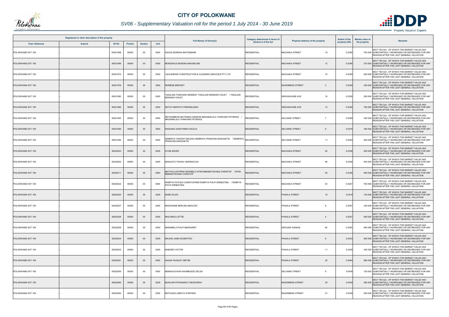

# *SV06 - Supplementary Valuation roll for the period 1 July 2014 - 30 June 2019*

| Registered or other description of the property |               |          |                |                |      |                                                                                                 | Category determined in terms of |                                          | <b>Extent of the</b> | <b>Market value of</b><br><b>Remarks</b>                                                                                                         |
|-------------------------------------------------|---------------|----------|----------------|----------------|------|-------------------------------------------------------------------------------------------------|---------------------------------|------------------------------------------|----------------------|--------------------------------------------------------------------------------------------------------------------------------------------------|
| <b>Town Allotment</b>                           | <b>Suburb</b> | Erf Nr   | <b>Portion</b> | <b>Section</b> | Unit | <b>Full Names of Owner(s)</b>                                                                   | <b>Section 8 of the Act</b>     | Physical address of the property         | property (HA)        | the property                                                                                                                                     |
| POLOKWANE EXT 109                               |               | 00021968 | 00000          | 00             | 0000 | KGOLE MORAKA MATSOBANE                                                                          | <b>RESIDENTIAL</b>              | <b>MACHAKA STREET</b><br>14              | 0.0356               | SECT 78(1)(d) - OF WHICH THE MARKET VALUE HAS<br>700 000 SUBSTANTIALLY INCREASED OR DECREASED FOR ANY<br>REASON AFTER THE LAST GENERAL VALUATION |
| POLOKWANE EXT 109                               |               | 00021969 | 00000          | $00\,$         | 0000 | MOKGEHLE MOSENA MAGDELINE                                                                       | <b>RESIDENTIAL</b>              | <b>MACHAKA STREET</b><br>12              | 0.0356               | SECT 78(1)(d) - OF WHICH THE MARKET VALUE HAS<br>370 000 SUBSTANTIALLY INCREASED OR DECREASED FOR ANY<br>REASON AFTER THE LAST GENERAL VALUATION |
| POLOKWANE EXT 109                               |               | 00021970 | 00000          | 00             | 0000 | VAHLENKWE CONSTRUCTION & CLEANING SERVICES PTY LTD                                              | <b>RESIDENTIAL</b>              | <b>MACHAKA STREET</b><br>10 <sup>1</sup> | 0.0356               | SECT 78(1)(d) - OF WHICH THE MARKET VALUE HAS<br>650 000 SUBSTANTIALLY INCREASED OR DECREASED FOR ANY<br>REASON AFTER THE LAST GENERAL VALUATION |
| POLOKWANE EXT 109                               |               | 00021976 | 00000          | $00\,$         | 0000 | <b>MONENE BRIDGET</b>                                                                           | <b>RESIDENTIAL</b>              | <b>NKADIMENG STREET</b><br>- 3           | 0.0338               | SECT 78(1)(d) - OF WHICH THE MARKET VALUE HAS<br>430 000 SUBSTANTIALLY INCREASED OR DECREASED FOR ANY<br>REASON AFTER THE LAST GENERAL VALUATION |
| POLOKWANE EXT 109                               |               | 00021982 | 00000          | 00             | 0000 | TAKALANI THAKHANI KENNEDY TAKALANI RENDANI VIOLET / TAKALANI<br>RENDANI VIOLET                  | RESIDENTIAL                     | 19<br><b>SEKHUKHUNE AVE</b>              | 0.0338               | SECT 78(1)(d) - OF WHICH THE MARKET VALUE HAS<br>290 000 SUBSTANTIALLY INCREASED OR DECREASED FOR ANY<br>REASON AFTER THE LAST GENERAL VALUATION |
| POLOKWANE EXT 109                               |               | 00021985 | 00000          | $00\,$         | 0000 | SETATI MAPHUTI FRENGELINAH                                                                      | <b>RESIDENTIAL</b>              | <b>SEKHUKHUNE AVE</b><br>13              | 0.0338               | SECT 78(1)(d) - OF WHICH THE MARKET VALUE HAS<br>780 000 SUBSTANTIALLY INCREASED OR DECREASED FOR ANY<br>REASON AFTER THE LAST GENERAL VALUATION |
| POLOKWANE EXT 109                               |               | 00021993 | 00000          | $00\,$         | 0000 | NETSHIMBONI MUTSINDA GERSON MADAMALALA THAKHANI PATIENCE<br><b>MADAMALALA THAKHANI PATIENCE</b> | RESIDENTIAL                     | <b>SELOANE STREET</b><br>$\overline{7}$  | 0.0369               | SECT 78(1)(d) - OF WHICH THE MARKET VALUE HAS<br>540 000 SUBSTANTIALLY INCREASED OR DECREASED FOR ANY<br>REASON AFTER THE LAST GENERAL VALUATION |
| POLOKWANE EXT 109                               |               | 00021994 | 00000          | $00\,$         | 0000 | RASHAKA AZWITAMISI CECILIA                                                                      | <b>RESIDENTIAL</b>              | <b>SELOANE STREET</b>                    | 0.037                | SECT 78(1)(d) - OF WHICH THE MARKET VALUE HAS<br>340 000 SUBSTANTIALLY INCREASED OR DECREASED FOR ANY<br>REASON AFTER THE LAST GENERAL VALUATION |
| POLOKWANE EXT 109                               |               | 00021995 | 00000          | $00\,$         | 0000 | SEMENYA VINCENT MALEKA SEMENYA FRANCINA MAKGAETSI / SEMENYA<br><b>FRANCINA MAKGAETSI</b>        | <b>RESIDENTIAL</b>              | <b>SELOANE STREET</b><br>11              | 0.0383               | SECT 78(1)(d) - OF WHICH THE MARKET VALUE HAS<br>600 000 SUBSTANTIALLY INCREASED OR DECREASED FOR ANY<br>REASON AFTER THE LAST GENERAL VALUATION |
| POLOKWANE EXT 109                               |               | 00022003 | 00000          | $00\,$         | 0000 | YOB ANVER                                                                                       | <b>RESIDENTIAL</b>              | 54<br><b>MACHAKA STREET</b>              | 0.0338               | SECT 78(1)(d) - OF WHICH THE MARKET VALUE HAS<br>400 000 SUBSTANTIALLY INCREASED OR DECREASED FOR ANY<br>REASON AFTER THE LAST GENERAL VALUATION |
| POLOKWANE EXT 109                               |               | 00022005 | 00000          | 00             | 0000 | MAKGATO TSHIKA VERONICCAH                                                                       | <b>RESIDENTIAL</b>              | <b>MACHAKA STREET</b><br>48              | 0.0338               | SECT 78(1)(d) - OF WHICH THE MARKET VALUE HAS<br>400 000 SUBSTANTIALLY INCREASED OR DECREASED FOR ANY<br>REASON AFTER THE LAST GENERAL VALUATION |
| POLOKWANE EXT 109                               |               | 00022011 | 00000          | 00             | 0000 | MATHYE LESTRINA MOKIBELO NTINI MMAMOTSHANA CHRISTOF / NTINI<br>MMAMOTSHANA CHRISTOF             | <b>RESIDENTIAL</b>              | 36<br><b>MACHAKA STREET</b>              | 0.0338               | SECT 78(1)(d) - OF WHICH THE MARKET VALUE HAS<br>460 000 SUBSTANTIALLY INCREASED OR DECREASED FOR ANY<br>REASON AFTER THE LAST GENERAL VALUATION |
| POLOKWANE EXT 109                               |               | 00022022 | 00000          | 00             | 0000 | RAMPYA PATLEDI CHRISTOPHER RAMPYA PHUTI ERNESTINA / RAMPYA<br>PHUTI ERNESTINA                   | RESIDENTIAL                     | <b>MACHAKA STREET</b><br>43              | 0.0427               | SECT 78(1)(d) - OF WHICH THE MARKET VALUE HAS<br>760 000 SUBSTANTIALLY INCREASED OR DECREASED FOR ANY<br>REASON AFTER THE LAST GENERAL VALUATION |
| POLOKWANE EXT 109                               |               | 00022025 | 00000          | $00\,$         | 0000 | <b>NARE DILIZA</b>                                                                              | <b>RESIDENTIAL</b>              | PHAHLA STREET<br>10 <sup>1</sup>         | 0.0418               | SECT 78(1)(d) - OF WHICH THE MARKET VALUE HAS<br>730 000 SUBSTANTIALLY INCREASED OR DECREASED FOR ANY<br>REASON AFTER THE LAST GENERAL VALUATION |
| POLOKWANE EXT 109                               |               | 00022027 | 00000          | $00\,$         | 0000 | MAGAGANE BERLINA MAHLODI                                                                        | <b>RESIDENTIAL</b>              | PHAHLA STREET                            | 0.0357               | SECT 78(1)(d) - OF WHICH THE MARKET VALUE HAS<br>430 000 SUBSTANTIALLY INCREASED OR DECREASED FOR ANY<br>REASON AFTER THE LAST GENERAL VALUATION |
| POLOKWANE EXT 109                               |               | 00022028 | 00000          | $00\,$         | 0000 | MHLONGO LETTIE                                                                                  | <b>RESIDENTIAL</b>              | PHAHLA STREET<br>$\overline{4}$          | 0.0357               | SECT 78(1)(d) - OF WHICH THE MARKET VALUE HAS<br>650 000 SUBSTANTIALLY INCREASED OR DECREASED FOR ANY<br>REASON AFTER THE LAST GENERAL VALUATION |
| POLOKWANE EXT 109                               |               | 00022029 | 00000          | 00             | 0000 | MANAMELA PHUTI MARGARET                                                                         | <b>RESIDENTIAL</b>              | 60<br><b>GROUND AVENUE</b>               | 0.0355               | SECT 78(1)(d) - OF WHICH THE MARKET VALUE HAS<br>460 000 SUBSTANTIALLY INCREASED OR DECREASED FOR ANY<br>REASON AFTER THE LAST GENERAL VALUATION |
| POLOKWANE EXT 109                               |               | 00022034 | 00000          | $00\,$         | 0000 | MAJOSI JANE KGOMOTSO                                                                            | <b>RESIDENTIAL</b>              | PHAHLA STREET<br>$\mathbf{Q}$            | 0.0433               | SECT 78(1)(d) - OF WHICH THE MARKET VALUE HAS<br>800 000 SUBSTANTIALLY INCREASED OR DECREASED FOR ANY<br>REASON AFTER THE LAST GENERAL VALUATION |
| POLOKWANE EXT 109                               |               | 00022035 | 00000          | 00             | 0000 | MABOBO VICTOR                                                                                   | <b>RESIDENTIAL</b>              | 11<br>PHAHLA STREET                      | 0.0338               | SECT 78(1)(d) - OF WHICH THE MARKET VALUE HAS<br>430 000 SUBSTANTIALLY INCREASED OR DECREASED FOR ANY<br>REASON AFTER THE LAST GENERAL VALUATION |
| POLOKWANE EXT 109                               |               | 00022051 | 00000          | $00\,$         | 0000 | SAASA PAXSLEY METSE                                                                             | <b>RESIDENTIAL</b>              | PHAHLA STREET<br>20                      | 0.0494               | SECT 78(1)(d) - OF WHICH THE MARKET VALUE HAS<br>960 000 SUBSTANTIALLY INCREASED OR DECREASED FOR ANY<br>REASON AFTER THE LAST GENERAL VALUATION |
| POLOKWANE EXT 109                               |               | 00022055 | 00000          | 00             | 0000 | NEMAGUVHUNI KHUMBUDZO ZELDA                                                                     | <b>RESIDENTIAL</b>              | <b>SELOANE STREET</b><br>6               | 0.0438               | SECT 78(1)(d) - OF WHICH THE MARKET VALUE HAS<br>720 000 SUBSTANTIALLY INCREASED OR DECREASED FOR ANY<br>REASON AFTER THE LAST GENERAL VALUATION |
| POLOKWANE EXT 109                               |               | 00022060 | 00000          | $00\,$         | 0000 | MUHLARI NTWANANO THEODORAH                                                                      | <b>RESIDENTIAL</b>              | 25<br><b>NKADIMENG STREET</b>            | 0.0338               | SECT 78(1)(d) - OF WHICH THE MARKET VALUE HAS<br>560 000 SUBSTANTIALLY INCREASED OR DECREASED FOR ANY<br>REASON AFTER THE LAST GENERAL VALUATION |
| POLOKWANE EXT 109                               |               | 00022062 | 00000          | 00             | 0000 | MOTAUNG LEBOYA STEPHEN                                                                          | <b>RESIDENTIAL</b>              | <b>NKADIMENG STREET</b><br>21            | 0.0338               | SECT 78(1)(d) - OF WHICH THE MARKET VALUE HAS<br>600 000 SUBSTANTIALLY INCREASED OR DECREASED FOR ANY<br>REASON AFTER THE LAST GENERAL VALUATION |

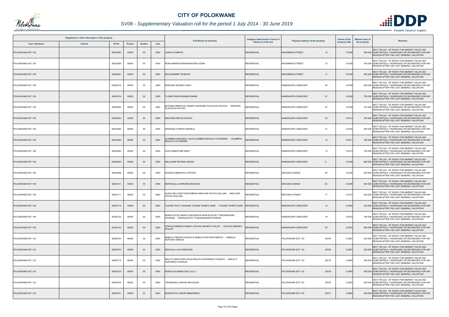

# *SV06 - Supplementary Valuation roll for the period 1 July 2014 - 30 June 2019*

| Registered or other description of the property<br><b>Erf Nr</b><br><b>Town Allotment</b><br><b>Suburb</b><br><b>Portion</b><br><b>Section</b> |  |          |       |        |      | <b>Full Names of Owner(s)</b>                                                                     | Category determined in terms of | Physical address of the property | <b>Extent of the</b> | <b>Market value of</b> | <b>Remarks</b>                                                                                                                                   |
|------------------------------------------------------------------------------------------------------------------------------------------------|--|----------|-------|--------|------|---------------------------------------------------------------------------------------------------|---------------------------------|----------------------------------|----------------------|------------------------|--------------------------------------------------------------------------------------------------------------------------------------------------|
|                                                                                                                                                |  |          |       |        | Unit |                                                                                                   | <b>Section 8 of the Act</b>     |                                  | property (HA)        | the property           |                                                                                                                                                  |
| POLOKWANE EXT 109                                                                                                                              |  | 00022065 | 00000 | $00\,$ | 0000 | <b>LESHILO DIMPHO</b>                                                                             | <b>RESIDENTIAL</b>              | <b>NKADIMENG STREET</b><br>15    | 0.0338               |                        | SECT 78(1)(d) - OF WHICH THE MARKET VALUE HAS<br>490 000 SUBSTANTIALLY INCREASED OR DECREASED FOR ANY<br>REASON AFTER THE LAST GENERAL VALUATION |
| POLOKWANE EXT 109                                                                                                                              |  | 00022066 | 00000 | $00\,$ | 0000 | MONYAMANE NGWANANGOAKO EDNA                                                                       | <b>RESIDENTIAL</b>              | <b>NKADIMENG STREET</b><br>13    | 0.0338               |                        | SECT 78(1)(d) - OF WHICH THE MARKET VALUE HAS<br>340 000 SUBSTANTIALLY INCREASED OR DECREASED FOR ANY<br>REASON AFTER THE LAST GENERAL VALUATION |
| POLOKWANE EXT 109                                                                                                                              |  | 00022067 | 00000 | $00\,$ | 0000 | MOLOKOMME TSHEPHO                                                                                 | <b>RESIDENTIAL</b>              | <b>NKADIMENG STREET</b><br>11    | 0.0338               |                        | SECT 78(1)(d) - OF WHICH THE MARKET VALUE HAS<br>460 000 SUBSTANTIALLY INCREASED OR DECREASED FOR ANY<br>REASON AFTER THE LAST GENERAL VALUATION |
| POLOKWANE EXT 109                                                                                                                              |  | 00022074 | 00000 | 00     | 0000 | MOKUMO NGOAKO ASAH                                                                                | <b>RESIDENTIAL</b>              | RAMOKGOPA CRESCENT<br>45         | 0.0338               |                        | SECT 78(1)(d) - OF WHICH THE MARKET VALUE HAS<br>650 000 SUBSTANTIALLY INCREASED OR DECREASED FOR ANY<br>REASON AFTER THE LAST GENERAL VALUATION |
| POLOKWANE EXT 109                                                                                                                              |  | 00022078 | 00000 | $00\,$ | 0000 | <b>ILOMATSANA MOSIMA NONNIE</b>                                                                   | <b>RESIDENTIAL</b>              | 37<br>RAMOKGOPA CRESCENT         | 0.0538               |                        | SECT 78(1)(d) - OF WHICH THE MARKET VALUE HAS<br>750 000 SUBSTANTIALLY INCREASED OR DECREASED FOR ANY<br>REASON AFTER THE LAST GENERAL VALUATION |
| POLOKWANE EXT 109                                                                                                                              |  | 00022083 | 00000 | 00     | 0000 | MOSOMA MMAPULE JEANETH MOSOMA GLACIOUS KHUTSO / MOSOMA<br><b>GLACIOUS KHUTSO</b>                  | RESIDENTIAL                     | 27<br>RAMOKGOPA CRESCENT         | 0.0338               |                        | SECT 78(1)(d) - OF WHICH THE MARKET VALUE HAS<br>310 000 SUBSTANTIALLY INCREASED OR DECREASED FOR ANY<br>REASON AFTER THE LAST GENERAL VALUATION |
| POLOKWANE EXT 109                                                                                                                              |  | 00022084 | 00000 | $00\,$ | 0000 | MACHABA METSE KAGISO                                                                              | <b>RESIDENTIAL</b>              | 25<br>RAMOKGOPA CRESCENT         | 0.0313               |                        | SECT 78(1)(d) - OF WHICH THE MARKET VALUE HAS<br>740 000 SUBSTANTIALLY INCREASED OR DECREASED FOR ANY<br>REASON AFTER THE LAST GENERAL VALUATION |
| POLOKWANE EXT 109                                                                                                                              |  | 00022086 | 00000 | 00     | 0000 | MASEGELA FRIDAH SEWELA                                                                            | <b>RESIDENTIAL</b>              | 21<br>RAMOKGOPA CRESCENT         | 0.0325               |                        | SECT 78(1)(d) - OF WHICH THE MARKET VALUE HAS<br>490 000 SUBSTANTIALLY INCREASED OR DECREASED FOR ANY<br>REASON AFTER THE LAST GENERAL VALUATION |
| POLOKWANE EXT 109                                                                                                                              |  | 00022089 | 00000 | $00\,$ | 0000 | ILAMBISA MALESELA JACK HLAMBISA MOHLAO CATHERINE / HLAMBISA<br>MOHLAO CATHERINE                   | RESIDENTIAL                     | RAMOKGOPA CRESCENT<br>15         | 0.041                |                        | SECT 78(1)(d) - OF WHICH THE MARKET VALUE HAS<br>780 000 SUBSTANTIALLY INCREASED OR DECREASED FOR ANY<br>REASON AFTER THE LAST GENERAL VALUATION |
| POLOKWANE EXT 109                                                                                                                              |  | 00022090 | 00000 | $00\,$ | 0000 | GOLE MABOYANE EMILY                                                                               | <b>RESIDENTIAL</b>              | 13<br>RAMOKGOPA CRESCENT         | 0.0313               |                        | SECT 78(1)(d) - OF WHICH THE MARKET VALUE HAS<br>720 000 SUBSTANTIALLY INCREASED OR DECREASED FOR ANY<br>REASON AFTER THE LAST GENERAL VALUATION |
| POLOKWANE EXT 109                                                                                                                              |  | 00022094 | 00000 | $00\,$ | 0000 | MALULEKE RHYNAH WISANI                                                                            | <b>RESIDENTIAL</b>              | RAMOKGOPA CRESCENT<br>5          | 0.0338               |                        | SECT 78(1)(d) - OF WHICH THE MARKET VALUE HAS<br>690 000 SUBSTANTIALLY INCREASED OR DECREASED FOR ANY<br>REASON AFTER THE LAST GENERAL VALUATION |
| POLOKWANE EXT 109                                                                                                                              |  | 00022098 | 00000 | 00     | 0000 | NGOAKO MMAPHALA PETRUS                                                                            | <b>RESIDENTIAL</b>              | <b>GROUND AVENUE</b><br>59       | 0.0338               |                        | SECT 78(1)(d) - OF WHICH THE MARKET VALUE HAS<br>490 000 SUBSTANTIALLY INCREASED OR DECREASED FOR ANY<br>REASON AFTER THE LAST GENERAL VALUATION |
| POLOKWANE EXT 109                                                                                                                              |  | 00022101 | 00000 | $00\,$ | 0000 | MAPHELELA LORRAINE MOKGADI                                                                        | <b>RESIDENTIAL</b>              | 53<br><b>GROUND AVENUE</b>       | 0.0338               |                        | SECT 78(1)(d) - OF WHICH THE MARKET VALUE HAS<br>530 000 SUBSTANTIALLY INCREASED OR DECREASED FOR ANY<br>REASON AFTER THE LAST GENERAL VALUATION |
| POLOKWANE EXT 109                                                                                                                              |  | 00022111 | 00000 | $00\,$ | 0000 | HLEZA MILLICENT NONTOBEKO MEHLAPE PHUTHI WILLIAM / MEHLAPE<br>PHUTHI WILLIAM                      | RESIDENTIAL                     | <b>MACHAKA STREET</b><br>17      | 0.031                |                        | SECT 78(1)(d) - OF WHICH THE MARKET VALUE HAS<br>530 000 SUBSTANTIALLY INCREASED OR DECREASED FOR ANY<br>REASON AFTER THE LAST GENERAL VALUATION |
| POLOKWANE EXT 109                                                                                                                              |  | 00022118 | 00000 | $00\,$ | 0000 | `LEANE PHUTI JOHANNA TLEANE TSHEPO ZANE _ / TLEANE TSHEPO ZANE _ RESIDENTIAL                      |                                 | RAMOKGOPA CRESCENT<br>14         | 0.0356               |                        | SECT 78(1)(d) - OF WHICH THE MARKET VALUE HAS<br>430 000 SUBSTANTIALLY INCREASED OR DECREASED FOR ANY<br>REASON AFTER THE LAST GENERAL VALUATION |
| POLOKWANE EXT 109                                                                                                                              |  | 00022120 | 00000 | 00     | 0000 | MONEYLEOTE SEIPATI ENOCENTIA MONYELEOTE TTHEDIMOGANE<br>EPHRAIM / MONYELEOTE TTHEDIMOGANE EPHRAIM | <b>RESIDENTIAL</b>              | RAMOKGOPA CRESCENT<br>18         | 0.0433               |                        | SECT 78(1)(d) - OF WHICH THE MARKET VALUE HAS<br>750 000 SUBSTANTIALLY INCREASED OR DECREASED FOR ANY<br>REASON AFTER THE LAST GENERAL VALUATION |
| POLOKWANE EXT 109                                                                                                                              |  | 00022126 | 00000 | $00\,$ | 0000 | SITHOLE REBECCA MANYI SITHOLE MPHEFU PHILLIP / SITHOLE MPHEFU<br><b>HILLIP</b>                    | RESIDENTIAL                     | 30<br>RAMOKGOPA CRESCENT         | 0.0324               |                        | SECT 78(1)(d) - OF WHICH THE MARKET VALUE HAS<br>600 000 SUBSTANTIALLY INCREASED OR DECREASED FOR ANY<br>REASON AFTER THE LAST GENERAL VALUATION |
| POLOKWANE EXT 123                                                                                                                              |  | 00026704 | 00000 | 00     | 0000 | MABULA TEBOGO DANCULD MABULA ROFHIWA MARCIA / MABULA<br>ROFHIWA MARCIA                            | <b>RESIDENTIAL</b>              | 26704<br>POLOKWANE EXT 123       | 0.0297               |                        | SECT 78(1)(d) - OF WHICH THE MARKET VALUE HAS<br>420 000 SUBSTANTIALLY INCREASED OR DECREASED FOR ANY<br>REASON AFTER THE LAST GENERAL VALUATION |
| POLOKWANE EXT 123                                                                                                                              |  | 00026705 | 00000 | $00\,$ | 0000 | MOHLALA LUCIA MOKGADI                                                                             | <b>RESIDENTIAL</b>              | POLOKWANE EXT 123<br>26705       | 0.0297               |                        | SECT 78(1)(d) - OF WHICH THE MARKET VALUE HAS<br>420 000 SUBSTANTIALLY INCREASED OR DECREASED FOR ANY<br>REASON AFTER THE LAST GENERAL VALUATION |
| POLOKWANE EXT 123                                                                                                                              |  | 00026719 | 00000 | $00\,$ | 0000 | MALATJI MACHOSHI HILDA MALATJI KGWAREDI CHARLES / MALATJI<br>KGWAREDI CHARLES                     | <b>RESIDENTIAL</b>              | 26719<br>POLOKWANE EXT 123       | 0.0284               |                        | SECT 78(1)(d) - OF WHICH THE MARKET VALUE HAS<br>480 000 SUBSTANTIALLY INCREASED OR DECREASED FOR ANY<br>REASON AFTER THE LAST GENERAL VALUATION |
| POLOKWANE EXT 123                                                                                                                              |  | 00026720 | 00000 | $00\,$ | 0000 | MOHOLOA MAMOLOKO JULLY                                                                            | <b>RESIDENTIAL</b>              | POLOKWANE EXT 123<br>26720       | 0.0284               |                        | SECT 78(1)(d) - OF WHICH THE MARKET VALUE HAS<br>500 000 SUBSTANTIALLY INCREASED OR DECREASED FOR ANY<br>REASON AFTER THE LAST GENERAL VALUATION |
| POLOKWANE EXT 123                                                                                                                              |  | 00026725 | 00000 | $00\,$ | 0000 | TSHABANGU SOPHIE MOLOGADI                                                                         | <b>RESIDENTIAL</b>              | 26725<br>POLOKWANE EXT 123       | 0.0284               |                        | SECT 78(1)(d) - OF WHICH THE MARKET VALUE HAS<br>530 000 SUBSTANTIALLY INCREASED OR DECREASED FOR ANY<br>REASON AFTER THE LAST GENERAL VALUATION |
| POLOKWANE EXT 123                                                                                                                              |  | 00026731 | 00000 | $00\,$ | 0000 | MOKGOTHO JUNIOR MMAKWENA                                                                          | <b>RESIDENTIAL</b>              | POLOKWANE EXT 123<br>26731       | 0.0284               |                        | SECT 78(1)(d) - OF WHICH THE MARKET VALUE HAS<br>420 000 SUBSTANTIALLY INCREASED OR DECREASED FOR ANY<br>REASON AFTER THE LAST GENERAL VALUATION |

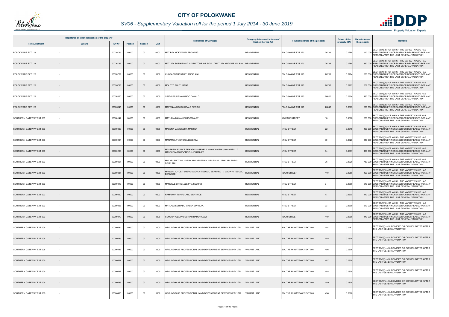

# *SV06 - Supplementary Valuation roll for the period 1 July 2014 - 30 June 2019*

|                          | Registered or other description of the property |               |                |                |      | <b>Full Names of Owner(s)</b>                                                         | Category determined in terms of | Physical address of the property | <b>Extent of the</b> | <b>Market value of</b> | <b>Remarks</b>                                                                                                                                   |
|--------------------------|-------------------------------------------------|---------------|----------------|----------------|------|---------------------------------------------------------------------------------------|---------------------------------|----------------------------------|----------------------|------------------------|--------------------------------------------------------------------------------------------------------------------------------------------------|
| <b>Town Allotment</b>    | <b>Suburb</b>                                   | <b>Erf Nr</b> | <b>Portion</b> | <b>Section</b> | Unit |                                                                                       | <b>Section 8 of the Act</b>     |                                  | property (HA)        | the property           |                                                                                                                                                  |
| POLOKWANE EXT 123        |                                                 | 00026735      | 00000          | $00\,$         | 0000 | MATIBIDI MOKWALE LEBOGANG                                                             | <b>RESIDENTIAL</b>              | 26735<br>POLOKWANE EXT 123       | 0.0284               |                        | SECT 78(1)(d) - OF WHICH THE MARKET VALUE HAS<br>510 000 SUBSTANTIALLY INCREASED OR DECREASED FOR ANY<br>REASON AFTER THE LAST GENERAL VALUATION |
| POLOKWANE EXT 123        |                                                 | 00026736      | 00000          | $00\,$         | 0000 | MATLADI SOPHIE MATLADI MATOME WILSON / MATLADI MATOME WILSON                          | <b>RESIDENTIAL</b>              | POLOKWANE EXT 123<br>26736       | 0.0284               |                        | SECT 78(1)(d) - OF WHICH THE MARKET VALUE HAS<br>390 000 SUBSTANTIALLY INCREASED OR DECREASED FOR ANY<br>REASON AFTER THE LAST GENERAL VALUATION |
| POLOKWANE EXT 123        |                                                 | 00026739      | 00000          | 00             | 0000 | KHOSA THERESAH TLANGELANI                                                             | <b>RESIDENTIAL</b>              | POLOKWANE EXT 123<br>26739       | 0.0284               |                        | SECT 78(1)(d) - OF WHICH THE MARKET VALUE HAS<br>380 000 SUBSTANTIALLY INCREASED OR DECREASED FOR ANY<br>REASON AFTER THE LAST GENERAL VALUATION |
| POLOKWANE EXT 123        |                                                 | 00026796      | 00000          | $00\,$         | 0000 | MOLOTO PHUTI IRENE                                                                    | <b>RESIDENTIAL</b>              | POLOKWANE EXT 123<br>26796       | 0.0297               |                        | SECT 78(1)(d) - OF WHICH THE MARKET VALUE HAS<br>500 000 SUBSTANTIALLY INCREASED OR DECREASED FOR ANY<br>REASON AFTER THE LAST GENERAL VALUATION |
| POLOKWANE EXT 123        |                                                 | 00026820      | 00000          | 00             | 0000 | SINTHUMULE MAKHADO DAKALO                                                             | <b>RESIDENTIAL</b>              | POLOKWANE EXT 123<br>26820       | 0.0304               |                        | SECT 78(1)(d) - OF WHICH THE MARKET VALUE HAS<br>480 000 SUBSTANTIALLY INCREASED OR DECREASED FOR ANY<br>REASON AFTER THE LAST GENERAL VALUATION |
| POLOKWANE EXT 123        |                                                 | 00026845      | 00000          | $00\,$         | 0000 | MAPONYA MOKOKOBALE REGINA                                                             | <b>RESIDENTIAL</b>              | POLOKWANE EXT 123<br>26845       | 0.0303               |                        | SECT 78(1)(d) - OF WHICH THE MARKET VALUE HAS<br>690 000 SUBSTANTIALLY INCREASED OR DECREASED FOR ANY<br>REASON AFTER THE LAST GENERAL VALUATION |
| SOUTHERN GATEWAY EXT 003 |                                                 | 00000142      | 00000          | $00\,$         | 0000 | MATLALA MAMAKIRI ROSEMARY                                                             | <b>RESIDENTIAL</b>              | <b>KGWALE STREET</b><br>18       | 0.0308               |                        | SECT 78(1)(d) - OF WHICH THE MARKET VALUE HAS<br>380 000 SUBSTANTIALLY INCREASED OR DECREASED FOR ANY<br>REASON AFTER THE LAST GENERAL VALUATION |
| SOUTHERN GATEWAY EXT 003 |                                                 | 00000200      | 00000          | $00\,$         | 0000 | MABENA MAMOKOMA MARTHA                                                                | <b>RESIDENTIAL</b>              | <b>NTSU STREET</b><br>22         | 0.031                |                        | SECT 78(1)(d) - OF WHICH THE MARKET VALUE HAS<br>460 000 SUBSTANTIALLY INCREASED OR DECREASED FOR ANY<br>REASON AFTER THE LAST GENERAL VALUATION |
| SOUTHERN GATEWAY EXT 003 |                                                 | 00000204      | 00000          | 00             | 0000 | MANAMELA VICTORIA LESETSA                                                             | <b>RESIDENTIAL</b>              | <b>NTSU STREET</b><br>30         | 0.0320               |                        | SECT 78(1)(d) - OF WHICH THE MARKET VALUE HAS<br>380 000 SUBSTANTIALLY INCREASED OR DECREASED FOR ANY<br>REASON AFTER THE LAST GENERAL VALUATION |
| SOUTHERN GATEWAY EXT 003 |                                                 | 00000206      | 00000          | $00\,$         | 0000 | MASEHELA EUNICE TEBOGO MASEHELA MAKGOMOTHI JOHANNES /<br>MASEHELA MAKGOMOTHI JOHANNES | <b>RESIDENTIAL</b>              | 34<br><b>NTSU STREET</b>         | 0.0337               |                        | SECT 78(1)(d) - OF WHICH THE MARKET VALUE HAS<br>400 000 SUBSTANTIALLY INCREASED OR DECREASED FOR ANY<br>REASON AFTER THE LAST GENERAL VALUATION |
| SOUTHERN GATEWAY EXT 003 |                                                 | 00000207      | 00000          | 00             | 0000 | MHLARI RUDZANI MARRY MHLARI ERROL DELELANI / MHLARI ERROL<br>DELELANI                 | <b>RESIDENTIAL</b>              | <b>NTSU STREET</b><br>36         | 0.0320               |                        | SECT 78(1)(d) - OF WHICH THE MARKET VALUE HAS<br>750 000 SUBSTANTIALLY INCREASED OR DECREASED FOR ANY<br>REASON AFTER THE LAST GENERAL VALUATION |
| SOUTHERN GATEWAY EXT 003 |                                                 | 00000237      | 00000          | $00\,$         | 0000 | AGWAI JOYCE TSHEPO MAGWAI TEBOGO BERNARD / MAGWAI TEBOGO<br><b>BERNARD</b>            | <b>RESIDENTIAL</b>              | <b>NDOU STREET</b><br>110        | 0.0286               |                        | SECT 78(1)(d) - OF WHICH THE MARKET VALUE HAS<br>420 000 SUBSTANTIALLY INCREASED OR DECREASED FOR ANY<br>REASON AFTER THE LAST GENERAL VALUATION |
| SOUTHERN GATEWAY EXT 003 |                                                 | 00000413      | 00000          | 00             | 0000 | MANQELE SIPHELELE PRAISELORD                                                          | <b>RESIDENTIAL</b>              | <b>NTSU STREET</b><br>3          | 0.0300               |                        | SECT 78(1)(d) - OF WHICH THE MARKET VALUE HAS<br>370 000 SUBSTANTIALLY INCREASED OR DECREASED FOR ANY<br>REASON AFTER THE LAST GENERAL VALUATION |
| SOUTHERN GATEWAY EXT 003 |                                                 | 00000420      | 00000          | $00\,$         | 0000 | RAMADWA TSHIFULARO BEATRICE                                                           | <b>RESIDENTIAL</b>              | <b>NTSU STREET</b><br>17         | 0.0300               |                        | SECT 78(1)(d) - OF WHICH THE MARKET VALUE HAS<br>410 000 SUBSTANTIALLY INCREASED OR DECREASED FOR ANY<br>REASON AFTER THE LAST GENERAL VALUATION |
| SOUTHERN GATEWAY EXT 003 |                                                 | 00000428      | 00000          | 00             | 0000 | MATLALA LETHABO MASEA EPHODIA                                                         | <b>RESIDENTIAL</b>              | 33<br><b>NTSU STREET</b>         | 0.0300               |                        | SECT 78(1)(d) - OF WHICH THE MARKET VALUE HAS<br>370 000 SUBSTANTIALLY INCREASED OR DECREASED FOR ANY<br>REASON AFTER THE LAST GENERAL VALUATION |
| SOUTHERN GATEWAY EXT 003 |                                                 | 00000470      | 00000          | $00\,$         | 0000 | SEKGAPHOLA PAUSCHIAH RAMORASWI                                                        | <b>RESIDENTIAL</b>              | <b>NDOU STREET</b><br>119        | 0.0396               |                        | SECT 78(1)(d) - OF WHICH THE MARKET VALUE HAS<br>440 000 SUBSTANTIALLY INCREASED OR DECREASED FOR ANY<br>REASON AFTER THE LAST GENERAL VALUATION |
| SOUTHERN GATEWAY EXT 005 |                                                 | 00000484      | 00000          | 00             | 0000 | GROUNDBASE PROFESSIONAL LAND DEVELOPMENT SERVICES PTY LTD                             | <b>ACANT LAND</b>               | 484<br>SOUTHERN GATEWAY EXT 005  | 0.0463               |                        | SECT 78(1)(c) - SUBDIVIDED OR CONSOLIDATED AFTER<br>THE LAST GENERAL VALUATION                                                                   |
| SOUTHERN GATEWAY EXT 005 |                                                 | 00000485      | 00000          | $00\,$         | 0000 | GROUNDBASE PROFESSIONAL LAND DEVELOPMENT SERVICES PTY LTD                             | ACANT LAND                      | 485<br>SOUTHERN GATEWAY EXT 005  | 0.0308               |                        | SECT 78(1)(c) - SUBDIVIDED OR CONSOLIDATED AFTER<br>THE LAST GENERAL VALUATION                                                                   |
| SOUTHERN GATEWAY EXT 005 |                                                 | 00000486      | 00000          | 00             | 0000 | GROUNDBASE PROFESSIONAL LAND DEVELOPMENT SERVICES PTY LTD                             | /ACANT LAND                     | SOUTHERN GATEWAY EXT 005<br>486  | 0.0308               |                        | SECT 78(1)(c) - SUBDIVIDED OR CONSOLIDATED AFTER<br>THE LAST GENERAL VALUATION                                                                   |
| SOUTHERN GATEWAY EXT 005 |                                                 | 00000487      | 00000          | $00\,$         | 0000 | ROUNDBASE PROFESSIONAL LAND DEVELOPMENT SERVICES PTY LTD                              | ACANT LAND                      | 487<br>SOUTHERN GATEWAY EXT 005  | 0.0308               |                        | SECT 78(1)(c) - SUBDIVIDED OR CONSOLIDATED AFTER<br>THE LAST GENERAL VALUATION                                                                   |
| SOUTHERN GATEWAY EXT 005 |                                                 | 00000488      | 00000          | 00             | 0000 | GROUNDBASE PROFESSIONAL LAND DEVELOPMENT SERVICES PTY LTD                             | 'ACANT LAND                     | SOUTHERN GATEWAY EXT 005<br>488  | 0.0308               |                        | SECT 78(1)(c) - SUBDIVIDED OR CONSOLIDATED AFTER<br>THE LAST GENERAL VALUATION                                                                   |
| SOUTHERN GATEWAY EXT 005 |                                                 | 00000489      | 00000          | $00\,$         | 0000 | GROUNDBASE PROFESSIONAL LAND DEVELOPMENT SERVICES PTY LTD                             | <b>/ACANT LAND</b>              | 489<br>SOUTHERN GATEWAY EXT 005  | 0.0308               |                        | SECT 78(1)(c) - SUBDIVIDED OR CONSOLIDATED AFTER<br>THE LAST GENERAL VALUATION                                                                   |
| SOUTHERN GATEWAY EXT 005 |                                                 | 00000490      | 00000          | $00\,$         | 0000 | GROUNDBASE PROFESSIONAL LAND DEVELOPMENT SERVICES PTY LTD                             | ACANT LAND                      | SOUTHERN GATEWAY EXT 005<br>490  | 0.0308               |                        | SECT 78(1)(c) - SUBDIVIDED OR CONSOLIDATED AFTER<br>THE LAST GENERAL VALUATION                                                                   |



- Property Valuation Experts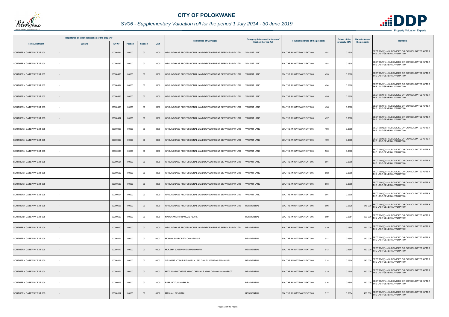

|                          | Registered or other description of the property |          |         |                |      | <b>Full Names of Owner(s)</b>                             | Category determined in terms of | Physical address of the property | <b>Extent of the</b> | <b>Market value of</b><br><b>Remarks</b>                                                  |
|--------------------------|-------------------------------------------------|----------|---------|----------------|------|-----------------------------------------------------------|---------------------------------|----------------------------------|----------------------|-------------------------------------------------------------------------------------------|
| <b>Town Allotment</b>    | <b>Suburb</b>                                   | Erf Nr   | Portion | <b>Section</b> | Unit |                                                           | <b>Section 8 of the Act</b>     |                                  | property (HA)        | the property                                                                              |
| SOUTHERN GATEWAY EXT 005 |                                                 | 00000491 | 00000   | $00\,$         | 0000 | GROUNDBASE PROFESSIONAL LAND DEVELOPMENT SERVICES PTY LTD | <b>ACANT LAND</b>               | SOUTHERN GATEWAY EXT 005<br>491  | 0.0308               | SECT 78(1)(c) - SUBDIVIDED OR CONSOLIDATED AFTER<br>THE LAST GENERAL VALUATION            |
| SOUTHERN GATEWAY EXT 005 |                                                 | 00000492 | 00000   | $00\,$         | 0000 | GROUNDBASE PROFESSIONAL LAND DEVELOPMENT SERVICES PTY LTD | <b>/ACANT LAND</b>              | 492<br>SOUTHERN GATEWAY EXT 005  | 0.0308               | SECT 78(1)(c) - SUBDIVIDED OR CONSOLIDATED AFTER<br>THE LAST GENERAL VALUATION            |
| SOUTHERN GATEWAY EXT 005 |                                                 | 00000493 | 00000   | $00\,$         | 0000 | GROUNDBASE PROFESSIONAL LAND DEVELOPMENT SERVICES PTY LTD | ACANT LAND                      | 493<br>SOUTHERN GATEWAY EXT 005  | 0.0308               | SECT 78(1)(c) - SUBDIVIDED OR CONSOLIDATED AFTER<br>THE LAST GENERAL VALUATION            |
| SOUTHERN GATEWAY EXT 005 |                                                 | 00000494 | 00000   | 00             | 0000 | GROUNDBASE PROFESSIONAL LAND DEVELOPMENT SERVICES PTY LTD | <b>/ACANT LAND</b>              | SOUTHERN GATEWAY EXT 005<br>494  | 0.0308               | SECT 78(1)(c) - SUBDIVIDED OR CONSOLIDATED AFTER<br>THE LAST GENERAL VALUATION            |
| SOUTHERN GATEWAY EXT 005 |                                                 | 00000495 | 00000   | $00\,$         | 0000 | GROUNDBASE PROFESSIONAL LAND DEVELOPMENT SERVICES PTY LTD | <b>VACANT LAND</b>              | 495<br>SOUTHERN GATEWAY EXT 005  | 0.0308               | SECT 78(1)(c) - SUBDIVIDED OR CONSOLIDATED AFTER<br>THE LAST GENERAL VALUATION            |
| SOUTHERN GATEWAY EXT 005 |                                                 | 00000496 | 00000   | 00             | 0000 | GROUNDBASE PROFESSIONAL LAND DEVELOPMENT SERVICES PTY LTD | <b>/ACANT LAND</b>              | 496<br>SOUTHERN GATEWAY EXT 005  | 0.0308               | SECT 78(1)(c) - SUBDIVIDED OR CONSOLIDATED AFTER<br>THE LAST GENERAL VALUATION            |
| SOUTHERN GATEWAY EXT 005 |                                                 | 00000497 | 00000   | $00\,$         | 0000 | GROUNDBASE PROFESSIONAL LAND DEVELOPMENT SERVICES PTY LTD | <b>/ACANT LAND</b>              | 497<br>SOUTHERN GATEWAY EXT 005  | 0.0308               | SECT 78(1)(c) - SUBDIVIDED OR CONSOLIDATED AFTER<br>THE LAST GENERAL VALUATION            |
| SOUTHERN GATEWAY EXT 005 |                                                 | 00000498 | 00000   | $00\,$         | 0000 | GROUNDBASE PROFESSIONAL LAND DEVELOPMENT SERVICES PTY LTD | ACANT LAND                      | 498<br>SOUTHERN GATEWAY EXT 005  | 0.0308               | SECT 78(1)(c) - SUBDIVIDED OR CONSOLIDATED AFTER<br>THE LAST GENERAL VALUATION            |
| SOUTHERN GATEWAY EXT 005 |                                                 | 00000499 | 00000   | $00\,$         | 0000 | GROUNDBASE PROFESSIONAL LAND DEVELOPMENT SERVICES PTY LTD | <b>/ACANT LAND</b>              | SOUTHERN GATEWAY EXT 005<br>499  | 0.0308               | SECT 78(1)(c) - SUBDIVIDED OR CONSOLIDATED AFTER<br>THE LAST GENERAL VALUATION            |
| SOUTHERN GATEWAY EXT 005 |                                                 | 00000500 | 00000   | $00\,$         | 0000 | GROUNDBASE PROFESSIONAL LAND DEVELOPMENT SERVICES PTY LTD | <b>ACANT LAND</b>               | 500<br>SOUTHERN GATEWAY EXT 005  | 0.0308               | SECT 78(1)(c) - SUBDIVIDED OR CONSOLIDATED AFTER<br>THE LAST GENERAL VALUATION            |
| SOUTHERN GATEWAY EXT 005 |                                                 | 00000501 | 00000   | $00\,$         | 0000 | GROUNDBASE PROFESSIONAL LAND DEVELOPMENT SERVICES PTY LTD | VACANT LAND                     | SOUTHERN GATEWAY EXT 005<br>501  | 0.0308               | SECT 78(1)(c) - SUBDIVIDED OR CONSOLIDATED AFTER<br>THE LAST GENERAL VALUATION            |
| SOUTHERN GATEWAY EXT 005 |                                                 | 00000502 | 00000   | 00             | 0000 | GROUNDBASE PROFESSIONAL LAND DEVELOPMENT SERVICES PTY LTD | ACANT LAND                      | 502<br>SOUTHERN GATEWAY EXT 005  | 0.0308               | SECT 78(1)(c) - SUBDIVIDED OR CONSOLIDATED AFTER<br>THE LAST GENERAL VALUATION            |
| SOUTHERN GATEWAY EXT 005 |                                                 | 00000503 | 00000   | $00\,$         | 0000 | GROUNDBASE PROFESSIONAL LAND DEVELOPMENT SERVICES PTY LTD | <b>VACANT LAND</b>              | SOUTHERN GATEWAY EXT 005<br>503  | 0.0308               | SECT 78(1)(c) - SUBDIVIDED OR CONSOLIDATED AFTER<br>THE LAST GENERAL VALUATION            |
| SOUTHERN GATEWAY EXT 005 |                                                 | 00000504 | 00000   | 00             | 0000 | GROUNDBASE PROFESSIONAL LAND DEVELOPMENT SERVICES PTY LTD | <b>/ACANT LAND</b>              | SOUTHERN GATEWAY EXT 005<br>504  | 0.0308               | SECT 78(1)(c) - SUBDIVIDED OR CONSOLIDATED AFTER<br>THE LAST GENERAL VALUATION            |
| SOUTHERN GATEWAY EXT 005 |                                                 | 00000506 | 00000   | $00\,$         | 0000 | GROUNDBASE PROFESSIONAL LAND DEVELOPMENT SERVICES PTY LTD | <b>RESIDENTIAL</b>              | SOUTHERN GATEWAY EXT 005<br>506  | 0.0526               | SECT 78(1)(c) - SUBDIVIDED OR CONSOLIDATED AFTER<br>640 000<br>THE LAST GENERAL VALUATION |
| SOUTHERN GATEWAY EXT 005 |                                                 | 00000509 | 00000   | 00             | 0000 | NKOBYANE RIRHANDZU PEARL                                  | <b>RESIDENTIAL</b>              | 509<br>SOUTHERN GATEWAY EXT 005  | 0.0354               | 500 000 SECT 78(1)(c) - SUBDIVIDED OR CONSOLIDATED AFTER<br>THE LAST GENERAL VALUATION    |
| SOUTHERN GATEWAY EXT 005 |                                                 | 00000510 | 00000   | $00\,$         | 0000 | GROUNDBASE PROFESSIONAL LAND DEVELOPMENT SERVICES PTY LTD | <b>RESIDENTIAL</b>              | 510<br>SOUTHERN GATEWAY EXT 005  | 0.0354               | SECT 78(1)(c) - SUBDIVIDED OR CONSOLIDATED AFTER<br>460 000 THE LAST GENERAL VALUATION    |
| SOUTHERN GATEWAY EXT 005 |                                                 | 00000511 | 00000   | 00             | 0000 | MORWASWI BOLEDI CONSTANCE                                 | <b>RESIDENTIAL</b>              | SOUTHERN GATEWAY EXT 005<br>511  | 0.0354               | 540 000 SECT 78(1)(c) - SUBDIVIDED OR CONSOLIDATED AFTER<br>THE LAST GENERAL VALUATION    |
| SOUTHERN GATEWAY EXT 005 |                                                 | 00000512 | 00000   | $00\,$         | 0000 | MOLEMA JOSEPHINE MMAMOKOPU                                | <b>RESIDENTIAL</b>              | SOUTHERN GATEWAY EXT 005<br>512  | 0.0354               | 460 000 SECT 78(1)(c) - SUBDIVIDED OR CONSOLIDATED AFTER<br>THE LAST GENERAL VALUATION    |
| SOUTHERN GATEWAY EXT 005 |                                                 | 00000514 | 00000   | $00\,$         | 0000 | SELOANE NTSHIRILE SHIRLY / SELOANE LWALENG EMMANUEL       | <b>RESIDENTIAL</b>              | 514<br>SOUTHERN GATEWAY EXT 005  | 0.0354               | 540 000 SECT 78(1)(c) - SUBDIVIDED OR CONSOLIDATED AFTER<br>THE LAST GENERAL VALUATION    |
| SOUTHERN GATEWAY EXT 005 |                                                 | 00000515 | 00000   | $00\,$         | 0000 | MATLALA MATHEWS MPHO / MASHILE MAHLOGONOLO SHARLOT        | <b>RESIDENTIAL</b>              | SOUTHERN GATEWAY EXT 005<br>515  | 0.0354               | 460 000 SECT 78(1)(c) - SUBDIVIDED OR CONSOLIDATED AFTER<br>THE LAST GENERAL VALUATION    |
| SOUTHERN GATEWAY EXT 005 |                                                 | 00000516 | 00000   | 00             | 0000 | RAMUNDZULI MASHUDU                                        | <b>RESIDENTIAL</b>              | 516<br>SOUTHERN GATEWAY EXT 005  | 0.0354               | 460 000 SECT 78(1)(c) - SUBDIVIDED OR CONSOLIDATED AFTER<br>THE LAST GENERAL VALUATION    |
| SOUTHERN GATEWAY EXT 005 |                                                 | 00000517 | 00000   | $00\,$         | 0000 | MASHAU RENDANI                                            | <b>RESIDENTIAL</b>              | SOUTHERN GATEWAY EXT 005<br>517  | 0.0354               | SECT 78(1)(c) - SUBDIVIDED OR CONSOLIDATED AFTER<br>460 000 THE LAST GENERAL VALUATION    |

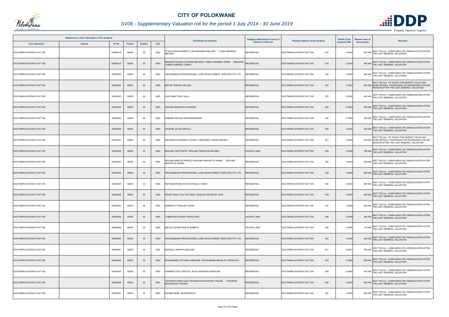

# *SV06 - Supplementary Valuation roll for the period 1 July 2014 - 30 June 2019*

|                          | Registered or other description of the property |          |                |                |      |                                                                                    | Category determined in terms of |                                  | <b>Extent of the</b> | <b>Market value of</b>                                                                                                                           |
|--------------------------|-------------------------------------------------|----------|----------------|----------------|------|------------------------------------------------------------------------------------|---------------------------------|----------------------------------|----------------------|--------------------------------------------------------------------------------------------------------------------------------------------------|
| <b>Town Allotment</b>    | <b>Suburb</b>                                   | Erf Nr   | <b>Portion</b> | <b>Section</b> | Unit | <b>Full Names of Owner(s)</b>                                                      | <b>Section 8 of the Act</b>     | Physical address of the property | property (HA)        | Remarks<br>the property                                                                                                                          |
| SOUTHERN GATEWAY EXT 005 |                                                 | 00000518 | 00000          | $00\,$         | 0000 | TLAKA PHAFE MORRIS TLAKA REGINAH MALOPE / TLAKA REGINAH<br>MALOPE                  | <b>RESIDENTIAL</b>              | 518<br>SOUTHERN GATEWAY EXT 005  | 0.0354               | 540 000 SECT 78(1)(c) - SUBDIVIDED OR CONSOLIDATED AFTER<br>THE LAST GENERAL VALUATION                                                           |
| SOUTHERN GATEWAY EXT 005 |                                                 | 00000519 | 00000          | $00\,$         | 0000 | ENADIE SHAWN LEONARD BENADIE YUMNA SHEREEZ JONES / BENADIE<br>'UMNA SHEREEZ JONES- | <b>RESIDENTIAL</b>              | SOUTHERN GATEWAY EXT 005<br>519  | 0.0354               | SECT 78(1)(c) - SUBDIVIDED OR CONSOLIDATED AFTER<br>540 000 THE LAST GENERAL VALUATION                                                           |
| SOUTHERN GATEWAY EXT 005 |                                                 | 00000520 | 00000          | $00\,$         | 0000 | GROUNDBASE PROFESSIONAL LAND DEVELOPMENT SERVICES PTY LTD                          | RESIDENTIAL                     | 520<br>SOUTHERN GATEWAY EXT 005  | 0.0354               | SECT 78(1)(c) - SUBDIVIDED OR CONSOLIDATED AFTER<br>460 000 THE LAST GENERAL VALUATION                                                           |
| SOUTHERN GATEWAY EXT 005 |                                                 | 00000522 | 00000          | $00\,$         | 0000 | MATHE TEBOGO HELLEN                                                                | <b>RESIDENTIAL</b>              | 522<br>SOUTHERN GATEWAY EXT 005  | 0.0354               | SECT 78(1)(d) - OF WHICH THE MARKET VALUE HAS<br>540 000 SUBSTANTIALLY INCREASED OR DECREASED FOR ANY<br>REASON AFTER THE LAST GENERAL VALUATION |
| SOUTHERN GATEWAY EXT 005 |                                                 | 00000523 | 00000          | 00             | 0000 | CHILOANE THULI VELLY                                                               | <b>RESIDENTIAL</b>              | SOUTHERN GATEWAY EXT 005<br>523  | 0.0354               | 460 000 SECT 78(1)(c) - SUBDIVIDED OR CONSOLIDATED AFTER<br>THE LAST GENERAL VALUATION                                                           |
| SOUTHERN GATEWAY EXT 005 |                                                 | 00000524 | 00000          | $00\,$         | 0000 | KEKANA MAMATEPA SHARON                                                             | <b>RESIDENTIAL</b>              | 524<br>SOUTHERN GATEWAY EXT 005  | 0.0354               | 460 000 SECT 78(1)(c) - SUBDIVIDED OR CONSOLIDATED AFTER<br>THE LAST GENERAL VALUATION                                                           |
| SOUTHERN GATEWAY EXT 005 |                                                 | 00000525 | 00000          | $00\,$         | 0000 | RAMARU ROSINA NGWANAMOREMI                                                         | <b>RESIDENTIAL</b>              | 525<br>SOUTHERN GATEWAY EXT 005  | 0.0354               | SECT 78(1)(c) - SUBDIVIDED OR CONSOLIDATED AFTER<br>540 000 THE LAST GENERAL VALUATION                                                           |
| SOUTHERN GATEWAY EXT 005 |                                                 | 00000526 | 00000          | $00\,$         | 0000 | CHUENE JOYCE MAPULA                                                                | <b>RESIDENTIAL</b>              | 526<br>SOUTHERN GATEWAY EXT 005  | 0.0354               | SECT 78(1)(c) - SUBDIVIDED OR CONSOLIDATED AFTER<br>430 000 THE LAST GENERAL VALUATION                                                           |
| SOUTHERN GATEWAY EXT 005 |                                                 | 00000527 | 00000          | $00\,$         | 0000 | MAKONDO KHAZAMULA DUSKY / MAKONDO VONANI MELINA                                    | <b>RESIDENTIAL</b>              | 527<br>SOUTHERN GATEWAY EXT 005  | 0.0354               | SECT 78(1)(d) - OF WHICH THE MARKET VALUE HAS<br>430 000 SUBSTANTIALLY INCREASED OR DECREASED FOR ANY<br>REASON AFTER THE LAST GENERAL VALUATION |
| SOUTHERN GATEWAY EXT 005 |                                                 | 00000528 | 00000          | $00\,$         | 0000 | MOLABA FORTUNATE / MOLABA PRECIOUS MALEBO                                          | <b>VACANT LAND</b>              | SOUTHERN GATEWAY EXT 005<br>528  | 0.0388               | 180 000 SECT 78(1)(c) - SUBDIVIDED OR CONSOLIDATED AFTER<br>THE LAST GENERAL VALUATION                                                           |
| SOUTHERN GATEWAY EXT 005 |                                                 | 00000532 | 00000          | $00\,$         | 0000 | MOLABA MADITSI PERSLEY MOLABA MAPHETJA AGNES / MOLABA<br>MAPHETJA AGNES            | <b>RESIDENTIAL</b>              | 532<br>SOUTHERN GATEWAY EXT 005  | 0.0553               | SECT 78(1)(c) - SUBDIVIDED OR CONSOLIDATED AFTER<br>550 000 THE LAST GENERAL VALUATION                                                           |
| SOUTHERN GATEWAY EXT 005 |                                                 | 00000534 | 00000          | $00\,$         | 0000 | GROUNDBASE PROFESSIONAL LAND DEVELOPMENT SERVICES PTY LTD                          | <b>RESIDENTIAL</b>              | SOUTHERN GATEWAY EXT 005<br>534  | 0.0628               | 480 000 SECT 78(1)(c) - SUBDIVIDED OR CONSOLIDATED AFTER<br>THE LAST GENERAL VALUATION                                                           |
| SOUTHERN GATEWAY EXT 005 |                                                 | 00000535 | 00000          | 00             | 0000 | MUTSHEKWANE KHATHUTSHELO CANDY                                                     | <b>RESIDENTIAL</b>              | SOUTHERN GATEWAY EXT 005<br>535  | 0.0354               | SECT 78(1)(c) - SUBDIVIDED OR CONSOLIDATED AFTER<br>460 000 THE LAST GENERAL VALUATION                                                           |
| SOUTHERN GATEWAY EXT 005 |                                                 | 00000536 | 00000          | $00\,$         | 0000 | NGOETJANA TLOU VICTORIA / MASHAU RIFUMUNI JOHN                                     | <b>RESIDENTIAL</b>              | SOUTHERN GATEWAY EXT 005<br>536  | 0.0540               | 460 000 SECT 78(1)(c) - SUBDIVIDED OR CONSOLIDATED AFTER<br>THE LAST GENERAL VALUATION                                                           |
| SOUTHERN GATEWAY EXT 005 |                                                 | 00000537 | 00000          | $00\,$         | 0000 | RAMUSHU TSWALEDI SIPHO                                                             | <b>RESIDENTIAL</b>              | SOUTHERN GATEWAY EXT 005<br>537  | 0.0485               | SECT 78(1)(c) - SUBDIVIDED OR CONSOLIDATED AFTER<br>460 000 THE LAST GENERAL VALUATION                                                           |
| SOUTHERN GATEWAY EXT 005 |                                                 | 00000538 | 00000          | $00\,$         | 0000 | TOBAKGADI SUZAN TSHIFULARO                                                         | <b>VACANT LAND</b>              | SOUTHERN GATEWAY EXT 005<br>538  | 0.0350               | SECT 78(1)(c) - SUBDIVIDED OR CONSOLIDATED AFTER<br>200 000 THE LAST GENERAL VALUATION                                                           |
| SOUTHERN GATEWAY EXT 005 |                                                 | 00000539 | 00000          | 00             | 0000 | MATJIU LEFENTSWE ELIZABETH                                                         | <b>VACANT LAND</b>              | SOUTHERN GATEWAY EXT 005<br>539  | 0.0350               | SECT 78(1)(c) - SUBDIVIDED OR CONSOLIDATED AFTER<br>170 000 THE LAST GENERAL VALUATION                                                           |
| SOUTHERN GATEWAY EXT 005 |                                                 | 00000540 | 00000          | $00\,$         | 0000 | GROUNDBASE PROFESSIONAL LAND DEVELOPMENT SERVICES PTY LTD                          | <b>RESIDENTIAL</b>              | SOUTHERN GATEWAY EXT 005<br>540  | 0.0488               | 460 000 SECT 78(1)(c) - SUBDIVIDED OR CONSOLIDATED AFTER<br>THE LAST GENERAL VALUATION                                                           |
| SOUTHERN GATEWAY EXT 005 |                                                 | 00000541 | 00000          | 00             | 0000 | RAPHALA ASNATH MAHLODI                                                             | <b>RESIDENTIAL</b>              | SOUTHERN GATEWAY EXT 005<br>541  | 0.0491               | SECT 78(1)(c) - SUBDIVIDED OR CONSOLIDATED AFTER<br>380 000 THE LAST GENERAL VALUATION                                                           |
| SOUTHERN GATEWAY EXT 005 |                                                 | 00000543 | 00000          | $00\,$         | 0000 | BOSHOMANE PETUNIA KHENSANI / BOSHOMANE MPHALATJI MESHACK                           | <b>RESIDENTIAL</b>              | SOUTHERN GATEWAY EXT 005<br>543  | 0.0350               | 800 000 SECT 78(1)(c) - SUBDIVIDED OR CONSOLIDATED AFTER<br>THE LAST GENERAL VALUATION                                                           |
| SOUTHERN GATEWAY EXT 005 |                                                 | 00000544 | 00000          | $00\,$         | 0000 | HARMSE CLEO TERTIUS / BUYS SHEDEEN-CAROLINE                                        | <b>RESIDENTIAL</b>              | 544<br>SOUTHERN GATEWAY EXT 005  | 0.0493               | SECT 78(1)(c) - SUBDIVIDED OR CONSOLIDATED AFTER<br>420 000 THE LAST GENERAL VALUATION                                                           |
| SOUTHERN GATEWAY EXT 005 |                                                 | 00000546 | 00000          | $00\,$         | 0000 | TSHOKWE NARE ALEX TSHOKWE MOGOSHADI THELMA / TSHOKWE<br>MOGOSHADI THELMA           | <b>RESIDENTIAL</b>              | SOUTHERN GATEWAY EXT 005<br>546  | 0.0350               | SECT 78(1)(c) - SUBDIVIDED OR CONSOLIDATED AFTER<br>500 000 THE LAST GENERAL VALUATION                                                           |
| SOUTHERN GATEWAY EXT 005 |                                                 | 00000547 | 00000          | 00             | 0000 | KGAABI NARE JEHOSHAPHAT                                                            | <b>RESIDENTIAL</b>              | 547<br>SOUTHERN GATEWAY EXT 005  | 0.0350               | SECT 78(1)(c) - SUBDIVIDED OR CONSOLIDATED AFTER<br>440 000 THE LAST GENERAL VALUATION                                                           |



- Property Valuation Experts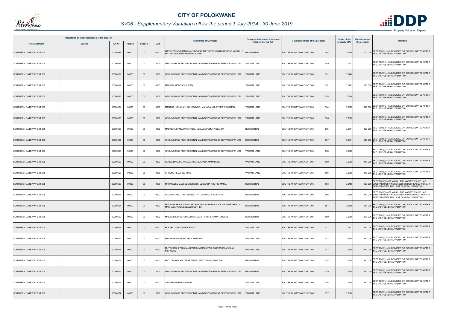

|                          | Registered or other description of the property |          |                |                |      |                                                                                             | <b>Category determined in terms of</b> |                                  | <b>Extent of the</b> | <b>Market value of</b>                                                                                                                           |
|--------------------------|-------------------------------------------------|----------|----------------|----------------|------|---------------------------------------------------------------------------------------------|----------------------------------------|----------------------------------|----------------------|--------------------------------------------------------------------------------------------------------------------------------------------------|
| <b>Town Allotment</b>    | <b>Suburb</b>                                   | Erf Nr   | <b>Portion</b> | <b>Section</b> | Unit | <b>Full Names of Owner(s)</b>                                                               | <b>Section 8 of the Act</b>            | Physical address of the property | property (HA)        | Remarks<br>the property                                                                                                                          |
| SOUTHERN GATEWAY EXT 005 |                                                 | 00000548 | 00000          | $00\,$         | 0000 | MATSHITISHO RAMAOKA LEAPYEAR MATSHITISHO NTHABISENG VIVIAN<br>MATSHITISHO NTHABISENG VIVIAN | <b>RESIDENTIAL</b>                     | 548<br>SOUTHERN GATEWAY EXT 005  | 0.049                | SECT 78(1)(c) - SUBDIVIDED OR CONSOLIDATED AFTER<br>THE LAST GENERAL VALUATION<br>500000                                                         |
| SOUTHERN GATEWAY EXT 005 |                                                 | 00000549 | 00000          | 00             | 0000 | GROUNDBASE PROFESSIONAL LAND DEVELOPMENT SERVICES PTY LTD                                   | VACANT LAND                            | 549<br>SOUTHERN GATEWAY EXT 005  | 0.0501               | SECT 78(1)(c) - SUBDIVIDED OR CONSOLIDATED AFTER<br>THE LAST GENERAL VALUATION                                                                   |
| SOUTHERN GATEWAY EXT 005 |                                                 | 00000551 | 00000          | $00\,$         | 0000 | GROUNDBASE PROFESSIONAL LAND DEVELOPMENT SERVICES PTY LTD                                   | <b>ACANT LAND</b>                      | 551<br>SOUTHERN GATEWAY EXT 005  | 0.0442               | SECT 78(1)(c) - SUBDIVIDED OR CONSOLIDATED AFTER<br>THE LAST GENERAL VALUATION                                                                   |
| SOUTHERN GATEWAY EXT 005 |                                                 | 00000552 | 00000          | $00\,$         | 0000 | MAREMA MOKGADI SUZAN                                                                        | <b>VACANT LAND</b>                     | 552<br>SOUTHERN GATEWAY EXT 005  | 0.0467               | SECT 78(1)(c) - SUBDIVIDED OR CONSOLIDATED AFTER<br>THE LAST GENERAL VALUATION<br>220 000                                                        |
| SOUTHERN GATEWAY EXT 005 |                                                 | 00000553 | 00000          | $00\,$         | 0000 | GROUNDBASE PROFESSIONAL LAND DEVELOPMENT SERVICES PTY LTD                                   | <b>VACANT LAND</b>                     | SOUTHERN GATEWAY EXT 005<br>553  | 0.0384               | SECT 78(1)(c) - SUBDIVIDED OR CONSOLIDATED AFTER<br>THE LAST GENERAL VALUATION                                                                   |
| SOUTHERN GATEWAY EXT 005 |                                                 | 00000554 | 00000          | 00             | 0000 | MANAGA KONANANI CONSTANCE / MANAGA MULATEDZI SOLOMON                                        | <b>VACANT LAND</b>                     | 554<br>SOUTHERN GATEWAY EXT 005  | 0.0300               | SECT 78(1)(c) - SUBDIVIDED OR CONSOLIDATED AFTER<br>140 000 THE LAST GENERAL VALUATION                                                           |
| SOUTHERN GATEWAY EXT 005 |                                                 | 00000555 | 00000          | $00\,$         | 0000 | GROUNDBASE PROFESSIONAL LAND DEVELOPMENT SERVICES PTY LTD                                   | <b>ACANT LAND</b>                      | SOUTHERN GATEWAY EXT 005<br>555  | 0.0300               | SECT 78(1)(c) - SUBDIVIDED OR CONSOLIDATED AFTER<br>THE LAST GENERAL VALUATION                                                                   |
| SOUTHERN GATEWAY EXT 005 |                                                 | 00000556 | 00000          | $00\,$         | 0000 | MABASA MFANELO WARREN / MABASA PUMLA YOLANDA                                                | <b>RESIDENTIAL</b>                     | 556<br>SOUTHERN GATEWAY EXT 005  | 0.0314               | SECT 78(1)(c) - SUBDIVIDED OR CONSOLIDATED AFTER<br>420 000 THE LAST GENERAL VALUATION                                                           |
| SOUTHERN GATEWAY EXT 005 |                                                 | 00000557 | 00000          | $00\,$         | 0000 | GROUNDBASE PROFESSIONAL LAND DEVELOPMENT SERVICES PTY LTD                                   | <b>RESIDENTIAL</b>                     | 557<br>SOUTHERN GATEWAY EXT 005  | 0.0314               | SECT 78(1)(c) - SUBDIVIDED OR CONSOLIDATED AFTER<br>520 000 THE LAST GENERAL VALUATION                                                           |
| SOUTHERN GATEWAY EXT 005 |                                                 | 00000558 | 00000          | 00             | 0000 | GROUNDBASE PROFESSIONAL LAND DEVELOPMENT SERVICES PTY LTD                                   | <b>ACANT LAND</b>                      | 558<br>SOUTHERN GATEWAY EXT 005  | 0.0300               | SECT 78(1)(c) - SUBDIVIDED OR CONSOLIDATED AFTER<br>THE LAST GENERAL VALUATION                                                                   |
| SOUTHERN GATEWAY EXT 005 |                                                 | 00000559 | 00000          | $00\,$         | 0000 | SETIBA MALOSE WILLIAM / SETIBA ANNA MAMABORE                                                | <b>VACANT LAND</b>                     | SOUTHERN GATEWAY EXT 005<br>559  | 0.0300               | SECT 78(1)(c) - SUBDIVIDED OR CONSOLIDATED AFTER<br>THE LAST GENERAL VALUATION<br>140 000                                                        |
| SOUTHERN GATEWAY EXT 005 |                                                 | 00000560 | 00000          | 00             | 0000 | CHUENE NELLY SEHUME                                                                         | <b>VACANT LAND</b>                     | SOUTHERN GATEWAY EXT 005<br>560  | 0.0300               | 140 000 SECT 78(1)(c) - SUBDIVIDED OR CONSOLIDATED AFTER<br>THE LAST GENERAL VALUATION                                                           |
| SOUTHERN GATEWAY EXT 005 |                                                 | 00000563 | 00000          | $00\,$         | 0000 | MPHAHLELE MAESELA ROBERT / LEDWABA KHUTJO MARIA                                             | <b>RESIDENTIAL</b>                     | 563<br>SOUTHERN GATEWAY EXT 005  | 0.0450               | SECT 78(1)(d) - OF WHICH THE MARKET VALUE HAS<br>500 000 SUBSTANTIALLY INCREASED OR DECREASED FOR ANY<br>REASON AFTER THE LAST GENERAL VALUATION |
| SOUTHERN GATEWAY EXT 005 |                                                 | 00000566 | 00000          | $00\,$         | 0000 | SKOSANA HECTOR TEBELLO / NTLOKO LUCIA NOLOYISO                                              | <b>RESIDENTIAL</b>                     | SOUTHERN GATEWAY EXT 005<br>566  | 0.036                | SECT 78(1)(d) - OF WHICH THE MARKET VALUE HAS<br>480 000 SUBSTANTIALLY INCREASED OR DECREASED FOR ANY<br>REASON AFTER THE LAST GENERAL VALUATION |
| SOUTHERN GATEWAY EXT 005 |                                                 | 00000567 | 00000          | $00\,$         | 0000 | MACHABAPHALA SELLO NELSON MACHABAPHALA SELAELO ESTHER<br>MACHABAPHALA SELAELO ESTHER        | <b>RESIDENTIAL</b>                     | SOUTHERN GATEWAY EXT 005<br>567  | 0.0360               | SECT 78(1)(c) - SUBDIVIDED OR CONSOLIDATED AFTER<br>510 000 THE LAST GENERAL VALUATION                                                           |
| SOUTHERN GATEWAY EXT 005 |                                                 | 00000569 | 00000          | $00\,$         | 0000 | MALATJI BOIKHUTSO LORNA / MALATJI TSHEPO MATSOBANE                                          | <b>RESIDENTIAL</b>                     | SOUTHERN GATEWAY EXT 005<br>569  | 0.0360               | 430 000 SECT 78(1)(c) - SUBDIVIDED OR CONSOLIDATED AFTER<br>THE LAST GENERAL VALUATION                                                           |
| SOUTHERN GATEWAY EXT 005 |                                                 | 00000571 | 00000          | $00\,$         | 0000 | MOLAPO MATSOBANE ELIAS                                                                      | <b>VACANT LAND</b>                     | 571<br>SOUTHERN GATEWAY EXT 005  | 0.0322               | SECT 78(1)(c) - SUBDIVIDED OR CONSOLIDATED AFTER<br>150 000 THE LAST GENERAL VALUATION                                                           |
| SOUTHERN GATEWAY EXT 005 |                                                 | 00000572 | 00000          | 00             | 0000 | MSANE MIHLAYENHLAHLA MHLENGI                                                                | <b>VACANT LAND</b>                     | 572<br>SOUTHERN GATEWAY EXT 005  | 0.0300               | 140 000 SECT 78(1)(c) - SUBDIVIDED OR CONSOLIDATED AFTER<br>THE LAST GENERAL VALUATION                                                           |
| SOUTHERN GATEWAY EXT 005 |                                                 | 00000573 | 00000          | $00\,$         | 0000 | MUTSHATSHI TAKALANI EDITH / MUTSHATSHI ZWIDOFHELANGANI<br>NICHOLAS                          | <b>VACANT LAND</b>                     | SOUTHERN GATEWAY EXT 005<br>573  | 0.0300               | SECT 78(1)(c) - SUBDIVIDED OR CONSOLIDATED AFTER<br>140 000 THE LAST GENERAL VALUATION                                                           |
| SOUTHERN GATEWAY EXT 005 |                                                 | 00000574 | 00000          | $00\,$         | 0000 | MATLOU RABOPATSERE TITUS / MATLOU MADUMELANI                                                | <b>RESIDENTIAL</b>                     | 574<br>SOUTHERN GATEWAY EXT 005  | 0.0300               | SECT 78(1)(c) - SUBDIVIDED OR CONSOLIDATED AFTER<br>460 000 THE LAST GENERAL VALUATION                                                           |
| SOUTHERN GATEWAY EXT 005 |                                                 | 00000575 | 00000          | $00\,$         | 0000 | GROUNDBASE PROFESSIONAL LAND DEVELOPMENT SERVICES PTY LTD                                   | <b>RESIDENTIAL</b>                     | 575<br>SOUTHERN GATEWAY EXT 005  | 0.0300               | SECT 78(1)(c) - SUBDIVIDED OR CONSOLIDATED AFTER<br>460 000 THE LAST GENERAL VALUATION                                                           |
| SOUTHERN GATEWAY EXT 005 |                                                 | 00000576 | 00000          | 00             | 0000 | SETSHENI REMBULUWANI                                                                        | <b>VACANT LAND</b>                     | SOUTHERN GATEWAY EXT 005<br>576  | 0.0300               | SECT 78(1)(c) - SUBDIVIDED OR CONSOLIDATED AFTER<br>140 000 THE LAST GENERAL VALUATION                                                           |
| SOUTHERN GATEWAY EXT 005 |                                                 | 00000577 | 00000          | $00\,$         | 0000 | GROUNDBASE PROFESSIONAL LAND DEVELOPMENT SERVICES PTY LTD                                   | <b>ACANT LAND</b>                      | 577<br>SOUTHERN GATEWAY EXT 005  | 0.0300               | SECT 78(1)(c) - SUBDIVIDED OR CONSOLIDATED AFTER<br>THE LAST GENERAL VALUATION                                                                   |

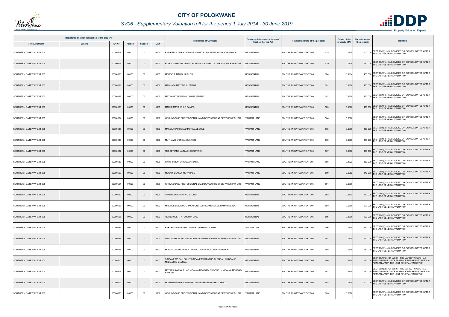

|                          | Registered or other description of the property |          |                |                |      |                                                                          | Category determined in terms of |                                  | <b>Extent of the</b> | <b>Market value of</b>                                                                                                                           |
|--------------------------|-------------------------------------------------|----------|----------------|----------------|------|--------------------------------------------------------------------------|---------------------------------|----------------------------------|----------------------|--------------------------------------------------------------------------------------------------------------------------------------------------|
| <b>Town Allotment</b>    | <b>Suburb</b>                                   | Erf Nr   | <b>Portion</b> | <b>Section</b> | Unit | <b>Full Names of Owner(s)</b>                                            | <b>Section 8 of the Act</b>     | Physical address of the property | property (HA)        | <b>Remarks</b><br>the property                                                                                                                   |
| SOUTHERN GATEWAY EXT 005 |                                                 | 00000578 | 00000          | $00\,$         | 0000 | RADIBEELA TSHOLOFELO ELIZABETH / RADIBEELA KAGISO PATRICK                | <b>RESIDENTIAL</b>              | 578<br>SOUTHERN GATEWAY EXT 005  | 0.0300               | 500 000 SECT 78(1)(c) - SUBDIVIDED OR CONSOLIDATED AFTER<br>THE LAST GENERAL VALUATION                                                           |
| SOUTHERN GATEWAY EXT 005 |                                                 | 00000579 | 00000          | $00\,$         | 0000 | HLAKA MATHOGA JERITA HLAKA PULE MARCUS / HLAKA PULE MARCUS               | <b>RESIDENTIAL</b>              | 579<br>SOUTHERN GATEWAY EXT 005  | 0.031                | 540 000 SECT 78(1)(c) - SUBDIVIDED OR CONSOLIDATED AFTER<br>THE LAST GENERAL VALUATION                                                           |
| SOUTHERN GATEWAY EXT 005 |                                                 | 00000580 | 00000          | 00             | 0000 | MOKOELE MAMOLIKI RUTH                                                    | <b>RESIDENTIAL</b>              | 580<br>SOUTHERN GATEWAY EXT 005  | 0.0314               | 460 000 SECT 78(1)(c) - SUBDIVIDED OR CONSOLIDATED AFTER<br>THE LAST GENERAL VALUATION                                                           |
| SOUTHERN GATEWAY EXT 005 |                                                 | 00000581 | 00000          | $00\,$         | 0000 | <b>MACHABA MATOME CLEMENT</b>                                            | <b>RESIDENTIAL</b>              | 581<br>SOUTHERN GATEWAY EXT 005  | 0.0300               | 460 000 SECT 78(1)(c) - SUBDIVIDED OR CONSOLIDATED AFTER<br>THE LAST GENERAL VALUATION                                                           |
| SOUTHERN GATEWAY EXT 005 |                                                 | 00000582 | 00000          | 00             | 0000 | MATHABATHE MAMOLOBANE MIMMIE                                             | <b>RESIDENTIAL</b>              | SOUTHERN GATEWAY EXT 005<br>582  | 0.0300               | 490 000 SECT 78(1)(c) - SUBDIVIDED OR CONSOLIDATED AFTER<br>THE LAST GENERAL VALUATION                                                           |
| SOUTHERN GATEWAY EXT 005 |                                                 | 00000583 | 00000          | $00\,$         | 0000 | MARIRI MATSHEHLE DAVIES                                                  | <b>RESIDENTIAL</b>              | 583<br>SOUTHERN GATEWAY EXT 005  | 0.0300               | 470 000 SECT 78(1)(c) - SUBDIVIDED OR CONSOLIDATED AFTER<br>THE LAST GENERAL VALUATION                                                           |
| SOUTHERN GATEWAY EXT 005 |                                                 | 00000584 | 00000          | $00\,$         | 0000 | GROUNDBASE PROFESSIONAL LAND DEVELOPMENT SERVICES PTY LTD                | <b>VACANT LAND</b>              | 584<br>SOUTHERN GATEWAY EXT 005  | 0.0300               | SECT 78(1)(c) - SUBDIVIDED OR CONSOLIDATED AFTER<br>THE LAST GENERAL VALUATION                                                                   |
| SOUTHERN GATEWAY EXT 005 |                                                 | 00000585 | 00000          | $00\,$         | 0000 | MAKOLA KAMOGELO MORWASEGOLE                                              | <b>VACANT LAND</b>              | 585<br>SOUTHERN GATEWAY EXT 005  | 0.0300               | SECT 78(1)(c) - SUBDIVIDED OR CONSOLIDATED AFTER<br>180 000 THE LAST GENERAL VALUATION                                                           |
| SOUTHERN GATEWAY EXT 005 |                                                 | 00000586 | 00000          | 00             | 0000 | MUTHAMBI VONGANI MARION                                                  | <b>VACANT LAND</b>              | 586<br>SOUTHERN GATEWAY EXT 005  | 0.0300               | 140 000 SECT 78(1)(c) - SUBDIVIDED OR CONSOLIDATED AFTER<br>THE LAST GENERAL VALUATION                                                           |
| SOUTHERN GATEWAY EXT 005 |                                                 | 00000587 | 00000          | $00\,$         | 0000 | HOBETJANE MATLADI CHRISTINAH                                             | <b>VACANT LAND</b>              | SOUTHERN GATEWAY EXT 005<br>587  | 0.0300               | 140 000 SECT 78(1)(c) - SUBDIVIDED OR CONSOLIDATED AFTER<br>THE LAST GENERAL VALUATION                                                           |
| SOUTHERN GATEWAY EXT 005 |                                                 | 00000588 | 00000          | 00             | 0000 | RATSHIKHOPHA RUDZANI BASIL                                               | <b>VACANT LAND</b>              | 588<br>SOUTHERN GATEWAY EXT 005  | 0.0322               | 150 000 SECT 78(1)(c) - SUBDIVIDED OR CONSOLIDATED AFTER<br>THE LAST GENERAL VALUATION                                                           |
| SOUTHERN GATEWAY EXT 005 |                                                 | 00000590 | 00000          | $00\,$         | 0000 | MOKADI BENLEY MOYAHABO                                                   | <b>VACANT LAND</b>              | SOUTHERN GATEWAY EXT 005<br>590  | 0.0282               | 140 000 SECT 78(1)(c) - SUBDIVIDED OR CONSOLIDATED AFTER<br>THE LAST GENERAL VALUATION                                                           |
| SOUTHERN GATEWAY EXT 005 |                                                 | 00000591 | 00000          | 00             | 0000 | GROUNDBASE PROFESSIONAL LAND DEVELOPMENT SERVICES PTY LTD                | <b>VACANT LAND</b>              | 591<br>SOUTHERN GATEWAY EXT 005  | 0.0300               | SECT 78(1)(c) - SUBDIVIDED OR CONSOLIDATED AFTER<br>THE LAST GENERAL VALUATION                                                                   |
| SOUTHERN GATEWAY EXT 005 |                                                 | 00000592 | 00000          | $00\,$         | 0000 | THANYANI NDIVHUWO SYDNEY                                                 | <b>RESIDENTIAL</b>              | SOUTHERN GATEWAY EXT 005<br>592  | 0.0300               | 460 000 SECT 78(1)(c) - SUBDIVIDED OR CONSOLIDATED AFTER<br>THE LAST GENERAL VALUATION                                                           |
| SOUTHERN GATEWAY EXT 005 |                                                 | 00000593 | 00000          | $00\,$         | 0000 | MALATJE LETJIBOGO JACKSON / LESHILO MESSAGE RAMADIMETJA                  | <b>RESIDENTIAL</b>              | SOUTHERN GATEWAY EXT 005<br>593  | 0.0300               | SECT 78(1)(c) - SUBDIVIDED OR CONSOLIDATED AFTER<br>500 000 THE LAST GENERAL VALUATION                                                           |
| SOUTHERN GATEWAY EXT 005 |                                                 | 00000595 | 00000          | $00\,$         | 0000 | TEMBO OBERT / TEMBO PRAISE                                               | <b>RESIDENTIAL</b>              | 595<br>SOUTHERN GATEWAY EXT 005  | 0.0300               | SECT 78(1)(c) - SUBDIVIDED OR CONSOLIDATED AFTER<br>500 000 THE LAST GENERAL VALUATION                                                           |
| SOUTHERN GATEWAY EXT 005 |                                                 | 00000596 | 00000          | 00             | 0000 | RAKUBU MOYAHABO YVONNE / LEPHALALA MPHO                                  | <b>VACANT LAND</b>              | 596<br>SOUTHERN GATEWAY EXT 005  | 0.0300               | SECT 78(1)(c) - SUBDIVIDED OR CONSOLIDATED AFTER<br>140 000 THE LAST GENERAL VALUATION                                                           |
| SOUTHERN GATEWAY EXT 005 |                                                 | 00000597 | 00000          | $00\,$         | 0000 | GROUNDBASE PROFESSIONAL LAND DEVELOPMENT SERVICES PTY LTD                | <b>RESIDENTIAL</b>              | 597<br>SOUTHERN GATEWAY EXT 005  | 0.0300               | 550 000 SECT 78(1)(c) - SUBDIVIDED OR CONSOLIDATED AFTER<br>THE LAST GENERAL VALUATION                                                           |
| SOUTHERN GATEWAY EXT 005 |                                                 | 00000598 | 00000          | 00             | 0000 | MODJADJI SEHLAETSA TERROL / MALULEKE LENNY NANACKY                       | <b>RESIDENTIAL</b>              | 598<br>SOUTHERN GATEWAY EXT 005  | 0.0300               | SECT 78(1)(c) - SUBDIVIDED OR CONSOLIDATED AFTER<br>540 000 THE LAST GENERAL VALUATION                                                           |
| SOUTHERN GATEWAY EXT 005 |                                                 | 00000600 | 00000          | $00\,$         | 0000 | SINDANE MOGAU POLLY SINDANE MMABATHO GLENDA / SINDANE<br>MMABATHO GLENDA | <b>RESIDENTIAL</b>              | SOUTHERN GATEWAY EXT 005<br>600  | 0.0300               | SECT 78(1)(d) - OF WHICH THE MARKET VALUE HAS<br>520 000 SUBSTANTIALLY INCREASED OR DECREASED FOR ANY<br>REASON AFTER THE LAST GENERAL VALUATION |
| SOUTHERN GATEWAY EXT 005 |                                                 | 00000601 | 00000          | $00\,$         | 0000 | MPYANA KWENA ELIAS MPYANA MOKGADI RHODUS / MPYANA MOKGADI<br>RHODUS      | <b>RESIDENTIAL</b>              | SOUTHERN GATEWAY EXT 005<br>601  | 0.0300               | SECT 78(1)(d) - OF WHICH THE MARKET VALUE HAS<br>520 000 SUBSTANTIALLY INCREASED OR DECREASED FOR ANY<br>REASON AFTER THE LAST GENERAL VALUATION |
| SOUTHERN GATEWAY EXT 005 |                                                 | 00000602 | 00000          | $00\,$         | 0000 | MUNZHEDZI DAKALO HAPPY / MUNZHEDZI PHATHUTSHEDZO                         | <b>RESIDENTIAL</b>              | SOUTHERN GATEWAY EXT 005<br>602  | 0.0300               | SECT 78(1)(c) - SUBDIVIDED OR CONSOLIDATED AFTER<br>500 000 THE LAST GENERAL VALUATION                                                           |
| SOUTHERN GATEWAY EXT 005 |                                                 | 00000603 | 00000          | $00\,$         | 0000 | GROUNDBASE PROFESSIONAL LAND DEVELOPMENT SERVICES PTY LTD                | ACANT LAND                      | 603<br>SOUTHERN GATEWAY EXT 005  | 0.0300               | SECT 78(1)(c) - SUBDIVIDED OR CONSOLIDATED AFTER<br>THE LAST GENERAL VALUATION                                                                   |

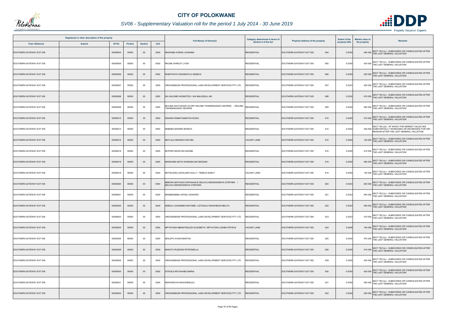

|                          | Registered or other description of the property |                |                |      |                                                                                          | Category determined in terms of |                                  | <b>Extent of the</b> | <b>Market value of</b>                                                                                                                           |
|--------------------------|-------------------------------------------------|----------------|----------------|------|------------------------------------------------------------------------------------------|---------------------------------|----------------------------------|----------------------|--------------------------------------------------------------------------------------------------------------------------------------------------|
| <b>Town Allotment</b>    | <b>Suburb</b><br>Erf Nr                         | <b>Portion</b> | <b>Section</b> | Unit | <b>Full Names of Owner(s)</b>                                                            | Section 8 of the Act            | Physical address of the property | property (HA)        | Remarks<br>the property                                                                                                                          |
| SOUTHERN GATEWAY EXT 005 | 00000604                                        | 00000          | $00\,$         | 0000 | MASHABA KOENA JOHANNA                                                                    | <b>RESIDENTIAL</b>              | SOUTHERN GATEWAY EXT 005<br>604  | 0.0300               | SECT 78(1)(c) - SUBDIVIDED OR CONSOLIDATED AFTER<br>490 000 THE LAST GENERAL VALUATION                                                           |
| SOUTHERN GATEWAY EXT 005 | 00000605                                        | 00000          | 00             | 0000 | NKUNE SHIRLEY LYDIA                                                                      | <b>RESIDENTIAL</b>              | 605<br>SOUTHERN GATEWAY EXT 005  | 0.0300               | 430 000 SECT 78(1)(c) - SUBDIVIDED OR CONSOLIDATED AFTER<br>THE LAST GENERAL VALUATION                                                           |
| SOUTHERN GATEWAY EXT 005 | 00000606                                        | 00000          | $00\,$         | 0000 | RABOTHATA DIKANKATLA GENEVA                                                              | <b>RESIDENTIAL</b>              | SOUTHERN GATEWAY EXT 005<br>606  | 0.0300               | SECT 78(1)(c) - SUBDIVIDED OR CONSOLIDATED AFTER<br>420 000 THE LAST GENERAL VALUATION                                                           |
| SOUTHERN GATEWAY EXT 005 | 00000607                                        | 00000          | $00\,$         | 0000 | GROUNDBASE PROFESSIONAL LAND DEVELOPMENT SERVICES PTY LTD                                | RESIDENTIAL                     | 607<br>SOUTHERN GATEWAY EXT 005  | 0.0333               | 400 000 SECT 78(1)(c) - SUBDIVIDED OR CONSOLIDATED AFTER<br>THE LAST GENERAL VALUATION                                                           |
| SOUTHERN GATEWAY EXT 005 | 00000608                                        | 00000          | $00\,$         | 0000 | IKA SALOME KHOMOTSO / IKA MALESELA JIM                                                   | <b>RESIDENTIAL</b>              | 608<br>SOUTHERN GATEWAY EXT 005  | 0.0330               | 470 000 SECT 78(1)(c) - SUBDIVIDED OR CONSOLIDATED AFTER<br>THE LAST GENERAL VALUATION                                                           |
| SOUTHERN GATEWAY EXT 005 | 00000609                                        | 00000          | $00\,$         | 0000 | MULIMA KHUTHADZO GLORY MULIMA TSHIMANGADZO GEORGE / MULIMA<br><b>TSHIMANGADZO GEORGE</b> | <b>RESIDENTIAL</b>              | SOUTHERN GATEWAY EXT 005<br>609  | 0.0300               | SECT 78(1)(c) - SUBDIVIDED OR CONSOLIDATED AFTER<br>380 000 THE LAST GENERAL VALUATION                                                           |
| SOUTHERN GATEWAY EXT 005 | 00000610                                        | 00000          | $00\,$         | 0000 | KEKANA RAMATHABATHA EUDIA                                                                | <b>RESIDENTIAL</b>              | 610<br>SOUTHERN GATEWAY EXT 005  | 0.0300               | 510 000 SECT 78(1)(c) - SUBDIVIDED OR CONSOLIDATED AFTER<br>THE LAST GENERAL VALUATION                                                           |
| SOUTHERN GATEWAY EXT 005 | 00000612                                        | 00000          | $00\,$         | 0000 | MABEBA MOSIMA MONICA                                                                     | <b>RESIDENTIAL</b>              | SOUTHERN GATEWAY EXT 005<br>612  | 0.0300               | SECT 78(1)(d) - OF WHICH THE MARKET VALUE HAS<br>420 000 SUBSTANTIALLY INCREASED OR DECREASED FOR ANY<br>REASON AFTER THE LAST GENERAL VALUATION |
| SOUTHERN GATEWAY EXT 005 | 00000615                                        | 00000          | $00\,$         | 0000 | MATLALA MANOKO RACHEL                                                                    | <b>VACANT LAND</b>              | 615<br>SOUTHERN GATEWAY EXT 005  | 0.0300               | 140 000 SECT 78(1)(c) - SUBDIVIDED OR CONSOLIDATED AFTER<br>THE LAST GENERAL VALUATION                                                           |
| SOUTHERN GATEWAY EXT 005 | 00000616                                        | 00000          | $00\,$         | 0000 | BOPAPE MOSITADI NAOME                                                                    | <b>RESIDENTIAL</b>              | 616<br>SOUTHERN GATEWAY EXT 005  | 0.0300               | 410 000 SECT 78(1)(c) - SUBDIVIDED OR CONSOLIDATED AFTER<br>THE LAST GENERAL VALUATION                                                           |
| SOUTHERN GATEWAY EXT 005 | 00000618                                        | 00000          | $00\,$         | 0000 | MANGOMA MOYO KHANGELANI SEDZANI                                                          | <b>RESIDENTIAL</b>              | SOUTHERN GATEWAY EXT 005<br>618  | 0.0300               | 490 000 SECT 78(1)(c) - SUBDIVIDED OR CONSOLIDATED AFTER<br>THE LAST GENERAL VALUATION                                                           |
| SOUTHERN GATEWAY EXT 005 | 00000619                                        | 00000          | $00\,$         | 0000 | MOTSILENG LESOLANG SOLLY / TEBELE NANCY                                                  | <b>VACANT LAND</b>              | 619<br>SOUTHERN GATEWAY EXT 005  | 0.0300               | 140 000 SECT 78(1)(c) - SUBDIVIDED OR CONSOLIDATED AFTER<br>THE LAST GENERAL VALUATION                                                           |
| SOUTHERN GATEWAY EXT 005 | 00000620                                        | 00000          | $00\,$         | 0000 | IMOWA MATHUSO RAPHAAHLE NDLOVU MSWESWENYA STEPHEN ,<br><b>NDLOVU MSWESWENYA STEPHEN</b>  | <b>RESIDENTIAL</b>              | SOUTHERN GATEWAY EXT 005<br>620  | 0.0323               | SECT 78(1)(c) - SUBDIVIDED OR CONSOLIDATED AFTER<br>540 000 THE LAST GENERAL VALUATION                                                           |
| SOUTHERN GATEWAY EXT 005 | 00000621                                        | 00000          | 00             | 0000 | MANEBANEBA AIFHELI EDWARD                                                                | <b>RESIDENTIAL</b>              | 621<br>SOUTHERN GATEWAY EXT 005  | 0.0323               | 540 000 SECT 78(1)(c) - SUBDIVIDED OR CONSOLIDATED AFTER<br>THE LAST GENERAL VALUATION                                                           |
| SOUTHERN GATEWAY EXT 005 | 00000622                                        | 00000          | $00\,$         | 0000 | SEBOLA JOHANNES MATOME / LETSOALO MOSHIBUDI MELITA                                       | <b>RESIDENTIAL</b>              | SOUTHERN GATEWAY EXT 005<br>622  | 0.0323               | SECT 78(1)(c) - SUBDIVIDED OR CONSOLIDATED AFTER<br>500 000 THE LAST GENERAL VALUATION                                                           |
| SOUTHERN GATEWAY EXT 005 | 00000623                                        | 00000          | 00             | 0000 | GROUNDBASE PROFESSIONAL LAND DEVELOPMENT SERVICES PTY LTD                                | <b>ESIDENTIAL</b>               | 623<br>SOUTHERN GATEWAY EXT 005  | 0.0323               | 370 000 SECT 78(1)(c) - SUBDIVIDED OR CONSOLIDATED AFTER<br>THE LAST GENERAL VALUATION                                                           |
| SOUTHERN GATEWAY EXT 005 | 00000624                                        | 00000          | $00\,$         | 0000 | MPYATONA MMANTHELEDI ELIZABETH / MPYATONA LESIBA PETRUS                                  | <b>VACANT LAND</b>              | 624<br>SOUTHERN GATEWAY EXT 005  | 0.0408               | SECT 78(1)(c) - SUBDIVIDED OR CONSOLIDATED AFTER<br>190 000 THE LAST GENERAL VALUATION                                                           |
| SOUTHERN GATEWAY EXT 005 | 00000625                                        | 00000          | $00\,$         | 0000 | MOLEPO AVIAN MANTOA                                                                      | <b>RESIDENTIAL</b>              | SOUTHERN GATEWAY EXT 005<br>625  | 0.0300               | 470 000 SECT 78(1)(c) - SUBDIVIDED OR CONSOLIDATED AFTER<br>THE LAST GENERAL VALUATION                                                           |
| SOUTHERN GATEWAY EXT 005 | 00000628                                        | 00000          | $00\,$         | 0000 | MAKATU RUDZANI PETRONELLA                                                                | <b>RESIDENTIAL</b>              | 628<br>SOUTHERN GATEWAY EXT 005  | 0.0300               | SECT 78(1)(c) - SUBDIVIDED OR CONSOLIDATED AFTER<br>510 000 THE LAST GENERAL VALUATION                                                           |
| SOUTHERN GATEWAY EXT 005 | 00000629                                        | 00000          | $00\,$         | 0000 | GROUNDBASE PROFESSIONAL LAND DEVELOPMENT SERVICES PTY LTD                                | RESIDENTIAL                     | 629<br>SOUTHERN GATEWAY EXT 005  | 0.0300               | 420 000 SECT 78(1)(c) - SUBDIVIDED OR CONSOLIDATED AFTER<br>THE LAST GENERAL VALUATION                                                           |
| SOUTHERN GATEWAY EXT 005 | 00000630                                        | 00000          | $00\,$         | 0000 | SITHOLE MOYAHABO MARIA                                                                   | <b>RESIDENTIAL</b>              | 630<br>SOUTHERN GATEWAY EXT 005  | 0.0300               | 420 000 SECT 78(1)(c) - SUBDIVIDED OR CONSOLIDATED AFTER<br>THE LAST GENERAL VALUATION                                                           |
| SOUTHERN GATEWAY EXT 005 | 00000631                                        | 00000          | 00             | 0000 | NEKHWEVHA MUKONDELELI                                                                    | <b>RESIDENTIAL</b>              | 631<br>SOUTHERN GATEWAY EXT 005  | 0.0300               | 420 000 SECT 78(1)(c) - SUBDIVIDED OR CONSOLIDATED AFTER<br>THE LAST GENERAL VALUATION                                                           |
| SOUTHERN GATEWAY EXT 005 | 00000632                                        | 00000          | $00\,$         | 0000 | GROUNDBASE PROFESSIONAL LAND DEVELOPMENT SERVICES PTY LTD                                | RESIDENTIAL                     | SOUTHERN GATEWAY EXT 005<br>632  | 0.0300               | SECT 78(1)(c) - SUBDIVIDED OR CONSOLIDATED AFTER<br>420 000 THE LAST GENERAL VALUATION                                                           |

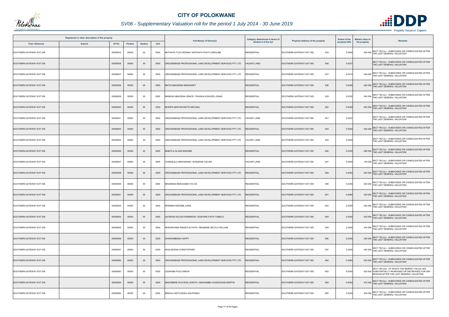

|                          | Registered or other description of the property |          |                |                |      |                                                           | <b>Category determined in terms of</b> |                                  | <b>Extent of the</b> | <b>Market value of</b><br>Remarks                                                                                                                |
|--------------------------|-------------------------------------------------|----------|----------------|----------------|------|-----------------------------------------------------------|----------------------------------------|----------------------------------|----------------------|--------------------------------------------------------------------------------------------------------------------------------------------------|
| <b>Town Allotment</b>    | <b>Suburb</b>                                   | Erf Nr   | <b>Portion</b> | <b>Section</b> | Unit | <b>Full Names of Owner(s)</b>                             | <b>Section 8 of the Act</b>            | Physical address of the property | property (HA)        | the property                                                                                                                                     |
| SOUTHERN GATEWAY EXT 005 |                                                 | 00000633 | 00000          | $00\,$         | 0000 | MOTHATA TLOU ROSINA / MOTHATA PHUTI CAROLINE              | <b>RESIDENTIAL</b>                     | 633<br>SOUTHERN GATEWAY EXT 005  | 0.0306               | SECT 78(1)(c) - SUBDIVIDED OR CONSOLIDATED AFTER<br>530 000 THE LAST GENERAL VALUATION                                                           |
| SOUTHERN GATEWAY EXT 005 |                                                 | 00000636 | 00000          | $00\,$         | 0000 | GROUNDBASE PROFESSIONAL LAND DEVELOPMENT SERVICES PTY LTD | <b>VACANT LAND</b>                     | SOUTHERN GATEWAY EXT 005<br>636  | 0.0337               | SECT 78(1)(c) - SUBDIVIDED OR CONSOLIDATED AFTER<br>THE LAST GENERAL VALUATION                                                                   |
| SOUTHERN GATEWAY EXT 005 |                                                 | 00000637 | 00000          | $00\,$         | 0000 | GROUNDBASE PROFESSIONAL LAND DEVELOPMENT SERVICES PTY LTD | RESIDENTIAL                            | 637<br>SOUTHERN GATEWAY EXT 005  | 0.0310               | SECT 78(1)(c) - SUBDIVIDED OR CONSOLIDATED AFTER<br>440 000 THE LAST GENERAL VALUATION                                                           |
| SOUTHERN GATEWAY EXT 005 |                                                 | 00000638 | 00000          | $00\,$         | 0000 | MATSI MAKWENA MARGARET                                    | <b>RESIDENTIAL</b>                     | SOUTHERN GATEWAY EXT 005<br>638  | 0.0309               | SECT 78(1)(c) - SUBDIVIDED OR CONSOLIDATED AFTER<br>420 000 THE LAST GENERAL VALUATION                                                           |
| SOUTHERN GATEWAY EXT 005 |                                                 | 00000639 | 00000          | $00\,$         | 0000 | MANKGA MAKOENA GRACE / PHASHA KGAGODI JONAS               | <b>RESIDENTIAL</b>                     | 639<br>SOUTHERN GATEWAY EXT 005  | 0.0332               | 540 000 SECT 78(1)(c) - SUBDIVIDED OR CONSOLIDATED AFTER<br>THE LAST GENERAL VALUATION                                                           |
| SOUTHERN GATEWAY EXT 005 |                                                 | 00000640 | 00000          | $00\,$         | 0000 | MODIPA MAPURUWETSI MICHAEL                                | <b>RESIDENTIAL</b>                     | SOUTHERN GATEWAY EXT 005<br>640  | 0.0309               | SECT 78(1)(c) - SUBDIVIDED OR CONSOLIDATED AFTER<br>520 000 THE LAST GENERAL VALUATION                                                           |
| SOUTHERN GATEWAY EXT 005 |                                                 | 00000641 | 00000          | $00\,$         | 0000 | GROUNDBASE PROFESSIONAL LAND DEVELOPMENT SERVICES PTY LTD | VACANT LAND                            | 641<br>SOUTHERN GATEWAY EXT 005  | 0.0322               | SECT 78(1)(c) - SUBDIVIDED OR CONSOLIDATED AFTER<br>THE LAST GENERAL VALUATION                                                                   |
| SOUTHERN GATEWAY EXT 005 |                                                 | 00000644 | 00000          | $00\,$         | 0000 | GROUNDBASE PROFESSIONAL LAND DEVELOPMENT SERVICES PTY LTD | <b>RESIDENTIAL</b>                     | SOUTHERN GATEWAY EXT 005<br>644  | 0.0300               | SECT 78(1)(c) - SUBDIVIDED OR CONSOLIDATED AFTER<br>THE LAST GENERAL VALUATION<br>420 000                                                        |
| SOUTHERN GATEWAY EXT 005 |                                                 | 00000645 | 00000          | 00             | 0000 | GROUNDBASE PROFESSIONAL LAND DEVELOPMENT SERVICES PTY LTD | VACANT LAND                            | SOUTHERN GATEWAY EXT 005<br>645  | 0.0300               | SECT 78(1)(c) - SUBDIVIDED OR CONSOLIDATED AFTER<br>THE LAST GENERAL VALUATION                                                                   |
| SOUTHERN GATEWAY EXT 005 |                                                 | 00000646 | 00000          | $00\,$         | 0000 | <b>MABITLA OLGAR MAROBE</b>                               | <b>RESIDENTIAL</b>                     | 646<br>SOUTHERN GATEWAY EXT 005  | 0.0300               | SECT 78(1)(c) - SUBDIVIDED OR CONSOLIDATED AFTER<br>380 000<br>THE LAST GENERAL VALUATION                                                        |
| SOUTHERN GATEWAY EXT 005 |                                                 | 00000647 | 00000          | 00             | 0000 | CHABALALA MAKHANANI / NONJINGE CELANI                     | <b>VACANT LAND</b>                     | 647<br>SOUTHERN GATEWAY EXT 005  | 0.0300               | SECT 78(1)(c) - SUBDIVIDED OR CONSOLIDATED AFTER<br>140 000 THE LAST GENERAL VALUATION                                                           |
| SOUTHERN GATEWAY EXT 005 |                                                 | 00000648 | 00000          | $00\,$         | 0000 | GROUNDBASE PROFESSIONAL LAND DEVELOPMENT SERVICES PTY LTD | <b>RESIDENTIAL</b>                     | SOUTHERN GATEWAY EXT 005<br>648  | 0.0300               | 530 000 SECT 78(1)(c) - SUBDIVIDED OR CONSOLIDATED AFTER<br>THE LAST GENERAL VALUATION                                                           |
| SOUTHERN GATEWAY EXT 005 |                                                 | 00000649 | 00000          | 00             | 0000 | MADIBANA MOEAHABO SYLVIA                                  | <b>RESIDENTIAL</b>                     | SOUTHERN GATEWAY EXT 005<br>649  | 0.0300               | 430 000 SECT 78(1)(c) - SUBDIVIDED OR CONSOLIDATED AFTER<br>THE LAST GENERAL VALUATION                                                           |
| SOUTHERN GATEWAY EXT 005 |                                                 | 00000651 | 00000          | $00\,$         | 0000 | GROUNDBASE PROFESSIONAL LAND DEVELOPMENT SERVICES PTY LTD | <b>RESIDENTIAL</b>                     | SOUTHERN GATEWAY EXT 005<br>651  | 0.0480               | 420 000 SECT 78(1)(c) - SUBDIVIDED OR CONSOLIDATED AFTER<br>THE LAST GENERAL VALUATION                                                           |
| SOUTHERN GATEWAY EXT 005 |                                                 | 00000653 | 00000          | $00\,$         | 0000 | MONAMA RAESIBE JUNIA                                      | <b>RESIDENTIAL</b>                     | 653<br>SOUTHERN GATEWAY EXT 005  | 0.0300               | SECT 78(1)(c) - SUBDIVIDED OR CONSOLIDATED AFTER<br>430 000<br>THE LAST GENERAL VALUATION                                                        |
| SOUTHERN GATEWAY EXT 005 |                                                 | 00000654 | 00000          | $00\,$         | 0000 | SATEKGE KOLODI ROBINSON / KGAFANE FAITH TUMELO            | <b>RESIDENTIAL</b>                     | 654<br>SOUTHERN GATEWAY EXT 005  | 0.0300               | SECT 78(1)(c) - SUBDIVIDED OR CONSOLIDATED AFTER<br>530 000 THE LAST GENERAL VALUATION                                                           |
| SOUTHERN GATEWAY EXT 005 |                                                 | 00000655 | 00000          | 00             | 0000 | MOKONYAMA RAESETJA FAITH / MAUBANE SEUTLA WILLIAM         | <b>RESIDENTIAL</b>                     | 655<br>SOUTHERN GATEWAY EXT 005  | 0.0300               | SECT 78(1)(c) - SUBDIVIDED OR CONSOLIDATED AFTER<br>430 000 THE LAST GENERAL VALUATION                                                           |
| SOUTHERN GATEWAY EXT 005 |                                                 | 00000656 | 00000          | $00\,$         | 0000 | SHIKWAMBANA HAPPY                                         | <b>RESIDENTIAL</b>                     | SOUTHERN GATEWAY EXT 005<br>656  | 0.0300               | SECT 78(1)(c) - SUBDIVIDED OR CONSOLIDATED AFTER<br>530 000 THE LAST GENERAL VALUATION                                                           |
| SOUTHERN GATEWAY EXT 005 |                                                 | 00000657 | 00000          | 00             | 0000 | NGALEDZANI CHRISTOPHER                                    | <b>RESIDENTIAL</b>                     | SOUTHERN GATEWAY EXT 005<br>657  | 0.0300               | SECT 78(1)(c) - SUBDIVIDED OR CONSOLIDATED AFTER<br>540 000 THE LAST GENERAL VALUATION                                                           |
| SOUTHERN GATEWAY EXT 005 |                                                 | 00000662 | 00000          | $00\,$         | 0000 | GROUNDBASE PROFESSIONAL LAND DEVELOPMENT SERVICES PTY LTD | <b>RESIDENTIAL</b>                     | 662<br>SOUTHERN GATEWAY EXT 005  | 0.0380               | SECT 78(1)(c) - SUBDIVIDED OR CONSOLIDATED AFTER<br>530 000 THE LAST GENERAL VALUATION                                                           |
| SOUTHERN GATEWAY EXT 005 |                                                 | 00000663 | 00000          | $00\,$         | 0000 | LEDWABA PULE SIMON                                        | <b>RESIDENTIAL</b>                     | SOUTHERN GATEWAY EXT 005<br>663  | 0.0300               | SECT 78(1)(d) - OF WHICH THE MARKET VALUE HAS<br>420 000 SUBSTANTIALLY INCREASED OR DECREASED FOR ANY<br>REASON AFTER THE LAST GENERAL VALUATION |
| SOUTHERN GATEWAY EXT 005 |                                                 | 00000664 | 00000          | $00\,$         | 0000 | MAKOMENE SUCCESS LERATO / MASHAMBA HUNDZUKANI MARTIN      | <b>RESIDENTIAL</b>                     | SOUTHERN GATEWAY EXT 005<br>664  | 0.0300               | SECT 78(1)(c) - SUBDIVIDED OR CONSOLIDATED AFTER<br>410 000 THE LAST GENERAL VALUATION                                                           |
| SOUTHERN GATEWAY EXT 005 |                                                 | 00000665 | 00000          | $00\,$         | 0000 | MAKOLA MOTLOKWA SALPHINAH                                 | <b>RESIDENTIAL</b>                     | SOUTHERN GATEWAY EXT 005<br>665  | 0.0300               | SECT 78(1)(c) - SUBDIVIDED OR CONSOLIDATED AFTER<br>500 000 THE LAST GENERAL VALUATION                                                           |

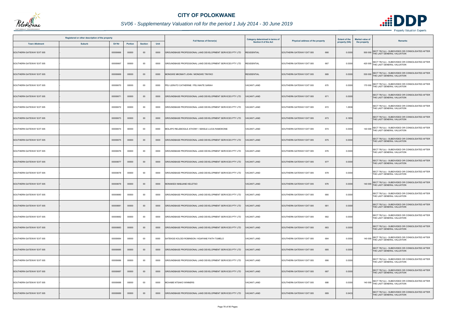

|                          | Registered or other description of the property |          |         |                |      |                                                           | <b>Category determined in terms of</b> |                                  | <b>Extent of the</b> | <b>Market value of</b><br>Remarks                                                         |
|--------------------------|-------------------------------------------------|----------|---------|----------------|------|-----------------------------------------------------------|----------------------------------------|----------------------------------|----------------------|-------------------------------------------------------------------------------------------|
| <b>Town Allotment</b>    | <b>Suburb</b>                                   | Erf Nr   | Portion | <b>Section</b> | Unit | <b>Full Names of Owner(s)</b>                             | <b>Section 8 of the Act</b>            | Physical address of the property | property (HA)        | the property                                                                              |
| SOUTHERN GATEWAY EXT 005 |                                                 | 00000666 | 00000   | $00\,$         | 0000 | GROUNDBASE PROFESSIONAL LAND DEVELOPMENT SERVICES PTY LTD | RESIDENTIAL                            | SOUTHERN GATEWAY EXT 005<br>666  | 0.0300               | SECT 78(1)(c) - SUBDIVIDED OR CONSOLIDATED AFTER<br>500 000 THE LAST GENERAL VALUATION    |
| SOUTHERN GATEWAY EXT 005 |                                                 | 00000667 | 00000   | $00\,$         | 0000 | GROUNDBASE PROFESSIONAL LAND DEVELOPMENT SERVICES PTY LTD | <b>RESIDENTIAL</b>                     | 667<br>SOUTHERN GATEWAY EXT 005  | 0.0300               | 420 000 SECT 78(1)(c) - SUBDIVIDED OR CONSOLIDATED AFTER<br>THE LAST GENERAL VALUATION    |
| SOUTHERN GATEWAY EXT 005 |                                                 | 00000669 | 00000   | $00\,$         | 0000 | MONGWE MKOMATI JOHN / MONGWE TINYIKO                      | <b>RESIDENTIAL</b>                     | 669<br>SOUTHERN GATEWAY EXT 005  | 0.0300               | SECT 78(1)(c) - SUBDIVIDED OR CONSOLIDATED AFTER<br>530 000 THE LAST GENERAL VALUATION    |
| SOUTHERN GATEWAY EXT 005 |                                                 | 00000670 | 00000   | 00             | 0000 | PEU LERATO CATHERINE / PEU MAITE SARAH                    | <b>VACANT LAND</b>                     | SOUTHERN GATEWAY EXT 005<br>670  | 0.0300               | SECT 78(1)(c) - SUBDIVIDED OR CONSOLIDATED AFTER<br>170 000 THE LAST GENERAL VALUATION    |
| SOUTHERN GATEWAY EXT 005 |                                                 | 00000671 | 00000   | $00\,$         | 0000 | GROUNDBASE PROFESSIONAL LAND DEVELOPMENT SERVICES PTY LTD | <b>ACANT LAND</b>                      | 671<br>SOUTHERN GATEWAY EXT 005  | 0.0300               | SECT 78(1)(c) - SUBDIVIDED OR CONSOLIDATED AFTER<br>THE LAST GENERAL VALUATION            |
| SOUTHERN GATEWAY EXT 005 |                                                 | 00000672 | 00000   | 00             | 0000 | GROUNDBASE PROFESSIONAL LAND DEVELOPMENT SERVICES PTY LTD | <b>VACANT LAND</b>                     | SOUTHERN GATEWAY EXT 005<br>672  | 1.2936               | SECT 78(1)(c) - SUBDIVIDED OR CONSOLIDATED AFTER<br>THE LAST GENERAL VALUATION            |
| SOUTHERN GATEWAY EXT 005 |                                                 | 00000673 | 00000   | $00\,$         | 0000 | GROUNDBASE PROFESSIONAL LAND DEVELOPMENT SERVICES PTY LTD | <b>VACANT LAND</b>                     | 673<br>SOUTHERN GATEWAY EXT 005  | 0.1855               | SECT 78(1)(c) - SUBDIVIDED OR CONSOLIDATED AFTER<br>THE LAST GENERAL VALUATION            |
| SOUTHERN GATEWAY EXT 005 |                                                 | 00000674 | 00000   | $00\,$         | 0000 | MOLAPO RELEBOGILE ATHONY / SEKELE LUCIA RAMOKONE          | <b>VACANT LAND</b>                     | 674<br>SOUTHERN GATEWAY EXT 005  | 0.0300               | SECT 78(1)(c) - SUBDIVIDED OR CONSOLIDATED AFTER<br>THE LAST GENERAL VALUATION<br>140 000 |
| SOUTHERN GATEWAY EXT 005 |                                                 | 00000675 | 00000   | $00\,$         | 0000 | GROUNDBASE PROFESSIONAL LAND DEVELOPMENT SERVICES PTY LTD | <b>VACANT LAND</b>                     | SOUTHERN GATEWAY EXT 005<br>675  | 0.0300               | SECT 78(1)(c) - SUBDIVIDED OR CONSOLIDATED AFTER<br>THE LAST GENERAL VALUATION            |
| SOUTHERN GATEWAY EXT 005 |                                                 | 00000676 | 00000   | $00\,$         | 0000 | GROUNDBASE PROFESSIONAL LAND DEVELOPMENT SERVICES PTY LTD | <b>ACANT LAND</b>                      | 676<br>SOUTHERN GATEWAY EXT 005  | 0.0300               | SECT 78(1)(c) - SUBDIVIDED OR CONSOLIDATED AFTER<br>THE LAST GENERAL VALUATION            |
| SOUTHERN GATEWAY EXT 005 |                                                 | 00000677 | 00000   | $00\,$         | 0000 | GROUNDBASE PROFESSIONAL LAND DEVELOPMENT SERVICES PTY LTD | <b>VACANT LAND</b>                     | SOUTHERN GATEWAY EXT 005<br>677  | 0.0300               | SECT 78(1)(c) - SUBDIVIDED OR CONSOLIDATED AFTER<br>THE LAST GENERAL VALUATION            |
| SOUTHERN GATEWAY EXT 005 |                                                 | 00000678 | 00000   | 00             | 0000 | GROUNDBASE PROFESSIONAL LAND DEVELOPMENT SERVICES PTY LTD | ACANT LAND                             | 678<br>SOUTHERN GATEWAY EXT 005  | 0.0300               | SECT 78(1)(c) - SUBDIVIDED OR CONSOLIDATED AFTER<br>THE LAST GENERAL VALUATION            |
| SOUTHERN GATEWAY EXT 005 |                                                 | 00000679 | 00000   | $00\,$         | 0000 | MONAKEDI MABJANE KELETSO                                  | <b>VACANT LAND</b>                     | SOUTHERN GATEWAY EXT 005<br>679  | 0.0300               | SECT 78(1)(c) - SUBDIVIDED OR CONSOLIDATED AFTER<br>THE LAST GENERAL VALUATION<br>140 000 |
| SOUTHERN GATEWAY EXT 005 |                                                 | 00000680 | 00000   | 00             | 0000 | GROUNDBASE PROFESSIONAL LAND DEVELOPMENT SERVICES PTY LTD | VACANT LAND                            | SOUTHERN GATEWAY EXT 005<br>680  | 0.0300               | SECT 78(1)(c) - SUBDIVIDED OR CONSOLIDATED AFTER<br>THE LAST GENERAL VALUATION            |
| SOUTHERN GATEWAY EXT 005 |                                                 | 00000681 | 00000   | $00\,$         | 0000 | GROUNDBASE PROFESSIONAL LAND DEVELOPMENT SERVICES PTY LTD | <b>VACANT LAND</b>                     | SOUTHERN GATEWAY EXT 005<br>681  | 0.0300               | SECT 78(1)(c) - SUBDIVIDED OR CONSOLIDATED AFTER<br>THE LAST GENERAL VALUATION            |
| SOUTHERN GATEWAY EXT 005 |                                                 | 00000682 | 00000   | 00             | 0000 | GROUNDBASE PROFESSIONAL LAND DEVELOPMENT SERVICES PTY LTD | /ACANT LAND                            | SOUTHERN GATEWAY EXT 005<br>682  | 0.0300               | SECT 78(1)(c) - SUBDIVIDED OR CONSOLIDATED AFTER<br>THE LAST GENERAL VALUATION            |
| SOUTHERN GATEWAY EXT 005 |                                                 | 00000683 | 00000   | $00\,$         | 0000 | GROUNDBASE PROFESSIONAL LAND DEVELOPMENT SERVICES PTY LTD | <b>VACANT LAND</b>                     | SOUTHERN GATEWAY EXT 005<br>683  | 0.0300               | SECT 78(1)(c) - SUBDIVIDED OR CONSOLIDATED AFTER<br>THE LAST GENERAL VALUATION            |
| SOUTHERN GATEWAY EXT 005 |                                                 | 00000684 | 00000   | 00             | 0000 | SATEKGE KOLODI ROBINSON / KGAFANE FAITH TUMELO            | <b>VACANT LAND</b>                     | 684<br>SOUTHERN GATEWAY EXT 005  | 0.0300               | SECT 78(1)(c) - SUBDIVIDED OR CONSOLIDATED AFTER<br>140 000<br>THE LAST GENERAL VALUATION |
| SOUTHERN GATEWAY EXT 005 |                                                 | 00000685 | 00000   | $00\,$         | 0000 | GROUNDBASE PROFESSIONAL LAND DEVELOPMENT SERVICES PTY LTD | <b>VACANT LAND</b>                     | SOUTHERN GATEWAY EXT 005<br>685  | 0.0300               | SECT 78(1)(c) - SUBDIVIDED OR CONSOLIDATED AFTER<br>THE LAST GENERAL VALUATION            |
| SOUTHERN GATEWAY EXT 005 |                                                 | 00000686 | 00000   | $00\,$         | 0000 | GROUNDBASE PROFESSIONAL LAND DEVELOPMENT SERVICES PTY LTD | VACANT LAND                            | 686<br>SOUTHERN GATEWAY EXT 005  | 0.0300               | SECT 78(1)(c) - SUBDIVIDED OR CONSOLIDATED AFTER<br>THE LAST GENERAL VALUATION            |
| SOUTHERN GATEWAY EXT 005 |                                                 | 00000687 | 00000   | $00\,$         | 0000 | GROUNDBASE PROFESSIONAL LAND DEVELOPMENT SERVICES PTY LTD | VACANT LAND                            | SOUTHERN GATEWAY EXT 005<br>687  | 0.0300               | SECT 78(1)(c) - SUBDIVIDED OR CONSOLIDATED AFTER<br>THE LAST GENERAL VALUATION            |
| SOUTHERN GATEWAY EXT 005 |                                                 | 00000688 | 00000   | $00\,$         | 0000 | MCHABE NTSAKO WINNERS                                     | <b>VACANT LAND</b>                     | 688<br>SOUTHERN GATEWAY EXT 005  | 0.0300               | SECT 78(1)(c) - SUBDIVIDED OR CONSOLIDATED AFTER<br>140 000 THE LAST GENERAL VALUATION    |
| SOUTHERN GATEWAY EXT 005 |                                                 | 00000689 | 00000   | $00\,$         | 0000 | GROUNDBASE PROFESSIONAL LAND DEVELOPMENT SERVICES PTY LTD | <b>ACANT LAND</b>                      | SOUTHERN GATEWAY EXT 005<br>689  | 0.0433               | SECT 78(1)(c) - SUBDIVIDED OR CONSOLIDATED AFTER<br>THE LAST GENERAL VALUATION            |

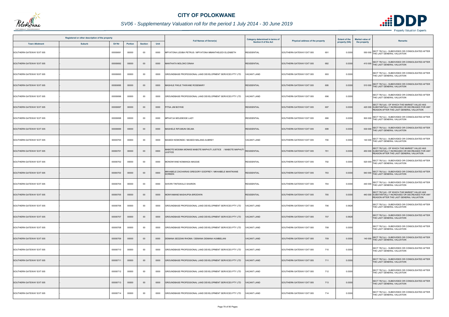

# *SV06 - Supplementary Valuation roll for the period 1 July 2014 - 30 June 2019*

|                          | Registered or other description of the property |          |                |                |      |                                                                                | Category determined in terms of |                                  | <b>Extent of the</b> | <b>Market value of</b> |                                                                                                                                                  |
|--------------------------|-------------------------------------------------|----------|----------------|----------------|------|--------------------------------------------------------------------------------|---------------------------------|----------------------------------|----------------------|------------------------|--------------------------------------------------------------------------------------------------------------------------------------------------|
| <b>Town Allotment</b>    | <b>Suburb</b>                                   | Erf Nr   | <b>Portion</b> | <b>Section</b> | Unit | <b>Full Names of Owner(s)</b>                                                  | <b>Section 8 of the Act</b>     | Physical address of the property | property (HA)        | the property           | <b>Remarks</b>                                                                                                                                   |
| SOUTHERN GATEWAY EXT 005 |                                                 | 00000691 | 00000          | 00             | 0000 | MPYATONA LESIBA PETRUS / MPYATONA MMANTHELEDI ELIZABETH                        | <b>RESIDENTIAL</b>              | 691<br>SOUTHERN GATEWAY EXT 005  | 0.0300               |                        | SECT 78(1)(c) - SUBDIVIDED OR CONSOLIDATED AFTER<br>550 000 THE LAST GENERAL VALUATION                                                           |
| SOUTHERN GATEWAY EXT 005 |                                                 | 00000692 | 00000          | $00\,$         | 0000 | MANTHATA MOLOKO DINAH                                                          | <b>RESIDENTIAL</b>              | SOUTHERN GATEWAY EXT 005<br>692  | 0.0300               |                        | 410 000 SECT 78(1)(c) - SUBDIVIDED OR CONSOLIDATED AFTER<br>THE LAST GENERAL VALUATION                                                           |
| SOUTHERN GATEWAY EXT 005 |                                                 | 00000693 | 00000          | $00\,$         | 0000 | GROUNDBASE PROFESSIONAL LAND DEVELOPMENT SERVICES PTY LTD                      | ACANT LAND                      | 693<br>SOUTHERN GATEWAY EXT 005  | 0.0300               |                        | SECT 78(1)(c) - SUBDIVIDED OR CONSOLIDATED AFTER<br>THE LAST GENERAL VALUATION                                                                   |
| SOUTHERN GATEWAY EXT 005 |                                                 | 00000695 | 00000          | $00\,$         | 0000 | MASHILE FIKILE THIWANE ROSEMARY                                                | <b>RESIDENTIAL</b>              | SOUTHERN GATEWAY EXT 005<br>695  | 0.0300               |                        | SECT 78(1)(c) - SUBDIVIDED OR CONSOLIDATED AFTER<br>510 000 THE LAST GENERAL VALUATION                                                           |
| SOUTHERN GATEWAY EXT 005 |                                                 | 00000696 | 00000          | $00\,$         | 0000 | GROUNDBASE PROFESSIONAL LAND DEVELOPMENT SERVICES PTY LTD                      | ACANT LAND                      | 696<br>SOUTHERN GATEWAY EXT 005  | 0.0300               |                        | SECT 78(1)(c) - SUBDIVIDED OR CONSOLIDATED AFTER<br>THE LAST GENERAL VALUATION                                                                   |
| SOUTHERN GATEWAY EXT 005 |                                                 | 00000697 | 00000          | $00\,$         | 0000 | PITSA JIM BOYKIE                                                               | <b>RESIDENTIAL</b>              | SOUTHERN GATEWAY EXT 005<br>697  | 0.0300               |                        | SECT 78(1)(d) - OF WHICH THE MARKET VALUE HAS<br>420 000 SUBSTANTIALLY INCREASED OR DECREASED FOR ANY<br>REASON AFTER THE LAST GENERAL VALUATION |
| SOUTHERN GATEWAY EXT 005 |                                                 | 00000698 | 00000          | 00             | 0000 | MPHATJA MOLEBOGE LAZY                                                          | <b>RESIDENTIAL</b>              | 698<br>SOUTHERN GATEWAY EXT 005  | 0.0300               |                        | 500 000 SECT 78(1)(c) - SUBDIVIDED OR CONSOLIDATED AFTER<br>THE LAST GENERAL VALUATION                                                           |
| SOUTHERN GATEWAY EXT 005 |                                                 | 00000699 | 00000          | $00\,$         | 0000 | MASHELE RIFUMUNI DELMA                                                         | <b>RESIDENTIAL</b>              | SOUTHERN GATEWAY EXT 005<br>699  | 0.0300               |                        | 530 000 SECT 78(1)(c) - SUBDIVIDED OR CONSOLIDATED AFTER<br>THE LAST GENERAL VALUATION                                                           |
| SOUTHERN GATEWAY EXT 005 |                                                 | 00000700 | 00000          | 00             | 0000 | MASEDI NOMONDE / MASEDI MALANG AUBREY                                          | <b>VACANT LAND</b>              | SOUTHERN GATEWAY EXT 005<br>700  | 0.0300               |                        | 140 000 SECT 78(1)(c) - SUBDIVIDED OR CONSOLIDATED AFTER<br>THE LAST GENERAL VALUATION                                                           |
| SOUTHERN GATEWAY EXT 005 |                                                 | 00000701 | 00000          | $00\,$         | 0000 | MABOTE MOSIMA MONKIE MABOTE MAPHUTI JUSTICE / MABOTE MAPHUTI<br><b>JUSTICE</b> | <b>RESIDENTIAL</b>              | 701<br>SOUTHERN GATEWAY EXT 005  | 0.0300               |                        | SECT 78(1)(d) - OF WHICH THE MARKET VALUE HAS<br>450 000 SUBSTANTIALLY INCREASED OR DECREASED FOR ANY<br>REASON AFTER THE LAST GENERAL VALUATION |
| SOUTHERN GATEWAY EXT 005 |                                                 | 00000702 | 00000          | 00             | 0000 | MONONYANE NOMANGA MAGGIE                                                       | <b>RESIDENTIAL</b>              | 702<br>SOUTHERN GATEWAY EXT 005  | 0.0300               |                        | SECT 78(1)(c) - SUBDIVIDED OR CONSOLIDATED AFTER<br>520 000 THE LAST GENERAL VALUATION                                                           |
| SOUTHERN GATEWAY EXT 005 |                                                 | 00000703 | 00000          | $00\,$         | 0000 | MKHABELE ZACHARIAS GREGORY GODFREY / MKHABELE MANTIKANE<br><b>DOREEN</b>       | <b>RESIDENTIAL</b>              | 703<br>SOUTHERN GATEWAY EXT 005  | 0.0300               |                        | 540 000 SECT 78(1)(c) - SUBDIVIDED OR CONSOLIDATED AFTER<br>THE LAST GENERAL VALUATION                                                           |
| SOUTHERN GATEWAY EXT 005 |                                                 | 00000704 | 00000          | 00             | 0000 | SHIVIRI TINTSWALO SHARON                                                       | <b>RESIDENTIAL</b>              | 704<br>SOUTHERN GATEWAY EXT 005  | 0.0300               |                        | 440 000 SECT 78(1)(c) - SUBDIVIDED OR CONSOLIDATED AFTER<br>THE LAST GENERAL VALUATION                                                           |
| SOUTHERN GATEWAY EXT 005 |                                                 | 00000705 | 00000          | 00             | 0000 | MONYAMANE MASHUPSA BRODWIN                                                     | <b>RESIDENTIAL</b>              | SOUTHERN GATEWAY EXT 005<br>705  | 0.0300               |                        | SECT 78(1)(d) - OF WHICH THE MARKET VALUE HAS<br>440 000 SUBSTANTIALLY INCREASED OR DECREASED FOR ANY<br>REASON AFTER THE LAST GENERAL VALUATION |
| SOUTHERN GATEWAY EXT 005 |                                                 | 00000706 | 00000          | 00             | 0000 | GROUNDBASE PROFESSIONAL LAND DEVELOPMENT SERVICES PTY LTD                      | VACANT LAND                     | SOUTHERN GATEWAY EXT 005<br>706  | 0.0928               |                        | SECT 78(1)(c) - SUBDIVIDED OR CONSOLIDATED AFTER<br>THE LAST GENERAL VALUATION                                                                   |
| SOUTHERN GATEWAY EXT 005 |                                                 | 00000707 | 00000          | $00\,$         | 0000 | GROUNDBASE PROFESSIONAL LAND DEVELOPMENT SERVICES PTY LTD                      | <b>ACANT LAND</b>               | 707<br>SOUTHERN GATEWAY EXT 005  | 0.0928               |                        | SECT 78(1)(c) - SUBDIVIDED OR CONSOLIDATED AFTER<br>THE LAST GENERAL VALUATION                                                                   |
| SOUTHERN GATEWAY EXT 005 |                                                 | 00000708 | 00000          | $00\,$         | 0000 | GROUNDBASE PROFESSIONAL LAND DEVELOPMENT SERVICES PTY LTD                      | VACANT LAND                     | 708<br>SOUTHERN GATEWAY EXT 005  | 0.0300               |                        | SECT 78(1)(c) - SUBDIVIDED OR CONSOLIDATED AFTER<br>THE LAST GENERAL VALUATION                                                                   |
| SOUTHERN GATEWAY EXT 005 |                                                 | 00000709 | 00000          | $00\,$         | 0000 | DEMANA SEDZANI RHOMA / DEMANA DEMANA HUMBELANI                                 | <b>VACANT LAND</b>              | 709<br>SOUTHERN GATEWAY EXT 005  | 0.0300               | 140 000                | SECT 78(1)(c) - SUBDIVIDED OR CONSOLIDATED AFTER<br>THE LAST GENERAL VALUATION                                                                   |
| SOUTHERN GATEWAY EXT 005 |                                                 | 00000710 | 00000          | 00             | 0000 | GROUNDBASE PROFESSIONAL LAND DEVELOPMENT SERVICES PTY LTD                      | <b>/ACANT LAND</b>              | SOUTHERN GATEWAY EXT 005<br>710  | 0.0300               |                        | SECT 78(1)(c) - SUBDIVIDED OR CONSOLIDATED AFTER<br>THE LAST GENERAL VALUATION                                                                   |
| SOUTHERN GATEWAY EXT 005 |                                                 | 00000711 | 00000          | $00\,$         | 0000 | GROUNDBASE PROFESSIONAL LAND DEVELOPMENT SERVICES PTY LTD                      | ACANT LAND                      | SOUTHERN GATEWAY EXT 005<br>711  | 0.0300               |                        | SECT 78(1)(c) - SUBDIVIDED OR CONSOLIDATED AFTER<br>THE LAST GENERAL VALUATION                                                                   |
| SOUTHERN GATEWAY EXT 005 |                                                 | 00000712 | 00000          | 00             | 0000 | GROUNDBASE PROFESSIONAL LAND DEVELOPMENT SERVICES PTY LTD                      | VACANT LAND                     | SOUTHERN GATEWAY EXT 005<br>712  | 0.0300               |                        | SECT 78(1)(c) - SUBDIVIDED OR CONSOLIDATED AFTER<br>THE LAST GENERAL VALUATION                                                                   |
| SOUTHERN GATEWAY EXT 005 |                                                 | 00000713 | 00000          | $00\,$         | 0000 | GROUNDBASE PROFESSIONAL LAND DEVELOPMENT SERVICES PTY LTD                      | <b>VACANT LAND</b>              | 713<br>SOUTHERN GATEWAY EXT 005  | 0.0300               |                        | SECT 78(1)(c) - SUBDIVIDED OR CONSOLIDATED AFTER<br>THE LAST GENERAL VALUATION                                                                   |
| SOUTHERN GATEWAY EXT 005 |                                                 | 00000714 | 00000          | $00\,$         | 0000 | GROUNDBASE PROFESSIONAL LAND DEVELOPMENT SERVICES PTY LTD                      | 'ACANT LAND                     | SOUTHERN GATEWAY EXT 005<br>714  | 0.0300               |                        | SECT 78(1)(c) - SUBDIVIDED OR CONSOLIDATED AFTER<br>THE LAST GENERAL VALUATION                                                                   |



- Property Valuation Experts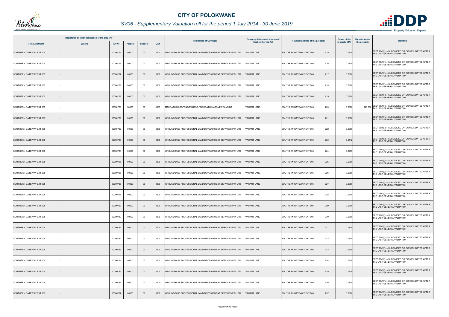

|                          | Registered or other description of the property |               |                |                |      | <b>Full Names of Owner(s)</b>                             | <b>Category determined in terms of</b> |                                  | <b>Extent of the</b> | <b>Market value of</b><br><b>Remarks</b>                                               |
|--------------------------|-------------------------------------------------|---------------|----------------|----------------|------|-----------------------------------------------------------|----------------------------------------|----------------------------------|----------------------|----------------------------------------------------------------------------------------|
| <b>Town Allotment</b>    | <b>Suburb</b>                                   | <b>Erf Nr</b> | <b>Portion</b> | <b>Section</b> | Unit |                                                           | <b>Section 8 of the Act</b>            | Physical address of the property | property (HA)        | the property                                                                           |
| SOUTHERN GATEWAY EXT 005 |                                                 | 00000715      | 00000          | $00\,$         | 0000 | GROUNDBASE PROFESSIONAL LAND DEVELOPMENT SERVICES PTY LTD | <b>ACANT LAND</b>                      | SOUTHERN GATEWAY EXT 005<br>715  | 0.0300               | SECT 78(1)(c) - SUBDIVIDED OR CONSOLIDATED AFTER<br>THE LAST GENERAL VALUATION         |
| SOUTHERN GATEWAY EXT 005 |                                                 | 00000716      | 00000          | $00\,$         | 0000 | GROUNDBASE PROFESSIONAL LAND DEVELOPMENT SERVICES PTY LTD | 'ACANT LAND                            | 716<br>SOUTHERN GATEWAY EXT 005  | 0.0300               | SECT 78(1)(c) - SUBDIVIDED OR CONSOLIDATED AFTER<br>THE LAST GENERAL VALUATION         |
| SOUTHERN GATEWAY EXT 005 |                                                 | 00000717      | 00000          | $00\,$         | 0000 | GROUNDBASE PROFESSIONAL LAND DEVELOPMENT SERVICES PTY LTD | <b>ACANT LAND</b>                      | 717<br>SOUTHERN GATEWAY EXT 005  | 0.0300               | SECT 78(1)(c) - SUBDIVIDED OR CONSOLIDATED AFTER<br>THE LAST GENERAL VALUATION         |
| SOUTHERN GATEWAY EXT 005 |                                                 | 00000718      | 00000          | 00             | 0000 | GROUNDBASE PROFESSIONAL LAND DEVELOPMENT SERVICES PTY LTD | 'ACANT LAND                            | SOUTHERN GATEWAY EXT 005<br>718  | 0.0300               | SECT 78(1)(c) - SUBDIVIDED OR CONSOLIDATED AFTER<br>THE LAST GENERAL VALUATION         |
| SOUTHERN GATEWAY EXT 005 |                                                 | 00000719      | 00000          | $00\,$         | 0000 | GROUNDBASE PROFESSIONAL LAND DEVELOPMENT SERVICES PTY LTD | ACANT LAND                             | 719<br>SOUTHERN GATEWAY EXT 005  | 0.0300               | SECT 78(1)(c) - SUBDIVIDED OR CONSOLIDATED AFTER<br>THE LAST GENERAL VALUATION         |
| SOUTHERN GATEWAY EXT 005 |                                                 | 00000720      | 00000          | 00             | 0000 | MAKGATO MAROPENG MARCUS / MAKGATO MATOME FRANCINA         | VACANT LAND                            | SOUTHERN GATEWAY EXT 005<br>720  | 0.0300               | SECT 78(1)(c) - SUBDIVIDED OR CONSOLIDATED AFTER<br>140 000 THE LAST GENERAL VALUATION |
| SOUTHERN GATEWAY EXT 005 |                                                 | 00000721      | 00000          | $00\,$         | 0000 | GROUNDBASE PROFESSIONAL LAND DEVELOPMENT SERVICES PTY LTD | <b>/ACANT LAND</b>                     | 721<br>SOUTHERN GATEWAY EXT 005  | 0.0300               | SECT 78(1)(c) - SUBDIVIDED OR CONSOLIDATED AFTER<br>THE LAST GENERAL VALUATION         |
| SOUTHERN GATEWAY EXT 005 |                                                 | 00000722      | 00000          | $00\,$         | 0000 | GROUNDBASE PROFESSIONAL LAND DEVELOPMENT SERVICES PTY LTD | ACANT LAND                             | 722<br>SOUTHERN GATEWAY EXT 005  | 0.0300               | SECT 78(1)(c) - SUBDIVIDED OR CONSOLIDATED AFTER<br>THE LAST GENERAL VALUATION         |
| SOUTHERN GATEWAY EXT 005 |                                                 | 00000723      | 00000          | $00\,$         | 0000 | GROUNDBASE PROFESSIONAL LAND DEVELOPMENT SERVICES PTY LTD | ACANT LAND                             | SOUTHERN GATEWAY EXT 005<br>723  | 0.0442               | SECT 78(1)(c) - SUBDIVIDED OR CONSOLIDATED AFTER<br>THE LAST GENERAL VALUATION         |
| SOUTHERN GATEWAY EXT 005 |                                                 | 00000724      | 00000          | $00\,$         | 0000 | GROUNDBASE PROFESSIONAL LAND DEVELOPMENT SERVICES PTY LTD | ACANT LAND                             | 724<br>SOUTHERN GATEWAY EXT 005  | 0.0439               | SECT 78(1)(c) - SUBDIVIDED OR CONSOLIDATED AFTER<br>THE LAST GENERAL VALUATION         |
| SOUTHERN GATEWAY EXT 005 |                                                 | 00000725      | 00000          | $00\,$         | 0000 | GROUNDBASE PROFESSIONAL LAND DEVELOPMENT SERVICES PTY LTD | ACANT LAND                             | SOUTHERN GATEWAY EXT 005<br>725  | 0.0300               | SECT 78(1)(c) - SUBDIVIDED OR CONSOLIDATED AFTER<br>THE LAST GENERAL VALUATION         |
| SOUTHERN GATEWAY EXT 005 |                                                 | 00000726      | 00000          | 00             | 0000 | GROUNDBASE PROFESSIONAL LAND DEVELOPMENT SERVICES PTY LTD | ACANT LAND                             | 726<br>SOUTHERN GATEWAY EXT 005  | 0.0300               | SECT 78(1)(c) - SUBDIVIDED OR CONSOLIDATED AFTER<br>THE LAST GENERAL VALUATION         |
| SOUTHERN GATEWAY EXT 005 |                                                 | 00000727      | 00000          | $00\,$         | 0000 | GROUNDBASE PROFESSIONAL LAND DEVELOPMENT SERVICES PTY LTD | ACANT LAND                             | 727<br>SOUTHERN GATEWAY EXT 005  | 0.0300               | SECT 78(1)(c) - SUBDIVIDED OR CONSOLIDATED AFTER<br>THE LAST GENERAL VALUATION         |
| SOUTHERN GATEWAY EXT 005 |                                                 | 00000728      | 00000          | 00             | 0000 | GROUNDBASE PROFESSIONAL LAND DEVELOPMENT SERVICES PTY LTD | <b>ACANT LAND</b>                      | SOUTHERN GATEWAY EXT 005<br>728  | 0.0300               | SECT 78(1)(c) - SUBDIVIDED OR CONSOLIDATED AFTER<br>THE LAST GENERAL VALUATION         |
| SOUTHERN GATEWAY EXT 005 |                                                 | 00000729      | 00000          | $00\,$         | 0000 | GROUNDBASE PROFESSIONAL LAND DEVELOPMENT SERVICES PTY LTD | <b>ACANT LAND</b>                      | SOUTHERN GATEWAY EXT 005<br>729  | 0.0300               | SECT 78(1)(c) - SUBDIVIDED OR CONSOLIDATED AFTER<br>THE LAST GENERAL VALUATION         |
| SOUTHERN GATEWAY EXT 005 |                                                 | 00000730      | 00000          | 00             | 0000 | GROUNDBASE PROFESSIONAL LAND DEVELOPMENT SERVICES PTY LTD | 'ACANT LAND                            | SOUTHERN GATEWAY EXT 005<br>730  | 0.0300               | SECT 78(1)(c) - SUBDIVIDED OR CONSOLIDATED AFTER<br>THE LAST GENERAL VALUATION         |
| SOUTHERN GATEWAY EXT 005 |                                                 | 00000731      | 00000          | $00\,$         | 0000 | GROUNDBASE PROFESSIONAL LAND DEVELOPMENT SERVICES PTY LTD | ACANT LAND                             | 731<br>SOUTHERN GATEWAY EXT 005  | 0.0300               | SECT 78(1)(c) - SUBDIVIDED OR CONSOLIDATED AFTER<br>THE LAST GENERAL VALUATION         |
| SOUTHERN GATEWAY EXT 005 |                                                 | 00000732      | 00000          | 00             | 0000 | GROUNDBASE PROFESSIONAL LAND DEVELOPMENT SERVICES PTY LTD | <b>/ACANT LAND</b>                     | 732<br>SOUTHERN GATEWAY EXT 005  | 0.0300               | SECT 78(1)(c) - SUBDIVIDED OR CONSOLIDATED AFTER<br>THE LAST GENERAL VALUATION         |
| SOUTHERN GATEWAY EXT 005 |                                                 | 00000733      | 00000          | $00\,$         | 0000 | GROUNDBASE PROFESSIONAL LAND DEVELOPMENT SERVICES PTY LTD | ACANT LAND                             | SOUTHERN GATEWAY EXT 005<br>733  | 0.0300               | SECT 78(1)(c) - SUBDIVIDED OR CONSOLIDATED AFTER<br>THE LAST GENERAL VALUATION         |
| SOUTHERN GATEWAY EXT 005 |                                                 | 00000734      | 00000          | $00\,$         | 0000 | GROUNDBASE PROFESSIONAL LAND DEVELOPMENT SERVICES PTY LTD | <b>ACANT LAND</b>                      | 734<br>SOUTHERN GATEWAY EXT 005  | 0.0300               | SECT 78(1)(c) - SUBDIVIDED OR CONSOLIDATED AFTER<br>THE LAST GENERAL VALUATION         |
| SOUTHERN GATEWAY EXT 005 |                                                 | 00000735      | 00000          | $00\,$         | 0000 | GROUNDBASE PROFESSIONAL LAND DEVELOPMENT SERVICES PTY LTD | ACANT LAND                             | SOUTHERN GATEWAY EXT 005<br>735  | 0.0300               | SECT 78(1)(c) - SUBDIVIDED OR CONSOLIDATED AFTER<br>THE LAST GENERAL VALUATION         |
| SOUTHERN GATEWAY EXT 005 |                                                 | 00000736      | 00000          | $00\,$         | 0000 | GROUNDBASE PROFESSIONAL LAND DEVELOPMENT SERVICES PTY LTD | <b>VACANT LAND</b>                     | 736<br>SOUTHERN GATEWAY EXT 005  | 0.0300               | SECT 78(1)(c) - SUBDIVIDED OR CONSOLIDATED AFTER<br>THE LAST GENERAL VALUATION         |
| SOUTHERN GATEWAY EXT 005 |                                                 | 00000737      | 00000          | $00\,$         | 0000 | GROUNDBASE PROFESSIONAL LAND DEVELOPMENT SERVICES PTY LTD | ACANT LAND                             | SOUTHERN GATEWAY EXT 005<br>737  | 0.0300               | SECT 78(1)(c) - SUBDIVIDED OR CONSOLIDATED AFTER<br>THE LAST GENERAL VALUATION         |

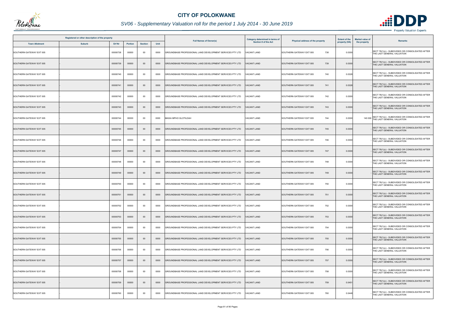

|                          | Registered or other description of the property |          |                |                |      |                                                           | Category determined in terms of |                                  | <b>Extent of the</b> | <b>Market value of</b>                                                                 |
|--------------------------|-------------------------------------------------|----------|----------------|----------------|------|-----------------------------------------------------------|---------------------------------|----------------------------------|----------------------|----------------------------------------------------------------------------------------|
| <b>Town Allotment</b>    | <b>Suburb</b>                                   | Erf Nr   | <b>Portion</b> | <b>Section</b> | Unit | <b>Full Names of Owner(s)</b>                             | <b>Section 8 of the Act</b>     | Physical address of the property | property (HA)        | Remarks<br>the property                                                                |
| SOUTHERN GATEWAY EXT 005 |                                                 | 00000738 | 00000          | $00\,$         | 0000 | GROUNDBASE PROFESSIONAL LAND DEVELOPMENT SERVICES PTY LTD | <b>ACANT LAND</b>               | 738<br>SOUTHERN GATEWAY EXT 005  | 0.0300               | SECT 78(1)(c) - SUBDIVIDED OR CONSOLIDATED AFTER<br>THE LAST GENERAL VALUATION         |
| SOUTHERN GATEWAY EXT 005 |                                                 | 00000739 | 00000          | $00\,$         | 0000 | GROUNDBASE PROFESSIONAL LAND DEVELOPMENT SERVICES PTY LTD | <b>VACANT LAND</b>              | 739<br>SOUTHERN GATEWAY EXT 005  | 0.0300               | SECT 78(1)(c) - SUBDIVIDED OR CONSOLIDATED AFTER<br>THE LAST GENERAL VALUATION         |
| SOUTHERN GATEWAY EXT 005 |                                                 | 00000740 | 00000          | 00             | 0000 | GROUNDBASE PROFESSIONAL LAND DEVELOPMENT SERVICES PTY LTD | <b>ACANT LAND</b>               | 740<br>SOUTHERN GATEWAY EXT 005  | 0.0328               | SECT 78(1)(c) - SUBDIVIDED OR CONSOLIDATED AFTER<br>THE LAST GENERAL VALUATION         |
| SOUTHERN GATEWAY EXT 005 |                                                 | 00000741 | 00000          | $00\,$         | 0000 | GROUNDBASE PROFESSIONAL LAND DEVELOPMENT SERVICES PTY LTD | <b>VACANT LAND</b>              | SOUTHERN GATEWAY EXT 005<br>741  | 0.0328               | SECT 78(1)(c) - SUBDIVIDED OR CONSOLIDATED AFTER<br>THE LAST GENERAL VALUATION         |
| SOUTHERN GATEWAY EXT 005 |                                                 | 00000742 | 00000          | 00             | 0000 | GROUNDBASE PROFESSIONAL LAND DEVELOPMENT SERVICES PTY LTD | <b>VACANT LAND</b>              | SOUTHERN GATEWAY EXT 005<br>742  | 0.0300               | SECT 78(1)(c) - SUBDIVIDED OR CONSOLIDATED AFTER<br>THE LAST GENERAL VALUATION         |
| SOUTHERN GATEWAY EXT 005 |                                                 | 00000743 | 00000          | $00\,$         | 0000 | GROUNDBASE PROFESSIONAL LAND DEVELOPMENT SERVICES PTY LTD | <b>VACANT LAND</b>              | SOUTHERN GATEWAY EXT 005<br>743  | 0.0300               | SECT 78(1)(c) - SUBDIVIDED OR CONSOLIDATED AFTER<br>THE LAST GENERAL VALUATION         |
| SOUTHERN GATEWAY EXT 005 |                                                 | 00000744 | 00000          | $00\,$         | 0000 | MASIA MPHO GLOTILDAH                                      | <b>VACANT LAND</b>              | 744<br>SOUTHERN GATEWAY EXT 005  | 0.0300               | SECT 78(1)(c) - SUBDIVIDED OR CONSOLIDATED AFTER<br>140 000 THE LAST GENERAL VALUATION |
| SOUTHERN GATEWAY EXT 005 |                                                 | 00000745 | 00000          | $00\,$         | 0000 | GROUNDBASE PROFESSIONAL LAND DEVELOPMENT SERVICES PTY LTD | <b>ACANT LAND</b>               | SOUTHERN GATEWAY EXT 005<br>745  | 0.0300               | SECT 78(1)(c) - SUBDIVIDED OR CONSOLIDATED AFTER<br>THE LAST GENERAL VALUATION         |
| SOUTHERN GATEWAY EXT 005 |                                                 | 00000746 | 00000          | $00\,$         | 0000 | GROUNDBASE PROFESSIONAL LAND DEVELOPMENT SERVICES PTY LTD | <b>VACANT LAND</b>              | SOUTHERN GATEWAY EXT 005<br>746  | 0.0300               | SECT 78(1)(c) - SUBDIVIDED OR CONSOLIDATED AFTER<br>THE LAST GENERAL VALUATION         |
| SOUTHERN GATEWAY EXT 005 |                                                 | 00000747 | 00000          | $00\,$         | 0000 | GROUNDBASE PROFESSIONAL LAND DEVELOPMENT SERVICES PTY LTD | <b>ACANT LAND</b>               | SOUTHERN GATEWAY EXT 005<br>747  | 0.0300               | SECT 78(1)(c) - SUBDIVIDED OR CONSOLIDATED AFTER<br>THE LAST GENERAL VALUATION         |
| SOUTHERN GATEWAY EXT 005 |                                                 | 00000748 | 00000          | 00             | 0000 | GROUNDBASE PROFESSIONAL LAND DEVELOPMENT SERVICES PTY LTD | VACANT LAND                     | SOUTHERN GATEWAY EXT 005<br>748  | 0.0300               | SECT 78(1)(c) - SUBDIVIDED OR CONSOLIDATED AFTER<br>THE LAST GENERAL VALUATION         |
| SOUTHERN GATEWAY EXT 005 |                                                 | 00000749 | 00000          | $00\,$         | 0000 | GROUNDBASE PROFESSIONAL LAND DEVELOPMENT SERVICES PTY LTD | <b>ACANT LAND</b>               | SOUTHERN GATEWAY EXT 005<br>749  | 0.0300               | SECT 78(1)(c) - SUBDIVIDED OR CONSOLIDATED AFTER<br>THE LAST GENERAL VALUATION         |
| SOUTHERN GATEWAY EXT 005 |                                                 | 00000750 | 00000          | $00\,$         | 0000 | GROUNDBASE PROFESSIONAL LAND DEVELOPMENT SERVICES PTY LTD | VACANT LAND                     | SOUTHERN GATEWAY EXT 005<br>750  | 0.0300               | SECT 78(1)(c) - SUBDIVIDED OR CONSOLIDATED AFTER<br>THE LAST GENERAL VALUATION         |
| SOUTHERN GATEWAY EXT 005 |                                                 | 00000751 | 00000          | $00\,$         | 0000 | GROUNDBASE PROFESSIONAL LAND DEVELOPMENT SERVICES PTY LTD | <b>VACANT LAND</b>              | SOUTHERN GATEWAY EXT 005<br>751  | 0.0300               | SECT 78(1)(c) - SUBDIVIDED OR CONSOLIDATED AFTER<br>THE LAST GENERAL VALUATION         |
| SOUTHERN GATEWAY EXT 005 |                                                 | 00000752 | 00000          | $00\,$         | 0000 | GROUNDBASE PROFESSIONAL LAND DEVELOPMENT SERVICES PTY LTD | <b>VACANT LAND</b>              | 752<br>SOUTHERN GATEWAY EXT 005  | 0.0300               | SECT 78(1)(c) - SUBDIVIDED OR CONSOLIDATED AFTER<br>THE LAST GENERAL VALUATION         |
| SOUTHERN GATEWAY EXT 005 |                                                 | 00000753 | 00000          | $00\,$         | 0000 | GROUNDBASE PROFESSIONAL LAND DEVELOPMENT SERVICES PTY LTD | <b>VACANT LAND</b>              | SOUTHERN GATEWAY EXT 005<br>753  | 0.0300               | SECT 78(1)(c) - SUBDIVIDED OR CONSOLIDATED AFTER<br>THE LAST GENERAL VALUATION         |
| SOUTHERN GATEWAY EXT 005 |                                                 | 00000754 | 00000          | 00             | 0000 | GROUNDBASE PROFESSIONAL LAND DEVELOPMENT SERVICES PTY LTD | <b>VACANT LAND</b>              | SOUTHERN GATEWAY EXT 005<br>754  | 0.0300               | SECT 78(1)(c) - SUBDIVIDED OR CONSOLIDATED AFTER<br>THE LAST GENERAL VALUATION         |
| SOUTHERN GATEWAY EXT 005 |                                                 | 00000755 | 00000          | $00\,$         | 0000 | GROUNDBASE PROFESSIONAL LAND DEVELOPMENT SERVICES PTY LTD | <b>VACANT LAND</b>              | 755<br>SOUTHERN GATEWAY EXT 005  | 0.0300               | SECT 78(1)(c) - SUBDIVIDED OR CONSOLIDATED AFTER<br>THE LAST GENERAL VALUATION         |
| SOUTHERN GATEWAY EXT 005 |                                                 | 00000756 | 00000          | 00             | 0000 | GROUNDBASE PROFESSIONAL LAND DEVELOPMENT SERVICES PTY LTD | <b>VACANT LAND</b>              | SOUTHERN GATEWAY EXT 005<br>756  | 0.0300               | SECT 78(1)(c) - SUBDIVIDED OR CONSOLIDATED AFTER<br>THE LAST GENERAL VALUATION         |
| SOUTHERN GATEWAY EXT 005 |                                                 | 00000757 | 00000          | $00\,$         | 0000 | GROUNDBASE PROFESSIONAL LAND DEVELOPMENT SERVICES PTY LTD | <b>VACANT LAND</b>              | 757<br>SOUTHERN GATEWAY EXT 005  | 0.0300               | SECT 78(1)(c) - SUBDIVIDED OR CONSOLIDATED AFTER<br>THE LAST GENERAL VALUATION         |
| SOUTHERN GATEWAY EXT 005 |                                                 | 00000758 | 00000          | 00             | 0000 | GROUNDBASE PROFESSIONAL LAND DEVELOPMENT SERVICES PTY LTD | VACANT LAND                     | 758<br>SOUTHERN GATEWAY EXT 005  | 0.0300               | SECT 78(1)(c) - SUBDIVIDED OR CONSOLIDATED AFTER<br>THE LAST GENERAL VALUATION         |
| SOUTHERN GATEWAY EXT 005 |                                                 | 00000759 | 00000          | $00\,$         | 0000 | GROUNDBASE PROFESSIONAL LAND DEVELOPMENT SERVICES PTY LTD | <b>VACANT LAND</b>              | SOUTHERN GATEWAY EXT 005<br>759  | 0.045                | SECT 78(1)(c) - SUBDIVIDED OR CONSOLIDATED AFTER<br>THE LAST GENERAL VALUATION         |
| SOUTHERN GATEWAY EXT 005 |                                                 | 00000760 | 00000          | 00             | 0000 | GROUNDBASE PROFESSIONAL LAND DEVELOPMENT SERVICES PTY LTD | ACANT LAND                      | 760<br>SOUTHERN GATEWAY EXT 005  | 0.0448               | SECT 78(1)(c) - SUBDIVIDED OR CONSOLIDATED AFTER<br>THE LAST GENERAL VALUATION         |

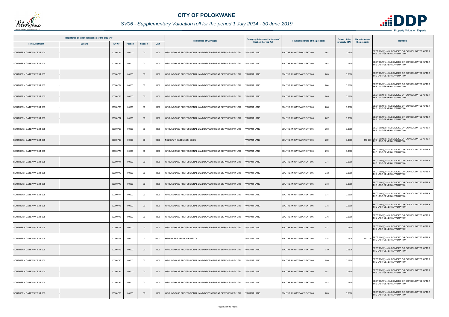

|                          | Registered or other description of the property |          |                |                |      | <b>Full Names of Owner(s)</b>                             | <b>Category determined in terms of</b> | Physical address of the property | <b>Extent of the</b> | <b>Market value of</b><br><b>Remarks</b>                                               |
|--------------------------|-------------------------------------------------|----------|----------------|----------------|------|-----------------------------------------------------------|----------------------------------------|----------------------------------|----------------------|----------------------------------------------------------------------------------------|
| <b>Town Allotment</b>    | <b>Suburb</b>                                   | Erf Nr   | <b>Portion</b> | <b>Section</b> | Unit |                                                           | <b>Section 8 of the Act</b>            |                                  | property (HA)        | the property                                                                           |
| SOUTHERN GATEWAY EXT 005 |                                                 | 00000761 | 00000          | $00\,$         | 0000 | GROUNDBASE PROFESSIONAL LAND DEVELOPMENT SERVICES PTY LTD | <b>ACANT LAND</b>                      | SOUTHERN GATEWAY EXT 005<br>761  | 0.0300               | SECT 78(1)(c) - SUBDIVIDED OR CONSOLIDATED AFTER<br>THE LAST GENERAL VALUATION         |
| SOUTHERN GATEWAY EXT 005 |                                                 | 00000762 | 00000          | $00\,$         | 0000 | GROUNDBASE PROFESSIONAL LAND DEVELOPMENT SERVICES PTY LTD | VACANT LAND                            | 762<br>SOUTHERN GATEWAY EXT 005  | 0.0300               | SECT 78(1)(c) - SUBDIVIDED OR CONSOLIDATED AFTER<br>THE LAST GENERAL VALUATION         |
| SOUTHERN GATEWAY EXT 005 |                                                 | 00000763 | 00000          | $00\,$         | 0000 | GROUNDBASE PROFESSIONAL LAND DEVELOPMENT SERVICES PTY LTD | <b>ACANT LAND</b>                      | SOUTHERN GATEWAY EXT 005<br>763  | 0.0300               | SECT 78(1)(c) - SUBDIVIDED OR CONSOLIDATED AFTER<br>THE LAST GENERAL VALUATION         |
| SOUTHERN GATEWAY EXT 005 |                                                 | 00000764 | 00000          | 00             | 0000 | GROUNDBASE PROFESSIONAL LAND DEVELOPMENT SERVICES PTY LTD | <b>VACANT LAND</b>                     | 764<br>SOUTHERN GATEWAY EXT 005  | 0.0300               | SECT 78(1)(c) - SUBDIVIDED OR CONSOLIDATED AFTER<br>THE LAST GENERAL VALUATION         |
| SOUTHERN GATEWAY EXT 005 |                                                 | 00000765 | 00000          | $00\,$         | 0000 | GROUNDBASE PROFESSIONAL LAND DEVELOPMENT SERVICES PTY LTD | <b>VACANT LAND</b>                     | SOUTHERN GATEWAY EXT 005<br>765  | 0.0300               | SECT 78(1)(c) - SUBDIVIDED OR CONSOLIDATED AFTER<br>THE LAST GENERAL VALUATION         |
| SOUTHERN GATEWAY EXT 005 |                                                 | 00000766 | 00000          | $00\,$         | 0000 | GROUNDBASE PROFESSIONAL LAND DEVELOPMENT SERVICES PTY LTD | <b>VACANT LAND</b>                     | 766<br>SOUTHERN GATEWAY EXT 005  | 0.0300               | SECT 78(1)(c) - SUBDIVIDED OR CONSOLIDATED AFTER<br>THE LAST GENERAL VALUATION         |
| SOUTHERN GATEWAY EXT 005 |                                                 | 00000767 | 00000          | $00\,$         | 0000 | GROUNDBASE PROFESSIONAL LAND DEVELOPMENT SERVICES PTY LTD | <b>VACANT LAND</b>                     | SOUTHERN GATEWAY EXT 005<br>767  | 0.0300               | SECT 78(1)(c) - SUBDIVIDED OR CONSOLIDATED AFTER<br>THE LAST GENERAL VALUATION         |
| SOUTHERN GATEWAY EXT 005 |                                                 | 00000768 | 00000          | 00             | 0000 | GROUNDBASE PROFESSIONAL LAND DEVELOPMENT SERVICES PTY LTD | ACANT LAND                             | SOUTHERN GATEWAY EXT 005<br>768  | 0.0300               | SECT 78(1)(c) - SUBDIVIDED OR CONSOLIDATED AFTER<br>THE LAST GENERAL VALUATION         |
| SOUTHERN GATEWAY EXT 005 |                                                 | 00000769 | 00000          | $00\,$         | 0000 | NDLOVU THEMBINKOSI CLIDE                                  | <b>VACANT LAND</b>                     | 769<br>SOUTHERN GATEWAY EXT 005  | 0.0300               | SECT 78(1)(c) - SUBDIVIDED OR CONSOLIDATED AFTER<br>140 000 THE LAST GENERAL VALUATION |
| SOUTHERN GATEWAY EXT 005 |                                                 | 00000770 | 00000          | 00             | 0000 | GROUNDBASE PROFESSIONAL LAND DEVELOPMENT SERVICES PTY LTD | <b>ACANT LAND</b>                      | SOUTHERN GATEWAY EXT 005<br>770  | 0.0300               | SECT 78(1)(c) - SUBDIVIDED OR CONSOLIDATED AFTER<br>THE LAST GENERAL VALUATION         |
| SOUTHERN GATEWAY EXT 005 |                                                 | 00000771 | 00000          | $00\,$         | 0000 | GROUNDBASE PROFESSIONAL LAND DEVELOPMENT SERVICES PTY LTD | <b>VACANT LAND</b>                     | SOUTHERN GATEWAY EXT 005<br>771  | 0.0300               | SECT 78(1)(c) - SUBDIVIDED OR CONSOLIDATED AFTER<br>THE LAST GENERAL VALUATION         |
| SOUTHERN GATEWAY EXT 005 |                                                 | 00000772 | 00000          | 00             | 0000 | GROUNDBASE PROFESSIONAL LAND DEVELOPMENT SERVICES PTY LTD | /ACANT LAND                            | SOUTHERN GATEWAY EXT 005<br>772  | 0.0300               | SECT 78(1)(c) - SUBDIVIDED OR CONSOLIDATED AFTER<br>THE LAST GENERAL VALUATION         |
| SOUTHERN GATEWAY EXT 005 |                                                 | 00000773 | 00000          | $00\,$         | 0000 | GROUNDBASE PROFESSIONAL LAND DEVELOPMENT SERVICES PTY LTD | <b>VACANT LAND</b>                     | SOUTHERN GATEWAY EXT 005<br>773  | 0.0300               | SECT 78(1)(c) - SUBDIVIDED OR CONSOLIDATED AFTER<br>THE LAST GENERAL VALUATION         |
| SOUTHERN GATEWAY EXT 005 |                                                 | 00000774 | 00000          | 00             | 0000 | GROUNDBASE PROFESSIONAL LAND DEVELOPMENT SERVICES PTY LTD | <b>/ACANT LAND</b>                     | 774<br>SOUTHERN GATEWAY EXT 005  | 0.0300               | SECT 78(1)(c) - SUBDIVIDED OR CONSOLIDATED AFTER<br>THE LAST GENERAL VALUATION         |
| SOUTHERN GATEWAY EXT 005 |                                                 | 00000775 | 00000          | $00\,$         | 0000 | GROUNDBASE PROFESSIONAL LAND DEVELOPMENT SERVICES PTY LTD | <b>VACANT LAND</b>                     | SOUTHERN GATEWAY EXT 005<br>775  | 0.0300               | SECT 78(1)(c) - SUBDIVIDED OR CONSOLIDATED AFTER<br>THE LAST GENERAL VALUATION         |
| SOUTHERN GATEWAY EXT 005 |                                                 | 00000776 | 00000          | 00             | 0000 | GROUNDBASE PROFESSIONAL LAND DEVELOPMENT SERVICES PTY LTD | VACANT LAND                            | 776<br>SOUTHERN GATEWAY EXT 005  | 0.0300               | SECT 78(1)(c) - SUBDIVIDED OR CONSOLIDATED AFTER<br>THE LAST GENERAL VALUATION         |
| SOUTHERN GATEWAY EXT 005 |                                                 | 00000777 | 00000          | $00\,$         | 0000 | GROUNDBASE PROFESSIONAL LAND DEVELOPMENT SERVICES PTY LTD | <b>VACANT LAND</b>                     | SOUTHERN GATEWAY EXT 005<br>777  | 0.0300               | SECT 78(1)(c) - SUBDIVIDED OR CONSOLIDATED AFTER<br>THE LAST GENERAL VALUATION         |
| SOUTHERN GATEWAY EXT 005 |                                                 | 00000778 | 00000          | $00\,$         | 0000 | MPHAHLELE KEDIBONE NETTY                                  | <b>VACANT LAND</b>                     | 778<br>SOUTHERN GATEWAY EXT 005  | 0.0328               | SECT 78(1)(c) - SUBDIVIDED OR CONSOLIDATED AFTER<br>160 000 THE LAST GENERAL VALUATION |
| SOUTHERN GATEWAY EXT 005 |                                                 | 00000779 | 00000          | $00\,$         | 0000 | GROUNDBASE PROFESSIONAL LAND DEVELOPMENT SERVICES PTY LTD | <b>VACANT LAND</b>                     | 779<br>SOUTHERN GATEWAY EXT 005  | 0.0328               | SECT 78(1)(c) - SUBDIVIDED OR CONSOLIDATED AFTER<br>THE LAST GENERAL VALUATION         |
| SOUTHERN GATEWAY EXT 005 |                                                 | 00000780 | 00000          | $00\,$         | 0000 | GROUNDBASE PROFESSIONAL LAND DEVELOPMENT SERVICES PTY LTD | VACANT LAND                            | 780<br>SOUTHERN GATEWAY EXT 005  | 0.0300               | SECT 78(1)(c) - SUBDIVIDED OR CONSOLIDATED AFTER<br>THE LAST GENERAL VALUATION         |
| SOUTHERN GATEWAY EXT 005 |                                                 | 00000781 | 00000          | $00\,$         | 0000 | GROUNDBASE PROFESSIONAL LAND DEVELOPMENT SERVICES PTY LTD | <b>ACANT LAND</b>                      | 781<br>SOUTHERN GATEWAY EXT 005  | 0.0300               | SECT 78(1)(c) - SUBDIVIDED OR CONSOLIDATED AFTER<br>THE LAST GENERAL VALUATION         |
| SOUTHERN GATEWAY EXT 005 |                                                 | 00000782 | 00000          | $00\,$         | 0000 | GROUNDBASE PROFESSIONAL LAND DEVELOPMENT SERVICES PTY LTD | <b>VACANT LAND</b>                     | 782<br>SOUTHERN GATEWAY EXT 005  | 0.0300               | SECT 78(1)(c) - SUBDIVIDED OR CONSOLIDATED AFTER<br>THE LAST GENERAL VALUATION         |
| SOUTHERN GATEWAY EXT 005 |                                                 | 00000783 | 00000          | $00\,$         | 0000 | GROUNDBASE PROFESSIONAL LAND DEVELOPMENT SERVICES PTY LTD | ACANT LAND                             | 783<br>SOUTHERN GATEWAY EXT 005  | 0.0300               | SECT 78(1)(c) - SUBDIVIDED OR CONSOLIDATED AFTER<br>THE LAST GENERAL VALUATION         |

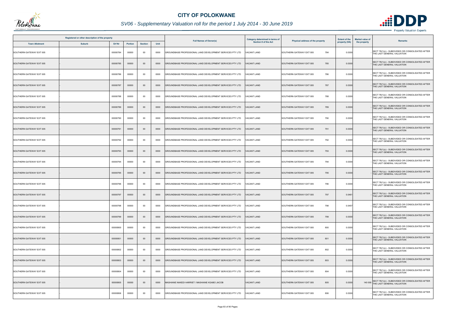

|                          | Registered or other description of the property |          |                |                |      |                                                           | <b>Category determined in terms of</b> |                                  | <b>Extent of the</b> | <b>Market value of</b><br>Remarks                                                      |
|--------------------------|-------------------------------------------------|----------|----------------|----------------|------|-----------------------------------------------------------|----------------------------------------|----------------------------------|----------------------|----------------------------------------------------------------------------------------|
| <b>Town Allotment</b>    | <b>Suburb</b>                                   | Erf Nr   | <b>Portion</b> | <b>Section</b> | Unit | <b>Full Names of Owner(s)</b>                             | <b>Section 8 of the Act</b>            | Physical address of the property | property (HA)        | the property                                                                           |
| SOUTHERN GATEWAY EXT 005 |                                                 | 00000784 | 00000          | $00\,$         | 0000 | GROUNDBASE PROFESSIONAL LAND DEVELOPMENT SERVICES PTY LTD | <b>ACANT LAND</b>                      | SOUTHERN GATEWAY EXT 005<br>784  | 0.0300               | SECT 78(1)(c) - SUBDIVIDED OR CONSOLIDATED AFTER<br>THE LAST GENERAL VALUATION         |
| SOUTHERN GATEWAY EXT 005 |                                                 | 00000785 | 00000          | $00\,$         | 0000 | GROUNDBASE PROFESSIONAL LAND DEVELOPMENT SERVICES PTY LTD | <b>VACANT LAND</b>                     | 785<br>SOUTHERN GATEWAY EXT 005  | 0.0300               | SECT 78(1)(c) - SUBDIVIDED OR CONSOLIDATED AFTER<br>THE LAST GENERAL VALUATION         |
| SOUTHERN GATEWAY EXT 005 |                                                 | 00000786 | 00000          | 00             | 0000 | GROUNDBASE PROFESSIONAL LAND DEVELOPMENT SERVICES PTY LTD | <b>ACANT LAND</b>                      | 786<br>SOUTHERN GATEWAY EXT 005  | 0.0300               | SECT 78(1)(c) - SUBDIVIDED OR CONSOLIDATED AFTER<br>THE LAST GENERAL VALUATION         |
| SOUTHERN GATEWAY EXT 005 |                                                 | 00000787 | 00000          | $00\,$         | 0000 | GROUNDBASE PROFESSIONAL LAND DEVELOPMENT SERVICES PTY LTD | <b>VACANT LAND</b>                     | SOUTHERN GATEWAY EXT 005<br>787  | 0.0300               | SECT 78(1)(c) - SUBDIVIDED OR CONSOLIDATED AFTER<br>THE LAST GENERAL VALUATION         |
| SOUTHERN GATEWAY EXT 005 |                                                 | 00000788 | 00000          | 00             | 0000 | GROUNDBASE PROFESSIONAL LAND DEVELOPMENT SERVICES PTY LTD | <b>VACANT LAND</b>                     | SOUTHERN GATEWAY EXT 005<br>788  | 0.0300               | SECT 78(1)(c) - SUBDIVIDED OR CONSOLIDATED AFTER<br>THE LAST GENERAL VALUATION         |
| SOUTHERN GATEWAY EXT 005 |                                                 | 00000789 | 00000          | $00\,$         | 0000 | GROUNDBASE PROFESSIONAL LAND DEVELOPMENT SERVICES PTY LTD | <b>VACANT LAND</b>                     | SOUTHERN GATEWAY EXT 005<br>789  | 0.0300               | SECT 78(1)(c) - SUBDIVIDED OR CONSOLIDATED AFTER<br>THE LAST GENERAL VALUATION         |
| SOUTHERN GATEWAY EXT 005 |                                                 | 00000790 | 00000          | $00\,$         | 0000 | GROUNDBASE PROFESSIONAL LAND DEVELOPMENT SERVICES PTY LTD | <b>VACANT LAND</b>                     | 790<br>SOUTHERN GATEWAY EXT 005  | 0.0300               | SECT 78(1)(c) - SUBDIVIDED OR CONSOLIDATED AFTER<br>THE LAST GENERAL VALUATION         |
| SOUTHERN GATEWAY EXT 005 |                                                 | 00000791 | 00000          | $00\,$         | 0000 | GROUNDBASE PROFESSIONAL LAND DEVELOPMENT SERVICES PTY LTD | <b>ACANT LAND</b>                      | 791<br>SOUTHERN GATEWAY EXT 005  | 0.0300               | SECT 78(1)(c) - SUBDIVIDED OR CONSOLIDATED AFTER<br>THE LAST GENERAL VALUATION         |
| SOUTHERN GATEWAY EXT 005 |                                                 | 00000792 | 00000          | $00\,$         | 0000 | GROUNDBASE PROFESSIONAL LAND DEVELOPMENT SERVICES PTY LTD | <b>VACANT LAND</b>                     | SOUTHERN GATEWAY EXT 005<br>792  | 0.0300               | SECT 78(1)(c) - SUBDIVIDED OR CONSOLIDATED AFTER<br>THE LAST GENERAL VALUATION         |
| SOUTHERN GATEWAY EXT 005 |                                                 | 00000793 | 00000          | $00\,$         | 0000 | GROUNDBASE PROFESSIONAL LAND DEVELOPMENT SERVICES PTY LTD | <b>ACANT LAND</b>                      | SOUTHERN GATEWAY EXT 005<br>793  | 0.0300               | SECT 78(1)(c) - SUBDIVIDED OR CONSOLIDATED AFTER<br>THE LAST GENERAL VALUATION         |
| SOUTHERN GATEWAY EXT 005 |                                                 | 00000794 | 00000          | 00             | 0000 | GROUNDBASE PROFESSIONAL LAND DEVELOPMENT SERVICES PTY LTD | VACANT LAND                            | SOUTHERN GATEWAY EXT 005<br>794  | 0.0300               | SECT 78(1)(c) - SUBDIVIDED OR CONSOLIDATED AFTER<br>THE LAST GENERAL VALUATION         |
| SOUTHERN GATEWAY EXT 005 |                                                 | 00000795 | 00000          | $00\,$         | 0000 | GROUNDBASE PROFESSIONAL LAND DEVELOPMENT SERVICES PTY LTD | <b>ACANT LAND</b>                      | SOUTHERN GATEWAY EXT 005<br>795  | 0.0300               | SECT 78(1)(c) - SUBDIVIDED OR CONSOLIDATED AFTER<br>THE LAST GENERAL VALUATION         |
| SOUTHERN GATEWAY EXT 005 |                                                 | 00000796 | 00000          | $00\,$         | 0000 | GROUNDBASE PROFESSIONAL LAND DEVELOPMENT SERVICES PTY LTD | VACANT LAND                            | 796<br>SOUTHERN GATEWAY EXT 005  | 0.0300               | SECT 78(1)(c) - SUBDIVIDED OR CONSOLIDATED AFTER<br>THE LAST GENERAL VALUATION         |
| SOUTHERN GATEWAY EXT 005 |                                                 | 00000797 | 00000          | $00\,$         | 0000 | GROUNDBASE PROFESSIONAL LAND DEVELOPMENT SERVICES PTY LTD | <b>VACANT LAND</b>                     | SOUTHERN GATEWAY EXT 005<br>797  | 0.046                | SECT 78(1)(c) - SUBDIVIDED OR CONSOLIDATED AFTER<br>THE LAST GENERAL VALUATION         |
| SOUTHERN GATEWAY EXT 005 |                                                 | 00000798 | 00000          | $00\,$         | 0000 | GROUNDBASE PROFESSIONAL LAND DEVELOPMENT SERVICES PTY LTD | <b>VACANT LAND</b>                     | SOUTHERN GATEWAY EXT 005<br>798  | 0.0457               | SECT 78(1)(c) - SUBDIVIDED OR CONSOLIDATED AFTER<br>THE LAST GENERAL VALUATION         |
| SOUTHERN GATEWAY EXT 005 |                                                 | 00000799 | 00000          | $00\,$         | 0000 | GROUNDBASE PROFESSIONAL LAND DEVELOPMENT SERVICES PTY LTD | <b>VACANT LAND</b>                     | SOUTHERN GATEWAY EXT 005<br>799  | 0.0300               | SECT 78(1)(c) - SUBDIVIDED OR CONSOLIDATED AFTER<br>THE LAST GENERAL VALUATION         |
| SOUTHERN GATEWAY EXT 005 |                                                 | 00000800 | 00000          | 00             | 0000 | GROUNDBASE PROFESSIONAL LAND DEVELOPMENT SERVICES PTY LTD | <b>VACANT LAND</b>                     | SOUTHERN GATEWAY EXT 005<br>800  | 0.0300               | SECT 78(1)(c) - SUBDIVIDED OR CONSOLIDATED AFTER<br>THE LAST GENERAL VALUATION         |
| SOUTHERN GATEWAY EXT 005 |                                                 | 00000801 | 00000          | $00\,$         | 0000 | GROUNDBASE PROFESSIONAL LAND DEVELOPMENT SERVICES PTY LTD | <b>VACANT LAND</b>                     | 801<br>SOUTHERN GATEWAY EXT 005  | 0.0300               | SECT 78(1)(c) - SUBDIVIDED OR CONSOLIDATED AFTER<br>THE LAST GENERAL VALUATION         |
| SOUTHERN GATEWAY EXT 005 |                                                 | 00000802 | 00000          | $00\,$         | 0000 | GROUNDBASE PROFESSIONAL LAND DEVELOPMENT SERVICES PTY LTD | <b>VACANT LAND</b>                     | SOUTHERN GATEWAY EXT 005<br>802  | 0.0300               | SECT 78(1)(c) - SUBDIVIDED OR CONSOLIDATED AFTER<br>THE LAST GENERAL VALUATION         |
| SOUTHERN GATEWAY EXT 005 |                                                 | 00000803 | 00000          | $00\,$         | 0000 | GROUNDBASE PROFESSIONAL LAND DEVELOPMENT SERVICES PTY LTD | <b>VACANT LAND</b>                     | 803<br>SOUTHERN GATEWAY EXT 005  | 0.0300               | SECT 78(1)(c) - SUBDIVIDED OR CONSOLIDATED AFTER<br>THE LAST GENERAL VALUATION         |
| SOUTHERN GATEWAY EXT 005 |                                                 | 00000804 | 00000          | 00             | 0000 | GROUNDBASE PROFESSIONAL LAND DEVELOPMENT SERVICES PTY LTD | VACANT LAND                            | 804<br>SOUTHERN GATEWAY EXT 005  | 0.0300               | SECT 78(1)(c) - SUBDIVIDED OR CONSOLIDATED AFTER<br>THE LAST GENERAL VALUATION         |
| SOUTHERN GATEWAY EXT 005 |                                                 | 00000805 | 00000          | $00\,$         | 0000 | MASHIANE NAKEDI HARRIET / MASHIANE KGABO JACOB            | <b>VACANT LAND</b>                     | SOUTHERN GATEWAY EXT 005<br>805  | 0.0300               | SECT 78(1)(c) - SUBDIVIDED OR CONSOLIDATED AFTER<br>140 000 THE LAST GENERAL VALUATION |
| SOUTHERN GATEWAY EXT 005 |                                                 | 00000806 | 00000          | $00\,$         | 0000 | GROUNDBASE PROFESSIONAL LAND DEVELOPMENT SERVICES PTY LTD | ACANT LAND                             | 806<br>SOUTHERN GATEWAY EXT 005  | 0.0300               | SECT 78(1)(c) - SUBDIVIDED OR CONSOLIDATED AFTER<br>THE LAST GENERAL VALUATION         |

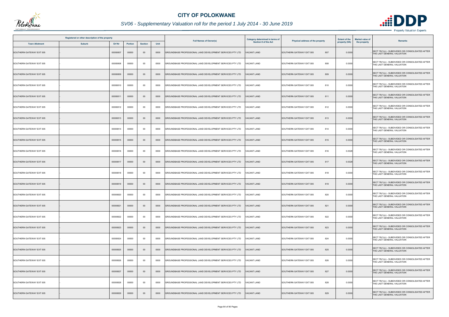

| Registered or other description of the property |               |               |         |                |      |                                                           | <b>Category determined in terms of</b> | Physical address of the property | <b>Extent of the</b> | <b>Market value of</b><br><b>Remarks</b>                                       |
|-------------------------------------------------|---------------|---------------|---------|----------------|------|-----------------------------------------------------------|----------------------------------------|----------------------------------|----------------------|--------------------------------------------------------------------------------|
| <b>Town Allotment</b>                           | <b>Suburb</b> | <b>Erf Nr</b> | Portion | <b>Section</b> | Unit | <b>Full Names of Owner(s)</b>                             | <b>Section 8 of the Act</b>            |                                  | property (HA)        | the property                                                                   |
| SOUTHERN GATEWAY EXT 005                        |               | 00000807      | 00000   | $00\,$         | 0000 | GROUNDBASE PROFESSIONAL LAND DEVELOPMENT SERVICES PTY LTD | ACANT LAND                             | 807<br>SOUTHERN GATEWAY EXT 005  | 0.0300               | SECT 78(1)(c) - SUBDIVIDED OR CONSOLIDATED AFTER<br>THE LAST GENERAL VALUATION |
| SOUTHERN GATEWAY EXT 005                        |               | 00000808      | 00000   | 00             | 0000 | GROUNDBASE PROFESSIONAL LAND DEVELOPMENT SERVICES PTY LTD | <b>/ACANT LAND</b>                     | 808<br>SOUTHERN GATEWAY EXT 005  | 0.0300               | SECT 78(1)(c) - SUBDIVIDED OR CONSOLIDATED AFTER<br>THE LAST GENERAL VALUATION |
| SOUTHERN GATEWAY EXT 005                        |               | 00000809      | 00000   | $00\,$         | 0000 | GROUNDBASE PROFESSIONAL LAND DEVELOPMENT SERVICES PTY LTD | ACANT LAND                             | SOUTHERN GATEWAY EXT 005<br>809  | 0.0300               | SECT 78(1)(c) - SUBDIVIDED OR CONSOLIDATED AFTER<br>THE LAST GENERAL VALUATION |
| SOUTHERN GATEWAY EXT 005                        |               | 00000810      | 00000   | 00             | 0000 | GROUNDBASE PROFESSIONAL LAND DEVELOPMENT SERVICES PTY LTD | <b>VACANT LAND</b>                     | 810<br>SOUTHERN GATEWAY EXT 005  | 0.0300               | SECT 78(1)(c) - SUBDIVIDED OR CONSOLIDATED AFTER<br>THE LAST GENERAL VALUATION |
| SOUTHERN GATEWAY EXT 005                        |               | 00000811      | 00000   | $00\,$         | 0000 | GROUNDBASE PROFESSIONAL LAND DEVELOPMENT SERVICES PTY LTD | <b>VACANT LAND</b>                     | SOUTHERN GATEWAY EXT 005<br>811  | 0.0300               | SECT 78(1)(c) - SUBDIVIDED OR CONSOLIDATED AFTER<br>THE LAST GENERAL VALUATION |
| SOUTHERN GATEWAY EXT 005                        |               | 00000812      | 00000   | $00\,$         | 0000 | GROUNDBASE PROFESSIONAL LAND DEVELOPMENT SERVICES PTY LTD | <b>/ACANT LAND</b>                     | 812<br>SOUTHERN GATEWAY EXT 005  | 0.0300               | SECT 78(1)(c) - SUBDIVIDED OR CONSOLIDATED AFTER<br>THE LAST GENERAL VALUATION |
| SOUTHERN GATEWAY EXT 005                        |               | 00000813      | 00000   | $00\,$         | 0000 | GROUNDBASE PROFESSIONAL LAND DEVELOPMENT SERVICES PTY LTD | <b>VACANT LAND</b>                     | SOUTHERN GATEWAY EXT 005<br>813  | 0.0300               | SECT 78(1)(c) - SUBDIVIDED OR CONSOLIDATED AFTER<br>THE LAST GENERAL VALUATION |
| SOUTHERN GATEWAY EXT 005                        |               | 00000814      | 00000   | 00             | 0000 | GROUNDBASE PROFESSIONAL LAND DEVELOPMENT SERVICES PTY LTD | <b>ACANT LAND</b>                      | 814<br>SOUTHERN GATEWAY EXT 005  | 0.0300               | SECT 78(1)(c) - SUBDIVIDED OR CONSOLIDATED AFTER<br>THE LAST GENERAL VALUATION |
| SOUTHERN GATEWAY EXT 005                        |               | 00000815      | 00000   | $00\,$         | 0000 | GROUNDBASE PROFESSIONAL LAND DEVELOPMENT SERVICES PTY LTD | <b>/ACANT LAND</b>                     | 815<br>SOUTHERN GATEWAY EXT 005  | 0.0300               | SECT 78(1)(c) - SUBDIVIDED OR CONSOLIDATED AFTER<br>THE LAST GENERAL VALUATION |
| SOUTHERN GATEWAY EXT 005                        |               | 00000816      | 00000   | 00             | 0000 | GROUNDBASE PROFESSIONAL LAND DEVELOPMENT SERVICES PTY LTD | 'ACANT LAND                            | SOUTHERN GATEWAY EXT 005<br>816  | 0.0328               | SECT 78(1)(c) - SUBDIVIDED OR CONSOLIDATED AFTER<br>THE LAST GENERAL VALUATION |
| SOUTHERN GATEWAY EXT 005                        |               | 00000817      | 00000   | $00\,$         | 0000 | GROUNDBASE PROFESSIONAL LAND DEVELOPMENT SERVICES PTY LTD | <b>VACANT LAND</b>                     | 817<br>SOUTHERN GATEWAY EXT 005  | 0.0328               | SECT 78(1)(c) - SUBDIVIDED OR CONSOLIDATED AFTER<br>THE LAST GENERAL VALUATION |
| SOUTHERN GATEWAY EXT 005                        |               | 00000818      | 00000   | 00             | 0000 | GROUNDBASE PROFESSIONAL LAND DEVELOPMENT SERVICES PTY LTD | /ACANT LAND                            | SOUTHERN GATEWAY EXT 005<br>818  | 0.0300               | SECT 78(1)(c) - SUBDIVIDED OR CONSOLIDATED AFTER<br>THE LAST GENERAL VALUATION |
| SOUTHERN GATEWAY EXT 005                        |               | 00000819      | 00000   | $00\,$         | 0000 | GROUNDBASE PROFESSIONAL LAND DEVELOPMENT SERVICES PTY LTD | <b>VACANT LAND</b>                     | SOUTHERN GATEWAY EXT 005<br>819  | 0.0300               | SECT 78(1)(c) - SUBDIVIDED OR CONSOLIDATED AFTER<br>THE LAST GENERAL VALUATION |
| SOUTHERN GATEWAY EXT 005                        |               | 00000820      | 00000   | $00\,$         | 0000 | GROUNDBASE PROFESSIONAL LAND DEVELOPMENT SERVICES PTY LTD | <b>/ACANT LAND</b>                     | 820<br>SOUTHERN GATEWAY EXT 005  | 0.0300               | SECT 78(1)(c) - SUBDIVIDED OR CONSOLIDATED AFTER<br>THE LAST GENERAL VALUATION |
| SOUTHERN GATEWAY EXT 005                        |               | 00000821      | 00000   | $00\,$         | 0000 | GROUNDBASE PROFESSIONAL LAND DEVELOPMENT SERVICES PTY LTD | <b>VACANT LAND</b>                     | SOUTHERN GATEWAY EXT 005<br>821  | 0.0300               | SECT 78(1)(c) - SUBDIVIDED OR CONSOLIDATED AFTER<br>THE LAST GENERAL VALUATION |
| SOUTHERN GATEWAY EXT 005                        |               | 00000822      | 00000   | $00\,$         | 0000 | GROUNDBASE PROFESSIONAL LAND DEVELOPMENT SERVICES PTY LTD | ACANT LAND                             | 822<br>SOUTHERN GATEWAY EXT 005  | 0.0300               | SECT 78(1)(c) - SUBDIVIDED OR CONSOLIDATED AFTER<br>THE LAST GENERAL VALUATION |
| SOUTHERN GATEWAY EXT 005                        |               | 00000823      | 00000   | $00\,$         | 0000 | GROUNDBASE PROFESSIONAL LAND DEVELOPMENT SERVICES PTY LTD | <b>VACANT LAND</b>                     | 823<br>SOUTHERN GATEWAY EXT 005  | 0.0300               | SECT 78(1)(c) - SUBDIVIDED OR CONSOLIDATED AFTER<br>THE LAST GENERAL VALUATION |
| SOUTHERN GATEWAY EXT 005                        |               | 00000824      | 00000   | $00\,$         | 0000 | GROUNDBASE PROFESSIONAL LAND DEVELOPMENT SERVICES PTY LTD | <b>VACANT LAND</b>                     | 824<br>SOUTHERN GATEWAY EXT 005  | 0.0300               | SECT 78(1)(c) - SUBDIVIDED OR CONSOLIDATED AFTER<br>THE LAST GENERAL VALUATION |
| SOUTHERN GATEWAY EXT 005                        |               | 00000825      | 00000   | $00\,$         | 0000 | GROUNDBASE PROFESSIONAL LAND DEVELOPMENT SERVICES PTY LTD | VACANT LAND                            | 825<br>SOUTHERN GATEWAY EXT 005  | 0.0300               | SECT 78(1)(c) - SUBDIVIDED OR CONSOLIDATED AFTER<br>THE LAST GENERAL VALUATION |
| SOUTHERN GATEWAY EXT 005                        |               | 00000826      | 00000   | $00\,$         | 0000 | GROUNDBASE PROFESSIONAL LAND DEVELOPMENT SERVICES PTY LTD | <b>/ACANT LAND</b>                     | 826<br>SOUTHERN GATEWAY EXT 005  | 0.0300               | SECT 78(1)(c) - SUBDIVIDED OR CONSOLIDATED AFTER<br>THE LAST GENERAL VALUATION |
| SOUTHERN GATEWAY EXT 005                        |               | 00000827      | 00000   | $00\,$         | 0000 | GROUNDBASE PROFESSIONAL LAND DEVELOPMENT SERVICES PTY LTD | ACANT LAND                             | 827<br>SOUTHERN GATEWAY EXT 005  | 0.0300               | SECT 78(1)(c) - SUBDIVIDED OR CONSOLIDATED AFTER<br>THE LAST GENERAL VALUATION |
| SOUTHERN GATEWAY EXT 005                        |               | 00000828      | 00000   | $00\,$         | 0000 | GROUNDBASE PROFESSIONAL LAND DEVELOPMENT SERVICES PTY LTD | VACANT LAND                            | 828<br>SOUTHERN GATEWAY EXT 005  | 0.0300               | SECT 78(1)(c) - SUBDIVIDED OR CONSOLIDATED AFTER<br>THE LAST GENERAL VALUATION |
| SOUTHERN GATEWAY EXT 005                        |               | 00000829      | 00000   | $00\,$         | 0000 | GROUNDBASE PROFESSIONAL LAND DEVELOPMENT SERVICES PTY LTD | ACANT LAND                             | 829<br>SOUTHERN GATEWAY EXT 005  | 0.0300               | SECT 78(1)(c) - SUBDIVIDED OR CONSOLIDATED AFTER<br>THE LAST GENERAL VALUATION |

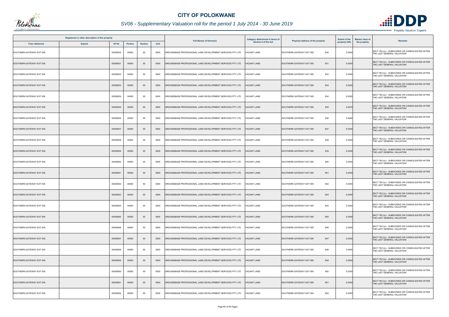

|                          | Registered or other description of the property |          |                |                |      |                                                           | <b>Category determined in terms of</b> |                                  | <b>Extent of the</b> | <b>Market value of</b><br>Remarks                                              |
|--------------------------|-------------------------------------------------|----------|----------------|----------------|------|-----------------------------------------------------------|----------------------------------------|----------------------------------|----------------------|--------------------------------------------------------------------------------|
| <b>Town Allotment</b>    | <b>Suburb</b>                                   | Erf Nr   | <b>Portion</b> | <b>Section</b> | Unit | <b>Full Names of Owner(s)</b>                             | <b>Section 8 of the Act</b>            | Physical address of the property | property (HA)        | the property                                                                   |
| SOUTHERN GATEWAY EXT 005 |                                                 | 00000830 | 00000          | $00\,$         | 0000 | GROUNDBASE PROFESSIONAL LAND DEVELOPMENT SERVICES PTY LTD | <b>ACANT LAND</b>                      | SOUTHERN GATEWAY EXT 005<br>830  | 0.0300               | SECT 78(1)(c) - SUBDIVIDED OR CONSOLIDATED AFTER<br>THE LAST GENERAL VALUATION |
| SOUTHERN GATEWAY EXT 005 |                                                 | 00000831 | 00000          | $00\,$         | 0000 | GROUNDBASE PROFESSIONAL LAND DEVELOPMENT SERVICES PTY LTD | <b>VACANT LAND</b>                     | 831<br>SOUTHERN GATEWAY EXT 005  | 0.0300               | SECT 78(1)(c) - SUBDIVIDED OR CONSOLIDATED AFTER<br>THE LAST GENERAL VALUATION |
| SOUTHERN GATEWAY EXT 005 |                                                 | 00000832 | 00000          | 00             | 0000 | GROUNDBASE PROFESSIONAL LAND DEVELOPMENT SERVICES PTY LTD | <b>ACANT LAND</b>                      | 832<br>SOUTHERN GATEWAY EXT 005  | 0.0300               | SECT 78(1)(c) - SUBDIVIDED OR CONSOLIDATED AFTER<br>THE LAST GENERAL VALUATION |
| SOUTHERN GATEWAY EXT 005 |                                                 | 00000833 | 00000          | $00\,$         | 0000 | GROUNDBASE PROFESSIONAL LAND DEVELOPMENT SERVICES PTY LTD | <b>VACANT LAND</b>                     | SOUTHERN GATEWAY EXT 005<br>833  | 0.0300               | SECT 78(1)(c) - SUBDIVIDED OR CONSOLIDATED AFTER<br>THE LAST GENERAL VALUATION |
| SOUTHERN GATEWAY EXT 005 |                                                 | 00000834 | 00000          | 00             | 0000 | GROUNDBASE PROFESSIONAL LAND DEVELOPMENT SERVICES PTY LTD | <b>VACANT LAND</b>                     | SOUTHERN GATEWAY EXT 005<br>834  | 0.0300               | SECT 78(1)(c) - SUBDIVIDED OR CONSOLIDATED AFTER<br>THE LAST GENERAL VALUATION |
| SOUTHERN GATEWAY EXT 005 |                                                 | 00000835 | 00000          | $00\,$         | 0000 | GROUNDBASE PROFESSIONAL LAND DEVELOPMENT SERVICES PTY LTD | <b>VACANT LAND</b>                     | SOUTHERN GATEWAY EXT 005<br>835  | 0.0470               | SECT 78(1)(c) - SUBDIVIDED OR CONSOLIDATED AFTER<br>THE LAST GENERAL VALUATION |
| SOUTHERN GATEWAY EXT 005 |                                                 | 00000836 | 00000          | $00\,$         | 0000 | GROUNDBASE PROFESSIONAL LAND DEVELOPMENT SERVICES PTY LTD | <b>VACANT LAND</b>                     | 836<br>SOUTHERN GATEWAY EXT 005  | 0.046                | SECT 78(1)(c) - SUBDIVIDED OR CONSOLIDATED AFTER<br>THE LAST GENERAL VALUATION |
| SOUTHERN GATEWAY EXT 005 |                                                 | 00000837 | 00000          | $00\,$         | 0000 | GROUNDBASE PROFESSIONAL LAND DEVELOPMENT SERVICES PTY LTD | <b>ACANT LAND</b>                      | 837<br>SOUTHERN GATEWAY EXT 005  | 0.0300               | SECT 78(1)(c) - SUBDIVIDED OR CONSOLIDATED AFTER<br>THE LAST GENERAL VALUATION |
| SOUTHERN GATEWAY EXT 005 |                                                 | 00000838 | 00000          | $00\,$         | 0000 | GROUNDBASE PROFESSIONAL LAND DEVELOPMENT SERVICES PTY LTD | <b>VACANT LAND</b>                     | 838<br>SOUTHERN GATEWAY EXT 005  | 0.0300               | SECT 78(1)(c) - SUBDIVIDED OR CONSOLIDATED AFTER<br>THE LAST GENERAL VALUATION |
| SOUTHERN GATEWAY EXT 005 |                                                 | 00000839 | 00000          | $00\,$         | 0000 | GROUNDBASE PROFESSIONAL LAND DEVELOPMENT SERVICES PTY LTD | <b>ACANT LAND</b>                      | SOUTHERN GATEWAY EXT 005<br>839  | 0.0300               | SECT 78(1)(c) - SUBDIVIDED OR CONSOLIDATED AFTER<br>THE LAST GENERAL VALUATION |
| SOUTHERN GATEWAY EXT 005 |                                                 | 00000840 | 00000          | 00             | 0000 | GROUNDBASE PROFESSIONAL LAND DEVELOPMENT SERVICES PTY LTD | VACANT LAND                            | SOUTHERN GATEWAY EXT 005<br>840  | 0.0300               | SECT 78(1)(c) - SUBDIVIDED OR CONSOLIDATED AFTER<br>THE LAST GENERAL VALUATION |
| SOUTHERN GATEWAY EXT 005 |                                                 | 00000841 | 00000          | $00\,$         | 0000 | GROUNDBASE PROFESSIONAL LAND DEVELOPMENT SERVICES PTY LTD | <b>ACANT LAND</b>                      | SOUTHERN GATEWAY EXT 005<br>841  | 0.0300               | SECT 78(1)(c) - SUBDIVIDED OR CONSOLIDATED AFTER<br>THE LAST GENERAL VALUATION |
| SOUTHERN GATEWAY EXT 005 |                                                 | 00000842 | 00000          | $00\,$         | 0000 | GROUNDBASE PROFESSIONAL LAND DEVELOPMENT SERVICES PTY LTD | VACANT LAND                            | 842<br>SOUTHERN GATEWAY EXT 005  | 0.0300               | SECT 78(1)(c) - SUBDIVIDED OR CONSOLIDATED AFTER<br>THE LAST GENERAL VALUATION |
| SOUTHERN GATEWAY EXT 005 |                                                 | 00000843 | 00000          | $00\,$         | 0000 | GROUNDBASE PROFESSIONAL LAND DEVELOPMENT SERVICES PTY LTD | <b>VACANT LAND</b>                     | SOUTHERN GATEWAY EXT 005<br>843  | 0.0300               | SECT 78(1)(c) - SUBDIVIDED OR CONSOLIDATED AFTER<br>THE LAST GENERAL VALUATION |
| SOUTHERN GATEWAY EXT 005 |                                                 | 00000844 | 00000          | $00\,$         | 0000 | GROUNDBASE PROFESSIONAL LAND DEVELOPMENT SERVICES PTY LTD | <b>VACANT LAND</b>                     | SOUTHERN GATEWAY EXT 005<br>844  | 0.0300               | SECT 78(1)(c) - SUBDIVIDED OR CONSOLIDATED AFTER<br>THE LAST GENERAL VALUATION |
| SOUTHERN GATEWAY EXT 005 |                                                 | 00000845 | 00000          | $00\,$         | 0000 | GROUNDBASE PROFESSIONAL LAND DEVELOPMENT SERVICES PTY LTD | <b>VACANT LAND</b>                     | SOUTHERN GATEWAY EXT 005<br>845  | 0.0300               | SECT 78(1)(c) - SUBDIVIDED OR CONSOLIDATED AFTER<br>THE LAST GENERAL VALUATION |
| SOUTHERN GATEWAY EXT 005 |                                                 | 00000846 | 00000          | 00             | 0000 | GROUNDBASE PROFESSIONAL LAND DEVELOPMENT SERVICES PTY LTD | <b>VACANT LAND</b>                     | 846<br>SOUTHERN GATEWAY EXT 005  | 0.0300               | SECT 78(1)(c) - SUBDIVIDED OR CONSOLIDATED AFTER<br>THE LAST GENERAL VALUATION |
| SOUTHERN GATEWAY EXT 005 |                                                 | 00000847 | 00000          | $00\,$         | 0000 | GROUNDBASE PROFESSIONAL LAND DEVELOPMENT SERVICES PTY LTD | <b>VACANT LAND</b>                     | 847<br>SOUTHERN GATEWAY EXT 005  | 0.0300               | SECT 78(1)(c) - SUBDIVIDED OR CONSOLIDATED AFTER<br>THE LAST GENERAL VALUATION |
| SOUTHERN GATEWAY EXT 005 |                                                 | 00000848 | 00000          | 00             | 0000 | GROUNDBASE PROFESSIONAL LAND DEVELOPMENT SERVICES PTY LTD | <b>VACANT LAND</b>                     | SOUTHERN GATEWAY EXT 005<br>848  | 0.0300               | SECT 78(1)(c) - SUBDIVIDED OR CONSOLIDATED AFTER<br>THE LAST GENERAL VALUATION |
| SOUTHERN GATEWAY EXT 005 |                                                 | 00000849 | 00000          | $00\,$         | 0000 | GROUNDBASE PROFESSIONAL LAND DEVELOPMENT SERVICES PTY LTD | <b>VACANT LAND</b>                     | SOUTHERN GATEWAY EXT 005<br>849  | 0.0300               | SECT 78(1)(c) - SUBDIVIDED OR CONSOLIDATED AFTER<br>THE LAST GENERAL VALUATION |
| SOUTHERN GATEWAY EXT 005 |                                                 | 00000850 | 00000          | 00             | 0000 | GROUNDBASE PROFESSIONAL LAND DEVELOPMENT SERVICES PTY LTD | VACANT LAND                            | 850<br>SOUTHERN GATEWAY EXT 005  | 0.0300               | SECT 78(1)(c) - SUBDIVIDED OR CONSOLIDATED AFTER<br>THE LAST GENERAL VALUATION |
| SOUTHERN GATEWAY EXT 005 |                                                 | 00000851 | 00000          | $00\,$         | 0000 | GROUNDBASE PROFESSIONAL LAND DEVELOPMENT SERVICES PTY LTD | <b>VACANT LAND</b>                     | SOUTHERN GATEWAY EXT 005<br>851  | 0.0300               | SECT 78(1)(c) - SUBDIVIDED OR CONSOLIDATED AFTER<br>THE LAST GENERAL VALUATION |
| SOUTHERN GATEWAY EXT 005 |                                                 | 00000852 | 00000          | $00\,$         | 0000 | GROUNDBASE PROFESSIONAL LAND DEVELOPMENT SERVICES PTY LTD | ACANT LAND                             | 852<br>SOUTHERN GATEWAY EXT 005  | 0.0300               | SECT 78(1)(c) - SUBDIVIDED OR CONSOLIDATED AFTER<br>THE LAST GENERAL VALUATION |

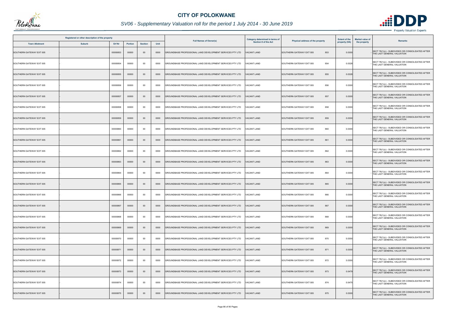

|                          | Registered or other description of the property |          |         |                |      |                                                           | <b>Category determined in terms of</b> | <b>Extent of the</b><br>Physical address of the property |               | <b>Market value of</b><br><b>Remarks</b>                                       |
|--------------------------|-------------------------------------------------|----------|---------|----------------|------|-----------------------------------------------------------|----------------------------------------|----------------------------------------------------------|---------------|--------------------------------------------------------------------------------|
| <b>Town Allotment</b>    | <b>Suburb</b>                                   | Erf Nr   | Portion | <b>Section</b> | Unit | <b>Full Names of Owner(s)</b>                             | <b>Section 8 of the Act</b>            |                                                          | property (HA) | the property                                                                   |
| SOUTHERN GATEWAY EXT 005 |                                                 | 00000853 | 00000   | $00\,$         | 0000 | GROUNDBASE PROFESSIONAL LAND DEVELOPMENT SERVICES PTY LTD | <b>ACANT LAND</b>                      | 853<br>SOUTHERN GATEWAY EXT 005                          | 0.0300        | SECT 78(1)(c) - SUBDIVIDED OR CONSOLIDATED AFTER<br>THE LAST GENERAL VALUATION |
| SOUTHERN GATEWAY EXT 005 |                                                 | 00000854 | 00000   | $00\,$         | 0000 | GROUNDBASE PROFESSIONAL LAND DEVELOPMENT SERVICES PTY LTD | 'ACANT LAND                            | 854<br>SOUTHERN GATEWAY EXT 005                          | 0.0328        | SECT 78(1)(c) - SUBDIVIDED OR CONSOLIDATED AFTER<br>THE LAST GENERAL VALUATION |
| SOUTHERN GATEWAY EXT 005 |                                                 | 00000855 | 00000   | $00\,$         | 0000 | GROUNDBASE PROFESSIONAL LAND DEVELOPMENT SERVICES PTY LTD | <b>ACANT LAND</b>                      | 855<br>SOUTHERN GATEWAY EXT 005                          | 0.0328        | SECT 78(1)(c) - SUBDIVIDED OR CONSOLIDATED AFTER<br>THE LAST GENERAL VALUATION |
| SOUTHERN GATEWAY EXT 005 |                                                 | 00000856 | 00000   | 00             | 0000 | GROUNDBASE PROFESSIONAL LAND DEVELOPMENT SERVICES PTY LTD | <b>/ACANT LAND</b>                     | SOUTHERN GATEWAY EXT 005<br>856                          | 0.0300        | SECT 78(1)(c) - SUBDIVIDED OR CONSOLIDATED AFTER<br>THE LAST GENERAL VALUATION |
| SOUTHERN GATEWAY EXT 005 |                                                 | 00000857 | 00000   | $00\,$         | 0000 | GROUNDBASE PROFESSIONAL LAND DEVELOPMENT SERVICES PTY LTD | <b>VACANT LAND</b>                     | 857<br>SOUTHERN GATEWAY EXT 005                          | 0.0300        | SECT 78(1)(c) - SUBDIVIDED OR CONSOLIDATED AFTER<br>THE LAST GENERAL VALUATION |
| SOUTHERN GATEWAY EXT 005 |                                                 | 00000858 | 00000   | 00             | 0000 | GROUNDBASE PROFESSIONAL LAND DEVELOPMENT SERVICES PTY LTD | <b>/ACANT LAND</b>                     | 858<br>SOUTHERN GATEWAY EXT 005                          | 0.0300        | SECT 78(1)(c) - SUBDIVIDED OR CONSOLIDATED AFTER<br>THE LAST GENERAL VALUATION |
| SOUTHERN GATEWAY EXT 005 |                                                 | 00000859 | 00000   | $00\,$         | 0000 | GROUNDBASE PROFESSIONAL LAND DEVELOPMENT SERVICES PTY LTD | <b>/ACANT LAND</b>                     | 859<br>SOUTHERN GATEWAY EXT 005                          | 0.0300        | SECT 78(1)(c) - SUBDIVIDED OR CONSOLIDATED AFTER<br>THE LAST GENERAL VALUATION |
| SOUTHERN GATEWAY EXT 005 |                                                 | 00000860 | 00000   | 00             | 0000 | GROUNDBASE PROFESSIONAL LAND DEVELOPMENT SERVICES PTY LTD | ACANT LAND                             | 860<br>SOUTHERN GATEWAY EXT 005                          | 0.0300        | SECT 78(1)(c) - SUBDIVIDED OR CONSOLIDATED AFTER<br>THE LAST GENERAL VALUATION |
| SOUTHERN GATEWAY EXT 005 |                                                 | 00000861 | 00000   | $00\,$         | 0000 | GROUNDBASE PROFESSIONAL LAND DEVELOPMENT SERVICES PTY LTD | <b>/ACANT LAND</b>                     | SOUTHERN GATEWAY EXT 005<br>861                          | 0.0300        | SECT 78(1)(c) - SUBDIVIDED OR CONSOLIDATED AFTER<br>THE LAST GENERAL VALUATION |
| SOUTHERN GATEWAY EXT 005 |                                                 | 00000862 | 00000   | $00\,$         | 0000 | GROUNDBASE PROFESSIONAL LAND DEVELOPMENT SERVICES PTY LTD | <b>ACANT LAND</b>                      | 862<br>SOUTHERN GATEWAY EXT 005                          | 0.0300        | SECT 78(1)(c) - SUBDIVIDED OR CONSOLIDATED AFTER<br>THE LAST GENERAL VALUATION |
| SOUTHERN GATEWAY EXT 005 |                                                 | 00000863 | 00000   | $00\,$         | 0000 | GROUNDBASE PROFESSIONAL LAND DEVELOPMENT SERVICES PTY LTD | VACANT LAND                            | 863<br>SOUTHERN GATEWAY EXT 005                          | 0.0300        | SECT 78(1)(c) - SUBDIVIDED OR CONSOLIDATED AFTER<br>THE LAST GENERAL VALUATION |
| SOUTHERN GATEWAY EXT 005 |                                                 | 00000864 | 00000   | 00             | 0000 | GROUNDBASE PROFESSIONAL LAND DEVELOPMENT SERVICES PTY LTD | ACANT LAND                             | 864<br>SOUTHERN GATEWAY EXT 005                          | 0.0300        | SECT 78(1)(c) - SUBDIVIDED OR CONSOLIDATED AFTER<br>THE LAST GENERAL VALUATION |
| SOUTHERN GATEWAY EXT 005 |                                                 | 00000865 | 00000   | $00\,$         | 0000 | GROUNDBASE PROFESSIONAL LAND DEVELOPMENT SERVICES PTY LTD | <b>VACANT LAND</b>                     | 865<br>SOUTHERN GATEWAY EXT 005                          | 0.0300        | SECT 78(1)(c) - SUBDIVIDED OR CONSOLIDATED AFTER<br>THE LAST GENERAL VALUATION |
| SOUTHERN GATEWAY EXT 005 |                                                 | 00000866 | 00000   | 00             | 0000 | GROUNDBASE PROFESSIONAL LAND DEVELOPMENT SERVICES PTY LTD | <b>/ACANT LAND</b>                     | SOUTHERN GATEWAY EXT 005<br>866                          | 0.0300        | SECT 78(1)(c) - SUBDIVIDED OR CONSOLIDATED AFTER<br>THE LAST GENERAL VALUATION |
| SOUTHERN GATEWAY EXT 005 |                                                 | 00000867 | 00000   | $00\,$         | 0000 | GROUNDBASE PROFESSIONAL LAND DEVELOPMENT SERVICES PTY LTD | <b>VACANT LAND</b>                     | SOUTHERN GATEWAY EXT 005<br>867                          | 0.0300        | SECT 78(1)(c) - SUBDIVIDED OR CONSOLIDATED AFTER<br>THE LAST GENERAL VALUATION |
| SOUTHERN GATEWAY EXT 005 |                                                 | 00000868 | 00000   | 00             | 0000 | GROUNDBASE PROFESSIONAL LAND DEVELOPMENT SERVICES PTY LTD | 'ACANT LAND                            | SOUTHERN GATEWAY EXT 005<br>868                          | 0.0300        | SECT 78(1)(c) - SUBDIVIDED OR CONSOLIDATED AFTER<br>THE LAST GENERAL VALUATION |
| SOUTHERN GATEWAY EXT 005 |                                                 | 00000869 | 00000   | $00\,$         | 0000 | GROUNDBASE PROFESSIONAL LAND DEVELOPMENT SERVICES PTY LTD | <b>VACANT LAND</b>                     | 869<br>SOUTHERN GATEWAY EXT 005                          | 0.0300        | SECT 78(1)(c) - SUBDIVIDED OR CONSOLIDATED AFTER<br>THE LAST GENERAL VALUATION |
| SOUTHERN GATEWAY EXT 005 |                                                 | 00000870 | 00000   | $00\,$         | 0000 | GROUNDBASE PROFESSIONAL LAND DEVELOPMENT SERVICES PTY LTD | <b>VACANT LAND</b>                     | 870<br>SOUTHERN GATEWAY EXT 005                          | 0.0300        | SECT 78(1)(c) - SUBDIVIDED OR CONSOLIDATED AFTER<br>THE LAST GENERAL VALUATION |
| SOUTHERN GATEWAY EXT 005 |                                                 | 00000871 | 00000   | $00\,$         | 0000 | GROUNDBASE PROFESSIONAL LAND DEVELOPMENT SERVICES PTY LTD | <b>VACANT LAND</b>                     | SOUTHERN GATEWAY EXT 005<br>871                          | 0.0300        | SECT 78(1)(c) - SUBDIVIDED OR CONSOLIDATED AFTER<br>THE LAST GENERAL VALUATION |
| SOUTHERN GATEWAY EXT 005 |                                                 | 00000872 | 00000   | $00\,$         | 0000 | GROUNDBASE PROFESSIONAL LAND DEVELOPMENT SERVICES PTY LTD | <b>/ACANT LAND</b>                     | 872<br>SOUTHERN GATEWAY EXT 005                          | 0.0300        | SECT 78(1)(c) - SUBDIVIDED OR CONSOLIDATED AFTER<br>THE LAST GENERAL VALUATION |
| SOUTHERN GATEWAY EXT 005 |                                                 | 00000873 | 00000   | $00\,$         | 0000 | GROUNDBASE PROFESSIONAL LAND DEVELOPMENT SERVICES PTY LTD | VACANT LAND                            | 873<br>SOUTHERN GATEWAY EXT 005                          | 0.0479        | SECT 78(1)(c) - SUBDIVIDED OR CONSOLIDATED AFTER<br>THE LAST GENERAL VALUATION |
| SOUTHERN GATEWAY EXT 005 |                                                 | 00000874 | 00000   | $00\,$         | 0000 | GROUNDBASE PROFESSIONAL LAND DEVELOPMENT SERVICES PTY LTD | VACANT LAND                            | 874<br>SOUTHERN GATEWAY EXT 005                          | 0.0475        | SECT 78(1)(c) - SUBDIVIDED OR CONSOLIDATED AFTER<br>THE LAST GENERAL VALUATION |
| SOUTHERN GATEWAY EXT 005 |                                                 | 00000875 | 00000   | $00\,$         | 0000 | GROUNDBASE PROFESSIONAL LAND DEVELOPMENT SERVICES PTY LTD | <b>ACANT LAND</b>                      | 875<br>SOUTHERN GATEWAY EXT 005                          | 0.0300        | SECT 78(1)(c) - SUBDIVIDED OR CONSOLIDATED AFTER<br>THE LAST GENERAL VALUATION |

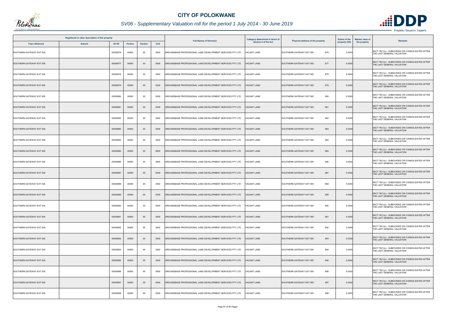

|                          | Registered or other description of the property |          |                |                |      |                                                           | <b>Category determined in terms of</b> |                                  | <b>Extent of the</b> | <b>Market value of</b><br><b>Remarks</b>                                       |
|--------------------------|-------------------------------------------------|----------|----------------|----------------|------|-----------------------------------------------------------|----------------------------------------|----------------------------------|----------------------|--------------------------------------------------------------------------------|
| <b>Town Allotment</b>    | <b>Suburb</b>                                   | Erf Nr   | <b>Portion</b> | <b>Section</b> | Unit | <b>Full Names of Owner(s)</b>                             | <b>Section 8 of the Act</b>            | Physical address of the property | property (HA)        | the property                                                                   |
| SOUTHERN GATEWAY EXT 005 |                                                 | 00000876 | 00000          | $00\,$         | 0000 | GROUNDBASE PROFESSIONAL LAND DEVELOPMENT SERVICES PTY LTD | <b>ACANT LAND</b>                      | 876<br>SOUTHERN GATEWAY EXT 005  | 0.0300               | SECT 78(1)(c) - SUBDIVIDED OR CONSOLIDATED AFTER<br>THE LAST GENERAL VALUATION |
| SOUTHERN GATEWAY EXT 005 |                                                 | 00000877 | 00000          | $00\,$         | 0000 | GROUNDBASE PROFESSIONAL LAND DEVELOPMENT SERVICES PTY LTD | <b>VACANT LAND</b>                     | 877<br>SOUTHERN GATEWAY EXT 005  | 0.0300               | SECT 78(1)(c) - SUBDIVIDED OR CONSOLIDATED AFTER<br>THE LAST GENERAL VALUATION |
| SOUTHERN GATEWAY EXT 005 |                                                 | 00000878 | 00000          | 00             | 0000 | GROUNDBASE PROFESSIONAL LAND DEVELOPMENT SERVICES PTY LTD | <b>ACANT LAND</b>                      | 878<br>SOUTHERN GATEWAY EXT 005  | 0.0300               | SECT 78(1)(c) - SUBDIVIDED OR CONSOLIDATED AFTER<br>THE LAST GENERAL VALUATION |
| SOUTHERN GATEWAY EXT 005 |                                                 | 00000879 | 00000          | $00\,$         | 0000 | GROUNDBASE PROFESSIONAL LAND DEVELOPMENT SERVICES PTY LTD | <b>VACANT LAND</b>                     | SOUTHERN GATEWAY EXT 005<br>879  | 0.0300               | SECT 78(1)(c) - SUBDIVIDED OR CONSOLIDATED AFTER<br>THE LAST GENERAL VALUATION |
| SOUTHERN GATEWAY EXT 005 |                                                 | 00000880 | 00000          | 00             | 0000 | GROUNDBASE PROFESSIONAL LAND DEVELOPMENT SERVICES PTY LTD | <b>VACANT LAND</b>                     | SOUTHERN GATEWAY EXT 005<br>880  | 0.0300               | SECT 78(1)(c) - SUBDIVIDED OR CONSOLIDATED AFTER<br>THE LAST GENERAL VALUATION |
| SOUTHERN GATEWAY EXT 005 |                                                 | 00000881 | 00000          | $00\,$         | 0000 | GROUNDBASE PROFESSIONAL LAND DEVELOPMENT SERVICES PTY LTD | <b>VACANT LAND</b>                     | SOUTHERN GATEWAY EXT 005<br>881  | 0.0300               | SECT 78(1)(c) - SUBDIVIDED OR CONSOLIDATED AFTER<br>THE LAST GENERAL VALUATION |
| SOUTHERN GATEWAY EXT 005 |                                                 | 00000882 | 00000          | $00\,$         | 0000 | GROUNDBASE PROFESSIONAL LAND DEVELOPMENT SERVICES PTY LTD | <b>VACANT LAND</b>                     | 882<br>SOUTHERN GATEWAY EXT 005  | 0.0300               | SECT 78(1)(c) - SUBDIVIDED OR CONSOLIDATED AFTER<br>THE LAST GENERAL VALUATION |
| SOUTHERN GATEWAY EXT 005 |                                                 | 00000883 | 00000          | $00\,$         | 0000 | GROUNDBASE PROFESSIONAL LAND DEVELOPMENT SERVICES PTY LTD | <b>ACANT LAND</b>                      | 883<br>SOUTHERN GATEWAY EXT 005  | 0.0300               | SECT 78(1)(c) - SUBDIVIDED OR CONSOLIDATED AFTER<br>THE LAST GENERAL VALUATION |
| SOUTHERN GATEWAY EXT 005 |                                                 | 00000884 | 00000          | $00\,$         | 0000 | GROUNDBASE PROFESSIONAL LAND DEVELOPMENT SERVICES PTY LTD | <b>VACANT LAND</b>                     | 884<br>SOUTHERN GATEWAY EXT 005  | 0.0300               | SECT 78(1)(c) - SUBDIVIDED OR CONSOLIDATED AFTER<br>THE LAST GENERAL VALUATION |
| SOUTHERN GATEWAY EXT 005 |                                                 | 00000885 | 00000          | $00\,$         | 0000 | GROUNDBASE PROFESSIONAL LAND DEVELOPMENT SERVICES PTY LTD | <b>ACANT LAND</b>                      | SOUTHERN GATEWAY EXT 005<br>885  | 0.0300               | SECT 78(1)(c) - SUBDIVIDED OR CONSOLIDATED AFTER<br>THE LAST GENERAL VALUATION |
| SOUTHERN GATEWAY EXT 005 |                                                 | 00000886 | 00000          | 00             | 0000 | GROUNDBASE PROFESSIONAL LAND DEVELOPMENT SERVICES PTY LTD | VACANT LAND                            | SOUTHERN GATEWAY EXT 005<br>886  | 0.0300               | SECT 78(1)(c) - SUBDIVIDED OR CONSOLIDATED AFTER<br>THE LAST GENERAL VALUATION |
| SOUTHERN GATEWAY EXT 005 |                                                 | 00000887 | 00000          | $00\,$         | 0000 | GROUNDBASE PROFESSIONAL LAND DEVELOPMENT SERVICES PTY LTD | <b>ACANT LAND</b>                      | SOUTHERN GATEWAY EXT 005<br>887  | 0.0300               | SECT 78(1)(c) - SUBDIVIDED OR CONSOLIDATED AFTER<br>THE LAST GENERAL VALUATION |
| SOUTHERN GATEWAY EXT 005 |                                                 | 00000888 | 00000          | $00\,$         | 0000 | GROUNDBASE PROFESSIONAL LAND DEVELOPMENT SERVICES PTY LTD | VACANT LAND                            | SOUTHERN GATEWAY EXT 005<br>888  | 0.0300               | SECT 78(1)(c) - SUBDIVIDED OR CONSOLIDATED AFTER<br>THE LAST GENERAL VALUATION |
| SOUTHERN GATEWAY EXT 005 |                                                 | 00000889 | 00000          | $00\,$         | 0000 | GROUNDBASE PROFESSIONAL LAND DEVELOPMENT SERVICES PTY LTD | <b>VACANT LAND</b>                     | SOUTHERN GATEWAY EXT 005<br>889  | 0.0300               | SECT 78(1)(c) - SUBDIVIDED OR CONSOLIDATED AFTER<br>THE LAST GENERAL VALUATION |
| SOUTHERN GATEWAY EXT 005 |                                                 | 00000890 | 00000          | $00\,$         | 0000 | GROUNDBASE PROFESSIONAL LAND DEVELOPMENT SERVICES PTY LTD | <b>VACANT LAND</b>                     | SOUTHERN GATEWAY EXT 005<br>890  | 0.0300               | SECT 78(1)(c) - SUBDIVIDED OR CONSOLIDATED AFTER<br>THE LAST GENERAL VALUATION |
| SOUTHERN GATEWAY EXT 005 |                                                 | 00000891 | 00000          | $00\,$         | 0000 | GROUNDBASE PROFESSIONAL LAND DEVELOPMENT SERVICES PTY LTD | <b>VACANT LAND</b>                     | SOUTHERN GATEWAY EXT 005<br>891  | 0.0300               | SECT 78(1)(c) - SUBDIVIDED OR CONSOLIDATED AFTER<br>THE LAST GENERAL VALUATION |
| SOUTHERN GATEWAY EXT 005 |                                                 | 00000892 | 00000          | 00             | 0000 | GROUNDBASE PROFESSIONAL LAND DEVELOPMENT SERVICES PTY LTD | <b>VACANT LAND</b>                     | SOUTHERN GATEWAY EXT 005<br>892  | 0.0328               | SECT 78(1)(c) - SUBDIVIDED OR CONSOLIDATED AFTER<br>THE LAST GENERAL VALUATION |
| SOUTHERN GATEWAY EXT 005 |                                                 | 00000893 | 00000          | $00\,$         | 0000 | GROUNDBASE PROFESSIONAL LAND DEVELOPMENT SERVICES PTY LTD | <b>VACANT LAND</b>                     | SOUTHERN GATEWAY EXT 005<br>893  | 0.0328               | SECT 78(1)(c) - SUBDIVIDED OR CONSOLIDATED AFTER<br>THE LAST GENERAL VALUATION |
| SOUTHERN GATEWAY EXT 005 |                                                 | 00000894 | 00000          | 00             | 0000 | GROUNDBASE PROFESSIONAL LAND DEVELOPMENT SERVICES PTY LTD | <b>VACANT LAND</b>                     | SOUTHERN GATEWAY EXT 005<br>894  | 0.0300               | SECT 78(1)(c) - SUBDIVIDED OR CONSOLIDATED AFTER<br>THE LAST GENERAL VALUATION |
| SOUTHERN GATEWAY EXT 005 |                                                 | 00000895 | 00000          | $00\,$         | 0000 | GROUNDBASE PROFESSIONAL LAND DEVELOPMENT SERVICES PTY LTD | <b>VACANT LAND</b>                     | 895<br>SOUTHERN GATEWAY EXT 005  | 0.0300               | SECT 78(1)(c) - SUBDIVIDED OR CONSOLIDATED AFTER<br>THE LAST GENERAL VALUATION |
| SOUTHERN GATEWAY EXT 005 |                                                 | 00000896 | 00000          | 00             | 0000 | GROUNDBASE PROFESSIONAL LAND DEVELOPMENT SERVICES PTY LTD | VACANT LAND                            | 896<br>SOUTHERN GATEWAY EXT 005  | 0.0300               | SECT 78(1)(c) - SUBDIVIDED OR CONSOLIDATED AFTER<br>THE LAST GENERAL VALUATION |
| SOUTHERN GATEWAY EXT 005 |                                                 | 00000897 | 00000          | $00\,$         | 0000 | GROUNDBASE PROFESSIONAL LAND DEVELOPMENT SERVICES PTY LTD | <b>VACANT LAND</b>                     | SOUTHERN GATEWAY EXT 005<br>897  | 0.0300               | SECT 78(1)(c) - SUBDIVIDED OR CONSOLIDATED AFTER<br>THE LAST GENERAL VALUATION |
| SOUTHERN GATEWAY EXT 005 |                                                 | 00000898 | 00000          | $00\,$         | 0000 | GROUNDBASE PROFESSIONAL LAND DEVELOPMENT SERVICES PTY LTD | ACANT LAND                             | 898<br>SOUTHERN GATEWAY EXT 005  | 0.0300               | SECT 78(1)(c) - SUBDIVIDED OR CONSOLIDATED AFTER<br>THE LAST GENERAL VALUATION |

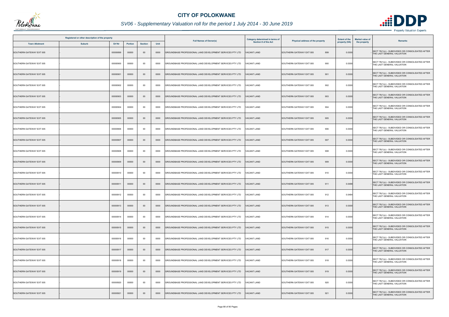

|                          | Registered or other description of the property |          |         |                |      |                                                           | <b>Category determined in terms of</b> | <b>Extent of the</b><br>Physical address of the property |               | <b>Market value of</b><br><b>Remarks</b>                                       |
|--------------------------|-------------------------------------------------|----------|---------|----------------|------|-----------------------------------------------------------|----------------------------------------|----------------------------------------------------------|---------------|--------------------------------------------------------------------------------|
| <b>Town Allotment</b>    | <b>Suburb</b>                                   | Erf Nr   | Portion | <b>Section</b> | Unit | <b>Full Names of Owner(s)</b>                             | <b>Section 8 of the Act</b>            |                                                          | property (HA) | the property                                                                   |
| SOUTHERN GATEWAY EXT 005 |                                                 | 00000899 | 00000   | $00\,$         | 0000 | GROUNDBASE PROFESSIONAL LAND DEVELOPMENT SERVICES PTY LTD | <b>ACANT LAND</b>                      | 899<br>SOUTHERN GATEWAY EXT 005                          | 0.0300        | SECT 78(1)(c) - SUBDIVIDED OR CONSOLIDATED AFTER<br>THE LAST GENERAL VALUATION |
| SOUTHERN GATEWAY EXT 005 |                                                 | 00000900 | 00000   | $00\,$         | 0000 | GROUNDBASE PROFESSIONAL LAND DEVELOPMENT SERVICES PTY LTD | 'ACANT LAND                            | 900<br>SOUTHERN GATEWAY EXT 005                          | 0.0300        | SECT 78(1)(c) - SUBDIVIDED OR CONSOLIDATED AFTER<br>THE LAST GENERAL VALUATION |
| SOUTHERN GATEWAY EXT 005 |                                                 | 00000901 | 00000   | $00\,$         | 0000 | GROUNDBASE PROFESSIONAL LAND DEVELOPMENT SERVICES PTY LTD | <b>ACANT LAND</b>                      | 901<br>SOUTHERN GATEWAY EXT 005                          | 0.0300        | SECT 78(1)(c) - SUBDIVIDED OR CONSOLIDATED AFTER<br>THE LAST GENERAL VALUATION |
| SOUTHERN GATEWAY EXT 005 |                                                 | 00000902 | 00000   | 00             | 0000 | GROUNDBASE PROFESSIONAL LAND DEVELOPMENT SERVICES PTY LTD | <b>/ACANT LAND</b>                     | SOUTHERN GATEWAY EXT 005<br>902                          | 0.0300        | SECT 78(1)(c) - SUBDIVIDED OR CONSOLIDATED AFTER<br>THE LAST GENERAL VALUATION |
| SOUTHERN GATEWAY EXT 005 |                                                 | 00000903 | 00000   | $00\,$         | 0000 | GROUNDBASE PROFESSIONAL LAND DEVELOPMENT SERVICES PTY LTD | <b>VACANT LAND</b>                     | 903<br>SOUTHERN GATEWAY EXT 005                          | 0.0300        | SECT 78(1)(c) - SUBDIVIDED OR CONSOLIDATED AFTER<br>THE LAST GENERAL VALUATION |
| SOUTHERN GATEWAY EXT 005 |                                                 | 00000904 | 00000   | 00             | 0000 | GROUNDBASE PROFESSIONAL LAND DEVELOPMENT SERVICES PTY LTD | <b>/ACANT LAND</b>                     | 904<br>SOUTHERN GATEWAY EXT 005                          | 0.0300        | SECT 78(1)(c) - SUBDIVIDED OR CONSOLIDATED AFTER<br>THE LAST GENERAL VALUATION |
| SOUTHERN GATEWAY EXT 005 |                                                 | 00000905 | 00000   | $00\,$         | 0000 | GROUNDBASE PROFESSIONAL LAND DEVELOPMENT SERVICES PTY LTD | <b>/ACANT LAND</b>                     | 905<br>SOUTHERN GATEWAY EXT 005                          | 0.0300        | SECT 78(1)(c) - SUBDIVIDED OR CONSOLIDATED AFTER<br>THE LAST GENERAL VALUATION |
| SOUTHERN GATEWAY EXT 005 |                                                 | 00000906 | 00000   | 00             | 0000 | GROUNDBASE PROFESSIONAL LAND DEVELOPMENT SERVICES PTY LTD | ACANT LAND                             | 906<br>SOUTHERN GATEWAY EXT 005                          | 0.0300        | SECT 78(1)(c) - SUBDIVIDED OR CONSOLIDATED AFTER<br>THE LAST GENERAL VALUATION |
| SOUTHERN GATEWAY EXT 005 |                                                 | 00000907 | 00000   | $00\,$         | 0000 | GROUNDBASE PROFESSIONAL LAND DEVELOPMENT SERVICES PTY LTD | <b>/ACANT LAND</b>                     | 907<br>SOUTHERN GATEWAY EXT 005                          | 0.0300        | SECT 78(1)(c) - SUBDIVIDED OR CONSOLIDATED AFTER<br>THE LAST GENERAL VALUATION |
| SOUTHERN GATEWAY EXT 005 |                                                 | 00000908 | 00000   | $00\,$         | 0000 | GROUNDBASE PROFESSIONAL LAND DEVELOPMENT SERVICES PTY LTD | <b>ACANT LAND</b>                      | 908<br>SOUTHERN GATEWAY EXT 005                          | 0.0300        | SECT 78(1)(c) - SUBDIVIDED OR CONSOLIDATED AFTER<br>THE LAST GENERAL VALUATION |
| SOUTHERN GATEWAY EXT 005 |                                                 | 00000909 | 00000   | $00\,$         | 0000 | GROUNDBASE PROFESSIONAL LAND DEVELOPMENT SERVICES PTY LTD | VACANT LAND                            | SOUTHERN GATEWAY EXT 005<br>909                          | 0.0300        | SECT 78(1)(c) - SUBDIVIDED OR CONSOLIDATED AFTER<br>THE LAST GENERAL VALUATION |
| SOUTHERN GATEWAY EXT 005 |                                                 | 00000910 | 00000   | 00             | 0000 | GROUNDBASE PROFESSIONAL LAND DEVELOPMENT SERVICES PTY LTD | ACANT LAND                             | SOUTHERN GATEWAY EXT 005<br>910                          | 0.0300        | SECT 78(1)(c) - SUBDIVIDED OR CONSOLIDATED AFTER<br>THE LAST GENERAL VALUATION |
| SOUTHERN GATEWAY EXT 005 |                                                 | 00000911 | 00000   | $00\,$         | 0000 | GROUNDBASE PROFESSIONAL LAND DEVELOPMENT SERVICES PTY LTD | <b>VACANT LAND</b>                     | SOUTHERN GATEWAY EXT 005<br>911                          | 0.0488        | SECT 78(1)(c) - SUBDIVIDED OR CONSOLIDATED AFTER<br>THE LAST GENERAL VALUATION |
| SOUTHERN GATEWAY EXT 005 |                                                 | 00000912 | 00000   | 00             | 0000 | GROUNDBASE PROFESSIONAL LAND DEVELOPMENT SERVICES PTY LTD | <b>/ACANT LAND</b>                     | SOUTHERN GATEWAY EXT 005<br>912                          | 0.0484        | SECT 78(1)(c) - SUBDIVIDED OR CONSOLIDATED AFTER<br>THE LAST GENERAL VALUATION |
| SOUTHERN GATEWAY EXT 005 |                                                 | 00000913 | 00000   | $00\,$         | 0000 | GROUNDBASE PROFESSIONAL LAND DEVELOPMENT SERVICES PTY LTD | <b>VACANT LAND</b>                     | SOUTHERN GATEWAY EXT 005<br>913                          | 0.0300        | SECT 78(1)(c) - SUBDIVIDED OR CONSOLIDATED AFTER<br>THE LAST GENERAL VALUATION |
| SOUTHERN GATEWAY EXT 005 |                                                 | 00000914 | 00000   | 00             | 0000 | GROUNDBASE PROFESSIONAL LAND DEVELOPMENT SERVICES PTY LTD | 'ACANT LAND                            | SOUTHERN GATEWAY EXT 005<br>914                          | 0.0300        | SECT 78(1)(c) - SUBDIVIDED OR CONSOLIDATED AFTER<br>THE LAST GENERAL VALUATION |
| SOUTHERN GATEWAY EXT 005 |                                                 | 00000915 | 00000   | $00\,$         | 0000 | GROUNDBASE PROFESSIONAL LAND DEVELOPMENT SERVICES PTY LTD | <b>VACANT LAND</b>                     | SOUTHERN GATEWAY EXT 005<br>915                          | 0.0300        | SECT 78(1)(c) - SUBDIVIDED OR CONSOLIDATED AFTER<br>THE LAST GENERAL VALUATION |
| SOUTHERN GATEWAY EXT 005 |                                                 | 00000916 | 00000   | $00\,$         | 0000 | GROUNDBASE PROFESSIONAL LAND DEVELOPMENT SERVICES PTY LTD | <b>VACANT LAND</b>                     | 916<br>SOUTHERN GATEWAY EXT 005                          | 0.0300        | SECT 78(1)(c) - SUBDIVIDED OR CONSOLIDATED AFTER<br>THE LAST GENERAL VALUATION |
| SOUTHERN GATEWAY EXT 005 |                                                 | 00000917 | 00000   | $00\,$         | 0000 | GROUNDBASE PROFESSIONAL LAND DEVELOPMENT SERVICES PTY LTD | <b>VACANT LAND</b>                     | SOUTHERN GATEWAY EXT 005<br>917                          | 0.0300        | SECT 78(1)(c) - SUBDIVIDED OR CONSOLIDATED AFTER<br>THE LAST GENERAL VALUATION |
| SOUTHERN GATEWAY EXT 005 |                                                 | 00000918 | 00000   | $00\,$         | 0000 | GROUNDBASE PROFESSIONAL LAND DEVELOPMENT SERVICES PTY LTD | <b>/ACANT LAND</b>                     | 918<br>SOUTHERN GATEWAY EXT 005                          | 0.0300        | SECT 78(1)(c) - SUBDIVIDED OR CONSOLIDATED AFTER<br>THE LAST GENERAL VALUATION |
| SOUTHERN GATEWAY EXT 005 |                                                 | 00000919 | 00000   | $00\,$         | 0000 | GROUNDBASE PROFESSIONAL LAND DEVELOPMENT SERVICES PTY LTD | VACANT LAND                            | SOUTHERN GATEWAY EXT 005<br>919                          | 0.0300        | SECT 78(1)(c) - SUBDIVIDED OR CONSOLIDATED AFTER<br>THE LAST GENERAL VALUATION |
| SOUTHERN GATEWAY EXT 005 |                                                 | 00000920 | 00000   | $00\,$         | 0000 | GROUNDBASE PROFESSIONAL LAND DEVELOPMENT SERVICES PTY LTD | VACANT LAND                            | 920<br>SOUTHERN GATEWAY EXT 005                          | 0.0300        | SECT 78(1)(c) - SUBDIVIDED OR CONSOLIDATED AFTER<br>THE LAST GENERAL VALUATION |
| SOUTHERN GATEWAY EXT 005 |                                                 | 00000921 | 00000   | $00\,$         | 0000 | GROUNDBASE PROFESSIONAL LAND DEVELOPMENT SERVICES PTY LTD | <b>ACANT LAND</b>                      | 921<br>SOUTHERN GATEWAY EXT 005                          | 0.0300        | SECT 78(1)(c) - SUBDIVIDED OR CONSOLIDATED AFTER<br>THE LAST GENERAL VALUATION |

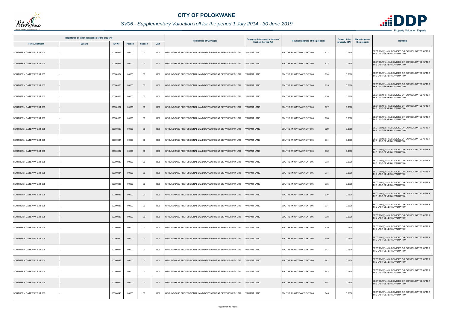

|                          | Registered or other description of the property |          |                |                |      |                                                           | <b>Category determined in terms of</b> |                                  | <b>Extent of the</b> | <b>Market value of</b><br><b>Remarks</b>                                       |
|--------------------------|-------------------------------------------------|----------|----------------|----------------|------|-----------------------------------------------------------|----------------------------------------|----------------------------------|----------------------|--------------------------------------------------------------------------------|
| <b>Town Allotment</b>    | <b>Suburb</b>                                   | Erf Nr   | <b>Portion</b> | <b>Section</b> | Unit | <b>Full Names of Owner(s)</b>                             | <b>Section 8 of the Act</b>            | Physical address of the property | property (HA)        | the property                                                                   |
| SOUTHERN GATEWAY EXT 005 |                                                 | 00000922 | 00000          | $00\,$         | 0000 | GROUNDBASE PROFESSIONAL LAND DEVELOPMENT SERVICES PTY LTD | <b>ACANT LAND</b>                      | 922<br>SOUTHERN GATEWAY EXT 005  | 0.0300               | SECT 78(1)(c) - SUBDIVIDED OR CONSOLIDATED AFTER<br>THE LAST GENERAL VALUATION |
| SOUTHERN GATEWAY EXT 005 |                                                 | 00000923 | 00000          | $00\,$         | 0000 | GROUNDBASE PROFESSIONAL LAND DEVELOPMENT SERVICES PTY LTD | <b>VACANT LAND</b>                     | 923<br>SOUTHERN GATEWAY EXT 005  | 0.0300               | SECT 78(1)(c) - SUBDIVIDED OR CONSOLIDATED AFTER<br>THE LAST GENERAL VALUATION |
| SOUTHERN GATEWAY EXT 005 |                                                 | 00000924 | 00000          | 00             | 0000 | GROUNDBASE PROFESSIONAL LAND DEVELOPMENT SERVICES PTY LTD | <b>ACANT LAND</b>                      | 924<br>SOUTHERN GATEWAY EXT 005  | 0.0300               | SECT 78(1)(c) - SUBDIVIDED OR CONSOLIDATED AFTER<br>THE LAST GENERAL VALUATION |
| SOUTHERN GATEWAY EXT 005 |                                                 | 00000925 | 00000          | $00\,$         | 0000 | GROUNDBASE PROFESSIONAL LAND DEVELOPMENT SERVICES PTY LTD | <b>VACANT LAND</b>                     | SOUTHERN GATEWAY EXT 005<br>925  | 0.0300               | SECT 78(1)(c) - SUBDIVIDED OR CONSOLIDATED AFTER<br>THE LAST GENERAL VALUATION |
| SOUTHERN GATEWAY EXT 005 |                                                 | 00000926 | 00000          | 00             | 0000 | GROUNDBASE PROFESSIONAL LAND DEVELOPMENT SERVICES PTY LTD | <b>VACANT LAND</b>                     | SOUTHERN GATEWAY EXT 005<br>926  | 0.0300               | SECT 78(1)(c) - SUBDIVIDED OR CONSOLIDATED AFTER<br>THE LAST GENERAL VALUATION |
| SOUTHERN GATEWAY EXT 005 |                                                 | 00000927 | 00000          | $00\,$         | 0000 | GROUNDBASE PROFESSIONAL LAND DEVELOPMENT SERVICES PTY LTD | <b>VACANT LAND</b>                     | SOUTHERN GATEWAY EXT 005<br>927  | 0.0300               | SECT 78(1)(c) - SUBDIVIDED OR CONSOLIDATED AFTER<br>THE LAST GENERAL VALUATION |
| SOUTHERN GATEWAY EXT 005 |                                                 | 00000928 | 00000          | $00\,$         | 0000 | GROUNDBASE PROFESSIONAL LAND DEVELOPMENT SERVICES PTY LTD | <b>VACANT LAND</b>                     | 928<br>SOUTHERN GATEWAY EXT 005  | 0.0300               | SECT 78(1)(c) - SUBDIVIDED OR CONSOLIDATED AFTER<br>THE LAST GENERAL VALUATION |
| SOUTHERN GATEWAY EXT 005 |                                                 | 00000929 | 00000          | $00\,$         | 0000 | GROUNDBASE PROFESSIONAL LAND DEVELOPMENT SERVICES PTY LTD | <b>ACANT LAND</b>                      | 929<br>SOUTHERN GATEWAY EXT 005  | 0.0300               | SECT 78(1)(c) - SUBDIVIDED OR CONSOLIDATED AFTER<br>THE LAST GENERAL VALUATION |
| SOUTHERN GATEWAY EXT 005 |                                                 | 00000931 | 00000          | $00\,$         | 0000 | GROUNDBASE PROFESSIONAL LAND DEVELOPMENT SERVICES PTY LTD | <b>VACANT LAND</b>                     | SOUTHERN GATEWAY EXT 005<br>931  | 0.0330               | SECT 78(1)(c) - SUBDIVIDED OR CONSOLIDATED AFTER<br>THE LAST GENERAL VALUATION |
| SOUTHERN GATEWAY EXT 005 |                                                 | 00000932 | 00000          | $00\,$         | 0000 | GROUNDBASE PROFESSIONAL LAND DEVELOPMENT SERVICES PTY LTD | <b>ACANT LAND</b>                      | SOUTHERN GATEWAY EXT 005<br>932  | 0.0330               | SECT 78(1)(c) - SUBDIVIDED OR CONSOLIDATED AFTER<br>THE LAST GENERAL VALUATION |
| SOUTHERN GATEWAY EXT 005 |                                                 | 00000933 | 00000          | 00             | 0000 | GROUNDBASE PROFESSIONAL LAND DEVELOPMENT SERVICES PTY LTD | VACANT LAND                            | SOUTHERN GATEWAY EXT 005<br>933  | 0.0330               | SECT 78(1)(c) - SUBDIVIDED OR CONSOLIDATED AFTER<br>THE LAST GENERAL VALUATION |
| SOUTHERN GATEWAY EXT 005 |                                                 | 00000934 | 00000          | $00\,$         | 0000 | GROUNDBASE PROFESSIONAL LAND DEVELOPMENT SERVICES PTY LTD | <b>ACANT LAND</b>                      | SOUTHERN GATEWAY EXT 005<br>934  | 0.0330               | SECT 78(1)(c) - SUBDIVIDED OR CONSOLIDATED AFTER<br>THE LAST GENERAL VALUATION |
| SOUTHERN GATEWAY EXT 005 |                                                 | 00000935 | 00000          | $00\,$         | 0000 | GROUNDBASE PROFESSIONAL LAND DEVELOPMENT SERVICES PTY LTD | VACANT LAND                            | SOUTHERN GATEWAY EXT 005<br>935  | 0.0330               | SECT 78(1)(c) - SUBDIVIDED OR CONSOLIDATED AFTER<br>THE LAST GENERAL VALUATION |
| SOUTHERN GATEWAY EXT 005 |                                                 | 00000936 | 00000          | $00\,$         | 0000 | GROUNDBASE PROFESSIONAL LAND DEVELOPMENT SERVICES PTY LTD | <b>VACANT LAND</b>                     | SOUTHERN GATEWAY EXT 005<br>936  | 0.0330               | SECT 78(1)(c) - SUBDIVIDED OR CONSOLIDATED AFTER<br>THE LAST GENERAL VALUATION |
| SOUTHERN GATEWAY EXT 005 |                                                 | 00000937 | 00000          | $00\,$         | 0000 | GROUNDBASE PROFESSIONAL LAND DEVELOPMENT SERVICES PTY LTD | <b>VACANT LAND</b>                     | SOUTHERN GATEWAY EXT 005<br>937  | 0.0330               | SECT 78(1)(c) - SUBDIVIDED OR CONSOLIDATED AFTER<br>THE LAST GENERAL VALUATION |
| SOUTHERN GATEWAY EXT 005 |                                                 | 00000938 | 00000          | $00\,$         | 0000 | GROUNDBASE PROFESSIONAL LAND DEVELOPMENT SERVICES PTY LTD | VACANT LAND                            | SOUTHERN GATEWAY EXT 005<br>938  | 0.0330               | SECT 78(1)(c) - SUBDIVIDED OR CONSOLIDATED AFTER<br>THE LAST GENERAL VALUATION |
| SOUTHERN GATEWAY EXT 005 |                                                 | 00000939 | 00000          | 00             | 0000 | GROUNDBASE PROFESSIONAL LAND DEVELOPMENT SERVICES PTY LTD | <b>VACANT LAND</b>                     | 939<br>SOUTHERN GATEWAY EXT 005  | 0.0330               | SECT 78(1)(c) - SUBDIVIDED OR CONSOLIDATED AFTER<br>THE LAST GENERAL VALUATION |
| SOUTHERN GATEWAY EXT 005 |                                                 | 00000940 | 00000          | $00\,$         | 0000 | GROUNDBASE PROFESSIONAL LAND DEVELOPMENT SERVICES PTY LTD | <b>VACANT LAND</b>                     | SOUTHERN GATEWAY EXT 005<br>940  | 0.0330               | SECT 78(1)(c) - SUBDIVIDED OR CONSOLIDATED AFTER<br>THE LAST GENERAL VALUATION |
| SOUTHERN GATEWAY EXT 005 |                                                 | 00000941 | 00000          | 00             | 0000 | GROUNDBASE PROFESSIONAL LAND DEVELOPMENT SERVICES PTY LTD | <b>VACANT LAND</b>                     | SOUTHERN GATEWAY EXT 005<br>941  | 0.0330               | SECT 78(1)(c) - SUBDIVIDED OR CONSOLIDATED AFTER<br>THE LAST GENERAL VALUATION |
| SOUTHERN GATEWAY EXT 005 |                                                 | 00000942 | 00000          | $00\,$         | 0000 | GROUNDBASE PROFESSIONAL LAND DEVELOPMENT SERVICES PTY LTD | <b>VACANT LAND</b>                     | 942<br>SOUTHERN GATEWAY EXT 005  | 0.0330               | SECT 78(1)(c) - SUBDIVIDED OR CONSOLIDATED AFTER<br>THE LAST GENERAL VALUATION |
| SOUTHERN GATEWAY EXT 005 |                                                 | 00000943 | 00000          | 00             | 0000 | GROUNDBASE PROFESSIONAL LAND DEVELOPMENT SERVICES PTY LTD | VACANT LAND                            | 943<br>SOUTHERN GATEWAY EXT 005  | 0.0330               | SECT 78(1)(c) - SUBDIVIDED OR CONSOLIDATED AFTER<br>THE LAST GENERAL VALUATION |
| SOUTHERN GATEWAY EXT 005 |                                                 | 00000944 | 00000          | $00\,$         | 0000 | GROUNDBASE PROFESSIONAL LAND DEVELOPMENT SERVICES PTY LTD | <b>VACANT LAND</b>                     | SOUTHERN GATEWAY EXT 005<br>944  | 0.0330               | SECT 78(1)(c) - SUBDIVIDED OR CONSOLIDATED AFTER<br>THE LAST GENERAL VALUATION |
| SOUTHERN GATEWAY EXT 005 |                                                 | 00000945 | 00000          | $00\,$         | 0000 | GROUNDBASE PROFESSIONAL LAND DEVELOPMENT SERVICES PTY LTD | ACANT LAND                             | 945<br>SOUTHERN GATEWAY EXT 005  | 0.0330               | SECT 78(1)(c) - SUBDIVIDED OR CONSOLIDATED AFTER<br>THE LAST GENERAL VALUATION |